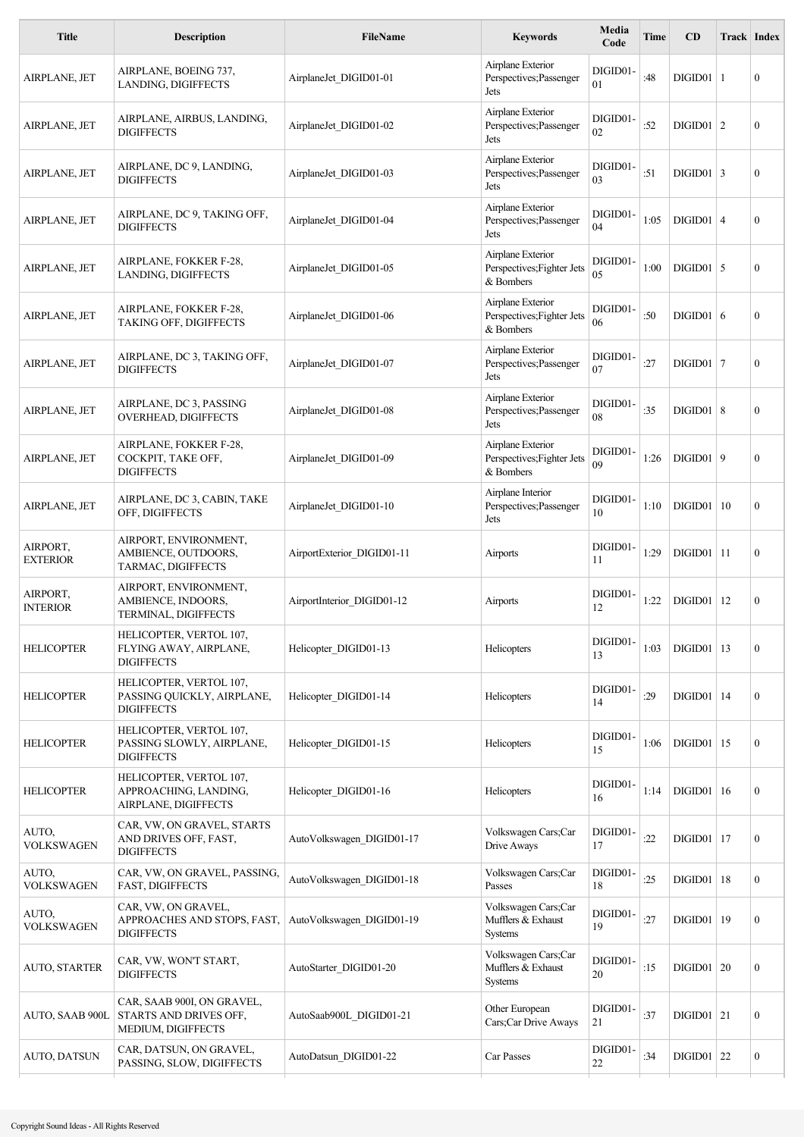| <b>Title</b>                | <b>Description</b>                                                         | <b>FileName</b>            | <b>Keywords</b>                                              | Media<br>Code  | Time | CD               | <b>Track Index</b> |                  |
|-----------------------------|----------------------------------------------------------------------------|----------------------------|--------------------------------------------------------------|----------------|------|------------------|--------------------|------------------|
| AIRPLANE, JET               | AIRPLANE, BOEING 737,<br>LANDING, DIGIFFECTS                               | AirplaneJet DIGID01-01     | Airplane Exterior<br>Perspectives; Passenger<br>Jets         | DIGID01-<br>01 | :48  | $DIGID01$   1    |                    | $\theta$         |
| AIRPLANE, JET               | AIRPLANE, AIRBUS, LANDING,<br><b>DIGIFFECTS</b>                            | AirplaneJet DIGID01-02     | Airplane Exterior<br>Perspectives; Passenger<br>Jets         | DIGID01-<br>02 | :52  | $DIGID01 \mid 2$ |                    | $\mathbf{0}$     |
| AIRPLANE, JET               | AIRPLANE, DC 9, LANDING,<br><b>DIGIFFECTS</b>                              | AirplaneJet DIGID01-03     | Airplane Exterior<br>Perspectives; Passenger<br>Jets         | DIGID01-<br>03 | :51  | $DIGID01   3$    |                    | $\theta$         |
| AIRPLANE, JET               | AIRPLANE, DC 9, TAKING OFF,<br><b>DIGIFFECTS</b>                           | AirplaneJet DIGID01-04     | Airplane Exterior<br>Perspectives; Passenger<br>Jets         | DIGID01-<br>04 | 1:05 | $DIGID01$ 4      |                    | $\theta$         |
| AIRPLANE, JET               | AIRPLANE, FOKKER F-28,<br>LANDING, DIGIFFECTS                              | AirplaneJet DIGID01-05     | Airplane Exterior<br>Perspectives; Fighter Jets<br>& Bombers | DIGID01-<br>05 | 1:00 | $DIGID01$ 5      |                    | $\mathbf{0}$     |
| AIRPLANE, JET               | AIRPLANE, FOKKER F-28,<br>TAKING OFF, DIGIFFECTS                           | AirplaneJet DIGID01-06     | Airplane Exterior<br>Perspectives; Fighter Jets<br>& Bombers | DIGID01-<br>06 | :50  | $DIGID01$   6    |                    | $\mathbf{0}$     |
| AIRPLANE, JET               | AIRPLANE, DC 3, TAKING OFF,<br><b>DIGIFFECTS</b>                           | AirplaneJet DIGID01-07     | Airplane Exterior<br>Perspectives; Passenger<br>Jets         | DIGID01-<br>07 | :27  | $DIGID01   7$    |                    | $\mathbf{0}$     |
| AIRPLANE, JET               | AIRPLANE, DC 3, PASSING<br>OVERHEAD, DIGIFFECTS                            | AirplaneJet DIGID01-08     | Airplane Exterior<br>Perspectives; Passenger<br>Jets         | DIGID01-<br>08 | :35  | $DIGID01$ 8      |                    | $\mathbf{0}$     |
| AIRPLANE, JET               | AIRPLANE, FOKKER F-28,<br>COCKPIT, TAKE OFF,<br><b>DIGIFFECTS</b>          | AirplaneJet DIGID01-09     | Airplane Exterior<br>Perspectives; Fighter Jets<br>& Bombers | DIGID01-<br>09 | 1:26 | DIGID01   9      |                    | $\mathbf{0}$     |
| AIRPLANE, JET               | AIRPLANE, DC 3, CABIN, TAKE<br>OFF, DIGIFFECTS                             | AirplaneJet DIGID01-10     | Airplane Interior<br>Perspectives; Passenger<br>Jets         | DIGID01-<br>10 | 1:10 | DIGID01          | 10                 | $\mathbf{0}$     |
| AIRPORT,<br><b>EXTERIOR</b> | AIRPORT, ENVIRONMENT,<br>AMBIENCE, OUTDOORS,<br>TARMAC, DIGIFFECTS         | AirportExterior DIGID01-11 | Airports                                                     | DIGID01-<br>11 | 1:29 | $DIGID01$   11   |                    | $\mathbf{0}$     |
| AIRPORT,<br><b>INTERIOR</b> | AIRPORT, ENVIRONMENT,<br>AMBIENCE, INDOORS,<br>TERMINAL, DIGIFFECTS        | AirportInterior DIGID01-12 | Airports                                                     | DIGID01-<br>12 | 1:22 | $DIGID01$   12   |                    | $\mathbf{0}$     |
| <b>HELICOPTER</b>           | HELICOPTER, VERTOL 107,<br>FLYING AWAY, AIRPLANE,<br><b>DIGIFFECTS</b>     | Helicopter DIGID01-13      | Helicopters                                                  | DIGID01-<br>13 | 1:03 | $DIGID01$   13   |                    | $\mathbf{0}$     |
| <b>HELICOPTER</b>           | HELICOPTER, VERTOL 107,<br>PASSING QUICKLY, AIRPLANE,<br><b>DIGIFFECTS</b> | Helicopter_DIGID01-14      | Helicopters                                                  | DIGID01-<br>14 | :29  | $DIGID01$   14   |                    | $\mathbf{0}$     |
| <b>HELICOPTER</b>           | HELICOPTER, VERTOL 107,<br>PASSING SLOWLY, AIRPLANE,<br><b>DIGIFFECTS</b>  | Helicopter DIGID01-15      | Helicopters                                                  | DIGID01-<br>15 | 1:06 | $DIGID01$   15   |                    | $\mathbf{0}$     |
| <b>HELICOPTER</b>           | HELICOPTER, VERTOL 107,<br>APPROACHING, LANDING,<br>AIRPLANE, DIGIFFECTS   | Helicopter DIGID01-16      | Helicopters                                                  | DIGID01-<br>16 | 1:14 | $DIGID01$   16   |                    | $\mathbf{0}$     |
| AUTO,<br><b>VOLKSWAGEN</b>  | CAR, VW, ON GRAVEL, STARTS<br>AND DRIVES OFF, FAST,<br><b>DIGIFFECTS</b>   | AutoVolkswagen DIGID01-17  | Volkswagen Cars;Car<br>Drive Aways                           | DIGID01-<br>17 | :22  | $DIGID01$   17   |                    | $\mathbf{0}$     |
| AUTO,<br><b>VOLKSWAGEN</b>  | CAR, VW, ON GRAVEL, PASSING,<br>FAST, DIGIFFECTS                           | AutoVolkswagen_DIGID01-18  | Volkswagen Cars;Car<br>Passes                                | DIGID01<br>18  | :25  | $DIGID01$   18   |                    | $\overline{0}$   |
| AUTO,<br><b>VOLKSWAGEN</b>  | CAR, VW, ON GRAVEL,<br>APPROACHES AND STOPS, FAST,<br><b>DIGIFFECTS</b>    | AutoVolkswagen DIGID01-19  | Volkswagen Cars;Car<br>Mufflers & Exhaust<br>Systems         | DIGID01-<br>19 | :27  | $DIGID01$   19   |                    | $\mathbf{0}$     |
| <b>AUTO, STARTER</b>        | CAR, VW, WON'T START,<br><b>DIGIFFECTS</b>                                 | AutoStarter DIGID01-20     | Volkswagen Cars;Car<br>Mufflers & Exhaust<br>Systems         | DIGID01-<br>20 | :15  | DIGID01   20     |                    | $\boldsymbol{0}$ |
| AUTO, SAAB 900L             | CAR, SAAB 900I, ON GRAVEL,<br>STARTS AND DRIVES OFF,<br>MEDIUM, DIGIFFECTS | AutoSaab900L DIGID01-21    | Other European<br>Cars;Car Drive Aways                       | DIGID01-<br>21 | :37  | $DIGID01$   21   |                    | $\mathbf{0}$     |
| AUTO, DATSUN                | CAR, DATSUN, ON GRAVEL,<br>PASSING, SLOW, DIGIFFECTS                       | AutoDatsun DIGID01-22      | Car Passes                                                   | DIGID01-<br>22 | :34  | $DIGID01$ 22     |                    | $\mathbf{0}$     |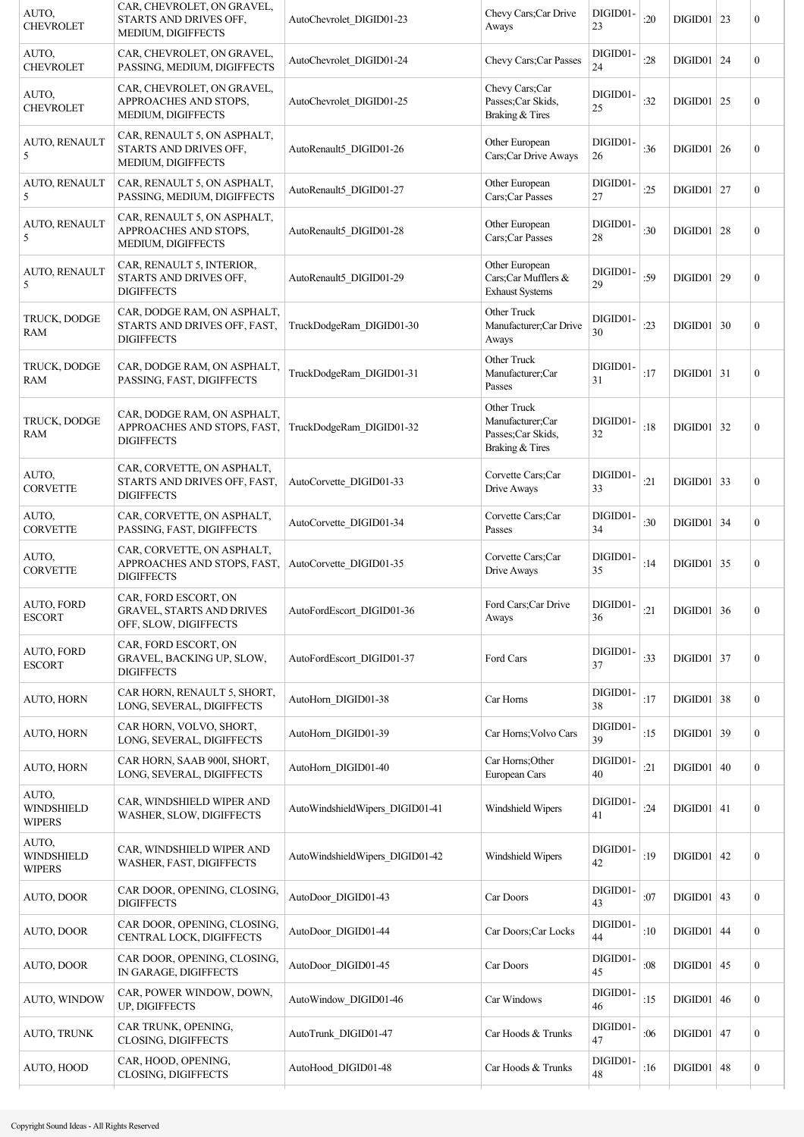| CAR, CHEVROLET, ON GRAVEL,<br>STARTS AND DRIVES OFF,<br>MEDIUM, DIGIFFECTS       | AutoChevrolet DIGID01-23        | Chevy Cars;Car Drive<br>Aways                                            | DIGID01-<br>23 | :20 |    | $\boldsymbol{0}$                                                                                                                                                                                                                                                                                                                                                                |
|----------------------------------------------------------------------------------|---------------------------------|--------------------------------------------------------------------------|----------------|-----|----|---------------------------------------------------------------------------------------------------------------------------------------------------------------------------------------------------------------------------------------------------------------------------------------------------------------------------------------------------------------------------------|
| CAR, CHEVROLET, ON GRAVEL,<br>PASSING, MEDIUM, DIGIFFECTS                        | AutoChevrolet DIGID01-24        | Chevy Cars; Car Passes                                                   | DIGID01-<br>24 | :28 |    | $\boldsymbol{0}$                                                                                                                                                                                                                                                                                                                                                                |
| CAR, CHEVROLET, ON GRAVEL,<br>APPROACHES AND STOPS.<br>MEDIUM, DIGIFFECTS        | AutoChevrolet DIGID01-25        | Chevy Cars;Car<br>Passes;Car Skids,<br>Braking & Tires                   | DIGID01-<br>25 | :32 |    | $\boldsymbol{0}$                                                                                                                                                                                                                                                                                                                                                                |
| CAR, RENAULT 5, ON ASPHALT,<br>STARTS AND DRIVES OFF,<br>MEDIUM, DIGIFFECTS      | AutoRenault5 DIGID01-26         | Other European<br>Cars;Car Drive Aways                                   | DIGID01-<br>26 | :36 |    | $\boldsymbol{0}$                                                                                                                                                                                                                                                                                                                                                                |
| CAR, RENAULT 5, ON ASPHALT,<br>PASSING, MEDIUM, DIGIFFECTS                       | AutoRenault5 DIGID01-27         | Other European<br>Cars;Car Passes                                        | DIGID01-<br>27 | :25 |    | $\boldsymbol{0}$                                                                                                                                                                                                                                                                                                                                                                |
| CAR, RENAULT 5, ON ASPHALT,<br>APPROACHES AND STOPS,<br>MEDIUM, DIGIFFECTS       | AutoRenault5 DIGID01-28         | Other European<br>Cars;Car Passes                                        | DIGID01-<br>28 | :30 |    | $\boldsymbol{0}$                                                                                                                                                                                                                                                                                                                                                                |
| CAR, RENAULT 5, INTERIOR,<br>STARTS AND DRIVES OFF,<br><b>DIGIFFECTS</b>         | AutoRenault5 DIGID01-29         | Other European<br>Cars;Car Mufflers &<br><b>Exhaust Systems</b>          | DIGID01-<br>29 | :59 | 29 | $\boldsymbol{0}$                                                                                                                                                                                                                                                                                                                                                                |
| CAR, DODGE RAM, ON ASPHALT,<br>STARTS AND DRIVES OFF, FAST,<br><b>DIGIFFECTS</b> | TruckDodgeRam_DIGID01-30        | Other Truck<br>Manufacturer;Car Drive<br>Aways                           | DIGID01-<br>30 | :23 |    | $\boldsymbol{0}$                                                                                                                                                                                                                                                                                                                                                                |
| CAR, DODGE RAM, ON ASPHALT,<br>PASSING, FAST, DIGIFFECTS                         | TruckDodgeRam_DIGID01-31        | Other Truck<br>Manufacturer;Car<br>Passes                                | DIGID01-<br>31 | :17 |    | $\boldsymbol{0}$                                                                                                                                                                                                                                                                                                                                                                |
| CAR, DODGE RAM, ON ASPHALT,<br>APPROACHES AND STOPS, FAST,<br><b>DIGIFFECTS</b>  | TruckDodgeRam_DIGID01-32        | Other Truck<br>Manufacturer;Car<br>Passes; Car Skids,<br>Braking & Tires | DIGID01-<br>32 | :18 |    | $\boldsymbol{0}$                                                                                                                                                                                                                                                                                                                                                                |
| CAR, CORVETTE, ON ASPHALT,<br>STARTS AND DRIVES OFF, FAST,<br><b>DIGIFFECTS</b>  | AutoCorvette DIGID01-33         | Corvette Cars;Car<br>Drive Aways                                         | DIGID01-<br>33 | :21 |    | $\boldsymbol{0}$                                                                                                                                                                                                                                                                                                                                                                |
| CAR, CORVETTE, ON ASPHALT,<br>PASSING, FAST, DIGIFFECTS                          | AutoCorvette DIGID01-34         | Corvette Cars;Car<br>Passes                                              | DIGID01-<br>34 | :30 |    | $\boldsymbol{0}$                                                                                                                                                                                                                                                                                                                                                                |
| CAR, CORVETTE, ON ASPHALT,<br>APPROACHES AND STOPS, FAST,<br><b>DIGIFFECTS</b>   | AutoCorvette DIGID01-35         | Corvette Cars;Car<br>Drive Aways                                         | DIGID01-<br>35 | :14 |    | $\boldsymbol{0}$                                                                                                                                                                                                                                                                                                                                                                |
| CAR, FORD ESCORT, ON<br>GRAVEL, STARTS AND DRIVES<br>OFF, SLOW, DIGIFFECTS       | AutoFordEscort DIGID01-36       | Ford Cars: Car Drive<br>Aways                                            | DIGID01-<br>36 | :21 |    | $\boldsymbol{0}$                                                                                                                                                                                                                                                                                                                                                                |
| CAR, FORD ESCORT, ON<br>GRAVEL, BACKING UP, SLOW,<br><b>DIGIFFECTS</b>           | AutoFordEscort_DIGID01-37       | Ford Cars                                                                | DIGID01-<br>37 | :33 |    | $\boldsymbol{0}$                                                                                                                                                                                                                                                                                                                                                                |
| CAR HORN, RENAULT 5, SHORT,<br>LONG, SEVERAL, DIGIFFECTS                         | AutoHorn DIGID01-38             | Car Horns                                                                | DIGID01-<br>38 | :17 |    | $\bf{0}$                                                                                                                                                                                                                                                                                                                                                                        |
| CAR HORN, VOLVO, SHORT,<br>LONG, SEVERAL, DIGIFFECTS                             | AutoHorn_DIGID01-39             | Car Horns; Volvo Cars                                                    | DIGID01-<br>39 | :15 |    | $\boldsymbol{0}$                                                                                                                                                                                                                                                                                                                                                                |
| CAR HORN, SAAB 900I, SHORT,<br>LONG, SEVERAL, DIGIFFECTS                         | AutoHorn_DIGID01-40             | Car Horns; Other<br>European Cars                                        | DIGID01-<br>40 | :21 | 40 | $\boldsymbol{0}$                                                                                                                                                                                                                                                                                                                                                                |
| CAR, WINDSHIELD WIPER AND<br>WASHER, SLOW, DIGIFFECTS                            | AutoWindshieldWipers_DIGID01-41 | Windshield Wipers                                                        | DIGID01-<br>41 | :24 |    | $\bf{0}$                                                                                                                                                                                                                                                                                                                                                                        |
| CAR, WINDSHIELD WIPER AND<br>WASHER, FAST, DIGIFFECTS                            | AutoWindshieldWipers_DIGID01-42 | Windshield Wipers                                                        | DIGID01-<br>42 | :19 | 42 | $\bf{0}$                                                                                                                                                                                                                                                                                                                                                                        |
| CAR DOOR, OPENING, CLOSING,<br><b>DIGIFFECTS</b>                                 | AutoDoor DIGID01-43             | Car Doors                                                                | DIGID01-<br>43 | :07 | 43 | $\bf{0}$                                                                                                                                                                                                                                                                                                                                                                        |
| CAR DOOR, OPENING, CLOSING,<br>CENTRAL LOCK, DIGIFFECTS                          | AutoDoor_DIGID01-44             | Car Doors; Car Locks                                                     | DIGID01-<br>44 | :10 |    | $\bf{0}$                                                                                                                                                                                                                                                                                                                                                                        |
| CAR DOOR, OPENING, CLOSING,<br>IN GARAGE, DIGIFFECTS                             | AutoDoor_DIGID01-45             | Car Doors                                                                | DIGID01-<br>45 | :08 | 45 | $\bf{0}$                                                                                                                                                                                                                                                                                                                                                                        |
| CAR, POWER WINDOW, DOWN,<br>UP, DIGIFFECTS                                       | AutoWindow DIGID01-46           | Car Windows                                                              | DIGID01-<br>46 | :15 | 46 | $\bf{0}$                                                                                                                                                                                                                                                                                                                                                                        |
| CAR TRUNK, OPENING,<br>CLOSING, DIGIFFECTS                                       | AutoTrunk DIGID01-47            | Car Hoods & Trunks                                                       | DIGID01-<br>47 | :06 | 47 | $\boldsymbol{0}$                                                                                                                                                                                                                                                                                                                                                                |
|                                                                                  |                                 |                                                                          |                |     |    |                                                                                                                                                                                                                                                                                                                                                                                 |
|                                                                                  |                                 |                                                                          |                |     |    | $DIGID01$   23<br>$DIGID01$ 24<br>$DIGID01$ 25<br>$DIGID01$ 26<br>$DIGID01$   27<br>$DIGID01$ 28<br>$DIGID01$<br>$DIGID01$ 30<br>$DIGID01$ 31<br>$DIGID01$ 32<br>$DIGID01$ 33<br>$DIGID01$ 34<br>$DIGID01$ 35<br>DIGID01   36<br>$DIGID01$ 37<br>$DIGID01$ 38<br>$DIGID01$ 39<br>DIGID01<br>$DIGID01$ 41<br>DIGID01<br>DIGID01<br>$DIGID01$ 44<br>DIGID01<br>DIGID01<br>DIGID01 |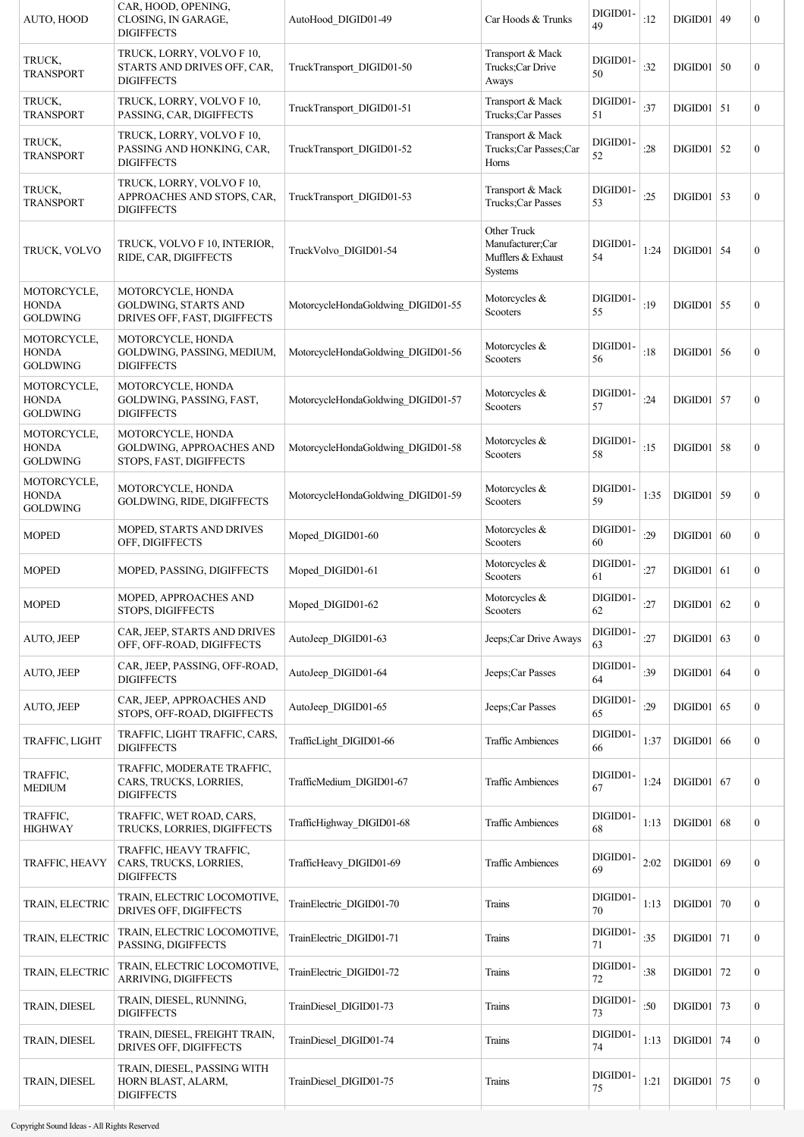| AUTO, HOOD                                     | CAR, HOOD, OPENING,<br>CLOSING, IN GARAGE,<br><b>DIGIFFECTS</b>                  | AutoHood DIGID01-49                | Car Hoods & Trunks                                               | DIGID01-<br>49 | :12  | DIGID01   49 |    | $\boldsymbol{0}$ |
|------------------------------------------------|----------------------------------------------------------------------------------|------------------------------------|------------------------------------------------------------------|----------------|------|--------------|----|------------------|
| TRUCK,<br><b>TRANSPORT</b>                     | TRUCK, LORRY, VOLVO F 10,<br>STARTS AND DRIVES OFF, CAR,<br><b>DIGIFFECTS</b>    | TruckTransport DIGID01-50          | Transport & Mack<br>Trucks;Car Drive<br>Aways                    | DIGID01-<br>50 | :32  | $DIGID01$ 50 |    | $\boldsymbol{0}$ |
| TRUCK,<br><b>TRANSPORT</b>                     | TRUCK, LORRY, VOLVO F 10,<br>PASSING, CAR, DIGIFFECTS                            | TruckTransport DIGID01-51          | Transport & Mack<br>Trucks;Car Passes                            | DIGID01-<br>51 | :37  | $DIGID01$ 51 |    | $\bf{0}$         |
| TRUCK,<br><b>TRANSPORT</b>                     | TRUCK, LORRY, VOLVO F 10,<br>PASSING AND HONKING, CAR,<br><b>DIGIFFECTS</b>      | TruckTransport DIGID01-52          | Transport & Mack<br>Trucks;Car Passes;Car<br>Horns               | DIGID01-<br>52 | :28  | $DIGID01$ 52 |    | $\bf{0}$         |
| TRUCK,<br><b>TRANSPORT</b>                     | TRUCK, LORRY, VOLVO F 10,<br>APPROACHES AND STOPS, CAR,<br><b>DIGIFFECTS</b>     | TruckTransport DIGID01-53          | Transport & Mack<br>Trucks;Car Passes                            | DIGID01-<br>53 | :25  | $DIGID01$ 53 |    | $\boldsymbol{0}$ |
| TRUCK, VOLVO                                   | TRUCK, VOLVO F 10, INTERIOR,<br>RIDE, CAR, DIGIFFECTS                            | TruckVolvo DIGID01-54              | Other Truck<br>Manufacturer;Car<br>Mufflers & Exhaust<br>Systems | DIGID01-<br>54 | 1:24 | $DIGID01$ 54 |    | $\boldsymbol{0}$ |
| MOTORCYCLE,<br><b>HONDA</b><br><b>GOLDWING</b> | MOTORCYCLE, HONDA<br><b>GOLDWING, STARTS AND</b><br>DRIVES OFF, FAST, DIGIFFECTS | MotorcycleHondaGoldwing DIGID01-55 | Motorcycles &<br>Scooters                                        | DIGID01-<br>55 | :19  | $DIGID01$ 55 |    | $\boldsymbol{0}$ |
| MOTORCYCLE,<br><b>HONDA</b><br><b>GOLDWING</b> | MOTORCYCLE, HONDA<br>GOLDWING, PASSING, MEDIUM,<br><b>DIGIFFECTS</b>             | MotorcycleHondaGoldwing DIGID01-56 | Motorcycles &<br>Scooters                                        | DIGID01-<br>56 | :18  | $DIGID01$ 56 |    | $\boldsymbol{0}$ |
| MOTORCYCLE,<br><b>HONDA</b><br><b>GOLDWING</b> | MOTORCYCLE, HONDA<br>GOLDWING, PASSING, FAST,<br><b>DIGIFFECTS</b>               | MotorcycleHondaGoldwing DIGID01-57 | Motorcycles &<br>Scooters                                        | DIGID01-<br>57 | :24  | $DIGID01$ 57 |    | $\bf{0}$         |
| MOTORCYCLE,<br><b>HONDA</b><br><b>GOLDWING</b> | MOTORCYCLE, HONDA<br>GOLDWING, APPROACHES AND<br>STOPS, FAST, DIGIFFECTS         | MotorcycleHondaGoldwing DIGID01-58 | Motorcycles &<br>Scooters                                        | DIGID01-<br>58 | :15  | $DIGID01$ 58 |    | $\boldsymbol{0}$ |
| MOTORCYCLE,<br><b>HONDA</b><br><b>GOLDWING</b> | MOTORCYCLE, HONDA<br>GOLDWING, RIDE, DIGIFFECTS                                  | MotorcycleHondaGoldwing DIGID01-59 | Motorcycles &<br>Scooters                                        | DIGID01-<br>59 | 1:35 | $DIGID01$ 59 |    | $\boldsymbol{0}$ |
| <b>MOPED</b>                                   | MOPED, STARTS AND DRIVES<br>OFF, DIGIFFECTS                                      | Moped_DIGID01-60                   | Motorcycles &<br>Scooters                                        | DIGID01-<br>60 | :29  | DIGID01   60 |    | $\bf{0}$         |
| <b>MOPED</b>                                   | MOPED, PASSING, DIGIFFECTS                                                       | Moped DIGID01-61                   | Motorcycles &<br>Scooters                                        | DIGID01-<br>61 | :27  | $DIGID01$ 61 |    | $\bf{0}$         |
| <b>MOPED</b>                                   | MOPED, APPROACHES AND<br>STOPS, DIGIFFECTS                                       | Moped DIGID01-62                   | Motorcycles &<br>Scooters                                        | DIGID01-<br>62 | :27  | DIGID01   62 |    | $\boldsymbol{0}$ |
| AUTO, JEEP                                     | CAR, JEEP, STARTS AND DRIVES<br>OFF, OFF-ROAD, DIGIFFECTS                        | AutoJeep_DIGID01-63                | Jeeps;Car Drive Aways                                            | DIGID01-<br>63 | :27  | $DIGID01$ 63 |    | $\boldsymbol{0}$ |
| AUTO, JEEP                                     | CAR, JEEP, PASSING, OFF-ROAD,<br><b>DIGIFFECTS</b>                               | AutoJeep_DIGID01-64                | Jeeps;Car Passes                                                 | DIGID01-<br>64 | :39  | $DIGID01$ 64 |    | $\bf{0}$         |
| AUTO, JEEP                                     | CAR, JEEP, APPROACHES AND<br>STOPS, OFF-ROAD, DIGIFFECTS                         | AutoJeep_DIGID01-65                | Jeeps;Car Passes                                                 | DIGID01-<br>65 | :29  | $DIGID01$ 65 |    | $\bf{0}$         |
| TRAFFIC, LIGHT                                 | TRAFFIC, LIGHT TRAFFIC, CARS,<br><b>DIGIFFECTS</b>                               | TrafficLight DIGID01-66            | <b>Traffic Ambiences</b>                                         | DIGID01-<br>66 | 1:37 | DIGID01      | 66 | $\bf{0}$         |
| TRAFFIC,<br><b>MEDIUM</b>                      | TRAFFIC, MODERATE TRAFFIC,<br>CARS, TRUCKS, LORRIES,<br><b>DIGIFFECTS</b>        | TrafficMedium DIGID01-67           | <b>Traffic Ambiences</b>                                         | DIGID01-<br>67 | 1:24 | $DIGID01$ 67 |    | $\bf{0}$         |
| TRAFFIC,<br><b>HIGHWAY</b>                     | TRAFFIC, WET ROAD, CARS,<br>TRUCKS, LORRIES, DIGIFFECTS                          | TrafficHighway DIGID01-68          | <b>Traffic Ambiences</b>                                         | DIGID01-<br>68 | 1:13 | $DIGID01$ 68 |    | $\bf{0}$         |
| TRAFFIC, HEAVY                                 | TRAFFIC, HEAVY TRAFFIC,<br>CARS, TRUCKS, LORRIES,<br><b>DIGIFFECTS</b>           | TrafficHeavy DIGID01-69            | <b>Traffic Ambiences</b>                                         | DIGID01-<br>69 | 2:02 | $DIGID01$ 69 |    | $\boldsymbol{0}$ |
| TRAIN, ELECTRIC                                | TRAIN, ELECTRIC LOCOMOTIVE,<br>DRIVES OFF, DIGIFFECTS                            | TrainElectric DIGID01-70           | Trains                                                           | DIGID01-<br>70 | 1:13 | $DIGID01$ 70 |    | $\bf{0}$         |
| TRAIN, ELECTRIC                                | TRAIN, ELECTRIC LOCOMOTIVE,<br>PASSING, DIGIFFECTS                               | TrainElectric_DIGID01-71           | Trains                                                           | DIGID01-<br>71 | :35  | $DIGID01$ 71 |    | $\mathbf{0}$     |
| TRAIN, ELECTRIC                                | TRAIN, ELECTRIC LOCOMOTIVE,<br>ARRIVING, DIGIFFECTS                              | TrainElectric DIGID01-72           | Trains                                                           | DIGID01-<br>72 | :38  | $DIGID01$ 72 |    | $\mathbf{0}$     |
| TRAIN, DIESEL                                  | TRAIN, DIESEL, RUNNING,<br><b>DIGIFFECTS</b>                                     | TrainDiesel DIGID01-73             | Trains                                                           | DIGID01-<br>73 | :50  | $DIGID01$ 73 |    | $\bf{0}$         |
| TRAIN, DIESEL                                  | TRAIN, DIESEL, FREIGHT TRAIN,<br>DRIVES OFF, DIGIFFECTS                          | TrainDiesel DIGID01-74             | Trains                                                           | DIGID01-<br>74 | 1:13 | $DIGID01$ 74 |    | $\mathbf{0}$     |
| TRAIN, DIESEL                                  | TRAIN, DIESEL, PASSING WITH<br>HORN BLAST, ALARM,<br><b>DIGIFFECTS</b>           | TrainDiesel DIGID01-75             | Trains                                                           | DIGID01-<br>75 | 1:21 | $DIGID01$ 75 |    | $\boldsymbol{0}$ |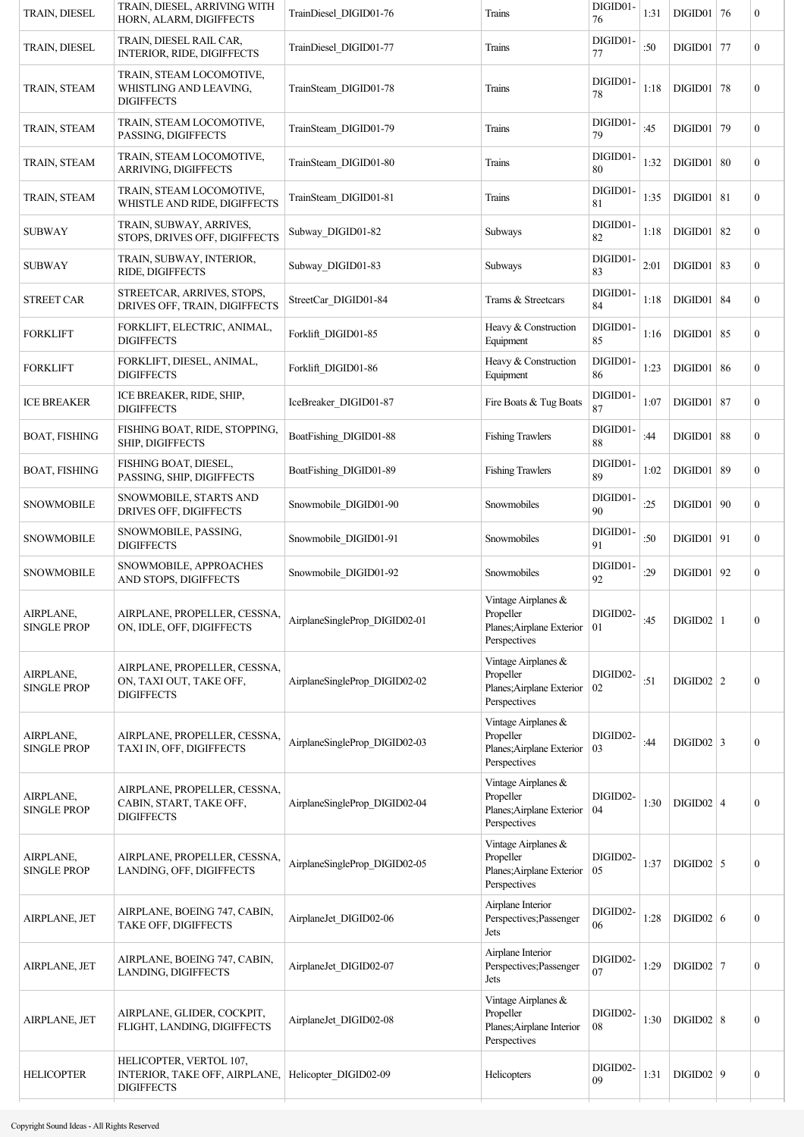| TRAIN, DIESEL                   | TRAIN, DIESEL, ARRIVING WITH<br>HORN, ALARM, DIGIFFECTS                       | TrainDiesel_DIGID01-76        | Trains                                                                           | DIGID01-<br>76 | 1:31 | $DIGID01$ 76  |    | $\boldsymbol{0}$ |
|---------------------------------|-------------------------------------------------------------------------------|-------------------------------|----------------------------------------------------------------------------------|----------------|------|---------------|----|------------------|
| TRAIN, DIESEL                   | TRAIN, DIESEL RAIL CAR,<br>INTERIOR, RIDE, DIGIFFECTS                         | TrainDiesel DIGID01-77        | Trains                                                                           | DIGID01-<br>77 | :50  | DIGID01       | 77 | $\boldsymbol{0}$ |
| TRAIN, STEAM                    | TRAIN, STEAM LOCOMOTIVE,<br>WHISTLING AND LEAVING,<br><b>DIGIFFECTS</b>       | TrainSteam DIGID01-78         | Trains                                                                           | DIGID01-<br>78 | 1:18 | DIGID01       | 78 | $\boldsymbol{0}$ |
| TRAIN, STEAM                    | TRAIN, STEAM LOCOMOTIVE,<br>PASSING, DIGIFFECTS                               | TrainSteam_DIGID01-79         | Trains                                                                           | DIGID01-<br>79 | :45  | DIGID01       | 79 | $\bf{0}$         |
| TRAIN, STEAM                    | TRAIN, STEAM LOCOMOTIVE,<br>ARRIVING, DIGIFFECTS                              | TrainSteam_DIGID01-80         | Trains                                                                           | DIGID01-<br>80 | 1:32 | DIGID01   80  |    | $\overline{0}$   |
| TRAIN, STEAM                    | TRAIN, STEAM LOCOMOTIVE,<br>WHISTLE AND RIDE, DIGIFFECTS                      | TrainSteam_DIGID01-81         | Trains                                                                           | DIGID01-<br>81 | 1:35 | $DIGID01$ 81  |    | $\bf{0}$         |
| <b>SUBWAY</b>                   | TRAIN, SUBWAY, ARRIVES,<br>STOPS, DRIVES OFF, DIGIFFECTS                      | Subway_DIGID01-82             | Subways                                                                          | DIGID01-<br>82 | 1:18 | DIGID01       | 82 | $\bf{0}$         |
| <b>SUBWAY</b>                   | TRAIN, SUBWAY, INTERIOR,<br>RIDE, DIGIFFECTS                                  | Subway DIGID01-83             | Subways                                                                          | DIGID01-<br>83 | 2:01 | DIGID01       | 83 | $\mathbf{0}$     |
| <b>STREET CAR</b>               | STREETCAR, ARRIVES, STOPS,<br>DRIVES OFF, TRAIN, DIGIFFECTS                   | StreetCar DIGID01-84          | Trams & Streetcars                                                               | DIGID01-<br>84 | 1:18 | $DIGID01$ 84  |    | $\bf{0}$         |
| <b>FORKLIFT</b>                 | FORKLIFT, ELECTRIC, ANIMAL,<br><b>DIGIFFECTS</b>                              | Forklift DIGID01-85           | Heavy & Construction<br>Equipment                                                | DIGID01-<br>85 | 1:16 | $DIGID01$ 85  |    | $\bf{0}$         |
| <b>FORKLIFT</b>                 | FORKLIFT, DIESEL, ANIMAL,<br><b>DIGIFFECTS</b>                                | Forklift DIGID01-86           | Heavy & Construction<br>Equipment                                                | DIGID01-<br>86 | 1:23 | DIGID01       | 86 | $\bf{0}$         |
| <b>ICE BREAKER</b>              | ICE BREAKER, RIDE, SHIP,<br><b>DIGIFFECTS</b>                                 | IceBreaker DIGID01-87         | Fire Boats & Tug Boats                                                           | DIGID01-<br>87 | 1:07 | DIGID01       | 87 | $\overline{0}$   |
| <b>BOAT, FISHING</b>            | FISHING BOAT, RIDE, STOPPING,<br>SHIP, DIGIFFECTS                             | BoatFishing_DIGID01-88        | <b>Fishing Trawlers</b>                                                          | DIGID01-<br>88 | :44  | DIGID01       | 88 | $\overline{0}$   |
| <b>BOAT, FISHING</b>            | FISHING BOAT, DIESEL,<br>PASSING, SHIP, DIGIFFECTS                            | BoatFishing_DIGID01-89        | <b>Fishing Trawlers</b>                                                          | DIGID01-<br>89 | 1:02 | $DIGID01$     | 89 | $\overline{0}$   |
| <b>SNOWMOBILE</b>               | SNOWMOBILE, STARTS AND<br>DRIVES OFF, DIGIFFECTS                              | Snowmobile_DIGID01-90         | Snowmobiles                                                                      | DIGID01-<br>90 | :25  | DIGID01       | 90 | $\bf{0}$         |
| <b>SNOWMOBILE</b>               | SNOWMOBILE, PASSING,<br><b>DIGIFFECTS</b>                                     | Snowmobile DIGID01-91         | Snowmobiles                                                                      | DIGID01-<br>91 | :50  | DIGID01       | 91 | $\bf{0}$         |
| <b>SNOWMOBILE</b>               | SNOWMOBILE, APPROACHES<br>AND STOPS, DIGIFFECTS                               | Snowmobile DIGID01-92         | Snowmobiles                                                                      | DIGID01-<br>92 | :29  | DIGID01       | 92 | $\bf{0}$         |
| AIRPLANE,<br><b>SINGLE PROP</b> | AIRPLANE, PROPELLER, CESSNA,<br>ON, IDLE, OFF, DIGIFFECTS                     | AirplaneSingleProp DIGID02-01 | Vintage Airplanes $\&$<br>Propeller<br>Planes; Airplane Exterior<br>Perspectives | DIGID02-<br>01 | :45  | $DIGID02$   1 |    | $\boldsymbol{0}$ |
| AIRPLANE,<br><b>SINGLE PROP</b> | AIRPLANE, PROPELLER, CESSNA,<br>ON, TAXI OUT, TAKE OFF,<br><b>DIGIFFECTS</b>  | AirplaneSingleProp DIGID02-02 | Vintage Airplanes &<br>Propeller<br>Planes; Airplane Exterior<br>Perspectives    | DIGID02-<br>02 | :51  | $DIGID02$   2 |    | $\boldsymbol{0}$ |
| AIRPLANE,<br><b>SINGLE PROP</b> | AIRPLANE, PROPELLER, CESSNA,<br>TAXI IN, OFF, DIGIFFECTS                      | AirplaneSingleProp DIGID02-03 | Vintage Airplanes &<br>Propeller<br>Planes; Airplane Exterior<br>Perspectives    | DIGID02-<br>03 | :44  | $DIGID02$ 3   |    | $\boldsymbol{0}$ |
| AIRPLANE,<br><b>SINGLE PROP</b> | AIRPLANE, PROPELLER, CESSNA,<br>CABIN, START, TAKE OFF,<br><b>DIGIFFECTS</b>  | AirplaneSingleProp DIGID02-04 | Vintage Airplanes &<br>Propeller<br>Planes; Airplane Exterior<br>Perspectives    | DIGID02-<br>04 | 1:30 | $DIGID02$   4 |    | $\boldsymbol{0}$ |
| AIRPLANE,<br><b>SINGLE PROP</b> | AIRPLANE, PROPELLER, CESSNA,<br>LANDING, OFF, DIGIFFECTS                      | AirplaneSingleProp DIGID02-05 | Vintage Airplanes &<br>Propeller<br>Planes; Airplane Exterior<br>Perspectives    | DIGID02-<br>05 | 1:37 | $DIGID02$ 5   |    | $\boldsymbol{0}$ |
| AIRPLANE, JET                   | AIRPLANE, BOEING 747, CABIN,<br>TAKE OFF, DIGIFFECTS                          | AirplaneJet DIGID02-06        | Airplane Interior<br>Perspectives; Passenger<br>Jets                             | DIGID02-<br>06 | 1:28 | DIGID02   6   |    | $\bf{0}$         |
| AIRPLANE, JET                   | AIRPLANE, BOEING 747, CABIN,<br>LANDING, DIGIFFECTS                           | AirplaneJet DIGID02-07        | Airplane Interior<br>Perspectives; Passenger<br>Jets                             | DIGID02-<br>07 | 1:29 | $DIGID02$ 7   |    | $\boldsymbol{0}$ |
| AIRPLANE, JET                   | AIRPLANE, GLIDER, COCKPIT,<br>FLIGHT, LANDING, DIGIFFECTS                     | AirplaneJet DIGID02-08        | Vintage Airplanes &<br>Propeller<br>Planes; Airplane Interior<br>Perspectives    | DIGID02-<br>08 | 1:30 | $DIGID02$ 8   |    | $\boldsymbol{0}$ |
| <b>HELICOPTER</b>               | HELICOPTER, VERTOL 107,<br>INTERIOR, TAKE OFF, AIRPLANE,<br><b>DIGIFFECTS</b> | Helicopter DIGID02-09         | Helicopters                                                                      | DIGID02-<br>09 | 1:31 | $DIGID02$   9 |    | $\boldsymbol{0}$ |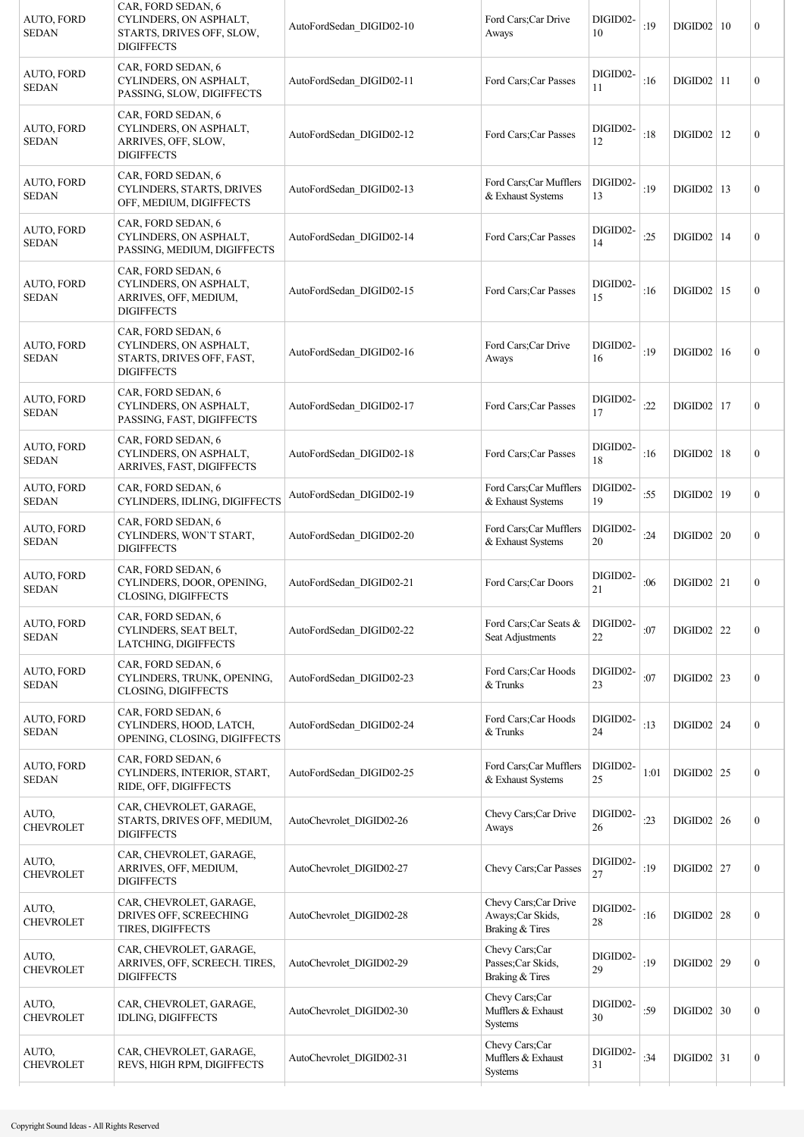| AUTO, FORD<br><b>SEDAN</b>        | CAR, FORD SEDAN, 6<br>CYLINDERS, ON ASPHALT,<br>STARTS, DRIVES OFF, SLOW,<br><b>DIGIFFECTS</b> | AutoFordSedan DIGID02-10 | Ford Cars; Car Drive<br>Aways                                | DIGID02-<br>10 | :19  | DIGID02   10   | $\mathbf{0}$   |
|-----------------------------------|------------------------------------------------------------------------------------------------|--------------------------|--------------------------------------------------------------|----------------|------|----------------|----------------|
| AUTO, FORD<br><b>SEDAN</b>        | CAR, FORD SEDAN, 6<br>CYLINDERS, ON ASPHALT,<br>PASSING, SLOW, DIGIFFECTS                      | AutoFordSedan DIGID02-11 | Ford Cars; Car Passes                                        | DIGID02-<br>11 | :16  | DIGID02   11   | $\theta$       |
| <b>AUTO, FORD</b><br><b>SEDAN</b> | CAR, FORD SEDAN, 6<br>CYLINDERS, ON ASPHALT,<br>ARRIVES, OFF, SLOW,<br><b>DIGIFFECTS</b>       | AutoFordSedan DIGID02-12 | Ford Cars: Car Passes                                        | DIGID02-<br>12 | :18  | $DIGID02$   12 | $\overline{0}$ |
| <b>AUTO, FORD</b><br><b>SEDAN</b> | CAR, FORD SEDAN, 6<br>CYLINDERS, STARTS, DRIVES<br>OFF, MEDIUM, DIGIFFECTS                     | AutoFordSedan DIGID02-13 | Ford Cars;Car Mufflers<br>& Exhaust Systems                  | DIGID02-<br>13 | :19  | $DIGID02$   13 | $\mathbf{0}$   |
| <b>AUTO, FORD</b><br><b>SEDAN</b> | CAR, FORD SEDAN, 6<br>CYLINDERS, ON ASPHALT,<br>PASSING, MEDIUM, DIGIFFECTS                    | AutoFordSedan DIGID02-14 | Ford Cars; Car Passes                                        | DIGID02-<br>14 | :25  | $DIGID02$   14 | $\mathbf{0}$   |
| <b>AUTO, FORD</b><br><b>SEDAN</b> | CAR, FORD SEDAN, 6<br>CYLINDERS, ON ASPHALT,<br>ARRIVES, OFF, MEDIUM,<br><b>DIGIFFECTS</b>     | AutoFordSedan DIGID02-15 | Ford Cars: Car Passes                                        | DIGID02-<br>15 | :16  | $DIGID02$   15 | $\mathbf{0}$   |
| <b>AUTO, FORD</b><br><b>SEDAN</b> | CAR, FORD SEDAN, 6<br>CYLINDERS, ON ASPHALT,<br>STARTS, DRIVES OFF, FAST,<br><b>DIGIFFECTS</b> | AutoFordSedan DIGID02-16 | Ford Cars;Car Drive<br>Aways                                 | DIGID02-<br>16 | :19  | DIGID02   16   | $\mathbf{0}$   |
| <b>AUTO, FORD</b><br><b>SEDAN</b> | CAR, FORD SEDAN, 6<br>CYLINDERS, ON ASPHALT,<br>PASSING, FAST, DIGIFFECTS                      | AutoFordSedan DIGID02-17 | Ford Cars; Car Passes                                        | DIGID02-<br>17 | :22  | $DIGID02$   17 | $\mathbf{0}$   |
| <b>AUTO, FORD</b><br><b>SEDAN</b> | CAR, FORD SEDAN, 6<br>CYLINDERS, ON ASPHALT,<br>ARRIVES, FAST, DIGIFFECTS                      | AutoFordSedan DIGID02-18 | Ford Cars; Car Passes                                        | DIGID02-<br>18 | :16  | $DIGID02$   18 | $\mathbf{0}$   |
| <b>AUTO, FORD</b><br><b>SEDAN</b> | CAR, FORD SEDAN, 6<br>CYLINDERS, IDLING, DIGIFFECTS                                            | AutoFordSedan_DIGID02-19 | Ford Cars;Car Mufflers<br>& Exhaust Systems                  | DIGID02-<br>19 | :55  | DIGID02   19   | $\overline{0}$ |
| <b>AUTO, FORD</b><br><b>SEDAN</b> | CAR, FORD SEDAN, 6<br>CYLINDERS, WON'T START,<br><b>DIGIFFECTS</b>                             | AutoFordSedan DIGID02-20 | Ford Cars;Car Mufflers<br>& Exhaust Systems                  | DIGID02-<br>20 | :24  | DIGID02   20   | $\mathbf{0}$   |
| <b>AUTO, FORD</b><br><b>SEDAN</b> | CAR, FORD SEDAN, 6<br>CYLINDERS, DOOR, OPENING,<br><b>CLOSING, DIGIFFECTS</b>                  | AutoFordSedan DIGID02-21 | Ford Cars;Car Doors                                          | DIGID02-<br>21 | :06  | $DIGID02$   21 | $\mathbf{0}$   |
| AUTO, FORD<br><b>SEDAN</b>        | CAR, FORD SEDAN, 6<br>CYLINDERS, SEAT BELT,<br>LATCHING, DIGIFFECTS                            | AutoFordSedan DIGID02-22 | Ford Cars;Car Seats &<br>Seat Adjustments                    | DIGID02-<br>22 | :07  | $DIGID02$ 22   | $\mathbf{0}$   |
| AUTO, FORD<br><b>SEDAN</b>        | CAR, FORD SEDAN, 6<br>CYLINDERS, TRUNK, OPENING,<br><b>CLOSING, DIGIFFECTS</b>                 | AutoFordSedan DIGID02-23 | Ford Cars; Car Hoods<br>& Trunks                             | DIGID02-<br>23 | :07  | $DIGID02$ 23   | $\mathbf{0}$   |
| AUTO, FORD<br><b>SEDAN</b>        | CAR, FORD SEDAN, 6<br>CYLINDERS, HOOD, LATCH,<br>OPENING, CLOSING, DIGIFFECTS                  | AutoFordSedan_DIGID02-24 | Ford Cars; Car Hoods<br>& Trunks                             | DIGID02-<br>24 | :13  | $DIGID02$ 24   | $\mathbf{0}$   |
| <b>AUTO, FORD</b><br><b>SEDAN</b> | CAR, FORD SEDAN, 6<br>CYLINDERS, INTERIOR, START,<br>RIDE, OFF, DIGIFFECTS                     | AutoFordSedan_DIGID02-25 | Ford Cars;Car Mufflers<br>& Exhaust Systems                  | DIGID02-<br>25 | 1:01 | DIGID02   25   | $\mathbf{0}$   |
| AUTO,<br><b>CHEVROLET</b>         | CAR, CHEVROLET, GARAGE,<br>STARTS, DRIVES OFF, MEDIUM,<br><b>DIGIFFECTS</b>                    | AutoChevrolet DIGID02-26 | Chevy Cars;Car Drive<br>Aways                                | DIGID02-<br>26 | :23  | $DIGID02$ 26   | $\mathbf{0}$   |
| AUTO,<br><b>CHEVROLET</b>         | CAR, CHEVROLET, GARAGE,<br>ARRIVES, OFF, MEDIUM,<br><b>DIGIFFECTS</b>                          | AutoChevrolet DIGID02-27 | Chevy Cars; Car Passes                                       | DIGID02-<br>27 | :19  | $DIGID02$   27 | $\mathbf{0}$   |
| AUTO,<br><b>CHEVROLET</b>         | CAR, CHEVROLET, GARAGE,<br>DRIVES OFF, SCREECHING<br>TIRES, DIGIFFECTS                         | AutoChevrolet DIGID02-28 | Chevy Cars;Car Drive<br>Aways; Car Skids,<br>Braking & Tires | DIGID02-<br>28 | :16  | $DIGID02$ 28   | $\mathbf{0}$   |
| AUTO,<br><b>CHEVROLET</b>         | CAR, CHEVROLET, GARAGE,<br>ARRIVES, OFF, SCREECH. TIRES,<br><b>DIGIFFECTS</b>                  | AutoChevrolet DIGID02-29 | Chevy Cars;Car<br>Passes;Car Skids,<br>Braking & Tires       | DIGID02-<br>29 | :19  | $DIGID02$ 29   | $\mathbf{0}$   |
| AUTO,<br><b>CHEVROLET</b>         | CAR, CHEVROLET, GARAGE,<br>IDLING, DIGIFFECTS                                                  | AutoChevrolet DIGID02-30 | Chevy Cars;Car<br>Mufflers & Exhaust<br>Systems              | DIGID02-<br>30 | :59  | $DIGID02$ 30   | $\mathbf{0}$   |
| AUTO.<br><b>CHEVROLET</b>         | CAR, CHEVROLET, GARAGE,<br>REVS, HIGH RPM, DIGIFFECTS                                          | AutoChevrolet DIGID02-31 | Chevy Cars;Car<br>Mufflers & Exhaust<br>Systems              | DIGID02-<br>31 | :34  | $DIGID02$ 31   | $\mathbf{0}$   |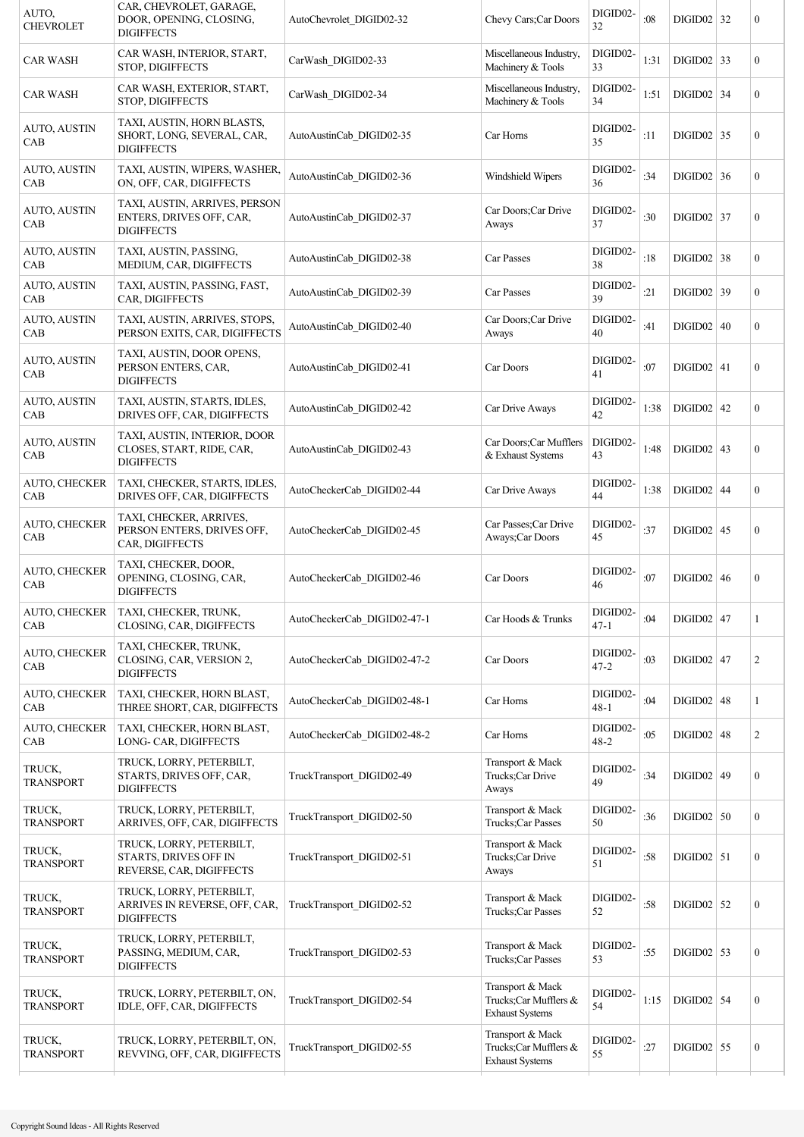| AUTO,<br><b>CHEVROLET</b>   | CAR, CHEVROLET, GARAGE,<br>DOOR, OPENING, CLOSING,<br><b>DIGIFFECTS</b>        | AutoChevrolet DIGID02-32    | Chevy Cars; Car Doors                                               | DIGID02-<br>32       | :08    | $DIGID02$ 32   | 0                |
|-----------------------------|--------------------------------------------------------------------------------|-----------------------------|---------------------------------------------------------------------|----------------------|--------|----------------|------------------|
| <b>CAR WASH</b>             | CAR WASH, INTERIOR, START,<br>STOP, DIGIFFECTS                                 | CarWash_DIGID02-33          | Miscellaneous Industry,<br>Machinery & Tools                        | DIGID02-<br>33       | 1:31   | $DIGID02$ 33   | $\overline{0}$   |
| <b>CAR WASH</b>             | CAR WASH, EXTERIOR, START,<br>STOP, DIGIFFECTS                                 | CarWash_DIGID02-34          | Miscellaneous Industry,<br>Machinery & Tools                        | DIGID02-<br>34       | 1:51   | $DIGID02$ 34   | $\overline{0}$   |
| AUTO, AUSTIN<br>CAB         | TAXI, AUSTIN, HORN BLASTS,<br>SHORT, LONG, SEVERAL, CAR,<br><b>DIGIFFECTS</b>  | AutoAustinCab DIGID02-35    | Car Horns                                                           | DIGID02-<br>35       | :11    | $DIGID02$ 35   | $\overline{0}$   |
| <b>AUTO, AUSTIN</b><br>CAB  | TAXI, AUSTIN, WIPERS, WASHER,<br>ON, OFF, CAR, DIGIFFECTS                      | AutoAustinCab_DIGID02-36    | Windshield Wipers                                                   | DIGID02-<br>36       | :34    | $DIGID02$ 36   | $\boldsymbol{0}$ |
| AUTO, AUSTIN<br>CAB         | TAXI, AUSTIN, ARRIVES, PERSON<br>ENTERS, DRIVES OFF, CAR,<br><b>DIGIFFECTS</b> | AutoAustinCab DIGID02-37    | Car Doors;Car Drive<br>Aways                                        | DIGID02-<br>37       | :30    | $DIGID02$ 37   | $\boldsymbol{0}$ |
| <b>AUTO, AUSTIN</b><br>CAB  | TAXI, AUSTIN, PASSING,<br>MEDIUM, CAR, DIGIFFECTS                              | AutoAustinCab DIGID02-38    | Car Passes                                                          | DIGID02-<br>38       | :18    | $DIGID02$ 38   | $\boldsymbol{0}$ |
| AUTO, AUSTIN<br>CAB         | TAXI, AUSTIN, PASSING, FAST,<br>CAR, DIGIFFECTS                                | AutoAustinCab DIGID02-39    | Car Passes                                                          | DIGID02-<br>39       | :21    | $DIGID02$ 39   | $\overline{0}$   |
| AUTO, AUSTIN<br>CAB         | TAXI, AUSTIN, ARRIVES, STOPS,<br>PERSON EXITS, CAR, DIGIFFECTS                 | AutoAustinCab DIGID02-40    | Car Doors;Car Drive<br>Aways                                        | DIGID02-<br>40       | :41    | DIGID02   40   | $\boldsymbol{0}$ |
| <b>AUTO, AUSTIN</b><br>CAB  | TAXI, AUSTIN, DOOR OPENS,<br>PERSON ENTERS, CAR,<br><b>DIGIFFECTS</b>          | AutoAustinCab DIGID02-41    | Car Doors                                                           | DIGID02-<br>41       | :07    | $DIGID02$ 41   | $\boldsymbol{0}$ |
| <b>AUTO, AUSTIN</b><br>CAB  | TAXI, AUSTIN, STARTS, IDLES,<br>DRIVES OFF, CAR, DIGIFFECTS                    | AutoAustinCab DIGID02-42    | Car Drive Aways                                                     | DIGID02-<br>42       | 1:38   | $DIGID02$   42 | $\boldsymbol{0}$ |
| AUTO, AUSTIN<br>CAB         | TAXI, AUSTIN, INTERIOR, DOOR<br>CLOSES, START, RIDE, CAR,<br><b>DIGIFFECTS</b> | AutoAustinCab DIGID02-43    | Car Doors;Car Mufflers<br>& Exhaust Systems                         | DIGID02-<br>43       | 1:48   | $DIGID02$   43 | $\overline{0}$   |
| <b>AUTO, CHECKER</b><br>CAB | TAXI, CHECKER, STARTS, IDLES,<br>DRIVES OFF, CAR, DIGIFFECTS                   | AutoCheckerCab_DIGID02-44   | Car Drive Aways                                                     | DIGID02-<br>44       | 1:38   | $DIGID02$ 44   | $\overline{0}$   |
| AUTO, CHECKER<br>CAB        | TAXI, CHECKER, ARRIVES,<br>PERSON ENTERS, DRIVES OFF,<br>CAR, DIGIFFECTS       | AutoCheckerCab_DIGID02-45   | Car Passes; Car Drive<br>Aways; Car Doors                           | DIGID02-<br>45       | :37    | $DIGID02$ 45   | $\overline{0}$   |
| AUTO, CHECKER<br>CAB        | TAXI, CHECKER, DOOR,<br>OPENING, CLOSING, CAR,<br><b>DIGIFFECTS</b>            | AutoCheckerCab DIGID02-46   | Car Doors                                                           | DIGID02-<br>46       | :07    | DIGID02   46   | $\boldsymbol{0}$ |
| AUTO, CHECKER<br>CAB        | TAXI, CHECKER, TRUNK,<br>CLOSING, CAR, DIGIFFECTS                              | AutoCheckerCab_DIGID02-47-1 | Car Hoods & Trunks                                                  | DIGID02-<br>$47 - 1$ | :04    | $DIGID02$ 47   |                  |
| AUTO, CHECKER<br>CAB        | TAXI, CHECKER, TRUNK,<br>CLOSING, CAR, VERSION 2,<br><b>DIGIFFECTS</b>         | AutoCheckerCab DIGID02-47-2 | Car Doors                                                           | DIGID02-<br>$47 - 2$ | :03    | $DIGID02$ 47   | $\overline{c}$   |
| <b>AUTO, CHECKER</b><br>CAB | TAXI, CHECKER, HORN BLAST,<br>THREE SHORT, CAR, DIGIFFECTS                     | AutoCheckerCab_DIGID02-48-1 | Car Horns                                                           | DIGID02-<br>$48 - 1$ | :04    | $DIGID02$ 48   | 1                |
| AUTO, CHECKER<br>CAB        | TAXI, CHECKER, HORN BLAST,<br>LONG- CAR, DIGIFFECTS                            | AutoCheckerCab_DIGID02-48-2 | Car Horns                                                           | DIGID02-<br>$48 - 2$ | :05    | $DIGID02$ 48   | $\overline{c}$   |
| TRUCK,<br><b>TRANSPORT</b>  | TRUCK, LORRY, PETERBILT,<br>STARTS, DRIVES OFF, CAR,<br><b>DIGIFFECTS</b>      | TruckTransport DIGID02-49   | Transport & Mack<br>Trucks;Car Drive<br>Aways                       | DIGID02-<br>49       | :34    | $DIGID02$ 49   | $\boldsymbol{0}$ |
| TRUCK,<br><b>TRANSPORT</b>  | TRUCK, LORRY, PETERBILT,<br>ARRIVES, OFF, CAR, DIGIFFECTS                      | TruckTransport DIGID02-50   | Transport & Mack<br>Trucks;Car Passes                               | DIGID02-<br>50       | : $36$ | $DIGID02$ 50   | $\boldsymbol{0}$ |
| TRUCK,<br><b>TRANSPORT</b>  | TRUCK, LORRY, PETERBILT,<br>STARTS, DRIVES OFF IN<br>REVERSE, CAR, DIGIFFECTS  | TruckTransport DIGID02-51   | Transport & Mack<br>Trucks;Car Drive<br>Aways                       | DIGID02-<br>51       | :58    | $DIGID02$ 51   | $\boldsymbol{0}$ |
| TRUCK,<br><b>TRANSPORT</b>  | TRUCK, LORRY, PETERBILT,<br>ARRIVES IN REVERSE, OFF, CAR,<br><b>DIGIFFECTS</b> | TruckTransport_DIGID02-52   | Transport & Mack<br>Trucks;Car Passes                               | DIGID02-<br>52       | $:58$  | $DIGID02$ 52   | $\boldsymbol{0}$ |
| TRUCK,<br><b>TRANSPORT</b>  | TRUCK, LORRY, PETERBILT,<br>PASSING, MEDIUM, CAR,<br><b>DIGIFFECTS</b>         | TruckTransport DIGID02-53   | Transport & Mack<br>Trucks;Car Passes                               | DIGID02-<br>53       | :55    | $DIGID02$ 53   | $\boldsymbol{0}$ |
| TRUCK,<br><b>TRANSPORT</b>  | TRUCK, LORRY, PETERBILT, ON,<br>IDLE, OFF, CAR, DIGIFFECTS                     | TruckTransport DIGID02-54   | Transport & Mack<br>Trucks;Car Mufflers &<br><b>Exhaust Systems</b> | DIGID02-<br>54       | 1:15   | $DIGID02$ 54   | $\boldsymbol{0}$ |
| TRUCK,<br><b>TRANSPORT</b>  | TRUCK, LORRY, PETERBILT, ON,<br>REVVING, OFF, CAR, DIGIFFECTS                  | TruckTransport_DIGID02-55   | Transport & Mack<br>Trucks;Car Mufflers &<br><b>Exhaust Systems</b> | DIGID02-<br>55       | :27    | $DIGID02$ 55   | $\boldsymbol{0}$ |
|                             |                                                                                |                             |                                                                     |                      |        |                |                  |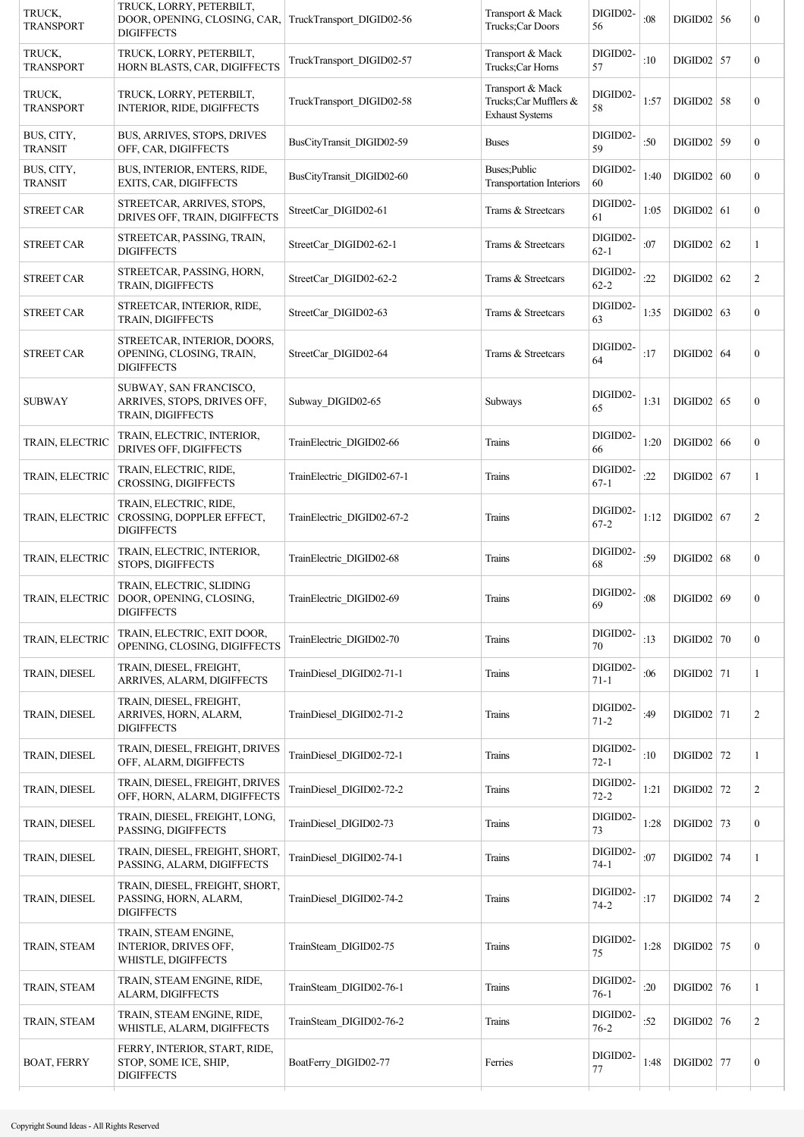| TRUCK,<br><b>TRANSPORT</b>   | TRUCK, LORRY, PETERBILT,<br>DOOR, OPENING, CLOSING, CAR,<br><b>DIGIFFECTS</b> | TruckTransport DIGID02-56  | Transport & Mack<br>Trucks:Car Doors                                | DIGID02-<br>56       | :08  | $DIGID02$ 56 | $\boldsymbol{0}$ |
|------------------------------|-------------------------------------------------------------------------------|----------------------------|---------------------------------------------------------------------|----------------------|------|--------------|------------------|
| TRUCK,<br><b>TRANSPORT</b>   | TRUCK, LORRY, PETERBILT,<br>HORN BLASTS, CAR, DIGIFFECTS                      | TruckTransport DIGID02-57  | Transport & Mack<br>Trucks;Car Horns                                | DIGID02-<br>57       | :10  | $DIGID02$ 57 | $\overline{0}$   |
| TRUCK,<br><b>TRANSPORT</b>   | TRUCK, LORRY, PETERBILT,<br>INTERIOR, RIDE, DIGIFFECTS                        | TruckTransport DIGID02-58  | Transport & Mack<br>Trucks:Car Mufflers &<br><b>Exhaust Systems</b> | DIGID02-<br>58       | 1:57 | $DIGID02$ 58 | $\boldsymbol{0}$ |
| BUS, CITY,<br><b>TRANSIT</b> | BUS, ARRIVES, STOPS, DRIVES<br>OFF, CAR, DIGIFFECTS                           | BusCityTransit DIGID02-59  | Buses                                                               | DIGID02-<br>59       | :50  | $DIGID02$ 59 | $\overline{0}$   |
| BUS, CITY,<br><b>TRANSIT</b> | BUS, INTERIOR, ENTERS, RIDE,<br>EXITS, CAR, DIGIFFECTS                        | BusCityTransit DIGID02-60  | Buses;Public<br>Transportation Interiors                            | DIGID02-<br>60       | 1:40 | DIGID02   60 | $\boldsymbol{0}$ |
| <b>STREET CAR</b>            | STREETCAR, ARRIVES, STOPS,<br>DRIVES OFF, TRAIN, DIGIFFECTS                   | StreetCar DIGID02-61       | Trams & Streetcars                                                  | DIGID02-<br>61       | 1:05 | $DIGID02$ 61 | $\mathbf{0}$     |
| <b>STREET CAR</b>            | STREETCAR, PASSING, TRAIN,<br><b>DIGIFFECTS</b>                               | StreetCar DIGID02-62-1     | Trams & Streetcars                                                  | DIGID02-<br>$62 - 1$ | :07  | $DIGID02$ 62 | 1                |
| <b>STREET CAR</b>            | STREETCAR, PASSING, HORN,<br>TRAIN, DIGIFFECTS                                | StreetCar DIGID02-62-2     | Trams & Streetcars                                                  | DIGID02-<br>$62 - 2$ | :22  | $DIGID02$ 62 | $\overline{2}$   |
| <b>STREET CAR</b>            | STREETCAR, INTERIOR, RIDE,<br>TRAIN, DIGIFFECTS                               | StreetCar DIGID02-63       | Trams & Streetcars                                                  | DIGID02-<br>63       | 1:35 | DIGID02   63 | $\boldsymbol{0}$ |
| <b>STREET CAR</b>            | STREETCAR, INTERIOR, DOORS,<br>OPENING, CLOSING, TRAIN,<br><b>DIGIFFECTS</b>  | StreetCar_DIGID02-64       | Trams & Streetcars                                                  | DIGID02-<br>64       | :17  | DIGID02   64 | $\boldsymbol{0}$ |
| <b>SUBWAY</b>                | SUBWAY, SAN FRANCISCO,<br>ARRIVES, STOPS, DRIVES OFF,<br>TRAIN, DIGIFFECTS    | Subway DIGID02-65          | Subways                                                             | DIGID02-<br>65       | 1:31 | DIGID02   65 | $\mathbf{0}$     |
| TRAIN, ELECTRIC              | TRAIN, ELECTRIC, INTERIOR,<br>DRIVES OFF, DIGIFFECTS                          | TrainElectric DIGID02-66   | Trains                                                              | DIGID02-<br>66       | 1:20 | DIGID02   66 | $\mathbf{0}$     |
| TRAIN, ELECTRIC              | TRAIN, ELECTRIC, RIDE,<br>CROSSING, DIGIFFECTS                                | TrainElectric DIGID02-67-1 | Trains                                                              | DIGID02-<br>$67-1$   | :22  | $DIGID02$ 67 | 1                |
| TRAIN, ELECTRIC              | TRAIN, ELECTRIC, RIDE,<br>CROSSING, DOPPLER EFFECT,<br><b>DIGIFFECTS</b>      | TrainElectric DIGID02-67-2 | Trains                                                              | DIGID02-<br>$67 - 2$ | 1:12 | DIGID02   67 | $\overline{c}$   |
| TRAIN, ELECTRIC              | TRAIN, ELECTRIC, INTERIOR,<br>STOPS, DIGIFFECTS                               | TrainElectric DIGID02-68   | Trains                                                              | DIGID02-<br>68       | :59  | DIGID02   68 | $\boldsymbol{0}$ |
| TRAIN, ELECTRIC              | TRAIN, ELECTRIC, SLIDING<br>DOOR, OPENING, CLOSING,<br><b>DIGIFFECTS</b>      | TrainElectric DIGID02-69   | Trains                                                              | DIGID02-<br>69       | :08  | DIGID02   69 | $\boldsymbol{0}$ |
| TRAIN, ELECTRIC              | TRAIN, ELECTRIC, EXIT DOOR,<br>OPENING, CLOSING, DIGIFFECTS                   | TrainElectric DIGID02-70   | Trains                                                              | DIGID02-<br>70       | :13  | $DIGID02$ 70 | $\overline{0}$   |
| TRAIN, DIESEL                | TRAIN, DIESEL, FREIGHT,<br>ARRIVES, ALARM, DIGIFFECTS                         | TrainDiesel DIGID02-71-1   | Trains                                                              | DIGID02-<br>$71 - 1$ | :06  | $DIGID02$ 71 | $\mathbf{1}$     |
| TRAIN, DIESEL                | TRAIN, DIESEL, FREIGHT,<br>ARRIVES, HORN, ALARM,<br><b>DIGIFFECTS</b>         | TrainDiesel DIGID02-71-2   | Trains                                                              | DIGID02-<br>$71 - 2$ | :49  | $DIGID02$ 71 | $\overline{c}$   |
| TRAIN, DIESEL                | TRAIN, DIESEL, FREIGHT, DRIVES<br>OFF, ALARM, DIGIFFECTS                      | TrainDiesel DIGID02-72-1   | Trains                                                              | DIGID02-<br>$72 - 1$ | :10  | $DIGID02$ 72 | 1                |
| TRAIN, DIESEL                | TRAIN, DIESEL, FREIGHT, DRIVES<br>OFF, HORN, ALARM, DIGIFFECTS                | TrainDiesel DIGID02-72-2   | Trains                                                              | DIGID02-<br>$72 - 2$ | 1:21 | $DIGID02$ 72 | $\overline{c}$   |
| TRAIN, DIESEL                | TRAIN, DIESEL, FREIGHT, LONG,<br>PASSING, DIGIFFECTS                          | TrainDiesel_DIGID02-73     | Trains                                                              | DIGID02-<br>73       | 1:28 | $DIGID02$ 73 | $\boldsymbol{0}$ |
| TRAIN, DIESEL                | TRAIN, DIESEL, FREIGHT, SHORT,<br>PASSING, ALARM, DIGIFFECTS                  | TrainDiesel DIGID02-74-1   | Trains                                                              | DIGID02-<br>$74-1$   | :07  | $DIGID02$ 74 | 1                |
| TRAIN, DIESEL                | TRAIN, DIESEL, FREIGHT, SHORT,<br>PASSING, HORN, ALARM,<br><b>DIGIFFECTS</b>  | TrainDiesel DIGID02-74-2   | Trains                                                              | DIGID02-<br>$74 - 2$ | :17  | DIGID02   74 | $\overline{c}$   |
| TRAIN, STEAM                 | TRAIN, STEAM ENGINE,<br><b>INTERIOR, DRIVES OFF,</b><br>WHISTLE, DIGIFFECTS   | TrainSteam DIGID02-75      | Trains                                                              | DIGID02-<br>75       | 1:28 | $DIGID02$ 75 | $\boldsymbol{0}$ |
| TRAIN, STEAM                 | TRAIN, STEAM ENGINE, RIDE,<br>ALARM, DIGIFFECTS                               | TrainSteam_DIGID02-76-1    | Trains                                                              | DIGID02-<br>$76-1$   | :20  | $DIGID02$ 76 | 1                |
| TRAIN, STEAM                 | TRAIN, STEAM ENGINE, RIDE,<br>WHISTLE, ALARM, DIGIFFECTS                      | TrainSteam_DIGID02-76-2    | Trains                                                              | DIGID02-<br>$76 - 2$ | :52  | $DIGID02$ 76 | $\overline{c}$   |
| <b>BOAT, FERRY</b>           | FERRY, INTERIOR, START, RIDE,<br>STOP, SOME ICE, SHIP,<br><b>DIGIFFECTS</b>   | BoatFerry DIGID02-77       | Ferries                                                             | DIGID02-<br>77       | 1:48 | $DIGID02$ 77 | $\boldsymbol{0}$ |
|                              |                                                                               |                            |                                                                     |                      |      |              |                  |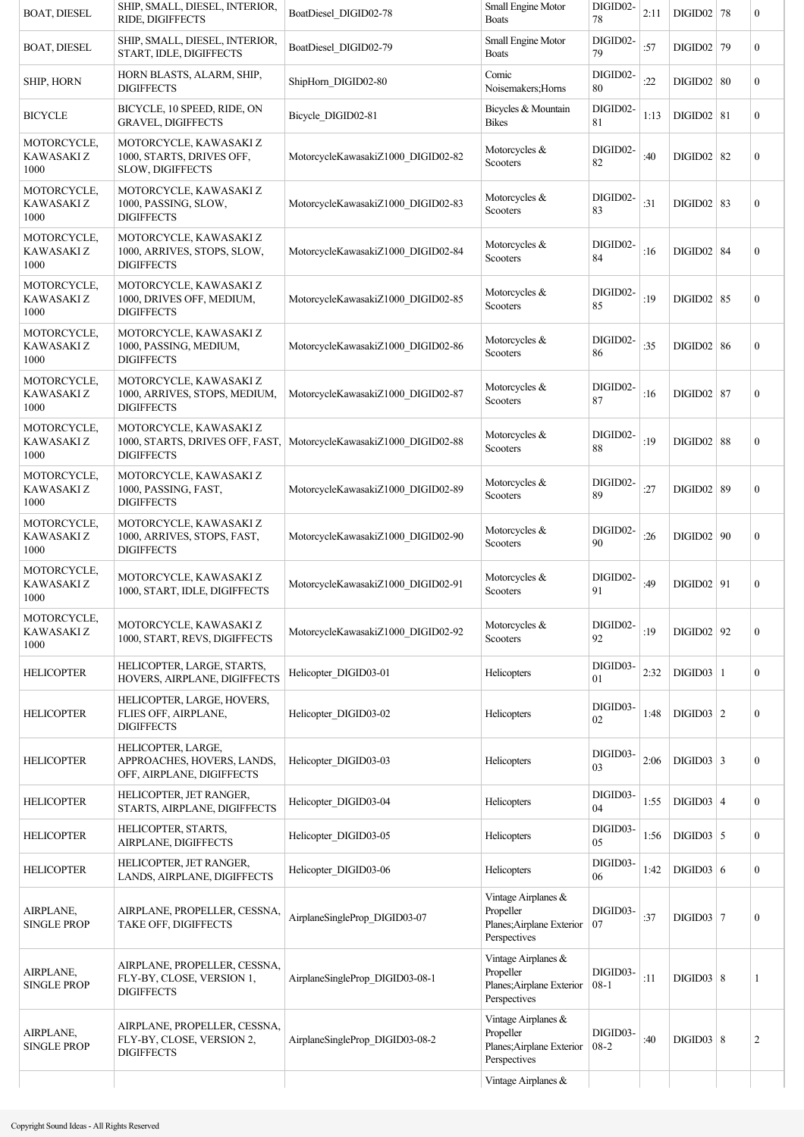| <b>BOAT, DIESEL</b>               | SHIP, SMALL, DIESEL, INTERIOR,<br>RIDE, DIGIFFECTS                             | BoatDiesel DIGID02-78                                                | Small Engine Motor<br><b>Boats</b>                                            | DIGID02-<br>78       | 2:11 | $DIGID02$ 78      | $\boldsymbol{0}$ |
|-----------------------------------|--------------------------------------------------------------------------------|----------------------------------------------------------------------|-------------------------------------------------------------------------------|----------------------|------|-------------------|------------------|
| <b>BOAT, DIESEL</b>               | SHIP, SMALL, DIESEL, INTERIOR,<br>START, IDLE, DIGIFFECTS                      | BoatDiesel_DIGID02-79                                                | Small Engine Motor<br><b>Boats</b>                                            | DIGID02-<br>79       | :57  | $DIGID02$ 79      | $\mathbf{0}$     |
| SHIP, HORN                        | HORN BLASTS, ALARM, SHIP,<br><b>DIGIFFECTS</b>                                 | ShipHorn_DIGID02-80                                                  | Comic<br>Noisemakers; Horns                                                   | DIGID02-<br>80       | :22  | DIGID02   80      | $\mathbf{0}$     |
| <b>BICYCLE</b>                    | BICYCLE, 10 SPEED, RIDE, ON<br><b>GRAVEL, DIGIFFECTS</b>                       | Bicycle_DIGID02-81                                                   | Bicycles & Mountain<br><b>Bikes</b>                                           | DIGID02-<br>81       | 1:13 | DIGID02   81      | $\mathbf{0}$     |
| MOTORCYCLE,<br>KAWASAKI Z<br>1000 | MOTORCYCLE, KAWASAKI Z<br>1000, STARTS, DRIVES OFF,<br>SLOW, DIGIFFECTS        | MotorcycleKawasakiZ1000_DIGID02-82                                   | Motorcycles &<br>Scooters                                                     | DIGID02-<br>82       | :40  | $DIGID02$ 82      | $\boldsymbol{0}$ |
| MOTORCYCLE,<br>KAWASAKI Z<br>1000 | MOTORCYCLE, KAWASAKI Z<br>1000, PASSING, SLOW,<br><b>DIGIFFECTS</b>            | MotorcycleKawasakiZ1000_DIGID02-83                                   | Motorcycles &<br>Scooters                                                     | DIGID02-<br>83       | :31  | $DIGID02$ 83      | $\bf{0}$         |
| MOTORCYCLE,<br>KAWASAKI Z<br>1000 | MOTORCYCLE, KAWASAKI Z<br>1000, ARRIVES, STOPS, SLOW,<br><b>DIGIFFECTS</b>     | MotorcycleKawasakiZ1000_DIGID02-84                                   | Motorcycles &<br>Scooters                                                     | DIGID02-<br>84       | :16  | <b>DIGID02 84</b> | $\bf{0}$         |
| MOTORCYCLE,<br>KAWASAKI Z<br>1000 | MOTORCYCLE, KAWASAKI Z<br>1000, DRIVES OFF, MEDIUM,<br><b>DIGIFFECTS</b>       | MotorcycleKawasakiZ1000_DIGID02-85                                   | Motorcycles &<br>Scooters                                                     | DIGID02-<br>85       | :19  | <b>DIGID02 85</b> | $\bf{0}$         |
| MOTORCYCLE,<br>KAWASAKI Z<br>1000 | MOTORCYCLE, KAWASAKI Z<br>1000, PASSING, MEDIUM,<br><b>DIGIFFECTS</b>          | MotorcycleKawasakiZ1000 DIGID02-86                                   | Motorcycles &<br>Scooters                                                     | DIGID02-<br>86       | :35  | DIGID02   86      | $\bf{0}$         |
| MOTORCYCLE,<br>KAWASAKI Z<br>1000 | MOTORCYCLE, KAWASAKI Z<br>1000, ARRIVES, STOPS, MEDIUM,<br><b>DIGIFFECTS</b>   | MotorcycleKawasakiZ1000_DIGID02-87                                   | Motorcycles &<br>Scooters                                                     | DIGID02-<br>87       | :16  | $DIGID02$ 87      | $\bf{0}$         |
| MOTORCYCLE,<br>KAWASAKI Z<br>1000 | MOTORCYCLE, KAWASAKI Z<br><b>DIGIFFECTS</b>                                    | 1000, STARTS, DRIVES OFF, FAST,   MotorcycleKawasakiZ1000_DIGID02-88 | Motorcycles &<br>Scooters                                                     | DIGID02-<br>88       | :19  | $DIGID02$ 88      | $\bf{0}$         |
| MOTORCYCLE,<br>KAWASAKI Z<br>1000 | MOTORCYCLE, KAWASAKI Z<br>1000, PASSING, FAST,<br><b>DIGIFFECTS</b>            | MotorcycleKawasakiZ1000_DIGID02-89                                   | Motorcycles &<br>Scooters                                                     | DIGID02-<br>89       | :27  | DIGID02   89      | $\bf{0}$         |
| MOTORCYCLE,<br>KAWASAKI Z<br>1000 | MOTORCYCLE, KAWASAKI Z<br>1000, ARRIVES, STOPS, FAST,<br><b>DIGIFFECTS</b>     | MotorcycleKawasakiZ1000 DIGID02-90                                   | Motorcycles &<br>Scooters                                                     | DIGID02-<br>90       | :26  | DIGID02   90      | $\mathbf{0}$     |
| MOTORCYCLE,<br>KAWASAKI Z<br>1000 | MOTORCYCLE, KAWASAKI Z<br>1000, START, IDLE, DIGIFFECTS                        | MotorcycleKawasakiZ1000 DIGID02-91                                   | Motorcycles &<br>Scooters                                                     | DIGID02-<br>91       | :49  | $DIGID02$   91    | $\boldsymbol{0}$ |
| MOTORCYCLE,<br>KAWASAKI Z<br>1000 | MOTORCYCLE, KAWASAKI Z<br>1000, START, REVS, DIGIFFECTS                        | MotorcycleKawasakiZ1000 DIGID02-92                                   | Motorcycles &<br>Scooters                                                     | DIGID02-<br>92       | :19  | $DIGID02$   92    | $\bf{0}$         |
| <b>HELICOPTER</b>                 | HELICOPTER, LARGE, STARTS,<br>HOVERS, AIRPLANE, DIGIFFECTS                     | Helicopter DIGID03-01                                                | Helicopters                                                                   | DIGID03-<br>01       | 2:32 | $DIGID03$   1     | $\bf{0}$         |
| <b>HELICOPTER</b>                 | HELICOPTER, LARGE, HOVERS,<br>FLIES OFF, AIRPLANE,<br><b>DIGIFFECTS</b>        | Helicopter DIGID03-02                                                | Helicopters                                                                   | DIGID03-<br>02       | 1:48 | DIGID03   2       | $\boldsymbol{0}$ |
| <b>HELICOPTER</b>                 | HELICOPTER, LARGE,<br>APPROACHES, HOVERS, LANDS,<br>OFF, AIRPLANE, DIGIFFECTS  | Helicopter DIGID03-03                                                | Helicopters                                                                   | DIGID03-<br>03       | 2:06 | $DIGID03$ 3       | $\bf{0}$         |
| <b>HELICOPTER</b>                 | HELICOPTER, JET RANGER,<br>STARTS, AIRPLANE, DIGIFFECTS                        | Helicopter DIGID03-04                                                | Helicopters                                                                   | DIGID03-<br>04       | 1:55 | DIGID03   4       | $\mathbf{0}$     |
| <b>HELICOPTER</b>                 | HELICOPTER, STARTS,<br>AIRPLANE, DIGIFFECTS                                    | Helicopter DIGID03-05                                                | Helicopters                                                                   | DIGID03-<br>05       | 1:56 | $DIGID03$ 5       | $\overline{0}$   |
| <b>HELICOPTER</b>                 | HELICOPTER, JET RANGER,<br>LANDS, AIRPLANE, DIGIFFECTS                         | Helicopter DIGID03-06                                                | Helicopters                                                                   | DIGID03-<br>06       | 1:42 | DIGID03   6       | $\mathbf{0}$     |
| AIRPLANE,<br><b>SINGLE PROP</b>   | AIRPLANE, PROPELLER, CESSNA,<br>TAKE OFF, DIGIFFECTS                           | AirplaneSingleProp DIGID03-07                                        | Vintage Airplanes &<br>Propeller<br>Planes; Airplane Exterior<br>Perspectives | DIGID03-<br>07       | :37  | $DIGID03$ 7       | $\boldsymbol{0}$ |
| AIRPLANE,<br><b>SINGLE PROP</b>   | AIRPLANE, PROPELLER, CESSNA,<br>FLY-BY, CLOSE, VERSION 1,<br><b>DIGIFFECTS</b> | AirplaneSingleProp DIGID03-08-1                                      | Vintage Airplanes &<br>Propeller<br>Planes; Airplane Exterior<br>Perspectives | DIGID03-<br>$08 - 1$ | :11  | DIGID03   8       | 1                |
| AIRPLANE,<br><b>SINGLE PROP</b>   | AIRPLANE, PROPELLER, CESSNA,<br>FLY-BY, CLOSE, VERSION 2,<br><b>DIGIFFECTS</b> | AirplaneSingleProp DIGID03-08-2                                      | Vintage Airplanes &<br>Propeller<br>Planes; Airplane Exterior<br>Perspectives | DIGID03-<br>$08-2$   | :40  | DIGID03   8       | $\overline{c}$   |
|                                   |                                                                                |                                                                      | Vintage Airplanes &                                                           |                      |      |                   |                  |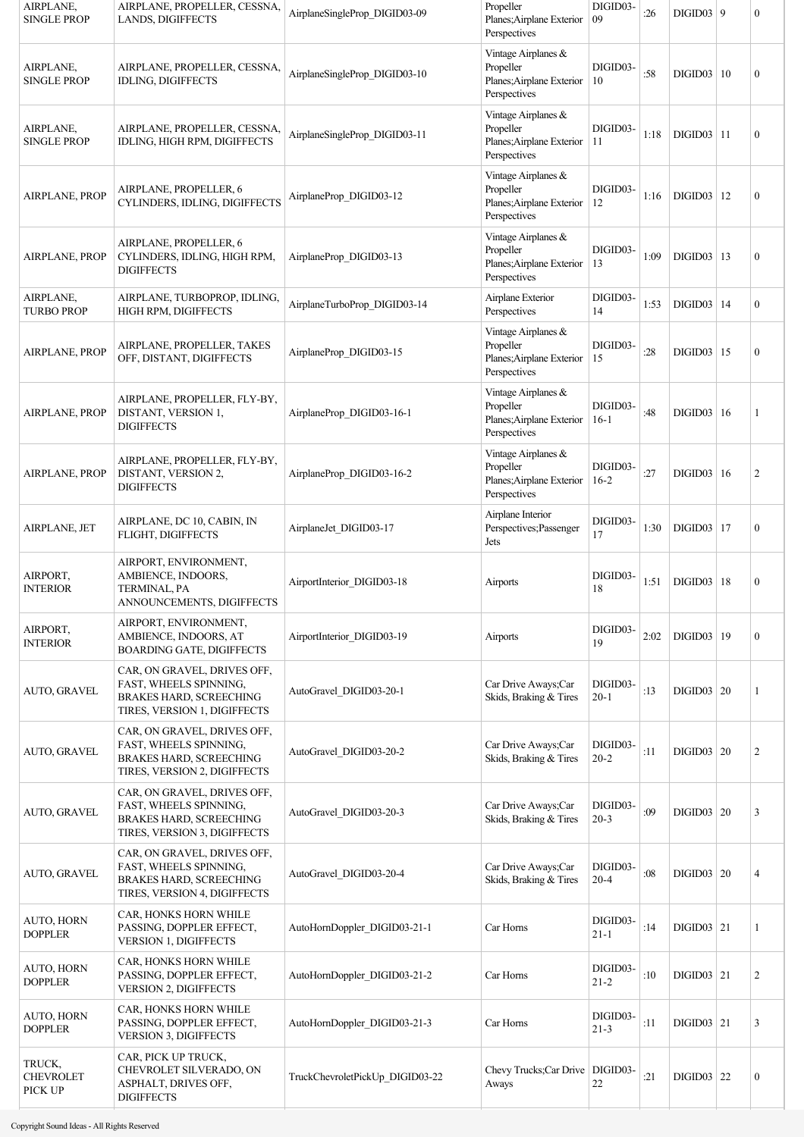| AIRPLANE,<br><b>SINGLE PROP</b>       | AIRPLANE, PROPELLER, CESSNA,<br>LANDS, DIGIFFECTS                                                                       | AirplaneSingleProp_DIGID03-09   | Propeller<br>Planes; Airplane Exterior<br>Perspectives                        | DIGID03-<br>09       | :26  | $DIGID03$ 9    |    | $\mathbf{0}$     |
|---------------------------------------|-------------------------------------------------------------------------------------------------------------------------|---------------------------------|-------------------------------------------------------------------------------|----------------------|------|----------------|----|------------------|
| AIRPLANE,<br><b>SINGLE PROP</b>       | AIRPLANE, PROPELLER, CESSNA,<br><b>IDLING, DIGIFFECTS</b>                                                               | AirplaneSingleProp DIGID03-10   | Vintage Airplanes &<br>Propeller<br>Planes; Airplane Exterior<br>Perspectives | DIGID03-<br>10       | :58  | DIGID03   10   |    | $\boldsymbol{0}$ |
| AIRPLANE,<br><b>SINGLE PROP</b>       | AIRPLANE, PROPELLER, CESSNA,<br>IDLING, HIGH RPM, DIGIFFECTS                                                            | AirplaneSingleProp DIGID03-11   | Vintage Airplanes &<br>Propeller<br>Planes; Airplane Exterior<br>Perspectives | DIGID03-<br>11       | 1:18 | $DIGID03$   11 |    | $\mathbf{0}$     |
| <b>AIRPLANE, PROP</b>                 | AIRPLANE, PROPELLER, 6<br>CYLINDERS, IDLING, DIGIFFECTS                                                                 | AirplaneProp DIGID03-12         | Vintage Airplanes &<br>Propeller<br>Planes; Airplane Exterior<br>Perspectives | DIGID03-<br>12       | 1:16 | DIGID03        | 12 | $\boldsymbol{0}$ |
| <b>AIRPLANE, PROP</b>                 | AIRPLANE, PROPELLER, 6<br>CYLINDERS, IDLING, HIGH RPM,<br><b>DIGIFFECTS</b>                                             | AirplaneProp DIGID03-13         | Vintage Airplanes &<br>Propeller<br>Planes; Airplane Exterior<br>Perspectives | DIGID03-<br>13       | 1:09 | DIGID03   13   |    | $\boldsymbol{0}$ |
| AIRPLANE,<br><b>TURBO PROP</b>        | AIRPLANE, TURBOPROP, IDLING,<br>HIGH RPM, DIGIFFECTS                                                                    | AirplaneTurboProp DIGID03-14    | Airplane Exterior<br>Perspectives                                             | DIGID03-<br>14       | 1:53 | DIGID03   14   |    | $\boldsymbol{0}$ |
| <b>AIRPLANE, PROP</b>                 | AIRPLANE, PROPELLER, TAKES<br>OFF, DISTANT, DIGIFFECTS                                                                  | AirplaneProp DIGID03-15         | Vintage Airplanes &<br>Propeller<br>Planes; Airplane Exterior<br>Perspectives | DIGID03-<br>15       | :28  | DIGID03   15   |    | $\mathbf{0}$     |
| <b>AIRPLANE, PROP</b>                 | AIRPLANE, PROPELLER, FLY-BY,<br>DISTANT, VERSION 1,<br><b>DIGIFFECTS</b>                                                | AirplaneProp DIGID03-16-1       | Vintage Airplanes &<br>Propeller<br>Planes; Airplane Exterior<br>Perspectives | DIGID03-<br>$16-1$   | :48  | DIGID03   16   |    | 1                |
| AIRPLANE, PROP                        | AIRPLANE, PROPELLER, FLY-BY,<br>DISTANT, VERSION 2,<br><b>DIGIFFECTS</b>                                                | AirplaneProp DIGID03-16-2       | Vintage Airplanes &<br>Propeller<br>Planes; Airplane Exterior<br>Perspectives | DIGID03-<br>$16-2$   | :27  | DIGID03        | 16 | 2                |
| AIRPLANE, JET                         | AIRPLANE, DC 10, CABIN, IN<br>FLIGHT, DIGIFFECTS                                                                        | AirplaneJet DIGID03-17          | Airplane Interior<br>Perspectives; Passenger<br>Jets                          | DIGID03-<br>17       | 1:30 | DIGID03        | 17 | $\mathbf{0}$     |
| AIRPORT,<br><b>INTERIOR</b>           | AIRPORT, ENVIRONMENT,<br>AMBIENCE, INDOORS,<br>TERMINAL, PA<br>ANNOUNCEMENTS, DIGIFFECTS                                | AirportInterior DIGID03-18      | Airports                                                                      | DIGID03-<br>18       | 1:51 | DIGID03   18   |    | $\boldsymbol{0}$ |
| AIRPORT,<br><b>INTERIOR</b>           | AIRPORT, ENVIRONMENT,<br>AMBIENCE, INDOORS, AT<br><b>BOARDING GATE, DIGIFFECTS</b>                                      | AirportInterior DIGID03-19      | Airports                                                                      | DIGID03-<br>19       | 2:02 | DIGID03   19   |    | $\boldsymbol{0}$ |
| AUTO, GRAVEL                          | CAR, ON GRAVEL, DRIVES OFF,<br>FAST, WHEELS SPINNING,<br><b>BRAKES HARD, SCREECHING</b><br>TIRES, VERSION 1, DIGIFFECTS | AutoGravel DIGID03-20-1         | Car Drive Aways;Car<br>Skids, Braking & Tires                                 | DIGID03-<br>$20-1$   | :13  | DIGID03   20   |    | 1                |
| AUTO, GRAVEL                          | CAR, ON GRAVEL, DRIVES OFF,<br>FAST, WHEELS SPINNING,<br>BRAKES HARD, SCREECHING<br>TIRES, VERSION 2, DIGIFFECTS        | AutoGravel DIGID03-20-2         | Car Drive Aways;Car<br>Skids, Braking & Tires                                 | DIGID03-<br>$20 - 2$ | :11  | DIGID03   20   |    | 2                |
| AUTO, GRAVEL                          | CAR, ON GRAVEL, DRIVES OFF,<br>FAST, WHEELS SPINNING,<br><b>BRAKES HARD, SCREECHING</b><br>TIRES, VERSION 3, DIGIFFECTS | AutoGravel DIGID03-20-3         | Car Drive Aways;Car<br>Skids, Braking & Tires                                 | DIGID03-<br>$20-3$   | :09  | DIGID03   20   |    | 3                |
| AUTO, GRAVEL                          | CAR, ON GRAVEL, DRIVES OFF,<br>FAST, WHEELS SPINNING,<br><b>BRAKES HARD, SCREECHING</b><br>TIRES, VERSION 4, DIGIFFECTS | AutoGravel_DIGID03-20-4         | Car Drive Aways;Car<br>Skids, Braking & Tires                                 | DIGID03-<br>$20 - 4$ | :08  | DIGID03   20   |    | $\overline{4}$   |
| AUTO, HORN<br><b>DOPPLER</b>          | CAR, HONKS HORN WHILE<br>PASSING, DOPPLER EFFECT,<br>VERSION 1, DIGIFFECTS                                              | AutoHornDoppler DIGID03-21-1    | Car Horns                                                                     | DIGID03-<br>$21 - 1$ | :14  | DIGID03   21   |    | 1                |
| AUTO, HORN<br><b>DOPPLER</b>          | CAR, HONKS HORN WHILE<br>PASSING, DOPPLER EFFECT,<br><b>VERSION 2, DIGIFFECTS</b>                                       | AutoHornDoppler DIGID03-21-2    | Car Horns                                                                     | DIGID03-<br>$21 - 2$ | :10  | DIGID03   21   |    | 2                |
| AUTO, HORN<br><b>DOPPLER</b>          | CAR, HONKS HORN WHILE<br>PASSING, DOPPLER EFFECT,<br>VERSION 3, DIGIFFECTS                                              | AutoHornDoppler DIGID03-21-3    | Car Horns                                                                     | DIGID03-<br>$21 - 3$ | :11  | $DIGID03$ 21   |    | 3                |
| TRUCK,<br><b>CHEVROLET</b><br>PICK UP | CAR, PICK UP TRUCK,<br>CHEVROLET SILVERADO, ON<br>ASPHALT, DRIVES OFF,<br><b>DIGIFFECTS</b>                             | TruckChevroletPickUp_DIGID03-22 | Chevy Trucks; Car Drive   DIGID03-<br>Aways                                   | 22                   | :21  | DIGID03   22   |    | $\boldsymbol{0}$ |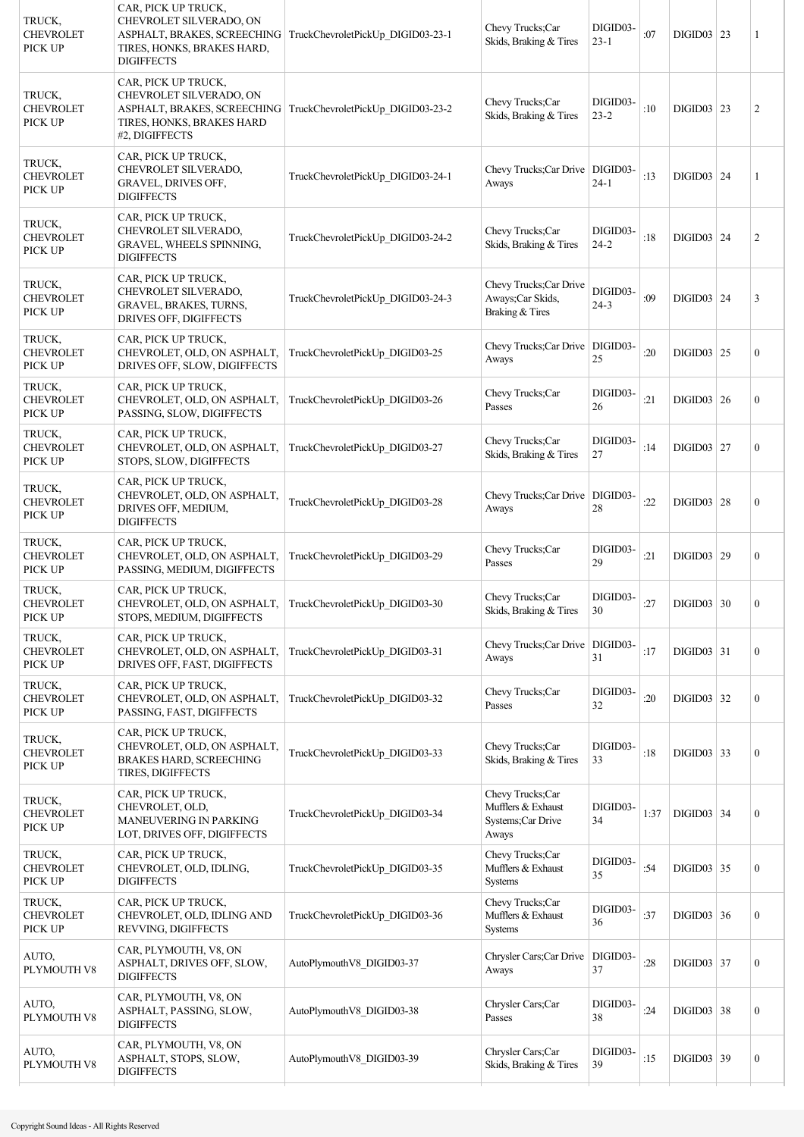| TRUCK,<br><b>CHEVROLET</b><br>PICK UP | CAR, PICK UP TRUCK,<br>CHEVROLET SILVERADO, ON<br>TIRES, HONKS, BRAKES HARD,<br><b>DIGIFFECTS</b>               | ASPHALT, BRAKES, SCREECHING   TruckChevroletPickUp_DIGID03-23-1 | Chevy Trucks;Car<br>Skids, Braking & Tires                           | DIGID03-<br>$23 - 1$ | :07  | DIGID03   23             | 1                |
|---------------------------------------|-----------------------------------------------------------------------------------------------------------------|-----------------------------------------------------------------|----------------------------------------------------------------------|----------------------|------|--------------------------|------------------|
| TRUCK,<br><b>CHEVROLET</b><br>PICK UP | CAR, PICK UP TRUCK,<br>CHEVROLET SILVERADO, ON<br>TIRES, HONKS, BRAKES HARD<br>#2, DIGIFFECTS                   | ASPHALT, BRAKES, SCREECHING   TruckChevroletPickUp DIGID03-23-2 | Chevy Trucks;Car<br>Skids, Braking & Tires                           | DIGID03-<br>$23 - 2$ | :10  | DIGID03   23             | $\overline{c}$   |
| TRUCK,<br><b>CHEVROLET</b><br>PICK UP | CAR, PICK UP TRUCK,<br>CHEVROLET SILVERADO,<br>GRAVEL, DRIVES OFF,<br><b>DIGIFFECTS</b>                         | TruckChevroletPickUp DIGID03-24-1                               | Chevy Trucks; Car Drive   DIGID03-<br>Aways                          | $24 - 1$             | :13  | <b>DIGID03</b> 24        | 1                |
| TRUCK,<br><b>CHEVROLET</b><br>PICK UP | CAR, PICK UP TRUCK,<br>CHEVROLET SILVERADO,<br>GRAVEL, WHEELS SPINNING,<br><b>DIGIFFECTS</b>                    | TruckChevroletPickUp_DIGID03-24-2                               | Chevy Trucks;Car<br>Skids, Braking & Tires                           | DIGID03-<br>$24 - 2$ | :18  | <b>DIGID03</b> 24        | $\overline{c}$   |
| TRUCK,<br><b>CHEVROLET</b><br>PICK UP | CAR, PICK UP TRUCK,<br><b>CHEVROLET SILVERADO,</b><br>GRAVEL, BRAKES, TURNS,<br>DRIVES OFF, DIGIFFECTS          | TruckChevroletPickUp_DIGID03-24-3                               | Chevy Trucks; Car Drive<br>Aways; Car Skids,<br>Braking & Tires      | DIGID03-<br>$24 - 3$ | :09  | <b>DIGID03</b> 24        | 3                |
| TRUCK,<br><b>CHEVROLET</b><br>PICK UP | CAR, PICK UP TRUCK,<br>CHEVROLET, OLD, ON ASPHALT,<br>DRIVES OFF, SLOW, DIGIFFECTS                              | TruckChevroletPickUp DIGID03-25                                 | Chevy Trucks; Car Drive   DIGID03-<br>Aways                          | 25                   | :20  | DIGID03   25             | $\boldsymbol{0}$ |
| TRUCK,<br><b>CHEVROLET</b><br>PICK UP | CAR, PICK UP TRUCK,<br>CHEVROLET, OLD, ON ASPHALT,<br>PASSING, SLOW, DIGIFFECTS                                 | TruckChevroletPickUp DIGID03-26                                 | Chevy Trucks: Car<br>Passes                                          | DIGID03-<br>26       | :21  | DIGID03   26             | $\boldsymbol{0}$ |
| TRUCK,<br><b>CHEVROLET</b><br>PICK UP | CAR, PICK UP TRUCK,<br>CHEVROLET, OLD, ON ASPHALT,<br>STOPS, SLOW, DIGIFFECTS                                   | TruckChevroletPickUp DIGID03-27                                 | Chevy Trucks;Car<br>Skids, Braking & Tires                           | DIGID03-<br>27       | :14  | DIGID03   27             | $\mathbf{0}$     |
| TRUCK,<br><b>CHEVROLET</b><br>PICK UP | CAR, PICK UP TRUCK,<br>CHEVROLET, OLD, ON ASPHALT,<br>DRIVES OFF, MEDIUM,<br><b>DIGIFFECTS</b>                  | TruckChevroletPickUp_DIGID03-28                                 | Chevy Trucks; Car Drive   DIGID03-<br>Aways                          | 28                   | :22  | DIGID03   28             | $\boldsymbol{0}$ |
| TRUCK,<br><b>CHEVROLET</b><br>PICK UP | CAR, PICK UP TRUCK,<br>CHEVROLET, OLD, ON ASPHALT,<br>PASSING, MEDIUM, DIGIFFECTS                               | TruckChevroletPickUp_DIGID03-29                                 | Chevy Trucks;Car<br>Passes                                           | DIGID03-<br>29       | :21  | $DIGID03$ 29             | $\boldsymbol{0}$ |
| TRUCK.<br><b>CHEVROLET</b><br>PICK UP | CAR, PICK UP TRUCK,<br>CHEVROLET, OLD, ON ASPHALT, TruckChevroletPickUp_DIGID03-30<br>STOPS, MEDIUM, DIGIFFECTS |                                                                 | Chevy Trucks;Car<br>Skids, Braking & Tires                           | DIGID03-<br>30       | :27  | $\text{DIGID}03 \mid 30$ | $\boldsymbol{0}$ |
| TRUCK,<br><b>CHEVROLET</b><br>PICK UP | CAR, PICK UP TRUCK,<br>CHEVROLET, OLD, ON ASPHALT,<br>DRIVES OFF, FAST, DIGIFFECTS                              | TruckChevroletPickUp DIGID03-31                                 | Chevy Trucks; Car Drive   DIGID03-<br>Aways                          | 31                   | :17  | $DIGID03$ 31             | $\boldsymbol{0}$ |
| TRUCK,<br><b>CHEVROLET</b><br>PICK UP | CAR, PICK UP TRUCK,<br>CHEVROLET, OLD, ON ASPHALT,<br>PASSING, FAST, DIGIFFECTS                                 | TruckChevroletPickUp DIGID03-32                                 | Chevy Trucks;Car<br>Passes                                           | DIGID03-<br>32       | :20  | $DIGID03$ 32             | $\boldsymbol{0}$ |
| TRUCK,<br><b>CHEVROLET</b><br>PICK UP | CAR, PICK UP TRUCK,<br>CHEVROLET, OLD, ON ASPHALT,<br><b>BRAKES HARD, SCREECHING</b><br>TIRES, DIGIFFECTS       | TruckChevroletPickUp_DIGID03-33                                 | Chevy Trucks;Car<br>Skids, Braking & Tires                           | DIGID03-<br>33       | :18  | DIGID03   33             | $\boldsymbol{0}$ |
| TRUCK,<br><b>CHEVROLET</b><br>PICK UP | CAR, PICK UP TRUCK,<br>CHEVROLET, OLD,<br>MANEUVERING IN PARKING<br>LOT, DRIVES OFF, DIGIFFECTS                 | TruckChevroletPickUp DIGID03-34                                 | Chevy Trucks;Car<br>Mufflers & Exhaust<br>Systems;Car Drive<br>Aways | DIGID03-<br>34       | 1:37 | $DIGID03$ 34             | $\boldsymbol{0}$ |
| TRUCK,<br><b>CHEVROLET</b><br>PICK UP | CAR, PICK UP TRUCK,<br>CHEVROLET, OLD, IDLING,<br><b>DIGIFFECTS</b>                                             | TruckChevroletPickUp_DIGID03-35                                 | Chevy Trucks;Car<br>Mufflers & Exhaust<br>Systems                    | DIGID03-<br>35       | :54  | $DIGID03$ 35             | $\boldsymbol{0}$ |
| TRUCK,<br><b>CHEVROLET</b><br>PICK UP | CAR, PICK UP TRUCK,<br>CHEVROLET, OLD, IDLING AND<br>REVVING, DIGIFFECTS                                        | TruckChevroletPickUp_DIGID03-36                                 | Chevy Trucks;Car<br>Mufflers & Exhaust<br>Systems                    | DIGID03-<br>36       | :37  | DIGID03   36             | $\boldsymbol{0}$ |
| AUTO,<br>PLYMOUTH V8                  | CAR, PLYMOUTH, V8, ON<br>ASPHALT, DRIVES OFF, SLOW,<br><b>DIGIFFECTS</b>                                        | AutoPlymouthV8 DIGID03-37                                       | Chrysler Cars; Car Drive<br>Aways                                    | DIGID03-<br>37       | :28  | DIGID03   37             | $\boldsymbol{0}$ |
| AUTO,<br>PLYMOUTH V8                  | CAR, PLYMOUTH, V8, ON<br>ASPHALT, PASSING, SLOW,<br><b>DIGIFFECTS</b>                                           | AutoPlymouthV8 DIGID03-38                                       | Chrysler Cars;Car<br>Passes                                          | DIGID03-<br>38       | :24  | DIGID03   38             | $\boldsymbol{0}$ |
| AUTO,<br>PLYMOUTH V8                  | CAR, PLYMOUTH, V8, ON<br>ASPHALT, STOPS, SLOW,<br><b>DIGIFFECTS</b>                                             | AutoPlymouthV8 DIGID03-39                                       | Chrysler Cars;Car<br>Skids, Braking & Tires                          | DIGID03-<br>39       | :15  | $DIGID03$ 39             | $\boldsymbol{0}$ |
|                                       |                                                                                                                 |                                                                 |                                                                      |                      |      |                          |                  |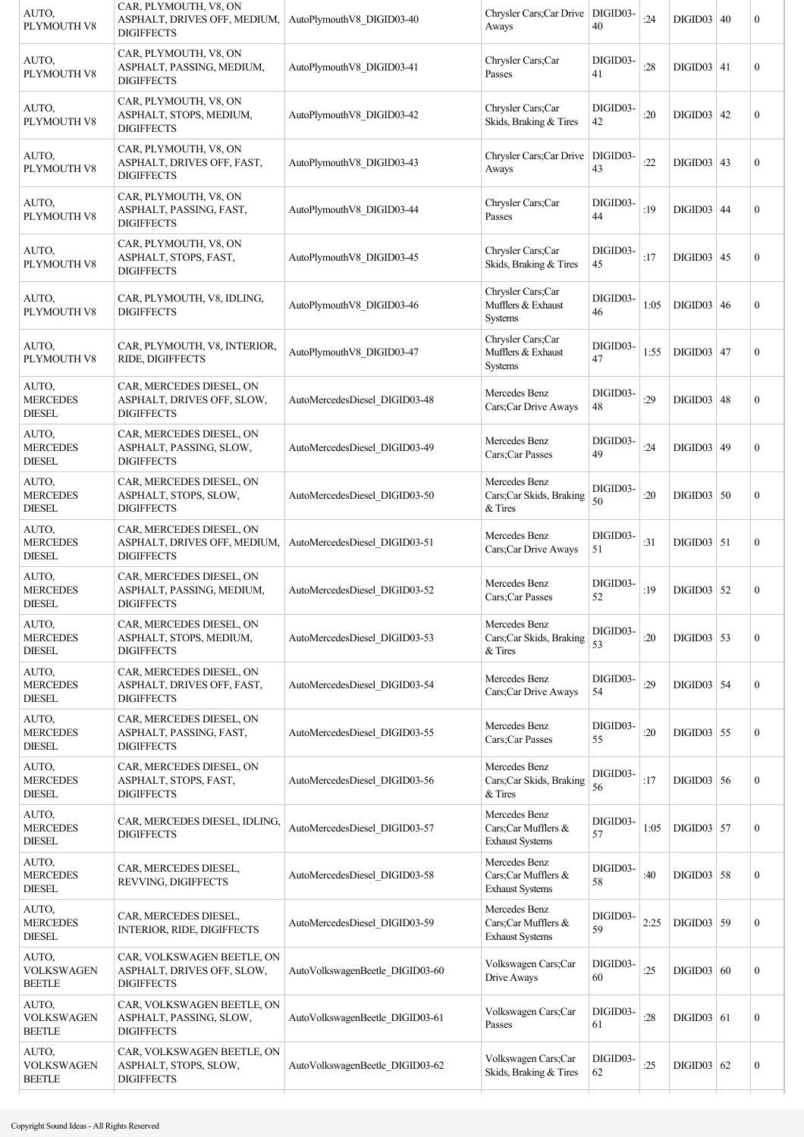| AUTO,<br>PLYMOUTH V8                        | CAR, PLYMOUTH, V8, ON<br>ASPHALT, DRIVES OFF, MEDIUM,<br><b>DIGIFFECTS</b>    | AutoPlymouthV8 DIGID03-40       | Chrysler Cars; Car Drive   DIGID03-<br>Aways                   | 40             | :24  | DIGID03   40 | $\boldsymbol{0}$ |
|---------------------------------------------|-------------------------------------------------------------------------------|---------------------------------|----------------------------------------------------------------|----------------|------|--------------|------------------|
| AUTO,<br>PLYMOUTH V8                        | CAR, PLYMOUTH, V8, ON<br>ASPHALT, PASSING, MEDIUM,<br><b>DIGIFFECTS</b>       | AutoPlymouthV8 DIGID03-41       | Chrysler Cars;Car<br>Passes                                    | DIGID03-<br>41 | :28  | DIGID03   41 | $\boldsymbol{0}$ |
| AUTO,<br>PLYMOUTH V8                        | CAR, PLYMOUTH, V8, ON<br>ASPHALT, STOPS, MEDIUM,<br><b>DIGIFFECTS</b>         | AutoPlymouthV8 DIGID03-42       | Chrysler Cars;Car<br>Skids, Braking & Tires                    | DIGID03-<br>42 | :20  | DIGID03   42 | $\boldsymbol{0}$ |
| AUTO,<br>PLYMOUTH V8                        | CAR, PLYMOUTH, V8, ON<br>ASPHALT, DRIVES OFF, FAST,<br><b>DIGIFFECTS</b>      | AutoPlymouthV8 DIGID03-43       | Chrysler Cars;Car Drive   DIGID03-<br>Aways                    | 43             | :22  | DIGID03   43 | $\boldsymbol{0}$ |
| AUTO,<br>PLYMOUTH V8                        | CAR, PLYMOUTH, V8, ON<br>ASPHALT, PASSING, FAST,<br><b>DIGIFFECTS</b>         | AutoPlymouthV8 DIGID03-44       | Chrysler Cars;Car<br>Passes                                    | DIGID03-<br>44 | :19  | DIGID03   44 | $\boldsymbol{0}$ |
| AUTO,<br>PLYMOUTH V8                        | CAR, PLYMOUTH, V8, ON<br>ASPHALT, STOPS, FAST,<br><b>DIGIFFECTS</b>           | AutoPlymouthV8 DIGID03-45       | Chrysler Cars;Car<br>Skids, Braking & Tires                    | DIGID03-<br>45 | :17  | DIGID03   45 | $\boldsymbol{0}$ |
| AUTO,<br>PLYMOUTH V8                        | CAR, PLYMOUTH, V8, IDLING,<br><b>DIGIFFECTS</b>                               | AutoPlymouthV8 DIGID03-46       | Chrysler Cars;Car<br>Mufflers & Exhaust<br>Systems             | DIGID03-<br>46 | 1:05 | DIGID03   46 | $\mathbf{0}$     |
| AUTO,<br>PLYMOUTH V8                        | CAR, PLYMOUTH, V8, INTERIOR,<br>RIDE, DIGIFFECTS                              | AutoPlymouthV8 DIGID03-47       | Chrysler Cars;Car<br>Mufflers & Exhaust<br>Systems             | DIGID03-<br>47 | 1:55 | $DIGID03$ 47 | $\boldsymbol{0}$ |
| AUTO,<br><b>MERCEDES</b><br><b>DIESEL</b>   | CAR, MERCEDES DIESEL, ON<br>ASPHALT, DRIVES OFF, SLOW,<br><b>DIGIFFECTS</b>   | AutoMercedesDiesel DIGID03-48   | Mercedes Benz<br>Cars;Car Drive Aways                          | DIGID03-<br>48 | :29  | DIGID03   48 | $\boldsymbol{0}$ |
| AUTO,<br><b>MERCEDES</b><br><b>DIESEL</b>   | CAR, MERCEDES DIESEL, ON<br>ASPHALT, PASSING, SLOW,<br><b>DIGIFFECTS</b>      | AutoMercedesDiesel DIGID03-49   | Mercedes Benz<br>Cars; Car Passes                              | DIGID03-<br>49 | :24  | DIGID03   49 | $\boldsymbol{0}$ |
| AUTO,<br><b>MERCEDES</b><br><b>DIESEL</b>   | CAR, MERCEDES DIESEL, ON<br>ASPHALT, STOPS, SLOW,<br><b>DIGIFFECTS</b>        | AutoMercedesDiesel DIGID03-50   | Mercedes Benz<br>Cars;Car Skids, Braking<br>& Tires            | DIGID03-<br>50 | :20  | DIGID03   50 | $\boldsymbol{0}$ |
| AUTO,<br><b>MERCEDES</b><br><b>DIESEL</b>   | CAR, MERCEDES DIESEL, ON<br>ASPHALT, DRIVES OFF, MEDIUM,<br><b>DIGIFFECTS</b> | AutoMercedesDiesel DIGID03-51   | Mercedes Benz<br>Cars;Car Drive Aways                          | DIGID03-<br>51 | :31  | $DIGID03$ 51 | $\boldsymbol{0}$ |
| AUTO,<br><b>MERCEDES</b><br><b>DIESEL</b>   | CAR, MERCEDES DIESEL, ON<br>ASPHALT, PASSING, MEDIUM,<br><b>DIGIFFECTS</b>    | AutoMercedesDiesel DIGID03-52   | Mercedes Benz<br>Cars;Car Passes                               | DIGID03-<br>52 | :19  | $DIGID03$ 52 | $\boldsymbol{0}$ |
| AUTO,<br><b>MERCEDES</b><br><b>DIESEL</b>   | CAR, MERCEDES DIESEL, ON<br>ASPHALT, STOPS, MEDIUM,<br><b>DIGIFFECTS</b>      | AutoMercedesDiesel DIGID03-53   | Mercedes Benz<br>Cars;Car Skids, Braking<br>& Tires            | DIGID03-<br>53 | :20  | $DIGID03$ 53 | $\mathbf{0}$     |
| AUTO,<br><b>MERCEDES</b><br><b>DIESEL</b>   | CAR, MERCEDES DIESEL, ON<br>ASPHALT, DRIVES OFF, FAST,<br><b>DIGIFFECTS</b>   | AutoMercedesDiesel DIGID03-54   | Mercedes Benz<br>Cars;Car Drive Aways                          | DIGID03-<br>54 | :29  | $DIGID03$ 54 | $\boldsymbol{0}$ |
| AUTO.<br><b>MERCEDES</b><br><b>DIESEL</b>   | CAR, MERCEDES DIESEL, ON<br>ASPHALT, PASSING, FAST,<br><b>DIGIFFECTS</b>      | AutoMercedesDiesel_DIGID03-55   | Mercedes Benz<br>Cars;Car Passes                               | DIGID03-<br>55 | :20  | $DIGID03$ 55 | $\boldsymbol{0}$ |
| AUTO.<br><b>MERCEDES</b><br><b>DIESEL</b>   | CAR, MERCEDES DIESEL, ON<br>ASPHALT, STOPS, FAST,<br><b>DIGIFFECTS</b>        | AutoMercedesDiesel DIGID03-56   | Mercedes Benz<br>Cars;Car Skids, Braking<br>& Tires            | DIGID03-<br>56 | :17  | $DIGID03$ 56 | $\boldsymbol{0}$ |
| AUTO,<br><b>MERCEDES</b><br><b>DIESEL</b>   | CAR, MERCEDES DIESEL, IDLING,<br><b>DIGIFFECTS</b>                            | AutoMercedesDiesel DIGID03-57   | Mercedes Benz<br>Cars;Car Mufflers &<br><b>Exhaust Systems</b> | DIGID03-<br>57 | 1:05 | $DIGID03$ 57 | $\boldsymbol{0}$ |
| AUTO,<br><b>MERCEDES</b><br><b>DIESEL</b>   | CAR, MERCEDES DIESEL,<br>REVVING, DIGIFFECTS                                  | AutoMercedesDiesel_DIGID03-58   | Mercedes Benz<br>Cars:Car Mufflers &<br><b>Exhaust Systems</b> | DIGID03-<br>58 | :40  | $DIGID03$ 58 | $\boldsymbol{0}$ |
| AUTO,<br><b>MERCEDES</b><br><b>DIESEL</b>   | CAR, MERCEDES DIESEL,<br>INTERIOR, RIDE, DIGIFFECTS                           | AutoMercedesDiesel_DIGID03-59   | Mercedes Benz<br>Cars;Car Mufflers &<br><b>Exhaust Systems</b> | DIGID03-<br>59 | 2:25 | $DIGID03$ 59 | $\boldsymbol{0}$ |
| AUTO,<br><b>VOLKSWAGEN</b><br><b>BEETLE</b> | CAR, VOLKSWAGEN BEETLE, ON<br>ASPHALT, DRIVES OFF, SLOW,<br><b>DIGIFFECTS</b> | AutoVolkswagenBeetle_DIGID03-60 | Volkswagen Cars;Car<br>Drive Aways                             | DIGID03-<br>60 | :25  | DIGID03   60 | $\boldsymbol{0}$ |
| AUTO,<br><b>VOLKSWAGEN</b><br><b>BEETLE</b> | CAR, VOLKSWAGEN BEETLE, ON<br>ASPHALT, PASSING, SLOW,<br><b>DIGIFFECTS</b>    | AutoVolkswagenBeetle_DIGID03-61 | Volkswagen Cars;Car<br>Passes                                  | DIGID03-<br>61 | :28  | DIGID03   61 | $\boldsymbol{0}$ |
| AUTO,<br><b>VOLKSWAGEN</b><br><b>BEETLE</b> | CAR, VOLKSWAGEN BEETLE, ON<br>ASPHALT, STOPS, SLOW,<br><b>DIGIFFECTS</b>      | AutoVolkswagenBeetle_DIGID03-62 | Volkswagen Cars;Car<br>Skids, Braking & Tires                  | DIGID03-<br>62 | :25  | $DIGID03$ 62 | $\boldsymbol{0}$ |
|                                             |                                                                               |                                 |                                                                |                |      |              |                  |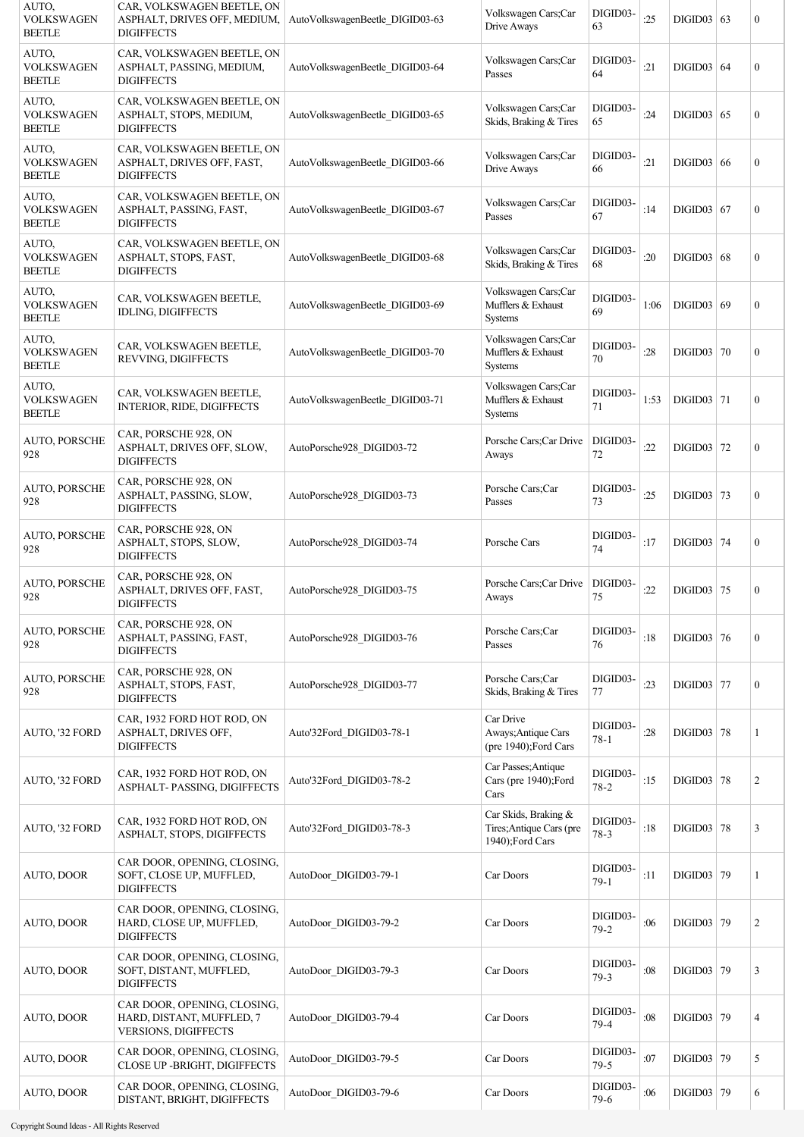| AUTO,<br><b>VOLKSWAGEN</b><br><b>BEETLE</b> | CAR, VOLKSWAGEN BEETLE, ON<br>ASPHALT, DRIVES OFF, MEDIUM,<br><b>DIGIFFECTS</b>         | AutoVolkswagenBeetle DIGID03-63 | Volkswagen Cars;Car<br>Drive Aways                                  | DIGID03-<br>63       | :25  | DIGID03   63      | $\boldsymbol{0}$ |
|---------------------------------------------|-----------------------------------------------------------------------------------------|---------------------------------|---------------------------------------------------------------------|----------------------|------|-------------------|------------------|
| AUTO,<br><b>VOLKSWAGEN</b><br><b>BEETLE</b> | CAR, VOLKSWAGEN BEETLE, ON<br>ASPHALT, PASSING, MEDIUM,<br><b>DIGIFFECTS</b>            | AutoVolkswagenBeetle DIGID03-64 | Volkswagen Cars;Car<br>Passes                                       | DIGID03-<br>64       | :21  | DIGID03   64      | $\boldsymbol{0}$ |
| AUTO,<br><b>VOLKSWAGEN</b><br><b>BEETLE</b> | CAR, VOLKSWAGEN BEETLE, ON<br>ASPHALT, STOPS, MEDIUM,<br><b>DIGIFFECTS</b>              | AutoVolkswagenBeetle DIGID03-65 | Volkswagen Cars;Car<br>Skids, Braking & Tires                       | DIGID03-<br>65       | :24  | DIGID03   65      | $\boldsymbol{0}$ |
| AUTO,<br><b>VOLKSWAGEN</b><br><b>BEETLE</b> | CAR, VOLKSWAGEN BEETLE, ON<br>ASPHALT, DRIVES OFF, FAST,<br><b>DIGIFFECTS</b>           | AutoVolkswagenBeetle DIGID03-66 | Volkswagen Cars;Car<br>Drive Aways                                  | DIGID03-<br>66       | :21  | DIGID03   66      | $\boldsymbol{0}$ |
| AUTO,<br><b>VOLKSWAGEN</b><br><b>BEETLE</b> | CAR, VOLKSWAGEN BEETLE, ON<br>ASPHALT, PASSING, FAST,<br><b>DIGIFFECTS</b>              | AutoVolkswagenBeetle DIGID03-67 | Volkswagen Cars;Car<br>Passes                                       | DIGID03-<br>67       | :14  | DIGID03   67      | $\boldsymbol{0}$ |
| AUTO,<br><b>VOLKSWAGEN</b><br><b>BEETLE</b> | CAR, VOLKSWAGEN BEETLE, ON<br>ASPHALT, STOPS, FAST,<br><b>DIGIFFECTS</b>                | AutoVolkswagenBeetle DIGID03-68 | Volkswagen Cars;Car<br>Skids, Braking & Tires                       | DIGID03-<br>68       | :20  | DIGID03   68      | $\boldsymbol{0}$ |
| AUTO,<br><b>VOLKSWAGEN</b><br><b>BEETLE</b> | CAR, VOLKSWAGEN BEETLE,<br><b>IDLING, DIGIFFECTS</b>                                    | AutoVolkswagenBeetle_DIGID03-69 | Volkswagen Cars;Car<br>Mufflers & Exhaust<br>Systems                | DIGID03-<br>69       | 1:06 | DIGID03   69      | $\mathbf{0}$     |
| AUTO,<br><b>VOLKSWAGEN</b><br><b>BEETLE</b> | CAR, VOLKSWAGEN BEETLE,<br>REVVING, DIGIFFECTS                                          | AutoVolkswagenBeetle DIGID03-70 | Volkswagen Cars;Car<br>Mufflers & Exhaust<br>Systems                | DIGID03-<br>70       | :28  | <b>DIGID03 70</b> | $\boldsymbol{0}$ |
| AUTO,<br><b>VOLKSWAGEN</b><br><b>BEETLE</b> | CAR, VOLKSWAGEN BEETLE,<br>INTERIOR, RIDE, DIGIFFECTS                                   | AutoVolkswagenBeetle_DIGID03-71 | Volkswagen Cars;Car<br>Mufflers & Exhaust<br>Systems                | DIGID03-<br>71       | 1:53 | DIGID03   71      | $\boldsymbol{0}$ |
| <b>AUTO, PORSCHE</b><br>928                 | CAR, PORSCHE 928, ON<br>ASPHALT, DRIVES OFF, SLOW,<br><b>DIGIFFECTS</b>                 | AutoPorsche928 DIGID03-72       | Porsche Cars;Car Drive<br>Aways                                     | DIGID03-<br>72       | :22  | DIGID03 $ 72$     | $\boldsymbol{0}$ |
| <b>AUTO, PORSCHE</b><br>928                 | CAR, PORSCHE 928, ON<br>ASPHALT, PASSING, SLOW,<br><b>DIGIFFECTS</b>                    | AutoPorsche928 DIGID03-73       | Porsche Cars;Car<br>Passes                                          | DIGID03-<br>73       | :25  | DIGID03   73      | $\boldsymbol{0}$ |
| <b>AUTO, PORSCHE</b><br>928                 | CAR, PORSCHE 928, ON<br>ASPHALT, STOPS, SLOW,<br><b>DIGIFFECTS</b>                      | AutoPorsche928 DIGID03-74       | Porsche Cars                                                        | DIGID03-<br>74       | :17  | DIGID03 74        | $\boldsymbol{0}$ |
| <b>AUTO, PORSCHE</b><br>928                 | CAR, PORSCHE 928, ON<br>ASPHALT, DRIVES OFF, FAST,<br><b>DIGIFFECTS</b>                 | AutoPorsche928 DIGID03-75       | Porsche Cars; Car Drive<br>Aways                                    | DIGID03-<br>75       | :22  | DIGID03 75        | $\boldsymbol{0}$ |
| AUTO, PORSCHE<br>928                        | CAR, PORSCHE 928, ON<br>ASPHALT, PASSING, FAST,<br><b>DIGIFFECTS</b>                    | AutoPorsche928 DIGID03-76       | Porsche Cars:Car<br>Passes                                          | DIGID03-<br>76       | :18  | $DIGID03$ 76      | $\mathbf{0}$     |
| AUTO, PORSCHE<br>928                        | CAR, PORSCHE 928, ON<br>ASPHALT, STOPS, FAST,<br><b>DIGIFFECTS</b>                      | AutoPorsche928 DIGID03-77       | Porsche Cars;Car<br>Skids, Braking & Tires                          | DIGID03-<br>77       | :23  | DIGID03 77        | $\boldsymbol{0}$ |
| AUTO, '32 FORD                              | CAR, 1932 FORD HOT ROD, ON<br>ASPHALT, DRIVES OFF,<br><b>DIGIFFECTS</b>                 | Auto'32Ford DIGID03-78-1        | Car Drive<br>Aways; Antique Cars<br>(pre 1940); Ford Cars           | DIGID03-<br>$78 - 1$ | :28  | $DIGID03$ 78      | 1                |
| AUTO, '32 FORD                              | CAR, 1932 FORD HOT ROD, ON<br>ASPHALT-PASSING, DIGIFFECTS                               | Auto'32Ford DIGID03-78-2        | Car Passes; Antique<br>Cars (pre 1940);Ford<br>Cars                 | DIGID03-<br>$78 - 2$ | :15  | $DIGID03$ 78      | $\overline{c}$   |
| AUTO, '32 FORD                              | CAR, 1932 FORD HOT ROD, ON<br>ASPHALT, STOPS, DIGIFFECTS                                | Auto'32Ford DIGID03-78-3        | Car Skids, Braking &<br>Tires; Antique Cars (pre<br>1940);Ford Cars | DIGID03-<br>$78-3$   | :18  | <b>DIGID03 78</b> | 3                |
| AUTO, DOOR                                  | CAR DOOR, OPENING, CLOSING,<br>SOFT, CLOSE UP, MUFFLED,<br><b>DIGIFFECTS</b>            | AutoDoor DIGID03-79-1           | Car Doors                                                           | DIGID03-<br>$79-1$   | :11  | DIGID03 79        | 1                |
| AUTO, DOOR                                  | CAR DOOR, OPENING, CLOSING,<br>HARD, CLOSE UP, MUFFLED,<br><b>DIGIFFECTS</b>            | AutoDoor DIGID03-79-2           | Car Doors                                                           | DIGID03-<br>$79-2$   | :06  | DIGID03 79        | $\overline{c}$   |
| AUTO, DOOR                                  | CAR DOOR, OPENING, CLOSING,<br>SOFT, DISTANT, MUFFLED,<br><b>DIGIFFECTS</b>             | AutoDoor DIGID03-79-3           | Car Doors                                                           | DIGID03-<br>$79-3$   | :08  | $DIGID03$ 79      | 3                |
| AUTO, DOOR                                  | CAR DOOR, OPENING, CLOSING,<br>HARD, DISTANT, MUFFLED, 7<br><b>VERSIONS, DIGIFFECTS</b> | AutoDoor_DIGID03-79-4           | Car Doors                                                           | DIGID03-<br>$79-4$   | :08  | $DIGID03$ 79      | $\overline{4}$   |
| AUTO, DOOR                                  | CAR DOOR, OPENING, CLOSING,<br>CLOSE UP - BRIGHT, DIGIFFECTS                            | AutoDoor_DIGID03-79-5           | Car Doors                                                           | DIGID03-<br>$79 - 5$ | :07  | $DIGID03$ 79      | 5                |
| <b>AUTO, DOOR</b>                           | CAR DOOR, OPENING, CLOSING,<br>DISTANT, BRIGHT, DIGIFFECTS                              | AutoDoor_DIGID03-79-6           | Car Doors                                                           | DIGID03-<br>79-6     | :06  | $DIGID03$ 79      | 6                |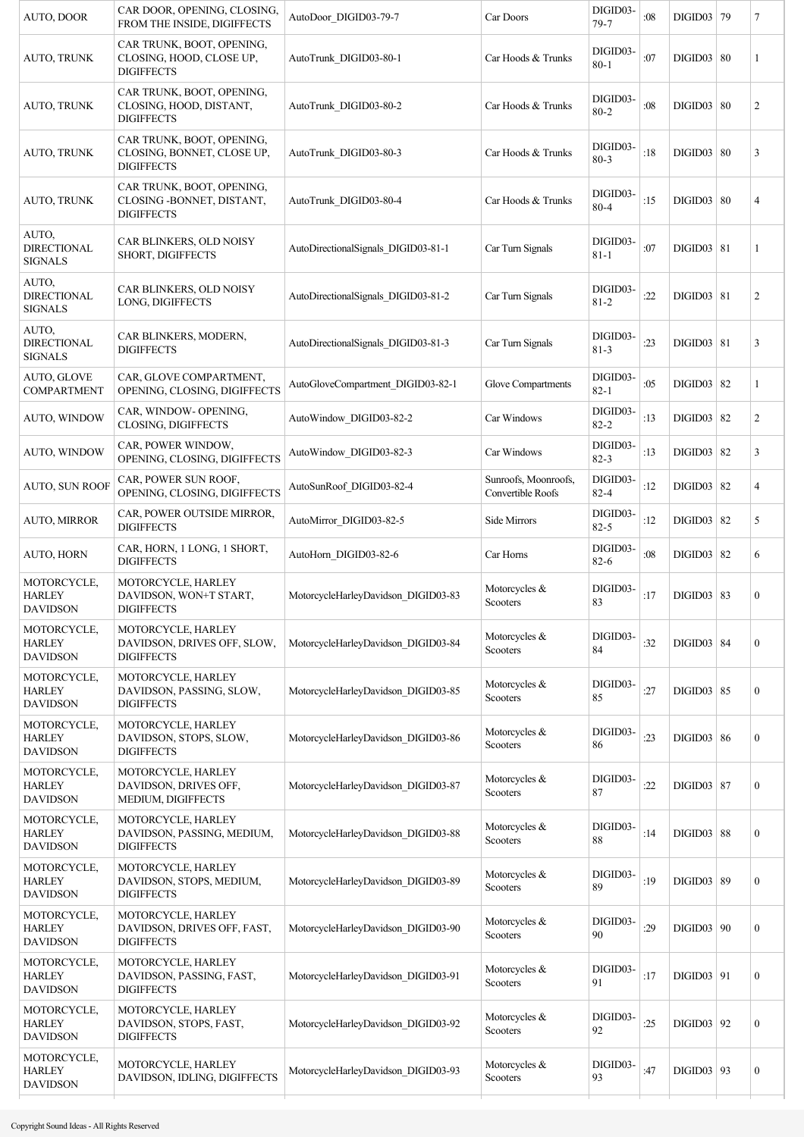| AUTO, DOOR                                      | CAR DOOR, OPENING, CLOSING,<br>FROM THE INSIDE, DIGIFFECTS                   | AutoDoor DIGID03-79-7               | Car Doors                                 | DIGID03-<br>$79 - 7$ | :08 | DIGID03 79        | 7                |
|-------------------------------------------------|------------------------------------------------------------------------------|-------------------------------------|-------------------------------------------|----------------------|-----|-------------------|------------------|
| AUTO, TRUNK                                     | CAR TRUNK, BOOT, OPENING,<br>CLOSING, HOOD, CLOSE UP,<br><b>DIGIFFECTS</b>   | AutoTrunk DIGID03-80-1              | Car Hoods & Trunks                        | DIGID03-<br>$80 - 1$ | :07 | DIGID03   80      | 1                |
| AUTO, TRUNK                                     | CAR TRUNK, BOOT, OPENING,<br>CLOSING, HOOD, DISTANT,<br><b>DIGIFFECTS</b>    | AutoTrunk DIGID03-80-2              | Car Hoods & Trunks                        | DIGID03-<br>$80 - 2$ | :08 | DIGID03   80      | 2                |
| AUTO, TRUNK                                     | CAR TRUNK, BOOT, OPENING,<br>CLOSING, BONNET, CLOSE UP,<br><b>DIGIFFECTS</b> | AutoTrunk DIGID03-80-3              | Car Hoods & Trunks                        | DIGID03-<br>$80 - 3$ | :18 | DIGID03   80      | 3                |
| AUTO, TRUNK                                     | CAR TRUNK, BOOT, OPENING,<br>CLOSING - BONNET, DISTANT,<br><b>DIGIFFECTS</b> | AutoTrunk DIGID03-80-4              | Car Hoods & Trunks                        | DIGID03-<br>$80 - 4$ | :15 | DIGID03   80      | 4                |
| AUTO,<br><b>DIRECTIONAL</b><br><b>SIGNALS</b>   | CAR BLINKERS, OLD NOISY<br>SHORT, DIGIFFECTS                                 | AutoDirectionalSignals_DIGID03-81-1 | Car Turn Signals                          | DIGID03-<br>$81 - 1$ | :07 | DIGID03   81      | 1                |
| AUTO,<br><b>DIRECTIONAL</b><br><b>SIGNALS</b>   | CAR BLINKERS, OLD NOISY<br>LONG, DIGIFFECTS                                  | AutoDirectionalSignals DIGID03-81-2 | Car Turn Signals                          | DIGID03-<br>$81 - 2$ | :22 | DIGID03   81      | 2                |
| AUTO.<br><b>DIRECTIONAL</b><br><b>SIGNALS</b>   | CAR BLINKERS, MODERN,<br><b>DIGIFFECTS</b>                                   | AutoDirectionalSignals_DIGID03-81-3 | Car Turn Signals                          | DIGID03-<br>$81 - 3$ | :23 | $DIGID03$ 81      | 3                |
| AUTO, GLOVE<br>COMPARTMENT                      | CAR, GLOVE COMPARTMENT,<br>OPENING, CLOSING, DIGIFFECTS                      | AutoGloveCompartment_DIGID03-82-1   | Glove Compartments                        | DIGID03-<br>$82 - 1$ | :05 | $DIGID03$ 82      | 1                |
| AUTO, WINDOW                                    | CAR, WINDOW- OPENING,<br>CLOSING, DIGIFFECTS                                 | AutoWindow DIGID03-82-2             | Car Windows                               | DIGID03-<br>$82 - 2$ | :13 | $DIGID03$ 82      | $\overline{2}$   |
| AUTO, WINDOW                                    | CAR, POWER WINDOW,<br>OPENING, CLOSING, DIGIFFECTS                           | AutoWindow DIGID03-82-3             | Car Windows                               | DIGID03-<br>$82 - 3$ | :13 | DIGID03   82      | 3                |
| <b>AUTO, SUN ROOF</b>                           | CAR, POWER SUN ROOF,<br>OPENING, CLOSING, DIGIFFECTS                         | AutoSunRoof DIGID03-82-4            | Sunroofs, Moonroofs,<br>Convertible Roofs | DIGID03-<br>$82 - 4$ | :12 | DIGID03   82      | 4                |
| <b>AUTO, MIRROR</b>                             | CAR, POWER OUTSIDE MIRROR,<br><b>DIGIFFECTS</b>                              | AutoMirror DIGID03-82-5             | Side Mirrors                              | DIGID03-<br>$82 - 5$ | :12 | DIGID03   82      | 5                |
| <b>AUTO, HORN</b>                               | CAR, HORN, 1 LONG, 1 SHORT,<br><b>DIGIFFECTS</b>                             | AutoHorn DIGID03-82-6               | Car Horns                                 | DIGID03-<br>$82 - 6$ | :08 | $DIGID03$ 82      | 6                |
| MOTORCYCLE,<br><b>HARLEY</b><br><b>DAVIDSON</b> | MOTORCYCLE, HARLEY<br>DAVIDSON, WON+T START,<br><b>DIGIFFECTS</b>            | MotorcycleHarleyDavidson DIGID03-83 | Motorcycles &<br>Scooters                 | DIGID03-<br>83       | :17 | DIGID03   83      | $\boldsymbol{0}$ |
| MOTORCYCLE,<br><b>HARLEY</b><br><b>DAVIDSON</b> | MOTORCYCLE, HARLEY<br>DAVIDSON, DRIVES OFF, SLOW,<br><b>DIGIFFECTS</b>       | MotorcycleHarleyDavidson DIGID03-84 | Motorcycles &<br>Scooters                 | DIGID03-<br>84       | :32 | <b>DIGID03</b> 84 | $\boldsymbol{0}$ |
| MOTORCYCLE,<br><b>HARLEY</b><br><b>DAVIDSON</b> | MOTORCYCLE, HARLEY<br>DAVIDSON, PASSING, SLOW,<br><b>DIGIFFECTS</b>          | MotorcycleHarleyDavidson_DIGID03-85 | Motorcycles &<br>Scooters                 | DIGID03-<br>85       | :27 | DIGID03   85      | $\boldsymbol{0}$ |
| MOTORCYCLE,<br><b>HARLEY</b><br><b>DAVIDSON</b> | MOTORCYCLE, HARLEY<br>DAVIDSON, STOPS, SLOW,<br><b>DIGIFFECTS</b>            | MotorcycleHarleyDavidson DIGID03-86 | Motorcycles &<br>Scooters                 | DIGID03-<br>86       | :23 | DIGID03   86      | $\boldsymbol{0}$ |
| MOTORCYCLE,<br><b>HARLEY</b><br><b>DAVIDSON</b> | MOTORCYCLE, HARLEY<br>DAVIDSON, DRIVES OFF,<br>MEDIUM, DIGIFFECTS            | MotorcycleHarleyDavidson DIGID03-87 | Motorcycles &<br>Scooters                 | DIGID03-<br>87       | :22 | <b>DIGID03 87</b> | $\boldsymbol{0}$ |
| MOTORCYCLE,<br><b>HARLEY</b><br><b>DAVIDSON</b> | MOTORCYCLE, HARLEY<br>DAVIDSON, PASSING, MEDIUM,<br><b>DIGIFFECTS</b>        | MotorcycleHarleyDavidson DIGID03-88 | Motorcycles &<br>Scooters                 | DIGID03-<br>88       | :14 | DIGID03   88      | $\boldsymbol{0}$ |
| MOTORCYCLE,<br><b>HARLEY</b><br><b>DAVIDSON</b> | MOTORCYCLE, HARLEY<br>DAVIDSON, STOPS, MEDIUM,<br><b>DIGIFFECTS</b>          | MotorcycleHarleyDavidson DIGID03-89 | Motorcycles &<br>Scooters                 | DIGID03-<br>89       | :19 | DIGID03   89      | $\boldsymbol{0}$ |
| MOTORCYCLE,<br><b>HARLEY</b><br><b>DAVIDSON</b> | MOTORCYCLE, HARLEY<br>DAVIDSON, DRIVES OFF, FAST,<br><b>DIGIFFECTS</b>       | MotorcycleHarleyDavidson DIGID03-90 | Motorcycles &<br>Scooters                 | DIGID03-<br>90       | :29 | DIGID03   90      | $\boldsymbol{0}$ |
| MOTORCYCLE,<br><b>HARLEY</b><br><b>DAVIDSON</b> | MOTORCYCLE, HARLEY<br>DAVIDSON, PASSING, FAST,<br><b>DIGIFFECTS</b>          | MotorcycleHarleyDavidson DIGID03-91 | Motorcycles &<br>Scooters                 | DIGID03-<br>91       | :17 | $DIGID03$ 91      | $\boldsymbol{0}$ |
| MOTORCYCLE,<br><b>HARLEY</b><br><b>DAVIDSON</b> | MOTORCYCLE, HARLEY<br>DAVIDSON, STOPS, FAST,<br><b>DIGIFFECTS</b>            | MotorcycleHarleyDavidson DIGID03-92 | Motorcycles &<br>Scooters                 | DIGID03-<br>92       | :25 | DIGID03   92      | $\boldsymbol{0}$ |
| MOTORCYCLE,<br><b>HARLEY</b><br><b>DAVIDSON</b> | MOTORCYCLE, HARLEY<br>DAVIDSON, IDLING, DIGIFFECTS                           | MotorcycleHarleyDavidson DIGID03-93 | Motorcycles &<br>Scooters                 | DIGID03-<br>93       | :47 | $DIGID03$ 93      | $\boldsymbol{0}$ |
|                                                 |                                                                              |                                     |                                           |                      |     |                   |                  |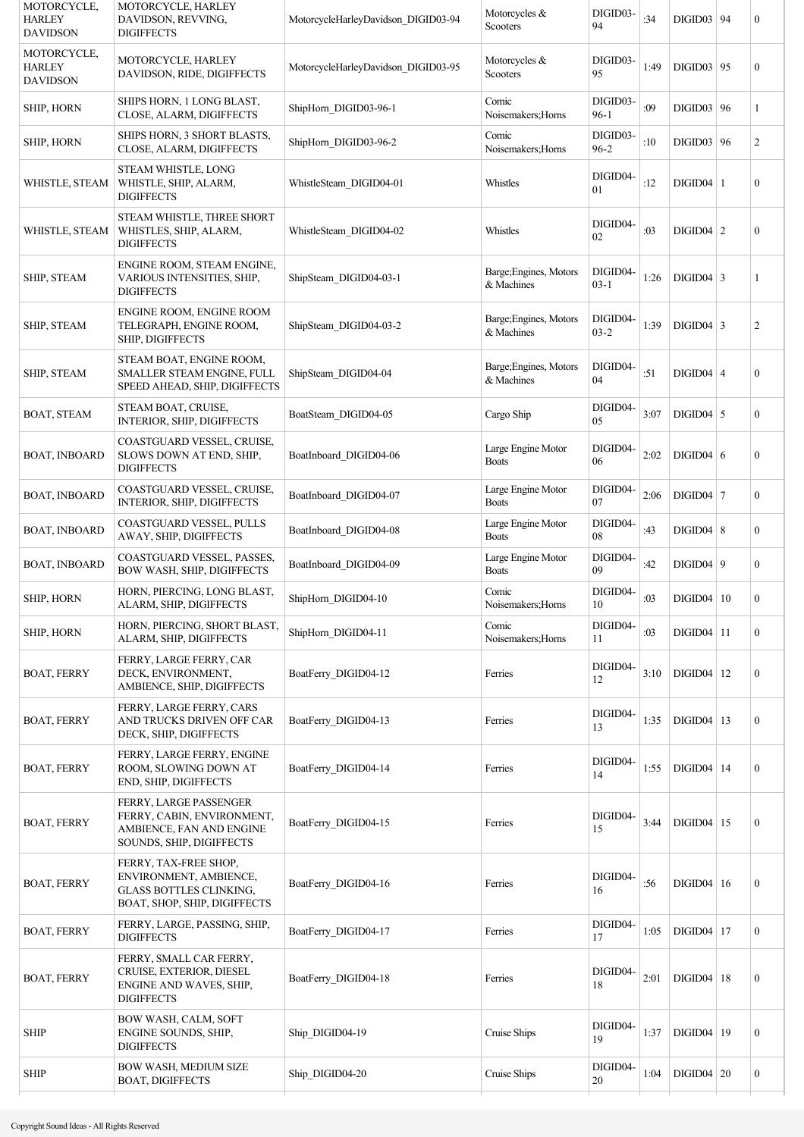| MOTORCYCLE,<br><b>HARLEY</b><br><b>DAVIDSON</b> | MOTORCYCLE, HARLEY<br>DAVIDSON, REVVING,<br><b>DIGIFFECTS</b>                                                     | MotorcycleHarleyDavidson DIGID03-94 | Motorcycles &<br>Scooters            | DIGID03-<br>94       | :34  | DIGID03   94      | $\boldsymbol{0}$ |
|-------------------------------------------------|-------------------------------------------------------------------------------------------------------------------|-------------------------------------|--------------------------------------|----------------------|------|-------------------|------------------|
| MOTORCYCLE,<br><b>HARLEY</b><br><b>DAVIDSON</b> | MOTORCYCLE, HARLEY<br>DAVIDSON, RIDE, DIGIFFECTS                                                                  | MotorcycleHarleyDavidson DIGID03-95 | Motorcycles &<br>Scooters            | DIGID03-<br>95       | 1:49 | DIGID03   95      | $\boldsymbol{0}$ |
| SHIP, HORN                                      | SHIPS HORN, 1 LONG BLAST,<br>CLOSE, ALARM, DIGIFFECTS                                                             | ShipHorn DIGID03-96-1               | Comic<br>Noisemakers; Horns          | DIGID03-<br>$96-1$   | :09  | DIGID03   96      | 1                |
| <b>SHIP, HORN</b>                               | SHIPS HORN, 3 SHORT BLASTS,<br>CLOSE, ALARM, DIGIFFECTS                                                           | ShipHorn DIGID03-96-2               | Comic<br>Noisemakers; Horns          | DIGID03-<br>$96 - 2$ | :10  | DIGID03   96      | $\overline{c}$   |
| WHISTLE, STEAM                                  | STEAM WHISTLE, LONG<br>WHISTLE, SHIP, ALARM,<br><b>DIGIFFECTS</b>                                                 | WhistleSteam DIGID04-01             | Whistles                             | DIGID04-<br>01       | :12  | $DIGID04$   1     | $\boldsymbol{0}$ |
| WHISTLE, STEAM                                  | STEAM WHISTLE, THREE SHORT<br>WHISTLES, SHIP, ALARM,<br><b>DIGIFFECTS</b>                                         | WhistleSteam DIGID04-02             | Whistles                             | DIGID04-<br>02       | :03  | $DIGID04$   2     | $\boldsymbol{0}$ |
| SHIP, STEAM                                     | ENGINE ROOM, STEAM ENGINE,<br>VARIOUS INTENSITIES, SHIP,<br><b>DIGIFFECTS</b>                                     | ShipSteam DIGID04-03-1              | Barge; Engines, Motors<br>& Machines | DIGID04-<br>$03-1$   | 1:26 | $DIGID04$ 3       | 1                |
| SHIP, STEAM                                     | ENGINE ROOM, ENGINE ROOM<br>TELEGRAPH, ENGINE ROOM,<br>SHIP, DIGIFFECTS                                           | ShipSteam DIGID04-03-2              | Barge; Engines, Motors<br>& Machines | DIGID04-<br>$03 - 2$ | 1:39 | $DIGID04$ 3       | $\overline{c}$   |
| SHIP, STEAM                                     | STEAM BOAT, ENGINE ROOM,<br>SMALLER STEAM ENGINE, FULL<br>SPEED AHEAD, SHIP, DIGIFFECTS                           | ShipSteam DIGID04-04                | Barge; Engines, Motors<br>& Machines | DIGID04-<br>04       | :51  | $DIGID04$ 4       | $\boldsymbol{0}$ |
| <b>BOAT, STEAM</b>                              | STEAM BOAT, CRUISE,<br>INTERIOR, SHIP, DIGIFFECTS                                                                 | BoatSteam DIGID04-05                | Cargo Ship                           | DIGID04-<br>05       | 3:07 | $DIGID04$ 5       | $\overline{0}$   |
| <b>BOAT, INBOARD</b>                            | COASTGUARD VESSEL, CRUISE,<br>SLOWS DOWN AT END, SHIP,<br><b>DIGIFFECTS</b>                                       | BoatInboard_DIGID04-06              | Large Engine Motor<br><b>Boats</b>   | DIGID04-<br>06       | 2:02 | $DIGID04$ 6       | $\boldsymbol{0}$ |
| <b>BOAT, INBOARD</b>                            | COASTGUARD VESSEL, CRUISE,<br>INTERIOR, SHIP, DIGIFFECTS                                                          | BoatInboard DIGID04-07              | Large Engine Motor<br><b>Boats</b>   | DIGID04-<br>07       | 2:06 | $DIGID04$ 7       | $\overline{0}$   |
| <b>BOAT, INBOARD</b>                            | COASTGUARD VESSEL, PULLS<br>AWAY, SHIP, DIGIFFECTS                                                                | BoatInboard DIGID04-08              | Large Engine Motor<br><b>Boats</b>   | DIGID04-<br>08       | :43  | $DIGID04$ 8       | $\mathbf{0}$     |
| <b>BOAT, INBOARD</b>                            | COASTGUARD VESSEL, PASSES,<br>BOW WASH, SHIP, DIGIFFECTS                                                          | BoatInboard DIGID04-09              | Large Engine Motor<br><b>Boats</b>   | DIGID04-<br>09       | :42  | DIGID04   9       | $\overline{0}$   |
| <b>SHIP, HORN</b>                               | HORN, PIERCING, LONG BLAST,<br>ALARM, SHIP, DIGIFFECTS                                                            | ShipHorn DIGID04-10                 | Comic<br>Noisemakers; Horns          | DIGID04-<br>10       | :03  | DIGID04   10      | $\boldsymbol{0}$ |
| <b>SHIP, HORN</b>                               | HORN, PIERCING, SHORT BLAST,<br>ALARM, SHIP, DIGIFFECTS                                                           | ShipHorn DIGID04-11                 | Comic<br>Noisemakers; Horns          | DIGID04-<br>11       | :03  | $DIGID04$   11    | $\mathbf{0}$     |
| <b>BOAT, FERRY</b>                              | FERRY, LARGE FERRY, CAR<br>DECK, ENVIRONMENT,<br>AMBIENCE, SHIP, DIGIFFECTS                                       | BoatFerry DIGID04-12                | Ferries                              | DIGID04-<br>12       | 3:10 | $DIGID04$   12    | $\mathbf{0}$     |
| <b>BOAT, FERRY</b>                              | FERRY, LARGE FERRY, CARS<br>AND TRUCKS DRIVEN OFF CAR<br>DECK, SHIP, DIGIFFECTS                                   | BoatFerry DIGID04-13                | Ferries                              | DIGID04-<br>13       | 1:35 | $DIGID04$ 13      | $\boldsymbol{0}$ |
| <b>BOAT, FERRY</b>                              | FERRY, LARGE FERRY, ENGINE<br>ROOM, SLOWING DOWN AT<br>END, SHIP, DIGIFFECTS                                      | BoatFerry DIGID04-14                | Ferries                              | DIGID04-<br>14       | 1:55 | $DIGID04$   14    | $\boldsymbol{0}$ |
| <b>BOAT, FERRY</b>                              | FERRY, LARGE PASSENGER<br>FERRY, CABIN, ENVIRONMENT,<br>AMBIENCE, FAN AND ENGINE<br>SOUNDS, SHIP, DIGIFFECTS      | BoatFerry DIGID04-15                | Ferries                              | DIGID04-<br>15       | 3:44 | $DIGID04$   15    | $\boldsymbol{0}$ |
| <b>BOAT, FERRY</b>                              | FERRY, TAX-FREE SHOP,<br>ENVIRONMENT, AMBIENCE,<br><b>GLASS BOTTLES CLINKING,</b><br>BOAT, SHOP, SHIP, DIGIFFECTS | BoatFerry DIGID04-16                | Ferries                              | DIGID04-<br>16       | :56  | $DIGID04 \mid 16$ | $\boldsymbol{0}$ |
| <b>BOAT, FERRY</b>                              | FERRY, LARGE, PASSING, SHIP,<br><b>DIGIFFECTS</b>                                                                 | BoatFerry DIGID04-17                | Ferries                              | DIGID04-<br>17       | 1:05 | $DIGID04$   17    | $\boldsymbol{0}$ |
| <b>BOAT, FERRY</b>                              | FERRY, SMALL CAR FERRY,<br>CRUISE, EXTERIOR, DIESEL<br>ENGINE AND WAVES, SHIP,<br><b>DIGIFFECTS</b>               | BoatFerry DIGID04-18                | Ferries                              | DIGID04-<br>18       | 2:01 | $DIGID04$   18    | $\boldsymbol{0}$ |
| <b>SHIP</b>                                     | BOW WASH, CALM, SOFT<br>ENGINE SOUNDS, SHIP,<br><b>DIGIFFECTS</b>                                                 | Ship DIGID04-19                     | Cruise Ships                         | DIGID04-<br>19       | 1:37 | $DIGID04$   19    | $\boldsymbol{0}$ |
| <b>SHIP</b>                                     | BOW WASH, MEDIUM SIZE<br><b>BOAT, DIGIFFECTS</b>                                                                  | Ship DIGID04-20                     | Cruise Ships                         | DIGID04-<br>20       | 1:04 | $DIGID04$ 20      | $\boldsymbol{0}$ |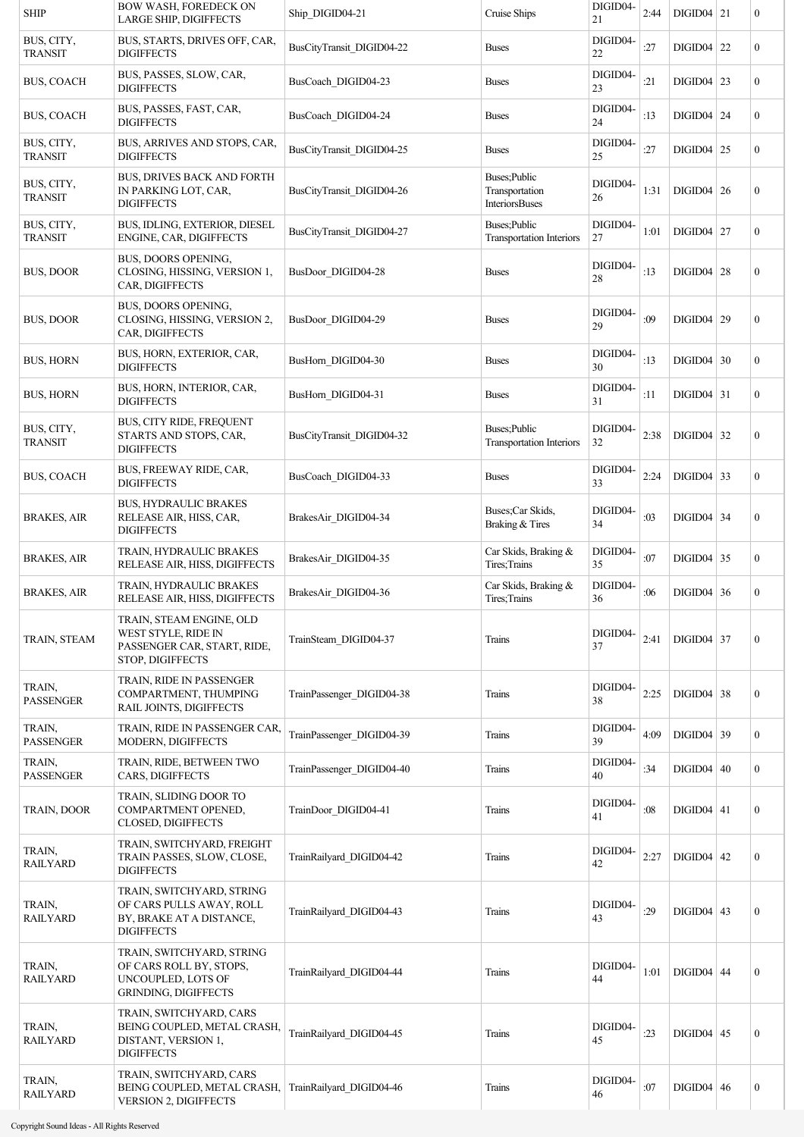| <b>SHIP</b>                  | <b>BOW WASH, FOREDECK ON</b><br><b>LARGE SHIP, DIGIFFECTS</b>                                             | Ship_DIGID04-21           | Cruise Ships                                      | DIGID04-<br>21 | 2:44 | $DIGID04$ 21      |    | $\boldsymbol{0}$ |
|------------------------------|-----------------------------------------------------------------------------------------------------------|---------------------------|---------------------------------------------------|----------------|------|-------------------|----|------------------|
| BUS, CITY,<br><b>TRANSIT</b> | BUS, STARTS, DRIVES OFF, CAR,<br><b>DIGIFFECTS</b>                                                        | BusCityTransit DIGID04-22 | <b>Buses</b>                                      | DIGID04-<br>22 | :27  | DIGID04           | 22 | $\mathbf{0}$     |
| <b>BUS, COACH</b>            | BUS, PASSES, SLOW, CAR,<br><b>DIGIFFECTS</b>                                                              | BusCoach DIGID04-23       | <b>Buses</b>                                      | DIGID04-<br>23 | :21  | $DIGID04$ 23      |    | $\boldsymbol{0}$ |
| <b>BUS, COACH</b>            | BUS, PASSES, FAST, CAR,<br><b>DIGIFFECTS</b>                                                              | BusCoach DIGID04-24       | <b>Buses</b>                                      | DIGID04-<br>24 | :13  | DIGID04           | 24 | $\boldsymbol{0}$ |
| BUS, CITY,<br>TRANSIT        | BUS, ARRIVES AND STOPS, CAR,<br><b>DIGIFFECTS</b>                                                         | BusCityTransit DIGID04-25 | <b>Buses</b>                                      | DIGID04-<br>25 | :27  | $DIGID04$ 25      |    | $\boldsymbol{0}$ |
| BUS, CITY,<br><b>TRANSIT</b> | <b>BUS, DRIVES BACK AND FORTH</b><br>IN PARKING LOT, CAR,<br><b>DIGIFFECTS</b>                            | BusCityTransit DIGID04-26 | Buses; Public<br>Transportation<br>InteriorsBuses | DIGID04-<br>26 | 1:31 | $DIGID04$ 26      |    | $\boldsymbol{0}$ |
| BUS, CITY,<br><b>TRANSIT</b> | BUS, IDLING, EXTERIOR, DIESEL<br>ENGINE, CAR, DIGIFFECTS                                                  | BusCityTransit DIGID04-27 | Buses; Public<br><b>Transportation Interiors</b>  | DIGID04-<br>27 | 1:01 | $DIGID04$   27    |    | $\boldsymbol{0}$ |
| <b>BUS, DOOR</b>             | BUS, DOORS OPENING,<br>CLOSING, HISSING, VERSION 1,<br>CAR, DIGIFFECTS                                    | BusDoor DIGID04-28        | <b>Buses</b>                                      | DIGID04-<br>28 | :13  | $DIGID04$ 28      |    | $\boldsymbol{0}$ |
| <b>BUS, DOOR</b>             | BUS, DOORS OPENING,<br>CLOSING, HISSING, VERSION 2,<br>CAR, DIGIFFECTS                                    | BusDoor DIGID04-29        | <b>Buses</b>                                      | DIGID04-<br>29 | :09  | DIGID04   29      |    | $\boldsymbol{0}$ |
| <b>BUS, HORN</b>             | BUS, HORN, EXTERIOR, CAR,<br><b>DIGIFFECTS</b>                                                            | BusHorn DIGID04-30        | <b>Buses</b>                                      | DIGID04-<br>30 | :13  | $DIGID04$ 30      |    | $\boldsymbol{0}$ |
| <b>BUS, HORN</b>             | BUS, HORN, INTERIOR, CAR,<br><b>DIGIFFECTS</b>                                                            | BusHorn DIGID04-31        | <b>Buses</b>                                      | DIGID04-<br>31 | :11  | $DIGID04$ 31      |    | $\boldsymbol{0}$ |
| BUS, CITY,<br><b>TRANSIT</b> | BUS, CITY RIDE, FREQUENT<br>STARTS AND STOPS, CAR,<br><b>DIGIFFECTS</b>                                   | BusCityTransit DIGID04-32 | Buses; Public<br><b>Transportation Interiors</b>  | DIGID04-<br>32 | 2:38 | $DIGID04$ 32      |    | $\boldsymbol{0}$ |
| <b>BUS, COACH</b>            | BUS, FREEWAY RIDE, CAR,<br><b>DIGIFFECTS</b>                                                              | BusCoach DIGID04-33       | <b>Buses</b>                                      | DIGID04-<br>33 | 2:24 | $DIGID04$ 33      |    | $\boldsymbol{0}$ |
| <b>BRAKES, AIR</b>           | <b>BUS, HYDRAULIC BRAKES</b><br>RELEASE AIR, HISS, CAR,<br><b>DIGIFFECTS</b>                              | BrakesAir DIGID04-34      | Buses; Car Skids,<br>Braking & Tires              | DIGID04-<br>34 | :03  | $DIGID04$ 34      |    | $\boldsymbol{0}$ |
| <b>BRAKES, AIR</b>           | TRAIN, HYDRAULIC BRAKES<br>RELEASE AIR, HISS, DIGIFFECTS                                                  | BrakesAir DIGID04-35      | Car Skids, Braking &<br>Tires; Trains             | DIGID04-<br>35 | :07  | $DIGID04$ 35      |    | $\boldsymbol{0}$ |
| <b>BRAKES, AIR</b>           | TRAIN, HYDRAULIC BRAKES<br>RELEASE AIR, HISS, DIGIFFECTS                                                  | BrakesAir DIGID04-36      | Car Skids, Braking &<br>Tires; Trains             | DIGID04-<br>36 | :06  | $DIGID04$ 36      |    | $\mathbf{0}$     |
| TRAIN, STEAM                 | TRAIN, STEAM ENGINE, OLD<br>WEST STYLE, RIDE IN<br>PASSENGER CAR, START, RIDE,<br>STOP, DIGIFFECTS        | TrainSteam DIGID04-37     | Trains                                            | DIGID04-<br>37 | 2:41 | $DIGID04$ 37      |    | $\boldsymbol{0}$ |
| TRAIN,<br><b>PASSENGER</b>   | TRAIN, RIDE IN PASSENGER<br>COMPARTMENT, THUMPING<br>RAIL JOINTS, DIGIFFECTS                              | TrainPassenger DIGID04-38 | Trains                                            | DIGID04-<br>38 | 2:25 | $DIGID04$ 38      |    | $\boldsymbol{0}$ |
| TRAIN,<br><b>PASSENGER</b>   | TRAIN, RIDE IN PASSENGER CAR,<br><b>MODERN, DIGIFFECTS</b>                                                | TrainPassenger DIGID04-39 | Trains                                            | DIGID04-<br>39 | 4:09 | DIGID04           | 39 | $\boldsymbol{0}$ |
| TRAIN,<br><b>PASSENGER</b>   | TRAIN, RIDE, BETWEEN TWO<br><b>CARS, DIGIFFECTS</b>                                                       | TrainPassenger DIGID04-40 | Trains                                            | DIGID04-<br>40 | :34  | $DIGID04 \mid 40$ |    | $\boldsymbol{0}$ |
| TRAIN, DOOR                  | TRAIN, SLIDING DOOR TO<br>COMPARTMENT OPENED,<br><b>CLOSED, DIGIFFECTS</b>                                | TrainDoor DIGID04-41      | Trains                                            | DIGID04-<br>41 | :08  | $DIGID04$   41    |    | $\boldsymbol{0}$ |
| TRAIN,<br><b>RAILYARD</b>    | TRAIN, SWITCHYARD, FREIGHT<br>TRAIN PASSES, SLOW, CLOSE,<br><b>DIGIFFECTS</b>                             | TrainRailyard DIGID04-42  | Trains                                            | DIGID04-<br>42 | 2:27 | DIGID04           | 42 | $\boldsymbol{0}$ |
| TRAIN,<br><b>RAILYARD</b>    | TRAIN, SWITCHYARD, STRING<br>OF CARS PULLS AWAY, ROLL<br>BY, BRAKE AT A DISTANCE,<br><b>DIGIFFECTS</b>    | TrainRailyard DIGID04-43  | Trains                                            | DIGID04-<br>43 | :29  | $DIGID04$ 43      |    | $\boldsymbol{0}$ |
| TRAIN,<br><b>RAILYARD</b>    | TRAIN, SWITCHYARD, STRING<br>OF CARS ROLL BY, STOPS,<br>UNCOUPLED, LOTS OF<br><b>GRINDING, DIGIFFECTS</b> | TrainRailyard DIGID04-44  | Trains                                            | DIGID04-<br>44 | 1:01 | $DIGID04$ 44      |    | $\boldsymbol{0}$ |
| TRAIN,<br><b>RAILYARD</b>    | TRAIN, SWITCHYARD, CARS<br>BEING COUPLED, METAL CRASH,<br>DISTANT, VERSION 1,<br><b>DIGIFFECTS</b>        | TrainRailyard DIGID04-45  | Trains                                            | DIGID04-<br>45 | :23  | $DIGID04$ 45      |    | $\boldsymbol{0}$ |
| TRAIN,<br><b>RAILYARD</b>    | TRAIN, SWITCHYARD, CARS<br>BEING COUPLED, METAL CRASH,<br>VERSION 2, DIGIFFECTS                           | TrainRailyard DIGID04-46  | Trains                                            | DIGID04-<br>46 | :07  | $DIGID04$ 46      |    | $\boldsymbol{0}$ |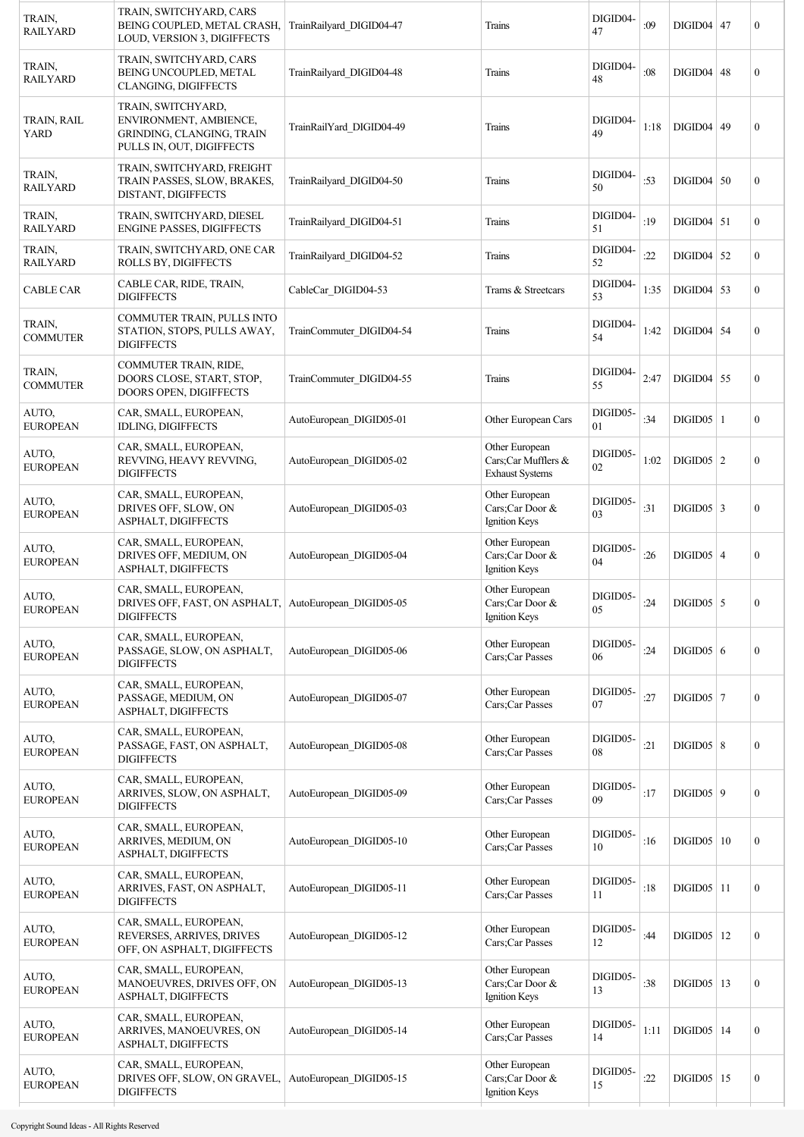| TRAIN,<br><b>RAILYARD</b>  | TRAIN, SWITCHYARD, CARS<br>BEING COUPLED, METAL CRASH,<br>LOUD, VERSION 3, DIGIFFECTS                  | TrainRailyard DIGID04-47 | Trains                                                          | DIGID04-<br>47 | :09  | $DIGID04$   47   |    | $\boldsymbol{0}$ |
|----------------------------|--------------------------------------------------------------------------------------------------------|--------------------------|-----------------------------------------------------------------|----------------|------|------------------|----|------------------|
| TRAIN,<br><b>RAILYARD</b>  | TRAIN, SWITCHYARD, CARS<br><b>BEING UNCOUPLED, METAL</b><br>CLANGING, DIGIFFECTS                       | TrainRailyard DIGID04-48 | Trains                                                          | DIGID04-<br>48 | :08  | DIGID04          | 48 | $\boldsymbol{0}$ |
| TRAIN, RAIL<br><b>YARD</b> | TRAIN, SWITCHYARD,<br>ENVIRONMENT, AMBIENCE,<br>GRINDING, CLANGING, TRAIN<br>PULLS IN, OUT, DIGIFFECTS | TrainRailYard_DIGID04-49 | Trains                                                          | DIGID04-<br>49 | 1:18 | DIGID04   49     |    | $\boldsymbol{0}$ |
| TRAIN,<br><b>RAILYARD</b>  | TRAIN, SWITCHYARD, FREIGHT<br>TRAIN PASSES, SLOW, BRAKES,<br>DISTANT, DIGIFFECTS                       | TrainRailyard DIGID04-50 | Trains                                                          | DIGID04-<br>50 | :53  | $DIGID04$ 50     |    | $\boldsymbol{0}$ |
| TRAIN,<br><b>RAILYARD</b>  | TRAIN, SWITCHYARD, DIESEL<br><b>ENGINE PASSES, DIGIFFECTS</b>                                          | TrainRailyard DIGID04-51 | Trains                                                          | DIGID04-<br>51 | :19  | $DIGID04$ 51     |    | $\mathbf{0}$     |
| TRAIN,<br><b>RAILYARD</b>  | TRAIN, SWITCHYARD, ONE CAR<br>ROLLS BY, DIGIFFECTS                                                     | TrainRailyard_DIGID04-52 | Trains                                                          | DIGID04-<br>52 | :22  | $DIGID04$ 52     |    | $\overline{0}$   |
| <b>CABLE CAR</b>           | CABLE CAR, RIDE, TRAIN,<br><b>DIGIFFECTS</b>                                                           | CableCar DIGID04-53      | Trams & Streetcars                                              | DIGID04-<br>53 | 1:35 | $DIGID04$ 53     |    | $\mathbf{0}$     |
| TRAIN,<br><b>COMMUTER</b>  | COMMUTER TRAIN, PULLS INTO<br>STATION, STOPS, PULLS AWAY,<br><b>DIGIFFECTS</b>                         | TrainCommuter DIGID04-54 | Trains                                                          | DIGID04-<br>54 | 1:42 | $DIGID04$ 54     |    | $\boldsymbol{0}$ |
| TRAIN,<br><b>COMMUTER</b>  | COMMUTER TRAIN, RIDE,<br>DOORS CLOSE, START, STOP,<br>DOORS OPEN, DIGIFFECTS                           | TrainCommuter DIGID04-55 | Trains                                                          | DIGID04-<br>55 | 2:47 | DIGID04          | 55 | $\mathbf{0}$     |
| AUTO,<br><b>EUROPEAN</b>   | CAR, SMALL, EUROPEAN,<br>IDLING, DIGIFFECTS                                                            | AutoEuropean DIGID05-01  | Other European Cars                                             | DIGID05-<br>01 | :34  | $DIGID05$   1    |    | $\mathbf{0}$     |
| AUTO,<br><b>EUROPEAN</b>   | CAR, SMALL, EUROPEAN,<br>REVVING, HEAVY REVVING,<br><b>DIGIFFECTS</b>                                  | AutoEuropean DIGID05-02  | Other European<br>Cars;Car Mufflers &<br><b>Exhaust Systems</b> | DIGID05-<br>02 | 1:02 | $DIGID05$   2    |    | $\mathbf{0}$     |
| AUTO,<br><b>EUROPEAN</b>   | CAR, SMALL, EUROPEAN,<br>DRIVES OFF, SLOW, ON<br>ASPHALT, DIGIFFECTS                                   | AutoEuropean DIGID05-03  | Other European<br>Cars;Car Door &<br>Ignition Keys              | DIGID05-<br>03 | :31  | $DIGID05$ 3      |    | $\mathbf{0}$     |
| AUTO,<br><b>EUROPEAN</b>   | CAR, SMALL, EUROPEAN,<br>DRIVES OFF, MEDIUM, ON<br>ASPHALT, DIGIFFECTS                                 | AutoEuropean DIGID05-04  | Other European<br>Cars;Car Door &<br>Ignition Keys              | DIGID05-<br>04 | :26  | $DIGID05$ 4      |    | $\mathbf{0}$     |
| AUTO,<br><b>EUROPEAN</b>   | CAR, SMALL, EUROPEAN,<br>DRIVES OFF, FAST, ON ASPHALT,   AutoEuropean DIGID05-05<br><b>DIGIFFECTS</b>  |                          | Other European<br>Cars;Car Door &<br>Ignition Keys              | DIGID05-<br>05 | :24  | $DIGID05$ 5      |    | $\boldsymbol{0}$ |
| AUTO,<br><b>EUROPEAN</b>   | CAR, SMALL, EUROPEAN,<br>PASSAGE, SLOW, ON ASPHALT,<br><b>DIGIFFECTS</b>                               | AutoEuropean DIGID05-06  | Other European<br>Cars;Car Passes                               | DIGID05-<br>06 | :24  | DIGID05 6        |    | $\boldsymbol{0}$ |
| AUTO,<br><b>EUROPEAN</b>   | CAR, SMALL, EUROPEAN,<br>PASSAGE, MEDIUM, ON<br>ASPHALT, DIGIFFECTS                                    | AutoEuropean DIGID05-07  | Other European<br>Cars;Car Passes                               | DIGID05-<br>07 | :27  | $DIGID05$ 7      |    | $\boldsymbol{0}$ |
| AUTO,<br><b>EUROPEAN</b>   | CAR, SMALL, EUROPEAN,<br>PASSAGE, FAST, ON ASPHALT,<br><b>DIGIFFECTS</b>                               | AutoEuropean DIGID05-08  | Other European<br>Cars;Car Passes                               | DIGID05-<br>08 | :21  | $DIGID05 \mid 8$ |    | $\mathbf{0}$     |
| AUTO,<br><b>EUROPEAN</b>   | CAR, SMALL, EUROPEAN,<br>ARRIVES, SLOW, ON ASPHALT,<br><b>DIGIFFECTS</b>                               | AutoEuropean_DIGID05-09  | Other European<br>Cars;Car Passes                               | DIGID05-<br>09 | :17  | $DIGID05$ 9      |    | $\boldsymbol{0}$ |
| AUTO,<br><b>EUROPEAN</b>   | CAR, SMALL, EUROPEAN,<br>ARRIVES, MEDIUM, ON<br>ASPHALT, DIGIFFECTS                                    | AutoEuropean DIGID05-10  | Other European<br>Cars;Car Passes                               | DIGID05-<br>10 | :16  | DIGID05   10     |    | $\boldsymbol{0}$ |
| AUTO,<br><b>EUROPEAN</b>   | CAR, SMALL, EUROPEAN,<br>ARRIVES, FAST, ON ASPHALT,<br><b>DIGIFFECTS</b>                               | AutoEuropean DIGID05-11  | Other European<br>Cars;Car Passes                               | DIGID05-<br>11 | :18  | $DIGID05$ 11     |    | $\boldsymbol{0}$ |
| AUTO,<br><b>EUROPEAN</b>   | CAR, SMALL, EUROPEAN,<br>REVERSES, ARRIVES, DRIVES<br>OFF, ON ASPHALT, DIGIFFECTS                      | AutoEuropean DIGID05-12  | Other European<br>Cars;Car Passes                               | DIGID05-<br>12 | :44  | DIGID05          | 12 | $\boldsymbol{0}$ |
| AUTO,<br><b>EUROPEAN</b>   | CAR, SMALL, EUROPEAN,<br>MANOEUVRES, DRIVES OFF, ON<br>ASPHALT, DIGIFFECTS                             | AutoEuropean DIGID05-13  | Other European<br>Cars;Car Door &<br>Ignition Keys              | DIGID05-<br>13 | :38  | $DIGID05$   13   |    | $\boldsymbol{0}$ |
| AUTO,<br><b>EUROPEAN</b>   | CAR, SMALL, EUROPEAN,<br>ARRIVES, MANOEUVRES, ON<br>ASPHALT, DIGIFFECTS                                | AutoEuropean DIGID05-14  | Other European<br>Cars;Car Passes                               | DIGID05-<br>14 | 1:11 | $DIGID05$   14   |    | $\boldsymbol{0}$ |
| AUTO,<br><b>EUROPEAN</b>   | CAR, SMALL, EUROPEAN,<br>DRIVES OFF, SLOW, ON GRAVEL,<br><b>DIGIFFECTS</b>                             | AutoEuropean DIGID05-15  | Other European<br>Cars;Car Door &<br>Ignition Keys              | DIGID05-<br>15 | :22  | $DIGID05$   15   |    | $\boldsymbol{0}$ |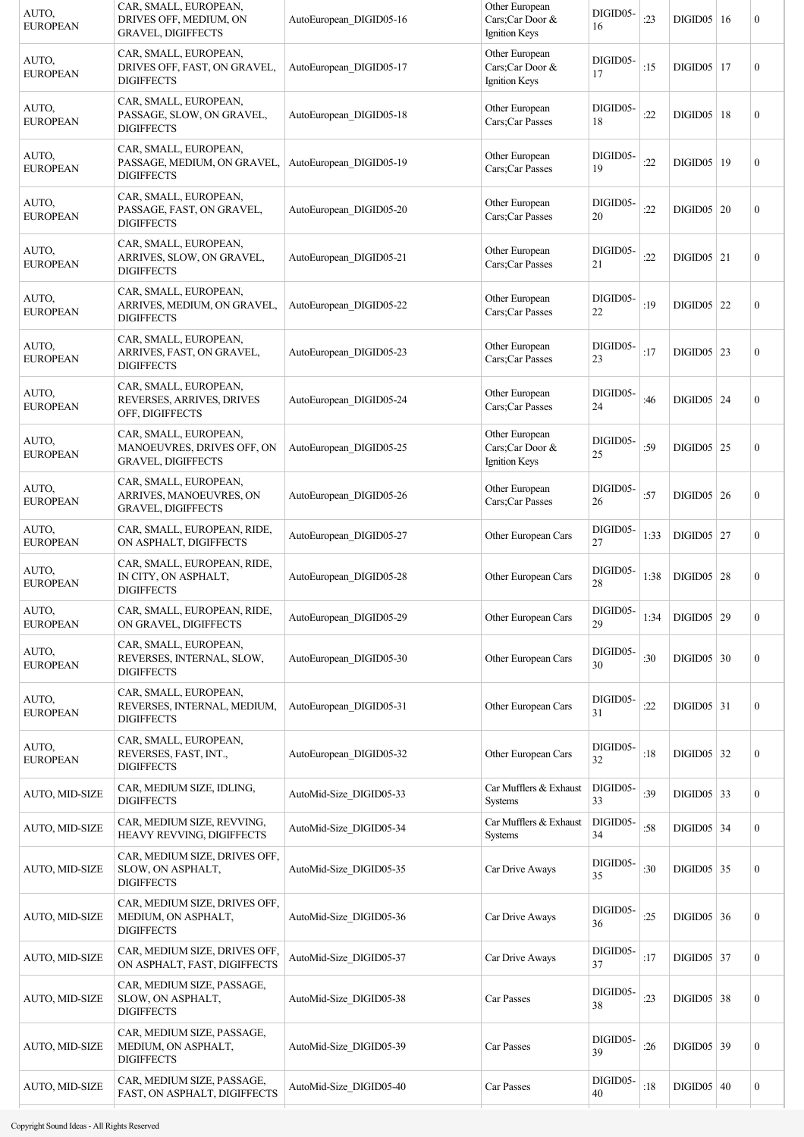| AUTO,<br><b>EUROPEAN</b> | CAR, SMALL, EUROPEAN,<br>DRIVES OFF, MEDIUM, ON<br><b>GRAVEL, DIGIFFECTS</b>     | AutoEuropean DIGID05-16 | Other European<br>Cars;Car Door &<br>Ignition Keys | DIGID05-<br>16     | :23  | DIGID05   16   | $\boldsymbol{0}$ |
|--------------------------|----------------------------------------------------------------------------------|-------------------------|----------------------------------------------------|--------------------|------|----------------|------------------|
| AUTO,<br><b>EUROPEAN</b> | CAR, SMALL, EUROPEAN,<br>DRIVES OFF, FAST, ON GRAVEL,<br><b>DIGIFFECTS</b>       | AutoEuropean DIGID05-17 | Other European<br>Cars;Car Door &<br>Ignition Keys | DIGID05-<br>17     | :15  | $DIGID05$   17 | $\boldsymbol{0}$ |
| AUTO,<br><b>EUROPEAN</b> | CAR, SMALL, EUROPEAN,<br>PASSAGE, SLOW, ON GRAVEL,<br><b>DIGIFFECTS</b>          | AutoEuropean DIGID05-18 | Other European<br>Cars;Car Passes                  | DIGID05-<br>18     | :22  | $DIGID05$   18 | $\boldsymbol{0}$ |
| AUTO,<br><b>EUROPEAN</b> | CAR, SMALL, EUROPEAN,<br>PASSAGE, MEDIUM, ON GRAVEL,<br><b>DIGIFFECTS</b>        | AutoEuropean DIGID05-19 | Other European<br>Cars;Car Passes                  | DIGID05-<br>19     | :22  | DIGID05   19   | $\boldsymbol{0}$ |
| AUTO,<br><b>EUROPEAN</b> | CAR, SMALL, EUROPEAN,<br>PASSAGE, FAST, ON GRAVEL,<br><b>DIGIFFECTS</b>          | AutoEuropean DIGID05-20 | Other European<br>Cars;Car Passes                  | DIGID05-<br>20     | :22  | DIGID05   20   | $\boldsymbol{0}$ |
| AUTO,<br><b>EUROPEAN</b> | CAR, SMALL, EUROPEAN,<br>ARRIVES, SLOW, ON GRAVEL,<br><b>DIGIFFECTS</b>          | AutoEuropean DIGID05-21 | Other European<br>Cars;Car Passes                  | DIGID05-<br>21     | :22  | $DIGID05$   21 | $\boldsymbol{0}$ |
| AUTO,<br><b>EUROPEAN</b> | CAR, SMALL, EUROPEAN,<br>ARRIVES, MEDIUM, ON GRAVEL,<br><b>DIGIFFECTS</b>        | AutoEuropean DIGID05-22 | Other European<br>Cars;Car Passes                  | DIGID05-<br>22     | :19  | $DIGID05$ 22   | $\boldsymbol{0}$ |
| AUTO,<br><b>EUROPEAN</b> | CAR, SMALL, EUROPEAN,<br>ARRIVES, FAST, ON GRAVEL,<br><b>DIGIFFECTS</b>          | AutoEuropean DIGID05-23 | Other European<br>Cars;Car Passes                  | DIGID05-<br>23     | :17  | $DIGID05$ 23   | $\mathbf{0}$     |
| AUTO,<br><b>EUROPEAN</b> | CAR, SMALL, EUROPEAN,<br>REVERSES, ARRIVES, DRIVES<br>OFF, DIGIFFECTS            | AutoEuropean DIGID05-24 | Other European<br>Cars;Car Passes                  | DIGID05-<br>24     | :46  | $DIGID05$ 24   | $\boldsymbol{0}$ |
| AUTO,<br><b>EUROPEAN</b> | CAR, SMALL, EUROPEAN,<br>MANOEUVRES, DRIVES OFF, ON<br><b>GRAVEL, DIGIFFECTS</b> | AutoEuropean DIGID05-25 | Other European<br>Cars;Car Door &<br>Ignition Keys | DIGID05-<br>25     | :59  | $DIGID05$ 25   | $\boldsymbol{0}$ |
| AUTO,<br><b>EUROPEAN</b> | CAR, SMALL, EUROPEAN,<br>ARRIVES, MANOEUVRES, ON<br><b>GRAVEL, DIGIFFECTS</b>    | AutoEuropean DIGID05-26 | Other European<br>Cars;Car Passes                  | DIGID05-<br>26     | :57  | $DIGID05$ 26   | $\boldsymbol{0}$ |
| AUTO,<br><b>EUROPEAN</b> | CAR, SMALL, EUROPEAN, RIDE,<br>ON ASPHALT, DIGIFFECTS                            | AutoEuropean DIGID05-27 | Other European Cars                                | DIGID05-<br>27     | 1:33 | $DIGID05$   27 | $\boldsymbol{0}$ |
| AUTO,<br><b>EUROPEAN</b> | CAR, SMALL, EUROPEAN, RIDE,<br>IN CITY, ON ASPHALT,<br><b>DIGIFFECTS</b>         | AutoEuropean DIGID05-28 | Other European Cars                                | DIGID05-<br>$28\,$ | 1:38 | $DIGID05$ 28   | $\boldsymbol{0}$ |
| AUTO,<br><b>EUROPEAN</b> | CAR, SMALL, EUROPEAN, RIDE,<br>ON GRAVEL, DIGIFFECTS                             | AutoEuropean_DIGID05-29 | Other European Cars                                | DIGID05-<br>29     | 1:34 | $DIGID05$ 29   | $\boldsymbol{0}$ |
| AUTO,<br><b>EUROPEAN</b> | CAR, SMALL, EUROPEAN,<br>REVERSES, INTERNAL, SLOW,<br><b>DIGIFFECTS</b>          | AutoEuropean DIGID05-30 | Other European Cars                                | DIGID05-<br>30     | :30  | $DIGID05$ 30   | $\boldsymbol{0}$ |
| AUTO,<br><b>EUROPEAN</b> | CAR, SMALL, EUROPEAN,<br>REVERSES, INTERNAL, MEDIUM,<br><b>DIGIFFECTS</b>        | AutoEuropean DIGID05-31 | Other European Cars                                | DIGID05-<br>31     | :22  | $DIGID05$ 31   | $\boldsymbol{0}$ |
| AUTO,<br><b>EUROPEAN</b> | CAR, SMALL, EUROPEAN,<br>REVERSES, FAST, INT.,<br><b>DIGIFFECTS</b>              | AutoEuropean DIGID05-32 | Other European Cars                                | DIGID05-<br>32     | :18  | $DIGID05$ 32   | $\boldsymbol{0}$ |
| AUTO, MID-SIZE           | CAR, MEDIUM SIZE, IDLING,<br><b>DIGIFFECTS</b>                                   | AutoMid-Size DIGID05-33 | Car Mufflers & Exhaust<br>Systems                  | DIGID05-<br>33     | :39  | $DIGID05$ 33   | $\mathbf{0}$     |
| AUTO, MID-SIZE           | CAR, MEDIUM SIZE, REVVING,<br>HEAVY REVVING, DIGIFFECTS                          | AutoMid-Size DIGID05-34 | Car Mufflers & Exhaust<br>Systems                  | DIGID05-<br>34     | :58  | $DIGID05$ 34   | $\overline{0}$   |
| AUTO, MID-SIZE           | CAR, MEDIUM SIZE, DRIVES OFF,<br>SLOW, ON ASPHALT,<br><b>DIGIFFECTS</b>          | AutoMid-Size DIGID05-35 | Car Drive Aways                                    | DIGID05-<br>35     | :30  | $DIGID05$ 35   | $\mathbf{0}$     |
| <b>AUTO, MID-SIZE</b>    | CAR, MEDIUM SIZE, DRIVES OFF,<br>MEDIUM, ON ASPHALT,<br><b>DIGIFFECTS</b>        | AutoMid-Size DIGID05-36 | Car Drive Aways                                    | DIGID05-<br>36     | :25  | $DIGID05$ 36   | $\boldsymbol{0}$ |
| <b>AUTO, MID-SIZE</b>    | CAR, MEDIUM SIZE, DRIVES OFF,<br>ON ASPHALT, FAST, DIGIFFECTS                    | AutoMid-Size DIGID05-37 | Car Drive Aways                                    | DIGID05-<br>37     | :17  | $DIGID05$ 37   | $\boldsymbol{0}$ |
| AUTO, MID-SIZE           | CAR, MEDIUM SIZE, PASSAGE,<br>SLOW, ON ASPHALT,<br><b>DIGIFFECTS</b>             | AutoMid-Size DIGID05-38 | Car Passes                                         | DIGID05-<br>38     | :23  | $DIGID05$ 38   | $\boldsymbol{0}$ |
| <b>AUTO, MID-SIZE</b>    | CAR, MEDIUM SIZE, PASSAGE,<br>MEDIUM, ON ASPHALT,<br><b>DIGIFFECTS</b>           | AutoMid-Size DIGID05-39 | Car Passes                                         | DIGID05-<br>39     | :26  | $DIGID05$ 39   | $\boldsymbol{0}$ |
| AUTO, MID-SIZE           | CAR, MEDIUM SIZE, PASSAGE,<br>FAST, ON ASPHALT, DIGIFFECTS                       | AutoMid-Size DIGID05-40 | Car Passes                                         | DIGID05-<br>40     | :18  | DIGID05   40   | $\boldsymbol{0}$ |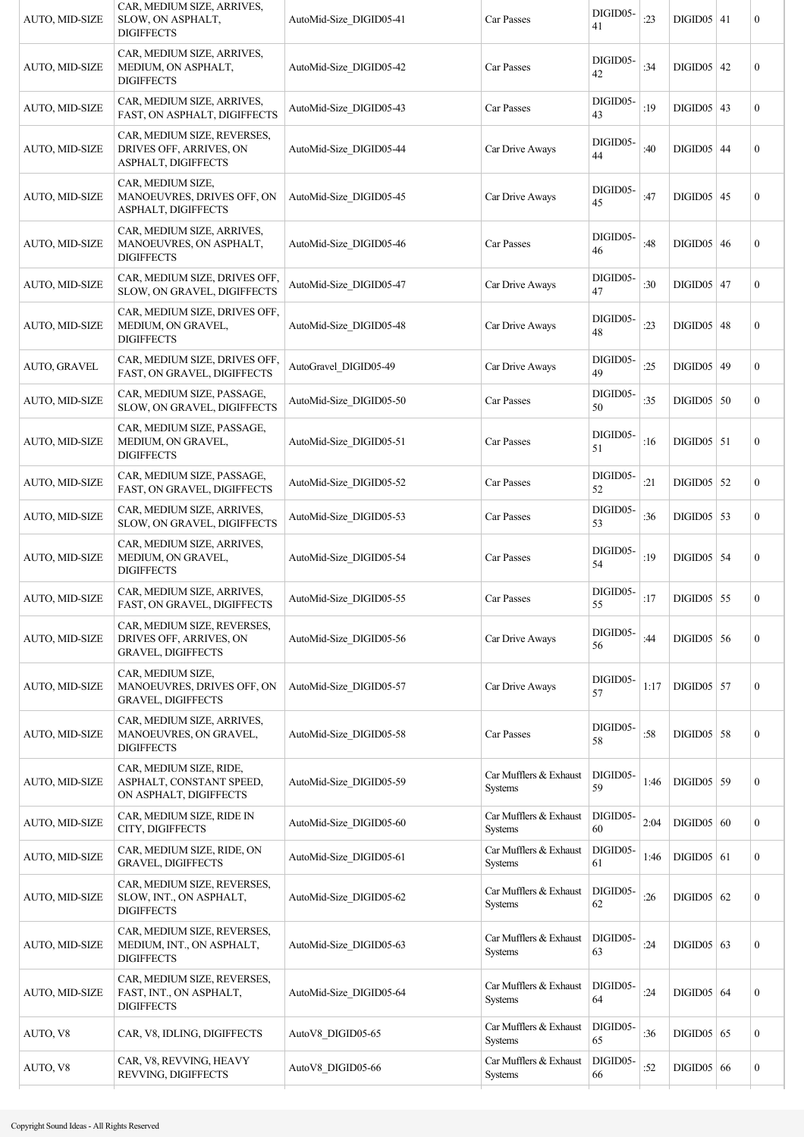| <b>AUTO, MID-SIZE</b> | CAR, MEDIUM SIZE, ARRIVES,<br>SLOW, ON ASPHALT,<br><b>DIGIFFECTS</b>                | AutoMid-Size DIGID05-41 | Car Passes                               | DIGID05-<br>41 | :23  | $DIGID05$   41 | 0                |
|-----------------------|-------------------------------------------------------------------------------------|-------------------------|------------------------------------------|----------------|------|----------------|------------------|
| AUTO, MID-SIZE        | CAR, MEDIUM SIZE, ARRIVES,<br>MEDIUM, ON ASPHALT,<br><b>DIGIFFECTS</b>              | AutoMid-Size DIGID05-42 | Car Passes                               | DIGID05-<br>42 | :34  | $DIGID05$ 42   | $\boldsymbol{0}$ |
| AUTO, MID-SIZE        | CAR, MEDIUM SIZE, ARRIVES,<br>FAST, ON ASPHALT, DIGIFFECTS                          | AutoMid-Size DIGID05-43 | Car Passes                               | DIGID05-<br>43 | :19  | $DIGID05$ 43   | $\boldsymbol{0}$ |
| <b>AUTO, MID-SIZE</b> | CAR, MEDIUM SIZE, REVERSES,<br>DRIVES OFF, ARRIVES, ON<br>ASPHALT, DIGIFFECTS       | AutoMid-Size DIGID05-44 | Car Drive Aways                          | DIGID05-<br>44 | :40  | $DIGID05$ 44   | $\boldsymbol{0}$ |
| <b>AUTO, MID-SIZE</b> | CAR, MEDIUM SIZE,<br>MANOEUVRES, DRIVES OFF, ON<br>ASPHALT, DIGIFFECTS              | AutoMid-Size DIGID05-45 | Car Drive Aways                          | DIGID05-<br>45 | :47  | $DIGID05$ 45   | $\boldsymbol{0}$ |
| <b>AUTO, MID-SIZE</b> | CAR, MEDIUM SIZE, ARRIVES,<br>MANOEUVRES, ON ASPHALT,<br><b>DIGIFFECTS</b>          | AutoMid-Size DIGID05-46 | Car Passes                               | DIGID05-<br>46 | :48  | $DIGID05$ 46   | $\boldsymbol{0}$ |
| AUTO, MID-SIZE        | CAR, MEDIUM SIZE, DRIVES OFF,<br>SLOW, ON GRAVEL, DIGIFFECTS                        | AutoMid-Size DIGID05-47 | Car Drive Aways                          | DIGID05-<br>47 | :30  | $DIGID05$ 47   | $\boldsymbol{0}$ |
| <b>AUTO, MID-SIZE</b> | CAR, MEDIUM SIZE, DRIVES OFF,<br>MEDIUM, ON GRAVEL,<br><b>DIGIFFECTS</b>            | AutoMid-Size DIGID05-48 | Car Drive Aways                          | DIGID05-<br>48 | :23  | $DIGID05$ 48   | $\boldsymbol{0}$ |
| <b>AUTO, GRAVEL</b>   | CAR, MEDIUM SIZE, DRIVES OFF,<br>FAST, ON GRAVEL, DIGIFFECTS                        | AutoGravel DIGID05-49   | Car Drive Aways                          | DIGID05-<br>49 | :25  | DIGID05   49   | $\overline{0}$   |
| AUTO, MID-SIZE        | CAR, MEDIUM SIZE, PASSAGE,<br>SLOW, ON GRAVEL, DIGIFFECTS                           | AutoMid-Size DIGID05-50 | Car Passes                               | DIGID05-<br>50 | :35  | $DIGID05$ 50   | $\overline{0}$   |
| AUTO, MID-SIZE        | CAR, MEDIUM SIZE, PASSAGE,<br>MEDIUM, ON GRAVEL,<br><b>DIGIFFECTS</b>               | AutoMid-Size DIGID05-51 | Car Passes                               | DIGID05-<br>51 | :16  | $DIGID05$ 51   | $\boldsymbol{0}$ |
| AUTO, MID-SIZE        | CAR, MEDIUM SIZE, PASSAGE,<br>FAST, ON GRAVEL, DIGIFFECTS                           | AutoMid-Size DIGID05-52 | Car Passes                               | DIGID05-<br>52 | :21  | $DIGID05$ 52   | $\overline{0}$   |
| AUTO, MID-SIZE        | CAR, MEDIUM SIZE, ARRIVES,<br>SLOW, ON GRAVEL, DIGIFFECTS                           | AutoMid-Size DIGID05-53 | Car Passes                               | DIGID05-<br>53 | :36  | $DIGID05$ 53   | $\boldsymbol{0}$ |
| AUTO, MID-SIZE        | CAR, MEDIUM SIZE, ARRIVES,<br>MEDIUM, ON GRAVEL,<br><b>DIGIFFECTS</b>               | AutoMid-Size DIGID05-54 | Car Passes                               | DIGID05-<br>54 | :19  | $DIGID05$ 54   | $\boldsymbol{0}$ |
| AUTO, MID-SIZE        | CAR, MEDIUM SIZE, ARRIVES,<br>FAST, ON GRAVEL, DIGIFFECTS                           | AutoMid-Size DIGID05-55 | Car Passes                               | DIGID05-<br>55 | :17  | $DIGID05$ 55   | $\boldsymbol{0}$ |
| <b>AUTO, MID-SIZE</b> | CAR, MEDIUM SIZE, REVERSES,<br>DRIVES OFF, ARRIVES, ON<br><b>GRAVEL, DIGIFFECTS</b> | AutoMid-Size DIGID05-56 | Car Drive Aways                          | DIGID05-<br>56 | :44  | $DIGID05$ 56   | $\overline{0}$   |
| AUTO, MID-SIZE        | CAR, MEDIUM SIZE,<br>MANOEUVRES, DRIVES OFF, ON<br><b>GRAVEL, DIGIFFECTS</b>        | AutoMid-Size DIGID05-57 | Car Drive Aways                          | DIGID05-<br>57 | 1:17 | $DIGID05$ 57   | $\boldsymbol{0}$ |
| <b>AUTO, MID-SIZE</b> | CAR, MEDIUM SIZE, ARRIVES,<br>MANOEUVRES, ON GRAVEL,<br><b>DIGIFFECTS</b>           | AutoMid-Size DIGID05-58 | Car Passes                               | DIGID05-<br>58 | :58  | $DIGID05$ 58   | $\boldsymbol{0}$ |
| AUTO, MID-SIZE        | CAR, MEDIUM SIZE, RIDE,<br>ASPHALT, CONSTANT SPEED,<br>ON ASPHALT, DIGIFFECTS       | AutoMid-Size DIGID05-59 | Car Mufflers & Exhaust<br>Systems        | DIGID05-<br>59 | 1:46 | $DIGID05$ 59   | $\boldsymbol{0}$ |
| AUTO, MID-SIZE        | CAR, MEDIUM SIZE, RIDE IN<br>CITY, DIGIFFECTS                                       | AutoMid-Size DIGID05-60 | Car Mufflers & Exhaust<br>Systems        | DIGID05-<br>60 | 2:04 | DIGID05   60   | $\boldsymbol{0}$ |
| AUTO, MID-SIZE        | CAR, MEDIUM SIZE, RIDE, ON<br><b>GRAVEL, DIGIFFECTS</b>                             | AutoMid-Size DIGID05-61 | Car Mufflers & Exhaust<br><b>Systems</b> | DIGID05-<br>61 | 1:46 | $DIGID05$ 61   | $\boldsymbol{0}$ |
| AUTO, MID-SIZE        | CAR, MEDIUM SIZE, REVERSES,<br>SLOW, INT., ON ASPHALT,<br><b>DIGIFFECTS</b>         | AutoMid-Size DIGID05-62 | Car Mufflers & Exhaust<br>Systems        | DIGID05-<br>62 | :26  | $DIGID05$ 62   | $\boldsymbol{0}$ |
| AUTO, MID-SIZE        | CAR, MEDIUM SIZE, REVERSES,<br>MEDIUM, INT., ON ASPHALT,<br><b>DIGIFFECTS</b>       | AutoMid-Size DIGID05-63 | Car Mufflers & Exhaust<br>Systems        | DIGID05-<br>63 | :24  | DIGID05   63   | $\boldsymbol{0}$ |
| AUTO, MID-SIZE        | CAR, MEDIUM SIZE, REVERSES,<br>FAST, INT., ON ASPHALT,<br><b>DIGIFFECTS</b>         | AutoMid-Size DIGID05-64 | Car Mufflers & Exhaust<br>Systems        | DIGID05-<br>64 | :24  | $DIGID05$ 64   | $\boldsymbol{0}$ |
| AUTO, V8              | CAR, V8, IDLING, DIGIFFECTS                                                         | AutoV8 DIGID05-65       | Car Mufflers & Exhaust<br>Systems        | DIGID05-<br>65 | :36  | $DIGID05$ 65   | $\boldsymbol{0}$ |
| AUTO, V8              | CAR, V8, REVVING, HEAVY<br>REVVING, DIGIFFECTS                                      | AutoV8 DIGID05-66       | Car Mufflers & Exhaust<br>Systems        | DIGID05-<br>66 | :52  | $DIGID05$ 66   | $\boldsymbol{0}$ |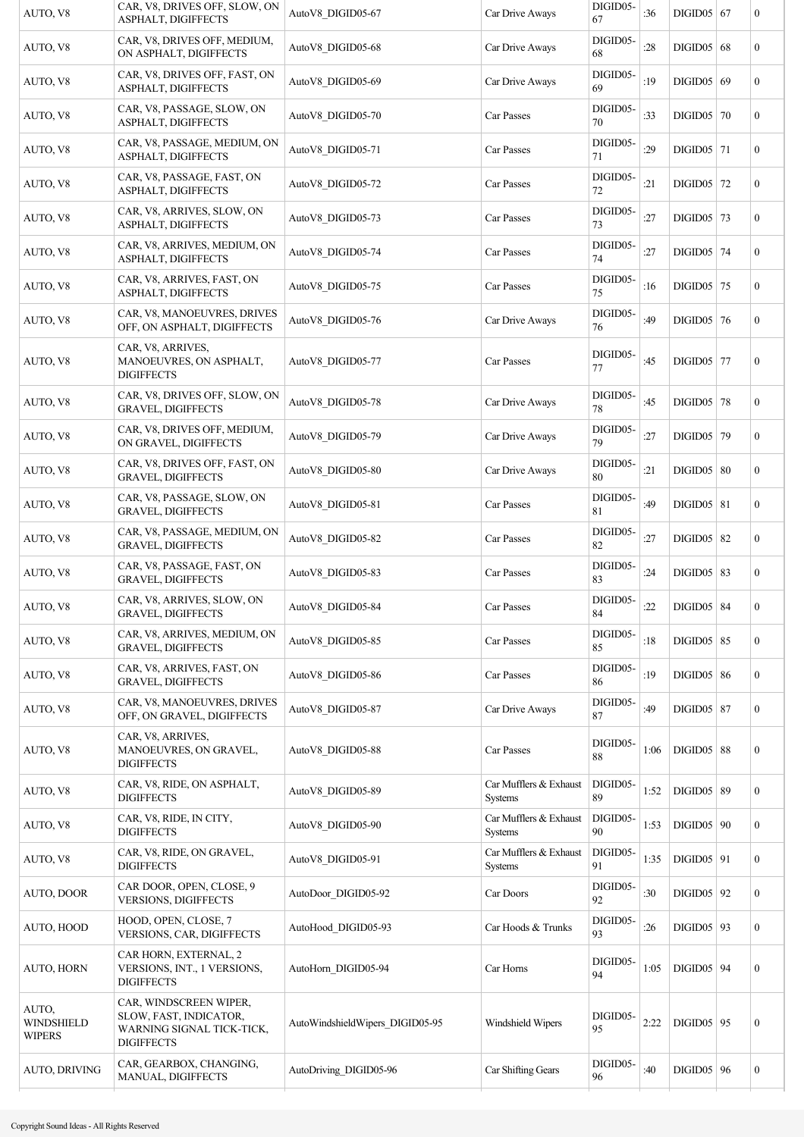| AUTO, V8                                    | CAR, V8, DRIVES OFF, SLOW, ON<br>ASPHALT, DIGIFFECTS                                               | AutoV8 DIGID05-67               | Car Drive Aways                   | DIGID05-<br>67 | :36  | $DIGID05$ 67       | $\boldsymbol{0}$ |
|---------------------------------------------|----------------------------------------------------------------------------------------------------|---------------------------------|-----------------------------------|----------------|------|--------------------|------------------|
| AUTO, V8                                    | CAR, V8, DRIVES OFF, MEDIUM,<br>ON ASPHALT, DIGIFFECTS                                             | AutoV8_DIGID05-68               | Car Drive Aways                   | DIGID05-<br>68 | :28  | $DIGID05$ 68       | $\boldsymbol{0}$ |
| AUTO, V8                                    | CAR, V8, DRIVES OFF, FAST, ON<br>ASPHALT, DIGIFFECTS                                               | AutoV8 DIGID05-69               | Car Drive Aways                   | DIGID05-<br>69 | :19  | DIGID05   69       | $\mathbf{0}$     |
| AUTO, V8                                    | CAR, V8, PASSAGE, SLOW, ON<br>ASPHALT, DIGIFFECTS                                                  | AutoV8 DIGID05-70               | Car Passes                        | DIGID05-<br>70 | :33  | $DIGID05$ 70       | $\mathbf{0}$     |
| AUTO, V8                                    | CAR, V8, PASSAGE, MEDIUM, ON<br>ASPHALT, DIGIFFECTS                                                | AutoV8_DIGID05-71               | Car Passes                        | DIGID05-<br>71 | :29  | $DIGID05$   71     | $\mathbf{0}$     |
| AUTO, V8                                    | CAR, V8, PASSAGE, FAST, ON<br>ASPHALT, DIGIFFECTS                                                  | AutoV8 DIGID05-72               | Car Passes                        | DIGID05-<br>72 | :21  | $DIGID05$   72     | $\boldsymbol{0}$ |
| AUTO, V8                                    | CAR, V8, ARRIVES, SLOW, ON<br>ASPHALT, DIGIFFECTS                                                  | AutoV8 DIGID05-73               | Car Passes                        | DIGID05-<br>73 | :27  | DIGID05 $\vert$ 73 | $\boldsymbol{0}$ |
| AUTO, V8                                    | CAR, V8, ARRIVES, MEDIUM, ON<br>ASPHALT, DIGIFFECTS                                                | AutoV8 DIGID05-74               | Car Passes                        | DIGID05-<br>74 | :27  | $DIGID05$   74     | $\boldsymbol{0}$ |
| AUTO, V8                                    | CAR, V8, ARRIVES, FAST, ON<br>ASPHALT, DIGIFFECTS                                                  | AutoV8 DIGID05-75               | Car Passes                        | DIGID05-<br>75 | :16  | $DIGID05$ 75       | $\mathbf{0}$     |
| AUTO, V8                                    | CAR, V8, MANOEUVRES, DRIVES<br>OFF, ON ASPHALT, DIGIFFECTS                                         | AutoV8_DIGID05-76               | Car Drive Aways                   | DIGID05-<br>76 | :49  | $DIGID05$ 76       | $\mathbf{0}$     |
| AUTO, V8                                    | CAR, V8, ARRIVES,<br>MANOEUVRES, ON ASPHALT,<br><b>DIGIFFECTS</b>                                  | AutoV8 DIGID05-77               | Car Passes                        | DIGID05-<br>77 | :45  | $DIGID05$ 77       | $\boldsymbol{0}$ |
| AUTO, V8                                    | CAR, V8, DRIVES OFF, SLOW, ON<br><b>GRAVEL, DIGIFFECTS</b>                                         | AutoV8_DIGID05-78               | Car Drive Aways                   | DIGID05-<br>78 | :45  | $DIGID05$ 78       | $\boldsymbol{0}$ |
| AUTO, V8                                    | CAR, V8, DRIVES OFF, MEDIUM,<br>ON GRAVEL, DIGIFFECTS                                              | AutoV8_DIGID05-79               | Car Drive Aways                   | DIGID05-<br>79 | :27  | $DIGID05$ 79       | $\boldsymbol{0}$ |
| AUTO, V8                                    | CAR, V8, DRIVES OFF, FAST, ON<br><b>GRAVEL, DIGIFFECTS</b>                                         | AutoV8 DIGID05-80               | Car Drive Aways                   | DIGID05-<br>80 | :21  | DIGID05   80       | $\mathbf{0}$     |
| AUTO, V8                                    | CAR, V8, PASSAGE, SLOW, ON<br><b>GRAVEL, DIGIFFECTS</b>                                            | AutoV8 DIGID05-81               | Car Passes                        | DIGID05-<br>81 | :49  | $DIGID05$ 81       | $\mathbf{0}$     |
| AUTO, V8                                    | CAR, V8, PASSAGE, MEDIUM, ON<br><b>GRAVEL, DIGIFFECTS</b>                                          | AutoV8_DIGID05-82               | Car Passes                        | DIGID05-<br>82 | :27  | $DIGID05$ 82       | $\mathbf{0}$     |
| AUTO, V8                                    | CAR, V8, PASSAGE, FAST, ON<br><b>GRAVEL, DIGIFFECTS</b>                                            | AutoV8 DIGID05-83               | Car Passes                        | DIGID05-<br>83 | :24  | $DIGID05$ 83       | $\boldsymbol{0}$ |
| AUTO, V8                                    | CAR, V8, ARRIVES, SLOW, ON<br><b>GRAVEL, DIGIFFECTS</b>                                            | AutoV8_DIGID05-84               | Car Passes                        | DIGID05-<br>84 | :22  | $DIGID05$ 84       | $\boldsymbol{0}$ |
| AUTO, V8                                    | CAR, V8, ARRIVES, MEDIUM, ON<br><b>GRAVEL, DIGIFFECTS</b>                                          | AutoV8 DIGID05-85               | Car Passes                        | DIGID05-<br>85 | :18  | $DIGID05$ 85       | $\boldsymbol{0}$ |
| AUTO, V8                                    | CAR, V8, ARRIVES, FAST, ON<br><b>GRAVEL, DIGIFFECTS</b>                                            | AutoV8 DIGID05-86               | Car Passes                        | DIGID05-<br>86 | :19  | $DIGID05$ 86       | $\boldsymbol{0}$ |
| AUTO, V8                                    | CAR, V8, MANOEUVRES, DRIVES<br>OFF, ON GRAVEL, DIGIFFECTS                                          | AutoV8_DIGID05-87               | Car Drive Aways                   | DIGID05-<br>87 | :49  | $DIGID05$ 87       | $\boldsymbol{0}$ |
| AUTO, V8                                    | CAR, V8, ARRIVES,<br>MANOEUVRES, ON GRAVEL,<br><b>DIGIFFECTS</b>                                   | AutoV8 DIGID05-88               | Car Passes                        | DIGID05-<br>88 | 1:06 | $DIGID05$ 88       | $\boldsymbol{0}$ |
| AUTO, V8                                    | CAR, V8, RIDE, ON ASPHALT,<br><b>DIGIFFECTS</b>                                                    | AutoV8 DIGID05-89               | Car Mufflers & Exhaust<br>Systems | DIGID05-<br>89 | 1:52 | $DIGID05$ 89       | $\boldsymbol{0}$ |
| AUTO, V8                                    | CAR, V8, RIDE, IN CITY,<br><b>DIGIFFECTS</b>                                                       | AutoV8 DIGID05-90               | Car Mufflers & Exhaust<br>Systems | DIGID05-<br>90 | 1:53 | $DIGID05$   90     | $\boldsymbol{0}$ |
| AUTO, V8                                    | CAR, V8, RIDE, ON GRAVEL,<br><b>DIGIFFECTS</b>                                                     | AutoV8 DIGID05-91               | Car Mufflers & Exhaust<br>Systems | DIGID05-<br>91 | 1:35 | $DIGID05$ 91       | $\boldsymbol{0}$ |
| AUTO, DOOR                                  | CAR DOOR, OPEN, CLOSE, 9<br><b>VERSIONS, DIGIFFECTS</b>                                            | AutoDoor DIGID05-92             | Car Doors                         | DIGID05-<br>92 | :30  | $DIGID05$   92     | $\mathbf{0}$     |
| AUTO, HOOD                                  | HOOD, OPEN, CLOSE, 7<br>VERSIONS, CAR, DIGIFFECTS                                                  | AutoHood DIGID05-93             | Car Hoods & Trunks                | DIGID05-<br>93 | :26  | $DIGID05$   93     | $\overline{0}$   |
| <b>AUTO, HORN</b>                           | CAR HORN, EXTERNAL, 2<br>VERSIONS, INT., 1 VERSIONS,<br><b>DIGIFFECTS</b>                          | AutoHorn DIGID05-94             | Car Horns                         | DIGID05-<br>94 | 1:05 | $DIGID05$ 94       | $\mathbf{0}$     |
| AUTO,<br><b>WINDSHIELD</b><br><b>WIPERS</b> | CAR, WINDSCREEN WIPER,<br>SLOW, FAST, INDICATOR,<br>WARNING SIGNAL TICK-TICK,<br><b>DIGIFFECTS</b> | AutoWindshieldWipers DIGID05-95 | Windshield Wipers                 | DIGID05-<br>95 | 2:22 | $DIGID05$ 95       | $\boldsymbol{0}$ |
| AUTO, DRIVING                               | CAR, GEARBOX, CHANGING,<br>MANUAL, DIGIFFECTS                                                      | AutoDriving DIGID05-96          | Car Shifting Gears                | DIGID05-<br>96 | :40  | $DIGID05$   96     | $\boldsymbol{0}$ |
|                                             |                                                                                                    |                                 |                                   |                |      |                    |                  |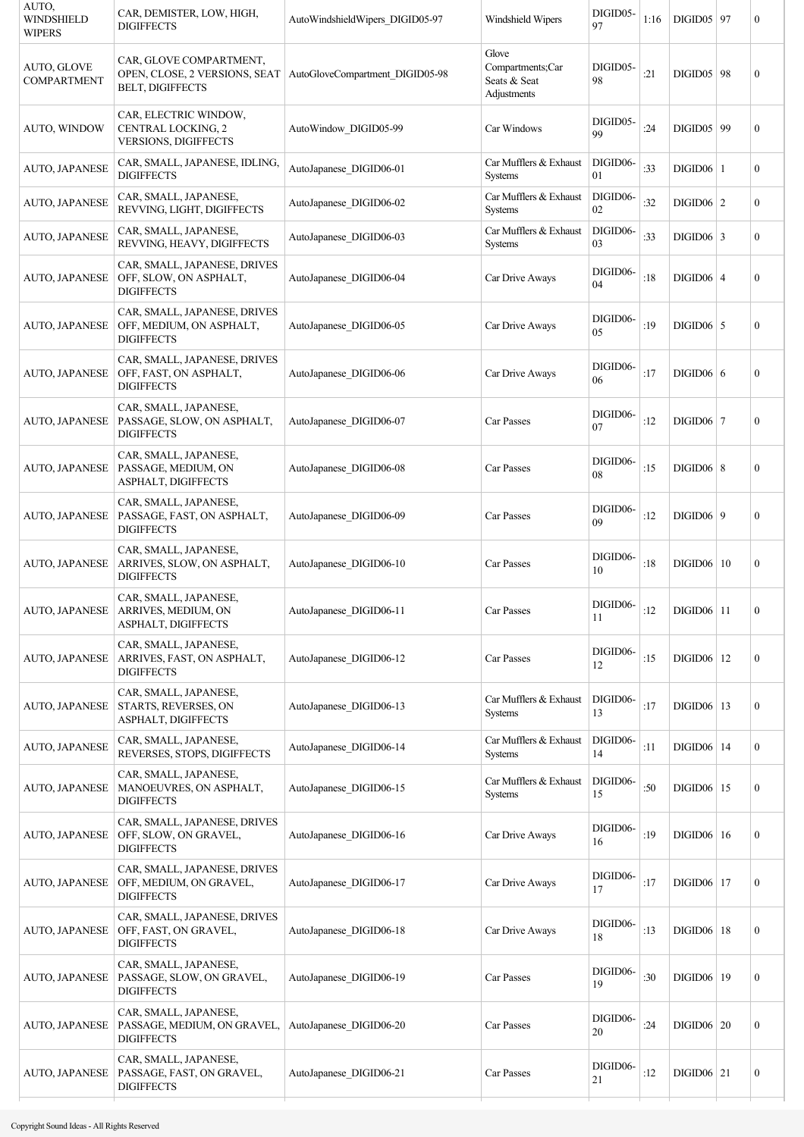| AUTO,<br><b>WINDSHIELD</b><br><b>WIPERS</b> | CAR, DEMISTER, LOW, HIGH,<br><b>DIGIFFECTS</b>                                       | AutoWindshieldWipers DIGID05-97 | Windshield Wipers                                        | DIGID05-<br>97 | 1:16 | $DIGID05$   97      | $\overline{0}$   |
|---------------------------------------------|--------------------------------------------------------------------------------------|---------------------------------|----------------------------------------------------------|----------------|------|---------------------|------------------|
| AUTO, GLOVE<br><b>COMPARTMENT</b>           | CAR, GLOVE COMPARTMENT,<br>OPEN, CLOSE, 2 VERSIONS, SEAT<br><b>BELT, DIGIFFECTS</b>  | AutoGloveCompartment_DIGID05-98 | Glove<br>Compartments;Car<br>Seats & Seat<br>Adjustments | DIGID05-<br>98 | :21  | <b>DIGID05</b>   98 | $\mathbf{0}$     |
| AUTO, WINDOW                                | CAR, ELECTRIC WINDOW,<br>CENTRAL LOCKING, 2<br>VERSIONS, DIGIFFECTS                  | AutoWindow DIGID05-99           | Car Windows                                              | DIGID05-<br>99 | :24  | DIGID05 99          | $\overline{0}$   |
| <b>AUTO, JAPANESE</b>                       | CAR, SMALL, JAPANESE, IDLING,<br><b>DIGIFFECTS</b>                                   | AutoJapanese DIGID06-01         | Car Mufflers & Exhaust<br>Systems                        | DIGID06-<br>01 | :33  | $DIGID06$   1       | $\overline{0}$   |
| AUTO, JAPANESE                              | CAR, SMALL, JAPANESE,<br>REVVING, LIGHT, DIGIFFECTS                                  | AutoJapanese DIGID06-02         | Car Mufflers & Exhaust<br>Systems                        | DIGID06-<br>02 | :32  | DIGID06   2         | $\overline{0}$   |
| AUTO, JAPANESE                              | CAR, SMALL, JAPANESE,<br>REVVING, HEAVY, DIGIFFECTS                                  | AutoJapanese DIGID06-03         | Car Mufflers & Exhaust<br><b>Systems</b>                 | DIGID06-<br>03 | :33  | $DIGID06$ 3         | $\overline{0}$   |
| AUTO, JAPANESE                              | CAR, SMALL, JAPANESE, DRIVES<br>OFF, SLOW, ON ASPHALT,<br><b>DIGIFFECTS</b>          | AutoJapanese DIGID06-04         | Car Drive Aways                                          | DIGID06-<br>04 | :18  | $DIGID06$   4       | $\overline{0}$   |
| <b>AUTO, JAPANESE</b>                       | CAR, SMALL, JAPANESE, DRIVES<br>OFF, MEDIUM, ON ASPHALT,<br><b>DIGIFFECTS</b>        | AutoJapanese DIGID06-05         | Car Drive Aways                                          | DIGID06-<br>05 | :19  | $DIGID06$ 5         | $\overline{0}$   |
| AUTO, JAPANESE                              | CAR, SMALL, JAPANESE, DRIVES<br>OFF, FAST, ON ASPHALT,<br><b>DIGIFFECTS</b>          | AutoJapanese DIGID06-06         | Car Drive Aways                                          | DIGID06-<br>06 | :17  | DIGID06   6         | $\overline{0}$   |
| AUTO, JAPANESE                              | CAR, SMALL, JAPANESE,<br>PASSAGE, SLOW, ON ASPHALT,<br><b>DIGIFFECTS</b>             | AutoJapanese DIGID06-07         | Car Passes                                               | DIGID06-<br>07 | :12  | $DIGID06$   7       | $\overline{0}$   |
| <b>AUTO, JAPANESE</b>                       | CAR, SMALL, JAPANESE,<br>PASSAGE, MEDIUM, ON<br>ASPHALT, DIGIFFECTS                  | AutoJapanese DIGID06-08         | Car Passes                                               | DIGID06-<br>08 | :15  | $DIGID06$ 8         | $\overline{0}$   |
| <b>AUTO, JAPANESE</b>                       | CAR, SMALL, JAPANESE,<br>PASSAGE, FAST, ON ASPHALT,<br><b>DIGIFFECTS</b>             | AutoJapanese DIGID06-09         | Car Passes                                               | DIGID06-<br>09 | :12  | $DIGID06$   9       | $\overline{0}$   |
| AUTO, JAPANESE                              | CAR, SMALL, JAPANESE,<br>ARRIVES, SLOW, ON ASPHALT,<br><b>DIGIFFECTS</b>             | AutoJapanese DIGID06-10         | Car Passes                                               | DIGID06-<br>10 | :18  | $DIGID06 \mid 10$   | $\overline{0}$   |
|                                             | CAR, SMALL, JAPANESE,<br>AUTO, JAPANESE   ARRIVES, MEDIUM, ON<br>ASPHALT, DIGIFFECTS | AutoJapanese DIGID06-11         | Car Passes                                               | DIGID06-<br>11 | :12  | $DIGID06$ 11        | $\boldsymbol{0}$ |
| <b>AUTO, JAPANESE</b>                       | CAR, SMALL, JAPANESE,<br>ARRIVES, FAST, ON ASPHALT,<br><b>DIGIFFECTS</b>             | AutoJapanese DIGID06-12         | Car Passes                                               | DIGID06-<br>12 | :15  | $DIGID06$   12      | $\boldsymbol{0}$ |
| <b>AUTO, JAPANESE</b>                       | CAR, SMALL, JAPANESE,<br>STARTS, REVERSES, ON<br>ASPHALT, DIGIFFECTS                 | AutoJapanese_DIGID06-13         | Car Mufflers & Exhaust<br>Systems                        | DIGID06-<br>13 | :17  | $DIGID06$   13      | $\boldsymbol{0}$ |
| AUTO, JAPANESE                              | CAR, SMALL, JAPANESE,<br>REVERSES, STOPS, DIGIFFECTS                                 | AutoJapanese DIGID06-14         | Car Mufflers & Exhaust<br>Systems                        | DIGID06-<br>14 | :11  | DIGID06   14        | $\overline{0}$   |
| <b>AUTO, JAPANESE</b>                       | CAR, SMALL, JAPANESE,<br>MANOEUVRES, ON ASPHALT,<br><b>DIGIFFECTS</b>                | AutoJapanese DIGID06-15         | Car Mufflers & Exhaust<br>Systems                        | DIGID06-<br>15 | :50  | $DIGID06$   15      | $\overline{0}$   |
| AUTO, JAPANESE                              | CAR, SMALL, JAPANESE, DRIVES<br>OFF, SLOW, ON GRAVEL,<br><b>DIGIFFECTS</b>           | AutoJapanese DIGID06-16         | Car Drive Aways                                          | DIGID06-<br>16 | :19  | DIGID06   16        | $\boldsymbol{0}$ |
| AUTO, JAPANESE                              | CAR, SMALL, JAPANESE, DRIVES<br>OFF, MEDIUM, ON GRAVEL,<br><b>DIGIFFECTS</b>         | AutoJapanese DIGID06-17         | Car Drive Aways                                          | DIGID06-<br>17 | :17  | DIGID06   17        | $\overline{0}$   |
| AUTO, JAPANESE                              | CAR, SMALL, JAPANESE, DRIVES<br>OFF, FAST, ON GRAVEL,<br><b>DIGIFFECTS</b>           | AutoJapanese DIGID06-18         | Car Drive Aways                                          | DIGID06-<br>18 | :13  | $DIGID06$   18      | $\boldsymbol{0}$ |
| <b>AUTO, JAPANESE</b>                       | CAR, SMALL, JAPANESE,<br>PASSAGE, SLOW, ON GRAVEL,<br><b>DIGIFFECTS</b>              | AutoJapanese_DIGID06-19         | Car Passes                                               | DIGID06-<br>19 | :30  | DIGID06   19        | $\mathbf{0}$     |
| <b>AUTO, JAPANESE</b>                       | CAR, SMALL, JAPANESE,<br>PASSAGE, MEDIUM, ON GRAVEL,<br><b>DIGIFFECTS</b>            | AutoJapanese_DIGID06-20         | Car Passes                                               | DIGID06-<br>20 | :24  | $DIGID06$   20      | 0                |
| AUTO, JAPANESE                              | CAR, SMALL, JAPANESE,<br>PASSAGE, FAST, ON GRAVEL,<br><b>DIGIFFECTS</b>              | AutoJapanese DIGID06-21         | Car Passes                                               | DIGID06-<br>21 | :12  | $DIGID06$ 21        | 0                |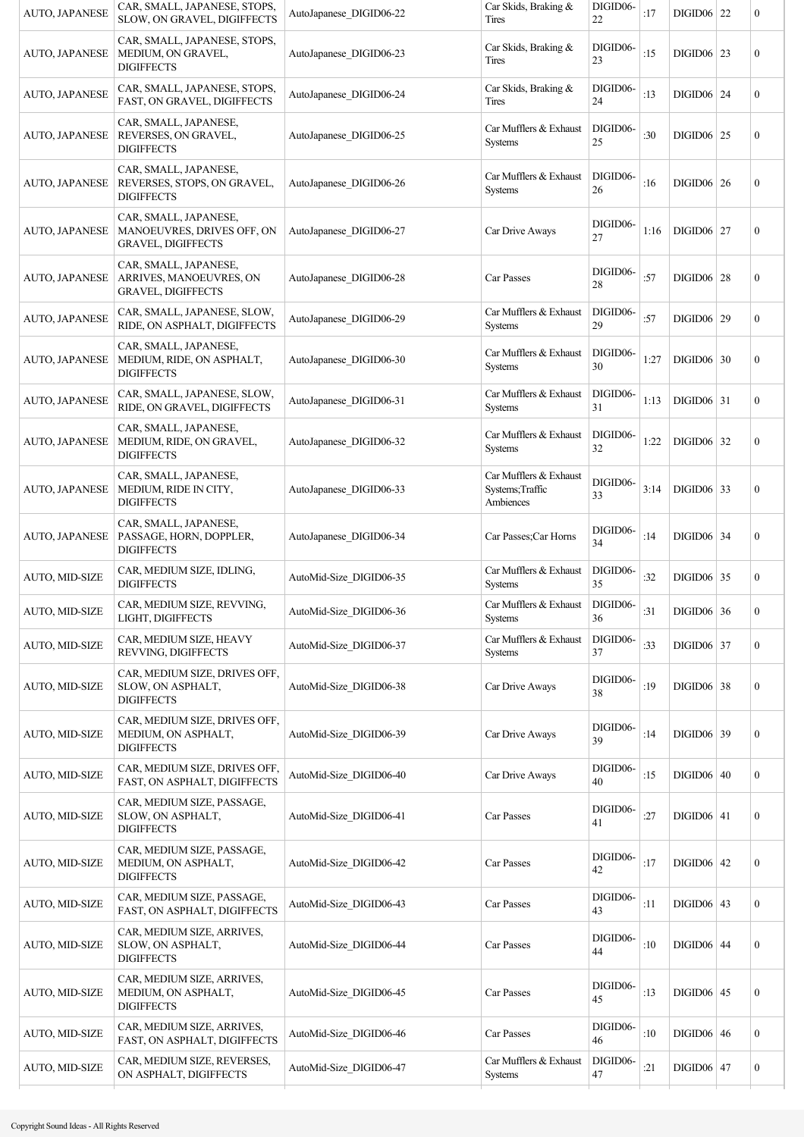| AUTO, JAPANESE        | CAR, SMALL, JAPANESE, STOPS,<br>SLOW, ON GRAVEL, DIGIFFECTS                      | AutoJapanese DIGID06-22 | Car Skids, Braking &<br><b>Tires</b>                    | DIGID06-<br>22 | :17  | $DIGID06$   22    | $\boldsymbol{0}$ |
|-----------------------|----------------------------------------------------------------------------------|-------------------------|---------------------------------------------------------|----------------|------|-------------------|------------------|
| AUTO, JAPANESE        | CAR, SMALL, JAPANESE, STOPS,<br>MEDIUM, ON GRAVEL,<br><b>DIGIFFECTS</b>          | AutoJapanese DIGID06-23 | Car Skids, Braking &<br>Tires                           | DIGID06-<br>23 | :15  | $DIGID06$   23    | $\boldsymbol{0}$ |
| AUTO, JAPANESE        | CAR, SMALL, JAPANESE, STOPS,<br>FAST, ON GRAVEL, DIGIFFECTS                      | AutoJapanese DIGID06-24 | Car Skids, Braking &<br>Tires                           | DIGID06-<br>24 | :13  | $DIGID06$   24    | $\boldsymbol{0}$ |
| AUTO, JAPANESE        | CAR, SMALL, JAPANESE,<br>REVERSES, ON GRAVEL,<br><b>DIGIFFECTS</b>               | AutoJapanese DIGID06-25 | Car Mufflers & Exhaust<br><b>Systems</b>                | DIGID06-<br>25 | :30  | <b>DIGID06</b> 25 | $\boldsymbol{0}$ |
| <b>AUTO, JAPANESE</b> | CAR, SMALL, JAPANESE,<br>REVERSES, STOPS, ON GRAVEL,<br><b>DIGIFFECTS</b>        | AutoJapanese DIGID06-26 | Car Mufflers & Exhaust<br><b>Systems</b>                | DIGID06-<br>26 | :16  | $DIGID06$   26    | $\boldsymbol{0}$ |
| <b>AUTO, JAPANESE</b> | CAR, SMALL, JAPANESE,<br>MANOEUVRES, DRIVES OFF, ON<br><b>GRAVEL, DIGIFFECTS</b> | AutoJapanese DIGID06-27 | Car Drive Aways                                         | DIGID06-<br>27 | 1:16 | $DIGID06$   27    | $\boldsymbol{0}$ |
| <b>AUTO, JAPANESE</b> | CAR, SMALL, JAPANESE,<br>ARRIVES, MANOEUVRES, ON<br><b>GRAVEL, DIGIFFECTS</b>    | AutoJapanese DIGID06-28 | Car Passes                                              | DIGID06-<br>28 | :57  | <b>DIGID06</b> 28 | $\boldsymbol{0}$ |
| AUTO, JAPANESE        | CAR, SMALL, JAPANESE, SLOW,<br>RIDE, ON ASPHALT, DIGIFFECTS                      | AutoJapanese DIGID06-29 | Car Mufflers & Exhaust<br>Systems                       | DIGID06-<br>29 | :57  | DIGID06 29        | $\boldsymbol{0}$ |
| AUTO, JAPANESE        | CAR, SMALL, JAPANESE,<br>MEDIUM, RIDE, ON ASPHALT,<br><b>DIGIFFECTS</b>          | AutoJapanese DIGID06-30 | Car Mufflers & Exhaust<br>Systems                       | DIGID06-<br>30 | 1:27 | $DIGID06$ 30      | $\boldsymbol{0}$ |
| AUTO, JAPANESE        | CAR, SMALL, JAPANESE, SLOW,<br>RIDE, ON GRAVEL, DIGIFFECTS                       | AutoJapanese DIGID06-31 | Car Mufflers & Exhaust<br>Systems                       | DIGID06-<br>31 | 1:13 | $DIGID06$ 31      | $\boldsymbol{0}$ |
| <b>AUTO, JAPANESE</b> | CAR, SMALL, JAPANESE,<br>MEDIUM, RIDE, ON GRAVEL,<br><b>DIGIFFECTS</b>           | AutoJapanese DIGID06-32 | Car Mufflers & Exhaust<br><b>Systems</b>                | DIGID06-<br>32 | 1:22 | $DIGID06$ 32      | $\boldsymbol{0}$ |
| <b>AUTO, JAPANESE</b> | CAR, SMALL, JAPANESE,<br>MEDIUM, RIDE IN CITY,<br><b>DIGIFFECTS</b>              | AutoJapanese DIGID06-33 | Car Mufflers & Exhaust<br>Systems; Traffic<br>Ambiences | DIGID06-<br>33 | 3:14 | $DIGID06$ 33      | $\boldsymbol{0}$ |
| AUTO, JAPANESE        | CAR, SMALL, JAPANESE,<br>PASSAGE, HORN, DOPPLER,<br><b>DIGIFFECTS</b>            | AutoJapanese DIGID06-34 | Car Passes; Car Horns                                   | DIGID06-<br>34 | :14  | <b>DIGID06</b> 34 | $\boldsymbol{0}$ |
| AUTO, MID-SIZE        | CAR, MEDIUM SIZE, IDLING,<br><b>DIGIFFECTS</b>                                   | AutoMid-Size DIGID06-35 | Car Mufflers & Exhaust<br>Systems                       | DIGID06-<br>35 | :32  | $DIGID06$ 35      | $\boldsymbol{0}$ |
| AUTO, MID-SIZE        | CAR, MEDIUM SIZE, REVVING,<br>LIGHT, DIGIFFECTS                                  | AutoMid-Size_DIGID06-36 | Car Mufflers & Exhaust<br><b>Systems</b>                | DIGID06-<br>36 | :31  | DIGID06 36        | $\mathbf{0}$     |
| <b>AUTO, MID-SIZE</b> | CAR, MEDIUM SIZE, HEAVY<br>REVVING, DIGIFFECTS                                   | AutoMid-Size DIGID06-37 | Car Mufflers & Exhaust<br>Systems                       | DIGID06-<br>37 | :33  | $DIGID06$ 37      | $\overline{0}$   |
| AUTO, MID-SIZE        | CAR, MEDIUM SIZE, DRIVES OFF,<br>SLOW, ON ASPHALT,<br><b>DIGIFFECTS</b>          | AutoMid-Size DIGID06-38 | Car Drive Aways                                         | DIGID06-<br>38 | :19  | $DIGID06$ 38      | $\boldsymbol{0}$ |
| AUTO, MID-SIZE        | CAR, MEDIUM SIZE, DRIVES OFF,<br>MEDIUM, ON ASPHALT,<br><b>DIGIFFECTS</b>        | AutoMid-Size DIGID06-39 | Car Drive Aways                                         | DIGID06-<br>39 | :14  | $DIGID06$ 39      | $\boldsymbol{0}$ |
| <b>AUTO, MID-SIZE</b> | CAR, MEDIUM SIZE, DRIVES OFF,<br>FAST, ON ASPHALT, DIGIFFECTS                    | AutoMid-Size DIGID06-40 | Car Drive Aways                                         | DIGID06-<br>40 | :15  | $DIGID06 \mid 40$ | $\boldsymbol{0}$ |
| AUTO, MID-SIZE        | CAR, MEDIUM SIZE, PASSAGE,<br>SLOW, ON ASPHALT,<br><b>DIGIFFECTS</b>             | AutoMid-Size DIGID06-41 | Car Passes                                              | DIGID06-<br>41 | :27  | $DIGID06$ 41      | $\boldsymbol{0}$ |
| <b>AUTO, MID-SIZE</b> | CAR, MEDIUM SIZE, PASSAGE,<br>MEDIUM, ON ASPHALT,<br><b>DIGIFFECTS</b>           | AutoMid-Size DIGID06-42 | Car Passes                                              | DIGID06-<br>42 | :17  | $DIGID06$ 42      | $\boldsymbol{0}$ |
| <b>AUTO, MID-SIZE</b> | CAR, MEDIUM SIZE, PASSAGE,<br>FAST, ON ASPHALT, DIGIFFECTS                       | AutoMid-Size DIGID06-43 | Car Passes                                              | DIGID06-<br>43 | :11  | $DIGID06$ 43      | $\mathbf{0}$     |
| AUTO, MID-SIZE        | CAR, MEDIUM SIZE, ARRIVES,<br>SLOW, ON ASPHALT,<br><b>DIGIFFECTS</b>             | AutoMid-Size DIGID06-44 | Car Passes                                              | DIGID06-<br>44 | :10  | $DIGID06$ 44      | $\boldsymbol{0}$ |
| <b>AUTO, MID-SIZE</b> | CAR, MEDIUM SIZE, ARRIVES,<br>MEDIUM, ON ASPHALT,<br><b>DIGIFFECTS</b>           | AutoMid-Size DIGID06-45 | Car Passes                                              | DIGID06-<br>45 | :13  | $DIGID06$ 45      | $\boldsymbol{0}$ |
| <b>AUTO, MID-SIZE</b> | CAR, MEDIUM SIZE, ARRIVES,<br>FAST, ON ASPHALT, DIGIFFECTS                       | AutoMid-Size DIGID06-46 | Car Passes                                              | DIGID06-<br>46 | :10  | $DIGID06 \mid 46$ | $\boldsymbol{0}$ |
| AUTO, MID-SIZE        | CAR, MEDIUM SIZE, REVERSES,<br>ON ASPHALT, DIGIFFECTS                            | AutoMid-Size DIGID06-47 | Car Mufflers & Exhaust<br>Systems                       | DIGID06-<br>47 | :21  | $DIGID06$   47    | $\boldsymbol{0}$ |
|                       |                                                                                  |                         |                                                         |                |      |                   |                  |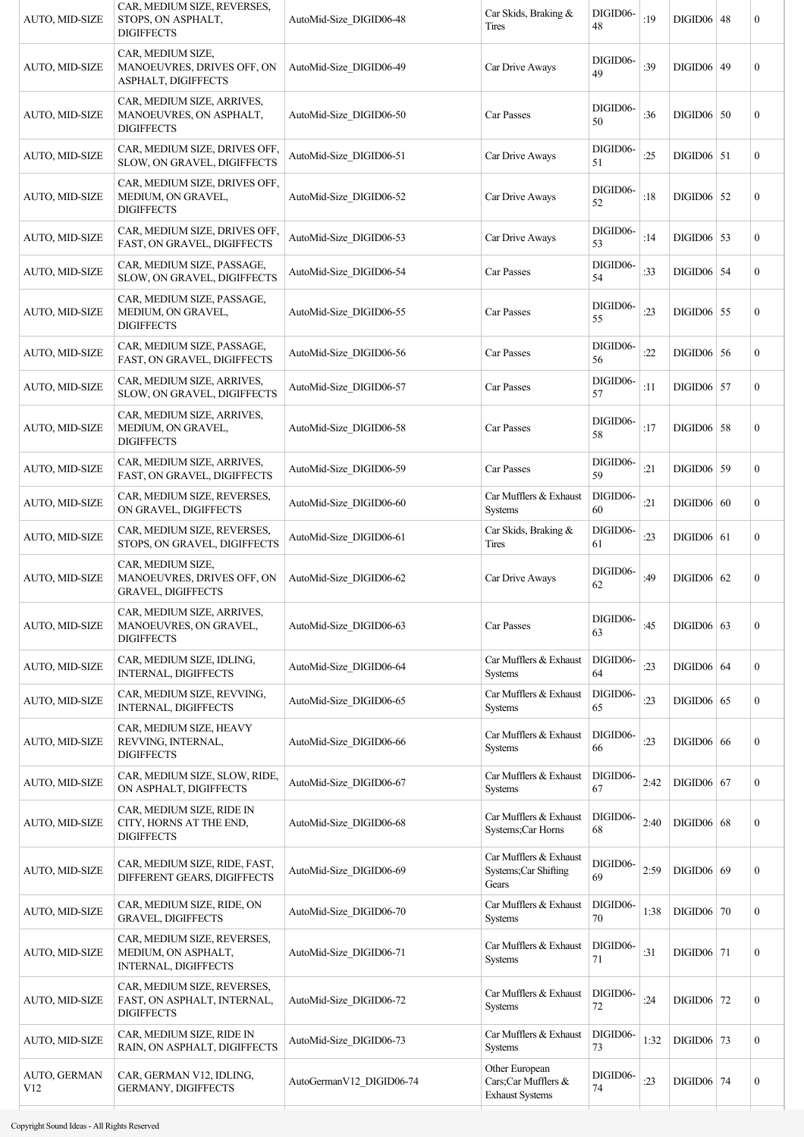| AUTO, MID-SIZE                  | CAR, MEDIUM SIZE, REVERSES,<br>STOPS, ON ASPHALT,<br><b>DIGIFFECTS</b>          | AutoMid-Size DIGID06-48  | Car Skids, Braking &<br><b>Tires</b>                            | DIGID06-<br>48 | :19  | <b>DIGID06 48</b> | $\boldsymbol{0}$ |
|---------------------------------|---------------------------------------------------------------------------------|--------------------------|-----------------------------------------------------------------|----------------|------|-------------------|------------------|
| AUTO, MID-SIZE                  | CAR, MEDIUM SIZE,<br>MANOEUVRES, DRIVES OFF, ON<br>ASPHALT, DIGIFFECTS          | AutoMid-Size DIGID06-49  | Car Drive Aways                                                 | DIGID06-<br>49 | :39  | DIGID06 49        | $\boldsymbol{0}$ |
| AUTO, MID-SIZE                  | CAR, MEDIUM SIZE, ARRIVES,<br>MANOEUVRES, ON ASPHALT,<br><b>DIGIFFECTS</b>      | AutoMid-Size DIGID06-50  | Car Passes                                                      | DIGID06-<br>50 | :36  | $DIGID06$ 50      | $\boldsymbol{0}$ |
| AUTO, MID-SIZE                  | CAR, MEDIUM SIZE, DRIVES OFF,<br>SLOW, ON GRAVEL, DIGIFFECTS                    | AutoMid-Size DIGID06-51  | Car Drive Aways                                                 | DIGID06-<br>51 | :25  | $DIGID06$ 51      | $\overline{0}$   |
| AUTO, MID-SIZE                  | CAR, MEDIUM SIZE, DRIVES OFF,<br>MEDIUM, ON GRAVEL,<br><b>DIGIFFECTS</b>        | AutoMid-Size DIGID06-52  | Car Drive Aways                                                 | DIGID06-<br>52 | :18  | $DIGID06$ 52      | $\boldsymbol{0}$ |
| AUTO, MID-SIZE                  | CAR, MEDIUM SIZE, DRIVES OFF,<br>FAST, ON GRAVEL, DIGIFFECTS                    | AutoMid-Size DIGID06-53  | Car Drive Aways                                                 | DIGID06-<br>53 | :14  | $DIGID06$ 53      | $\boldsymbol{0}$ |
| AUTO, MID-SIZE                  | CAR, MEDIUM SIZE, PASSAGE,<br>SLOW, ON GRAVEL, DIGIFFECTS                       | AutoMid-Size DIGID06-54  | Car Passes                                                      | DIGID06-<br>54 | :33  | $DIGID06$ 54      | $\mathbf{0}$     |
| AUTO, MID-SIZE                  | CAR, MEDIUM SIZE, PASSAGE,<br>MEDIUM, ON GRAVEL,<br><b>DIGIFFECTS</b>           | AutoMid-Size DIGID06-55  | Car Passes                                                      | DIGID06-<br>55 | : 23 | $DIGID06$ 55      | $\boldsymbol{0}$ |
| AUTO, MID-SIZE                  | CAR, MEDIUM SIZE, PASSAGE,<br>FAST, ON GRAVEL, DIGIFFECTS                       | AutoMid-Size DIGID06-56  | Car Passes                                                      | DIGID06-<br>56 | :22  | $DIGID06$ 56      | $\boldsymbol{0}$ |
| AUTO, MID-SIZE                  | CAR, MEDIUM SIZE, ARRIVES,<br>SLOW, ON GRAVEL, DIGIFFECTS                       | AutoMid-Size DIGID06-57  | Car Passes                                                      | DIGID06-<br>57 | :11  | $DIGID06$ 57      | $\boldsymbol{0}$ |
| AUTO, MID-SIZE                  | CAR, MEDIUM SIZE, ARRIVES,<br>MEDIUM, ON GRAVEL,<br><b>DIGIFFECTS</b>           | AutoMid-Size DIGID06-58  | Car Passes                                                      | DIGID06-<br>58 | :17  | $DIGID06$ 58      | $\boldsymbol{0}$ |
| AUTO, MID-SIZE                  | CAR, MEDIUM SIZE, ARRIVES,<br>FAST, ON GRAVEL, DIGIFFECTS                       | AutoMid-Size DIGID06-59  | Car Passes                                                      | DIGID06-<br>59 | :21  | $DIGID06$ 59      | $\boldsymbol{0}$ |
| AUTO, MID-SIZE                  | CAR, MEDIUM SIZE, REVERSES,<br>ON GRAVEL, DIGIFFECTS                            | AutoMid-Size DIGID06-60  | Car Mufflers & Exhaust<br><b>Systems</b>                        | DIGID06-<br>60 | :21  | DIGID06   60      | $\boldsymbol{0}$ |
| AUTO, MID-SIZE                  | CAR, MEDIUM SIZE, REVERSES,<br>STOPS, ON GRAVEL, DIGIFFECTS                     | AutoMid-Size DIGID06-61  | Car Skids, Braking &<br>Tires                                   | DIGID06-<br>61 | :23  | $DIGID06$ 61      | $\boldsymbol{0}$ |
| AUTO, MID-SIZE                  | CAR, MEDIUM SIZE,<br>MANOEUVRES, DRIVES OFF, ON<br><b>GRAVEL, DIGIFFECTS</b>    | AutoMid-Size DIGID06-62  | Car Drive Aways                                                 | DIGID06-<br>62 | :49  | $DIGID06$ 62      | $\boldsymbol{0}$ |
| AUTO, MID-SIZE                  | CAR, MEDIUM SIZE, ARRIVES,<br>MANOEUVRES, ON GRAVEL,<br><b>DIGIFFECTS</b>       | AutoMid-Size DIGID06-63  | Car Passes                                                      | DIGID06-<br>63 | :45  | $DIGID06$ 63      | $\boldsymbol{0}$ |
| AUTO, MID-SIZE                  | CAR, MEDIUM SIZE, IDLING,<br><b>INTERNAL, DIGIFFECTS</b>                        | AutoMid-Size DIGID06-64  | Car Mufflers & Exhaust<br>Systems                               | DIGID06-<br>64 | : 23 | $DIGID06$ 64      | $\boldsymbol{0}$ |
| AUTO, MID-SIZE                  | CAR, MEDIUM SIZE, REVVING,<br><b>INTERNAL, DIGIFFECTS</b>                       | AutoMid-Size DIGID06-65  | Car Mufflers & Exhaust<br>Systems                               | DIGID06-<br>65 | :23  | $DIGID06$ 65      | $\boldsymbol{0}$ |
| AUTO, MID-SIZE                  | CAR, MEDIUM SIZE, HEAVY<br>REVVING, INTERNAL,<br><b>DIGIFFECTS</b>              | AutoMid-Size DIGID06-66  | Car Mufflers & Exhaust<br><b>Systems</b>                        | DIGID06-<br>66 | : 23 | $DIGID06$ 66      | $\boldsymbol{0}$ |
| AUTO, MID-SIZE                  | CAR, MEDIUM SIZE, SLOW, RIDE,<br>ON ASPHALT, DIGIFFECTS                         | AutoMid-Size DIGID06-67  | Car Mufflers & Exhaust<br>Systems                               | DIGID06-<br>67 | 2:42 | $DIGID06$ 67      | $\boldsymbol{0}$ |
| AUTO, MID-SIZE                  | CAR, MEDIUM SIZE, RIDE IN<br>CITY, HORNS AT THE END,<br><b>DIGIFFECTS</b>       | AutoMid-Size DIGID06-68  | Car Mufflers & Exhaust<br>Systems;Car Horns                     | DIGID06-<br>68 | 2:40 | $DIGID06$ 68      | $\boldsymbol{0}$ |
| AUTO, MID-SIZE                  | CAR, MEDIUM SIZE, RIDE, FAST,<br>DIFFERENT GEARS, DIGIFFECTS                    | AutoMid-Size_DIGID06-69  | Car Mufflers & Exhaust<br>Systems; Car Shifting<br>Gears        | DIGID06-<br>69 | 2:59 | $DIGID06$ 69      | $\boldsymbol{0}$ |
| AUTO, MID-SIZE                  | CAR, MEDIUM SIZE, RIDE, ON<br><b>GRAVEL, DIGIFFECTS</b>                         | AutoMid-Size DIGID06-70  | Car Mufflers & Exhaust<br>Systems                               | DIGID06-<br>70 | 1:38 | $DIGID06$ 70      | $\boldsymbol{0}$ |
| AUTO, MID-SIZE                  | CAR, MEDIUM SIZE, REVERSES,<br>MEDIUM, ON ASPHALT,<br>INTERNAL, DIGIFFECTS      | AutoMid-Size DIGID06-71  | Car Mufflers & Exhaust<br><b>Systems</b>                        | DIGID06-<br>71 | :31  | $DIGID06$ 71      | $\boldsymbol{0}$ |
| AUTO, MID-SIZE                  | CAR, MEDIUM SIZE, REVERSES,<br>FAST, ON ASPHALT, INTERNAL,<br><b>DIGIFFECTS</b> | AutoMid-Size DIGID06-72  | Car Mufflers & Exhaust<br>Systems                               | DIGID06-<br>72 | :24  | $DIGID06$ 72      | $\boldsymbol{0}$ |
| AUTO, MID-SIZE                  | CAR, MEDIUM SIZE, RIDE IN<br>RAIN, ON ASPHALT, DIGIFFECTS                       | AutoMid-Size DIGID06-73  | Car Mufflers & Exhaust<br>Systems                               | DIGID06-<br>73 | 1:32 | $DIGID06$ 73      | $\boldsymbol{0}$ |
| AUTO, GERMAN<br>V <sub>12</sub> | CAR, GERMAN V12, IDLING,<br><b>GERMANY, DIGIFFECTS</b>                          | AutoGermanV12 DIGID06-74 | Other European<br>Cars;Car Mufflers &<br><b>Exhaust Systems</b> | DIGID06-<br>74 | : 23 | <b>DIGID06</b> 74 | $\boldsymbol{0}$ |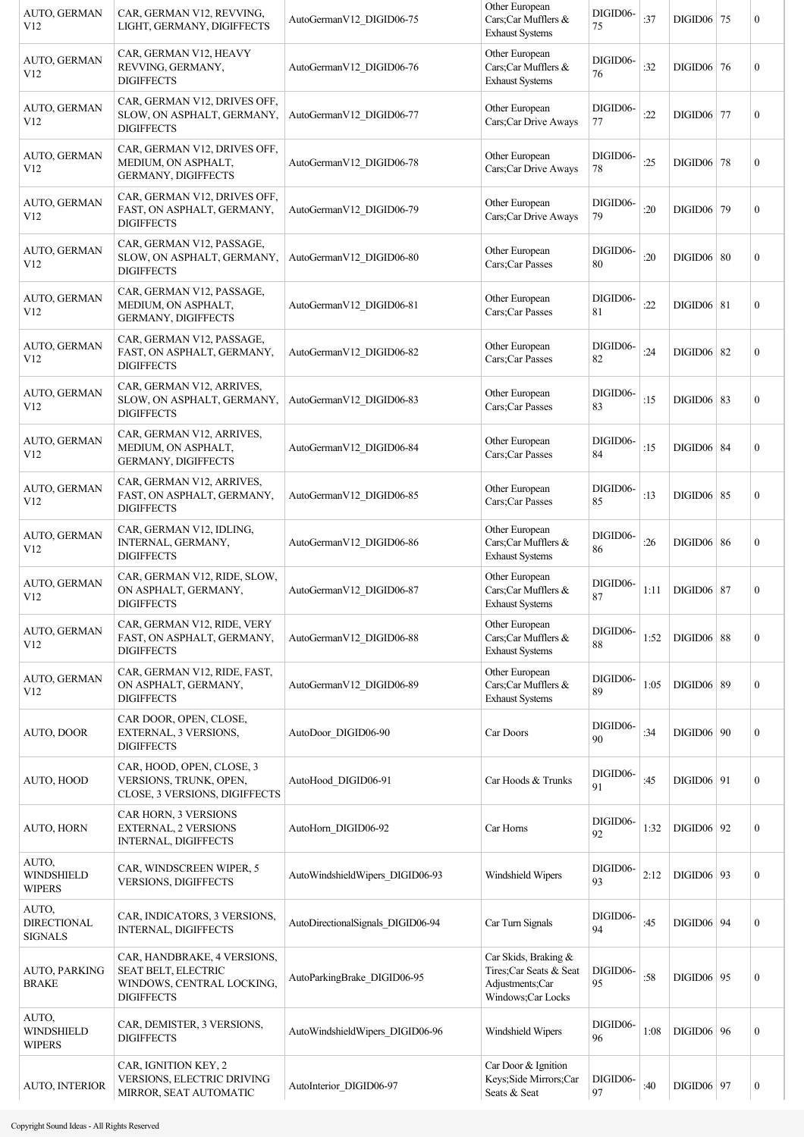| <b>AUTO, GERMAN</b><br>V <sub>12</sub>        | CAR, GERMAN V12, REVVING,<br>LIGHT, GERMANY, DIGIFFECTS                                                     | AutoGermanV12 DIGID06-75          | Other European<br>Cars;Car Mufflers &<br><b>Exhaust Systems</b>                        | DIGID06-<br>75 | :37  | $DIGID06$ 75      | $\boldsymbol{0}$ |
|-----------------------------------------------|-------------------------------------------------------------------------------------------------------------|-----------------------------------|----------------------------------------------------------------------------------------|----------------|------|-------------------|------------------|
| AUTO, GERMAN<br>V12                           | CAR, GERMAN V12, HEAVY<br>REVVING, GERMANY,<br><b>DIGIFFECTS</b>                                            | AutoGermanV12 DIGID06-76          | Other European<br>Cars;Car Mufflers &<br><b>Exhaust Systems</b>                        | DIGID06-<br>76 | :32  | DIGID06 76        | $\boldsymbol{0}$ |
| AUTO, GERMAN<br>V12                           | CAR, GERMAN V12, DRIVES OFF,<br>SLOW, ON ASPHALT, GERMANY,<br><b>DIGIFFECTS</b>                             | AutoGermanV12 DIGID06-77          | Other European<br>Cars;Car Drive Aways                                                 | DIGID06-<br>77 | :22  | DIGID06 77        | $\boldsymbol{0}$ |
| AUTO, GERMAN<br>V <sub>12</sub>               | CAR, GERMAN V12, DRIVES OFF,<br>MEDIUM, ON ASPHALT,<br>GERMANY, DIGIFFECTS                                  | AutoGermanV12 DIGID06-78          | Other European<br>Cars;Car Drive Aways                                                 | DIGID06-<br>78 | :25  | <b>DIGID06</b> 78 | $\boldsymbol{0}$ |
| AUTO, GERMAN<br>V12                           | CAR, GERMAN V12, DRIVES OFF,<br>FAST, ON ASPHALT, GERMANY,<br><b>DIGIFFECTS</b>                             | AutoGermanV12 DIGID06-79          | Other European<br>Cars;Car Drive Aways                                                 | DIGID06-<br>79 | :20  | DIGID06 79        | $\mathbf{0}$     |
| AUTO, GERMAN<br>V <sub>12</sub>               | CAR, GERMAN V12, PASSAGE,<br>SLOW, ON ASPHALT, GERMANY,<br><b>DIGIFFECTS</b>                                | AutoGermanV12 DIGID06-80          | Other European<br>Cars;Car Passes                                                      | DIGID06-<br>80 | :20  | $DIGID06$ 80      | $\boldsymbol{0}$ |
| AUTO, GERMAN<br>V <sub>12</sub>               | CAR, GERMAN V12, PASSAGE,<br>MEDIUM, ON ASPHALT,<br><b>GERMANY, DIGIFFECTS</b>                              | AutoGermanV12 DIGID06-81          | Other European<br>Cars;Car Passes                                                      | DIGID06-<br>81 | :22  | $DIGID06$   81    | $\mathbf{0}$     |
| AUTO, GERMAN<br>V <sub>12</sub>               | CAR, GERMAN V12, PASSAGE,<br>FAST, ON ASPHALT, GERMANY,<br><b>DIGIFFECTS</b>                                | AutoGermanV12_DIGID06-82          | Other European<br>Cars;Car Passes                                                      | DIGID06-<br>82 | :24  | DIGID06 82        | $\boldsymbol{0}$ |
| AUTO, GERMAN<br>V12                           | CAR, GERMAN V12, ARRIVES,<br>SLOW, ON ASPHALT, GERMANY,<br><b>DIGIFFECTS</b>                                | AutoGermanV12 DIGID06-83          | Other European<br>Cars; Car Passes                                                     | DIGID06-<br>83 | :15  | DIGID06 83        | $\mathbf{0}$     |
| AUTO, GERMAN<br>V <sub>12</sub>               | CAR, GERMAN V12, ARRIVES,<br>MEDIUM, ON ASPHALT,<br>GERMANY, DIGIFFECTS                                     | AutoGermanV12 DIGID06-84          | Other European<br>Cars;Car Passes                                                      | DIGID06-<br>84 | :15  | $DIGID06$ 84      | $\boldsymbol{0}$ |
| AUTO, GERMAN<br>V12                           | CAR, GERMAN V12, ARRIVES,<br>FAST, ON ASPHALT, GERMANY,<br><b>DIGIFFECTS</b>                                | AutoGermanV12 DIGID06-85          | Other European<br>Cars; Car Passes                                                     | DIGID06-<br>85 | :13  | <b>DIGID06</b> 85 | $\boldsymbol{0}$ |
| AUTO, GERMAN<br>V12                           | CAR, GERMAN V12, IDLING,<br>INTERNAL, GERMANY,<br><b>DIGIFFECTS</b>                                         | AutoGermanV12 DIGID06-86          | Other European<br>Cars;Car Mufflers &<br><b>Exhaust Systems</b>                        | DIGID06-<br>86 | :26  | $DIGID06$ 86      | $\boldsymbol{0}$ |
| AUTO, GERMAN<br>V12                           | CAR, GERMAN V12, RIDE, SLOW,<br>ON ASPHALT, GERMANY,<br><b>DIGIFFECTS</b>                                   | AutoGermanV12 DIGID06-87          | Other European<br>Cars;Car Mufflers &<br><b>Exhaust Systems</b>                        | DIGID06-<br>87 | 1:11 | <b>DIGID06</b> 87 | $\boldsymbol{0}$ |
| AUTO, GERMAN<br>V12                           | CAR, GERMAN V12, RIDE, VERY<br>FAST, ON ASPHALT, GERMANY,<br><b>DIGIFFECTS</b>                              | AutoGermanV12 DIGID06-88          | Other European<br>Cars;Car Mufflers &<br><b>Exhaust Systems</b>                        | DIGID06-<br>88 | 1:52 | $DIGID06$ 88      | $\boldsymbol{0}$ |
| AUTO, GERMAN<br>V12                           | CAR, GERMAN V12, RIDE, FAST,<br>ON ASPHALT, GERMANY,<br><b>DIGIFFECTS</b>                                   | AutoGermanV12 DIGID06-89          | Other European<br>Cars;Car Mufflers &<br><b>Exhaust Systems</b>                        | DIGID06-<br>89 | 1:05 | $DIGID06$ 89      | $\boldsymbol{0}$ |
| AUTO, DOOR                                    | CAR DOOR, OPEN, CLOSE,<br>EXTERNAL, 3 VERSIONS,<br><b>DIGIFFECTS</b>                                        | AutoDoor DIGID06-90               | Car Doors                                                                              | DIGID06-<br>90 | :34  | $DIGID06$   90    | $\boldsymbol{0}$ |
| AUTO, HOOD                                    | CAR, HOOD, OPEN, CLOSE, 3<br>VERSIONS, TRUNK, OPEN,<br>CLOSE, 3 VERSIONS, DIGIFFECTS                        | AutoHood DIGID06-91               | Car Hoods & Trunks                                                                     | DIGID06-<br>91 | :45  | $DIGID06$   91    | $\boldsymbol{0}$ |
| <b>AUTO, HORN</b>                             | <b>CAR HORN, 3 VERSIONS</b><br>EXTERNAL, 2 VERSIONS<br>INTERNAL, DIGIFFECTS                                 | AutoHorn DIGID06-92               | Car Horns                                                                              | DIGID06-<br>92 | 1:32 | DIGID06 92        | $\boldsymbol{0}$ |
| AUTO,<br><b>WINDSHIELD</b><br><b>WIPERS</b>   | CAR, WINDSCREEN WIPER, 5<br><b>VERSIONS, DIGIFFECTS</b>                                                     | AutoWindshieldWipers_DIGID06-93   | Windshield Wipers                                                                      | DIGID06-<br>93 | 2:12 | DIGID06 93        | $\boldsymbol{0}$ |
| AUTO,<br><b>DIRECTIONAL</b><br><b>SIGNALS</b> | CAR, INDICATORS, 3 VERSIONS,<br><b>INTERNAL, DIGIFFECTS</b>                                                 | AutoDirectionalSignals_DIGID06-94 | Car Turn Signals                                                                       | DIGID06-<br>94 | :45  | $DIGID06$ 94      | $\boldsymbol{0}$ |
| <b>AUTO, PARKING</b><br><b>BRAKE</b>          | CAR, HANDBRAKE, 4 VERSIONS,<br><b>SEAT BELT, ELECTRIC</b><br>WINDOWS, CENTRAL LOCKING,<br><b>DIGIFFECTS</b> | AutoParkingBrake_DIGID06-95       | Car Skids, Braking &<br>Tires;Car Seats & Seat<br>Adjustments;Car<br>Windows;Car Locks | DIGID06-<br>95 | :58  | DIGID06 95        | $\boldsymbol{0}$ |
| AUTO,<br>WINDSHIELD<br><b>WIPERS</b>          | CAR, DEMISTER, 3 VERSIONS,<br><b>DIGIFFECTS</b>                                                             | AutoWindshieldWipers_DIGID06-96   | Windshield Wipers                                                                      | DIGID06-<br>96 | 1:08 | $DIGID06$   96    | $\boldsymbol{0}$ |
| <b>AUTO, INTERIOR</b>                         | CAR, IGNITION KEY, 2<br><b>VERSIONS, ELECTRIC DRIVING</b><br>MIRROR, SEAT AUTOMATIC                         | AutoInterior DIGID06-97           | Car Door & Ignition<br>Keys; Side Mirrors; Car<br>Seats & Seat                         | DIGID06-<br>97 | :40  | DIGID06 97        | $\boldsymbol{0}$ |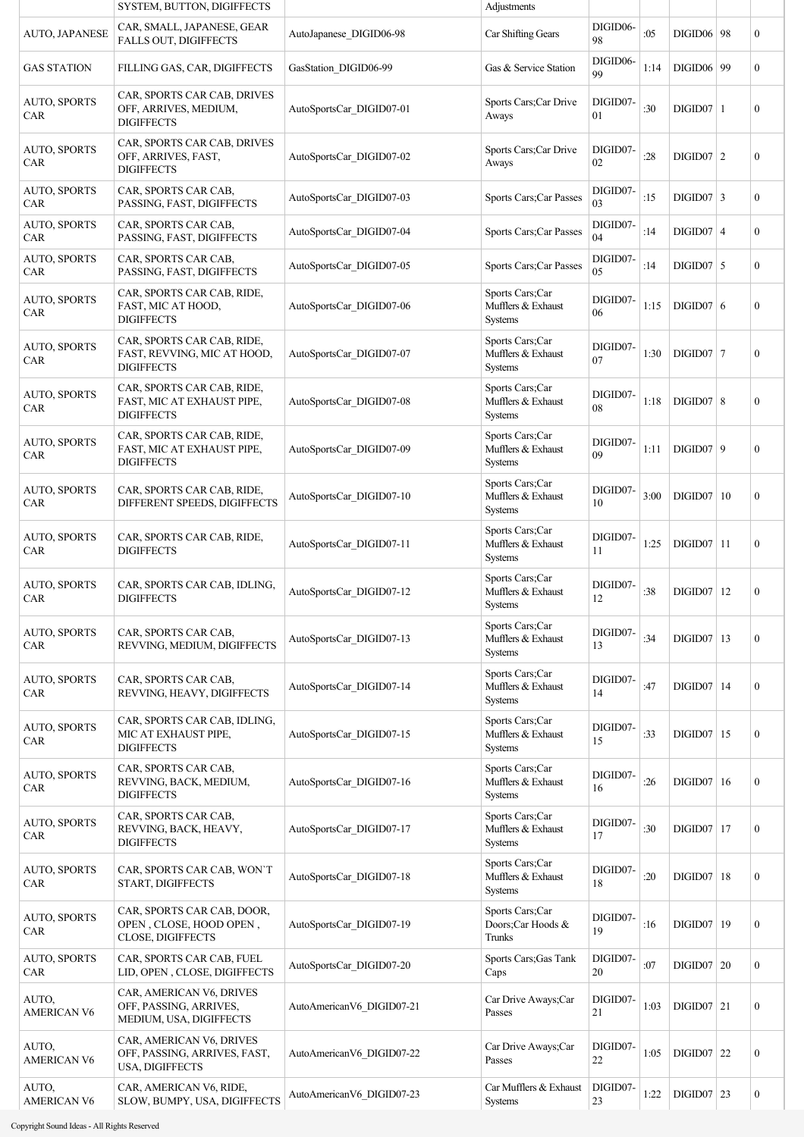|                                   | SYSTEM, BUTTON, DIGIFFECTS                                                        |                           | Adjustments                                             |                |      |                   |                  |
|-----------------------------------|-----------------------------------------------------------------------------------|---------------------------|---------------------------------------------------------|----------------|------|-------------------|------------------|
| AUTO, JAPANESE                    | CAR, SMALL, JAPANESE, GEAR<br>FALLS OUT, DIGIFFECTS                               | AutoJapanese DIGID06-98   | Car Shifting Gears                                      | DIGID06-<br>98 | :05  | <b>DIGID06</b> 98 | $\overline{0}$   |
| <b>GAS STATION</b>                | FILLING GAS, CAR, DIGIFFECTS                                                      | GasStation_DIGID06-99     | Gas & Service Station                                   | DIGID06-<br>99 | 1:14 | DIGID06 99        | $\mathbf{0}$     |
| <b>AUTO, SPORTS</b><br>CAR        | CAR, SPORTS CAR CAB, DRIVES<br>OFF, ARRIVES, MEDIUM,<br><b>DIGIFFECTS</b>         | AutoSportsCar DIGID07-01  | Sports Cars; Car Drive<br>Aways                         | DIGID07-<br>01 | :30  | $DIGID07$   1     | $\boldsymbol{0}$ |
| <b>AUTO, SPORTS</b><br>CAR        | CAR, SPORTS CAR CAB, DRIVES<br>OFF, ARRIVES, FAST,<br><b>DIGIFFECTS</b>           | AutoSportsCar DIGID07-02  | Sports Cars; Car Drive<br>Aways                         | DIGID07-<br>02 | :28  | $DIGID07$   2     | 0                |
| <b>AUTO, SPORTS</b><br><b>CAR</b> | CAR, SPORTS CAR CAB,<br>PASSING, FAST, DIGIFFECTS                                 | AutoSportsCar DIGID07-03  | Sports Cars; Car Passes                                 | DIGID07-<br>03 | :15  | $DIGID07$ 3       | $\boldsymbol{0}$ |
| <b>AUTO, SPORTS</b><br><b>CAR</b> | CAR, SPORTS CAR CAB,<br>PASSING, FAST, DIGIFFECTS                                 | AutoSportsCar DIGID07-04  | Sports Cars; Car Passes                                 | DIGID07-<br>04 | :14  | $DIGID07$ 4       | $\boldsymbol{0}$ |
| <b>AUTO, SPORTS</b><br>CAR        | CAR, SPORTS CAR CAB,<br>PASSING, FAST, DIGIFFECTS                                 | AutoSportsCar DIGID07-05  | Sports Cars; Car Passes                                 | DIGID07-<br>05 | :14  | $DIGID07$ 5       | $\boldsymbol{0}$ |
| <b>AUTO, SPORTS</b><br><b>CAR</b> | CAR, SPORTS CAR CAB, RIDE,<br>FAST, MIC AT HOOD,<br><b>DIGIFFECTS</b>             | AutoSportsCar DIGID07-06  | Sports Cars;Car<br>Mufflers & Exhaust<br><b>Systems</b> | DIGID07-<br>06 | 1:15 | $DIGID07$ 6       | $\boldsymbol{0}$ |
| <b>AUTO, SPORTS</b><br><b>CAR</b> | CAR, SPORTS CAR CAB, RIDE,<br>FAST, REVVING, MIC AT HOOD,<br><b>DIGIFFECTS</b>    | AutoSportsCar DIGID07-07  | Sports Cars;Car<br>Mufflers & Exhaust<br>Systems        | DIGID07-<br>07 | 1:30 | $DIGID07$   7     | $\boldsymbol{0}$ |
| <b>AUTO, SPORTS</b><br><b>CAR</b> | CAR, SPORTS CAR CAB, RIDE,<br>FAST, MIC AT EXHAUST PIPE,<br><b>DIGIFFECTS</b>     | AutoSportsCar DIGID07-08  | Sports Cars;Car<br>Mufflers & Exhaust<br>Systems        | DIGID07-<br>08 | 1:18 | DIGID07   8       | $\boldsymbol{0}$ |
| <b>AUTO, SPORTS</b><br>CAR        | CAR, SPORTS CAR CAB, RIDE,<br>FAST, MIC AT EXHAUST PIPE,<br><b>DIGIFFECTS</b>     | AutoSportsCar DIGID07-09  | Sports Cars;Car<br>Mufflers & Exhaust<br><b>Systems</b> | DIGID07-<br>09 | 1:11 | DIGID07   9       | $\boldsymbol{0}$ |
| <b>AUTO, SPORTS</b><br>CAR        | CAR, SPORTS CAR CAB, RIDE,<br>DIFFERENT SPEEDS, DIGIFFECTS                        | AutoSportsCar DIGID07-10  | Sports Cars;Car<br>Mufflers & Exhaust<br><b>Systems</b> | DIGID07-<br>10 | 3:00 | DIGID07   10      | 0                |
| <b>AUTO, SPORTS</b><br><b>CAR</b> | CAR, SPORTS CAR CAB, RIDE,<br><b>DIGIFFECTS</b>                                   | AutoSportsCar_DIGID07-11  | Sports Cars;Car<br>Mufflers & Exhaust<br><b>Systems</b> | DIGID07-<br>11 | 1:25 | $DIGID07$   11    | $\boldsymbol{0}$ |
| <b>AUTO, SPORTS</b><br><b>CAR</b> | CAR, SPORTS CAR CAB, IDLING,<br><b>DIGIFFECTS</b>                                 | AutoSportsCar DIGID07-12  | Sports Cars;Car<br>Mufflers & Exhaust<br><b>Systems</b> | DIGID07-<br>12 | :38  | $DIGID07$ 12      | $\boldsymbol{0}$ |
| <b>AUTO, SPORTS</b><br>CAR        | CAR, SPORTS CAR CAB,<br>REVVING, MEDIUM, DIGIFFECTS                               | AutoSportsCar DIGID07-13  | Sports Cars;Car<br>Mufflers & Exhaust<br>Systems        | DIGID07-<br>13 | :34  | $DIGID07$ 13      | $\boldsymbol{0}$ |
| <b>AUTO, SPORTS</b><br><b>CAR</b> | CAR, SPORTS CAR CAB,<br>REVVING, HEAVY, DIGIFFECTS                                | AutoSportsCar_DIGID07-14  | Sports Cars;Car<br>Mufflers & Exhaust<br><b>Systems</b> | DIGID07-<br>14 | :47  | $DIGID07$ 14      | $\boldsymbol{0}$ |
| <b>AUTO, SPORTS</b><br><b>CAR</b> | CAR, SPORTS CAR CAB, IDLING,<br>MIC AT EXHAUST PIPE,<br><b>DIGIFFECTS</b>         | AutoSportsCar_DIGID07-15  | Sports Cars;Car<br>Mufflers & Exhaust<br>Systems        | DIGID07-<br>15 | :33  | $DIGID07$ 15      | $\boldsymbol{0}$ |
| <b>AUTO, SPORTS</b><br>CAR        | CAR, SPORTS CAR CAB,<br>REVVING, BACK, MEDIUM,<br><b>DIGIFFECTS</b>               | AutoSportsCar DIGID07-16  | Sports Cars;Car<br>Mufflers & Exhaust<br><b>Systems</b> | DIGID07-<br>16 | :26  | $DIGID07$ 16      | $\boldsymbol{0}$ |
| <b>AUTO, SPORTS</b><br>CAR        | CAR, SPORTS CAR CAB,<br>REVVING, BACK, HEAVY,<br><b>DIGIFFECTS</b>                | AutoSportsCar_DIGID07-17  | Sports Cars;Car<br>Mufflers & Exhaust<br>Systems        | DIGID07-<br>17 | :30  | $DIGID07$ 17      | $\boldsymbol{0}$ |
| <b>AUTO, SPORTS</b><br><b>CAR</b> | CAR, SPORTS CAR CAB, WON'T<br>START, DIGIFFECTS                                   | AutoSportsCar_DIGID07-18  | Sports Cars;Car<br>Mufflers & Exhaust<br><b>Systems</b> | DIGID07-<br>18 | :20  | $DIGID07$   18    | $\boldsymbol{0}$ |
| AUTO, SPORTS<br><b>CAR</b>        | CAR, SPORTS CAR CAB, DOOR,<br>OPEN, CLOSE, HOOD OPEN,<br><b>CLOSE, DIGIFFECTS</b> | AutoSportsCar_DIGID07-19  | Sports Cars;Car<br>Doors;Car Hoods &<br>Trunks          | DIGID07-<br>19 | :16  | $DIGID07$   19    | $\boldsymbol{0}$ |
| <b>AUTO, SPORTS</b><br>CAR        | CAR, SPORTS CAR CAB, FUEL<br>LID, OPEN, CLOSE, DIGIFFECTS                         | AutoSportsCar_DIGID07-20  | Sports Cars; Gas Tank<br>Caps                           | DIGID07-<br>20 | :07  | DIGID07   20      | $\boldsymbol{0}$ |
| AUTO,<br><b>AMERICAN V6</b>       | CAR, AMERICAN V6, DRIVES<br>OFF, PASSING, ARRIVES,<br>MEDIUM, USA, DIGIFFECTS     | AutoAmericanV6 DIGID07-21 | Car Drive Aways;Car<br>Passes                           | DIGID07-<br>21 | 1:03 | $DIGID07$ 21      | $\boldsymbol{0}$ |
| AUTO,<br><b>AMERICAN V6</b>       | CAR, AMERICAN V6, DRIVES<br>OFF, PASSING, ARRIVES, FAST,<br>USA, DIGIFFECTS       | AutoAmericanV6 DIGID07-22 | Car Drive Aways;Car<br>Passes                           | DIGID07-<br>22 | 1:05 | $DIGID07$ 22      | $\boldsymbol{0}$ |
| AUTO,<br><b>AMERICAN V6</b>       | CAR, AMERICAN V6, RIDE,<br>SLOW, BUMPY, USA, DIGIFFECTS                           | AutoAmericanV6 DIGID07-23 | Car Mufflers & Exhaust<br><b>Systems</b>                | DIGID07-<br>23 | 1:22 | $DIGID07$ 23      | $\boldsymbol{0}$ |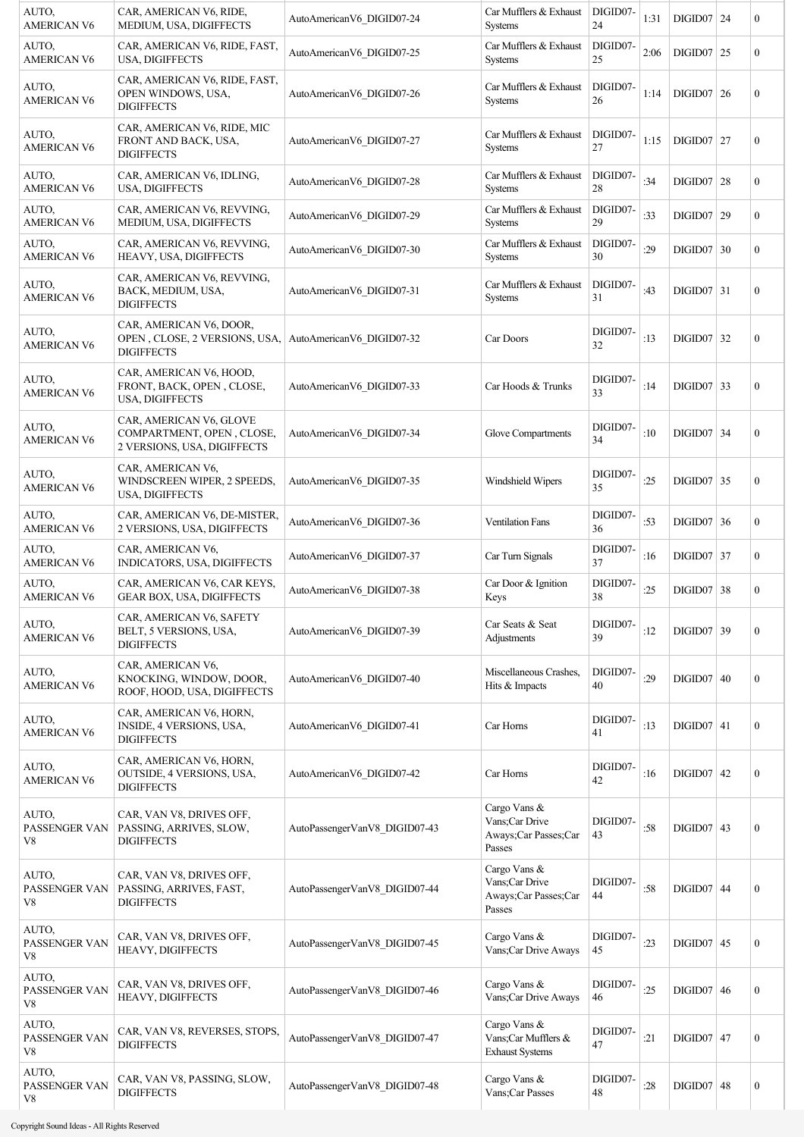| AUTO.<br>AMERICAN V6                 | CAR, AMERICAN V6, RIDE,<br>MEDIUM, USA, DIGIFFECTS                                  | AutoAmericanV6 DIGID07-24     | Car Mufflers & Exhaust<br>Systems                                | DIGID07-<br>24 | 1:31 | $DIGID07$   24 | $\mathbf{0}$     |
|--------------------------------------|-------------------------------------------------------------------------------------|-------------------------------|------------------------------------------------------------------|----------------|------|----------------|------------------|
| AUTO,<br><b>AMERICAN V6</b>          | CAR, AMERICAN V6, RIDE, FAST,<br>USA, DIGIFFECTS                                    | AutoAmericanV6 DIGID07-25     | Car Mufflers & Exhaust<br><b>Systems</b>                         | DIGID07-<br>25 | 2:06 | $DIGID07$ 25   | $\boldsymbol{0}$ |
| AUTO,<br><b>AMERICAN V6</b>          | CAR, AMERICAN V6, RIDE, FAST,<br>OPEN WINDOWS, USA,<br><b>DIGIFFECTS</b>            | AutoAmericanV6 DIGID07-26     | Car Mufflers & Exhaust<br><b>Systems</b>                         | DIGID07-<br>26 | 1:14 | $DIGID07$ 26   | $\boldsymbol{0}$ |
| AUTO,<br><b>AMERICAN V6</b>          | CAR, AMERICAN V6, RIDE, MIC<br>FRONT AND BACK, USA,<br><b>DIGIFFECTS</b>            | AutoAmericanV6 DIGID07-27     | Car Mufflers & Exhaust<br><b>Systems</b>                         | DIGID07-<br>27 | 1:15 | $DIGID07$ 27   | $\boldsymbol{0}$ |
| AUTO.<br>AMERICAN V6                 | CAR, AMERICAN V6, IDLING,<br>USA, DIGIFFECTS                                        | AutoAmericanV6 DIGID07-28     | Car Mufflers & Exhaust<br><b>Systems</b>                         | DIGID07-<br>28 | :34  | $DIGID07$ 28   | $\boldsymbol{0}$ |
| AUTO,<br><b>AMERICAN V6</b>          | CAR, AMERICAN V6, REVVING,<br>MEDIUM, USA, DIGIFFECTS                               | AutoAmericanV6 DIGID07-29     | Car Mufflers & Exhaust<br>Systems                                | DIGID07-<br>29 | :33  | DIGID07   29   | $\boldsymbol{0}$ |
| AUTO,<br><b>AMERICAN V6</b>          | CAR, AMERICAN V6, REVVING,<br>HEAVY, USA, DIGIFFECTS                                | AutoAmericanV6 DIGID07-30     | Car Mufflers & Exhaust<br>Systems                                | DIGID07-<br>30 | :29  | $DIGID07$ 30   | $\boldsymbol{0}$ |
| AUTO,<br><b>AMERICAN V6</b>          | CAR, AMERICAN V6, REVVING,<br>BACK, MEDIUM, USA,<br><b>DIGIFFECTS</b>               | AutoAmericanV6 DIGID07-31     | Car Mufflers & Exhaust<br><b>Systems</b>                         | DIGID07-<br>31 | :43  | $DIGID07$ 31   | $\boldsymbol{0}$ |
| AUTO,<br><b>AMERICAN V6</b>          | CAR, AMERICAN V6, DOOR,<br>OPEN, CLOSE, 2 VERSIONS, USA,<br><b>DIGIFFECTS</b>       | AutoAmericanV6 DIGID07-32     | Car Doors                                                        | DIGID07-<br>32 | :13  | $DIGID07$ 32   | $\mathbf{0}$     |
| AUTO,<br><b>AMERICAN V6</b>          | CAR, AMERICAN V6, HOOD,<br>FRONT, BACK, OPEN, CLOSE,<br>USA, DIGIFFECTS             | AutoAmericanV6 DIGID07-33     | Car Hoods & Trunks                                               | DIGID07-<br>33 | :14  | $DIGID07$ 33   | $\boldsymbol{0}$ |
| AUTO,<br><b>AMERICAN V6</b>          | CAR, AMERICAN V6, GLOVE<br>COMPARTMENT, OPEN, CLOSE,<br>2 VERSIONS, USA, DIGIFFECTS | AutoAmericanV6 DIGID07-34     | Glove Compartments                                               | DIGID07-<br>34 | :10  | $DIGID07$ 34   | $\mathbf{0}$     |
| AUTO,<br><b>AMERICAN V6</b>          | CAR, AMERICAN V6,<br>WINDSCREEN WIPER, 2 SPEEDS,<br>USA, DIGIFFECTS                 | AutoAmericanV6 DIGID07-35     | Windshield Wipers                                                | DIGID07-<br>35 | :25  | $DIGID07$ 35   | $\boldsymbol{0}$ |
| AUTO,<br><b>AMERICAN V6</b>          | CAR, AMERICAN V6, DE-MISTER,<br>2 VERSIONS, USA, DIGIFFECTS                         | AutoAmericanV6 DIGID07-36     | <b>Ventilation Fans</b>                                          | DIGID07-<br>36 | :53  | $DIGID07$ 36   | $\boldsymbol{0}$ |
| AUTO,<br><b>AMERICAN V6</b>          | CAR, AMERICAN V6,<br>INDICATORS, USA, DIGIFFECTS                                    | AutoAmericanV6 DIGID07-37     | Car Turn Signals                                                 | DIGID07-<br>37 | :16  | $DIGID07$ 37   | $\boldsymbol{0}$ |
| AUTO.<br><b>AMERICAN V6</b>          | CAR, AMERICAN V6, CAR KEYS,<br><b>GEAR BOX, USA, DIGIFFECTS</b>                     | AutoAmericanV6 DIGID07-38     | Car Door & Ignition<br>Keys                                      | DIGID07-<br>38 | :25  | $DIGID07$ 38   | $\boldsymbol{0}$ |
| AUTO,<br><b>AMERICAN V6</b>          | CAR, AMERICAN V6, SAFETY<br>BELT, 5 VERSIONS, USA,<br><b>DIGIFFECTS</b>             | AutoAmericanV6 DIGID07-39     | Car Seats & Seat<br>Adjustments                                  | DIGID07-<br>39 | :12  | DIGID07 39     | $\boldsymbol{0}$ |
| AUTO,<br><b>AMERICAN V6</b>          | CAR, AMERICAN V6,<br>KNOCKING, WINDOW, DOOR,<br>ROOF, HOOD, USA, DIGIFFECTS         | AutoAmericanV6 DIGID07-40     | Miscellaneous Crashes,<br>Hits & Impacts                         | DIGID07-<br>40 | :29  | $DIGID07$ 40   | $\boldsymbol{0}$ |
| AUTO,<br><b>AMERICAN V6</b>          | CAR, AMERICAN V6, HORN,<br>INSIDE, 4 VERSIONS, USA,<br><b>DIGIFFECTS</b>            | AutoAmericanV6 DIGID07-41     | Car Horns                                                        | DIGID07-<br>41 | :13  | $DIGID07$ 41   | $\boldsymbol{0}$ |
| AUTO,<br><b>AMERICAN V6</b>          | CAR, AMERICAN V6, HORN,<br>OUTSIDE, 4 VERSIONS, USA,<br><b>DIGIFFECTS</b>           | AutoAmericanV6 DIGID07-42     | Car Horns                                                        | DIGID07-<br>42 | :16  | $DIGID07$ 42   | $\boldsymbol{0}$ |
| AUTO,<br>PASSENGER VAN<br>V8         | CAR, VAN V8, DRIVES OFF,<br>PASSING, ARRIVES, SLOW,<br><b>DIGIFFECTS</b>            | AutoPassengerVanV8_DIGID07-43 | Cargo Vans &<br>Vans;Car Drive<br>Aways;Car Passes;Car<br>Passes | DIGID07-<br>43 | :58  | $DIGID07$ 43   | $\boldsymbol{0}$ |
| AUTO,<br>PASSENGER VAN<br>V8         | CAR, VAN V8, DRIVES OFF,<br>PASSING, ARRIVES, FAST,<br><b>DIGIFFECTS</b>            | AutoPassengerVanV8_DIGID07-44 | Cargo Vans &<br>Vans;Car Drive<br>Aways;Car Passes;Car<br>Passes | DIGID07-<br>44 | :58  | $DIGID07$ 44   | $\boldsymbol{0}$ |
| AUTO,<br>PASSENGER VAN<br>V8         | CAR, VAN V8, DRIVES OFF,<br>HEAVY, DIGIFFECTS                                       | AutoPassengerVanV8 DIGID07-45 | Cargo Vans &<br>Vans;Car Drive Aways                             | DIGID07-<br>45 | :23  | $DIGID07$ 45   | $\boldsymbol{0}$ |
| AUTO,<br>PASSENGER VAN<br>V8         | CAR, VAN V8, DRIVES OFF,<br>HEAVY, DIGIFFECTS                                       | AutoPassengerVanV8_DIGID07-46 | Cargo Vans &<br>Vans;Car Drive Aways                             | DIGID07-<br>46 | :25  | DIGID07   46   | $\boldsymbol{0}$ |
| AUTO,<br>PASSENGER VAN<br>${\rm V}8$ | CAR, VAN V8, REVERSES, STOPS,<br><b>DIGIFFECTS</b>                                  | AutoPassengerVanV8_DIGID07-47 | Cargo Vans &<br>Vans;Car Mufflers &<br><b>Exhaust Systems</b>    | DIGID07-<br>47 | :21  | $DIGID07$ 47   | $\boldsymbol{0}$ |
| AUTO,<br>PASSENGER VAN<br>V8         | CAR, VAN V8, PASSING, SLOW,<br><b>DIGIFFECTS</b>                                    | AutoPassengerVanV8 DIGID07-48 | Cargo Vans &<br>Vans; Car Passes                                 | DIGID07-<br>48 | :28  | $DIGID07$ 48   | $\boldsymbol{0}$ |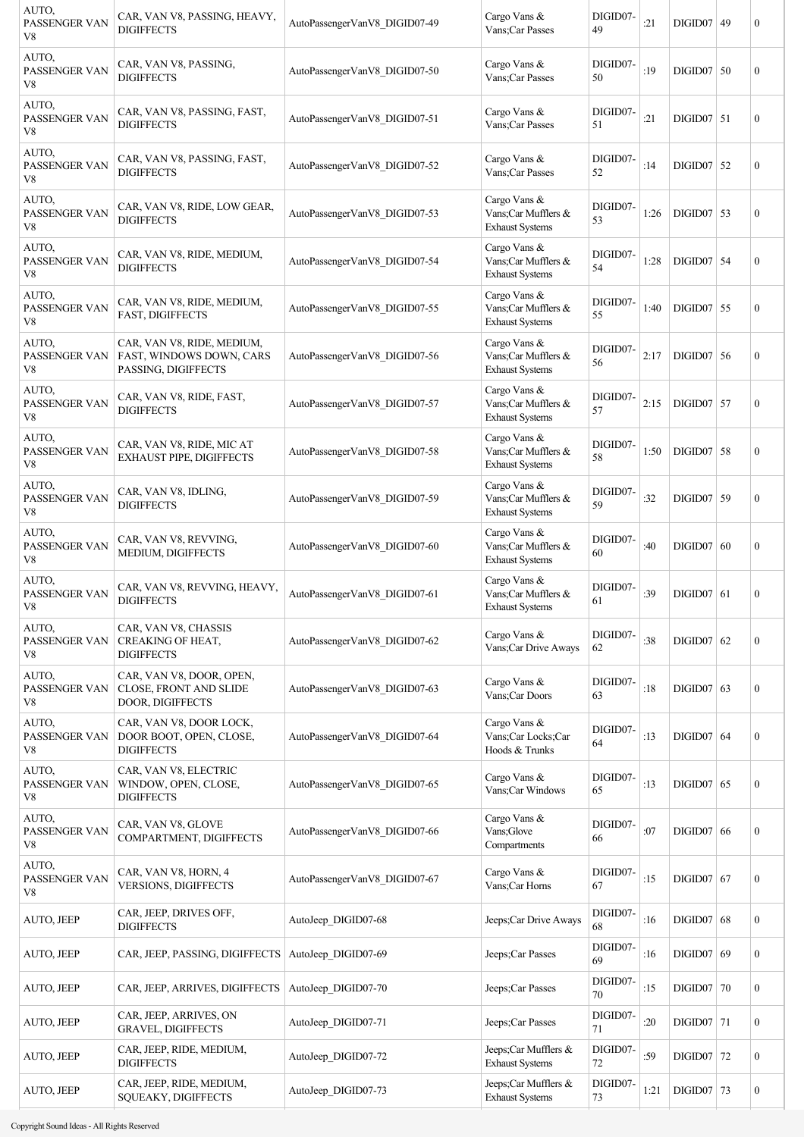| AUTO.<br>PASSENGER VAN<br>V8 | CAR, VAN V8, PASSING, HEAVY,<br><b>DIGIFFECTS</b>                             | AutoPassengerVanV8 DIGID07-49 | Cargo Vans &<br>Vans;Car Passes                               | DIGID07-<br>49 | :21  | DIGID07   49 |    | $\boldsymbol{0}$ |
|------------------------------|-------------------------------------------------------------------------------|-------------------------------|---------------------------------------------------------------|----------------|------|--------------|----|------------------|
| AUTO,<br>PASSENGER VAN<br>V8 | CAR, VAN V8, PASSING,<br><b>DIGIFFECTS</b>                                    | AutoPassengerVanV8 DIGID07-50 | Cargo Vans &<br>Vans;Car Passes                               | DIGID07-<br>50 | :19  | $DIGID07$ 50 |    | $\overline{0}$   |
| AUTO,<br>PASSENGER VAN<br>V8 | CAR, VAN V8, PASSING, FAST,<br><b>DIGIFFECTS</b>                              | AutoPassengerVanV8 DIGID07-51 | Cargo Vans &<br>Vans;Car Passes                               | DIGID07-<br>51 | :21  | $DIGID07$ 51 |    | $\boldsymbol{0}$ |
| AUTO,<br>PASSENGER VAN<br>V8 | CAR, VAN V8, PASSING, FAST,<br><b>DIGIFFECTS</b>                              | AutoPassengerVanV8_DIGID07-52 | Cargo Vans &<br>Vans;Car Passes                               | DIGID07-<br>52 | :14  | $DIGID07$ 52 |    | $\boldsymbol{0}$ |
| AUTO,<br>PASSENGER VAN<br>V8 | CAR, VAN V8, RIDE, LOW GEAR,<br><b>DIGIFFECTS</b>                             | AutoPassengerVanV8 DIGID07-53 | Cargo Vans &<br>Vans;Car Mufflers &<br><b>Exhaust Systems</b> | DIGID07-<br>53 | 1:26 | $DIGID07$ 53 |    | $\boldsymbol{0}$ |
| AUTO,<br>PASSENGER VAN<br>V8 | CAR, VAN V8, RIDE, MEDIUM,<br><b>DIGIFFECTS</b>                               | AutoPassengerVanV8 DIGID07-54 | Cargo Vans &<br>Vans;Car Mufflers &<br><b>Exhaust Systems</b> | DIGID07-<br>54 | 1:28 | $DIGID07$ 54 |    | $\boldsymbol{0}$ |
| AUTO,<br>PASSENGER VAN<br>V8 | CAR, VAN V8, RIDE, MEDIUM,<br>FAST, DIGIFFECTS                                | AutoPassengerVanV8 DIGID07-55 | Cargo Vans &<br>Vans;Car Mufflers &<br><b>Exhaust Systems</b> | DIGID07-<br>55 | 1:40 | $DIGID07$ 55 |    | $\boldsymbol{0}$ |
| AUTO,<br>PASSENGER VAN<br>V8 | CAR, VAN V8, RIDE, MEDIUM,<br>FAST, WINDOWS DOWN, CARS<br>PASSING, DIGIFFECTS | AutoPassengerVanV8 DIGID07-56 | Cargo Vans &<br>Vans;Car Mufflers &<br><b>Exhaust Systems</b> | DIGID07-<br>56 | 2:17 | $DIGID07$ 56 |    | $\boldsymbol{0}$ |
| AUTO,<br>PASSENGER VAN<br>V8 | CAR, VAN V8, RIDE, FAST,<br><b>DIGIFFECTS</b>                                 | AutoPassengerVanV8 DIGID07-57 | Cargo Vans &<br>Vans;Car Mufflers &<br><b>Exhaust Systems</b> | DIGID07-<br>57 | 2:15 | $DIGID07$ 57 |    | $\boldsymbol{0}$ |
| AUTO,<br>PASSENGER VAN<br>V8 | CAR, VAN V8, RIDE, MIC AT<br>EXHAUST PIPE, DIGIFFECTS                         | AutoPassengerVanV8 DIGID07-58 | Cargo Vans &<br>Vans;Car Mufflers &<br><b>Exhaust Systems</b> | DIGID07-<br>58 | 1:50 | $DIGID07$ 58 |    | $\boldsymbol{0}$ |
| AUTO,<br>PASSENGER VAN<br>V8 | CAR, VAN V8, IDLING,<br><b>DIGIFFECTS</b>                                     | AutoPassengerVanV8 DIGID07-59 | Cargo Vans &<br>Vans;Car Mufflers &<br><b>Exhaust Systems</b> | DIGID07-<br>59 | :32  | $DIGID07$ 59 |    | $\boldsymbol{0}$ |
| AUTO,<br>PASSENGER VAN<br>V8 | CAR, VAN V8, REVVING,<br>MEDIUM, DIGIFFECTS                                   | AutoPassengerVanV8 DIGID07-60 | Cargo Vans &<br>Vans:Car Mufflers &<br><b>Exhaust Systems</b> | DIGID07-<br>60 | :40  | DIGID07   60 |    | $\boldsymbol{0}$ |
| AUTO,<br>PASSENGER VAN<br>V8 | CAR, VAN V8, REVVING, HEAVY,<br><b>DIGIFFECTS</b>                             | AutoPassengerVanV8 DIGID07-61 | Cargo Vans &<br>Vans;Car Mufflers &<br><b>Exhaust Systems</b> | DIGID07-<br>61 | :39  | DIGID07   61 |    | $\boldsymbol{0}$ |
| AUTO,<br>PASSENGER VAN<br>V8 | CAR, VAN V8, CHASSIS<br>CREAKING OF HEAT,<br><b>DIGIFFECTS</b>                | AutoPassengerVanV8 DIGID07-62 | Cargo Vans &<br>Vans;Car Drive Aways                          | DIGID07-<br>62 | :38  | $DIGID07$ 62 |    | $\boldsymbol{0}$ |
| AUTO,<br>PASSENGER VAN<br>V8 | CAR, VAN V8, DOOR, OPEN,<br>CLOSE, FRONT AND SLIDE<br>DOOR, DIGIFFECTS        | AutoPassengerVanV8 DIGID07-63 | Cargo Vans &<br>Vans;Car Doors                                | DIGID07-<br>63 | :18  | $DIGID07$ 63 |    | $\boldsymbol{0}$ |
| AUTO,<br>PASSENGER VAN<br>V8 | CAR, VAN V8, DOOR LOCK,<br>DOOR BOOT, OPEN, CLOSE,<br><b>DIGIFFECTS</b>       | AutoPassengerVanV8 DIGID07-64 | Cargo Vans &<br>Vans;Car Locks;Car<br>Hoods & Trunks          | DIGID07-<br>64 | :13  | $DIGID07$ 64 |    | $\boldsymbol{0}$ |
| AUTO,<br>PASSENGER VAN<br>V8 | CAR, VAN V8, ELECTRIC<br>WINDOW, OPEN, CLOSE,<br><b>DIGIFFECTS</b>            | AutoPassengerVanV8 DIGID07-65 | Cargo Vans &<br>Vans;Car Windows                              | DIGID07-<br>65 | :13  | $DIGID07$ 65 |    | $\boldsymbol{0}$ |
| AUTO,<br>PASSENGER VAN<br>V8 | CAR, VAN V8, GLOVE<br>COMPARTMENT, DIGIFFECTS                                 | AutoPassengerVanV8 DIGID07-66 | Cargo Vans &<br>Vans;Glove<br>Compartments                    | DIGID07-<br>66 | :07  | DIGID07   66 |    | $\boldsymbol{0}$ |
| AUTO,<br>PASSENGER VAN<br>V8 | CAR, VAN V8, HORN, 4<br><b>VERSIONS, DIGIFFECTS</b>                           | AutoPassengerVanV8 DIGID07-67 | Cargo Vans &<br>Vans;Car Horns                                | DIGID07-<br>67 | :15  | $DIGID07$ 67 |    | $\boldsymbol{0}$ |
| AUTO, JEEP                   | CAR, JEEP, DRIVES OFF,<br><b>DIGIFFECTS</b>                                   | AutoJeep DIGID07-68           | Jeeps;Car Drive Aways                                         | DIGID07-<br>68 | :16  | DIGID07      | 68 | $\boldsymbol{0}$ |
| AUTO, JEEP                   | CAR, JEEP, PASSING, DIGIFFECTS                                                | AutoJeep DIGID07-69           | Jeeps;Car Passes                                              | DIGID07-<br>69 | :16  | $DIGID07$ 69 |    | $\boldsymbol{0}$ |
| AUTO, JEEP                   | CAR, JEEP, ARRIVES, DIGIFFECTS                                                | AutoJeep DIGID07-70           | Jeeps;Car Passes                                              | DIGID07-<br>70 | :15  | $DIGID07$ 70 |    | $\boldsymbol{0}$ |
| AUTO, JEEP                   | CAR, JEEP, ARRIVES, ON<br><b>GRAVEL, DIGIFFECTS</b>                           | AutoJeep DIGID07-71           | Jeeps;Car Passes                                              | DIGID07-<br>71 | :20  | $DIGID07$ 71 |    | $\boldsymbol{0}$ |
| <b>AUTO, JEEP</b>            | CAR, JEEP, RIDE, MEDIUM,<br><b>DIGIFFECTS</b>                                 | AutoJeep DIGID07-72           | Jeeps;Car Mufflers &<br><b>Exhaust Systems</b>                | DIGID07-<br>72 | :59  | $DIGID07$ 72 |    | $\boldsymbol{0}$ |
| AUTO, JEEP                   | CAR, JEEP, RIDE, MEDIUM,<br>SQUEAKY, DIGIFFECTS                               | AutoJeep DIGID07-73           | Jeeps;Car Mufflers &<br><b>Exhaust Systems</b>                | DIGID07-<br>73 | 1:21 | $DIGID07$ 73 |    | $\boldsymbol{0}$ |

man a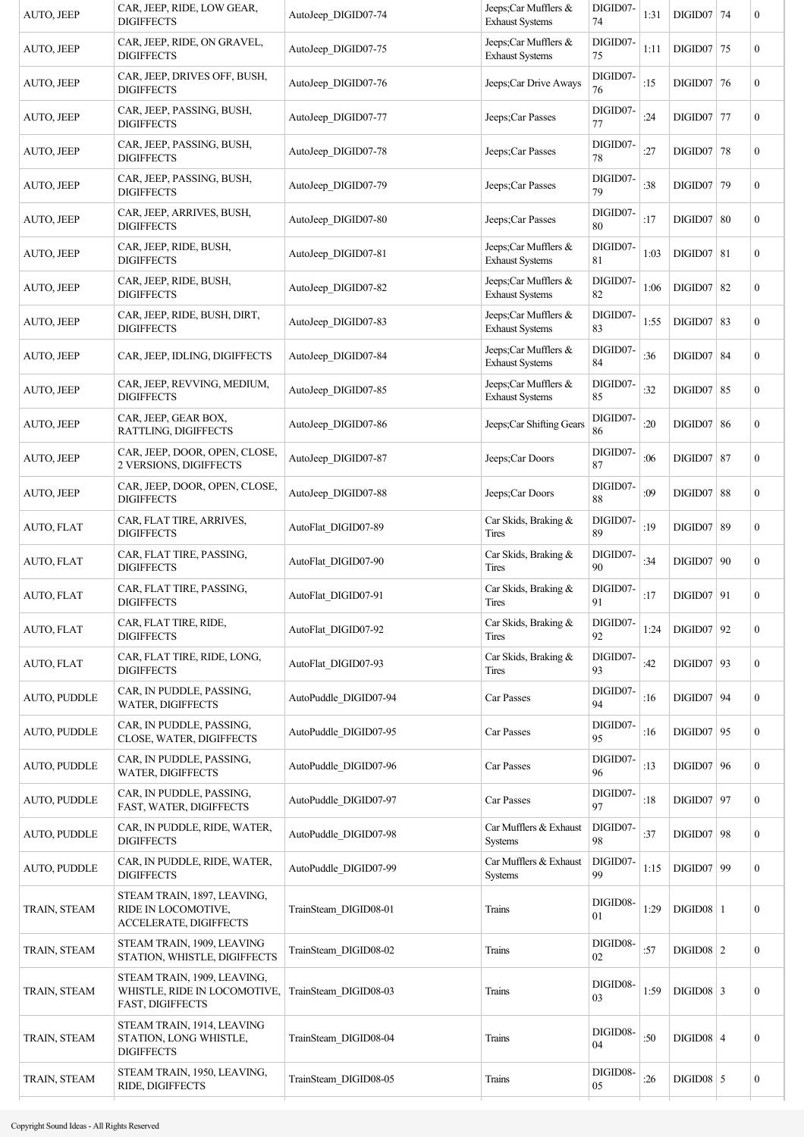| AUTO, JEEP          | CAR, JEEP, RIDE, LOW GEAR,<br><b>DIGIFFECTS</b>                                 | AutoJeep DIGID07-74   | Jeeps;Car Mufflers &<br><b>Exhaust Systems</b>     | DIGID07-<br>74          | 1:31 | $DIGID07$ 74      | $\boldsymbol{0}$ |
|---------------------|---------------------------------------------------------------------------------|-----------------------|----------------------------------------------------|-------------------------|------|-------------------|------------------|
| AUTO, JEEP          | CAR, JEEP, RIDE, ON GRAVEL,<br><b>DIGIFFECTS</b>                                | AutoJeep DIGID07-75   | Jeeps;Car Mufflers &<br><b>Exhaust Systems</b>     | DIGID07-<br>75          | 1:11 | $DIGID07$ 75      | $\mathbf{0}$     |
| AUTO, JEEP          | CAR, JEEP, DRIVES OFF, BUSH,<br><b>DIGIFFECTS</b>                               | AutoJeep DIGID07-76   | Jeeps;Car Drive Aways                              | DIGID07-<br>76          | :15  | $DIGID07$ 76      | $\boldsymbol{0}$ |
| AUTO, JEEP          | CAR, JEEP, PASSING, BUSH,<br><b>DIGIFFECTS</b>                                  | AutoJeep DIGID07-77   | Jeeps;Car Passes                                   | DIGID07-<br>77          | :24  | $DIGID07$ 77      | $\boldsymbol{0}$ |
| AUTO, JEEP          | CAR, JEEP, PASSING, BUSH,<br><b>DIGIFFECTS</b>                                  | AutoJeep DIGID07-78   | Jeeps;Car Passes                                   | DIGID07-<br>78          | :27  | <b>DIGID07 78</b> | $\boldsymbol{0}$ |
| AUTO, JEEP          | CAR, JEEP, PASSING, BUSH,<br><b>DIGIFFECTS</b>                                  | AutoJeep DIGID07-79   | Jeeps;Car Passes                                   | DIGID07-<br>79          | :38  | DIGID07 79        | $\boldsymbol{0}$ |
| AUTO, JEEP          | CAR, JEEP, ARRIVES, BUSH,<br><b>DIGIFFECTS</b>                                  | AutoJeep DIGID07-80   | Jeeps;Car Passes                                   | DIGID07-<br>80          | :17  | $DIGID07$ 80      | $\mathbf{0}$     |
| AUTO, JEEP          | CAR, JEEP, RIDE, BUSH,<br><b>DIGIFFECTS</b>                                     | AutoJeep DIGID07-81   | Jeeps; Car Mufflers $\&$<br><b>Exhaust Systems</b> | DIGID07-<br>$8\sqrt{1}$ | 1:03 | $DIGID07$ 81      | $\mathbf{0}$     |
| AUTO, JEEP          | CAR, JEEP, RIDE, BUSH,<br><b>DIGIFFECTS</b>                                     | AutoJeep DIGID07-82   | Jeeps;Car Mufflers &<br><b>Exhaust Systems</b>     | DIGID07-<br>82          | 1:06 | $DIGID07$ 82      | $\overline{0}$   |
| AUTO, JEEP          | CAR, JEEP, RIDE, BUSH, DIRT,<br><b>DIGIFFECTS</b>                               | AutoJeep DIGID07-83   | Jeeps;Car Mufflers &<br><b>Exhaust Systems</b>     | DIGID07-<br>83          | 1:55 | $DIGID07$ 83      | $\mathbf{0}$     |
| AUTO, JEEP          | CAR, JEEP, IDLING, DIGIFFECTS                                                   | AutoJeep DIGID07-84   | Jeeps;Car Mufflers &<br><b>Exhaust Systems</b>     | DIGID07-<br>84          | :36  | $DIGID07$ 84      | $\boldsymbol{0}$ |
| AUTO, JEEP          | CAR, JEEP, REVVING, MEDIUM,<br><b>DIGIFFECTS</b>                                | AutoJeep DIGID07-85   | Jeeps;Car Mufflers &<br><b>Exhaust Systems</b>     | DIGID07-<br>85          | :32  | <b>DIGID07 85</b> | $\mathbf{0}$     |
| AUTO, JEEP          | CAR, JEEP, GEAR BOX,<br>RATTLING, DIGIFFECTS                                    | AutoJeep DIGID07-86   | Jeeps;Car Shifting Gears                           | DIGID07-<br>86          | :20  | $DIGID07$ 86      | $\boldsymbol{0}$ |
| AUTO, JEEP          | CAR, JEEP, DOOR, OPEN, CLOSE,<br>2 VERSIONS, DIGIFFECTS                         | AutoJeep DIGID07-87   | Jeeps;Car Doors                                    | DIGID07-<br>87          | :06  | <b>DIGID07 87</b> | $\boldsymbol{0}$ |
| AUTO, JEEP          | CAR, JEEP, DOOR, OPEN, CLOSE,<br><b>DIGIFFECTS</b>                              | AutoJeep DIGID07-88   | Jeeps;Car Doors                                    | DIGID07-<br>88          | :09  | $DIGID07$ 88      | $\boldsymbol{0}$ |
| AUTO, FLAT          | CAR, FLAT TIRE, ARRIVES,<br><b>DIGIFFECTS</b>                                   | AutoFlat DIGID07-89   | Car Skids, Braking &<br>Tires                      | DIGID07-<br>89          | :19  | <b>DIGID07 89</b> | $\mathbf{0}$     |
| AUTO, FLAT          | CAR, FLAT TIRE, PASSING,<br><b>DIGIFFECTS</b>                                   | AutoFlat DIGID07-90   | Car Skids, Braking &<br>Tires                      | DIGID07-<br>90          | :34  | $DIGID07$ 90      | $\mathbf{0}$     |
| AUTO, FLAT          | CAR, FLAT TIRE, PASSING,<br><b>DIGIFFECTS</b>                                   | AutoFlat DIGID07-91   | Car Skids, Braking &<br>Tires                      | DIGID07-<br>91          | :17  | $DIGID07$ 91      | $\boldsymbol{0}$ |
| AUTO, FLAT          | CAR, FLAT TIRE, RIDE,<br><b>DIGIFFECTS</b>                                      | AutoFlat DIGID07-92   | Car Skids, Braking &<br>Tires                      | DIGID07-<br>92          | 1:24 | $DIGID07$ 92      | $\boldsymbol{0}$ |
| AUTO, FLAT          | CAR, FLAT TIRE, RIDE, LONG,<br><b>DIGIFFECTS</b>                                | AutoFlat DIGID07-93   | Car Skids, Braking &<br><b>Tires</b>               | DIGID07-<br>93          | :42  | $DIGID07$ 93      | $\mathbf{0}$     |
| AUTO, PUDDLE        | CAR, IN PUDDLE, PASSING,<br><b>WATER, DIGIFFECTS</b>                            | AutoPuddle_DIGID07-94 | Car Passes                                         | DIGID07-<br>94          | :16  | $DIGID07$ 94      | $\mathbf{0}$     |
| AUTO, PUDDLE        | CAR, IN PUDDLE, PASSING,<br>CLOSE, WATER, DIGIFFECTS                            | AutoPuddle DIGID07-95 | Car Passes                                         | DIGID07-<br>95          | :16  | $DIGID07$ 95      | $\mathbf{0}$     |
| <b>AUTO, PUDDLE</b> | CAR, IN PUDDLE, PASSING,<br>WATER, DIGIFFECTS                                   | AutoPuddle DIGID07-96 | Car Passes                                         | DIGID07-<br>96          | :13  | $DIGID07$ 96      | $\boldsymbol{0}$ |
| AUTO, PUDDLE        | CAR, IN PUDDLE, PASSING,<br>FAST, WATER, DIGIFFECTS                             | AutoPuddle DIGID07-97 | Car Passes                                         | DIGID07-<br>97          | :18  | $DIGID07$ 97      | $\boldsymbol{0}$ |
| <b>AUTO, PUDDLE</b> | CAR, IN PUDDLE, RIDE, WATER,<br><b>DIGIFFECTS</b>                               | AutoPuddle_DIGID07-98 | Car Mufflers & Exhaust<br><b>Systems</b>           | DIGID07-<br>98          | :37  | $DIGID07$ 98      | $\mathbf{0}$     |
| AUTO, PUDDLE        | CAR, IN PUDDLE, RIDE, WATER,<br><b>DIGIFFECTS</b>                               | AutoPuddle DIGID07-99 | Car Mufflers & Exhaust<br><b>Systems</b>           | DIGID07-<br>99          | 1:15 | $DIGID07$ 99      | $\mathbf{0}$     |
| TRAIN, STEAM        | STEAM TRAIN, 1897, LEAVING,<br>RIDE IN LOCOMOTIVE,<br>ACCELERATE, DIGIFFECTS    | TrainSteam DIGID08-01 | Trains                                             | DIGID08-<br>01          | 1:29 | $DIGID08$   1     | $\boldsymbol{0}$ |
| TRAIN, STEAM        | STEAM TRAIN, 1909, LEAVING<br>STATION, WHISTLE, DIGIFFECTS                      | TrainSteam DIGID08-02 | Trains                                             | DIGID08-<br>02          | :57  | $DIGID08$ 2       | $\mathbf{0}$     |
| TRAIN, STEAM        | STEAM TRAIN, 1909, LEAVING,<br>WHISTLE, RIDE IN LOCOMOTIVE,<br>FAST, DIGIFFECTS | TrainSteam DIGID08-03 | Trains                                             | DIGID08-<br>03          | 1:59 | $DIGID08$ 3       | $\boldsymbol{0}$ |
| TRAIN, STEAM        | STEAM TRAIN, 1914, LEAVING<br>STATION, LONG WHISTLE,<br><b>DIGIFFECTS</b>       | TrainSteam DIGID08-04 | Trains                                             | DIGID08-<br>04          | :50  | $DIGID08$ 4       | $\boldsymbol{0}$ |
| TRAIN, STEAM        | STEAM TRAIN, 1950, LEAVING,<br>RIDE, DIGIFFECTS                                 | TrainSteam_DIGID08-05 | Trains                                             | DIGID08-<br>05          | :26  | $DIGID08$ 5       | $\boldsymbol{0}$ |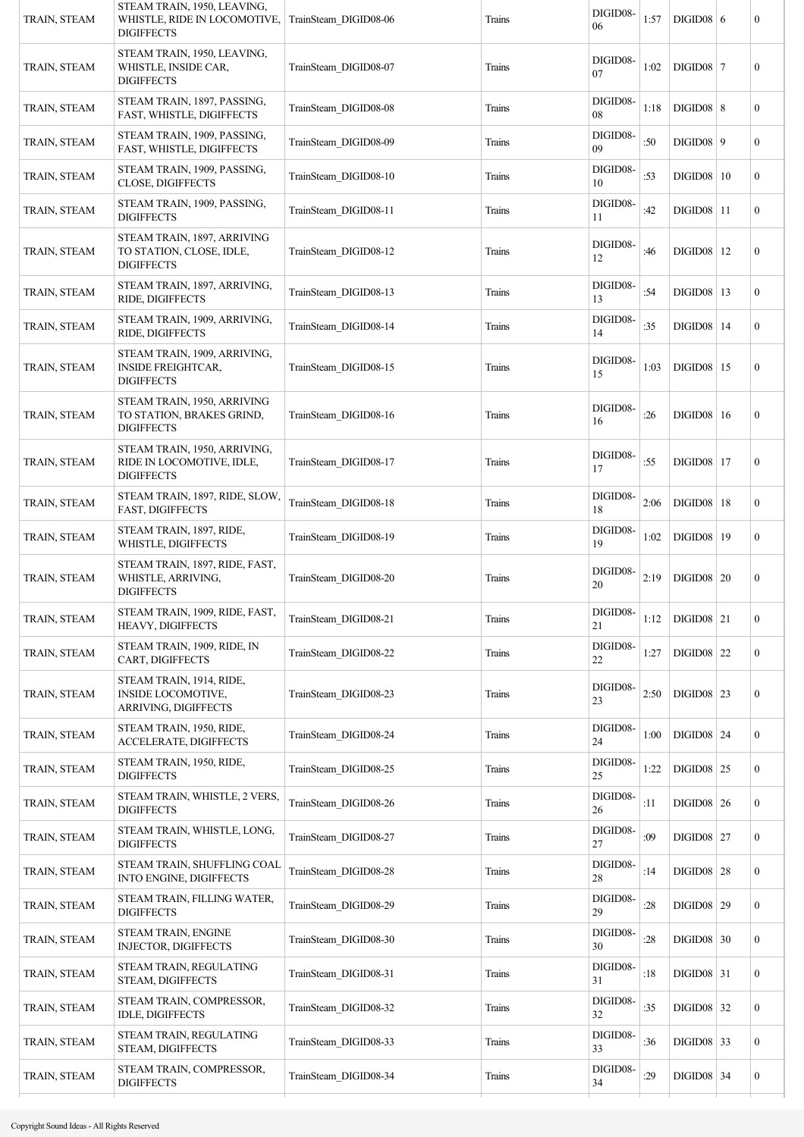| TRAIN, STEAM | STEAM TRAIN, 1950, LEAVING,<br>WHISTLE, RIDE IN LOCOMOTIVE,<br><b>DIGIFFECTS</b> | TrainSteam DIGID08-06 | Trains | DIGID08-<br>06     | 1:57 | $DIGID08$ 6         |    | 0                |
|--------------|----------------------------------------------------------------------------------|-----------------------|--------|--------------------|------|---------------------|----|------------------|
| TRAIN, STEAM | STEAM TRAIN, 1950, LEAVING,<br>WHISTLE, INSIDE CAR,<br><b>DIGIFFECTS</b>         | TrainSteam DIGID08-07 | Trains | DIGID08-<br>07     | 1:02 | $DIGID08$ 7         |    | $\boldsymbol{0}$ |
| TRAIN, STEAM | STEAM TRAIN, 1897, PASSING,<br>FAST, WHISTLE, DIGIFFECTS                         | TrainSteam DIGID08-08 | Trains | DIGID08-<br>08     | 1:18 | $DIGID08$ 8         |    | $\mathbf{0}$     |
| TRAIN, STEAM | STEAM TRAIN, 1909, PASSING,<br>FAST, WHISTLE, DIGIFFECTS                         | TrainSteam DIGID08-09 | Trains | DIGID08-<br>09     | :50  | $DIGID08$ 9         |    | $\mathbf{0}$     |
| TRAIN, STEAM | STEAM TRAIN, 1909, PASSING,<br><b>CLOSE, DIGIFFECTS</b>                          | TrainSteam DIGID08-10 | Trains | DIGID08-<br>10     | :53  | $DIGID08$   10      |    | $\boldsymbol{0}$ |
| TRAIN, STEAM | STEAM TRAIN, 1909, PASSING,<br><b>DIGIFFECTS</b>                                 | TrainSteam DIGID08-11 | Trains | DIGID08-<br>11     | :42  | $DIGID08$   11      |    | $\mathbf{0}$     |
| TRAIN, STEAM | STEAM TRAIN, 1897, ARRIVING<br>TO STATION, CLOSE, IDLE,<br><b>DIGIFFECTS</b>     | TrainSteam DIGID08-12 | Trains | DIGID08-<br>12     | :46  | $DIGID08$   12      |    | $\boldsymbol{0}$ |
| TRAIN, STEAM | STEAM TRAIN, 1897, ARRIVING,<br>RIDE, DIGIFFECTS                                 | TrainSteam_DIGID08-13 | Trains | DIGID08-<br>13     | :54  | <b>DIGID08</b>   13 |    | $\mathbf{0}$     |
| TRAIN, STEAM | STEAM TRAIN, 1909, ARRIVING,<br>RIDE, DIGIFFECTS                                 | TrainSteam_DIGID08-14 | Trains | DIGID08-<br>14     | :35  | $DIGID08$   14      |    | $\mathbf{0}$     |
| TRAIN, STEAM | STEAM TRAIN, 1909, ARRIVING,<br><b>INSIDE FREIGHTCAR,</b><br><b>DIGIFFECTS</b>   | TrainSteam DIGID08-15 | Trains | DIGID08-<br>15     | 1:03 | $DIGID08$   15      |    | $\boldsymbol{0}$ |
| TRAIN, STEAM | STEAM TRAIN, 1950, ARRIVING<br>TO STATION, BRAKES GRIND,<br><b>DIGIFFECTS</b>    | TrainSteam DIGID08-16 | Trains | DIGID08-<br>16     | :26  | $DIGID08$   16      |    | $\boldsymbol{0}$ |
| TRAIN, STEAM | STEAM TRAIN, 1950, ARRIVING,<br>RIDE IN LOCOMOTIVE, IDLE,<br><b>DIGIFFECTS</b>   | TrainSteam DIGID08-17 | Trains | DIGID08-<br>17     | :55  | <b>DIGID08</b>   17 |    | $\boldsymbol{0}$ |
| TRAIN, STEAM | STEAM TRAIN, 1897, RIDE, SLOW,<br><b>FAST, DIGIFFECTS</b>                        | TrainSteam_DIGID08-18 | Trains | DIGID08-<br>18     | 2:06 | $DIGID08$   18      |    | $\boldsymbol{0}$ |
| TRAIN, STEAM | STEAM TRAIN, 1897, RIDE,<br>WHISTLE, DIGIFFECTS                                  | TrainSteam DIGID08-19 | Trains | DIGID08-<br>19     | 1:02 | DIGID08             | 19 | $\mathbf{0}$     |
| TRAIN, STEAM | STEAM TRAIN, 1897, RIDE, FAST,<br>WHISTLE, ARRIVING,<br><b>DIGIFFECTS</b>        | TrainSteam DIGID08-20 | Trains | DIGID08-<br>20     | 2:19 | $DIGID08$   20      |    | $\boldsymbol{0}$ |
| TRAIN, STEAM | STEAM TRAIN, 1909, RIDE, FAST,<br><b>HEAVY, DIGIFFECTS</b>                       | TrainSteam_DIGID08-21 | Trains | DIGID08-<br>21     | 1:12 | $DIGID08$ 21        |    | $\boldsymbol{0}$ |
| TRAIN, STEAM | STEAM TRAIN, 1909, RIDE, IN<br>CART, DIGIFFECTS                                  | TrainSteam_DIGID08-22 | Trains | DIGID08-<br>$22\,$ | 1:27 | $DIGID08$ 22        |    | $\overline{0}$   |
| TRAIN, STEAM | STEAM TRAIN, 1914, RIDE,<br><b>INSIDE LOCOMOTIVE,</b><br>ARRIVING, DIGIFFECTS    | TrainSteam DIGID08-23 | Trains | DIGID08-<br>23     | 2:50 | $DIGID08$ 23        |    | $\mathbf{0}$     |
| TRAIN, STEAM | STEAM TRAIN, 1950, RIDE,<br><b>ACCELERATE, DIGIFFECTS</b>                        | TrainSteam DIGID08-24 | Trains | DIGID08-<br>24     | 1:00 | $DIGID08$ 24        |    | $\boldsymbol{0}$ |
| TRAIN, STEAM | STEAM TRAIN, 1950, RIDE,<br><b>DIGIFFECTS</b>                                    | TrainSteam DIGID08-25 | Trains | DIGID08-<br>25     | 1:22 | $DIGID08$ 25        |    | $\overline{0}$   |
| TRAIN, STEAM | STEAM TRAIN, WHISTLE, 2 VERS,<br><b>DIGIFFECTS</b>                               | TrainSteam_DIGID08-26 | Trains | DIGID08-<br>26     | :11  | $DIGID08$ 26        |    | $\mathbf{0}$     |
| TRAIN, STEAM | STEAM TRAIN, WHISTLE, LONG,<br><b>DIGIFFECTS</b>                                 | TrainSteam DIGID08-27 | Trains | DIGID08-<br>27     | :09  | $DIGID08$ 27        |    | $\mathbf{0}$     |
| TRAIN, STEAM | STEAM TRAIN, SHUFFLING COAL<br>INTO ENGINE, DIGIFFECTS                           | TrainSteam DIGID08-28 | Trains | DIGID08-<br>28     | :14  | <b>DIGID08</b>   28 |    | $\mathbf{0}$     |
| TRAIN, STEAM | STEAM TRAIN, FILLING WATER,<br><b>DIGIFFECTS</b>                                 | TrainSteam DIGID08-29 | Trains | DIGID08-<br>29     | :28  | $DIGID08$ 29        |    | $\overline{0}$   |
| TRAIN, STEAM | STEAM TRAIN, ENGINE<br><b>INJECTOR, DIGIFFECTS</b>                               | TrainSteam DIGID08-30 | Trains | DIGID08-<br>30     | :28  | $DIGID08$ 30        |    | $\overline{0}$   |
| TRAIN, STEAM | STEAM TRAIN, REGULATING<br>STEAM, DIGIFFECTS                                     | TrainSteam_DIGID08-31 | Trains | DIGID08-<br>31     | :18  | $DIGID08$ 31        |    | $\mathbf{0}$     |
| TRAIN, STEAM | STEAM TRAIN, COMPRESSOR,<br><b>IDLE, DIGIFFECTS</b>                              | TrainSteam_DIGID08-32 | Trains | DIGID08-<br>32     | :35  | $DIGID08$ 32        |    | $\overline{0}$   |
| TRAIN, STEAM | STEAM TRAIN, REGULATING<br>STEAM, DIGIFFECTS                                     | TrainSteam_DIGID08-33 | Trains | DIGID08-<br>33     | :36  | $DIGID08$ 33        |    | $\overline{0}$   |
| TRAIN, STEAM | STEAM TRAIN, COMPRESSOR,<br><b>DIGIFFECTS</b>                                    | TrainSteam DIGID08-34 | Trains | DIGID08-<br>34     | :29  | $DIGID08$ 34        |    | $\boldsymbol{0}$ |
|              |                                                                                  |                       |        |                    |      |                     |    |                  |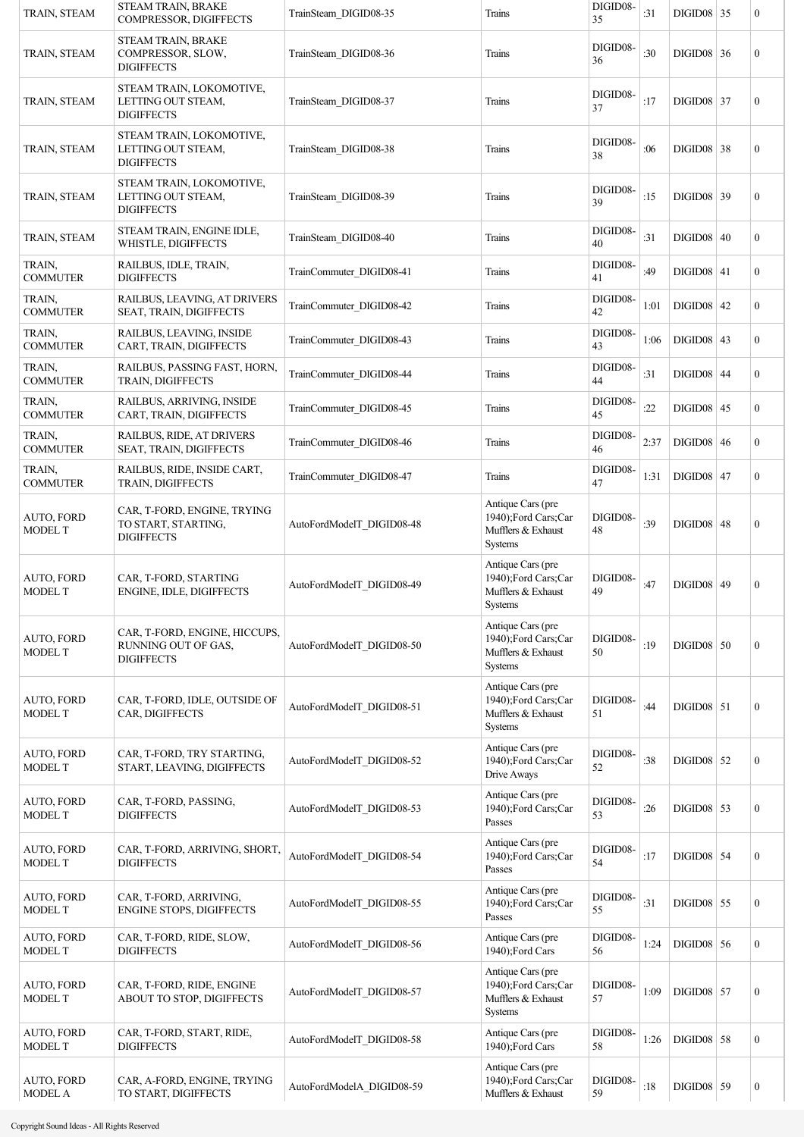| TRAIN, STEAM                        | <b>STEAM TRAIN, BRAKE</b><br>COMPRESSOR, DIGIFFECTS                       | TrainSteam DIGID08-35     | Trains                                                                    | DIGID08-<br>35 | :31  | $DIGID08$ 35      |    | $\boldsymbol{0}$ |
|-------------------------------------|---------------------------------------------------------------------------|---------------------------|---------------------------------------------------------------------------|----------------|------|-------------------|----|------------------|
| TRAIN, STEAM                        | STEAM TRAIN, BRAKE<br>COMPRESSOR, SLOW,<br><b>DIGIFFECTS</b>              | TrainSteam DIGID08-36     | Trains                                                                    | DIGID08-<br>36 | :30  | $DIGID08$ 36      |    | $\boldsymbol{0}$ |
| TRAIN, STEAM                        | STEAM TRAIN, LOKOMOTIVE,<br>LETTING OUT STEAM,<br><b>DIGIFFECTS</b>       | TrainSteam DIGID08-37     | Trains                                                                    | DIGID08-<br>37 | :17  | <b>DIGID08 37</b> |    | $\boldsymbol{0}$ |
| TRAIN, STEAM                        | STEAM TRAIN, LOKOMOTIVE,<br>LETTING OUT STEAM,<br><b>DIGIFFECTS</b>       | TrainSteam DIGID08-38     | Trains                                                                    | DIGID08-<br>38 | :06  | <b>DIGID08 38</b> |    | $\boldsymbol{0}$ |
| TRAIN, STEAM                        | STEAM TRAIN, LOKOMOTIVE,<br>LETTING OUT STEAM,<br><b>DIGIFFECTS</b>       | TrainSteam DIGID08-39     | Trains                                                                    | DIGID08-<br>39 | :15  | $DIGID08$ 39      |    | $\boldsymbol{0}$ |
| TRAIN, STEAM                        | STEAM TRAIN, ENGINE IDLE,<br>WHISTLE, DIGIFFECTS                          | TrainSteam DIGID08-40     | Trains                                                                    | DIGID08-<br>40 | :31  | $DIGID08$ 40      |    | $\boldsymbol{0}$ |
| TRAIN,<br><b>COMMUTER</b>           | RAILBUS, IDLE, TRAIN,<br><b>DIGIFFECTS</b>                                | TrainCommuter DIGID08-41  | Trains                                                                    | DIGID08-<br>41 | :49  | $DIGID08$ 41      |    | $\boldsymbol{0}$ |
| TRAIN,<br><b>COMMUTER</b>           | RAILBUS, LEAVING, AT DRIVERS<br>SEAT, TRAIN, DIGIFFECTS                   | TrainCommuter DIGID08-42  | Trains                                                                    | DIGID08-<br>42 | 1:01 | $DIGID08$ 42      |    | $\boldsymbol{0}$ |
| TRAIN,<br><b>COMMUTER</b>           | RAILBUS, LEAVING, INSIDE<br>CART, TRAIN, DIGIFFECTS                       | TrainCommuter_DIGID08-43  | Trains                                                                    | DIGID08-<br>43 | 1:06 | $DIGID08$ 43      |    | $\boldsymbol{0}$ |
| TRAIN,<br><b>COMMUTER</b>           | RAILBUS, PASSING FAST, HORN,<br>TRAIN, DIGIFFECTS                         | TrainCommuter_DIGID08-44  | Trains                                                                    | DIGID08-<br>44 | :31  | <b>DIGID08 44</b> |    | $\boldsymbol{0}$ |
| TRAIN,<br><b>COMMUTER</b>           | RAILBUS, ARRIVING, INSIDE<br>CART, TRAIN, DIGIFFECTS                      | TrainCommuter DIGID08-45  | Trains                                                                    | DIGID08-<br>45 | :22  | DIGID08           | 45 | $\boldsymbol{0}$ |
| TRAIN,<br><b>COMMUTER</b>           | RAILBUS, RIDE, AT DRIVERS<br>SEAT, TRAIN, DIGIFFECTS                      | TrainCommuter DIGID08-46  | Trains                                                                    | DIGID08-<br>46 | 2:37 | DIGID08           | 46 | $\boldsymbol{0}$ |
| TRAIN,<br><b>COMMUTER</b>           | RAILBUS, RIDE, INSIDE CART,<br>TRAIN, DIGIFFECTS                          | TrainCommuter DIGID08-47  | Trains                                                                    | DIGID08-<br>47 | 1:31 | DIGID08           | 47 | $\boldsymbol{0}$ |
| <b>AUTO, FORD</b><br><b>MODEL T</b> | CAR, T-FORD, ENGINE, TRYING<br>TO START, STARTING,<br><b>DIGIFFECTS</b>   | AutoFordModelT DIGID08-48 | Antique Cars (pre<br>1940);Ford Cars;Car<br>Mufflers & Exhaust<br>Systems | DIGID08-<br>48 | :39  | <b>DIGID08 48</b> |    | $\boldsymbol{0}$ |
| <b>AUTO, FORD</b><br><b>MODEL T</b> | CAR, T-FORD, STARTING<br><b>ENGINE, IDLE, DIGIFFECTS</b>                  | AutoFordModelT DIGID08-49 | Antique Cars (pre<br>1940);Ford Cars;Car<br>Mufflers & Exhaust<br>Systems | DIGID08-<br>49 | :47  | <b>DIGID08 49</b> |    | $\boldsymbol{0}$ |
| AUTO, FORD<br><b>MODEL T</b>        | CAR, T-FORD, ENGINE, HICCUPS,<br>RUNNING OUT OF GAS.<br><b>DIGIFFECTS</b> | AutoFordModelT_DIGID08-50 | Antique Cars (pre<br>1940);Ford Cars;Car<br>Mufflers & Exhaust<br>Systems | DIGID08-<br>50 | :19  | $DIGID08$ 50      |    | $\boldsymbol{0}$ |
| <b>AUTO, FORD</b><br><b>MODEL T</b> | CAR, T-FORD, IDLE, OUTSIDE OF<br>CAR, DIGIFFECTS                          | AutoFordModelT_DIGID08-51 | Antique Cars (pre<br>1940);Ford Cars;Car<br>Mufflers & Exhaust<br>Systems | DIGID08-<br>51 | :44  | $DIGID08$ 51      |    | $\boldsymbol{0}$ |
| <b>AUTO, FORD</b><br><b>MODEL T</b> | CAR, T-FORD, TRY STARTING,<br>START, LEAVING, DIGIFFECTS                  | AutoFordModelT_DIGID08-52 | Antique Cars (pre<br>1940);Ford Cars;Car<br>Drive Aways                   | DIGID08-<br>52 | :38  | $DIGID08$ 52      |    | $\boldsymbol{0}$ |
| <b>AUTO, FORD</b><br><b>MODEL T</b> | CAR, T-FORD, PASSING,<br><b>DIGIFFECTS</b>                                | AutoFordModelT_DIGID08-53 | Antique Cars (pre<br>1940);Ford Cars;Car<br>Passes                        | DIGID08-<br>53 | :26  | $DIGID08$ 53      |    | $\boldsymbol{0}$ |
| AUTO, FORD<br><b>MODEL T</b>        | CAR, T-FORD, ARRIVING, SHORT,<br><b>DIGIFFECTS</b>                        | AutoFordModelT_DIGID08-54 | Antique Cars (pre<br>1940);Ford Cars;Car<br>Passes                        | DIGID08-<br>54 | :17  | $DIGID08$ 54      |    | $\boldsymbol{0}$ |
| AUTO, FORD<br><b>MODEL T</b>        | CAR, T-FORD, ARRIVING,<br>ENGINE STOPS, DIGIFFECTS                        | AutoFordModelT_DIGID08-55 | Antique Cars (pre<br>1940);Ford Cars;Car<br>Passes                        | DIGID08-<br>55 | :31  | $DIGID08$ 55      |    | $\boldsymbol{0}$ |
| AUTO, FORD<br><b>MODEL T</b>        | CAR, T-FORD, RIDE, SLOW,<br><b>DIGIFFECTS</b>                             | AutoFordModelT_DIGID08-56 | Antique Cars (pre<br>1940);Ford Cars                                      | DIGID08-<br>56 | 1:24 | $DIGID08$ 56      |    | $\boldsymbol{0}$ |
| AUTO, FORD<br><b>MODEL T</b>        | CAR, T-FORD, RIDE, ENGINE<br>ABOUT TO STOP, DIGIFFECTS                    | AutoFordModelT_DIGID08-57 | Antique Cars (pre<br>1940);Ford Cars;Car<br>Mufflers & Exhaust<br>Systems | DIGID08-<br>57 | 1:09 | $DIGID08$ 57      |    | $\boldsymbol{0}$ |
| AUTO, FORD<br><b>MODEL T</b>        | CAR, T-FORD, START, RIDE,<br><b>DIGIFFECTS</b>                            | AutoFordModelT DIGID08-58 | Antique Cars (pre<br>1940);Ford Cars                                      | DIGID08-<br>58 | 1:26 | $DIGID08$ 58      |    | $\boldsymbol{0}$ |
| <b>AUTO, FORD</b><br><b>MODEL A</b> | CAR, A-FORD, ENGINE, TRYING<br>TO START, DIGIFFECTS                       | AutoFordModelA DIGID08-59 | Antique Cars (pre<br>1940);Ford Cars;Car<br>Mufflers & Exhaust            | DIGID08-<br>59 | :18  | <b>DIGID08</b> 59 |    | $\boldsymbol{0}$ |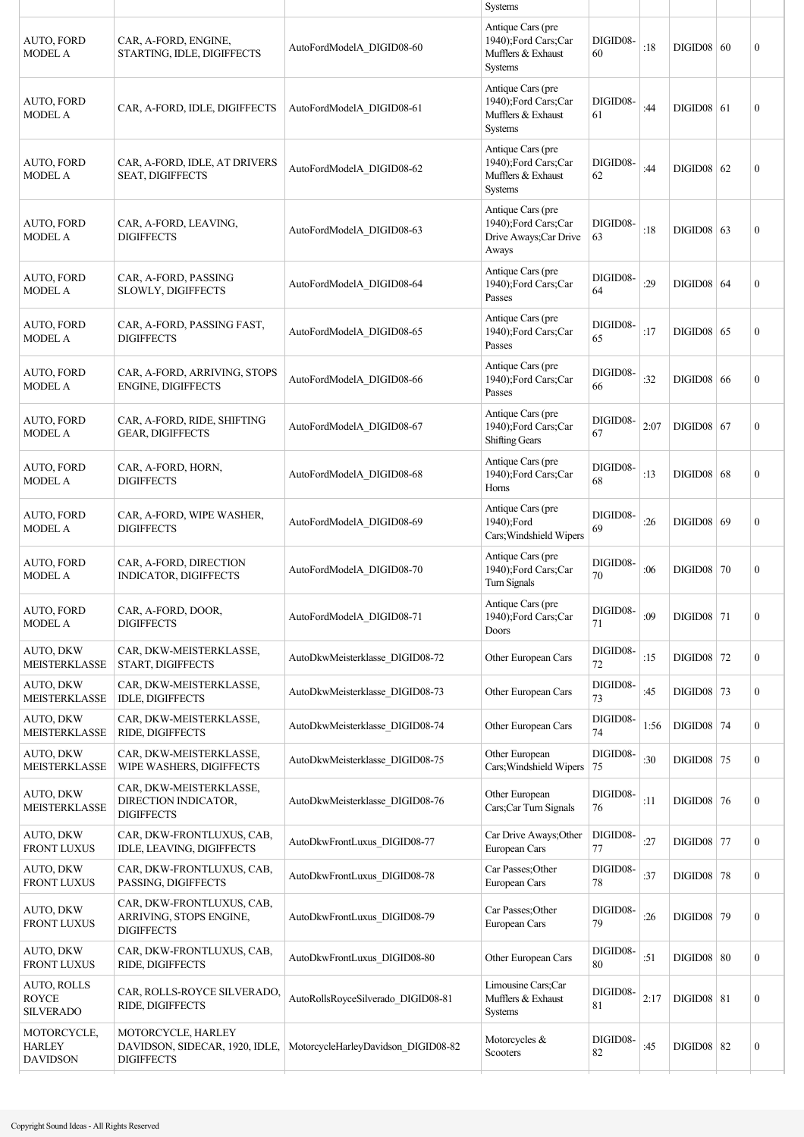|                                                        |                                                                           |                                     | <b>Systems</b>                                                                   |                 |      |                     |                  |
|--------------------------------------------------------|---------------------------------------------------------------------------|-------------------------------------|----------------------------------------------------------------------------------|-----------------|------|---------------------|------------------|
| AUTO, FORD<br><b>MODEL A</b>                           | CAR, A-FORD, ENGINE,<br>STARTING, IDLE, DIGIFFECTS                        | AutoFordModelA DIGID08-60           | Antique Cars (pre<br>1940);Ford Cars;Car<br>Mufflers & Exhaust<br>Systems        | DIGID08-<br>60  | :18  | DIGID08   60        | $\boldsymbol{0}$ |
| AUTO, FORD<br><b>MODEL A</b>                           | CAR, A-FORD, IDLE, DIGIFFECTS                                             | AutoFordModelA DIGID08-61           | Antique Cars (pre<br>1940);Ford Cars;Car<br>Mufflers & Exhaust<br><b>Systems</b> | DIGID08-<br>61  | :44  | $DIGID08$ 61        | $\boldsymbol{0}$ |
| AUTO, FORD<br><b>MODEL A</b>                           | CAR, A-FORD, IDLE, AT DRIVERS<br><b>SEAT, DIGIFFECTS</b>                  | AutoFordModelA DIGID08-62           | Antique Cars (pre<br>1940);Ford Cars;Car<br>Mufflers & Exhaust<br><b>Systems</b> | DIGID08-<br>62  | :44  | $DIGID08$ 62        | $\boldsymbol{0}$ |
| AUTO, FORD<br><b>MODEL A</b>                           | CAR, A-FORD, LEAVING,<br><b>DIGIFFECTS</b>                                | AutoFordModelA DIGID08-63           | Antique Cars (pre<br>1940);Ford Cars;Car<br>Drive Aways; Car Drive<br>Aways      | DIGID08-<br>63  | :18  | $DIGID08$ 63        | $\boldsymbol{0}$ |
| AUTO, FORD<br><b>MODEL A</b>                           | CAR, A-FORD, PASSING<br>SLOWLY, DIGIFFECTS                                | AutoFordModelA DIGID08-64           | Antique Cars (pre<br>1940);Ford Cars;Car<br>Passes                               | DIGID08-<br>64  | :29  | $DIGID08$ 64        | $\mathbf{0}$     |
| AUTO, FORD<br><b>MODEL A</b>                           | CAR, A-FORD, PASSING FAST,<br><b>DIGIFFECTS</b>                           | AutoFordModelA DIGID08-65           | Antique Cars (pre<br>1940);Ford Cars;Car<br>Passes                               | DIGID08-<br>65  | :17  | $DIGID08$ 65        | $\mathbf{0}$     |
| <b>AUTO, FORD</b><br><b>MODEL A</b>                    | CAR, A-FORD, ARRIVING, STOPS<br>ENGINE, DIGIFFECTS                        | AutoFordModelA DIGID08-66           | Antique Cars (pre<br>1940);Ford Cars;Car<br>Passes                               | DIGID08-<br>66  | :32  | $DIGID08$ 66        | $\boldsymbol{0}$ |
| AUTO, FORD<br><b>MODEL A</b>                           | CAR, A-FORD, RIDE, SHIFTING<br><b>GEAR, DIGIFFECTS</b>                    | AutoFordModelA_DIGID08-67           | Antique Cars (pre<br>1940);Ford Cars;Car<br><b>Shifting Gears</b>                | DIGID08-<br>67  | 2:07 | $DIGID08$ 67        | $\mathbf{0}$     |
| AUTO, FORD<br><b>MODEL A</b>                           | CAR, A-FORD, HORN,<br><b>DIGIFFECTS</b>                                   | AutoFordModelA DIGID08-68           | Antique Cars (pre<br>1940);Ford Cars;Car<br>Horns                                | DIGID08-<br>68  | :13  | $DIGID08$ 68        | $\boldsymbol{0}$ |
| AUTO, FORD<br><b>MODEL A</b>                           | CAR, A-FORD, WIPE WASHER,<br><b>DIGIFFECTS</b>                            | AutoFordModelA DIGID08-69           | Antique Cars (pre<br>1940);Ford<br>Cars; Windshield Wipers                       | DIGID08-<br>69  | :26  | DIGID08   69        | $\boldsymbol{0}$ |
| AUTO, FORD<br><b>MODEL A</b>                           | CAR, A-FORD, DIRECTION<br>INDICATOR, DIGIFFECTS                           | AutoFordModelA DIGID08-70           | Antique Cars (pre<br>1940);Ford Cars;Car<br>Turn Signals                         | DIGID08-<br>70  | :06  | <b>DIGID08 70</b>   | $\boldsymbol{0}$ |
| AUTO, FORD<br><b>MODEL A</b>                           | CAR, A-FORD, DOOR,<br><b>DIGIFFECTS</b>                                   | AutoFordModelA_DIGID08-71           | Antique Cars (pre<br>1940);Ford Cars;Car<br>Doors                                | DIGID08-<br>71  | :09  | $DIGID08$ 71        | $\boldsymbol{0}$ |
| AUTO, DKW<br><b>MEISTERKLASSE</b>                      | CAR, DKW-MEISTERKLASSE,<br>START, DIGIFFECTS                              | AutoDkwMeisterklasse DIGID08-72     | Other European Cars                                                              | DIGID08-<br>72  | :15  | <b>DIGID08 72</b>   | $\boldsymbol{0}$ |
| AUTO, DKW<br><b>MEISTERKLASSE</b>                      | CAR, DKW-MEISTERKLASSE,<br>IDLE, DIGIFFECTS                               | AutoDkwMeisterklasse DIGID08-73     | Other European Cars                                                              | DIGID08-<br>73  | :45  | $DIGID08$ 73        | $\boldsymbol{0}$ |
| AUTO, DKW<br>MEISTERKLASSE                             | CAR, DKW-MEISTERKLASSE,<br>RIDE, DIGIFFECTS                               | AutoDkwMeisterklasse_DIGID08-74     | Other European Cars                                                              | DIGID08-<br>74  | 1:56 | $DIGID08$ 74        | $\boldsymbol{0}$ |
| AUTO, DKW<br><b>MEISTERKLASSE</b>                      | CAR, DKW-MEISTERKLASSE,<br>WIPE WASHERS, DIGIFFECTS                       | AutoDkwMeisterklasse DIGID08-75     | Other European<br>Cars; Windshield Wipers                                        | DIGID08-<br> 75 | :30  | $DIGID08$ 75        | $\boldsymbol{0}$ |
| AUTO, DKW<br>MEISTERKLASSE                             | CAR, DKW-MEISTERKLASSE,<br>DIRECTION INDICATOR,<br><b>DIGIFFECTS</b>      | AutoDkwMeisterklasse DIGID08-76     | Other European<br>Cars;Car Turn Signals                                          | DIGID08-<br>76  | :11  | $DIGID08$ 76        | $\boldsymbol{0}$ |
| AUTO, DKW<br><b>FRONT LUXUS</b>                        | CAR, DKW-FRONTLUXUS, CAB,<br>IDLE, LEAVING, DIGIFFECTS                    | AutoDkwFrontLuxus_DIGID08-77        | Car Drive Aways; Other<br>European Cars                                          | DIGID08-<br>77  | :27  | <b>DIGID08</b> 77   | $\boldsymbol{0}$ |
| AUTO, DKW<br><b>FRONT LUXUS</b>                        | CAR, DKW-FRONTLUXUS, CAB,<br>PASSING, DIGIFFECTS                          | AutoDkwFrontLuxus_DIGID08-78        | Car Passes; Other<br>European Cars                                               | DIGID08-<br>78  | :37  | <b>DIGID08</b> 78   | $\boldsymbol{0}$ |
| AUTO, DKW<br><b>FRONT LUXUS</b>                        | CAR, DKW-FRONTLUXUS, CAB,<br>ARRIVING, STOPS ENGINE,<br><b>DIGIFFECTS</b> | AutoDkwFrontLuxus_DIGID08-79        | Car Passes; Other<br>European Cars                                               | DIGID08-<br>79  | :26  | <b>DIGID08 79</b>   | $\boldsymbol{0}$ |
| AUTO, DKW<br><b>FRONT LUXUS</b>                        | CAR, DKW-FRONTLUXUS, CAB,<br>RIDE, DIGIFFECTS                             | AutoDkwFrontLuxus_DIGID08-80        | Other European Cars                                                              | DIGID08-<br>80  | :51  | $DIGID08$ 80        | $\boldsymbol{0}$ |
| <b>AUTO, ROLLS</b><br><b>ROYCE</b><br><b>SILVERADO</b> | CAR, ROLLS-ROYCE SILVERADO,<br>RIDE, DIGIFFECTS                           | AutoRollsRoyceSilverado_DIGID08-81  | Limousine Cars;Car<br>Mufflers & Exhaust<br>Systems                              | DIGID08-<br>81  | 2:17 | $DIGID08$ 81        | $\boldsymbol{0}$ |
| MOTORCYCLE,<br><b>HARLEY</b><br><b>DAVIDSON</b>        | MOTORCYCLE, HARLEY<br>DAVIDSON, SIDECAR, 1920, IDLE,<br><b>DIGIFFECTS</b> | MotorcycleHarleyDavidson_DIGID08-82 | Motorcycles &<br>Scooters                                                        | DIGID08-<br>82  | :45  | <b>DIGID08   82</b> | $\boldsymbol{0}$ |
|                                                        |                                                                           |                                     |                                                                                  |                 |      |                     |                  |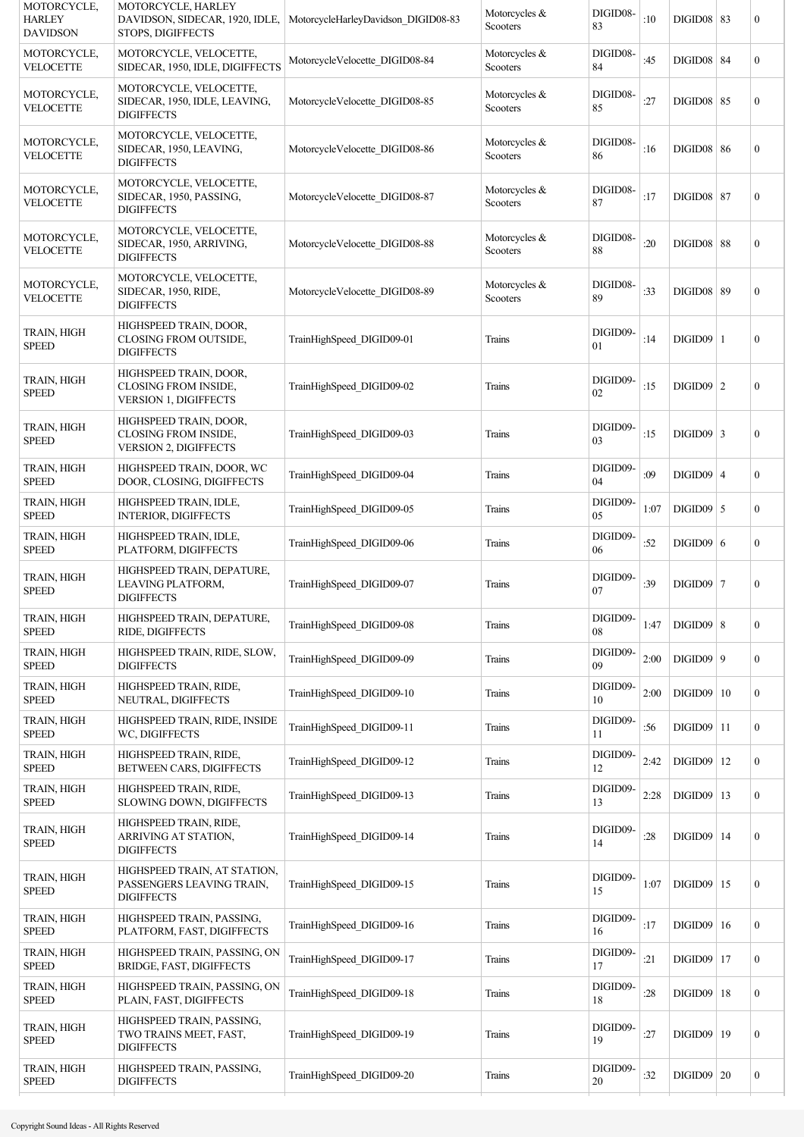| MOTORCYCLE,<br><b>HARLEY</b><br><b>DAVIDSON</b> | MOTORCYCLE, HARLEY<br>DAVIDSON, SIDECAR, 1920, IDLE,<br>STOPS, DIGIFFECTS             | MotorcycleHarleyDavidson DIGID08-83 | Motorcycles &<br>Scooters | DIGID08-<br>83 | :10  | <b>DIGID08 83</b> |    | $\boldsymbol{0}$ |
|-------------------------------------------------|---------------------------------------------------------------------------------------|-------------------------------------|---------------------------|----------------|------|-------------------|----|------------------|
| MOTORCYCLE,<br><b>VELOCETTE</b>                 | MOTORCYCLE, VELOCETTE,<br>SIDECAR, 1950, IDLE, DIGIFFECTS                             | MotorcycleVelocette DIGID08-84      | Motorcycles &<br>Scooters | DIGID08-<br>84 | :45  | <b>DIGID08 84</b> |    | $\boldsymbol{0}$ |
| MOTORCYCLE,<br><b>VELOCETTE</b>                 | MOTORCYCLE, VELOCETTE,<br>SIDECAR, 1950, IDLE, LEAVING,<br><b>DIGIFFECTS</b>          | MotorcycleVelocette DIGID08-85      | Motorcycles &<br>Scooters | DIGID08-<br>85 | :27  | $DIGID08$ 85      |    | $\boldsymbol{0}$ |
| MOTORCYCLE,<br><b>VELOCETTE</b>                 | MOTORCYCLE, VELOCETTE,<br>SIDECAR, 1950, LEAVING,<br><b>DIGIFFECTS</b>                | MotorcycleVelocette DIGID08-86      | Motorcycles &<br>Scooters | DIGID08-<br>86 | :16  | <b>DIGID08 86</b> |    | $\boldsymbol{0}$ |
| MOTORCYCLE,<br><b>VELOCETTE</b>                 | MOTORCYCLE, VELOCETTE,<br>SIDECAR, 1950, PASSING,<br><b>DIGIFFECTS</b>                | MotorcycleVelocette DIGID08-87      | Motorcycles &<br>Scooters | DIGID08-<br>87 | :17  | <b>DIGID08 87</b> |    | $\boldsymbol{0}$ |
| MOTORCYCLE,<br><b>VELOCETTE</b>                 | MOTORCYCLE, VELOCETTE,<br>SIDECAR, 1950, ARRIVING,<br><b>DIGIFFECTS</b>               | MotorcycleVelocette DIGID08-88      | Motorcycles &<br>Scooters | DIGID08-<br>88 | :20  | <b>DIGID08 88</b> |    | $\boldsymbol{0}$ |
| MOTORCYCLE,<br><b>VELOCETTE</b>                 | MOTORCYCLE, VELOCETTE,<br>SIDECAR, 1950, RIDE,<br><b>DIGIFFECTS</b>                   | MotorcycleVelocette DIGID08-89      | Motorcycles &<br>Scooters | DIGID08-<br>89 | :33  | <b>DIGID08 89</b> |    | $\boldsymbol{0}$ |
| TRAIN, HIGH<br><b>SPEED</b>                     | HIGHSPEED TRAIN, DOOR,<br>CLOSING FROM OUTSIDE,<br><b>DIGIFFECTS</b>                  | TrainHighSpeed DIGID09-01           | Trains                    | DIGID09-<br>01 | :14  | $DIGID09$  1      |    | $\boldsymbol{0}$ |
| TRAIN, HIGH<br><b>SPEED</b>                     | HIGHSPEED TRAIN, DOOR,<br><b>CLOSING FROM INSIDE,</b><br><b>VERSION 1, DIGIFFECTS</b> | TrainHighSpeed DIGID09-02           | Trains                    | DIGID09-<br>02 | :15  | $DIGID09$   2     |    | $\boldsymbol{0}$ |
| TRAIN, HIGH<br><b>SPEED</b>                     | HIGHSPEED TRAIN, DOOR,<br><b>CLOSING FROM INSIDE,</b><br>VERSION 2, DIGIFFECTS        | TrainHighSpeed DIGID09-03           | Trains                    | DIGID09-<br>03 | :15  | $DIGID09$ 3       |    | $\boldsymbol{0}$ |
| TRAIN, HIGH<br><b>SPEED</b>                     | HIGHSPEED TRAIN, DOOR, WC<br>DOOR, CLOSING, DIGIFFECTS                                | TrainHighSpeed DIGID09-04           | Trains                    | DIGID09-<br>04 | :09  | $DIGID09$ 4       |    | $\boldsymbol{0}$ |
| TRAIN, HIGH<br><b>SPEED</b>                     | HIGHSPEED TRAIN, IDLE,<br><b>INTERIOR, DIGIFFECTS</b>                                 | TrainHighSpeed DIGID09-05           | Trains                    | DIGID09-<br>05 | 1:07 | $DIGID09$ 5       |    | $\mathbf{0}$     |
| TRAIN, HIGH<br><b>SPEED</b>                     | HIGHSPEED TRAIN, IDLE,<br>PLATFORM, DIGIFFECTS                                        | TrainHighSpeed DIGID09-06           | Trains                    | DIGID09-<br>06 | :52  | $DIGID09$ 6       |    | $\boldsymbol{0}$ |
| TRAIN, HIGH<br><b>SPEED</b>                     | HIGHSPEED TRAIN, DEPATURE,<br>LEAVING PLATFORM,<br><b>DIGIFFECTS</b>                  | TrainHighSpeed DIGID09-07           | Trains                    | DIGID09-<br>07 | :39  | $DIGID09$   7     |    | $\boldsymbol{0}$ |
| TRAIN, HIGH<br><b>SPEED</b>                     | HIGHSPEED TRAIN, DEPATURE,<br>RIDE, DIGIFFECTS                                        | TrainHighSpeed DIGID09-08           | Trains                    | DIGID09-<br>08 | 1:47 | $DIGID09$ 8       |    | $\boldsymbol{0}$ |
| <b>TRAIN, HIGH</b><br><b>SPEED</b>              | HIGHSPEED TRAIN, RIDE, SLOW,<br><b>DIGIFFECTS</b>                                     | TrainHighSpeed DIGID09-09           | Trains                    | DIGID09-<br>09 | 2:00 | $DIGID09$   9     |    | $\mathbf{0}$     |
| TRAIN, HIGH<br><b>SPEED</b>                     | HIGHSPEED TRAIN, RIDE,<br>NEUTRAL, DIGIFFECTS                                         | TrainHighSpeed DIGID09-10           | Trains                    | DIGID09-<br>10 | 2:00 | DIGID09           | 10 | $\boldsymbol{0}$ |
| TRAIN, HIGH<br><b>SPEED</b>                     | HIGHSPEED TRAIN, RIDE, INSIDE<br>WC, DIGIFFECTS                                       | TrainHighSpeed DIGID09-11           | Trains                    | DIGID09-<br>11 | :56  | DIGID09           | 11 | $\mathbf{0}$     |
| TRAIN, HIGH<br><b>SPEED</b>                     | HIGHSPEED TRAIN, RIDE,<br>BETWEEN CARS, DIGIFFECTS                                    | TrainHighSpeed DIGID09-12           | Trains                    | DIGID09-<br>12 | 2:42 | DIGID09           | 12 | $\mathbf{0}$     |
| TRAIN, HIGH<br><b>SPEED</b>                     | HIGHSPEED TRAIN, RIDE,<br>SLOWING DOWN, DIGIFFECTS                                    | TrainHighSpeed DIGID09-13           | Trains                    | DIGID09-<br>13 | 2:28 | DIGID09           | 13 | $\boldsymbol{0}$ |
| TRAIN, HIGH<br><b>SPEED</b>                     | HIGHSPEED TRAIN, RIDE,<br>ARRIVING AT STATION,<br><b>DIGIFFECTS</b>                   | TrainHighSpeed DIGID09-14           | Trains                    | DIGID09-<br>14 | :28  | DIGID09           | 14 | $\boldsymbol{0}$ |
| TRAIN, HIGH<br><b>SPEED</b>                     | HIGHSPEED TRAIN, AT STATION,<br>PASSENGERS LEAVING TRAIN,<br><b>DIGIFFECTS</b>        | TrainHighSpeed DIGID09-15           | Trains                    | DIGID09-<br>15 | 1:07 | DIGID09           | 15 | $\boldsymbol{0}$ |
| TRAIN, HIGH<br><b>SPEED</b>                     | HIGHSPEED TRAIN, PASSING,<br>PLATFORM, FAST, DIGIFFECTS                               | TrainHighSpeed DIGID09-16           | Trains                    | DIGID09-<br>16 | :17  | DIGID09           | 16 | $\boldsymbol{0}$ |
| TRAIN, HIGH<br><b>SPEED</b>                     | HIGHSPEED TRAIN, PASSING, ON<br>BRIDGE, FAST, DIGIFFECTS                              | TrainHighSpeed DIGID09-17           | Trains                    | DIGID09-<br>17 | :21  | DIGID09           | 17 | $\boldsymbol{0}$ |
| TRAIN, HIGH<br><b>SPEED</b>                     | HIGHSPEED TRAIN, PASSING, ON<br>PLAIN, FAST, DIGIFFECTS                               | TrainHighSpeed DIGID09-18           | Trains                    | DIGID09-<br>18 | :28  | DIGID09           | 18 | $\boldsymbol{0}$ |
| TRAIN, HIGH<br><b>SPEED</b>                     | HIGHSPEED TRAIN, PASSING,<br>TWO TRAINS MEET, FAST,<br><b>DIGIFFECTS</b>              | TrainHighSpeed DIGID09-19           | Trains                    | DIGID09-<br>19 | :27  | DIGID09           | 19 | $\boldsymbol{0}$ |
| TRAIN, HIGH<br><b>SPEED</b>                     | HIGHSPEED TRAIN, PASSING,<br><b>DIGIFFECTS</b>                                        | TrainHighSpeed DIGID09-20           | Trains                    | DIGID09-<br>20 | :32  | $DIGID09$ 20      |    | $\boldsymbol{0}$ |
|                                                 |                                                                                       |                                     |                           |                |      |                   |    |                  |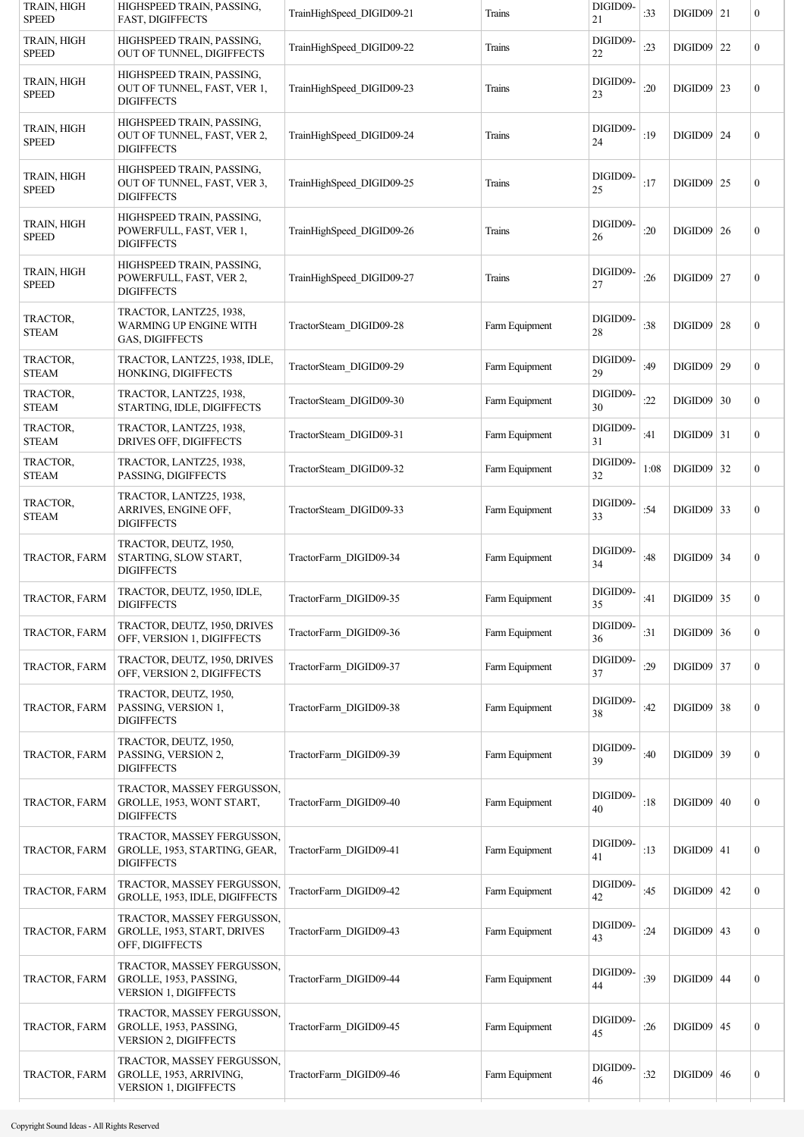| TRAIN, HIGH<br><b>SPEED</b> | HIGHSPEED TRAIN, PASSING,<br><b>FAST, DIGIFFECTS</b>                                 | TrainHighSpeed DIGID09-21 | Trains         | DIGID09-<br>21     | :33    | $DIGID09$ 21 |    | $\boldsymbol{0}$ |
|-----------------------------|--------------------------------------------------------------------------------------|---------------------------|----------------|--------------------|--------|--------------|----|------------------|
| TRAIN, HIGH<br><b>SPEED</b> | HIGHSPEED TRAIN, PASSING,<br>OUT OF TUNNEL, DIGIFFECTS                               | TrainHighSpeed DIGID09-22 | Trains         | DIGID09-<br>22     | :23    | $DIGID09$ 22 |    | $\mathbf{0}$     |
| TRAIN, HIGH<br><b>SPEED</b> | HIGHSPEED TRAIN, PASSING,<br>OUT OF TUNNEL, FAST, VER 1,<br><b>DIGIFFECTS</b>        | TrainHighSpeed DIGID09-23 | Trains         | DIGID09-<br>23     | :20    | DIGID09 23   |    | $\boldsymbol{0}$ |
| TRAIN, HIGH<br><b>SPEED</b> | HIGHSPEED TRAIN, PASSING,<br>OUT OF TUNNEL, FAST, VER 2,<br><b>DIGIFFECTS</b>        | TrainHighSpeed DIGID09-24 | Trains         | DIGID09-<br>24     | :19    | DIGID09 24   |    | $\boldsymbol{0}$ |
| TRAIN, HIGH<br><b>SPEED</b> | HIGHSPEED TRAIN, PASSING,<br>OUT OF TUNNEL, FAST, VER 3,<br><b>DIGIFFECTS</b>        | TrainHighSpeed DIGID09-25 | Trains         | DIGID09-<br>25     | :17    | DIGID09      | 25 | $\boldsymbol{0}$ |
| TRAIN, HIGH<br><b>SPEED</b> | HIGHSPEED TRAIN, PASSING,<br>POWERFULL, FAST, VER 1,<br><b>DIGIFFECTS</b>            | TrainHighSpeed DIGID09-26 | Trains         | DIGID09-<br>26     | :20    | $DIGID09$ 26 |    | $\boldsymbol{0}$ |
| TRAIN, HIGH<br><b>SPEED</b> | HIGHSPEED TRAIN, PASSING,<br>POWERFULL, FAST, VER 2,<br><b>DIGIFFECTS</b>            | TrainHighSpeed DIGID09-27 | Trains         | DIGID09-<br>27     | :26    | DIGID09 27   |    | $\boldsymbol{0}$ |
| TRACTOR,<br><b>STEAM</b>    | TRACTOR, LANTZ25, 1938,<br><b>WARMING UP ENGINE WITH</b><br>GAS, DIGIFFECTS          | TractorSteam DIGID09-28   | Farm Equipment | DIGID09-<br>$28\,$ | :38    | $DIGID09$ 28 |    | $\boldsymbol{0}$ |
| TRACTOR,<br><b>STEAM</b>    | TRACTOR, LANTZ25, 1938, IDLE,<br>HONKING, DIGIFFECTS                                 | TractorSteam DIGID09-29   | Farm Equipment | DIGID09-<br>29     | :49    | DIGID09   29 |    | $\mathbf{0}$     |
| TRACTOR,<br><b>STEAM</b>    | TRACTOR, LANTZ25, 1938,<br>STARTING, IDLE, DIGIFFECTS                                | TractorSteam DIGID09-30   | Farm Equipment | DIGID09-<br>30     | :22    | $DIGID09$ 30 |    | $\mathbf{0}$     |
| TRACTOR,<br><b>STEAM</b>    | TRACTOR, LANTZ25, 1938,<br>DRIVES OFF, DIGIFFECTS                                    | TractorSteam DIGID09-31   | Farm Equipment | DIGID09-<br>31     | :41    | DIGID09 31   |    | $\boldsymbol{0}$ |
| TRACTOR,<br><b>STEAM</b>    | TRACTOR, LANTZ25, 1938,<br>PASSING, DIGIFFECTS                                       | TractorSteam DIGID09-32   | Farm Equipment | DIGID09-<br>32     | 1:08   | DIGID09      | 32 | $\mathbf{0}$     |
| TRACTOR,<br><b>STEAM</b>    | TRACTOR, LANTZ25, 1938,<br>ARRIVES, ENGINE OFF,<br><b>DIGIFFECTS</b>                 | TractorSteam DIGID09-33   | Farm Equipment | DIGID09-<br>33     | :54    | DIGID09 33   |    | $\boldsymbol{0}$ |
| TRACTOR, FARM               | TRACTOR, DEUTZ, 1950,<br>STARTING, SLOW START,<br><b>DIGIFFECTS</b>                  | TractorFarm DIGID09-34    | Farm Equipment | DIGID09-<br>34     | :48    | DIGID09 34   |    | $\boldsymbol{0}$ |
| TRACTOR, FARM               | TRACTOR, DEUTZ, 1950, IDLE,<br><b>DIGIFFECTS</b>                                     | TractorFarm DIGID09-35    | Farm Equipment | DIGID09-<br>35     | :41    | $DIGID09$ 35 |    | $\boldsymbol{0}$ |
| TRACTOR, FARM               | TRACTOR, DEUTZ, 1950, DRIVES<br>OFF, VERSION 1, DIGIFFECTS                           | TractorFarm DIGID09-36    | Farm Equipment | DIGID09-<br>36     | : $31$ | $DIGID09$ 36 |    | $\boldsymbol{0}$ |
| TRACTOR, FARM               | TRACTOR, DEUTZ, 1950, DRIVES<br>OFF, VERSION 2, DIGIFFECTS                           | TractorFarm DIGID09-37    | Farm Equipment | DIGID09-<br>37     | :29    | $DIGID09$ 37 |    | $\boldsymbol{0}$ |
| TRACTOR, FARM               | TRACTOR, DEUTZ, 1950,<br>PASSING, VERSION 1,<br><b>DIGIFFECTS</b>                    | TractorFarm DIGID09-38    | Farm Equipment | DIGID09-<br>38     | :42    | $DIGID09$ 38 |    | $\boldsymbol{0}$ |
| TRACTOR, FARM               | TRACTOR, DEUTZ, 1950,<br>PASSING, VERSION 2,<br><b>DIGIFFECTS</b>                    | TractorFarm DIGID09-39    | Farm Equipment | DIGID09-<br>39     | :40    | $DIGID09$ 39 |    | $\boldsymbol{0}$ |
| TRACTOR, FARM               | TRACTOR, MASSEY FERGUSSON,<br>GROLLE, 1953, WONT START,<br><b>DIGIFFECTS</b>         | TractorFarm DIGID09-40    | Farm Equipment | DIGID09-<br>40     | :18    | DIGID09   40 |    | $\boldsymbol{0}$ |
| TRACTOR, FARM               | TRACTOR, MASSEY FERGUSSON,<br>GROLLE, 1953, STARTING, GEAR,<br><b>DIGIFFECTS</b>     | TractorFarm DIGID09-41    | Farm Equipment | DIGID09-<br>41     | :13    | $DIGID09$ 41 |    | $\boldsymbol{0}$ |
| TRACTOR, FARM               | TRACTOR, MASSEY FERGUSSON,<br>GROLLE, 1953, IDLE, DIGIFFECTS                         | TractorFarm DIGID09-42    | Farm Equipment | DIGID09-<br>42     | :45    | $DIGID09$ 42 |    | $\boldsymbol{0}$ |
| TRACTOR, FARM               | TRACTOR, MASSEY FERGUSSON,<br>GROLLE, 1953, START, DRIVES<br>OFF, DIGIFFECTS         | TractorFarm DIGID09-43    | Farm Equipment | DIGID09-<br>43     | :24    | $DIGID09$ 43 |    | $\boldsymbol{0}$ |
| TRACTOR, FARM               | TRACTOR, MASSEY FERGUSSON,<br>GROLLE, 1953, PASSING,<br>VERSION 1, DIGIFFECTS        | TractorFarm DIGID09-44    | Farm Equipment | DIGID09-<br>44     | :39    | $DIGID09$ 44 |    | $\boldsymbol{0}$ |
| TRACTOR, FARM               | TRACTOR, MASSEY FERGUSSON,<br>GROLLE, 1953, PASSING,<br><b>VERSION 2, DIGIFFECTS</b> | TractorFarm DIGID09-45    | Farm Equipment | DIGID09-<br>45     | :26    | $DIGID09$ 45 |    | $\boldsymbol{0}$ |
| TRACTOR, FARM               | TRACTOR, MASSEY FERGUSSON,<br>GROLLE, 1953, ARRIVING,<br>VERSION 1, DIGIFFECTS       | TractorFarm DIGID09-46    | Farm Equipment | DIGID09-<br>46     | :32    | $DIGID09$ 46 |    | $\boldsymbol{0}$ |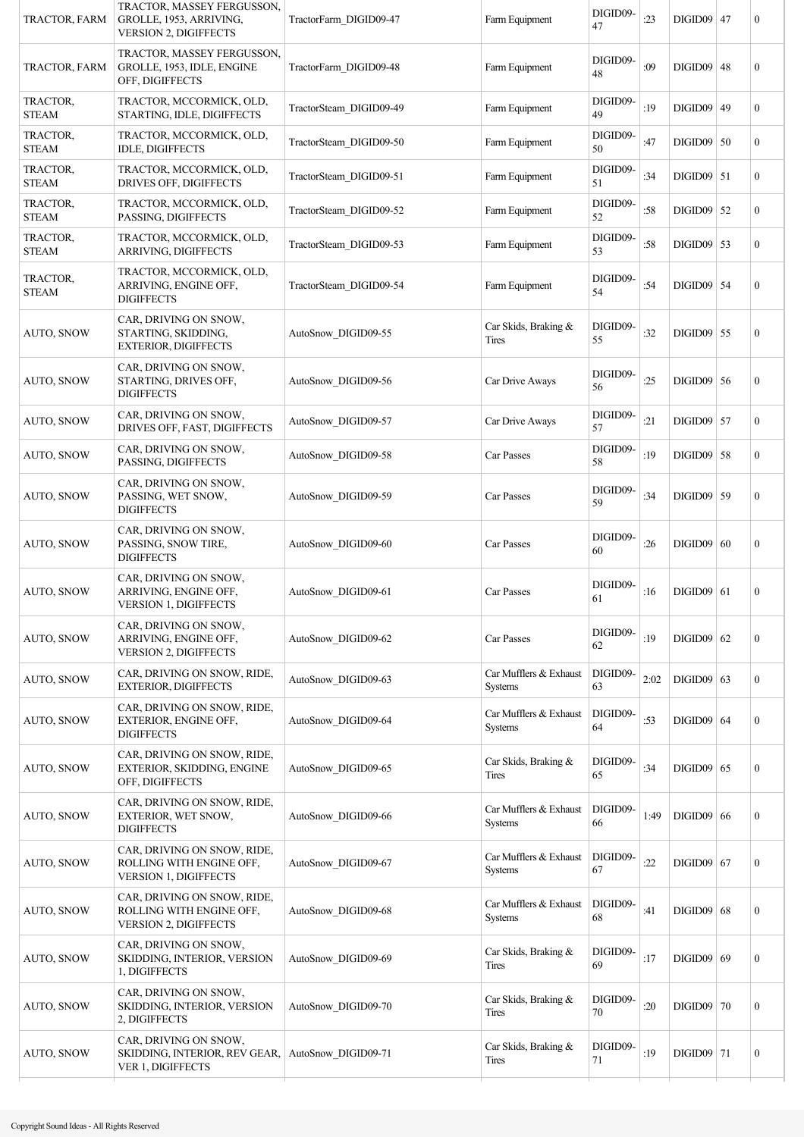| TRACTOR, FARM            | TRACTOR, MASSEY FERGUSSON,<br>GROLLE, 1953, ARRIVING,<br><b>VERSION 2, DIGIFFECTS</b>   | TractorFarm DIGID09-47  | Farm Equipment                           | DIGID09-<br>47 | :23  | $DIGID09$ 47 |    | $\boldsymbol{0}$ |
|--------------------------|-----------------------------------------------------------------------------------------|-------------------------|------------------------------------------|----------------|------|--------------|----|------------------|
| TRACTOR, FARM            | TRACTOR, MASSEY FERGUSSON,<br>GROLLE, 1953, IDLE, ENGINE<br>OFF, DIGIFFECTS             | TractorFarm DIGID09-48  | Farm Equipment                           | DIGID09-<br>48 | :09  | $DIGID09$ 48 |    | $\boldsymbol{0}$ |
| TRACTOR,<br>STEAM        | TRACTOR, MCCORMICK, OLD,<br>STARTING, IDLE, DIGIFFECTS                                  | TractorSteam DIGID09-49 | Farm Equipment                           | DIGID09-<br>49 | :19  | $DIGID09$ 49 |    | $\mathbf{0}$     |
| TRACTOR,<br><b>STEAM</b> | TRACTOR, MCCORMICK, OLD,<br><b>IDLE, DIGIFFECTS</b>                                     | TractorSteam DIGID09-50 | Farm Equipment                           | DIGID09-<br>50 | :47  | $DIGID09$ 50 |    | $\boldsymbol{0}$ |
| TRACTOR,<br><b>STEAM</b> | TRACTOR, MCCORMICK, OLD,<br>DRIVES OFF, DIGIFFECTS                                      | TractorSteam DIGID09-51 | Farm Equipment                           | DIGID09-<br>51 | :34  | $DIGID09$ 51 |    | $\mathbf{0}$     |
| TRACTOR,<br><b>STEAM</b> | TRACTOR, MCCORMICK, OLD,<br>PASSING, DIGIFFECTS                                         | TractorSteam DIGID09-52 | Farm Equipment                           | DIGID09-<br>52 | :58  | $DIGID09$ 52 |    | $\boldsymbol{0}$ |
| TRACTOR,<br><b>STEAM</b> | TRACTOR, MCCORMICK, OLD,<br>ARRIVING, DIGIFFECTS                                        | TractorSteam DIGID09-53 | Farm Equipment                           | DIGID09-<br>53 | :58  | $DIGID09$ 53 |    | $\boldsymbol{0}$ |
| TRACTOR,<br><b>STEAM</b> | TRACTOR, MCCORMICK, OLD,<br>ARRIVING, ENGINE OFF,<br><b>DIGIFFECTS</b>                  | TractorSteam DIGID09-54 | Farm Equipment                           | DIGID09-<br>54 | :54  | $DIGID09$ 54 |    | $\boldsymbol{0}$ |
| <b>AUTO, SNOW</b>        | CAR, DRIVING ON SNOW,<br>STARTING, SKIDDING,<br><b>EXTERIOR, DIGIFFECTS</b>             | AutoSnow DIGID09-55     | Car Skids, Braking &<br>Tires            | DIGID09-<br>55 | :32  | $DIGID09$ 55 |    | $\boldsymbol{0}$ |
| <b>AUTO, SNOW</b>        | CAR, DRIVING ON SNOW,<br>STARTING, DRIVES OFF,<br><b>DIGIFFECTS</b>                     | AutoSnow DIGID09-56     | Car Drive Aways                          | DIGID09-<br>56 | :25  | $DIGID09$ 56 |    | $\boldsymbol{0}$ |
| <b>AUTO, SNOW</b>        | CAR, DRIVING ON SNOW,<br>DRIVES OFF, FAST, DIGIFFECTS                                   | AutoSnow DIGID09-57     | Car Drive Aways                          | DIGID09-<br>57 | :21  | $DIGID09$ 57 |    | $\boldsymbol{0}$ |
| AUTO, SNOW               | CAR, DRIVING ON SNOW,<br>PASSING, DIGIFFECTS                                            | AutoSnow DIGID09-58     | Car Passes                               | DIGID09-<br>58 | :19  | DIGID09      | 58 | $\boldsymbol{0}$ |
| <b>AUTO, SNOW</b>        | CAR, DRIVING ON SNOW,<br>PASSING, WET SNOW,<br><b>DIGIFFECTS</b>                        | AutoSnow DIGID09-59     | Car Passes                               | DIGID09-<br>59 | :34  | DIGID09 59   |    | $\boldsymbol{0}$ |
| <b>AUTO, SNOW</b>        | CAR, DRIVING ON SNOW,<br>PASSING, SNOW TIRE,<br><b>DIGIFFECTS</b>                       | AutoSnow DIGID09-60     | Car Passes                               | DIGID09-<br>60 | :26  | DIGID09   60 |    | $\boldsymbol{0}$ |
| AUTO, SNOW               | CAR, DRIVING ON SNOW,<br>ARRIVING, ENGINE OFF,<br><b>VERSION 1, DIGIFFECTS</b>          | AutoSnow DIGID09-61     | Car Passes                               | DIGID09-<br>61 | :16  | $DIGID09$ 61 |    | $\boldsymbol{0}$ |
| <b>AUTO, SNOW</b>        | CAR, DRIVING ON SNOW,<br>ARRIVING, ENGINE OFF,<br>VERSION 2, DIGIFFECTS                 | AutoSnow DIGID09-62     | Car Passes                               | DIGID09-<br>62 | :19  | $DIGID09$ 62 |    | $\boldsymbol{0}$ |
| AUTO, SNOW               | CAR, DRIVING ON SNOW, RIDE,<br><b>EXTERIOR, DIGIFFECTS</b>                              | AutoSnow DIGID09-63     | Car Mufflers & Exhaust<br><b>Systems</b> | DIGID09-<br>63 | 2:02 | $DIGID09$ 63 |    | $\boldsymbol{0}$ |
| <b>AUTO, SNOW</b>        | CAR, DRIVING ON SNOW, RIDE,<br>EXTERIOR, ENGINE OFF,<br><b>DIGIFFECTS</b>               | AutoSnow DIGID09-64     | Car Mufflers & Exhaust<br><b>Systems</b> | DIGID09-<br>64 | :53  | $DIGID09$ 64 |    | $\boldsymbol{0}$ |
| <b>AUTO, SNOW</b>        | CAR, DRIVING ON SNOW, RIDE,<br>EXTERIOR, SKIDDING, ENGINE<br>OFF, DIGIFFECTS            | AutoSnow DIGID09-65     | Car Skids, Braking &<br><b>Tires</b>     | DIGID09-<br>65 | :34  | $DIGID09$ 65 |    | $\boldsymbol{0}$ |
| <b>AUTO, SNOW</b>        | CAR, DRIVING ON SNOW, RIDE,<br>EXTERIOR, WET SNOW,<br><b>DIGIFFECTS</b>                 | AutoSnow DIGID09-66     | Car Mufflers & Exhaust<br>Systems        | DIGID09-<br>66 | 1:49 | $DIGID09$ 66 |    | $\boldsymbol{0}$ |
| <b>AUTO, SNOW</b>        | CAR, DRIVING ON SNOW, RIDE,<br>ROLLING WITH ENGINE OFF,<br><b>VERSION 1, DIGIFFECTS</b> | AutoSnow DIGID09-67     | Car Mufflers & Exhaust<br>Systems        | DIGID09-<br>67 | :22  | $DIGID09$ 67 |    | $\boldsymbol{0}$ |
| <b>AUTO, SNOW</b>        | CAR, DRIVING ON SNOW, RIDE,<br>ROLLING WITH ENGINE OFF,<br><b>VERSION 2, DIGIFFECTS</b> | AutoSnow DIGID09-68     | Car Mufflers & Exhaust<br>Systems        | DIGID09-<br>68 | :41  | $DIGID09$ 68 |    | $\boldsymbol{0}$ |
| AUTO, SNOW               | CAR, DRIVING ON SNOW,<br>SKIDDING, INTERIOR, VERSION<br>1, DIGIFFECTS                   | AutoSnow DIGID09-69     | Car Skids, Braking &<br>Tires            | DIGID09-<br>69 | :17  | DIGID09   69 |    | $\boldsymbol{0}$ |
| <b>AUTO, SNOW</b>        | CAR, DRIVING ON SNOW,<br>SKIDDING, INTERIOR, VERSION<br>2, DIGIFFECTS                   | AutoSnow DIGID09-70     | Car Skids, Braking &<br>Tires            | DIGID09-<br>70 | :20  | $DIGID09$ 70 |    | $\boldsymbol{0}$ |
| AUTO, SNOW               | CAR, DRIVING ON SNOW,<br>SKIDDING, INTERIOR, REV GEAR,<br>VER 1, DIGIFFECTS             | AutoSnow DIGID09-71     | Car Skids, Braking &<br>Tires            | DIGID09-<br>71 | :19  | $DIGID09$ 71 |    | $\boldsymbol{0}$ |
|                          |                                                                                         |                         |                                          |                |      |              |    |                  |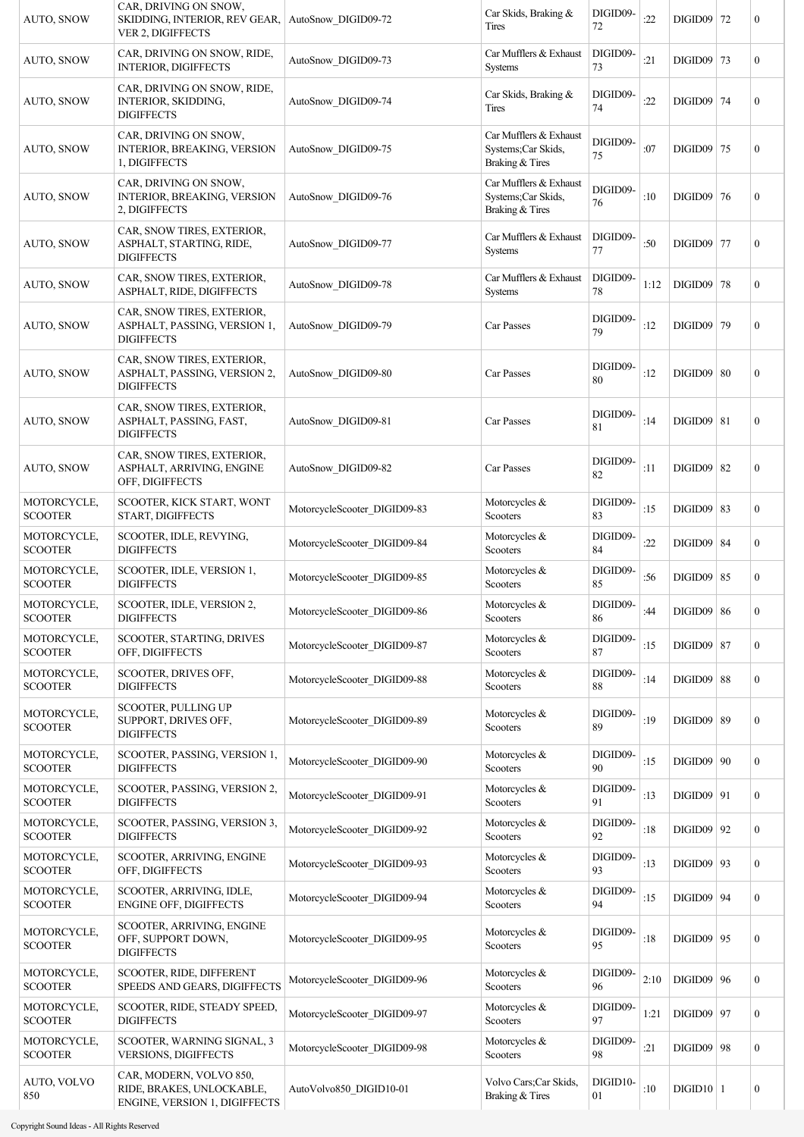| <b>AUTO, SNOW</b>             | CAR, DRIVING ON SNOW,<br>SKIDDING, INTERIOR, REV GEAR,<br>VER 2, DIGIFFECTS           | AutoSnow DIGID09-72          | Car Skids, Braking &<br>Tires                                   | DIGID09-<br>72 | :22  | DIGID09 72     |    | $\mathbf{0}$     |
|-------------------------------|---------------------------------------------------------------------------------------|------------------------------|-----------------------------------------------------------------|----------------|------|----------------|----|------------------|
| AUTO, SNOW                    | CAR, DRIVING ON SNOW, RIDE,<br><b>INTERIOR, DIGIFFECTS</b>                            | AutoSnow DIGID09-73          | Car Mufflers & Exhaust<br>Systems                               | DIGID09-<br>73 | :21  | $DIGID09$ 73   |    | $\mathbf{0}$     |
| <b>AUTO, SNOW</b>             | CAR, DRIVING ON SNOW, RIDE,<br><b>INTERIOR, SKIDDING,</b><br><b>DIGIFFECTS</b>        | AutoSnow DIGID09-74          | Car Skids, Braking &<br>Tires                                   | DIGID09-<br>74 | :22  | DIGID09 74     |    | $\mathbf{0}$     |
| AUTO, SNOW                    | CAR, DRIVING ON SNOW,<br><b>INTERIOR, BREAKING, VERSION</b><br>1, DIGIFFECTS          | AutoSnow DIGID09-75          | Car Mufflers & Exhaust<br>Systems;Car Skids,<br>Braking & Tires | DIGID09-<br>75 | :07  | DIGID09 75     |    | $\mathbf{0}$     |
| AUTO, SNOW                    | CAR, DRIVING ON SNOW,<br>INTERIOR, BREAKING, VERSION<br>2, DIGIFFECTS                 | AutoSnow DIGID09-76          | Car Mufflers & Exhaust<br>Systems;Car Skids,<br>Braking & Tires | DIGID09-<br>76 | :10  | DIGID09 76     |    | $\mathbf{0}$     |
| <b>AUTO, SNOW</b>             | CAR, SNOW TIRES, EXTERIOR,<br>ASPHALT, STARTING, RIDE,<br><b>DIGIFFECTS</b>           | AutoSnow DIGID09-77          | Car Mufflers & Exhaust<br>Systems                               | DIGID09-<br>77 | :50  | $DIGID09$      | 77 | $\boldsymbol{0}$ |
| <b>AUTO, SNOW</b>             | CAR, SNOW TIRES, EXTERIOR,<br>ASPHALT, RIDE, DIGIFFECTS                               | AutoSnow DIGID09-78          | Car Mufflers & Exhaust<br>Systems                               | DIGID09-<br>78 | 1:12 | $DIGID09$ 78   |    | $\mathbf{0}$     |
| <b>AUTO, SNOW</b>             | CAR, SNOW TIRES, EXTERIOR,<br>ASPHALT, PASSING, VERSION 1,<br><b>DIGIFFECTS</b>       | AutoSnow DIGID09-79          | Car Passes                                                      | DIGID09-<br>79 | :12  | DIGID09 79     |    | $\mathbf{0}$     |
| <b>AUTO, SNOW</b>             | CAR, SNOW TIRES, EXTERIOR,<br>ASPHALT, PASSING, VERSION 2,<br><b>DIGIFFECTS</b>       | AutoSnow_DIGID09-80          | Car Passes                                                      | DIGID09-<br>80 | :12  | $DIGID09$ 80   |    | $\boldsymbol{0}$ |
| <b>AUTO, SNOW</b>             | CAR, SNOW TIRES, EXTERIOR,<br>ASPHALT, PASSING, FAST,<br><b>DIGIFFECTS</b>            | AutoSnow DIGID09-81          | Car Passes                                                      | DIGID09-<br>81 | :14  | $DIGID09$   81 |    | $\mathbf{0}$     |
| <b>AUTO, SNOW</b>             | CAR, SNOW TIRES, EXTERIOR,<br>ASPHALT, ARRIVING, ENGINE<br>OFF, DIGIFFECTS            | AutoSnow DIGID09-82          | Car Passes                                                      | DIGID09-<br>82 | :11  | $DIGID09$ 82   |    | $\boldsymbol{0}$ |
| MOTORCYCLE,<br><b>SCOOTER</b> | SCOOTER, KICK START, WONT<br>START, DIGIFFECTS                                        | MotorcycleScooter_DIGID09-83 | Motorcycles &<br>Scooters                                       | DIGID09-<br>83 | :15  | $DIGID09$ 83   |    | $\mathbf{0}$     |
| MOTORCYCLE,<br><b>SCOOTER</b> | SCOOTER, IDLE, REVYING,<br><b>DIGIFFECTS</b>                                          | MotorcycleScooter DIGID09-84 | Motorcycles $&$<br>Scooters                                     | DIGID09-<br>84 | :22  | $DIGID09$ 84   |    | $\mathbf{0}$     |
| MOTORCYCLE,<br><b>SCOOTER</b> | SCOOTER, IDLE, VERSION 1,<br><b>DIGIFFECTS</b>                                        | MotorcycleScooter DIGID09-85 | Motorcycles $\&$<br>Scooters                                    | DIGID09-<br>85 | :56  | $DIGID09$ 85   |    | $\boldsymbol{0}$ |
| MOTORCYCLE,<br><b>SCOOTER</b> | SCOOTER, IDLE, VERSION 2,<br><b>DIGIFFECTS</b>                                        | MotorcycleScooter_DIGID09-86 | Motorcycles &<br>Scooters                                       | DIGID09-<br>86 | :44  | $DIGID09$ 86   |    | $\boldsymbol{0}$ |
| MOTORCYCLE,<br><b>SCOOTER</b> | SCOOTER, STARTING, DRIVES<br>OFF, DIGIFFECTS                                          | MotorcycleScooter_DIGID09-87 | Motorcycles &<br>Scooters                                       | DIGID09-<br>87 | :15  | $DIGID09$ 87   |    | $\mathbf{0}$     |
| MOTORCYCLE,<br><b>SCOOTER</b> | SCOOTER, DRIVES OFF,<br><b>DIGIFFECTS</b>                                             | MotorcycleScooter_DIGID09-88 | Motorcycles &<br>Scooters                                       | DIGID09-<br>88 | :14  | $DIGID09$ 88   |    | $\mathbf{0}$     |
| MOTORCYCLE,<br><b>SCOOTER</b> | <b>SCOOTER, PULLING UP</b><br>SUPPORT, DRIVES OFF,<br><b>DIGIFFECTS</b>               | MotorcycleScooter_DIGID09-89 | Motorcycles &<br>Scooters                                       | DIGID09-<br>89 | :19  | $DIGID09$ 89   |    | $\boldsymbol{0}$ |
| MOTORCYCLE,<br><b>SCOOTER</b> | SCOOTER, PASSING, VERSION 1,<br><b>DIGIFFECTS</b>                                     | MotorcycleScooter_DIGID09-90 | Motorcycles &<br>Scooters                                       | DIGID09-<br>90 | :15  | $DIGID09$ 90   |    | $\boldsymbol{0}$ |
| MOTORCYCLE,<br><b>SCOOTER</b> | SCOOTER, PASSING, VERSION 2,<br><b>DIGIFFECTS</b>                                     | MotorcycleScooter_DIGID09-91 | Motorcycles &<br>Scooters                                       | DIGID09-<br>91 | :13  | $DIGID09$ 91   |    | $\mathbf{0}$     |
| MOTORCYCLE,<br><b>SCOOTER</b> | SCOOTER, PASSING, VERSION 3,<br><b>DIGIFFECTS</b>                                     | MotorcycleScooter_DIGID09-92 | Motorcycles &<br>Scooters                                       | DIGID09-<br>92 | :18  | $DIGID09$   92 |    | $\mathbf{0}$     |
| MOTORCYCLE,<br><b>SCOOTER</b> | SCOOTER, ARRIVING, ENGINE<br>OFF, DIGIFFECTS                                          | MotorcycleScooter_DIGID09-93 | Motorcycles &<br>Scooters                                       | DIGID09-<br>93 | :13  | $DIGID09$   93 |    | $\mathbf{0}$     |
| MOTORCYCLE,<br><b>SCOOTER</b> | SCOOTER, ARRIVING, IDLE,<br><b>ENGINE OFF, DIGIFFECTS</b>                             | MotorcycleScooter_DIGID09-94 | Motorcycles &<br>Scooters                                       | DIGID09-<br>94 | :15  | $DIGID09$   94 |    | $\mathbf{0}$     |
| MOTORCYCLE,<br><b>SCOOTER</b> | SCOOTER, ARRIVING, ENGINE<br>OFF, SUPPORT DOWN,<br><b>DIGIFFECTS</b>                  | MotorcycleScooter_DIGID09-95 | Motorcycles &<br>Scooters                                       | DIGID09-<br>95 | :18  | $DIGID09$ 95   |    | $\boldsymbol{0}$ |
| MOTORCYCLE,<br><b>SCOOTER</b> | SCOOTER, RIDE, DIFFERENT<br>SPEEDS AND GEARS, DIGIFFECTS                              | MotorcycleScooter_DIGID09-96 | Motorcycles &<br>Scooters                                       | DIGID09-<br>96 | 2:10 | $DIGID09$   96 |    | $\mathbf{0}$     |
| MOTORCYCLE,<br><b>SCOOTER</b> | SCOOTER, RIDE, STEADY SPEED,<br><b>DIGIFFECTS</b>                                     | MotorcycleScooter_DIGID09-97 | Motorcycles &<br>Scooters                                       | DIGID09-<br>97 | 1:21 | DIGID09 97     |    | $\mathbf{0}$     |
| MOTORCYCLE,<br><b>SCOOTER</b> | SCOOTER, WARNING SIGNAL, 3<br>VERSIONS, DIGIFFECTS                                    | MotorcycleScooter_DIGID09-98 | Motorcycles &<br>Scooters                                       | DIGID09-<br>98 | :21  | DIGID09 98     |    | $\mathbf{0}$     |
| AUTO, VOLVO<br>850            | CAR, MODERN, VOLVO 850,<br>RIDE, BRAKES, UNLOCKABLE,<br>ENGINE, VERSION 1, DIGIFFECTS | AutoVolvo850 DIGID10-01      | Volvo Cars; Car Skids,<br>Braking & Tires                       | DIGID10-<br>01 | :10  | $DIGID10$   1  |    | $\mathbf{0}$     |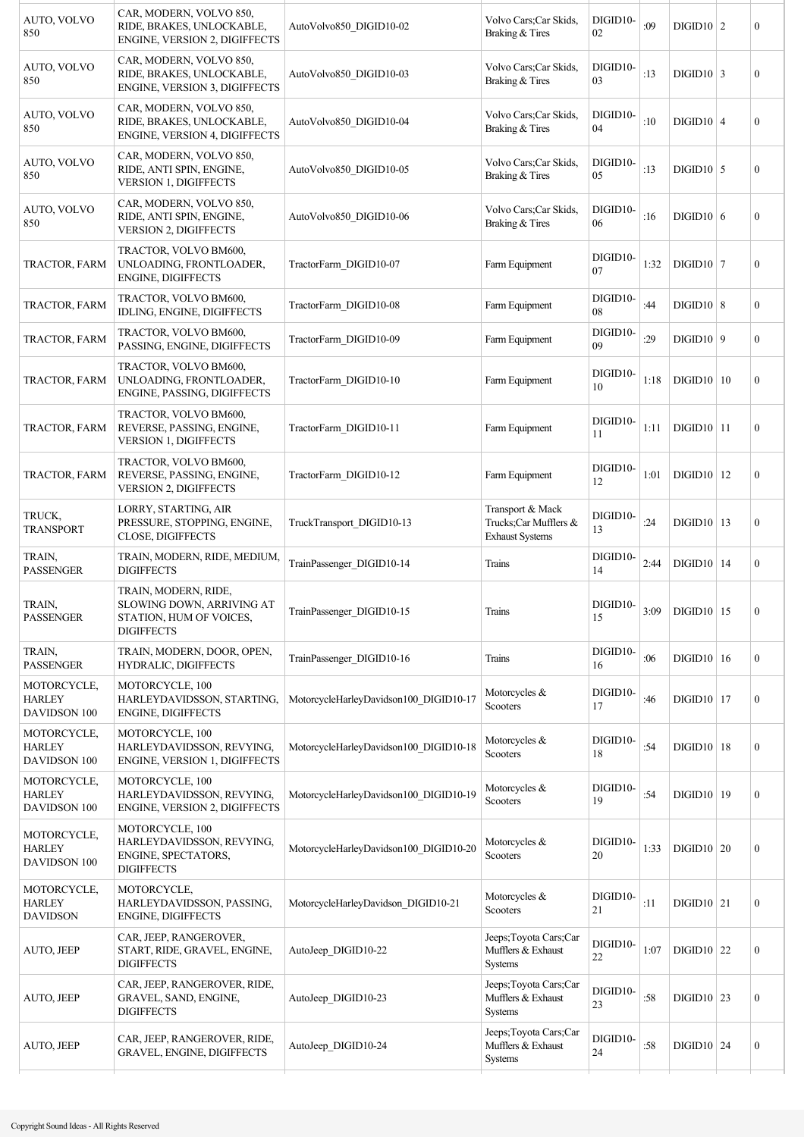| AUTO, VOLVO<br>850                              | CAR, MODERN, VOLVO 850,<br>RIDE, BRAKES, UNLOCKABLE,<br><b>ENGINE, VERSION 2, DIGIFFECTS</b>      | AutoVolvo850 DIGID10-02                | Volvo Cars; Car Skids,<br>Braking & Tires                           | DIGID10-<br>02 | :09  | $DIGID10$   2                 |    | $\boldsymbol{0}$ |
|-------------------------------------------------|---------------------------------------------------------------------------------------------------|----------------------------------------|---------------------------------------------------------------------|----------------|------|-------------------------------|----|------------------|
| AUTO, VOLVO<br>850                              | CAR, MODERN, VOLVO 850,<br>RIDE, BRAKES, UNLOCKABLE,<br>ENGINE, VERSION 3, DIGIFFECTS             | AutoVolvo850 DIGID10-03                | Volvo Cars; Car Skids,<br>Braking & Tires                           | DIGID10-<br>03 | :13  | $DIGID10$ 3                   |    | $\boldsymbol{0}$ |
| AUTO, VOLVO<br>850                              | CAR, MODERN, VOLVO 850,<br>RIDE, BRAKES, UNLOCKABLE,<br>ENGINE, VERSION 4, DIGIFFECTS             | AutoVolvo850 DIGID10-04                | Volvo Cars;Car Skids,<br>Braking & Tires                            | DIGID10-<br>04 | :10  | $DIGID10$ 4                   |    | $\overline{0}$   |
| AUTO, VOLVO<br>850                              | CAR, MODERN, VOLVO 850,<br>RIDE, ANTI SPIN, ENGINE,<br><b>VERSION 1, DIGIFFECTS</b>               | AutoVolvo850 DIGID10-05                | Volvo Cars; Car Skids,<br>Braking & Tires                           | DIGID10-<br>05 | :13  | $DIGID10$ 5                   |    | $\boldsymbol{0}$ |
| AUTO, VOLVO<br>850                              | CAR, MODERN, VOLVO 850,<br>RIDE, ANTI SPIN, ENGINE,<br><b>VERSION 2, DIGIFFECTS</b>               | AutoVolvo850 DIGID10-06                | Volvo Cars; Car Skids,<br>Braking & Tires                           | DIGID10-<br>06 | :16  | $DIGID10$ 6                   |    | $\boldsymbol{0}$ |
| TRACTOR, FARM                                   | TRACTOR, VOLVO BM600,<br>UNLOADING, FRONTLOADER,<br><b>ENGINE, DIGIFFECTS</b>                     | TractorFarm DIGID10-07                 | Farm Equipment                                                      | DIGID10-<br>07 | 1:32 | $DIGID10$ 7                   |    | $\boldsymbol{0}$ |
| TRACTOR, FARM                                   | TRACTOR, VOLVO BM600,<br>IDLING, ENGINE, DIGIFFECTS                                               | TractorFarm DIGID10-08                 | Farm Equipment                                                      | DIGID10-<br>08 | :44  | DIGID10   8                   |    | $\boldsymbol{0}$ |
| TRACTOR, FARM                                   | TRACTOR, VOLVO BM600,<br>PASSING, ENGINE, DIGIFFECTS                                              | TractorFarm DIGID10-09                 | Farm Equipment                                                      | DIGID10-<br>09 | :29  | $DIGID10$ 9                   |    | $\boldsymbol{0}$ |
| TRACTOR, FARM                                   | TRACTOR, VOLVO BM600,<br>UNLOADING, FRONTLOADER,<br>ENGINE, PASSING, DIGIFFECTS                   | TractorFarm DIGID10-10                 | Farm Equipment                                                      | DIGID10-<br>10 | 1:18 | $DIGID10$   10                |    | $\boldsymbol{0}$ |
| TRACTOR, FARM                                   | TRACTOR, VOLVO BM600,<br>REVERSE, PASSING, ENGINE,<br><b>VERSION 1, DIGIFFECTS</b>                | TractorFarm DIGID10-11                 | Farm Equipment                                                      | DIGID10-<br>11 | 1:11 | $DIGID10$  11                 |    | $\boldsymbol{0}$ |
| TRACTOR, FARM                                   | TRACTOR, VOLVO BM600,<br>REVERSE, PASSING, ENGINE,<br><b>VERSION 2, DIGIFFECTS</b>                | TractorFarm DIGID10-12                 | Farm Equipment                                                      | DIGID10-<br>12 | 1:01 | $DIGID10$   12                |    | $\boldsymbol{0}$ |
| TRUCK,<br><b>TRANSPORT</b>                      | LORRY, STARTING, AIR<br>PRESSURE, STOPPING, ENGINE,<br>CLOSE, DIGIFFECTS                          | TruckTransport DIGID10-13              | Transport & Mack<br>Trucks;Car Mufflers &<br><b>Exhaust Systems</b> | DIGID10-<br>13 | :24  | $DIGID10$                     | 13 | $\boldsymbol{0}$ |
| TRAIN,<br><b>PASSENGER</b>                      | TRAIN, MODERN, RIDE, MEDIUM,<br><b>DIGIFFECTS</b>                                                 | TrainPassenger DIGID10-14              | Trains                                                              | DIGID10-<br>14 | 2:44 | $DIGID10$   14                |    | $\boldsymbol{0}$ |
| TRAIN,<br><b>PASSENGER</b>                      | TRAIN, MODERN, RIDE,<br>SLOWING DOWN, ARRIVING AT<br>STATION, HUM OF VOICES,<br><b>DIGIFFECTS</b> | TrainPassenger_DIGID10-15              | Trains                                                              | DIGID10-<br>15 |      | $3:09$ DIGID <sub>10</sub> 15 |    | 0                |
| TRAIN,<br><b>PASSENGER</b>                      | TRAIN, MODERN, DOOR, OPEN,<br>HYDRALIC, DIGIFFECTS                                                | TrainPassenger_DIGID10-16              | Trains                                                              | DIGID10-<br>16 | :06  | $DIGID10$   16                |    | $\boldsymbol{0}$ |
| MOTORCYCLE,<br><b>HARLEY</b><br>DAVIDSON 100    | MOTORCYCLE, 100<br>HARLEYDAVIDSSON, STARTING,<br><b>ENGINE, DIGIFFECTS</b>                        | MotorcycleHarleyDavidson100_DIGID10-17 | Motorcycles &<br>Scooters                                           | DIGID10-<br>17 | :46  | $DIGID10$   17                |    | $\boldsymbol{0}$ |
| MOTORCYCLE,<br><b>HARLEY</b><br>DAVIDSON 100    | MOTORCYCLE, 100<br>HARLEYDAVIDSSON, REVYING,<br><b>ENGINE, VERSION 1, DIGIFFECTS</b>              | MotorcycleHarleyDavidson100 DIGID10-18 | Motorcycles &<br>Scooters                                           | DIGID10-<br>18 | :54  | $DIGID10$   18                |    | $\boldsymbol{0}$ |
| MOTORCYCLE,<br><b>HARLEY</b><br>DAVIDSON 100    | MOTORCYCLE, 100<br>HARLEYDAVIDSSON, REVYING,<br>ENGINE, VERSION 2, DIGIFFECTS                     | MotorcycleHarleyDavidson100 DIGID10-19 | Motorcycles &<br>Scooters                                           | DIGID10-<br>19 | :54  | DIGID10 19                    |    | $\boldsymbol{0}$ |
| MOTORCYCLE,<br><b>HARLEY</b><br>DAVIDSON 100    | MOTORCYCLE, 100<br>HARLEYDAVIDSSON, REVYING,<br>ENGINE, SPECTATORS,<br><b>DIGIFFECTS</b>          | MotorcycleHarleyDavidson100_DIGID10-20 | Motorcycles &<br>Scooters                                           | DIGID10-<br>20 | 1:33 | $DIGID10$ 20                  |    | $\boldsymbol{0}$ |
| MOTORCYCLE,<br><b>HARLEY</b><br><b>DAVIDSON</b> | MOTORCYCLE,<br>HARLEYDAVIDSSON, PASSING,<br>ENGINE, DIGIFFECTS                                    | MotorcycleHarleyDavidson DIGID10-21    | Motorcycles &<br>Scooters                                           | DIGID10-<br>21 | :11  | $DIGID10$ 21                  |    | $\boldsymbol{0}$ |
| AUTO, JEEP                                      | CAR, JEEP, RANGEROVER,<br>START, RIDE, GRAVEL, ENGINE,<br><b>DIGIFFECTS</b>                       | AutoJeep DIGID10-22                    | Jeeps; Toyota Cars; Car<br>Mufflers & Exhaust<br>Systems            | DIGID10-<br>22 | 1:07 | $\text{DIGID10}$ 22           |    | 0                |
| AUTO, JEEP                                      | CAR, JEEP, RANGEROVER, RIDE,<br>GRAVEL, SAND, ENGINE,<br><b>DIGIFFECTS</b>                        | AutoJeep DIGID10-23                    | Jeeps; Toyota Cars; Car<br>Mufflers & Exhaust<br>Systems            | DIGID10-<br>23 | :58  | $DIGID10$ 23                  |    | $\boldsymbol{0}$ |
| AUTO, JEEP                                      | CAR, JEEP, RANGEROVER, RIDE,<br>GRAVEL, ENGINE, DIGIFFECTS                                        | AutoJeep DIGID10-24                    | Jeeps; Toyota Cars; Car<br>Mufflers & Exhaust<br>Systems            | DIGID10-<br>24 | :58  | $DIGID10$ 24                  |    | $\boldsymbol{0}$ |
|                                                 |                                                                                                   |                                        |                                                                     |                |      |                               |    |                  |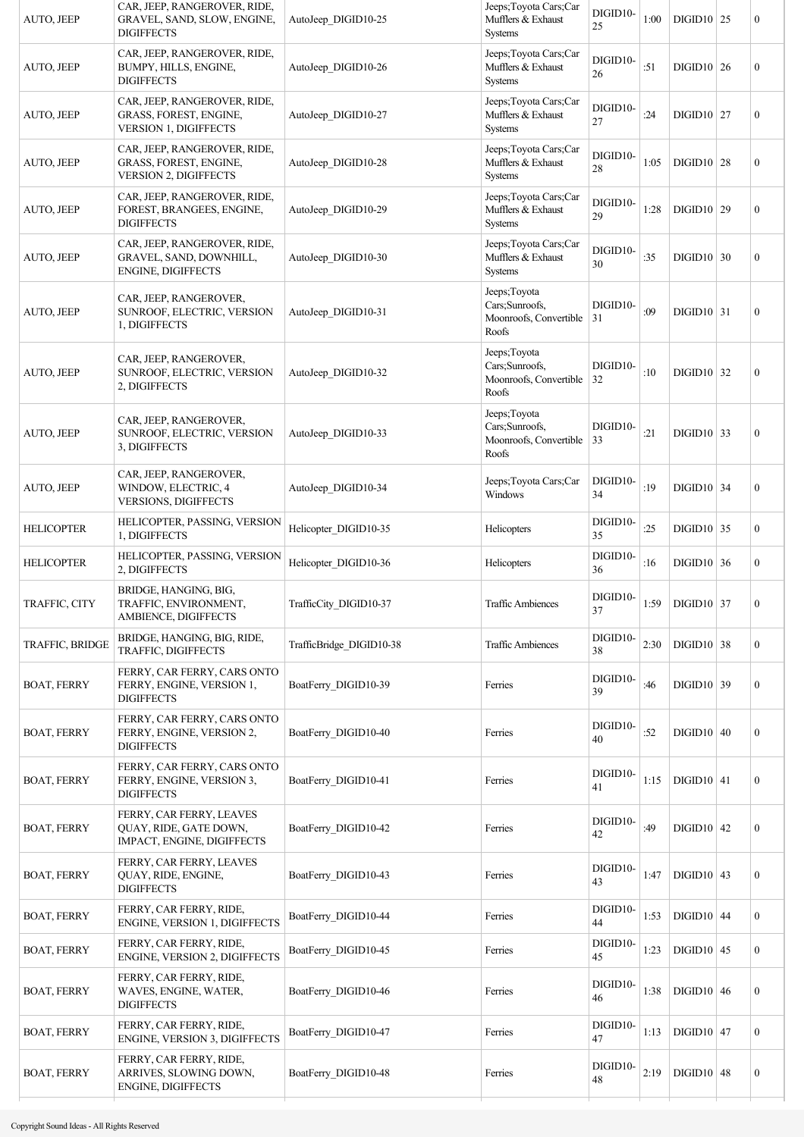| AUTO, JEEP             | CAR, JEEP, RANGEROVER, RIDE,<br>GRAVEL, SAND, SLOW, ENGINE,<br><b>DIGIFFECTS</b>       | AutoJeep DIGID10-25      | Jeeps; Toyota Cars; Car<br>Mufflers & Exhaust<br><b>Systems</b>    | DIGID10-<br>25 | 1:00 | $DIGID10$ 25 |    | $\boldsymbol{0}$ |
|------------------------|----------------------------------------------------------------------------------------|--------------------------|--------------------------------------------------------------------|----------------|------|--------------|----|------------------|
| AUTO, JEEP             | CAR, JEEP, RANGEROVER, RIDE,<br>BUMPY, HILLS, ENGINE,<br><b>DIGIFFECTS</b>             | AutoJeep DIGID10-26      | Jeeps; Toyota Cars; Car<br>Mufflers & Exhaust<br><b>Systems</b>    | DIGID10-<br>26 | :51  | $DIGID10$ 26 |    | $\mathbf{0}$     |
| AUTO, JEEP             | CAR, JEEP, RANGEROVER, RIDE,<br>GRASS, FOREST, ENGINE,<br><b>VERSION 1, DIGIFFECTS</b> | AutoJeep DIGID10-27      | Jeeps; Toyota Cars; Car<br>Mufflers & Exhaust<br><b>Systems</b>    | DIGID10-<br>27 | :24  | $DIGID10$ 27 |    | $\boldsymbol{0}$ |
| AUTO, JEEP             | CAR, JEEP, RANGEROVER, RIDE,<br>GRASS, FOREST, ENGINE,<br><b>VERSION 2, DIGIFFECTS</b> | AutoJeep DIGID10-28      | Jeeps; Toyota Cars; Car<br>Mufflers & Exhaust<br><b>Systems</b>    | DIGID10-<br>28 | 1:05 | $DIGID10$ 28 |    | $\boldsymbol{0}$ |
| AUTO, JEEP             | CAR, JEEP, RANGEROVER, RIDE,<br>FOREST, BRANGEES, ENGINE,<br><b>DIGIFFECTS</b>         | AutoJeep DIGID10-29      | Jeeps; Toyota Cars; Car<br>Mufflers & Exhaust<br><b>Systems</b>    | DIGID10-<br>29 | 1:28 | DIGID10   29 |    | $\boldsymbol{0}$ |
| AUTO, JEEP             | CAR, JEEP, RANGEROVER, RIDE,<br>GRAVEL, SAND, DOWNHILL,<br><b>ENGINE, DIGIFFECTS</b>   | AutoJeep DIGID10-30      | Jeeps; Toyota Cars; Car<br>Mufflers & Exhaust<br><b>Systems</b>    | DIGID10-<br>30 | :35  | $DIGID10$ 30 |    | $\boldsymbol{0}$ |
| AUTO, JEEP             | CAR, JEEP, RANGEROVER,<br>SUNROOF, ELECTRIC, VERSION<br>1, DIGIFFECTS                  | AutoJeep DIGID10-31      | Jeeps; Toyota<br>Cars;Sunroofs,<br>Moonroofs, Convertible<br>Roofs | DIGID10-<br>31 | :09  | $DIGID10$ 31 |    | $\boldsymbol{0}$ |
| AUTO, JEEP             | CAR, JEEP, RANGEROVER,<br>SUNROOF, ELECTRIC, VERSION<br>2, DIGIFFECTS                  | AutoJeep DIGID10-32      | Jeeps; Toyota<br>Cars;Sunroofs,<br>Moonroofs, Convertible<br>Roofs | DIGID10-<br>32 | :10  | $DIGID10$ 32 |    | $\boldsymbol{0}$ |
| AUTO, JEEP             | CAR, JEEP, RANGEROVER,<br>SUNROOF, ELECTRIC, VERSION<br>3, DIGIFFECTS                  | AutoJeep DIGID10-33      | Jeeps; Toyota<br>Cars;Sunroofs,<br>Moonroofs, Convertible<br>Roofs | DIGID10-<br>33 | :21  | $DIGID10$ 33 |    | $\boldsymbol{0}$ |
| AUTO, JEEP             | CAR, JEEP, RANGEROVER,<br>WINDOW, ELECTRIC, 4<br><b>VERSIONS, DIGIFFECTS</b>           | AutoJeep DIGID10-34      | Jeeps; Toyota Cars; Car<br>Windows                                 | DIGID10-<br>34 | :19  | $DIGID10$    | 34 | $\boldsymbol{0}$ |
| <b>HELICOPTER</b>      | HELICOPTER, PASSING, VERSION<br>1, DIGIFFECTS                                          | Helicopter DIGID10-35    | Helicopters                                                        | DIGID10-<br>35 | :25  | $DIGID10$ 35 |    | $\mathbf{0}$     |
| <b>HELICOPTER</b>      | HELICOPTER, PASSING, VERSION<br>2, DIGIFFECTS                                          | Helicopter DIGID10-36    | Helicopters                                                        | DIGID10-<br>36 | :16  | DIGID10   36 |    | $\mathbf{0}$     |
| TRAFFIC, CITY          | BRIDGE, HANGING, BIG,<br>TRAFFIC, ENVIRONMENT,<br>AMBIENCE, DIGIFFECTS                 | TrafficCity DIGID10-37   | <b>Traffic Ambiences</b>                                           | DIGID10-<br>37 | 1:59 | DIGID10   37 |    | $\boldsymbol{0}$ |
| <b>TRAFFIC, BRIDGE</b> | BRIDGE, HANGING, BIG, RIDE,<br>TRAFFIC, DIGIFFECTS                                     | TrafficBridge DIGID10-38 | <b>Traffic Ambiences</b>                                           | DIGID10-<br>38 | 2:30 | $DIGID10$ 38 |    | $\mathbf{0}$     |
| <b>BOAT, FERRY</b>     | FERRY, CAR FERRY, CARS ONTO<br>FERRY, ENGINE, VERSION 1,<br><b>DIGIFFECTS</b>          | BoatFerry DIGID10-39     | Ferries                                                            | DIGID10-<br>39 | :46  | $DIGID10$ 39 |    | $\mathbf{0}$     |
| <b>BOAT, FERRY</b>     | FERRY, CAR FERRY, CARS ONTO<br>FERRY, ENGINE, VERSION 2,<br><b>DIGIFFECTS</b>          | BoatFerry DIGID10-40     | Ferries                                                            | DIGID10-<br>40 | :52  | $DIGID10$ 40 |    | $\mathbf{0}$     |
| <b>BOAT, FERRY</b>     | FERRY, CAR FERRY, CARS ONTO<br>FERRY, ENGINE, VERSION 3,<br><b>DIGIFFECTS</b>          | BoatFerry DIGID10-41     | Ferries                                                            | DIGID10-<br>41 | 1:15 | $DIGID10$ 41 |    | $\mathbf{0}$     |
| <b>BOAT, FERRY</b>     | FERRY, CAR FERRY, LEAVES<br>QUAY, RIDE, GATE DOWN,<br>IMPACT, ENGINE, DIGIFFECTS       | BoatFerry DIGID10-42     | Ferries                                                            | DIGID10-<br>42 | :49  | $DIGID10$ 42 |    | $\boldsymbol{0}$ |
| <b>BOAT, FERRY</b>     | FERRY, CAR FERRY, LEAVES<br>QUAY, RIDE, ENGINE,<br><b>DIGIFFECTS</b>                   | BoatFerry DIGID10-43     | Ferries                                                            | DIGID10-<br>43 | 1:47 | $DIGID10$ 43 |    | $\boldsymbol{0}$ |
| <b>BOAT, FERRY</b>     | FERRY, CAR FERRY, RIDE,<br>ENGINE, VERSION 1, DIGIFFECTS                               | BoatFerry DIGID10-44     | Ferries                                                            | DIGID10-<br>44 | 1:53 | $DIGID10$ 44 |    | $\mathbf{0}$     |
| <b>BOAT, FERRY</b>     | FERRY, CAR FERRY, RIDE,<br>ENGINE, VERSION 2, DIGIFFECTS                               | BoatFerry DIGID10-45     | Ferries                                                            | DIGID10-<br>45 | 1:23 | $DIGID10$ 45 |    | $\mathbf{0}$     |
| <b>BOAT, FERRY</b>     | FERRY, CAR FERRY, RIDE,<br>WAVES, ENGINE, WATER,<br><b>DIGIFFECTS</b>                  | BoatFerry DIGID10-46     | Ferries                                                            | DIGID10-<br>46 | 1:38 | $DIGID10$ 46 |    | $\boldsymbol{0}$ |
| <b>BOAT, FERRY</b>     | FERRY, CAR FERRY, RIDE,<br>ENGINE, VERSION 3, DIGIFFECTS                               | BoatFerry DIGID10-47     | Ferries                                                            | DIGID10-<br>47 | 1:13 | $DIGID10$ 47 |    | $\mathbf{0}$     |
| <b>BOAT, FERRY</b>     | FERRY, CAR FERRY, RIDE,<br>ARRIVES, SLOWING DOWN,<br>ENGINE, DIGIFFECTS                | BoatFerry DIGID10-48     | Ferries                                                            | DIGID10-<br>48 | 2:19 | $DIGID10$ 48 |    | $\boldsymbol{0}$ |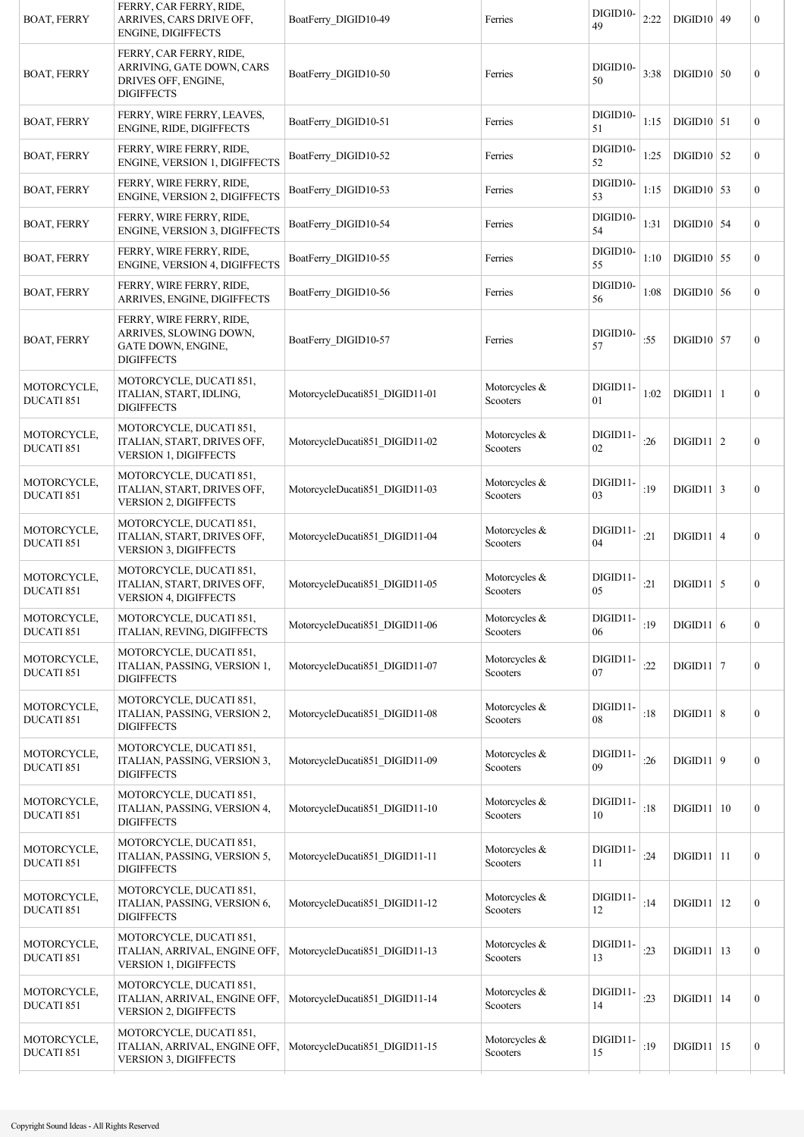| <b>BOAT, FERRY</b>        | FERRY, CAR FERRY, RIDE,<br>ARRIVES, CARS DRIVE OFF,<br><b>ENGINE, DIGIFFECTS</b>                 | BoatFerry DIGID10-49           | Ferries                   | DIGID10-<br>49 | 2:22 | $DIGID10$ 49   | $\boldsymbol{0}$ |
|---------------------------|--------------------------------------------------------------------------------------------------|--------------------------------|---------------------------|----------------|------|----------------|------------------|
| <b>BOAT, FERRY</b>        | FERRY, CAR FERRY, RIDE,<br>ARRIVING, GATE DOWN, CARS<br>DRIVES OFF, ENGINE,<br><b>DIGIFFECTS</b> | BoatFerry_DIGID10-50           | Ferries                   | DIGID10-<br>50 | 3:38 | $DIGID10$ 50   | $\boldsymbol{0}$ |
| <b>BOAT, FERRY</b>        | FERRY, WIRE FERRY, LEAVES,<br>ENGINE, RIDE, DIGIFFECTS                                           | BoatFerry DIGID10-51           | Ferries                   | DIGID10-<br>51 | 1:15 | $DIGID10$ 51   | $\mathbf{0}$     |
| <b>BOAT, FERRY</b>        | FERRY, WIRE FERRY, RIDE,<br><b>ENGINE, VERSION 1, DIGIFFECTS</b>                                 | BoatFerry_DIGID10-52           | Ferries                   | DIGID10-<br>52 | 1:25 | $DIGID10$ 52   | $\mathbf{0}$     |
| <b>BOAT, FERRY</b>        | FERRY, WIRE FERRY, RIDE,<br>ENGINE, VERSION 2, DIGIFFECTS                                        | BoatFerry_DIGID10-53           | Ferries                   | DIGID10-<br>53 | 1:15 | $DIGID10$ 53   | $\overline{0}$   |
| <b>BOAT, FERRY</b>        | FERRY, WIRE FERRY, RIDE,<br><b>ENGINE, VERSION 3, DIGIFFECTS</b>                                 | BoatFerry_DIGID10-54           | Ferries                   | DIGID10-<br>54 | 1:31 | $DIGID10$ 54   | $\mathbf{0}$     |
| <b>BOAT, FERRY</b>        | FERRY, WIRE FERRY, RIDE,<br>ENGINE, VERSION 4, DIGIFFECTS                                        | BoatFerry DIGID10-55           | Ferries                   | DIGID10-<br>55 | 1:10 | $DIGID10$ 55   | $\overline{0}$   |
| <b>BOAT, FERRY</b>        | FERRY, WIRE FERRY, RIDE,<br>ARRIVES, ENGINE, DIGIFFECTS                                          | BoatFerry DIGID10-56           | Ferries                   | DIGID10-<br>56 | 1:08 | $DIGID10$ 56   | $\overline{0}$   |
| <b>BOAT, FERRY</b>        | FERRY, WIRE FERRY, RIDE,<br>ARRIVES, SLOWING DOWN,<br>GATE DOWN, ENGINE,<br><b>DIGIFFECTS</b>    | BoatFerry DIGID10-57           | Ferries                   | DIGID10-<br>57 | :55  | $DIGID10$ 57   | $\boldsymbol{0}$ |
| MOTORCYCLE,<br>DUCATI 851 | MOTORCYCLE, DUCATI 851,<br>ITALIAN, START, IDLING,<br><b>DIGIFFECTS</b>                          | MotorcycleDucati851_DIGID11-01 | Motorcycles &<br>Scooters | DIGID11-<br>01 | 1:02 | $DIGID11$   1  | $\mathbf{0}$     |
| MOTORCYCLE,<br>DUCATI 851 | MOTORCYCLE, DUCATI 851,<br>ITALIAN, START, DRIVES OFF,<br>VERSION 1, DIGIFFECTS                  | MotorcycleDucati851 DIGID11-02 | Motorcycles &<br>Scooters | DIGID11-<br>02 | :26  | $DIGID11$   2  | $\boldsymbol{0}$ |
| MOTORCYCLE,<br>DUCATI 851 | MOTORCYCLE, DUCATI 851,<br>ITALIAN, START, DRIVES OFF,<br><b>VERSION 2, DIGIFFECTS</b>           | MotorcycleDucati851 DIGID11-03 | Motorcycles &<br>Scooters | DIGID11-<br>03 | :19  | $DIGID11$ 3    | $\boldsymbol{0}$ |
| MOTORCYCLE,<br>DUCATI 851 | MOTORCYCLE, DUCATI 851,<br>ITALIAN, START, DRIVES OFF,<br>VERSION 3, DIGIFFECTS                  | MotorcycleDucati851 DIGID11-04 | Motorcycles &<br>Scooters | DIGID11-<br>04 | :21  | $DIGID11   4$  | $\boldsymbol{0}$ |
| MOTORCYCLE,<br>DUCATI 851 | MOTORCYCLE, DUCATI 851,<br>ITALIAN, START, DRIVES OFF,<br><b>VERSION 4, DIGIFFECTS</b>           | MotorcycleDucati851 DIGID11-05 | Motorcycles &<br>Scooters | DIGID11-<br>05 | :21  | $DIGID11$ 5    | $\boldsymbol{0}$ |
| MOTORCYCLE,<br>DUCATI 851 | MOTORCYCLE, DUCATI 851,<br>ITALIAN, REVING, DIGIFFECTS                                           | MotorcycleDucati851_DIGID11-06 | Motorcycles &<br>Scooters | DIGID11-<br>06 | :19  | DIGID11 6      | $\boldsymbol{0}$ |
| MOTORCYCLE,<br>DUCATI 851 | MOTORCYCLE, DUCATI 851,<br>ITALIAN, PASSING, VERSION 1,<br><b>DIGIFFECTS</b>                     | MotorcycleDucati851_DIGID11-07 | Motorcycles &<br>Scooters | DIGID11-<br>07 | :22  | DIGID11   7    | $\boldsymbol{0}$ |
| MOTORCYCLE,<br>DUCATI 851 | MOTORCYCLE, DUCATI 851,<br>ITALIAN, PASSING, VERSION 2,<br><b>DIGIFFECTS</b>                     | MotorcycleDucati851 DIGID11-08 | Motorcycles &<br>Scooters | DIGID11-<br>08 | :18  | DIGID11 8      | $\boldsymbol{0}$ |
| MOTORCYCLE,<br>DUCATI 851 | MOTORCYCLE, DUCATI 851,<br>ITALIAN, PASSING, VERSION 3,<br><b>DIGIFFECTS</b>                     | MotorcycleDucati851 DIGID11-09 | Motorcycles &<br>Scooters | DIGID11-<br>09 | :26  | DIGID11   9    | $\boldsymbol{0}$ |
| MOTORCYCLE,<br>DUCATI 851 | MOTORCYCLE, DUCATI 851,<br>ITALIAN, PASSING, VERSION 4,<br><b>DIGIFFECTS</b>                     | MotorcycleDucati851_DIGID11-10 | Motorcycles &<br>Scooters | DIGID11-<br>10 | :18  | DIGD11 10      | $\boldsymbol{0}$ |
| MOTORCYCLE,<br>DUCATI 851 | MOTORCYCLE, DUCATI 851,<br>ITALIAN, PASSING, VERSION 5,<br><b>DIGIFFECTS</b>                     | MotorcycleDucati851_DIGID11-11 | Motorcycles &<br>Scooters | DIGID11-<br>11 | :24  | $DIGID11$   11 | $\mathbf{0}$     |
| MOTORCYCLE,<br>DUCATI 851 | MOTORCYCLE, DUCATI 851,<br>ITALIAN, PASSING, VERSION 6,<br><b>DIGIFFECTS</b>                     | MotorcycleDucati851 DIGID11-12 | Motorcycles &<br>Scooters | DIGID11-<br>12 | :14  | $DIGID11$   12 | $\boldsymbol{0}$ |
| MOTORCYCLE,<br>DUCATI 851 | MOTORCYCLE, DUCATI 851,<br>ITALIAN, ARRIVAL, ENGINE OFF,<br>VERSION 1, DIGIFFECTS                | MotorcycleDucati851_DIGID11-13 | Motorcycles &<br>Scooters | DIGID11-<br>13 | :23  | $DIGID11$   13 | $\boldsymbol{0}$ |
| MOTORCYCLE,<br>DUCATI 851 | MOTORCYCLE, DUCATI 851,<br>ITALIAN, ARRIVAL, ENGINE OFF,<br>VERSION 2, DIGIFFECTS                | MotorcycleDucati851 DIGID11-14 | Motorcycles &<br>Scooters | DIGID11-<br>14 | :23  | DIGID11 14     | $\boldsymbol{0}$ |
| MOTORCYCLE,<br>DUCATI 851 | MOTORCYCLE, DUCATI 851,<br>ITALIAN, ARRIVAL, ENGINE OFF,<br>VERSION 3, DIGIFFECTS                | MotorcycleDucati851 DIGID11-15 | Motorcycles &<br>Scooters | DIGID11-<br>15 | :19  | $DIGD11$   15  | $\boldsymbol{0}$ |
|                           |                                                                                                  |                                |                           |                |      |                |                  |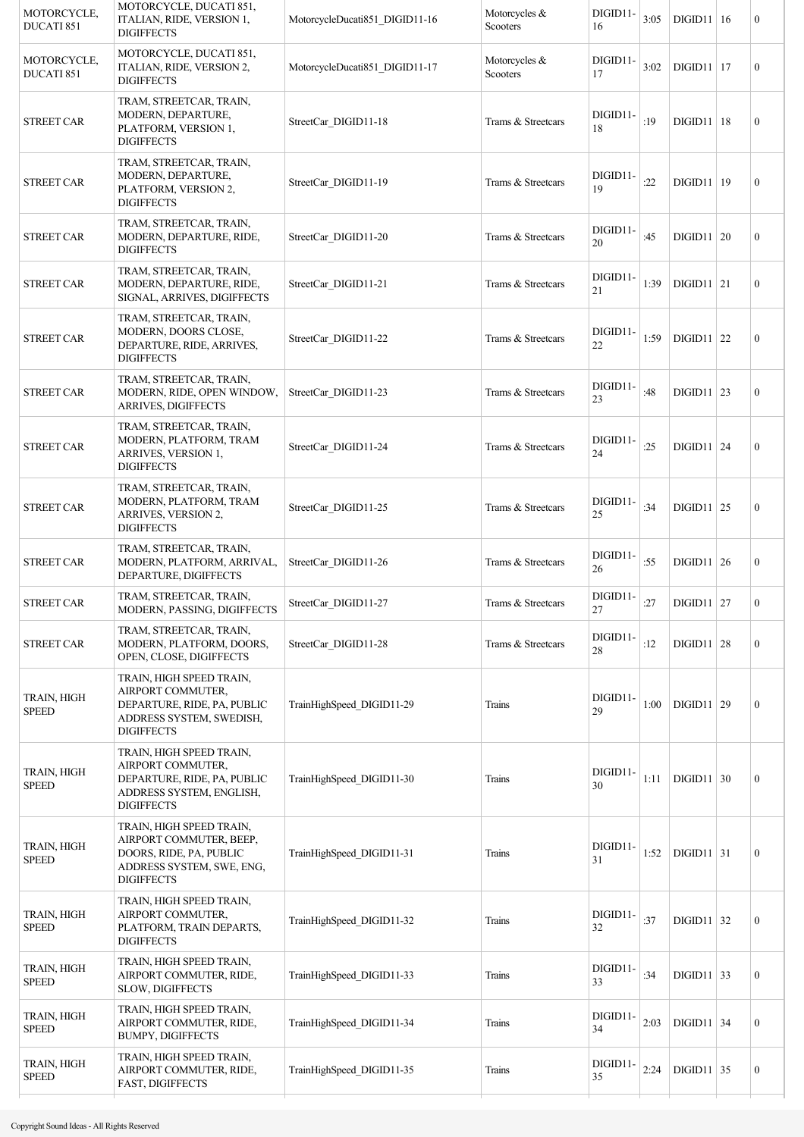| MOTORCYCLE,<br>DUCATI 851          | MOTORCYCLE, DUCATI 851,<br>ITALIAN, RIDE, VERSION 1,<br><b>DIGIFFECTS</b>                                                        | MotorcycleDucati851 DIGID11-16 | Motorcycles &<br>Scooters    | DIGID11-<br>16 | 3:05 | DIGD11   16    | $\boldsymbol{0}$ |
|------------------------------------|----------------------------------------------------------------------------------------------------------------------------------|--------------------------------|------------------------------|----------------|------|----------------|------------------|
| MOTORCYCLE,<br>DUCATI 851          | MOTORCYCLE, DUCATI 851,<br>ITALIAN, RIDE, VERSION 2,<br><b>DIGIFFECTS</b>                                                        | MotorcycleDucati851 DIGID11-17 | Motorcycles $\&$<br>Scooters | DIGID11-<br>17 | 3:02 | $DIGID11$   17 | $\mathbf{0}$     |
| <b>STREET CAR</b>                  | TRAM, STREETCAR, TRAIN,<br>MODERN, DEPARTURE,<br>PLATFORM, VERSION 1,<br><b>DIGIFFECTS</b>                                       | StreetCar DIGID11-18           | Trams & Streetcars           | DIGID11-<br>18 | :19  | DIGD11 18      | $\boldsymbol{0}$ |
| <b>STREET CAR</b>                  | TRAM, STREETCAR, TRAIN,<br>MODERN, DEPARTURE,<br>PLATFORM, VERSION 2,<br><b>DIGIFFECTS</b>                                       | StreetCar DIGID11-19           | Trams & Streetcars           | DIGID11-<br>19 | :22  | DIGD11   19    | $\boldsymbol{0}$ |
| <b>STREET CAR</b>                  | TRAM, STREETCAR, TRAIN,<br>MODERN, DEPARTURE, RIDE,<br><b>DIGIFFECTS</b>                                                         | StreetCar DIGID11-20           | Trams & Streetcars           | DIGID11-<br>20 | :45  | DIGD11   20    | $\boldsymbol{0}$ |
| <b>STREET CAR</b>                  | TRAM, STREETCAR, TRAIN,<br>MODERN, DEPARTURE, RIDE,<br>SIGNAL, ARRIVES, DIGIFFECTS                                               | StreetCar DIGID11-21           | Trams & Streetcars           | DIGID11-<br>21 | 1:39 | $DIGID11$ 21   | $\mathbf{0}$     |
| <b>STREET CAR</b>                  | TRAM, STREETCAR, TRAIN,<br>MODERN, DOORS CLOSE,<br>DEPARTURE, RIDE, ARRIVES,<br><b>DIGIFFECTS</b>                                | StreetCar DIGID11-22           | Trams & Streetcars           | DIGID11-<br>22 | 1:59 | $DIGID11$ 22   | $\boldsymbol{0}$ |
| <b>STREET CAR</b>                  | TRAM, STREETCAR, TRAIN,<br>MODERN, RIDE, OPEN WINDOW,<br>ARRIVES, DIGIFFECTS                                                     | StreetCar DIGID11-23           | Trams & Streetcars           | DIGID11-<br>23 | :48  | $DIGD11$ 23    | $\mathbf{0}$     |
| <b>STREET CAR</b>                  | TRAM, STREETCAR, TRAIN,<br>MODERN, PLATFORM, TRAM<br>ARRIVES, VERSION 1,<br><b>DIGIFFECTS</b>                                    | StreetCar DIGID11-24           | Trams & Streetcars           | DIGID11-<br>24 | :25  | DIGID11   24   | $\boldsymbol{0}$ |
| <b>STREET CAR</b>                  | TRAM, STREETCAR, TRAIN,<br>MODERN, PLATFORM, TRAM<br>ARRIVES, VERSION 2,<br><b>DIGIFFECTS</b>                                    | StreetCar DIGID11-25           | Trams & Streetcars           | DIGID11-<br>25 | :34  | $DIGD11$ 25    | $\boldsymbol{0}$ |
| <b>STREET CAR</b>                  | TRAM, STREETCAR, TRAIN,<br>MODERN, PLATFORM, ARRIVAL,<br>DEPARTURE, DIGIFFECTS                                                   | StreetCar DIGID11-26           | Trams & Streetcars           | DIGID11-<br>26 | :55  | DIGD11   26    | $\overline{0}$   |
| <b>STREET CAR</b>                  | TRAM, STREETCAR, TRAIN,<br>MODERN, PASSING, DIGIFFECTS                                                                           | StreetCar DIGID11-27           | Trams & Streetcars           | DIGID11-<br>27 | :27  | DIGD11   27    | $\boldsymbol{0}$ |
| <b>STREET CAR</b>                  | TRAM, STREETCAR, TRAIN,<br>MODERN, PLATFORM, DOORS,<br>OPEN, CLOSE, DIGIFFECTS                                                   | StreetCar DIGID11-28           | Trams & Streetcars           | DIGID11-<br>28 | :12  | $DIGD11$ 28    | $\boldsymbol{0}$ |
| TRAIN, HIGH<br><b>SPEED</b>        | TRAIN, HIGH SPEED TRAIN,<br>AIRPORT COMMUTER,<br>DEPARTURE, RIDE, PA, PUBLIC<br>ADDRESS SYSTEM, SWEDISH,<br><b>DIGIFFECTS</b>    | TrainHighSpeed DIGID11-29      | Trains                       | DIGID11-<br>29 | 1:00 | $DIGD11$ 29    | $\boldsymbol{0}$ |
| <b>TRAIN, HIGH</b><br><b>SPEED</b> | TRAIN, HIGH SPEED TRAIN,<br>AIRPORT COMMUTER,<br>DEPARTURE, RIDE, PA, PUBLIC<br>ADDRESS SYSTEM, ENGLISH,<br><b>DIGIFFECTS</b>    | TrainHighSpeed DIGID11-30      | Trains                       | DIGID11-<br>30 | 1:11 | DIGID11   30   | $\boldsymbol{0}$ |
| TRAIN, HIGH<br><b>SPEED</b>        | TRAIN, HIGH SPEED TRAIN,<br>AIRPORT COMMUTER, BEEP,<br>DOORS, RIDE, PA, PUBLIC<br>ADDRESS SYSTEM, SWE, ENG,<br><b>DIGIFFECTS</b> | TrainHighSpeed DIGID11-31      | Trains                       | DIGID11-<br>31 | 1:52 | $DIGID11   31$ | $\boldsymbol{0}$ |
| TRAIN, HIGH<br><b>SPEED</b>        | TRAIN, HIGH SPEED TRAIN,<br>AIRPORT COMMUTER,<br>PLATFORM, TRAIN DEPARTS,<br><b>DIGIFFECTS</b>                                   | TrainHighSpeed DIGID11-32      | Trains                       | DIGID11-<br>32 | :37  | $DIGD11$ 32    | $\boldsymbol{0}$ |
| TRAIN, HIGH<br><b>SPEED</b>        | TRAIN, HIGH SPEED TRAIN,<br>AIRPORT COMMUTER, RIDE,<br><b>SLOW, DIGIFFECTS</b>                                                   | TrainHighSpeed DIGID11-33      | Trains                       | DIGID11-<br>33 | :34  | $DIGID11$ 33   | $\mathbf{0}$     |
| TRAIN, HIGH<br><b>SPEED</b>        | TRAIN, HIGH SPEED TRAIN,<br>AIRPORT COMMUTER, RIDE,<br><b>BUMPY, DIGIFFECTS</b>                                                  | TrainHighSpeed DIGID11-34      | Trains                       | DIGID11-<br>34 | 2:03 | $DIGID11$ 34   | $\boldsymbol{0}$ |
| <b>TRAIN, HIGH</b><br><b>SPEED</b> | TRAIN, HIGH SPEED TRAIN,<br>AIRPORT COMMUTER, RIDE,<br><b>FAST, DIGIFFECTS</b>                                                   | TrainHighSpeed DIGID11-35      | Trains                       | DIGID11-<br>35 | 2:24 | $DIGID11$ 35   | $\boldsymbol{0}$ |
|                                    |                                                                                                                                  |                                |                              |                |      |                |                  |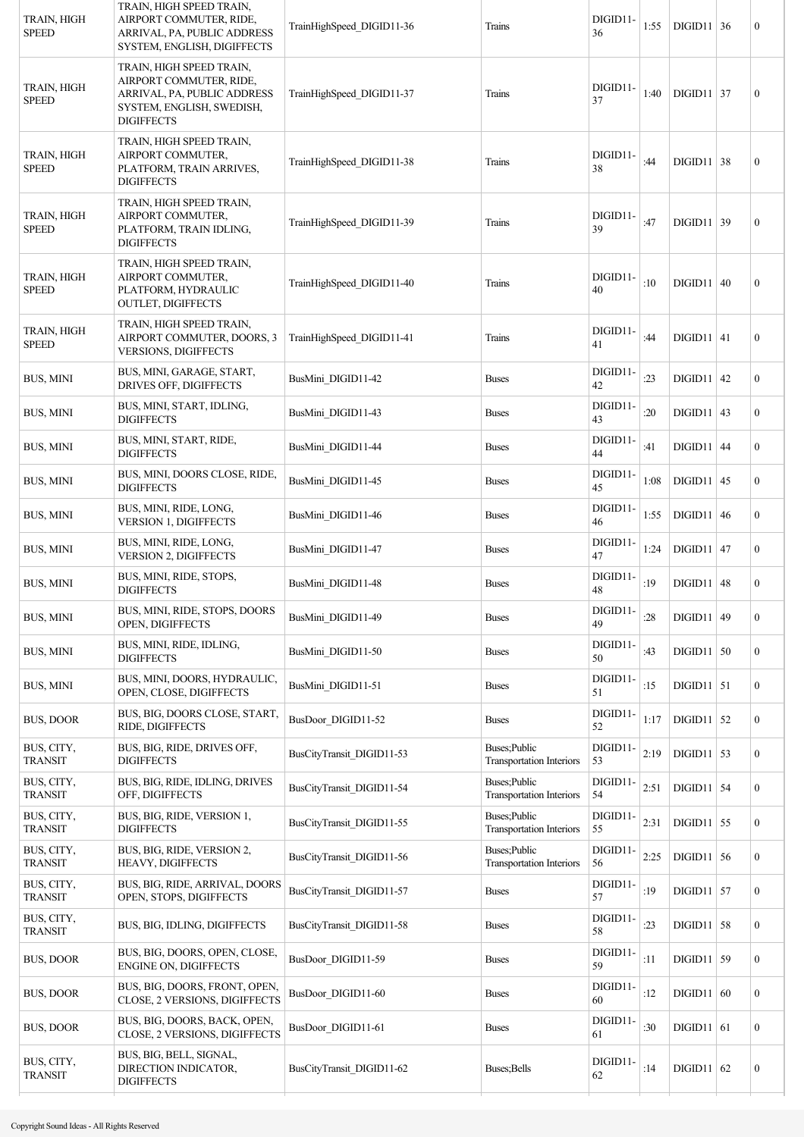| TRAIN, HIGH<br><b>SPEED</b>  | TRAIN, HIGH SPEED TRAIN,<br>AIRPORT COMMUTER, RIDE,<br>ARRIVAL, PA, PUBLIC ADDRESS<br>SYSTEM, ENGLISH, DIGIFFECTS                    | TrainHighSpeed DIGID11-36 | Trains                                           | DIGID11-<br>36 | 1:55 | $DIGD11$ 36    | $\boldsymbol{0}$ |
|------------------------------|--------------------------------------------------------------------------------------------------------------------------------------|---------------------------|--------------------------------------------------|----------------|------|----------------|------------------|
| TRAIN, HIGH<br><b>SPEED</b>  | TRAIN, HIGH SPEED TRAIN,<br>AIRPORT COMMUTER, RIDE,<br>ARRIVAL, PA, PUBLIC ADDRESS<br>SYSTEM, ENGLISH, SWEDISH,<br><b>DIGIFFECTS</b> | TrainHighSpeed DIGID11-37 | Trains                                           | DIGID11-<br>37 | 1:40 | $DIGID11   37$ | $\boldsymbol{0}$ |
| TRAIN, HIGH<br><b>SPEED</b>  | TRAIN, HIGH SPEED TRAIN,<br>AIRPORT COMMUTER,<br>PLATFORM, TRAIN ARRIVES,<br><b>DIGIFFECTS</b>                                       | TrainHighSpeed DIGID11-38 | Trains                                           | DIGID11-<br>38 | :44  | DIGD11   38    | $\boldsymbol{0}$ |
| TRAIN, HIGH<br><b>SPEED</b>  | TRAIN, HIGH SPEED TRAIN,<br>AIRPORT COMMUTER,<br>PLATFORM, TRAIN IDLING,<br><b>DIGIFFECTS</b>                                        | TrainHighSpeed DIGID11-39 | Trains                                           | DIGID11-<br>39 | :47  | $DIGID11$ 39   | $\mathbf{0}$     |
| TRAIN, HIGH<br><b>SPEED</b>  | TRAIN, HIGH SPEED TRAIN,<br>AIRPORT COMMUTER,<br>PLATFORM, HYDRAULIC<br>OUTLET, DIGIFFECTS                                           | TrainHighSpeed DIGID11-40 | Trains                                           | DIGID11-<br>40 | :10  | DIGID11   40   | $\mathbf{0}$     |
| TRAIN, HIGH<br><b>SPEED</b>  | TRAIN, HIGH SPEED TRAIN,<br>AIRPORT COMMUTER, DOORS, 3<br><b>VERSIONS, DIGIFFECTS</b>                                                | TrainHighSpeed DIGID11-41 | Trains                                           | DIGID11-<br>41 | :44  | $DIGID11   41$ | $\boldsymbol{0}$ |
| BUS, MINI                    | BUS, MINI, GARAGE, START,<br><b>DRIVES OFF, DIGIFFECTS</b>                                                                           | BusMini_DIGID11-42        | <b>Buses</b>                                     | DIGID11-<br>42 | : 23 | DIGD11   42    | $\boldsymbol{0}$ |
| <b>BUS, MINI</b>             | BUS, MINI, START, IDLING,<br><b>DIGIFFECTS</b>                                                                                       | BusMini DIGID11-43        | <b>Buses</b>                                     | DIGID11-<br>43 | :20  | $DIGID11$ 43   | $\mathbf{0}$     |
| BUS, MINI                    | BUS, MINI, START, RIDE,<br><b>DIGIFFECTS</b>                                                                                         | BusMini_DIGID11-44        | <b>Buses</b>                                     | DIGID11-<br>44 | :41  | DIGID11   44   | $\boldsymbol{0}$ |
| <b>BUS, MINI</b>             | BUS, MINI, DOORS CLOSE, RIDE,<br><b>DIGIFFECTS</b>                                                                                   | BusMini_DIGID11-45        | <b>Buses</b>                                     | DIGID11-<br>45 | 1:08 | $DIGID11$ 45   | $\boldsymbol{0}$ |
| BUS, MINI                    | BUS, MINI, RIDE, LONG,<br><b>VERSION 1, DIGIFFECTS</b>                                                                               | BusMini DIGID11-46        | <b>Buses</b>                                     | DIGID11-<br>46 | 1:55 | DIGD11   46    | $\boldsymbol{0}$ |
| <b>BUS, MINI</b>             | BUS, MINI, RIDE, LONG,<br><b>VERSION 2, DIGIFFECTS</b>                                                                               | BusMini DIGID11-47        | <b>Buses</b>                                     | DIGID11-<br>47 | 1:24 | $DIGD11$ 47    | $\boldsymbol{0}$ |
| <b>BUS, MINI</b>             | BUS, MINI, RIDE, STOPS,<br><b>DIGIFFECTS</b>                                                                                         | BusMini DIGID11-48        | <b>Buses</b>                                     | DIGID11-<br>48 | :19  | $DIGD11$ 48    | $\boldsymbol{0}$ |
| <b>BUS, MINI</b>             | BUS, MINI, RIDE, STOPS, DOORS<br>OPEN, DIGIFFECTS                                                                                    | BusMini_DIGID11-49        | <b>Buses</b>                                     | DIGID11-<br>49 | :28  | $DIGID11$ 49   | $\boldsymbol{0}$ |
| BUS, MINI                    | BUS, MINI, RIDE, IDLING,<br><b>DIGIFFECTS</b>                                                                                        | BusMini DIGID11-50        | <b>Buses</b>                                     | DIGID11-<br>50 | :43  | $DIGID11$ 50   | $\boldsymbol{0}$ |
| <b>BUS, MINI</b>             | BUS, MINI, DOORS, HYDRAULIC,<br>OPEN, CLOSE, DIGIFFECTS                                                                              | BusMini DIGID11-51        | <b>Buses</b>                                     | DIGID11-<br>51 | :15  | $DIGD11$ 51    | $\boldsymbol{0}$ |
| <b>BUS, DOOR</b>             | BUS, BIG, DOORS CLOSE, START,<br>RIDE, DIGIFFECTS                                                                                    | BusDoor_DIGID11-52        | <b>Buses</b>                                     | DIGID11-<br>52 | 1:17 | $DIGID11$ 52   | $\boldsymbol{0}$ |
| BUS, CITY,<br><b>TRANSIT</b> | BUS, BIG, RIDE, DRIVES OFF,<br><b>DIGIFFECTS</b>                                                                                     | BusCityTransit DIGID11-53 | Buses; Public<br><b>Transportation Interiors</b> | DIGID11-<br>53 | 2:19 | $DIGID11$ 53   | $\boldsymbol{0}$ |
| BUS, CITY,<br><b>TRANSIT</b> | BUS, BIG, RIDE, IDLING, DRIVES<br>OFF, DIGIFFECTS                                                                                    | BusCityTransit DIGID11-54 | Buses; Public<br><b>Transportation Interiors</b> | DIGID11-<br>54 | 2:51 | $DIGID11$ 54   | $\boldsymbol{0}$ |
| BUS, CITY,<br><b>TRANSIT</b> | BUS, BIG, RIDE, VERSION 1,<br><b>DIGIFFECTS</b>                                                                                      | BusCityTransit DIGID11-55 | Buses; Public<br><b>Transportation Interiors</b> | DIGID11-<br>55 | 2:31 | $DIGID11$ 55   | $\boldsymbol{0}$ |
| BUS, CITY,<br><b>TRANSIT</b> | BUS, BIG, RIDE, VERSION 2,<br>HEAVY, DIGIFFECTS                                                                                      | BusCityTransit DIGID11-56 | Buses; Public<br><b>Transportation Interiors</b> | DIGID11-<br>56 | 2:25 | $DIGID11$ 56   | $\boldsymbol{0}$ |
| BUS, CITY,<br><b>TRANSIT</b> | BUS, BIG, RIDE, ARRIVAL, DOORS<br>OPEN, STOPS, DIGIFFECTS                                                                            | BusCityTransit_DIGID11-57 | <b>Buses</b>                                     | DIGID11-<br>57 | :19  | $DIGID11$ 57   | $\boldsymbol{0}$ |
| BUS, CITY,<br><b>TRANSIT</b> | BUS, BIG, IDLING, DIGIFFECTS                                                                                                         | BusCityTransit DIGID11-58 | <b>Buses</b>                                     | DIGID11-<br>58 | : 23 | $DIGID11$ 58   | $\boldsymbol{0}$ |
| <b>BUS, DOOR</b>             | BUS, BIG, DOORS, OPEN, CLOSE,<br>ENGINE ON, DIGIFFECTS                                                                               | BusDoor_DIGID11-59        | <b>Buses</b>                                     | DIGID11-<br>59 | :11  | $DIGID11$ 59   | $\boldsymbol{0}$ |
| BUS, DOOR                    | BUS, BIG, DOORS, FRONT, OPEN,<br>CLOSE, 2 VERSIONS, DIGIFFECTS                                                                       | BusDoor_DIGID11-60        | <b>Buses</b>                                     | DIGID11-<br>60 | :12  | DIGID11 60     | $\boldsymbol{0}$ |
| BUS, DOOR                    | BUS, BIG, DOORS, BACK, OPEN,<br>CLOSE, 2 VERSIONS, DIGIFFECTS                                                                        | BusDoor DIGID11-61        | <b>Buses</b>                                     | DIGID11-<br>61 | :30  | $DIGID11$ 61   | $\boldsymbol{0}$ |
| BUS, CITY,<br><b>TRANSIT</b> | BUS, BIG, BELL, SIGNAL,<br>DIRECTION INDICATOR,<br><b>DIGIFFECTS</b>                                                                 | BusCityTransit DIGID11-62 | Buses; Bells                                     | DIGID11-<br>62 | :14  | DIGD11   62    | $\boldsymbol{0}$ |
|                              |                                                                                                                                      |                           |                                                  |                |      |                |                  |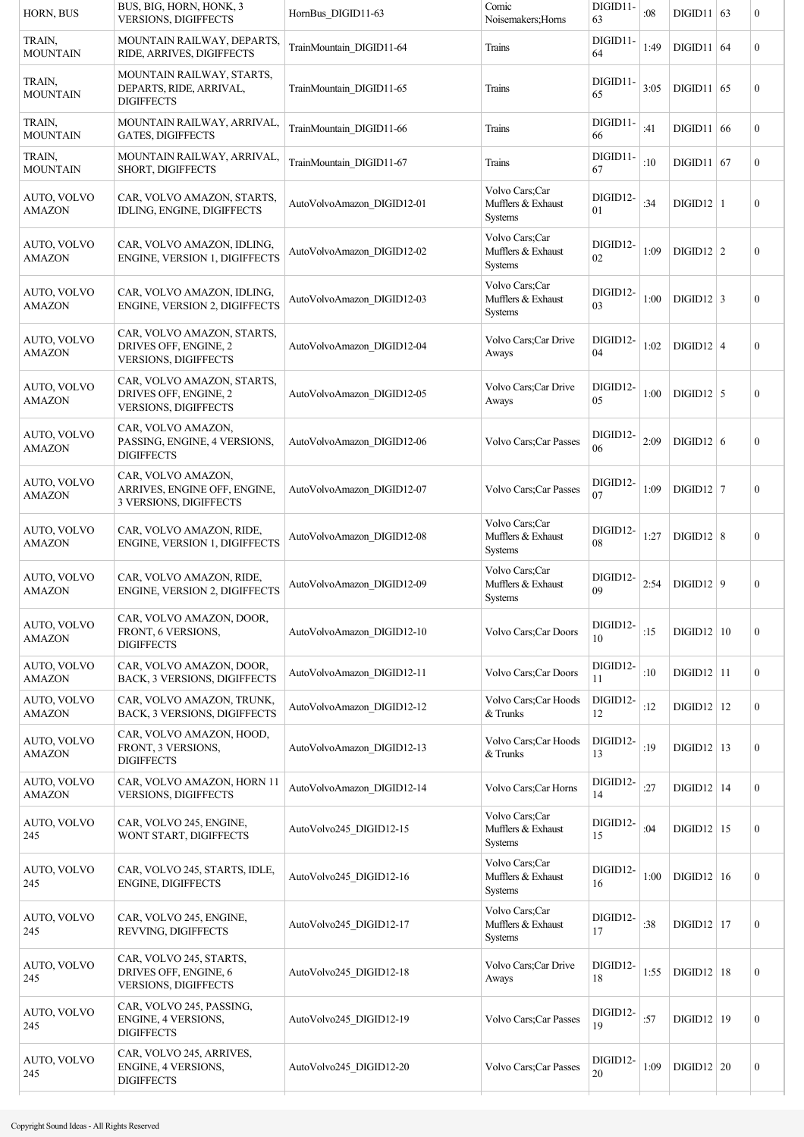| HORN, BUS                    | BUS, BIG, HORN, HONK, 3<br><b>VERSIONS, DIGIFFECTS</b>                             | HornBus_DIGID11-63         | Comic<br>Noisemakers; Horns                            | DIGID11-<br>63 | :08  | $DIGID11$ 63          |    | $\boldsymbol{0}$ |
|------------------------------|------------------------------------------------------------------------------------|----------------------------|--------------------------------------------------------|----------------|------|-----------------------|----|------------------|
| TRAIN,<br>MOUNTAIN           | MOUNTAIN RAILWAY, DEPARTS,<br>RIDE, ARRIVES, DIGIFFECTS                            | TrainMountain DIGID11-64   | Trains                                                 | DIGID11-<br>64 | 1:49 | $DIGID11$             | 64 | $\overline{0}$   |
| TRAIN,<br><b>MOUNTAIN</b>    | MOUNTAIN RAILWAY, STARTS,<br>DEPARTS, RIDE, ARRIVAL,<br><b>DIGIFFECTS</b>          | TrainMountain DIGID11-65   | Trains                                                 | DIGID11-<br>65 | 3:05 | DIGD11   65           |    | $\boldsymbol{0}$ |
| TRAIN,<br><b>MOUNTAIN</b>    | MOUNTAIN RAILWAY, ARRIVAL,<br><b>GATES, DIGIFFECTS</b>                             | TrainMountain_DIGID11-66   | Trains                                                 | DIGID11-<br>66 | :41  | DIGID11   66          |    | $\boldsymbol{0}$ |
| TRAIN,<br>MOUNTAIN           | MOUNTAIN RAILWAY, ARRIVAL,<br>SHORT, DIGIFFECTS                                    | TrainMountain_DIGID11-67   | Trains                                                 | DIGID11-<br>67 | :10  | DIGID11 67            |    | $\boldsymbol{0}$ |
| AUTO, VOLVO<br>AMAZON        | CAR, VOLVO AMAZON, STARTS.<br>IDLING, ENGINE, DIGIFFECTS                           | AutoVolvoAmazon DIGID12-01 | Volvo Cars;Car<br>Mufflers & Exhaust<br><b>Systems</b> | DIGID12-<br>01 | :34  | $DIGID12$   1         |    | $\boldsymbol{0}$ |
| AUTO, VOLVO<br>AMAZON        | CAR, VOLVO AMAZON, IDLING,<br>ENGINE, VERSION 1, DIGIFFECTS                        | AutoVolvoAmazon DIGID12-02 | Volvo Cars;Car<br>Mufflers & Exhaust<br>Systems        | DIGID12-<br>02 | 1:09 | $\text{DIGID12}$   2  |    | $\boldsymbol{0}$ |
| AUTO, VOLVO<br>AMAZON        | CAR, VOLVO AMAZON, IDLING,<br>ENGINE, VERSION 2, DIGIFFECTS                        | AutoVolvoAmazon DIGID12-03 | Volvo Cars;Car<br>Mufflers & Exhaust<br><b>Systems</b> | DIGID12-<br>03 | 1:00 | $DIGID12$ 3           |    | $\boldsymbol{0}$ |
| AUTO, VOLVO<br><b>AMAZON</b> | CAR, VOLVO AMAZON, STARTS,<br>DRIVES OFF, ENGINE, 2<br><b>VERSIONS, DIGIFFECTS</b> | AutoVolvoAmazon DIGID12-04 | Volvo Cars;Car Drive<br>Aways                          | DIGID12-<br>04 | 1:02 | $DIGD12$ 4            |    | $\boldsymbol{0}$ |
| AUTO, VOLVO<br>AMAZON        | CAR, VOLVO AMAZON, STARTS,<br>DRIVES OFF, ENGINE, 2<br>VERSIONS, DIGIFFECTS        | AutoVolvoAmazon DIGID12-05 | Volvo Cars;Car Drive<br>Aways                          | DIGID12-<br>05 | 1:00 | $DIGID12$ 5           |    | $\boldsymbol{0}$ |
| AUTO, VOLVO<br><b>AMAZON</b> | CAR, VOLVO AMAZON,<br>PASSING, ENGINE, 4 VERSIONS,<br><b>DIGIFFECTS</b>            | AutoVolvoAmazon DIGID12-06 | Volvo Cars; Car Passes                                 | DIGID12-<br>06 | 2:09 | $DIGD12$ 6            |    | $\boldsymbol{0}$ |
| AUTO, VOLVO<br><b>AMAZON</b> | CAR, VOLVO AMAZON,<br>ARRIVES, ENGINE OFF, ENGINE,<br>3 VERSIONS, DIGIFFECTS       | AutoVolvoAmazon DIGID12-07 | Volvo Cars; Car Passes                                 | DIGID12-<br>07 | 1:09 | $DIGID12$ 7           |    | $\boldsymbol{0}$ |
| AUTO, VOLVO<br><b>AMAZON</b> | CAR, VOLVO AMAZON, RIDE,<br><b>ENGINE, VERSION 1, DIGIFFECTS</b>                   | AutoVolvoAmazon DIGID12-08 | Volvo Cars;Car<br>Mufflers & Exhaust<br>Systems        | DIGID12-<br>08 | 1:27 | $DIGD12$ 8            |    | $\boldsymbol{0}$ |
| AUTO, VOLVO<br>AMAZON        | CAR, VOLVO AMAZON, RIDE,<br>ENGINE, VERSION 2, DIGIFFECTS                          | AutoVolvoAmazon DIGID12-09 | Volvo Cars;Car<br>Mufflers & Exhaust<br><b>Systems</b> | DIGID12-<br>09 | 2:54 | DIGID12   9           |    | $\boldsymbol{0}$ |
| AUTO, VOLVO<br><b>AMAZON</b> | CAR, VOLVO AMAZON, DOOR,<br>FRONT, 6 VERSIONS,<br><b>DIGIFFECTS</b>                | AutoVolvoAmazon DIGID12-10 | Volvo Cars; Car Doors                                  | DIGID12-<br>10 | :15  | DIGD12   10           |    | $\boldsymbol{0}$ |
| AUTO, VOLVO<br><b>AMAZON</b> | CAR, VOLVO AMAZON, DOOR,<br>BACK, 3 VERSIONS, DIGIFFECTS                           | AutoVolvoAmazon DIGID12-11 | Volvo Cars; Car Doors                                  | DIGID12-<br>11 | :10  | $DIGID12$  11         |    | $\mathbf{0}$     |
| AUTO, VOLVO<br><b>AMAZON</b> | CAR, VOLVO AMAZON, TRUNK,<br>BACK, 3 VERSIONS, DIGIFFECTS                          | AutoVolvoAmazon DIGID12-12 | Volvo Cars; Car Hoods<br>$&$ Trunks                    | DIGID12-<br>12 | :12  | $\text{DIGID12}$   12 |    | $\mathbf{0}$     |
| AUTO, VOLVO<br>AMAZON        | CAR, VOLVO AMAZON, HOOD,<br>FRONT, 3 VERSIONS,<br><b>DIGIFFECTS</b>                | AutoVolvoAmazon DIGID12-13 | Volvo Cars; Car Hoods<br>& Trunks                      | DIGID12-<br>13 | :19  | $DIGD12$   13         |    | $\mathbf{0}$     |
| AUTO, VOLVO<br><b>AMAZON</b> | CAR, VOLVO AMAZON, HORN 11<br>VERSIONS, DIGIFFECTS                                 | AutoVolvoAmazon DIGID12-14 | Volvo Cars; Car Horns                                  | DIGID12-<br>14 | :27  | $DIGD12$   14         |    | $\mathbf{0}$     |
| AUTO, VOLVO<br>245           | CAR, VOLVO 245, ENGINE,<br>WONT START, DIGIFFECTS                                  | AutoVolvo245 DIGID12-15    | Volvo Cars;Car<br>Mufflers & Exhaust<br><b>Systems</b> | DIGID12-<br>15 | :04  | $DIGID12$   15        |    | $\mathbf{0}$     |
| AUTO, VOLVO<br>245           | CAR, VOLVO 245, STARTS, IDLE,<br>ENGINE, DIGIFFECTS                                | AutoVolvo245 DIGID12-16    | Volvo Cars;Car<br>Mufflers & Exhaust<br>Systems        | DIGID12-<br>16 | 1:00 | DIGID12 16            |    | $\boldsymbol{0}$ |
| AUTO, VOLVO<br>245           | CAR, VOLVO 245, ENGINE,<br>REVVING, DIGIFFECTS                                     | AutoVolvo245 DIGID12-17    | Volvo Cars;Car<br>Mufflers & Exhaust<br><b>Systems</b> | DIGID12-<br>17 | :38  | $DIGID12$   17        |    | $\boldsymbol{0}$ |
| AUTO, VOLVO<br>245           | CAR, VOLVO 245, STARTS,<br>DRIVES OFF, ENGINE, 6<br><b>VERSIONS, DIGIFFECTS</b>    | AutoVolvo245 DIGID12-18    | Volvo Cars;Car Drive<br>Aways                          | DIGID12-<br>18 | 1:55 | $DIGD12$   18         |    | $\boldsymbol{0}$ |
| AUTO, VOLVO<br>245           | CAR, VOLVO 245, PASSING,<br>ENGINE, 4 VERSIONS,<br><b>DIGIFFECTS</b>               | AutoVolvo245 DIGID12-19    | Volvo Cars; Car Passes                                 | DIGID12-<br>19 | :57  | DIGD12   19           |    | $\boldsymbol{0}$ |
| AUTO, VOLVO<br>245           | CAR, VOLVO 245, ARRIVES,<br>ENGINE, 4 VERSIONS,<br><b>DIGIFFECTS</b>               | AutoVolvo245 DIGID12-20    | Volvo Cars; Car Passes                                 | DIGID12-<br>20 | 1:09 | $\text{DIGID12}$ 20   |    | $\boldsymbol{0}$ |
|                              |                                                                                    |                            |                                                        |                |      |                       |    |                  |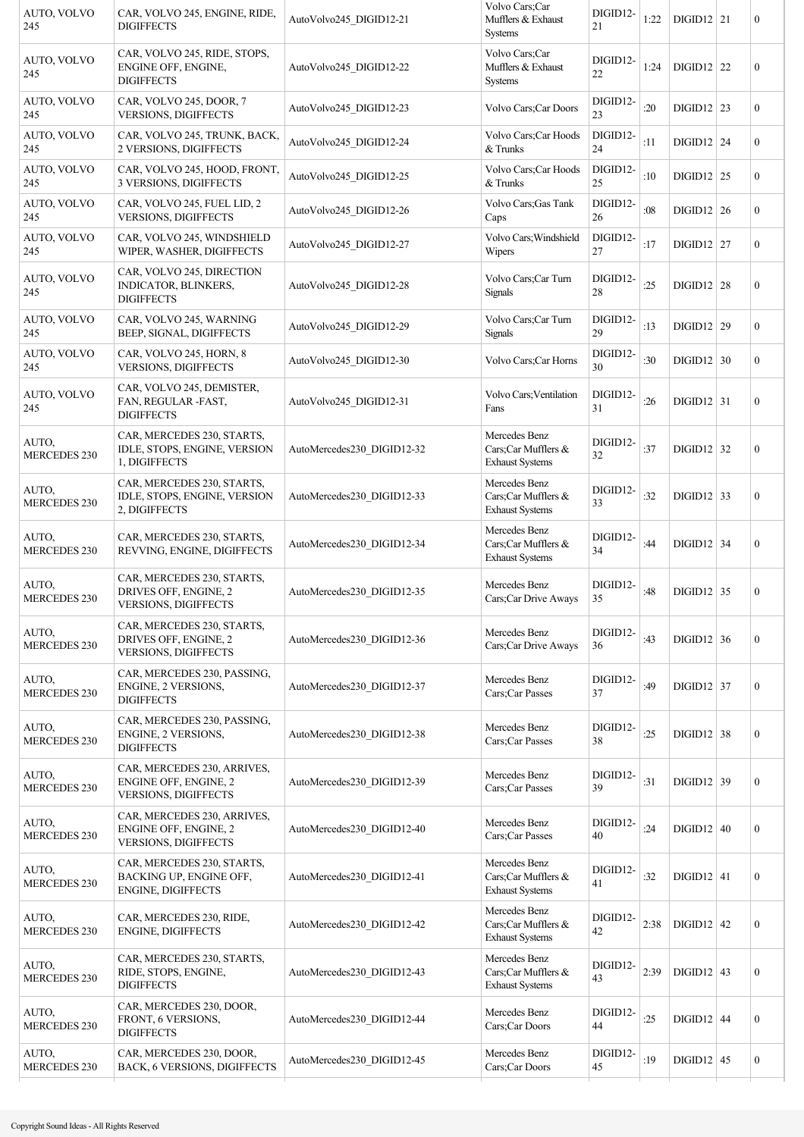| AUTO, VOLVO<br>245           | CAR, VOLVO 245, ENGINE, RIDE,<br><b>DIGIFFECTS</b>                                  | AutoVolvo245 DIGID12-21    | Volvo Cars;Car<br>Mufflers & Exhaust<br><b>Systems</b>             | DIGID12-<br>21     | 1:22   | $DIGID12$ 21        | $\boldsymbol{0}$ |
|------------------------------|-------------------------------------------------------------------------------------|----------------------------|--------------------------------------------------------------------|--------------------|--------|---------------------|------------------|
| AUTO, VOLVO<br>245           | CAR, VOLVO 245, RIDE, STOPS,<br>ENGINE OFF, ENGINE,<br><b>DIGIFFECTS</b>            | AutoVolvo245 DIGID12-22    | Volvo Cars;Car<br>Mufflers & Exhaust<br>Systems                    | DIGID12-<br>$22\,$ | 1:24   | $DIGD12$ 22         | $\boldsymbol{0}$ |
| AUTO, VOLVO<br>245           | CAR, VOLVO 245, DOOR, 7<br><b>VERSIONS, DIGIFFECTS</b>                              | AutoVolvo245_DIGID12-23    | Volvo Cars; Car Doors                                              | DIGID12-<br>23     | :20    | $DIGID12$ 23        | $\boldsymbol{0}$ |
| AUTO, VOLVO<br>245           | CAR, VOLVO 245, TRUNK, BACK,<br>2 VERSIONS, DIGIFFECTS                              | AutoVolvo245 DIGID12-24    | Volvo Cars; Car Hoods<br>$&$ Trunks                                | DIGID12-<br>24     | :11    | $DIGD12$ 24         | $\boldsymbol{0}$ |
| AUTO, VOLVO<br>245           | CAR, VOLVO 245, HOOD, FRONT,<br>3 VERSIONS, DIGIFFECTS                              | AutoVolvo245 DIGID12-25    | Volvo Cars; Car Hoods<br>& Trunks                                  | DIGID12-<br>25     | :10    | $\text{DIGID12}$ 25 | $\boldsymbol{0}$ |
| AUTO, VOLVO<br>245           | CAR, VOLVO 245, FUEL LID, 2<br><b>VERSIONS, DIGIFFECTS</b>                          | AutoVolvo245 DIGID12-26    | Volvo Cars; Gas Tank<br>Caps                                       | DIGID12-<br>26     | :08    | $DIGID12$ 26        | $\boldsymbol{0}$ |
| AUTO, VOLVO<br>245           | CAR, VOLVO 245, WINDSHIELD<br>WIPER, WASHER, DIGIFFECTS                             | AutoVolvo245 DIGID12-27    | Volvo Cars; Windshield<br>Wipers                                   | DIGID12-<br>27     | :17    | $DIGID12$ 27        | $\mathbf{0}$     |
| AUTO, VOLVO<br>245           | CAR, VOLVO 245, DIRECTION<br>INDICATOR, BLINKERS,<br><b>DIGIFFECTS</b>              | AutoVolvo245 DIGID12-28    | Volvo Cars;Car Turn<br><b>Signals</b>                              | DIGID12-<br>28     | :25    | $DIGID12$ 28        | $\boldsymbol{0}$ |
| AUTO, VOLVO<br>245           | CAR, VOLVO 245, WARNING<br>BEEP, SIGNAL, DIGIFFECTS                                 | AutoVolvo245 DIGID12-29    | Volvo Cars;Car Turn<br><b>Signals</b>                              | DIGID12-<br>29     | :13    | DIGID12   29        | $\mathbf{0}$     |
| AUTO, VOLVO<br>245           | CAR, VOLVO 245, HORN, 8<br><b>VERSIONS, DIGIFFECTS</b>                              | AutoVolvo245 DIGID12-30    | Volvo Cars; Car Horns                                              | DIGID12-<br>30     | :30    | $DIGD12$ 30         | $\boldsymbol{0}$ |
| AUTO, VOLVO<br>245           | CAR, VOLVO 245, DEMISTER,<br>FAN, REGULAR -FAST,<br><b>DIGIFFECTS</b>               | AutoVolvo245 DIGID12-31    | Volvo Cars; Ventilation<br>Fans                                    | DIGID12-<br>31     | :26    | $\text{DIGID12}$ 31 | $\boldsymbol{0}$ |
| AUTO,<br><b>MERCEDES 230</b> | CAR, MERCEDES 230, STARTS,<br>IDLE, STOPS, ENGINE, VERSION<br>1, DIGIFFECTS         | AutoMercedes230 DIGID12-32 | Mercedes Benz<br>Cars; Car Mufflers $\&$<br><b>Exhaust Systems</b> | DIGID12-<br>32     | :37    | $DIGD12$ 32         | $\boldsymbol{0}$ |
| AUTO,<br><b>MERCEDES 230</b> | CAR, MERCEDES 230, STARTS,<br>IDLE, STOPS, ENGINE, VERSION<br>2, DIGIFFECTS         | AutoMercedes230 DIGID12-33 | Mercedes Benz<br>Cars;Car Mufflers &<br><b>Exhaust Systems</b>     | DIGID12-<br>33     | :32    | $\text{DIGID12}$ 33 | $\boldsymbol{0}$ |
| AUTO,<br><b>MERCEDES 230</b> | CAR, MERCEDES 230, STARTS,<br>REVVING, ENGINE, DIGIFFECTS                           | AutoMercedes230 DIGID12-34 | Mercedes Benz<br>Cars;Car Mufflers &<br><b>Exhaust Systems</b>     | DIGID12-<br>34     | :44    | $DIGID12$ 34        | $\boldsymbol{0}$ |
| AUTO,<br>MERCEDES 230        | CAR, MERCEDES 230, STARTS,<br>DRIVES OFF, ENGINE, 2<br><b>VERSIONS, DIGIFFECTS</b>  | AutoMercedes230 DIGID12-35 | Mercedes Benz<br>Cars;Car Drive Aways                              | DIGID12-<br>35     | :48    | $DIGD12$ 35         | $\boldsymbol{0}$ |
| AUTO,<br><b>MERCEDES 230</b> | CAR, MERCEDES 230, STARTS,<br>DRIVES OFF, ENGINE, 2<br>VERSIONS, DIGIFFECTS         | AutoMercedes230 DIGID12-36 | Mercedes Benz<br>Cars;Car Drive Aways                              | DIGID12-<br>36     | :43    | $DIGID12$ 36        | $\boldsymbol{0}$ |
| AUTO,<br><b>MERCEDES 230</b> | CAR, MERCEDES 230, PASSING,<br><b>ENGINE, 2 VERSIONS,</b><br><b>DIGIFFECTS</b>      | AutoMercedes230 DIGID12-37 | Mercedes Benz<br>Cars;Car Passes                                   | DIGID12-<br>37     | :49    | $\text{DIGID12}$ 37 | $\boldsymbol{0}$ |
| AUTO,<br><b>MERCEDES 230</b> | CAR, MERCEDES 230, PASSING,<br><b>ENGINE, 2 VERSIONS,</b><br><b>DIGIFFECTS</b>      | AutoMercedes230 DIGID12-38 | Mercedes Benz<br>Cars;Car Passes                                   | DIGID12-<br>38     | :25    | $\text{DIGID12}$ 38 | $\boldsymbol{0}$ |
| AUTO,<br><b>MERCEDES 230</b> | CAR, MERCEDES 230, ARRIVES,<br>ENGINE OFF, ENGINE, 2<br><b>VERSIONS, DIGIFFECTS</b> | AutoMercedes230 DIGID12-39 | Mercedes Benz<br>Cars;Car Passes                                   | DIGID12-<br>39     | : $31$ | DIGD12   39         | $\boldsymbol{0}$ |
| AUTO,<br><b>MERCEDES 230</b> | CAR, MERCEDES 230, ARRIVES,<br>ENGINE OFF, ENGINE, 2<br><b>VERSIONS, DIGIFFECTS</b> | AutoMercedes230 DIGID12-40 | Mercedes Benz<br>Cars;Car Passes                                   | DIGID12-<br>40     | :24    | $DIGID12$ 40        | $\boldsymbol{0}$ |
| AUTO,<br><b>MERCEDES 230</b> | CAR, MERCEDES 230, STARTS,<br>BACKING UP, ENGINE OFF,<br>ENGINE, DIGIFFECTS         | AutoMercedes230 DIGID12-41 | Mercedes Benz<br>Cars;Car Mufflers &<br><b>Exhaust Systems</b>     | DIGID12-<br>41     | :32    | $DIGID12$ 41        | $\boldsymbol{0}$ |
| AUTO,<br><b>MERCEDES 230</b> | CAR, MERCEDES 230, RIDE,<br>ENGINE, DIGIFFECTS                                      | AutoMercedes230 DIGID12-42 | Mercedes Benz<br>Cars;Car Mufflers &<br><b>Exhaust Systems</b>     | DIGID12-<br>42     | 2:38   | $\text{DIGID12}$ 42 | $\boldsymbol{0}$ |
| AUTO,<br><b>MERCEDES 230</b> | CAR, MERCEDES 230, STARTS,<br>RIDE, STOPS, ENGINE,<br><b>DIGIFFECTS</b>             | AutoMercedes230_DIGID12-43 | Mercedes Benz<br>Cars;Car Mufflers &<br><b>Exhaust Systems</b>     | DIGID12-<br>43     | 2:39   | $DIGID12$ 43        | $\boldsymbol{0}$ |
| AUTO,<br><b>MERCEDES 230</b> | CAR, MERCEDES 230, DOOR,<br>FRONT, 6 VERSIONS,<br><b>DIGIFFECTS</b>                 | AutoMercedes230 DIGID12-44 | Mercedes Benz<br>Cars;Car Doors                                    | DIGID12-<br>44     | :25    | $DIGID12$ 44        | $\boldsymbol{0}$ |
| AUTO,<br><b>MERCEDES 230</b> | CAR, MERCEDES 230, DOOR,<br><b>BACK, 6 VERSIONS, DIGIFFECTS</b>                     | AutoMercedes230 DIGID12-45 | Mercedes Benz<br>Cars;Car Doors                                    | DIGID12-<br>45     | :19    | $DIGID12$ 45        | $\boldsymbol{0}$ |
|                              |                                                                                     |                            |                                                                    |                    |        |                     |                  |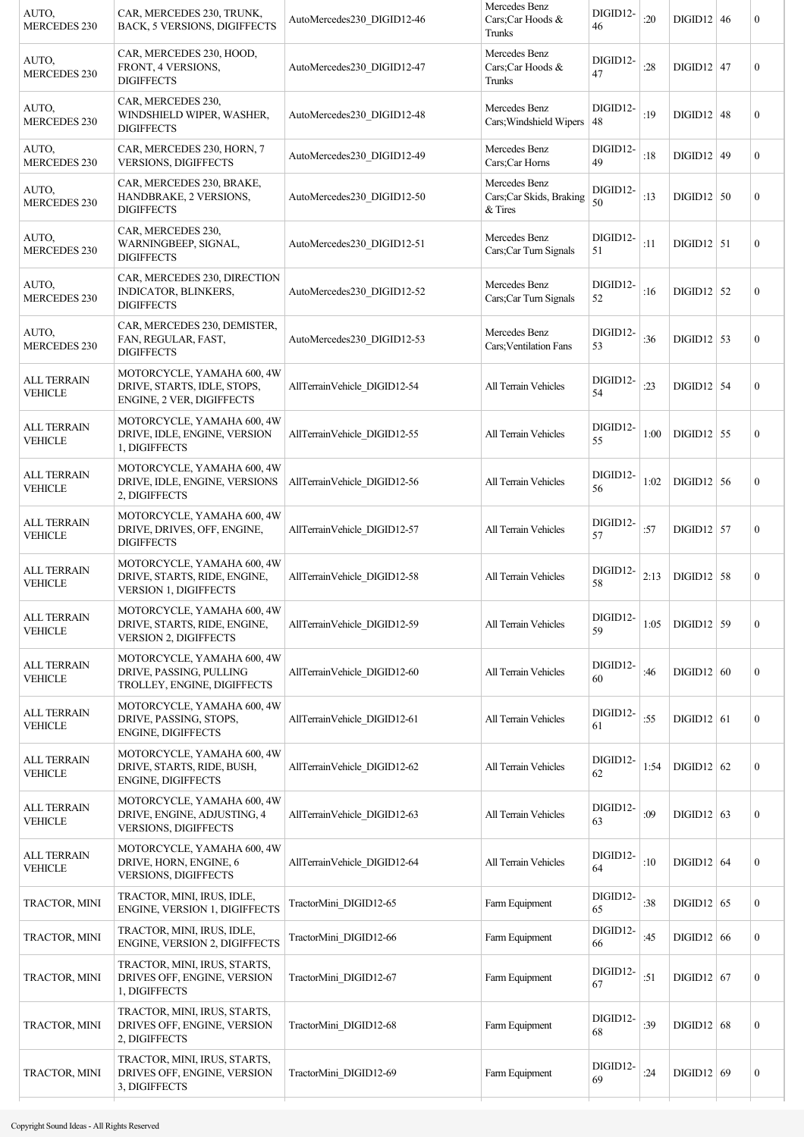| AUTO,<br><b>MERCEDES 230</b>         | CAR, MERCEDES 230, TRUNK,<br><b>BACK, 5 VERSIONS, DIGIFFECTS</b>                         | AutoMercedes230 DIGID12-46   | Mercedes Benz<br>Cars;Car Hoods &<br>Trunks         | DIGID12-<br>46   | :20  | $DIGID12$ 46 | $\mathbf{0}$     |
|--------------------------------------|------------------------------------------------------------------------------------------|------------------------------|-----------------------------------------------------|------------------|------|--------------|------------------|
| AUTO,<br><b>MERCEDES 230</b>         | CAR, MERCEDES 230, HOOD,<br>FRONT, 4 VERSIONS,<br><b>DIGIFFECTS</b>                      | AutoMercedes230 DIGID12-47   | Mercedes Benz<br>Cars;Car Hoods &<br>Trunks         | DIGID12-<br>47   | :28  | $DIGID12$ 47 | $\boldsymbol{0}$ |
| AUTO,<br><b>MERCEDES 230</b>         | CAR, MERCEDES 230,<br>WINDSHIELD WIPER, WASHER,<br><b>DIGIFFECTS</b>                     | AutoMercedes230 DIGID12-48   | Mercedes Benz<br>Cars; Windshield Wipers            | DIGID12-<br>  48 | :19  | $DIGID12$ 48 | $\mathbf{0}$     |
| AUTO,<br><b>MERCEDES 230</b>         | CAR, MERCEDES 230, HORN, 7<br><b>VERSIONS, DIGIFFECTS</b>                                | AutoMercedes230 DIGID12-49   | Mercedes Benz<br>Cars;Car Horns                     | DIGID12-<br>49   | :18  | $DIGID12$ 49 | $\boldsymbol{0}$ |
| AUTO,<br><b>MERCEDES 230</b>         | CAR, MERCEDES 230, BRAKE,<br>HANDBRAKE, 2 VERSIONS,<br><b>DIGIFFECTS</b>                 | AutoMercedes230 DIGID12-50   | Mercedes Benz<br>Cars;Car Skids, Braking<br>& Tires | DIGID12-<br>50   | :13  | $DIGD12$ 50  | $\boldsymbol{0}$ |
| AUTO,<br><b>MERCEDES 230</b>         | CAR, MERCEDES 230,<br>WARNINGBEEP, SIGNAL,<br><b>DIGIFFECTS</b>                          | AutoMercedes230 DIGID12-51   | Mercedes Benz<br>Cars;Car Turn Signals              | DIGID12-<br>51   | :11  | $DIGID12$ 51 | $\mathbf{0}$     |
| AUTO,<br><b>MERCEDES 230</b>         | CAR, MERCEDES 230, DIRECTION<br>INDICATOR, BLINKERS,<br><b>DIGIFFECTS</b>                | AutoMercedes230 DIGID12-52   | Mercedes Benz<br>Cars;Car Turn Signals              | DIGID12-<br>52   | :16  | $DIGID12$ 52 | $\boldsymbol{0}$ |
| AUTO,<br><b>MERCEDES 230</b>         | CAR, MERCEDES 230, DEMISTER,<br>FAN, REGULAR, FAST,<br><b>DIGIFFECTS</b>                 | AutoMercedes230 DIGID12-53   | Mercedes Benz<br>Cars; Ventilation Fans             | DIGID12-<br>53   | :36  | $DIGID12$ 53 | $\boldsymbol{0}$ |
| <b>ALL TERRAIN</b><br><b>VEHICLE</b> | MOTORCYCLE, YAMAHA 600, 4W<br>DRIVE, STARTS, IDLE, STOPS,<br>ENGINE, 2 VER, DIGIFFECTS   | AllTerrainVehicle DIGID12-54 | All Terrain Vehicles                                | DIGID12-<br>54   | : 23 | $DIGID12$ 54 | $\boldsymbol{0}$ |
| <b>ALL TERRAIN</b><br><b>VEHICLE</b> | MOTORCYCLE, YAMAHA 600, 4W<br>DRIVE, IDLE, ENGINE, VERSION<br>1, DIGIFFECTS              | AllTerrainVehicle DIGID12-55 | All Terrain Vehicles                                | DIGID12-<br>55   | 1:00 | $DIGD12$ 55  | $\mathbf{0}$     |
| <b>ALL TERRAIN</b><br><b>VEHICLE</b> | MOTORCYCLE, YAMAHA 600, 4W<br>DRIVE, IDLE, ENGINE, VERSIONS<br>2, DIGIFFECTS             | AllTerrainVehicle DIGID12-56 | All Terrain Vehicles                                | DIGID12-<br>56   | 1:02 | $DIGID12$ 56 | $\boldsymbol{0}$ |
| <b>ALL TERRAIN</b><br><b>VEHICLE</b> | MOTORCYCLE, YAMAHA 600, 4W<br>DRIVE, DRIVES, OFF, ENGINE,<br><b>DIGIFFECTS</b>           | AllTerrainVehicle DIGID12-57 | All Terrain Vehicles                                | DIGID12-<br>57   | :57  | $DIGID12$ 57 | $\boldsymbol{0}$ |
| <b>ALL TERRAIN</b><br><b>VEHICLE</b> | MOTORCYCLE, YAMAHA 600, 4W<br>DRIVE, STARTS, RIDE, ENGINE,<br>VERSION 1, DIGIFFECTS      | AllTerrainVehicle DIGID12-58 | <b>All Terrain Vehicles</b>                         | DIGID12-<br>58   | 2:13 | $DIGID12$ 58 | $\boldsymbol{0}$ |
| <b>ALL TERRAIN</b><br><b>VEHICLE</b> | MOTORCYCLE, YAMAHA 600, 4W<br>DRIVE, STARTS, RIDE, ENGINE,<br>VERSION 2, DIGIFFECTS      | AllTerrainVehicle DIGID12-59 | <b>All Terrain Vehicles</b>                         | DIGID12-<br>59   | 1:05 | $DIGD12$ 59  | $\boldsymbol{0}$ |
| <b>ALL TERRAIN</b><br><b>VEHICLE</b> | MOTORCYCLE, YAMAHA 600, 4W<br>DRIVE, PASSING, PULLING<br>TROLLEY, ENGINE, DIGIFFECTS     | AllTerrainVehicle DIGID12-60 | All Terrain Vehicles                                | DIGID12-<br>60   | :46  | DIGID12   60 | $\boldsymbol{0}$ |
| <b>ALL TERRAIN</b><br><b>VEHICLE</b> | MOTORCYCLE, YAMAHA 600, 4W<br>DRIVE, PASSING, STOPS,<br>ENGINE, DIGIFFECTS               | AllTerrainVehicle DIGID12-61 | All Terrain Vehicles                                | DIGID12-<br>61   | :55  | $DIGID12$ 61 | $\boldsymbol{0}$ |
| <b>ALL TERRAIN</b><br><b>VEHICLE</b> | MOTORCYCLE, YAMAHA 600, 4W<br>DRIVE, STARTS, RIDE, BUSH,<br>ENGINE, DIGIFFECTS           | AllTerrainVehicle DIGID12-62 | All Terrain Vehicles                                | DIGID12-<br>62   | 1:54 | $DIGID12$ 62 | $\mathbf{0}$     |
| <b>ALL TERRAIN</b><br><b>VEHICLE</b> | MOTORCYCLE, YAMAHA 600, 4W<br>DRIVE, ENGINE, ADJUSTING, 4<br><b>VERSIONS, DIGIFFECTS</b> | AllTerrainVehicle DIGID12-63 | All Terrain Vehicles                                | DIGID12-<br>63   | :09  | $DIGID12$ 63 | $\boldsymbol{0}$ |
| <b>ALL TERRAIN</b><br><b>VEHICLE</b> | MOTORCYCLE, YAMAHA 600, 4W<br>DRIVE, HORN, ENGINE, 6<br>VERSIONS, DIGIFFECTS             | AllTerrainVehicle DIGID12-64 | All Terrain Vehicles                                | DIGID12-<br>64   | :10  | $DIGID12$ 64 | $\boldsymbol{0}$ |
| TRACTOR, MINI                        | TRACTOR, MINI, IRUS, IDLE,<br>ENGINE, VERSION 1, DIGIFFECTS                              | TractorMini DIGID12-65       | Farm Equipment                                      | DIGID12-<br>65   | :38  | $DIGID12$ 65 | $\boldsymbol{0}$ |
| TRACTOR, MINI                        | TRACTOR, MINI, IRUS, IDLE,<br>ENGINE, VERSION 2, DIGIFFECTS                              | TractorMini DIGID12-66       | Farm Equipment                                      | DIGID12-<br>66   | :45  | DIGID12 66   | $\mathbf{0}$     |
| TRACTOR, MINI                        | TRACTOR, MINI, IRUS, STARTS,<br>DRIVES OFF, ENGINE, VERSION<br>1, DIGIFFECTS             | TractorMini DIGID12-67       | Farm Equipment                                      | DIGID12-<br>67   | :51  | $DIGID12$ 67 | $\boldsymbol{0}$ |
| TRACTOR, MINI                        | TRACTOR, MINI, IRUS, STARTS,<br>DRIVES OFF, ENGINE, VERSION<br>2, DIGIFFECTS             | TractorMini DIGID12-68       | Farm Equipment                                      | DIGID12-<br>68   | :39  | $DIGID12$ 68 | $\boldsymbol{0}$ |
| TRACTOR, MINI                        | TRACTOR, MINI, IRUS, STARTS,<br>DRIVES OFF, ENGINE, VERSION<br>3, DIGIFFECTS             | TractorMini DIGID12-69       | Farm Equipment                                      | DIGID12-<br>69   | :24  | DIGID12 69   | $\boldsymbol{0}$ |
|                                      |                                                                                          |                              |                                                     |                  |      |              |                  |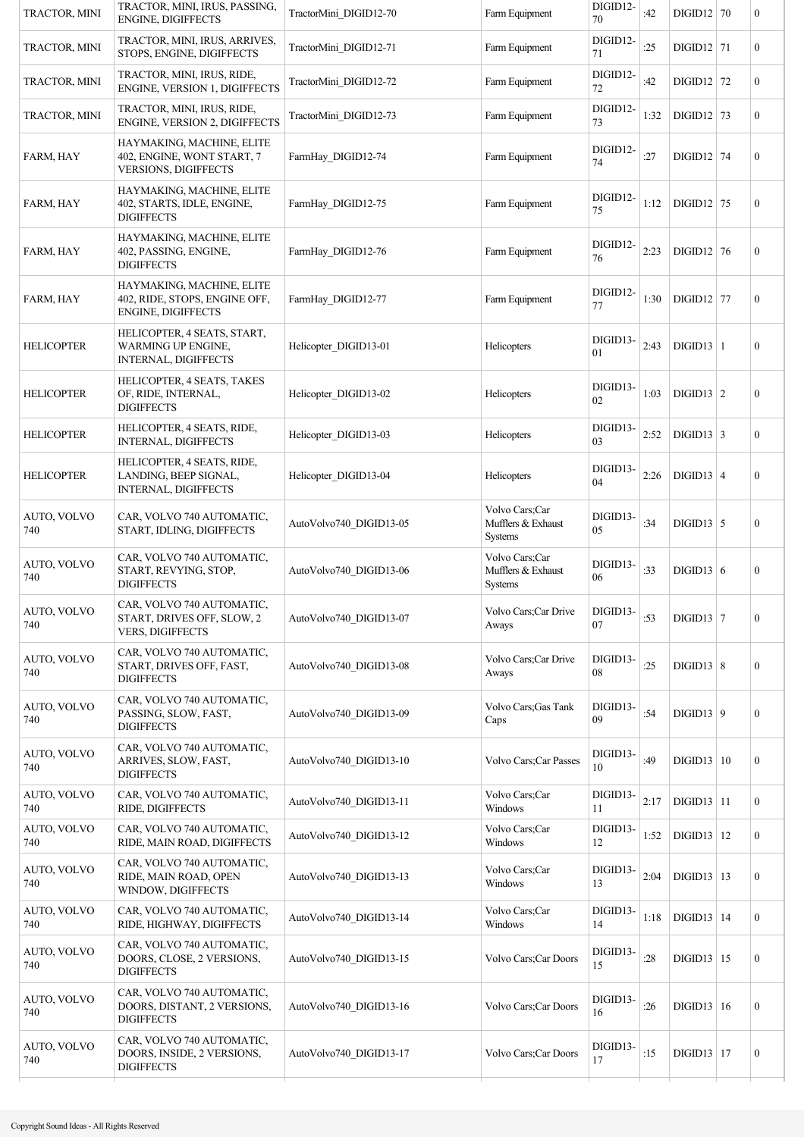| TRACTOR, MINI      | TRACTOR, MINI, IRUS, PASSING,<br><b>ENGINE, DIGIFFECTS</b>                              | TractorMini DIGID12-70  | Farm Equipment                                  | DIGID12-<br>70 | :42  | $DIGID12$ 70            | $\boldsymbol{0}$ |
|--------------------|-----------------------------------------------------------------------------------------|-------------------------|-------------------------------------------------|----------------|------|-------------------------|------------------|
| TRACTOR, MINI      | TRACTOR, MINI, IRUS, ARRIVES,<br>STOPS, ENGINE, DIGIFFECTS                              | TractorMini DIGID12-71  | Farm Equipment                                  | DIGID12-<br>71 | :25  | $DIGID12$ 71            | $\mathbf{0}$     |
| TRACTOR, MINI      | TRACTOR, MINI, IRUS, RIDE,<br>ENGINE, VERSION 1, DIGIFFECTS                             | TractorMini DIGID12-72  | Farm Equipment                                  | DIGID12-<br>72 | :42  | $DIGID12$ 72            | $\mathbf{0}$     |
| TRACTOR, MINI      | TRACTOR, MINI, IRUS, RIDE,<br>ENGINE, VERSION 2, DIGIFFECTS                             | TractorMini DIGID12-73  | Farm Equipment                                  | DIGID12-<br>73 | 1:32 | $DIGID12$ 73            | $\boldsymbol{0}$ |
| FARM, HAY          | HAYMAKING, MACHINE, ELITE<br>402, ENGINE, WONT START, 7<br>VERSIONS, DIGIFFECTS         | FarmHay DIGID12-74      | Farm Equipment                                  | DIGID12-<br>74 | :27  | $DIGID12$ 74            | $\boldsymbol{0}$ |
| FARM, HAY          | HAYMAKING, MACHINE, ELITE<br>402, STARTS, IDLE, ENGINE,<br><b>DIGIFFECTS</b>            | FarmHay DIGID12-75      | Farm Equipment                                  | DIGID12-<br>75 | 1:12 | $DIGID12$ 75            | $\boldsymbol{0}$ |
| FARM, HAY          | HAYMAKING, MACHINE, ELITE<br>402, PASSING, ENGINE,<br><b>DIGIFFECTS</b>                 | FarmHay DIGID12-76      | Farm Equipment                                  | DIGID12-<br>76 | 2:23 | $DIGID12$ 76            | $\boldsymbol{0}$ |
| <b>FARM, HAY</b>   | HAYMAKING, MACHINE, ELITE<br>402, RIDE, STOPS, ENGINE OFF,<br>ENGINE, DIGIFFECTS        | FarmHay DIGID12-77      | Farm Equipment                                  | DIGID12-<br>77 | 1:30 | $DIGID12$ 77            | $\boldsymbol{0}$ |
| <b>HELICOPTER</b>  | HELICOPTER, 4 SEATS, START,<br><b>WARMING UP ENGINE.</b><br><b>INTERNAL, DIGIFFECTS</b> | Helicopter DIGID13-01   | Helicopters                                     | DIGID13-<br>01 | 2:43 | DIGID13   1             | $\mathbf{0}$     |
| <b>HELICOPTER</b>  | HELICOPTER, 4 SEATS, TAKES<br>OF, RIDE, INTERNAL,<br><b>DIGIFFECTS</b>                  | Helicopter DIGID13-02   | Helicopters                                     | DIGID13-<br>02 | 1:03 | DIGID13   2             | $\boldsymbol{0}$ |
| <b>HELICOPTER</b>  | HELICOPTER, 4 SEATS, RIDE,<br>INTERNAL, DIGIFFECTS                                      | Helicopter DIGID13-03   | Helicopters                                     | DIGID13-<br>03 | 2:52 | $\text{DIGID}13 \mid 3$ | $\mathbf{0}$     |
| <b>HELICOPTER</b>  | HELICOPTER, 4 SEATS, RIDE,<br>LANDING, BEEP SIGNAL,<br><b>INTERNAL, DIGIFFECTS</b>      | Helicopter DIGID13-04   | Helicopters                                     | DIGID13-<br>04 | 2:26 | $DIGID13   4$           | $\mathbf{0}$     |
| AUTO, VOLVO<br>740 | CAR, VOLVO 740 AUTOMATIC,<br>START, IDLING, DIGIFFECTS                                  | AutoVolvo740 DIGID13-05 | Volvo Cars;Car<br>Mufflers & Exhaust<br>Systems | DIGID13-<br>05 | :34  | $DIGID13$ 5             | $\boldsymbol{0}$ |
| AUTO, VOLVO<br>740 | CAR, VOLVO 740 AUTOMATIC,<br>START, REVYING, STOP,<br><b>DIGIFFECTS</b>                 | AutoVolvo740 DIGID13-06 | Volvo Cars;Car<br>Mufflers & Exhaust<br>Systems | DIGID13-<br>06 | :33  | DIGID13   6             | $\boldsymbol{0}$ |
| AUTO, VOLVO<br>740 | CAR, VOLVO 740 AUTOMATIC,<br>START, DRIVES OFF, SLOW, 2<br><b>VERS, DIGIFFECTS</b>      | AutoVolvo740 DIGID13-07 | Volvo Cars;Car Drive<br>Aways                   | DIGID13-<br>07 | :53  | $DIGD13$ 7              | $\boldsymbol{0}$ |
| AUTO, VOLVO<br>740 | CAR, VOLVO 740 AUTOMATIC,<br>START, DRIVES OFF, FAST,<br><b>DIGIFFECTS</b>              | AutoVolvo740 DIGID13-08 | Volvo Cars;Car Drive<br>Aways                   | DIGID13-<br>08 | :25  | DIGID13   8             | $\mathbf{0}$     |
| AUTO, VOLVO<br>740 | CAR, VOLVO 740 AUTOMATIC,<br>PASSING, SLOW, FAST,<br><b>DIGIFFECTS</b>                  | AutoVolvo740 DIGID13-09 | Volvo Cars; Gas Tank<br>Caps                    | DIGID13-<br>09 | :54  | DIGID13   9             | $\boldsymbol{0}$ |
| AUTO, VOLVO<br>740 | CAR, VOLVO 740 AUTOMATIC,<br>ARRIVES, SLOW, FAST,<br><b>DIGIFFECTS</b>                  | AutoVolvo740 DIGID13-10 | <b>Volvo Cars: Car Passes</b>                   | DIGID13-<br>10 | :49  | DIGID13   10            | $\mathbf{0}$     |
| AUTO, VOLVO<br>740 | CAR, VOLVO 740 AUTOMATIC,<br>RIDE, DIGIFFECTS                                           | AutoVolvo740 DIGID13-11 | Volvo Cars;Car<br>Windows                       | DIGID13-<br>11 | 2:17 | $DIGID13$  11           | $\overline{0}$   |
| AUTO, VOLVO<br>740 | CAR, VOLVO 740 AUTOMATIC,<br>RIDE, MAIN ROAD, DIGIFFECTS                                | AutoVolvo740 DIGID13-12 | Volvo Cars;Car<br>Windows                       | DIGID13-<br>12 | 1:52 | $DIGID13$ 12            | $\mathbf{0}$     |
| AUTO, VOLVO<br>740 | CAR, VOLVO 740 AUTOMATIC,<br>RIDE, MAIN ROAD, OPEN<br>WINDOW, DIGIFFECTS                | AutoVolvo740 DIGID13-13 | Volvo Cars;Car<br>Windows                       | DIGID13-<br>13 | 2:04 | $DIGID13$   13          | $\mathbf{0}$     |
| AUTO, VOLVO<br>740 | CAR, VOLVO 740 AUTOMATIC,<br>RIDE, HIGHWAY, DIGIFFECTS                                  | AutoVolvo740 DIGID13-14 | Volvo Cars;Car<br>Windows                       | DIGID13-<br>14 | 1:18 | $DIGID13$   14          | $\mathbf{0}$     |
| AUTO, VOLVO<br>740 | CAR, VOLVO 740 AUTOMATIC,<br>DOORS, CLOSE, 2 VERSIONS,<br><b>DIGIFFECTS</b>             | AutoVolvo740 DIGID13-15 | Volvo Cars; Car Doors                           | DIGID13-<br>15 | :28  | $DIGID13$ 15            | $\mathbf{0}$     |
| AUTO, VOLVO<br>740 | CAR, VOLVO 740 AUTOMATIC,<br>DOORS, DISTANT, 2 VERSIONS,<br><b>DIGIFFECTS</b>           | AutoVolvo740 DIGID13-16 | Volvo Cars; Car Doors                           | DIGID13-<br>16 | :26  | DIGID13   16            | $\mathbf{0}$     |
| AUTO, VOLVO<br>740 | CAR, VOLVO 740 AUTOMATIC,<br>DOORS, INSIDE, 2 VERSIONS,<br><b>DIGIFFECTS</b>            | AutoVolvo740 DIGID13-17 | Volvo Cars; Car Doors                           | DIGID13-<br>17 | :15  | $DIGID13$ 17            | $\boldsymbol{0}$ |
|                    |                                                                                         |                         |                                                 |                |      |                         |                  |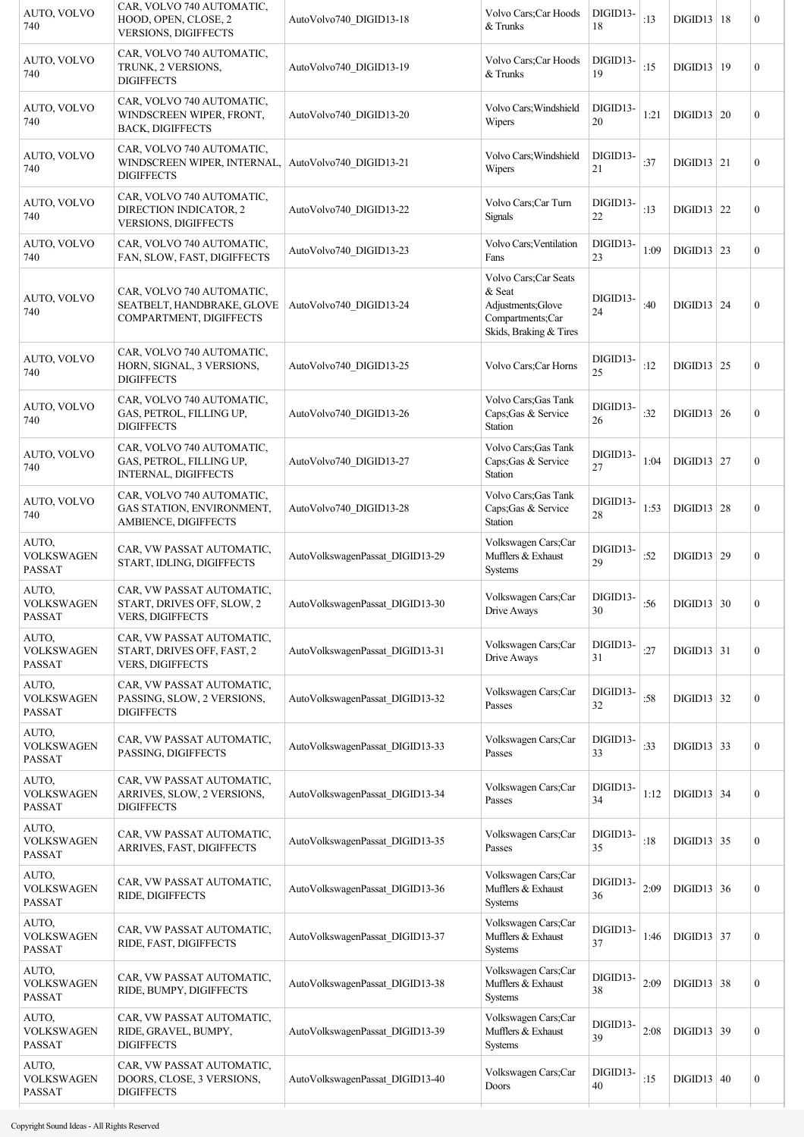| AUTO, VOLVO<br>740                          | CAR, VOLVO 740 AUTOMATIC,<br>HOOD, OPEN, CLOSE, 2<br><b>VERSIONS, DIGIFFECTS</b>     | AutoVolvo740 DIGID13-18         | Volvo Cars; Car Hoods<br>& Trunks                                                                   | DIGID13-<br>18 | :13  | DIGID13   18             | $\boldsymbol{0}$ |
|---------------------------------------------|--------------------------------------------------------------------------------------|---------------------------------|-----------------------------------------------------------------------------------------------------|----------------|------|--------------------------|------------------|
| AUTO, VOLVO<br>740                          | CAR, VOLVO 740 AUTOMATIC,<br>TRUNK, 2 VERSIONS,<br><b>DIGIFFECTS</b>                 | AutoVolvo740 DIGID13-19         | Volvo Cars; Car Hoods<br>$&$ Trunks                                                                 | DIGID13-<br>19 | :15  | DIGID13   19             | $\boldsymbol{0}$ |
| AUTO, VOLVO<br>740                          | CAR, VOLVO 740 AUTOMATIC,<br>WINDSCREEN WIPER, FRONT,<br>BACK, DIGIFFECTS            | AutoVolvo740 DIGID13-20         | Volvo Cars; Windshield<br>Wipers                                                                    | DIGID13-<br>20 | 1:21 | DIGID13   20             | $\boldsymbol{0}$ |
| AUTO, VOLVO<br>740                          | CAR, VOLVO 740 AUTOMATIC,<br>WINDSCREEN WIPER, INTERNAL,<br><b>DIGIFFECTS</b>        | AutoVolvo740 DIGID13-21         | Volvo Cars; Windshield<br>Wipers                                                                    | DIGID13-<br>21 | :37  | $DIGID13$ 21             | $\boldsymbol{0}$ |
| AUTO, VOLVO<br>740                          | CAR, VOLVO 740 AUTOMATIC,<br>DIRECTION INDICATOR, 2<br><b>VERSIONS, DIGIFFECTS</b>   | AutoVolvo740 DIGID13-22         | Volvo Cars;Car Turn<br><b>Signals</b>                                                               | DIGID13-<br>22 | :13  | $DIGID13$ 22             | $\boldsymbol{0}$ |
| AUTO, VOLVO<br>740                          | CAR, VOLVO 740 AUTOMATIC,<br>FAN, SLOW, FAST, DIGIFFECTS                             | AutoVolvo740 DIGID13-23         | Volvo Cars; Ventilation<br>Fans                                                                     | DIGID13-<br>23 | 1:09 | $\text{DIGID13}$ 23      | $\boldsymbol{0}$ |
| AUTO, VOLVO<br>740                          | CAR, VOLVO 740 AUTOMATIC,<br>SEATBELT, HANDBRAKE, GLOVE<br>COMPARTMENT, DIGIFFECTS   | AutoVolvo740 DIGID13-24         | Volvo Cars; Car Seats<br>& Seat<br>Adjustments; Glove<br>Compartments;Car<br>Skids, Braking & Tires | DIGID13-<br>24 | :40  | DIGID13   24             | $\boldsymbol{0}$ |
| AUTO, VOLVO<br>740                          | CAR, VOLVO 740 AUTOMATIC,<br>HORN, SIGNAL, 3 VERSIONS,<br><b>DIGIFFECTS</b>          | AutoVolvo740 DIGID13-25         | Volvo Cars; Car Horns                                                                               | DIGID13-<br>25 | :12  | $DIGID13$ 25             | $\boldsymbol{0}$ |
| AUTO, VOLVO<br>740                          | CAR, VOLVO 740 AUTOMATIC,<br>GAS, PETROL, FILLING UP,<br><b>DIGIFFECTS</b>           | AutoVolvo740 DIGID13-26         | Volvo Cars; Gas Tank<br>Caps; Gas & Service<br>Station                                              | DIGID13-<br>26 | :32  | DIGID13   26             | $\boldsymbol{0}$ |
| AUTO, VOLVO<br>740                          | CAR, VOLVO 740 AUTOMATIC,<br>GAS, PETROL, FILLING UP,<br><b>INTERNAL, DIGIFFECTS</b> | AutoVolvo740 DIGID13-27         | Volvo Cars; Gas Tank<br>Caps; Gas & Service<br>Station                                              | DIGID13-<br>27 | 1:04 | $DIGD13$ 27              | $\boldsymbol{0}$ |
| AUTO, VOLVO<br>740                          | CAR, VOLVO 740 AUTOMATIC,<br>GAS STATION, ENVIRONMENT,<br>AMBIENCE, DIGIFFECTS       | AutoVolvo740 DIGID13-28         | Volvo Cars; Gas Tank<br>Caps; Gas & Service<br>Station                                              | DIGID13-<br>28 | 1:53 | $DIGID13$ 28             | $\boldsymbol{0}$ |
| AUTO,<br><b>VOLKSWAGEN</b><br><b>PASSAT</b> | CAR, VW PASSAT AUTOMATIC,<br>START, IDLING, DIGIFFECTS                               | AutoVolkswagenPassat_DIGID13-29 | Volkswagen Cars;Car<br>Mufflers & Exhaust<br><b>Systems</b>                                         | DIGID13-<br>29 | :52  | DIGID13   29             | $\boldsymbol{0}$ |
| AUTO,<br><b>VOLKSWAGEN</b><br><b>PASSAT</b> | CAR, VW PASSAT AUTOMATIC,<br>START, DRIVES OFF, SLOW, 2<br><b>VERS, DIGIFFECTS</b>   | AutoVolkswagenPassat_DIGID13-30 | Volkswagen Cars;Car<br>Drive Aways                                                                  | DIGID13-<br>30 | :56  | DIGID13 $ 30$            | $\boldsymbol{0}$ |
| AUTO,<br><b>VOLKSWAGEN</b><br><b>PASSAT</b> | CAR, VW PASSAT AUTOMATIC,<br>START, DRIVES OFF, FAST, 2<br><b>VERS, DIGIFFECTS</b>   | AutoVolkswagenPassat_DIGID13-31 | Volkswagen Cars;Car<br>Drive Aways                                                                  | DIGID13-<br>31 | :27  | $\text{DIGID13} \mid 31$ | $\boldsymbol{0}$ |
| AUTO,<br><b>VOLKSWAGEN</b><br><b>PASSAT</b> | CAR, VW PASSAT AUTOMATIC,<br>PASSING, SLOW, 2 VERSIONS,<br><b>DIGIFFECTS</b>         | AutoVolkswagenPassat_DIGID13-32 | Volkswagen Cars;Car<br>Passes                                                                       | DIGID13-<br>32 | :58  | $\text{DIGID13}$ 32      | $\boldsymbol{0}$ |
| AUTO,<br><b>VOLKSWAGEN</b><br><b>PASSAT</b> | CAR, VW PASSAT AUTOMATIC,<br>PASSING, DIGIFFECTS                                     | AutoVolkswagenPassat DIGID13-33 | Volkswagen Cars;Car<br>Passes                                                                       | DIGID13-<br>33 | :33  | DIGID13   33             | $\boldsymbol{0}$ |
| AUTO,<br><b>VOLKSWAGEN</b><br><b>PASSAT</b> | CAR, VW PASSAT AUTOMATIC,<br>ARRIVES, SLOW, 2 VERSIONS,<br><b>DIGIFFECTS</b>         | AutoVolkswagenPassat_DIGID13-34 | Volkswagen Cars;Car<br>Passes                                                                       | DIGID13-<br>34 | 1:12 | $DIGD13$ 34              | $\boldsymbol{0}$ |
| AUTO,<br><b>VOLKSWAGEN</b><br>PASSAT        | CAR, VW PASSAT AUTOMATIC,<br>ARRIVES, FAST, DIGIFFECTS                               | AutoVolkswagenPassat_DIGID13-35 | Volkswagen Cars;Car<br>Passes                                                                       | DIGID13-<br>35 | :18  | $DIGD13$ 35              | $\boldsymbol{0}$ |
| AUTO,<br><b>VOLKSWAGEN</b><br>PASSAT        | CAR, VW PASSAT AUTOMATIC,<br>RIDE, DIGIFFECTS                                        | AutoVolkswagenPassat_DIGID13-36 | Volkswagen Cars;Car<br>Mufflers & Exhaust<br>Systems                                                | DIGID13-<br>36 | 2:09 | $DIGD13$ 36              | $\boldsymbol{0}$ |
| AUTO,<br><b>VOLKSWAGEN</b><br><b>PASSAT</b> | CAR, VW PASSAT AUTOMATIC,<br>RIDE, FAST, DIGIFFECTS                                  | AutoVolkswagenPassat_DIGID13-37 | Volkswagen Cars;Car<br>Mufflers & Exhaust<br>Systems                                                | DIGID13-<br>37 | 1:46 | $DIGD13$ 37              | $\boldsymbol{0}$ |
| AUTO,<br><b>VOLKSWAGEN</b><br><b>PASSAT</b> | CAR, VW PASSAT AUTOMATIC,<br>RIDE, BUMPY, DIGIFFECTS                                 | AutoVolkswagenPassat_DIGID13-38 | Volkswagen Cars;Car<br>Mufflers & Exhaust<br>Systems                                                | DIGID13-<br>38 | 2:09 | $DIGID13$ 38             | $\boldsymbol{0}$ |
| AUTO,<br><b>VOLKSWAGEN</b><br>PASSAT        | CAR, VW PASSAT AUTOMATIC,<br>RIDE, GRAVEL, BUMPY,<br><b>DIGIFFECTS</b>               | AutoVolkswagenPassat DIGID13-39 | Volkswagen Cars;Car<br>Mufflers & Exhaust<br>Systems                                                | DIGID13-<br>39 | 2:08 | DIGD13   39              | $\boldsymbol{0}$ |
| AUTO,<br><b>VOLKSWAGEN</b><br>PASSAT        | CAR, VW PASSAT AUTOMATIC,<br>DOORS, CLOSE, 3 VERSIONS,<br><b>DIGIFFECTS</b>          | AutoVolkswagenPassat_DIGID13-40 | Volkswagen Cars;Car<br>Doors                                                                        | DIGID13-<br>40 | :15  | $DIGID13 \mid 40$        | $\boldsymbol{0}$ |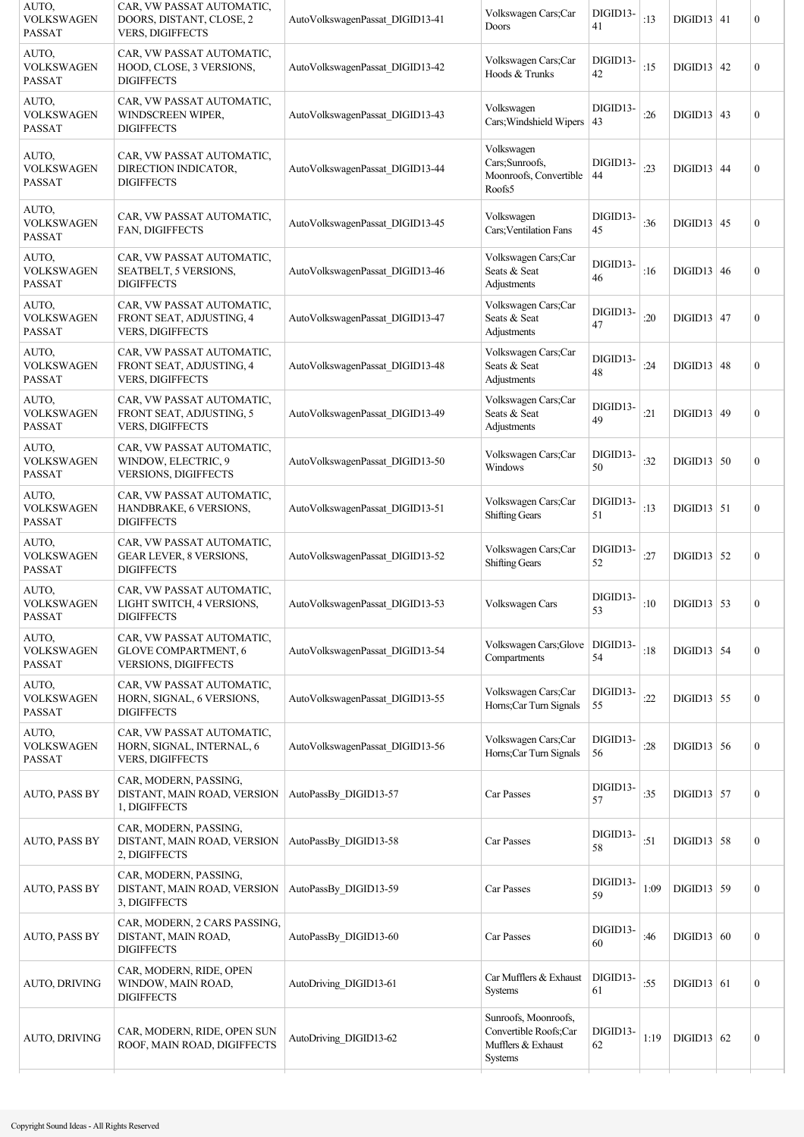| AUTO,<br><b>VOLKSWAGEN</b><br><b>PASSAT</b> | CAR, VW PASSAT AUTOMATIC,<br>DOORS, DISTANT, CLOSE, 2<br><b>VERS, DIGIFFECTS</b>   | AutoVolkswagenPassat DIGID13-41 | Volkswagen Cars;Car<br>Doors                                                   | DIGID13-<br>41 | :13  | $DIGID13   41$      | $\boldsymbol{0}$ |
|---------------------------------------------|------------------------------------------------------------------------------------|---------------------------------|--------------------------------------------------------------------------------|----------------|------|---------------------|------------------|
| AUTO,<br><b>VOLKSWAGEN</b><br><b>PASSAT</b> | CAR, VW PASSAT AUTOMATIC,<br>HOOD, CLOSE, 3 VERSIONS,<br><b>DIGIFFECTS</b>         | AutoVolkswagenPassat DIGID13-42 | Volkswagen Cars;Car<br>Hoods & Trunks                                          | DIGID13-<br>42 | :15  | $DIGID13$ 42        | $\boldsymbol{0}$ |
| AUTO,<br><b>VOLKSWAGEN</b><br><b>PASSAT</b> | CAR, VW PASSAT AUTOMATIC,<br>WINDSCREEN WIPER,<br><b>DIGIFFECTS</b>                | AutoVolkswagenPassat_DIGID13-43 | Volkswagen<br>Cars; Windshield Wipers                                          | DIGID13-<br>43 | :26  | $DIGID13$ 43        | $\boldsymbol{0}$ |
| AUTO,<br><b>VOLKSWAGEN</b><br>PASSAT        | CAR, VW PASSAT AUTOMATIC,<br>DIRECTION INDICATOR,<br><b>DIGIFFECTS</b>             | AutoVolkswagenPassat DIGID13-44 | Volkswagen<br>Cars;Sunroofs,<br>Moonroofs, Convertible<br>Roofs5               | DIGID13-<br>44 | : 23 | $DIGID13$ 44        | $\boldsymbol{0}$ |
| AUTO,<br><b>VOLKSWAGEN</b><br><b>PASSAT</b> | CAR, VW PASSAT AUTOMATIC,<br>FAN, DIGIFFECTS                                       | AutoVolkswagenPassat_DIGID13-45 | Volkswagen<br>Cars; Ventilation Fans                                           | DIGID13-<br>45 | :36  | $DIGID13$ 45        | $\overline{0}$   |
| AUTO,<br><b>VOLKSWAGEN</b><br>PASSAT        | CAR, VW PASSAT AUTOMATIC,<br><b>SEATBELT, 5 VERSIONS,</b><br><b>DIGIFFECTS</b>     | AutoVolkswagenPassat DIGID13-46 | Volkswagen Cars;Car<br>Seats & Seat<br>Adjustments                             | DIGID13-<br>46 | :16  | DIGID13   46        | $\boldsymbol{0}$ |
| AUTO,<br><b>VOLKSWAGEN</b><br><b>PASSAT</b> | CAR, VW PASSAT AUTOMATIC,<br>FRONT SEAT, ADJUSTING, 4<br><b>VERS, DIGIFFECTS</b>   | AutoVolkswagenPassat DIGID13-47 | Volkswagen Cars;Car<br>Seats & Seat<br>Adjustments                             | DIGID13-<br>47 | :20  | $DIGID13$ 47        | $\boldsymbol{0}$ |
| AUTO,<br><b>VOLKSWAGEN</b><br><b>PASSAT</b> | CAR, VW PASSAT AUTOMATIC,<br>FRONT SEAT, ADJUSTING, 4<br><b>VERS, DIGIFFECTS</b>   | AutoVolkswagenPassat DIGID13-48 | Volkswagen Cars;Car<br>Seats & Seat<br>Adjustments                             | DIGID13-<br>48 | :24  | $DIGID13$ 48        | $\boldsymbol{0}$ |
| AUTO,<br><b>VOLKSWAGEN</b><br><b>PASSAT</b> | CAR, VW PASSAT AUTOMATIC,<br>FRONT SEAT, ADJUSTING, 5<br><b>VERS, DIGIFFECTS</b>   | AutoVolkswagenPassat DIGID13-49 | Volkswagen Cars;Car<br>Seats & Seat<br>Adjustments                             | DIGID13-<br>49 | :21  | DIGID13   49        | $\boldsymbol{0}$ |
| AUTO,<br><b>VOLKSWAGEN</b><br><b>PASSAT</b> | CAR, VW PASSAT AUTOMATIC,<br>WINDOW, ELECTRIC, 9<br><b>VERSIONS, DIGIFFECTS</b>    | AutoVolkswagenPassat_DIGID13-50 | Volkswagen Cars;Car<br>Windows                                                 | DIGID13-<br>50 | :32  | $DIGID13$ 50        | $\boldsymbol{0}$ |
| AUTO,<br><b>VOLKSWAGEN</b><br><b>PASSAT</b> | CAR, VW PASSAT AUTOMATIC,<br>HANDBRAKE, 6 VERSIONS,<br><b>DIGIFFECTS</b>           | AutoVolkswagenPassat DIGID13-51 | Volkswagen Cars;Car<br><b>Shifting Gears</b>                                   | DIGID13-<br>51 | :13  | $DIGID13$ 51        | $\boldsymbol{0}$ |
| AUTO.<br><b>VOLKSWAGEN</b><br><b>PASSAT</b> | CAR, VW PASSAT AUTOMATIC,<br>GEAR LEVER, 8 VERSIONS,<br><b>DIGIFFECTS</b>          | AutoVolkswagenPassat_DIGID13-52 | Volkswagen Cars;Car<br><b>Shifting Gears</b>                                   | DIGID13-<br>52 | :27  | $DIGD13$ 52         | $\boldsymbol{0}$ |
| AUTO,<br><b>VOLKSWAGEN</b><br>PASSAT        | CAR, VW PASSAT AUTOMATIC,<br><b>LIGHT SWITCH, 4 VERSIONS.</b><br><b>DIGIFFECTS</b> | AutoVolkswagenPassat DIGID13-53 | Volkswagen Cars                                                                | DIGID13-<br>53 | :10  | $DIGD13$ 53         | $\Omega$         |
| AUTO,<br><b>VOLKSWAGEN</b><br><b>PASSAT</b> | CAR, VW PASSAT AUTOMATIC,<br><b>GLOVE COMPARTMENT, 6</b><br>VERSIONS, DIGIFFECTS   | AutoVolkswagenPassat_DIGID13-54 | Volkswagen Cars; Glove<br>Compartments                                         | DIGID13-<br>54 | :18  | $DIGD13$ 54         | $\boldsymbol{0}$ |
| AUTO,<br><b>VOLKSWAGEN</b><br><b>PASSAT</b> | CAR, VW PASSAT AUTOMATIC,<br>HORN, SIGNAL, 6 VERSIONS,<br><b>DIGIFFECTS</b>        | AutoVolkswagenPassat_DIGID13-55 | Volkswagen Cars;Car<br>Horns;Car Turn Signals                                  | DIGID13-<br>55 | :22  | $\text{DIGID13}$ 55 | $\boldsymbol{0}$ |
| AUTO,<br><b>VOLKSWAGEN</b><br><b>PASSAT</b> | CAR, VW PASSAT AUTOMATIC,<br>HORN, SIGNAL, INTERNAL, 6<br><b>VERS, DIGIFFECTS</b>  | AutoVolkswagenPassat DIGID13-56 | Volkswagen Cars;Car<br>Horns;Car Turn Signals                                  | DIGID13-<br>56 | :28  | $DIGID13$ 56        | $\boldsymbol{0}$ |
| <b>AUTO, PASS BY</b>                        | CAR, MODERN, PASSING,<br>DISTANT, MAIN ROAD, VERSION<br>1, DIGIFFECTS              | AutoPassBy DIGID13-57           | Car Passes                                                                     | DIGID13-<br>57 | :35  | $DIGID13$ 57        | $\boldsymbol{0}$ |
| <b>AUTO, PASS BY</b>                        | CAR, MODERN, PASSING,<br>DISTANT, MAIN ROAD, VERSION<br>2, DIGIFFECTS              | AutoPassBy DIGID13-58           | Car Passes                                                                     | DIGID13-<br>58 | :51  | $DIGID13$ 58        | $\boldsymbol{0}$ |
| <b>AUTO, PASS BY</b>                        | CAR, MODERN, PASSING,<br>DISTANT, MAIN ROAD, VERSION<br>3, DIGIFFECTS              | AutoPassBy DIGID13-59           | Car Passes                                                                     | DIGID13-<br>59 | 1:09 | $DIGD13$ 59         | $\overline{0}$   |
| <b>AUTO, PASS BY</b>                        | CAR, MODERN, 2 CARS PASSING,<br>DISTANT, MAIN ROAD,<br><b>DIGIFFECTS</b>           | AutoPassBy DIGID13-60           | Car Passes                                                                     | DIGID13-<br>60 | :46  | DIGID13   60        | $\boldsymbol{0}$ |
| AUTO, DRIVING                               | CAR, MODERN, RIDE, OPEN<br>WINDOW, MAIN ROAD,<br><b>DIGIFFECTS</b>                 | AutoDriving DIGID13-61          | Car Mufflers & Exhaust<br>Systems                                              | DIGID13-<br>61 | :55  | $DIGD13$ 61         | $\boldsymbol{0}$ |
| AUTO, DRIVING                               | CAR, MODERN, RIDE, OPEN SUN<br>ROOF, MAIN ROAD, DIGIFFECTS                         | AutoDriving_DIGID13-62          | Sunroofs, Moonroofs,<br>Convertible Roofs;Car<br>Mufflers & Exhaust<br>Systems | DIGID13-<br>62 | 1:19 | $DIGID13$ 62        | $\boldsymbol{0}$ |
|                                             |                                                                                    |                                 |                                                                                |                |      |                     |                  |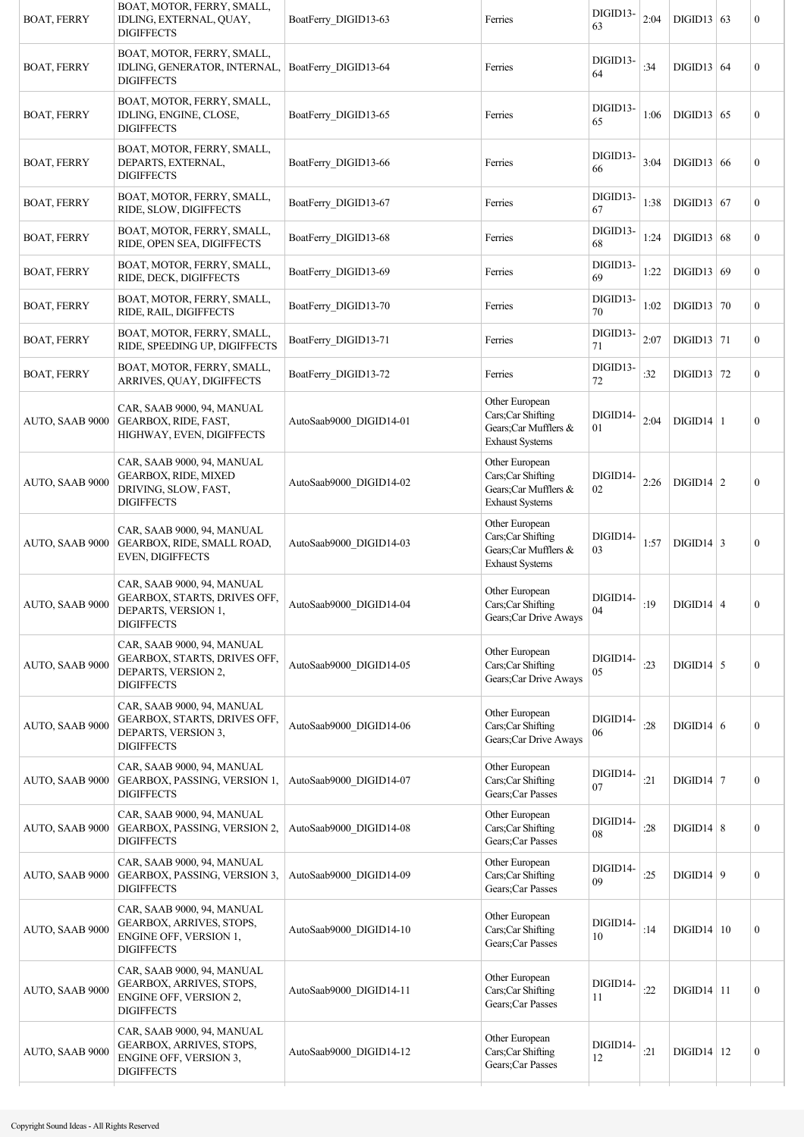| <b>BOAT, FERRY</b> | BOAT, MOTOR, FERRY, SMALL,<br>IDLING, EXTERNAL, QUAY,<br><b>DIGIFFECTS</b>                             | BoatFerry DIGID13-63    | Ferries                                                                               | DIGID13-<br>63 | 2:04 | $DIGID13$ 63     | $\boldsymbol{0}$ |
|--------------------|--------------------------------------------------------------------------------------------------------|-------------------------|---------------------------------------------------------------------------------------|----------------|------|------------------|------------------|
| <b>BOAT, FERRY</b> | BOAT, MOTOR, FERRY, SMALL,<br>IDLING, GENERATOR, INTERNAL,<br><b>DIGIFFECTS</b>                        | BoatFerry DIGID13-64    | Ferries                                                                               | DIGID13-<br>64 | :34  | DIGID13   64     | $\boldsymbol{0}$ |
| <b>BOAT, FERRY</b> | BOAT, MOTOR, FERRY, SMALL,<br>IDLING, ENGINE, CLOSE,<br><b>DIGIFFECTS</b>                              | BoatFerry DIGID13-65    | Ferries                                                                               | DIGID13-<br>65 | 1:06 | $DIGID13$ 65     | $\boldsymbol{0}$ |
| <b>BOAT, FERRY</b> | BOAT, MOTOR, FERRY, SMALL,<br>DEPARTS, EXTERNAL,<br><b>DIGIFFECTS</b>                                  | BoatFerry DIGID13-66    | Ferries                                                                               | DIGID13-<br>66 | 3:04 | DIGID13   66     | $\boldsymbol{0}$ |
| <b>BOAT, FERRY</b> | BOAT, MOTOR, FERRY, SMALL,<br>RIDE, SLOW, DIGIFFECTS                                                   | BoatFerry DIGID13-67    | Ferries                                                                               | DIGID13-<br>67 | 1:38 | $DIGID13$ 67     | $\mathbf{0}$     |
| <b>BOAT, FERRY</b> | BOAT, MOTOR, FERRY, SMALL,<br>RIDE, OPEN SEA, DIGIFFECTS                                               | BoatFerry DIGID13-68    | Ferries                                                                               | DIGID13-<br>68 | 1:24 | DIGID13   68     | $\mathbf{0}$     |
| <b>BOAT, FERRY</b> | BOAT, MOTOR, FERRY, SMALL,<br>RIDE, DECK, DIGIFFECTS                                                   | BoatFerry DIGID13-69    | Ferries                                                                               | DIGID13-<br>69 | 1:22 | DIGID13   69     | $\mathbf{0}$     |
| <b>BOAT, FERRY</b> | BOAT, MOTOR, FERRY, SMALL,<br>RIDE, RAIL, DIGIFFECTS                                                   | BoatFerry DIGID13-70    | Ferries                                                                               | DIGID13-<br>70 | 1:02 | DIGID13   70     | $\boldsymbol{0}$ |
| <b>BOAT, FERRY</b> | BOAT, MOTOR, FERRY, SMALL,<br>RIDE, SPEEDING UP, DIGIFFECTS                                            | BoatFerry DIGID13-71    | Ferries                                                                               | DIGID13-<br>71 | 2:07 | $DIGD13$ 71      | $\mathbf{0}$     |
| <b>BOAT, FERRY</b> | BOAT, MOTOR, FERRY, SMALL,<br>ARRIVES, QUAY, DIGIFFECTS                                                | BoatFerry DIGID13-72    | Ferries                                                                               | DIGID13-<br>72 | :32  | $DIGID13$ 72     | $\mathbf{0}$     |
| AUTO, SAAB 9000    | CAR, SAAB 9000, 94, MANUAL<br>GEARBOX, RIDE, FAST,<br>HIGHWAY, EVEN, DIGIFFECTS                        | AutoSaab9000 DIGID14-01 | Other European<br>Cars;Car Shifting<br>Gears;Car Mufflers &<br><b>Exhaust Systems</b> | DIGID14-<br>01 | 2:04 | $DIGID14$   1    | $\boldsymbol{0}$ |
| AUTO, SAAB 9000    | CAR, SAAB 9000, 94, MANUAL<br>GEARBOX, RIDE, MIXED<br>DRIVING, SLOW, FAST,<br><b>DIGIFFECTS</b>        | AutoSaab9000 DIGID14-02 | Other European<br>Cars;Car Shifting<br>Gears;Car Mufflers &<br><b>Exhaust Systems</b> | DIGID14-<br>02 | 2:26 | $DIGID14$ 2      | $\boldsymbol{0}$ |
| AUTO, SAAB 9000    | CAR, SAAB 9000, 94, MANUAL<br>GEARBOX, RIDE, SMALL ROAD,<br><b>EVEN, DIGIFFECTS</b>                    | AutoSaab9000 DIGID14-03 | Other European<br>Cars;Car Shifting<br>Gears;Car Mufflers &<br><b>Exhaust Systems</b> | DIGID14-<br>03 | 1:57 | $DIGID14$ 3      | $\boldsymbol{0}$ |
| AUTO, SAAB 9000    | CAR, SAAB 9000, 94, MANUAL<br>GEARBOX, STARTS, DRIVES OFF,<br>DEPARTS, VERSION 1,<br><b>DIGIFFECTS</b> | AutoSaab9000_DIGID14-04 | Other European<br>Cars;Car Shifting<br>Gears; Car Drive Aways                         | DIGID14-<br>04 | :19  | $DIGID14$ 4      | $\boldsymbol{0}$ |
| AUTO, SAAB 9000    | CAR, SAAB 9000, 94, MANUAL<br>GEARBOX, STARTS, DRIVES OFF,<br>DEPARTS, VERSION 2,<br><b>DIGIFFECTS</b> | AutoSaab9000_DIGID14-05 | Other European<br>Cars;Car Shifting<br>Gears;Car Drive Aways                          | DIGID14-<br>05 | :23  | $DIGID14$ 5      | $\boldsymbol{0}$ |
| AUTO, SAAB 9000    | CAR, SAAB 9000, 94, MANUAL<br>GEARBOX, STARTS, DRIVES OFF,<br>DEPARTS, VERSION 3,<br><b>DIGIFFECTS</b> | AutoSaab9000_DIGID14-06 | Other European<br>Cars;Car Shifting<br>Gears; Car Drive Aways                         | DIGID14-<br>06 | :28  | $DIGID14$ 6      | $\boldsymbol{0}$ |
| AUTO, SAAB 9000    | CAR, SAAB 9000, 94, MANUAL<br>GEARBOX, PASSING, VERSION 1,<br><b>DIGIFFECTS</b>                        | AutoSaab9000 DIGID14-07 | Other European<br>Cars;Car Shifting<br>Gears;Car Passes                               | DIGID14-<br>07 | :21  | $DIGID14$   7    | $\boldsymbol{0}$ |
| AUTO, SAAB 9000    | CAR, SAAB 9000, 94, MANUAL<br>GEARBOX, PASSING, VERSION 2,<br><b>DIGIFFECTS</b>                        | AutoSaab9000 DIGID14-08 | Other European<br>Cars;Car Shifting<br>Gears;Car Passes                               | DIGID14-<br>08 | :28  | $DIGID14 \mid 8$ | $\boldsymbol{0}$ |
| AUTO, SAAB 9000    | CAR, SAAB 9000, 94, MANUAL<br>GEARBOX, PASSING, VERSION 3,<br><b>DIGIFFECTS</b>                        | AutoSaab9000_DIGID14-09 | Other European<br>Cars;Car Shifting<br>Gears;Car Passes                               | DIGID14-<br>09 | :25  | $DIGID14 \mid 9$ | $\mathbf{0}$     |
| AUTO, SAAB 9000    | CAR, SAAB 9000, 94, MANUAL<br>GEARBOX, ARRIVES, STOPS,<br>ENGINE OFF, VERSION 1,<br><b>DIGIFFECTS</b>  | AutoSaab9000 DIGID14-10 | Other European<br>Cars;Car Shifting<br>Gears;Car Passes                               | DIGID14-<br>10 | :14  | DIGID14 10       | $\boldsymbol{0}$ |
| AUTO, SAAB 9000    | CAR, SAAB 9000, 94, MANUAL<br>GEARBOX, ARRIVES, STOPS,<br>ENGINE OFF, VERSION 2,<br><b>DIGIFFECTS</b>  | AutoSaab9000 DIGID14-11 | Other European<br>Cars;Car Shifting<br>Gears;Car Passes                               | DIGID14-<br>11 | :22  | $DIGID14$ 11     | $\boldsymbol{0}$ |
| AUTO, SAAB 9000    | CAR, SAAB 9000, 94, MANUAL<br>GEARBOX, ARRIVES, STOPS,<br>ENGINE OFF, VERSION 3,<br><b>DIGIFFECTS</b>  | AutoSaab9000 DIGID14-12 | Other European<br>Cars;Car Shifting<br>Gears;Car Passes                               | DIGID14-<br>12 | :21  | $DIGID14$   12   | $\boldsymbol{0}$ |
|                    |                                                                                                        |                         |                                                                                       |                |      |                  |                  |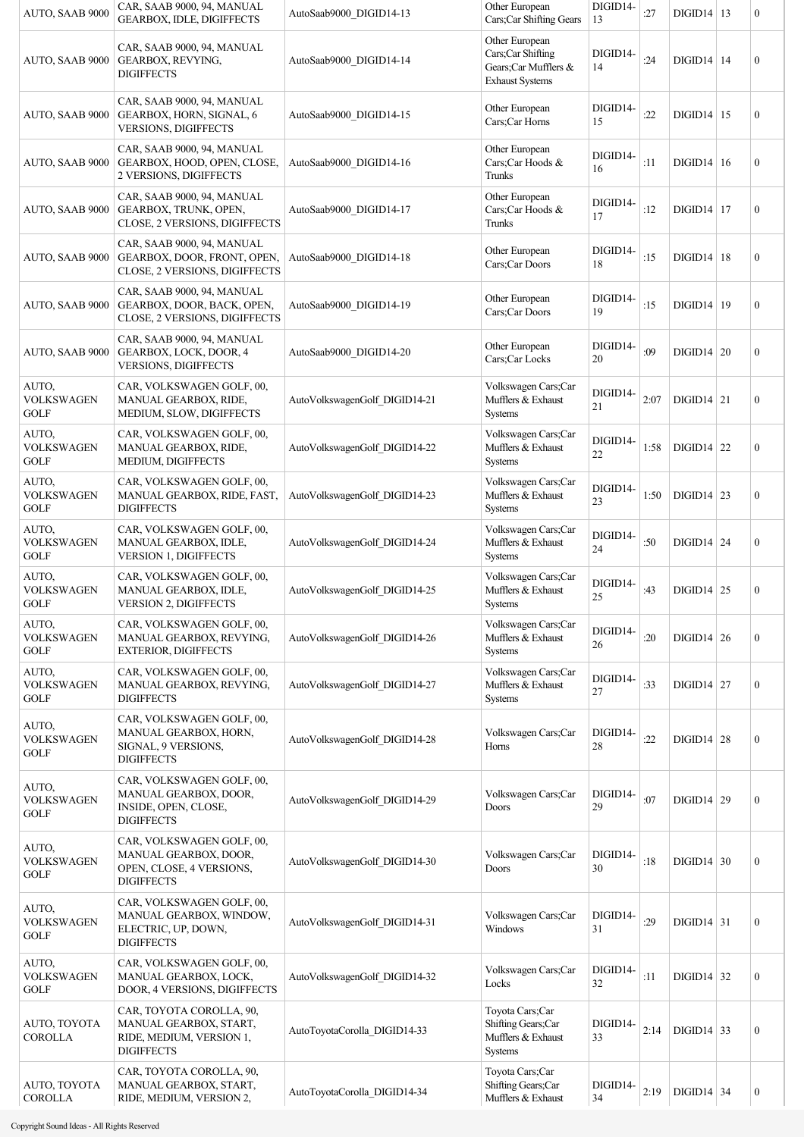| AUTO, SAAB 9000                           | CAR, SAAB 9000, 94, MANUAL<br><b>GEARBOX, IDLE, DIGIFFECTS</b>                                      | AutoSaab9000 DIGID14-13       | Other European<br>Cars;Car Shifting Gears                                             | DIGID14-<br>13     | :27  | $DIGID14$   13 | $\boldsymbol{0}$ |
|-------------------------------------------|-----------------------------------------------------------------------------------------------------|-------------------------------|---------------------------------------------------------------------------------------|--------------------|------|----------------|------------------|
| AUTO, SAAB 9000                           | CAR, SAAB 9000, 94, MANUAL<br>GEARBOX, REVYING,<br><b>DIGIFFECTS</b>                                | AutoSaab9000 DIGID14-14       | Other European<br>Cars;Car Shifting<br>Gears;Car Mufflers &<br><b>Exhaust Systems</b> | DIGID14-<br>14     | :24  | $DIGID14$   14 | $\mathbf{0}$     |
| AUTO, SAAB 9000                           | CAR, SAAB 9000, 94, MANUAL<br>GEARBOX, HORN, SIGNAL, 6<br>VERSIONS, DIGIFFECTS                      | AutoSaab9000 DIGID14-15       | Other European<br>Cars;Car Horns                                                      | DIGID14-<br>15     | :22  | $DIGID14$   15 | $\boldsymbol{0}$ |
| AUTO, SAAB 9000                           | CAR, SAAB 9000, 94, MANUAL<br>GEARBOX, HOOD, OPEN, CLOSE,<br>2 VERSIONS, DIGIFFECTS                 | AutoSaab9000 DIGID14-16       | Other European<br>Cars:Car Hoods &<br>Trunks                                          | DIGID14-<br>16     | :11  | $DIGID14$ 16   | $\boldsymbol{0}$ |
| AUTO, SAAB 9000                           | CAR, SAAB 9000, 94, MANUAL<br>GEARBOX, TRUNK, OPEN,<br>CLOSE, 2 VERSIONS, DIGIFFECTS                | AutoSaab9000 DIGID14-17       | Other European<br>Cars;Car Hoods &<br>Trunks                                          | DIGID14-<br>17     | :12  | $DIGID14$   17 | $\boldsymbol{0}$ |
| AUTO, SAAB 9000                           | CAR, SAAB 9000, 94, MANUAL<br>GEARBOX, DOOR, FRONT, OPEN,<br>CLOSE, 2 VERSIONS, DIGIFFECTS          | AutoSaab9000 DIGID14-18       | Other European<br>Cars;Car Doors                                                      | DIGID14-<br>18     | :15  | $DIGID14$   18 | $\boldsymbol{0}$ |
| AUTO, SAAB 9000                           | CAR, SAAB 9000, 94, MANUAL<br>GEARBOX, DOOR, BACK, OPEN,<br>CLOSE, 2 VERSIONS, DIGIFFECTS           | AutoSaab9000 DIGID14-19       | Other European<br>Cars;Car Doors                                                      | DIGID14-<br>19     | :15  | $DIGID14$   19 | $\boldsymbol{0}$ |
| AUTO, SAAB 9000                           | CAR, SAAB 9000, 94, MANUAL<br>GEARBOX, LOCK, DOOR, 4<br>VERSIONS, DIGIFFECTS                        | AutoSaab9000 DIGID14-20       | Other European<br>Cars;Car Locks                                                      | DIGID14-<br>20     | :09  | $DIGID14$ 20   | $\boldsymbol{0}$ |
| AUTO,<br><b>VOLKSWAGEN</b><br><b>GOLF</b> | CAR, VOLKSWAGEN GOLF, 00,<br><b>MANUAL GEARBOX, RIDE,</b><br>MEDIUM, SLOW, DIGIFFECTS               | AutoVolkswagenGolf DIGID14-21 | Volkswagen Cars;Car<br>Mufflers & Exhaust<br>Systems                                  | DIGID14-<br>21     | 2:07 | $DIGID14$ 21   | $\boldsymbol{0}$ |
| AUTO,<br><b>VOLKSWAGEN</b><br><b>GOLF</b> | CAR, VOLKSWAGEN GOLF, 00,<br>MANUAL GEARBOX, RIDE,<br>MEDIUM, DIGIFFECTS                            | AutoVolkswagenGolf DIGID14-22 | Volkswagen Cars;Car<br>Mufflers & Exhaust<br>Systems                                  | DIGID14-<br>$22\,$ | 1:58 | $DIGID14$ 22   | $\boldsymbol{0}$ |
| AUTO,<br><b>VOLKSWAGEN</b><br><b>GOLF</b> | CAR, VOLKSWAGEN GOLF, 00,<br>MANUAL GEARBOX, RIDE, FAST,<br><b>DIGIFFECTS</b>                       | AutoVolkswagenGolf DIGID14-23 | Volkswagen Cars;Car<br>Mufflers & Exhaust<br><b>Systems</b>                           | DIGID14-<br>23     | 1:50 | $DIGID14$ 23   | $\boldsymbol{0}$ |
| AUTO,<br><b>VOLKSWAGEN</b><br>GOLF        | CAR, VOLKSWAGEN GOLF, 00,<br>MANUAL GEARBOX, IDLE,<br><b>VERSION 1, DIGIFFECTS</b>                  | AutoVolkswagenGolf_DIGID14-24 | Volkswagen Cars;Car<br>Mufflers & Exhaust<br><b>Systems</b>                           | DIGID14-<br>24     | :50  | $DIGID14$ 24   | $\boldsymbol{0}$ |
| AUTO,<br><b>VOLKSWAGEN</b><br><b>GOLF</b> | CAR, VOLKSWAGEN GOLF, 00,<br>MANUAL GEARBOX, IDLE,<br><b>VERSION 2, DIGIFFECTS</b>                  | AutoVolkswagenGolf DIGID14-25 | Volkswagen Cars;Car<br>Mufflers & Exhaust<br><b>Systems</b>                           | DIGID14-<br>25     | :43  | $DIGID14$ 25   | $\boldsymbol{0}$ |
| AUTO,<br><b>VOLKSWAGEN</b><br><b>GOLF</b> | CAR, VOLKSWAGEN GOLF, 00,<br>MANUAL GEARBOX, REVYING,<br>EXTERIOR, DIGIFFECTS                       | AutoVolkswagenGolf DIGID14-26 | Volkswagen Cars;Car<br>Mufflers & Exhaust<br>Systems                                  | DIGID14-<br>26     | :20  | $DIGD14$ 26    | $\boldsymbol{0}$ |
| AUTO,<br><b>VOLKSWAGEN</b><br><b>GOLF</b> | CAR, VOLKSWAGEN GOLF, 00,<br>MANUAL GEARBOX, REVYING,<br><b>DIGIFFECTS</b>                          | AutoVolkswagenGolf_DIGID14-27 | Volkswagen Cars;Car<br>Mufflers & Exhaust<br>Systems                                  | DIGID14-<br>27     | :33  | $DIGID14$ 27   | $\boldsymbol{0}$ |
| AUTO,<br><b>VOLKSWAGEN</b><br><b>GOLF</b> | CAR, VOLKSWAGEN GOLF, 00,<br>MANUAL GEARBOX, HORN,<br>SIGNAL, 9 VERSIONS,<br><b>DIGIFFECTS</b>      | AutoVolkswagenGolf_DIGID14-28 | Volkswagen Cars;Car<br>Horns                                                          | DIGID14-<br>28     | :22  | $DIGID14$ 28   | $\boldsymbol{0}$ |
| AUTO,<br><b>VOLKSWAGEN</b><br><b>GOLF</b> | CAR, VOLKSWAGEN GOLF, 00,<br>MANUAL GEARBOX, DOOR,<br>INSIDE, OPEN, CLOSE,<br><b>DIGIFFECTS</b>     | AutoVolkswagenGolf_DIGID14-29 | Volkswagen Cars;Car<br>Doors                                                          | DIGID14-<br>29     | :07  | DIGID14   29   | $\boldsymbol{0}$ |
| AUTO,<br><b>VOLKSWAGEN</b><br><b>GOLF</b> | CAR, VOLKSWAGEN GOLF, 00,<br>MANUAL GEARBOX, DOOR,<br>OPEN, CLOSE, 4 VERSIONS,<br><b>DIGIFFECTS</b> | AutoVolkswagenGolf DIGID14-30 | Volkswagen Cars;Car<br>Doors                                                          | DIGID14-<br>30     | :18  | $DIGID14$ 30   | $\boldsymbol{0}$ |
| AUTO,<br><b>VOLKSWAGEN</b><br><b>GOLF</b> | CAR, VOLKSWAGEN GOLF, 00,<br>MANUAL GEARBOX, WINDOW,<br>ELECTRIC, UP, DOWN,<br><b>DIGIFFECTS</b>    | AutoVolkswagenGolf_DIGID14-31 | Volkswagen Cars;Car<br>Windows                                                        | DIGID14-<br>31     | :29  | $DIGID14$ 31   | $\boldsymbol{0}$ |
| AUTO,<br><b>VOLKSWAGEN</b><br><b>GOLF</b> | CAR, VOLKSWAGEN GOLF, 00,<br>MANUAL GEARBOX, LOCK,<br>DOOR, 4 VERSIONS, DIGIFFECTS                  | AutoVolkswagenGolf_DIGID14-32 | Volkswagen Cars;Car<br>Locks                                                          | DIGID14-<br>32     | :11  | $DIGID14$ 32   | $\boldsymbol{0}$ |
| AUTO, TOYOTA<br><b>COROLLA</b>            | CAR, TOYOTA COROLLA, 90,<br>MANUAL GEARBOX, START,<br>RIDE, MEDIUM, VERSION 1,<br><b>DIGIFFECTS</b> | AutoToyotaCorolla_DIGID14-33  | Toyota Cars;Car<br>Shifting Gears;Car<br>Mufflers & Exhaust<br><b>Systems</b>         | DIGID14-<br>33     | 2:14 | $DIGID14$ 33   | $\boldsymbol{0}$ |
| AUTO, TOYOTA<br><b>COROLLA</b>            | CAR, TOYOTA COROLLA, 90,<br>MANUAL GEARBOX, START,<br>RIDE, MEDIUM, VERSION 2,                      | AutoToyotaCorolla_DIGID14-34  | Toyota Cars;Car<br>Shifting Gears;Car<br>Mufflers & Exhaust                           | DIGID14-<br>34     | 2:19 | $DIGD14$ 34    | $\boldsymbol{0}$ |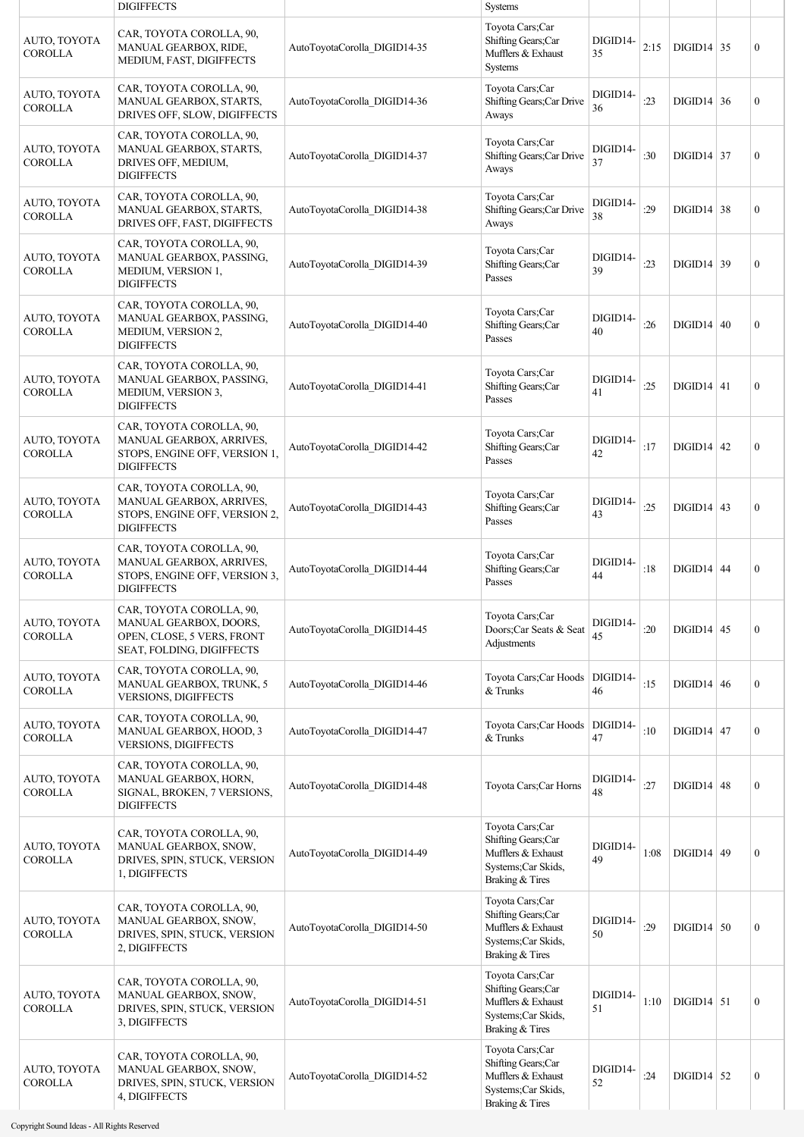|                                | <b>DIGIFFECTS</b>                                                                                                 |                              | <b>Systems</b>                                                                                        |                |      |                   |                  |
|--------------------------------|-------------------------------------------------------------------------------------------------------------------|------------------------------|-------------------------------------------------------------------------------------------------------|----------------|------|-------------------|------------------|
| AUTO, TOYOTA<br><b>COROLLA</b> | CAR, TOYOTA COROLLA, 90,<br>MANUAL GEARBOX, RIDE,<br>MEDIUM, FAST, DIGIFFECTS                                     | AutoToyotaCorolla_DIGID14-35 | Toyota Cars;Car<br>Shifting Gears;Car<br>Mufflers & Exhaust<br>Systems                                | DIGID14-<br>35 | 2:15 | $DIGID14$ 35      | $\overline{0}$   |
| AUTO, TOYOTA<br><b>COROLLA</b> | CAR, TOYOTA COROLLA, 90,<br>MANUAL GEARBOX, STARTS,<br>DRIVES OFF, SLOW, DIGIFFECTS                               | AutoToyotaCorolla_DIGID14-36 | Toyota Cars;Car<br>Shifting Gears; Car Drive<br>Aways                                                 | DIGID14-<br>36 | : 23 | $DIGID14 \mid 36$ | $\boldsymbol{0}$ |
| AUTO, TOYOTA<br><b>COROLLA</b> | CAR, TOYOTA COROLLA, 90,<br>MANUAL GEARBOX, STARTS,<br>DRIVES OFF, MEDIUM,<br><b>DIGIFFECTS</b>                   | AutoToyotaCorolla DIGID14-37 | Toyota Cars;Car<br>Shifting Gears; Car Drive<br>Aways                                                 | DIGID14-<br>37 | :30  | $DIGID14$ 37      | $\boldsymbol{0}$ |
| AUTO, TOYOTA<br><b>COROLLA</b> | CAR, TOYOTA COROLLA, 90,<br>MANUAL GEARBOX, STARTS,<br>DRIVES OFF, FAST, DIGIFFECTS                               | AutoToyotaCorolla DIGID14-38 | Toyota Cars;Car<br>Shifting Gears; Car Drive<br>Aways                                                 | DIGID14-<br>38 | :29  | $DIGID14 \mid 38$ | $\boldsymbol{0}$ |
| AUTO, TOYOTA<br><b>COROLLA</b> | CAR, TOYOTA COROLLA, 90,<br>MANUAL GEARBOX, PASSING,<br>MEDIUM, VERSION 1,<br><b>DIGIFFECTS</b>                   | AutoToyotaCorolla_DIGID14-39 | Toyota Cars;Car<br>Shifting Gears;Car<br>Passes                                                       | DIGID14-<br>39 | : 23 | $DIGID14$ 39      | $\mathbf{0}$     |
| AUTO, TOYOTA<br><b>COROLLA</b> | CAR, TOYOTA COROLLA, 90,<br>MANUAL GEARBOX, PASSING,<br>MEDIUM, VERSION 2,<br><b>DIGIFFECTS</b>                   | AutoToyotaCorolla_DIGID14-40 | Toyota Cars;Car<br>Shifting Gears;Car<br>Passes                                                       | DIGID14-<br>40 | :26  | DIGID14 40        | $\boldsymbol{0}$ |
| AUTO, TOYOTA<br><b>COROLLA</b> | CAR, TOYOTA COROLLA, 90,<br>MANUAL GEARBOX, PASSING,<br>MEDIUM, VERSION 3,<br><b>DIGIFFECTS</b>                   | AutoToyotaCorolla_DIGID14-41 | Toyota Cars;Car<br>Shifting Gears;Car<br>Passes                                                       | DIGID14-<br>41 | :25  | $DIGID14$ 41      | $\boldsymbol{0}$ |
| AUTO, TOYOTA<br><b>COROLLA</b> | CAR, TOYOTA COROLLA, 90,<br>MANUAL GEARBOX, ARRIVES,<br>STOPS, ENGINE OFF, VERSION 1,<br><b>DIGIFFECTS</b>        | AutoToyotaCorolla_DIGID14-42 | Toyota Cars;Car<br>Shifting Gears;Car<br>Passes                                                       | DIGID14-<br>42 | :17  | $DIGID14$ 42      | $\boldsymbol{0}$ |
| AUTO, TOYOTA<br><b>COROLLA</b> | CAR, TOYOTA COROLLA, 90,<br><b>MANUAL GEARBOX, ARRIVES,</b><br>STOPS, ENGINE OFF, VERSION 2,<br><b>DIGIFFECTS</b> | AutoToyotaCorolla_DIGID14-43 | Toyota Cars;Car<br>Shifting Gears;Car<br>Passes                                                       | DIGID14-<br>43 | :25  | $DIGID14$ 43      | $\mathbf{0}$     |
| AUTO, TOYOTA<br><b>COROLLA</b> | CAR, TOYOTA COROLLA, 90,<br>MANUAL GEARBOX, ARRIVES,<br>STOPS, ENGINE OFF, VERSION 3,<br><b>DIGIFFECTS</b>        | AutoToyotaCorolla DIGID14-44 | Toyota Cars;Car<br>Shifting Gears;Car<br>Passes                                                       | DIGID14-<br>44 | :18  | $DIGID14$ 44      | $\boldsymbol{0}$ |
| AUTO, TOYOTA<br><b>COROLLA</b> | CAR, TOYOTA COROLLA, 90,<br>MANUAL GEARBOX, DOORS,<br>OPEN, CLOSE, 5 VERS, FRONT<br>SEAT, FOLDING, DIGIFFECTS     | AutoToyotaCorolla DIGID14-45 | Toyota Cars;Car<br>Doors;Car Seats & Seat<br>Adjustments                                              | DIGID14-<br>45 | :20  | $DIGID14$ 45      | $\boldsymbol{0}$ |
| AUTO, TOYOTA<br><b>COROLLA</b> | CAR, TOYOTA COROLLA, 90,<br>MANUAL GEARBOX, TRUNK, 5<br>VERSIONS, DIGIFFECTS                                      | AutoToyotaCorolla DIGID14-46 | Toyota Cars; Car Hoods<br>& Trunks                                                                    | DIGID14-<br>46 | :15  | $DIGID14 \mid 46$ | $\boldsymbol{0}$ |
| AUTO, TOYOTA<br><b>COROLLA</b> | CAR, TOYOTA COROLLA, 90,<br>MANUAL GEARBOX, HOOD, 3<br>VERSIONS, DIGIFFECTS                                       | AutoToyotaCorolla_DIGID14-47 | Toyota Cars; Car Hoods<br>& Trunks                                                                    | DIGID14-<br>47 | :10  | $DIGID14$ 47      | $\mathbf{0}$     |
| AUTO, TOYOTA<br><b>COROLLA</b> | CAR, TOYOTA COROLLA, 90,<br>MANUAL GEARBOX, HORN,<br>SIGNAL, BROKEN, 7 VERSIONS,<br><b>DIGIFFECTS</b>             | AutoToyotaCorolla DIGID14-48 | Toyota Cars;Car Horns                                                                                 | DIGID14-<br>48 | :27  | $DIGID14$ 48      | $\boldsymbol{0}$ |
| AUTO, TOYOTA<br><b>COROLLA</b> | CAR, TOYOTA COROLLA, 90,<br>MANUAL GEARBOX, SNOW,<br>DRIVES, SPIN, STUCK, VERSION<br>1, DIGIFFECTS                | AutoToyotaCorolla_DIGID14-49 | Toyota Cars;Car<br>Shifting Gears;Car<br>Mufflers & Exhaust<br>Systems; Car Skids,<br>Braking & Tires | DIGID14-<br>49 | 1:08 | $DIGID14$ 49      | $\boldsymbol{0}$ |
| AUTO, TOYOTA<br><b>COROLLA</b> | CAR, TOYOTA COROLLA, 90,<br>MANUAL GEARBOX, SNOW,<br>DRIVES, SPIN, STUCK, VERSION<br>2, DIGIFFECTS                | AutoToyotaCorolla_DIGID14-50 | Toyota Cars;Car<br>Shifting Gears;Car<br>Mufflers & Exhaust<br>Systems; Car Skids,<br>Braking & Tires | DIGID14-<br>50 | :29  | $DIGID14$ 50      | $\boldsymbol{0}$ |
| AUTO, TOYOTA<br><b>COROLLA</b> | CAR, TOYOTA COROLLA, 90,<br>MANUAL GEARBOX, SNOW,<br>DRIVES, SPIN, STUCK, VERSION<br>3, DIGIFFECTS                | AutoToyotaCorolla DIGID14-51 | Toyota Cars;Car<br>Shifting Gears;Car<br>Mufflers & Exhaust<br>Systems; Car Skids,<br>Braking & Tires | DIGID14-<br>51 | 1:10 | $DIGID14$ 51      | $\boldsymbol{0}$ |
| AUTO, TOYOTA<br><b>COROLLA</b> | CAR, TOYOTA COROLLA, 90,<br>MANUAL GEARBOX, SNOW,<br>DRIVES, SPIN, STUCK, VERSION<br>4, DIGIFFECTS                | AutoToyotaCorolla_DIGID14-52 | Toyota Cars;Car<br>Shifting Gears;Car<br>Mufflers & Exhaust<br>Systems;Car Skids,<br>Braking & Tires  | DIGID14-<br>52 | :24  | $DIGID14$ 52      | $\boldsymbol{0}$ |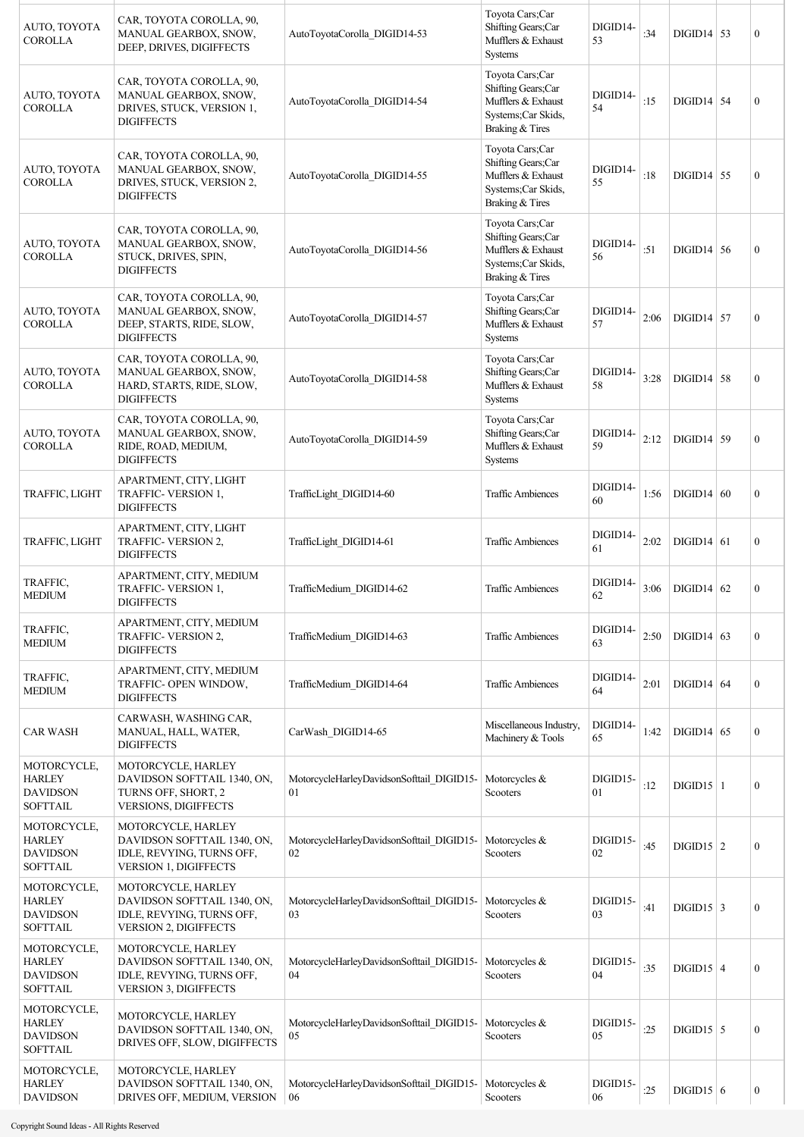| AUTO, TOYOTA<br><b>COROLLA</b>                                     | CAR, TOYOTA COROLLA, 90,<br>MANUAL GEARBOX, SNOW,<br>DEEP, DRIVES, DIGIFFECTS                                  | AutoToyotaCorolla DIGID14-53                    | Toyota Cars;Car<br>Shifting Gears;Car<br>Mufflers & Exhaust<br>Systems                                | DIGID14-<br>53 | :34  | $DIGID14$ 53       | $\boldsymbol{0}$ |
|--------------------------------------------------------------------|----------------------------------------------------------------------------------------------------------------|-------------------------------------------------|-------------------------------------------------------------------------------------------------------|----------------|------|--------------------|------------------|
| AUTO, TOYOTA<br><b>COROLLA</b>                                     | CAR, TOYOTA COROLLA, 90,<br>MANUAL GEARBOX, SNOW,<br>DRIVES, STUCK, VERSION 1,<br><b>DIGIFFECTS</b>            | AutoToyotaCorolla DIGID14-54                    | Toyota Cars;Car<br>Shifting Gears;Car<br>Mufflers & Exhaust<br>Systems; Car Skids,<br>Braking & Tires | DIGID14-<br>54 | :15  | $DIGID14$ 54       | $\boldsymbol{0}$ |
| AUTO, TOYOTA<br><b>COROLLA</b>                                     | CAR, TOYOTA COROLLA, 90,<br>MANUAL GEARBOX, SNOW,<br>DRIVES, STUCK, VERSION 2,<br><b>DIGIFFECTS</b>            | AutoToyotaCorolla DIGID14-55                    | Toyota Cars;Car<br>Shifting Gears;Car<br>Mufflers & Exhaust<br>Systems; Car Skids,<br>Braking & Tires | DIGID14-<br>55 | :18  | $DIGID14$ 55       | $\boldsymbol{0}$ |
| AUTO, TOYOTA<br><b>COROLLA</b>                                     | CAR, TOYOTA COROLLA, 90,<br>MANUAL GEARBOX, SNOW,<br>STUCK, DRIVES, SPIN,<br><b>DIGIFFECTS</b>                 | AutoToyotaCorolla_DIGID14-56                    | Toyota Cars;Car<br>Shifting Gears;Car<br>Mufflers & Exhaust<br>Systems; Car Skids,<br>Braking & Tires | DIGID14-<br>56 | :51  | $DIGID14$ 56       | $\mathbf{0}$     |
| AUTO, TOYOTA<br><b>COROLLA</b>                                     | CAR, TOYOTA COROLLA, 90,<br>MANUAL GEARBOX, SNOW,<br>DEEP, STARTS, RIDE, SLOW,<br><b>DIGIFFECTS</b>            | AutoToyotaCorolla_DIGID14-57                    | Toyota Cars;Car<br>Shifting Gears:Car<br>Mufflers & Exhaust<br><b>Systems</b>                         | DIGID14-<br>57 | 2:06 | $DIGID14$ 57       | $\mathbf{0}$     |
| AUTO, TOYOTA<br><b>COROLLA</b>                                     | CAR, TOYOTA COROLLA, 90,<br>MANUAL GEARBOX, SNOW,<br>HARD, STARTS, RIDE, SLOW,<br><b>DIGIFFECTS</b>            | AutoToyotaCorolla DIGID14-58                    | Toyota Cars;Car<br>Shifting Gears;Car<br>Mufflers & Exhaust<br>Systems                                | DIGID14-<br>58 | 3:28 | $DIGID14$ 58       | $\boldsymbol{0}$ |
| AUTO, TOYOTA<br><b>COROLLA</b>                                     | CAR, TOYOTA COROLLA, 90,<br>MANUAL GEARBOX, SNOW,<br>RIDE, ROAD, MEDIUM,<br><b>DIGIFFECTS</b>                  | AutoToyotaCorolla_DIGID14-59                    | Toyota Cars;Car<br>Shifting Gears;Car<br>Mufflers & Exhaust<br><b>Systems</b>                         | DIGID14-<br>59 | 2:12 | $DIGID14$ 59       | $\mathbf{0}$     |
| TRAFFIC, LIGHT                                                     | APARTMENT, CITY, LIGHT<br>TRAFFIC- VERSION 1,<br><b>DIGIFFECTS</b>                                             | TrafficLight DIGID14-60                         | <b>Traffic Ambiences</b>                                                                              | DIGID14-<br>60 | 1:56 | $DIGID14$ 60       | $\boldsymbol{0}$ |
| TRAFFIC, LIGHT                                                     | APARTMENT, CITY, LIGHT<br>TRAFFIC- VERSION 2,<br><b>DIGIFFECTS</b>                                             | TrafficLight DIGID14-61                         | <b>Traffic Ambiences</b>                                                                              | DIGID14-<br>61 | 2:02 | $DIGD14$ 61        | $\overline{0}$   |
| TRAFFIC,<br><b>MEDIUM</b>                                          | APARTMENT, CITY, MEDIUM<br><b>TRAFFIC- VERSION 1.</b><br><b>DIGIFFECTS</b>                                     | TrafficMedium DIGID14-62                        | <b>Traffic Ambiences</b>                                                                              | DIGID14-<br>62 | 3:06 | $DIGID14$ 62       | $\boldsymbol{0}$ |
| TRAFFIC,<br><b>MEDIUM</b>                                          | APARTMENT, CITY, MEDIUM<br><b>TRAFFIC- VERSION 2,</b><br><b>DIGIFFECTS</b>                                     | TrafficMedium DIGID14-63                        | <b>Traffic Ambiences</b>                                                                              | DIGID14-<br>63 | 2:50 | $DIGD14$ 63        | $\boldsymbol{0}$ |
| TRAFFIC,<br><b>MEDIUM</b>                                          | APARTMENT, CITY, MEDIUM<br>TRAFFIC- OPEN WINDOW,<br><b>DIGIFFECTS</b>                                          | TrafficMedium_DIGID14-64                        | <b>Traffic Ambiences</b>                                                                              | DIGID14-<br>64 | 2:01 | $DIGID14$ 64       | $\boldsymbol{0}$ |
| <b>CAR WASH</b>                                                    | CARWASH, WASHING CAR,<br>MANUAL, HALL, WATER,<br><b>DIGIFFECTS</b>                                             | CarWash DIGID14-65                              | Miscellaneous Industry,<br>Machinery & Tools                                                          | DIGID14-<br>65 | 1:42 | $DIGID14$ 65       | $\boldsymbol{0}$ |
| MOTORCYCLE,<br><b>HARLEY</b><br><b>DAVIDSON</b><br><b>SOFTTAIL</b> | MOTORCYCLE, HARLEY<br>DAVIDSON SOFTTAIL 1340, ON,<br>TURNS OFF, SHORT, 2<br><b>VERSIONS, DIGIFFECTS</b>        | MotorcycleHarleyDavidsonSofttail DIGID15-<br>01 | Motorcycles &<br>Scooters                                                                             | DIGID15-<br>01 | :12  | $DIGID15$   1      | $\mathbf{0}$     |
| MOTORCYCLE,<br><b>HARLEY</b><br><b>DAVIDSON</b><br><b>SOFTTAIL</b> | MOTORCYCLE, HARLEY<br>DAVIDSON SOFTTAIL 1340, ON,<br>IDLE, REVYING, TURNS OFF,<br><b>VERSION 1, DIGIFFECTS</b> | MotorcycleHarleyDavidsonSofttail DIGID15-<br>02 | Motorcycles &<br>Scooters                                                                             | DIGID15-<br>02 | :45  | $\text{DIGID15}$ 2 | $\boldsymbol{0}$ |
| MOTORCYCLE,<br><b>HARLEY</b><br><b>DAVIDSON</b><br><b>SOFTTAIL</b> | MOTORCYCLE, HARLEY<br>DAVIDSON SOFTTAIL 1340, ON,<br>IDLE, REVYING, TURNS OFF,<br>VERSION 2, DIGIFFECTS        | MotorcycleHarleyDavidsonSofttail DIGID15-<br>03 | Motorcycles &<br>Scooters                                                                             | DIGID15-<br>03 | :41  | $\text{DIGID15}$ 3 | $\mathbf{0}$     |
| MOTORCYCLE,<br><b>HARLEY</b><br><b>DAVIDSON</b><br><b>SOFTTAIL</b> | MOTORCYCLE, HARLEY<br>DAVIDSON SOFTTAIL 1340, ON,<br>IDLE, REVYING, TURNS OFF,<br>VERSION 3, DIGIFFECTS        | MotorcycleHarleyDavidsonSofttail DIGID15-<br>04 | Motorcycles &<br>Scooters                                                                             | DIGID15-<br>04 | :35  | $DIGID15$ 4        | $\boldsymbol{0}$ |
| MOTORCYCLE,<br><b>HARLEY</b><br><b>DAVIDSON</b><br><b>SOFTTAIL</b> | MOTORCYCLE, HARLEY<br>DAVIDSON SOFTTAIL 1340, ON,<br>DRIVES OFF, SLOW, DIGIFFECTS                              | MotorcycleHarleyDavidsonSofttail DIGID15-<br>05 | Motorcycles &<br>Scooters                                                                             | DIGID15-<br>05 | :25  | $DIGID15$ 5        | $\boldsymbol{0}$ |
| MOTORCYCLE,<br><b>HARLEY</b><br><b>DAVIDSON</b>                    | MOTORCYCLE, HARLEY<br>DAVIDSON SOFTTAIL 1340, ON,<br>DRIVES OFF, MEDIUM, VERSION                               | MotorcycleHarleyDavidsonSofttail DIGID15-<br>06 | Motorcycles &<br>Scooters                                                                             | DIGID15-<br>06 | :25  | $DIGID15$ 6        | $\boldsymbol{0}$ |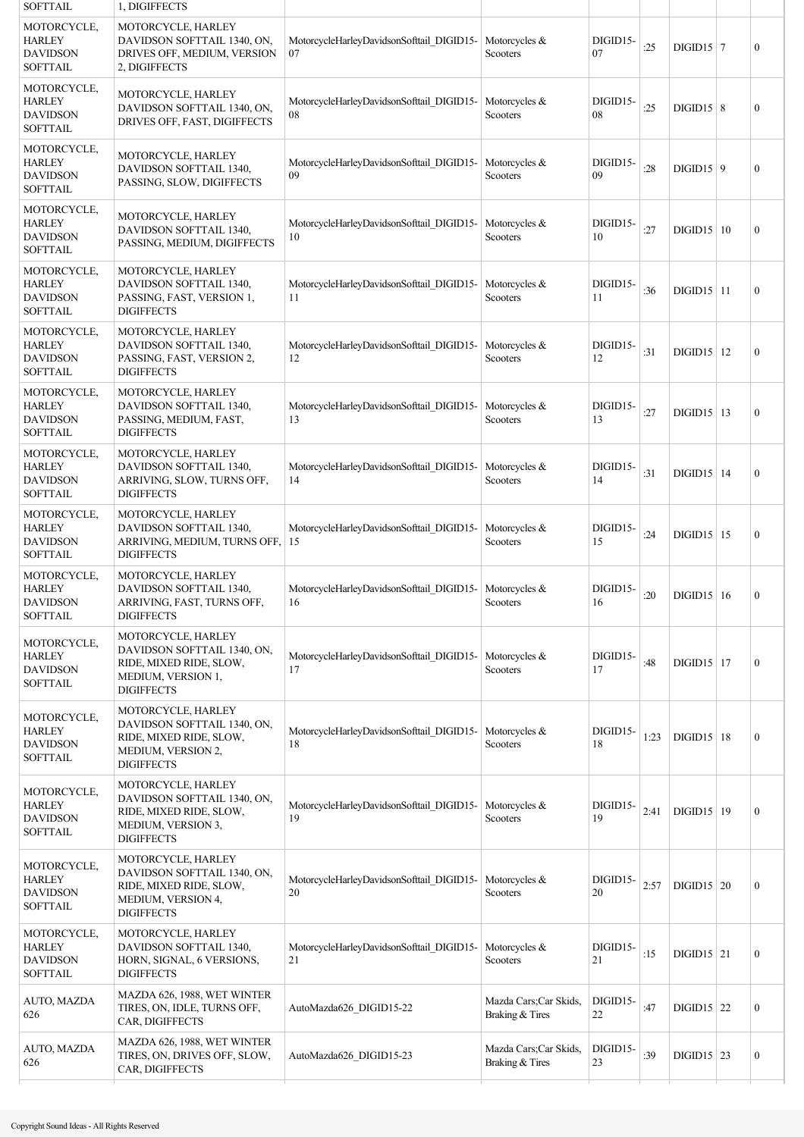| <b>SOFTTAIL</b>                                                    | 1, DIGIFFECTS                                                                                                           |                                                 |                                           |                |      |                     |                  |
|--------------------------------------------------------------------|-------------------------------------------------------------------------------------------------------------------------|-------------------------------------------------|-------------------------------------------|----------------|------|---------------------|------------------|
| MOTORCYCLE,<br><b>HARLEY</b><br><b>DAVIDSON</b><br><b>SOFTTAIL</b> | MOTORCYCLE, HARLEY<br>DAVIDSON SOFTTAIL 1340, ON,<br>DRIVES OFF, MEDIUM, VERSION<br>2, DIGIFFECTS                       | MotorcycleHarleyDavidsonSofttail DIGID15-<br>07 | Motorcycles &<br>Scooters                 | DIGID15-<br>07 | :25  | $DIGD15 \mid 7$     | $\boldsymbol{0}$ |
| MOTORCYCLE,<br><b>HARLEY</b><br><b>DAVIDSON</b><br><b>SOFTTAIL</b> | MOTORCYCLE, HARLEY<br>DAVIDSON SOFTTAIL 1340, ON,<br>DRIVES OFF, FAST, DIGIFFECTS                                       | MotorcycleHarleyDavidsonSofttail DIGID15-<br>08 | Motorcycles $&$<br>Scooters               | DIGID15-<br>08 | :25  | $DIGID15 \mid 8$    | $\boldsymbol{0}$ |
| MOTORCYCLE,<br><b>HARLEY</b><br><b>DAVIDSON</b><br><b>SOFTTAIL</b> | MOTORCYCLE, HARLEY<br><b>DAVIDSON SOFTTAIL 1340.</b><br>PASSING, SLOW, DIGIFFECTS                                       | MotorcycleHarleyDavidsonSofttail DIGID15-<br>09 | Motorcycles &<br>Scooters                 | DIGID15-<br>09 | :28  | DIGID15   9         | $\boldsymbol{0}$ |
| MOTORCYCLE,<br><b>HARLEY</b><br><b>DAVIDSON</b><br><b>SOFTTAIL</b> | MOTORCYCLE, HARLEY<br>DAVIDSON SOFTTAIL 1340,<br>PASSING, MEDIUM, DIGIFFECTS                                            | MotorcycleHarleyDavidsonSofttail DIGID15-<br>10 | Motorcycles $&$<br>Scooters               | DIGID15-<br>10 | :27  | DIGID15 10          | $\boldsymbol{0}$ |
| MOTORCYCLE,<br><b>HARLEY</b><br><b>DAVIDSON</b><br><b>SOFTTAIL</b> | MOTORCYCLE, HARLEY<br>DAVIDSON SOFTTAIL 1340,<br>PASSING, FAST, VERSION 1,<br><b>DIGIFFECTS</b>                         | MotorcycleHarleyDavidsonSofttail DIGID15-<br>11 | Motorcycles &<br>Scooters                 | DIGID15-<br>11 | :36  | $DIGID15$  11       | $\boldsymbol{0}$ |
| MOTORCYCLE,<br><b>HARLEY</b><br><b>DAVIDSON</b><br><b>SOFTTAIL</b> | MOTORCYCLE, HARLEY<br>DAVIDSON SOFTTAIL 1340,<br>PASSING, FAST, VERSION 2,<br><b>DIGIFFECTS</b>                         | MotorcycleHarleyDavidsonSofttail DIGID15-<br>12 | Motorcycles &<br>Scooters                 | DIGID15-<br>12 | :31  | $DIGD15$   12       | $\boldsymbol{0}$ |
| MOTORCYCLE,<br><b>HARLEY</b><br><b>DAVIDSON</b><br><b>SOFTTAIL</b> | MOTORCYCLE, HARLEY<br>DAVIDSON SOFTTAIL 1340,<br>PASSING, MEDIUM, FAST,<br><b>DIGIFFECTS</b>                            | MotorcycleHarleyDavidsonSofttail DIGID15-<br>13 | Motorcycles &<br>Scooters                 | DIGID15-<br>13 | :27  | $DIGID15$   13      | $\boldsymbol{0}$ |
| MOTORCYCLE,<br><b>HARLEY</b><br><b>DAVIDSON</b><br><b>SOFTTAIL</b> | MOTORCYCLE, HARLEY<br>DAVIDSON SOFTTAIL 1340,<br>ARRIVING, SLOW, TURNS OFF,<br><b>DIGIFFECTS</b>                        | MotorcycleHarleyDavidsonSofttail DIGID15-<br>14 | Motorcycles &<br>Scooters                 | DIGID15-<br>14 | :31  | $DIGD15$   14       | $\boldsymbol{0}$ |
| MOTORCYCLE,<br><b>HARLEY</b><br><b>DAVIDSON</b><br><b>SOFTTAIL</b> | MOTORCYCLE, HARLEY<br>DAVIDSON SOFTTAIL 1340,<br>ARRIVING, MEDIUM, TURNS OFF,<br><b>DIGIFFECTS</b>                      | MotorcycleHarleyDavidsonSofttail DIGID15-<br>15 | Motorcycles &<br>Scooters                 | DIGID15-<br>15 | :24  | $DIGD15$   15       | $\boldsymbol{0}$ |
| MOTORCYCLE,<br><b>HARLEY</b><br><b>DAVIDSON</b><br><b>SOFTTAIL</b> | MOTORCYCLE, HARLEY<br>DAVIDSON SOFTTAIL 1340,<br>ARRIVING, FAST, TURNS OFF,<br><b>DIGIFFECTS</b>                        | MotorcycleHarleyDavidsonSofttail DIGID15-<br>16 | Motorcycles $&$<br>Scooters               | DIGID15-<br>16 | :20  | $DIGD15 \mid 16$    | $\boldsymbol{0}$ |
| MOTORCYCLE,<br><b>HARLEY</b><br><b>DAVIDSON</b><br><b>SOFTTAIL</b> | MOTORCYCLE, HARLEY<br>DAVIDSON SOFTTAIL 1340, ON,<br>RIDE, MIXED RIDE, SLOW,<br>MEDIUM, VERSION 1,<br><b>DIGIFFECTS</b> | MotorcycleHarleyDavidsonSofttail_DIGID15-<br>17 | Motorcycles &<br>Scooters                 | DIGID15-<br>17 | :48  | $DIGID15$   17      | $\mathbf{0}$     |
| MOTORCYCLE,<br><b>HARLEY</b><br><b>DAVIDSON</b><br><b>SOFTTAIL</b> | MOTORCYCLE, HARLEY<br>DAVIDSON SOFTTAIL 1340, ON,<br>RIDE, MIXED RIDE, SLOW,<br>MEDIUM, VERSION 2,<br><b>DIGIFFECTS</b> | MotorcycleHarleyDavidsonSofttail_DIGID15-<br>18 | Motorcycles $&$<br>Scooters               | DIGID15-<br>18 | 1:23 | $DIGD15$   18       | $\boldsymbol{0}$ |
| MOTORCYCLE,<br><b>HARLEY</b><br><b>DAVIDSON</b><br><b>SOFTTAIL</b> | MOTORCYCLE, HARLEY<br>DAVIDSON SOFTTAIL 1340, ON,<br>RIDE, MIXED RIDE, SLOW,<br>MEDIUM, VERSION 3,<br><b>DIGIFFECTS</b> | MotorcycleHarleyDavidsonSofttail_DIGID15-<br>19 | Motorcycles &<br>Scooters                 | DIGID15-<br>19 | 2:41 | $\text{DIGID15}$ 19 | $\boldsymbol{0}$ |
| MOTORCYCLE,<br><b>HARLEY</b><br><b>DAVIDSON</b><br><b>SOFTTAIL</b> | MOTORCYCLE, HARLEY<br>DAVIDSON SOFTTAIL 1340, ON,<br>RIDE, MIXED RIDE, SLOW,<br>MEDIUM, VERSION 4,<br><b>DIGIFFECTS</b> | MotorcycleHarleyDavidsonSofttail DIGID15-<br>20 | Motorcycles &<br>Scooters                 | DIGID15-<br>20 | 2:57 | $DIGID15$ 20        | $\boldsymbol{0}$ |
| MOTORCYCLE,<br><b>HARLEY</b><br><b>DAVIDSON</b><br><b>SOFTTAIL</b> | MOTORCYCLE, HARLEY<br>DAVIDSON SOFTTAIL 1340,<br>HORN, SIGNAL, 6 VERSIONS,<br><b>DIGIFFECTS</b>                         | MotorcycleHarleyDavidsonSofttail_DIGID15-<br>21 | Motorcycles &<br>Scooters                 | DIGID15-<br>21 | :15  | $DIGID15$ 21        | $\boldsymbol{0}$ |
| AUTO, MAZDA<br>626                                                 | MAZDA 626, 1988, WET WINTER<br>TIRES, ON, IDLE, TURNS OFF,<br>CAR, DIGIFFECTS                                           | AutoMazda626 DIGID15-22                         | Mazda Cars; Car Skids,<br>Braking & Tires | DIGID15-<br>22 | :47  | $DIGID15$ 22        | $\boldsymbol{0}$ |
| AUTO, MAZDA<br>626                                                 | MAZDA 626, 1988, WET WINTER<br>TIRES, ON, DRIVES OFF, SLOW,<br>CAR, DIGIFFECTS                                          | AutoMazda626 DIGID15-23                         | Mazda Cars; Car Skids,<br>Braking & Tires | DIGID15-<br>23 | :39  | $\text{DIGID15}$ 23 | $\boldsymbol{0}$ |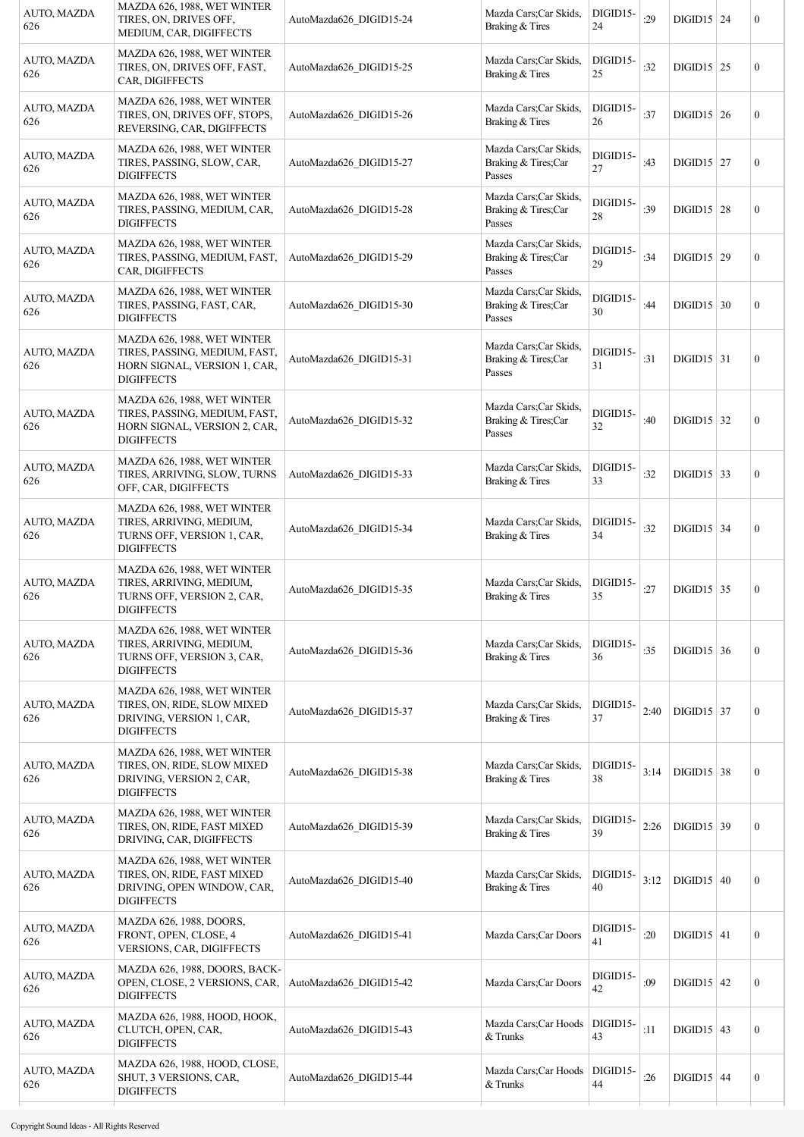| AUTO, MAZDA<br>626 | MAZDA 626, 1988, WET WINTER<br>TIRES, ON, DRIVES OFF,<br>MEDIUM, CAR, DIGIFFECTS                                  | AutoMazda626 DIGID15-24 | Mazda Cars; Car Skids,<br>Braking & Tires               | DIGID15-<br>24 | :29  | $DIGID15$ 24             | $\boldsymbol{0}$ |
|--------------------|-------------------------------------------------------------------------------------------------------------------|-------------------------|---------------------------------------------------------|----------------|------|--------------------------|------------------|
| AUTO, MAZDA<br>626 | MAZDA 626, 1988, WET WINTER<br>TIRES, ON, DRIVES OFF, FAST,<br>CAR, DIGIFFECTS                                    | AutoMazda626 DIGID15-25 | Mazda Cars; Car Skids,<br>Braking & Tires               | DIGID15-<br>25 | :32  | $DIGD15$ 25              | $\boldsymbol{0}$ |
| AUTO, MAZDA<br>626 | MAZDA 626, 1988, WET WINTER<br>TIRES, ON, DRIVES OFF, STOPS,<br>REVERSING, CAR, DIGIFFECTS                        | AutoMazda626 DIGID15-26 | Mazda Cars; Car Skids,<br>Braking & Tires               | DIGID15-<br>26 | :37  | $DIGID15$ 26             | $\boldsymbol{0}$ |
| AUTO, MAZDA<br>626 | MAZDA 626, 1988, WET WINTER<br>TIRES, PASSING, SLOW, CAR,<br><b>DIGIFFECTS</b>                                    | AutoMazda626 DIGID15-27 | Mazda Cars; Car Skids,<br>Braking & Tires;Car<br>Passes | DIGID15-<br>27 | :43  | $DIGID15$ 27             | $\boldsymbol{0}$ |
| AUTO, MAZDA<br>626 | MAZDA 626, 1988, WET WINTER<br>TIRES, PASSING, MEDIUM, CAR,<br><b>DIGIFFECTS</b>                                  | AutoMazda626 DIGID15-28 | Mazda Cars; Car Skids,<br>Braking & Tires;Car<br>Passes | DIGID15-<br>28 | :39  | $DIGID15$ 28             | $\boldsymbol{0}$ |
| AUTO, MAZDA<br>626 | MAZDA 626, 1988, WET WINTER<br>TIRES, PASSING, MEDIUM, FAST,<br>CAR, DIGIFFECTS                                   | AutoMazda626 DIGID15-29 | Mazda Cars; Car Skids,<br>Braking & Tires;Car<br>Passes | DIGID15-<br>29 | :34  | $DIGID15$ 29             | $\boldsymbol{0}$ |
| AUTO, MAZDA<br>626 | MAZDA 626, 1988, WET WINTER<br>TIRES, PASSING, FAST, CAR,<br><b>DIGIFFECTS</b>                                    | AutoMazda626 DIGID15-30 | Mazda Cars; Car Skids,<br>Braking & Tires;Car<br>Passes | DIGID15-<br>30 | :44  | $DIGID15$ 30             | $\boldsymbol{0}$ |
| AUTO, MAZDA<br>626 | MAZDA 626, 1988, WET WINTER<br>TIRES, PASSING, MEDIUM, FAST,<br>HORN SIGNAL, VERSION 1, CAR,<br><b>DIGIFFECTS</b> | AutoMazda626 DIGID15-31 | Mazda Cars; Car Skids,<br>Braking & Tires;Car<br>Passes | DIGID15-<br>31 | :31  | $DIGID15   31$           | $\boldsymbol{0}$ |
| AUTO, MAZDA<br>626 | MAZDA 626, 1988, WET WINTER<br>TIRES, PASSING, MEDIUM, FAST,<br>HORN SIGNAL, VERSION 2, CAR,<br><b>DIGIFFECTS</b> | AutoMazda626 DIGID15-32 | Mazda Cars; Car Skids,<br>Braking & Tires;Car<br>Passes | DIGID15-<br>32 | :40  | $DIGD15$ 32              | $\boldsymbol{0}$ |
| AUTO, MAZDA<br>626 | MAZDA 626, 1988, WET WINTER<br>TIRES, ARRIVING, SLOW, TURNS<br>OFF, CAR, DIGIFFECTS                               | AutoMazda626_DIGID15-33 | Mazda Cars; Car Skids,<br>Braking & Tires               | DIGID15-<br>33 | :32  | $DIGD15$ 33              | $\boldsymbol{0}$ |
| AUTO, MAZDA<br>626 | MAZDA 626, 1988, WET WINTER<br>TIRES, ARRIVING, MEDIUM,<br>TURNS OFF, VERSION 1, CAR,<br><b>DIGIFFECTS</b>        | AutoMazda626 DIGID15-34 | Mazda Cars; Car Skids,<br>Braking & Tires               | DIGID15-<br>34 | :32  | $DIGID15$ 34             | $\boldsymbol{0}$ |
| AUTO, MAZDA<br>626 | MAZDA 626, 1988, WET WINTER<br>TIRES, ARRIVING, MEDIUM,<br>TURNS OFF, VERSION 2, CAR,<br><b>DIGIFFECTS</b>        | AutoMazda626 DIGID15-35 | Mazda Cars; Car Skids,<br>Braking & Tires               | DIGID15-<br>35 | :27  | $DIGID15$ 35             | $\boldsymbol{0}$ |
| AUTO, MAZDA<br>626 | MAZDA 626, 1988, WET WINTER<br>TIRES, ARRIVING, MEDIUM,<br>TURNS OFF, VERSION 3, CAR,<br><b>DIGIFFECTS</b>        | AutoMazda626 DIGID15-36 | Mazda Cars; Car Skids,<br>Braking & Tires               | DIGID15-<br>36 | :35  | $\text{DIGID15}$ 36      | $\boldsymbol{0}$ |
| AUTO, MAZDA<br>626 | MAZDA 626, 1988, WET WINTER<br>TIRES, ON, RIDE, SLOW MIXED<br>DRIVING, VERSION 1, CAR,<br><b>DIGIFFECTS</b>       | AutoMazda626 DIGID15-37 | Mazda Cars; Car Skids,<br>Braking & Tires               | DIGID15-<br>37 | 2:40 | $DIGD15$ 37              | $\boldsymbol{0}$ |
| AUTO, MAZDA<br>626 | MAZDA 626, 1988, WET WINTER<br>TIRES, ON, RIDE, SLOW MIXED<br>DRIVING, VERSION 2, CAR,<br><b>DIGIFFECTS</b>       | AutoMazda626 DIGID15-38 | Mazda Cars; Car Skids,<br>Braking & Tires               | DIGID15-<br>38 | 3:14 | $\text{DIGID15}$ 38      | $\boldsymbol{0}$ |
| AUTO, MAZDA<br>626 | MAZDA 626, 1988, WET WINTER<br>TIRES, ON, RIDE, FAST MIXED<br>DRIVING, CAR, DIGIFFECTS                            | AutoMazda626 DIGID15-39 | Mazda Cars; Car Skids,<br>Braking & Tires               | DIGID15-<br>39 | 2:26 | $DIGD15$ 39              | $\boldsymbol{0}$ |
| AUTO, MAZDA<br>626 | MAZDA 626, 1988, WET WINTER<br>TIRES, ON, RIDE, FAST MIXED<br>DRIVING, OPEN WINDOW, CAR,<br><b>DIGIFFECTS</b>     | AutoMazda626 DIGID15-40 | Mazda Cars; Car Skids,<br>Braking & Tires               | DIGID15-<br>40 | 3:12 | $DIGID15$ 40             | $\boldsymbol{0}$ |
| AUTO, MAZDA<br>626 | MAZDA 626, 1988, DOORS,<br>FRONT, OPEN, CLOSE, 4<br>VERSIONS, CAR, DIGIFFECTS                                     | AutoMazda626 DIGID15-41 | Mazda Cars; Car Doors                                   | DIGID15-<br>41 | :20  | $\text{DIGID15} \mid 41$ | $\boldsymbol{0}$ |
| AUTO, MAZDA<br>626 | MAZDA 626, 1988, DOORS, BACK-<br>OPEN, CLOSE, 2 VERSIONS, CAR,<br><b>DIGIFFECTS</b>                               | AutoMazda626_DIGID15-42 | Mazda Cars; Car Doors                                   | DIGID15-<br>42 | :09  | $DIGD15$ 42              | $\boldsymbol{0}$ |
| AUTO, MAZDA<br>626 | MAZDA 626, 1988, HOOD, HOOK,<br>CLUTCH, OPEN, CAR,<br><b>DIGIFFECTS</b>                                           | AutoMazda626 DIGID15-43 | Mazda Cars; Car Hoods<br>& Trunks                       | DIGID15-<br>43 | :11  | $\text{DIGID15} \mid 43$ | $\boldsymbol{0}$ |
| AUTO, MAZDA<br>626 | MAZDA 626, 1988, HOOD, CLOSE,<br>SHUT, 3 VERSIONS, CAR,<br><b>DIGIFFECTS</b>                                      | AutoMazda626 DIGID15-44 | Mazda Cars; Car Hoods<br>& Trunks                       | DIGID15-<br>44 | :26  | $DIGD15$ 44              | $\boldsymbol{0}$ |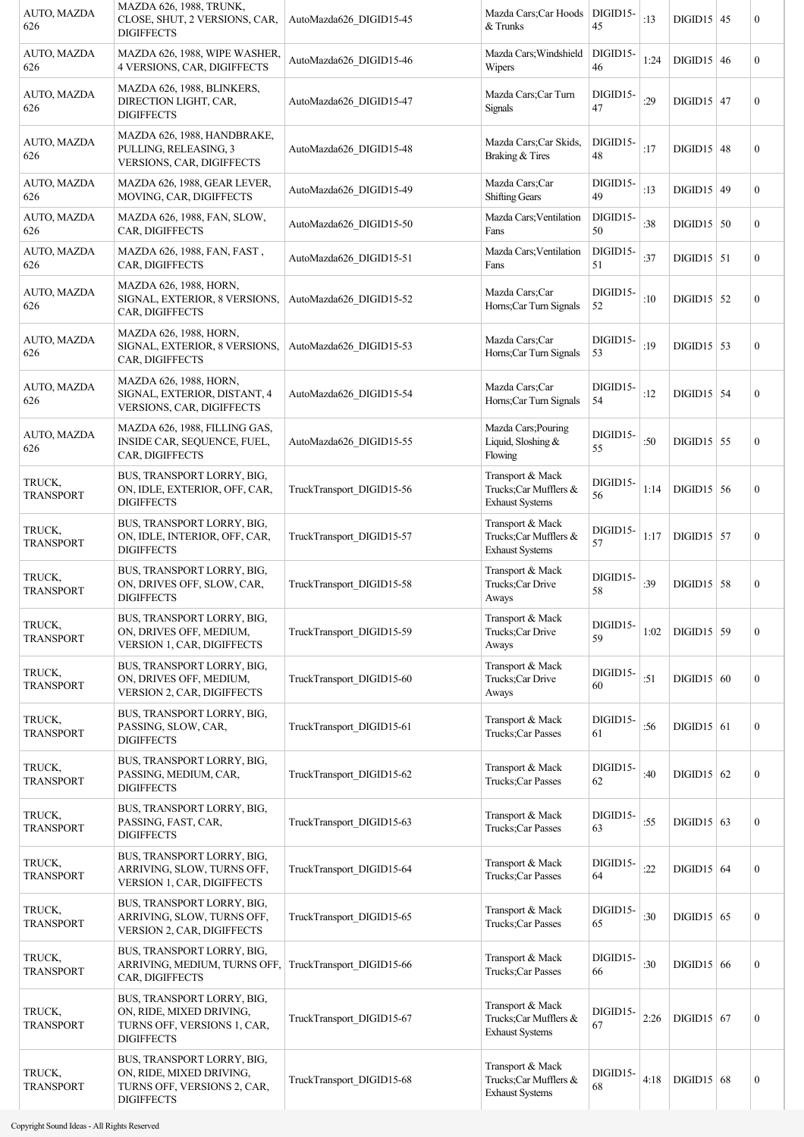| AUTO, MAZDA<br>626         | <b>MAZDA 626, 1988, TRUNK,</b><br>CLOSE, SHUT, 2 VERSIONS, CAR,<br><b>DIGIFFECTS</b>                       | AutoMazda626 DIGID15-45   | Mazda Cars;Car Hoods<br>& Trunks                                     | DIGID15-<br>45 | :13  | $DIGD15$ 45         | $\boldsymbol{0}$ |
|----------------------------|------------------------------------------------------------------------------------------------------------|---------------------------|----------------------------------------------------------------------|----------------|------|---------------------|------------------|
| AUTO, MAZDA<br>626         | MAZDA 626, 1988, WIPE WASHER,<br>4 VERSIONS, CAR, DIGIFFECTS                                               | AutoMazda626 DIGID15-46   | Mazda Cars; Windshield<br>Wipers                                     | DIGID15-<br>46 | 1:24 | $DIGD15 \mid 46$    | $\boldsymbol{0}$ |
| AUTO, MAZDA<br>626         | MAZDA 626, 1988, BLINKERS,<br>DIRECTION LIGHT, CAR,<br><b>DIGIFFECTS</b>                                   | AutoMazda626 DIGID15-47   | Mazda Cars;Car Turn<br><b>Signals</b>                                | DIGID15-<br>47 | :29  | $DIGD15$ 47         | $\boldsymbol{0}$ |
| AUTO, MAZDA<br>626         | MAZDA 626, 1988, HANDBRAKE,<br>PULLING, RELEASING, 3<br>VERSIONS, CAR, DIGIFFECTS                          | AutoMazda626 DIGID15-48   | Mazda Cars; Car Skids,<br>Braking & Tires                            | DIGID15-<br>48 | :17  | $DIGID15$ 48        | $\boldsymbol{0}$ |
| AUTO, MAZDA<br>626         | MAZDA 626, 1988, GEAR LEVER,<br>MOVING, CAR, DIGIFFECTS                                                    | AutoMazda626 DIGID15-49   | Mazda Cars;Car<br><b>Shifting Gears</b>                              | DIGID15-<br>49 | :13  | $DIGID15$ 49        | $\mathbf{0}$     |
| AUTO, MAZDA<br>626         | MAZDA 626, 1988, FAN, SLOW,<br>CAR, DIGIFFECTS                                                             | AutoMazda626 DIGID15-50   | Mazda Cars; Ventilation<br>Fans                                      | DIGID15-<br>50 | :38  | $DIGD15$ 50         | $\boldsymbol{0}$ |
| AUTO, MAZDA<br>626         | MAZDA 626, 1988, FAN, FAST,<br>CAR, DIGIFFECTS                                                             | AutoMazda626 DIGID15-51   | Mazda Cars; Ventilation<br>Fans                                      | DIGID15-<br>51 | :37  | $\text{DIGID15}$ 51 | $\boldsymbol{0}$ |
| AUTO, MAZDA<br>626         | MAZDA 626, 1988, HORN,<br>SIGNAL, EXTERIOR, 8 VERSIONS,<br>CAR, DIGIFFECTS                                 | AutoMazda626 DIGID15-52   | Mazda Cars;Car<br>Horns;Car Turn Signals                             | DIGID15-<br>52 | :10  | $DIGID15$ 52        | $\boldsymbol{0}$ |
| AUTO, MAZDA<br>626         | MAZDA 626, 1988, HORN,<br>SIGNAL, EXTERIOR, 8 VERSIONS,<br>CAR, DIGIFFECTS                                 | AutoMazda626 DIGID15-53   | Mazda Cars;Car<br>Horns;Car Turn Signals                             | DIGID15-<br>53 | :19  | $\text{DIGID15}$ 53 | $\boldsymbol{0}$ |
| AUTO, MAZDA<br>626         | MAZDA 626, 1988, HORN,<br>SIGNAL, EXTERIOR, DISTANT, 4<br>VERSIONS, CAR, DIGIFFECTS                        | AutoMazda626 DIGID15-54   | Mazda Cars;Car<br>Horns;Car Turn Signals                             | DIGID15-<br>54 | :12  | $DIGD15$ 54         | $\boldsymbol{0}$ |
| AUTO, MAZDA<br>626         | MAZDA 626, 1988, FILLING GAS,<br>INSIDE CAR, SEQUENCE, FUEL,<br>CAR, DIGIFFECTS                            | AutoMazda626 DIGID15-55   | Mazda Cars; Pouring<br>Liquid, Sloshing &<br>Flowing                 | DIGID15-<br>55 | :50  | $DIGID15$ 55        | $\boldsymbol{0}$ |
| TRUCK,<br><b>TRANSPORT</b> | BUS, TRANSPORT LORRY, BIG,<br>ON, IDLE, EXTERIOR, OFF, CAR,<br><b>DIGIFFECTS</b>                           | TruckTransport DIGID15-56 | Transport & Mack<br>Trucks;Car Mufflers &<br><b>Exhaust Systems</b>  | DIGID15-<br>56 | 1:14 | $DIGD15$ 56         | $\boldsymbol{0}$ |
| TRUCK,<br><b>TRANSPORT</b> | BUS, TRANSPORT LORRY, BIG,<br>ON, IDLE, INTERIOR, OFF, CAR,<br><b>DIGIFFECTS</b>                           | TruckTransport DIGID15-57 | Transport & Mack<br>Trucks: Car Mufflers &<br><b>Exhaust Systems</b> | DIGID15-<br>57 | 1:17 | $\text{DIGID15}$ 57 | $\boldsymbol{0}$ |
| TRUCK,<br><b>TRANSPORT</b> | BUS, TRANSPORT LORRY, BIG,<br>ON, DRIVES OFF, SLOW, CAR,<br><b>DIGIFFECTS</b>                              | TruckTransport DIGID15-58 | Transport & Mack<br>Trucks;Car Drive<br>Aways                        | DIGID15-<br>58 | :39  | $DIGD15$ 58         | $\boldsymbol{0}$ |
| TRUCK.<br><b>TRANSPORT</b> | BUS, TRANSPORT LORRY, BIG,<br>ON, DRIVES OFF, MEDIUM,<br>VERSION 1, CAR, DIGIFFECTS                        | TruckTransport DIGID15-59 | Transport & Mack<br>Trucks;Car Drive<br>Aways                        | DIGID15-<br>59 | 1:02 | $DIGD15$ 59         | $\boldsymbol{0}$ |
| TRUCK,<br><b>TRANSPORT</b> | BUS, TRANSPORT LORRY, BIG,<br>ON, DRIVES OFF, MEDIUM,<br><b>VERSION 2, CAR, DIGIFFECTS</b>                 | TruckTransport DIGID15-60 | Transport & Mack<br>Trucks: Car Drive<br>Aways                       | DIGID15-<br>60 | :51  | $DIGD15$ 60         | $\boldsymbol{0}$ |
| TRUCK,<br><b>TRANSPORT</b> | BUS, TRANSPORT LORRY, BIG,<br>PASSING, SLOW, CAR,<br><b>DIGIFFECTS</b>                                     | TruckTransport_DIGID15-61 | Transport & Mack<br>Trucks;Car Passes                                | DIGID15-<br>61 | :56  | $DIGD15$ 61         | $\boldsymbol{0}$ |
| TRUCK,<br><b>TRANSPORT</b> | BUS, TRANSPORT LORRY, BIG,<br>PASSING, MEDIUM, CAR,<br><b>DIGIFFECTS</b>                                   | TruckTransport DIGID15-62 | Transport & Mack<br>Trucks;Car Passes                                | DIGID15-<br>62 | :40  | $DIGD15$ 62         | $\boldsymbol{0}$ |
| TRUCK,<br><b>TRANSPORT</b> | BUS, TRANSPORT LORRY, BIG,<br>PASSING, FAST, CAR,<br><b>DIGIFFECTS</b>                                     | TruckTransport_DIGID15-63 | Transport & Mack<br>Trucks;Car Passes                                | DIGID15-<br>63 | :55  | $\text{DIGID15}$ 63 | $\boldsymbol{0}$ |
| TRUCK,<br><b>TRANSPORT</b> | BUS, TRANSPORT LORRY, BIG,<br>ARRIVING, SLOW, TURNS OFF,<br>VERSION 1, CAR, DIGIFFECTS                     | TruckTransport DIGID15-64 | Transport & Mack<br>Trucks;Car Passes                                | DIGID15-<br>64 | :22  | $DIGID15$ 64        | $\boldsymbol{0}$ |
| TRUCK,<br><b>TRANSPORT</b> | BUS, TRANSPORT LORRY, BIG,<br>ARRIVING, SLOW, TURNS OFF,<br><b>VERSION 2, CAR, DIGIFFECTS</b>              | TruckTransport DIGID15-65 | Transport & Mack<br>Trucks;Car Passes                                | DIGID15-<br>65 | :30  | $DIGD15$ 65         | $\boldsymbol{0}$ |
| TRUCK,<br><b>TRANSPORT</b> | BUS, TRANSPORT LORRY, BIG,<br>ARRIVING, MEDIUM, TURNS OFF,<br>CAR, DIGIFFECTS                              | TruckTransport DIGID15-66 | Transport & Mack<br>Trucks;Car Passes                                | DIGID15-<br>66 | :30  | $DIGID15$ 66        | $\boldsymbol{0}$ |
| TRUCK,<br>TRANSPORT        | BUS, TRANSPORT LORRY, BIG,<br>ON, RIDE, MIXED DRIVING,<br>TURNS OFF, VERSIONS 1, CAR,<br><b>DIGIFFECTS</b> | TruckTransport DIGID15-67 | Transport & Mack<br>Trucks;Car Mufflers &<br><b>Exhaust Systems</b>  | DIGID15-<br>67 | 2:26 | $DIGID15$ 67        | $\boldsymbol{0}$ |
| TRUCK,<br><b>TRANSPORT</b> | BUS, TRANSPORT LORRY, BIG,<br>ON, RIDE, MIXED DRIVING,<br>TURNS OFF, VERSIONS 2, CAR,<br><b>DIGIFFECTS</b> | TruckTransport DIGID15-68 | Transport & Mack<br>Trucks;Car Mufflers &<br><b>Exhaust Systems</b>  | DIGID15-<br>68 | 4:18 | $DIGID15$ 68        | $\boldsymbol{0}$ |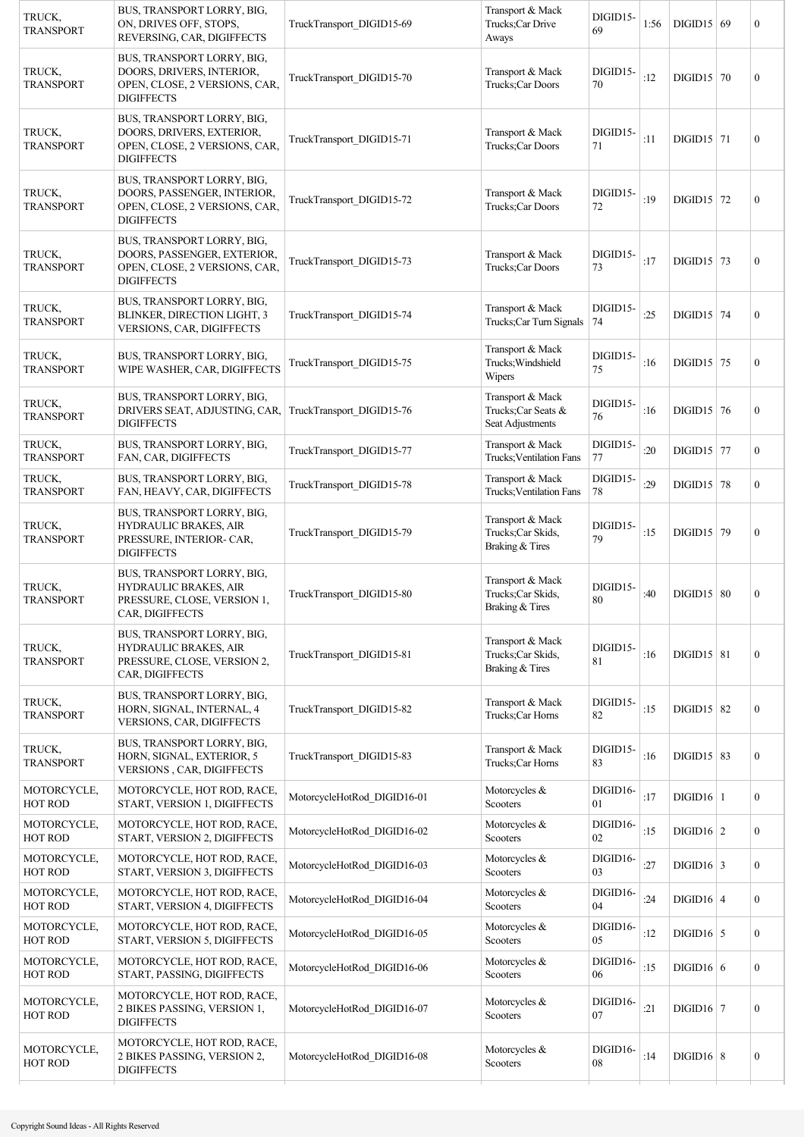| TRUCK,<br><b>TRANSPORT</b>    | BUS, TRANSPORT LORRY, BIG,<br>ON, DRIVES OFF, STOPS,<br>REVERSING, CAR, DIGIFFECTS                              | TruckTransport_DIGID15-69   | Transport & Mack<br>Trucks: Car Drive<br>Aways              | DIGID15-<br>69 | 1:56 | $DIGD15$ 69                | $\boldsymbol{0}$ |
|-------------------------------|-----------------------------------------------------------------------------------------------------------------|-----------------------------|-------------------------------------------------------------|----------------|------|----------------------------|------------------|
| TRUCK,<br><b>TRANSPORT</b>    | BUS, TRANSPORT LORRY, BIG,<br>DOORS, DRIVERS, INTERIOR,<br>OPEN, CLOSE, 2 VERSIONS, CAR,<br><b>DIGIFFECTS</b>   | TruckTransport DIGID15-70   | Transport & Mack<br>Trucks:Car Doors                        | DIGID15-<br>70 | :12  | $DIGD15$ 70                | $\boldsymbol{0}$ |
| TRUCK,<br><b>TRANSPORT</b>    | BUS, TRANSPORT LORRY, BIG,<br>DOORS, DRIVERS, EXTERIOR,<br>OPEN, CLOSE, 2 VERSIONS, CAR,<br><b>DIGIFFECTS</b>   | TruckTransport DIGID15-71   | Transport & Mack<br>Trucks;Car Doors                        | DIGID15-<br>71 | :11  | $DIGID15$ 71               | $\mathbf{0}$     |
| TRUCK,<br>TRANSPORT           | BUS, TRANSPORT LORRY, BIG,<br>DOORS, PASSENGER, INTERIOR,<br>OPEN, CLOSE, 2 VERSIONS, CAR,<br><b>DIGIFFECTS</b> | TruckTransport DIGID15-72   | Transport & Mack<br>Trucks;Car Doors                        | DIGID15-<br>72 | :19  | $\text{DIGID15}$ 72        | $\boldsymbol{0}$ |
| TRUCK,<br>TRANSPORT           | BUS, TRANSPORT LORRY, BIG,<br>DOORS, PASSENGER, EXTERIOR,<br>OPEN, CLOSE, 2 VERSIONS, CAR,<br><b>DIGIFFECTS</b> | TruckTransport DIGID15-73   | Transport & Mack<br>Trucks;Car Doors                        | DIGID15-<br>73 | :17  | $\text{DIGID15}$ 73        | $\boldsymbol{0}$ |
| TRUCK,<br><b>TRANSPORT</b>    | BUS, TRANSPORT LORRY, BIG,<br>BLINKER, DIRECTION LIGHT, 3<br>VERSIONS, CAR, DIGIFFECTS                          | TruckTransport_DIGID15-74   | Transport & Mack<br>Trucks;Car Turn Signals                 | DIGID15-<br>74 | :25  | $DIGD15$ 74                | $\boldsymbol{0}$ |
| TRUCK,<br><b>TRANSPORT</b>    | BUS, TRANSPORT LORRY, BIG,<br>WIPE WASHER, CAR, DIGIFFECTS                                                      | TruckTransport DIGID15-75   | Transport & Mack<br>Trucks; Windshield<br>Wipers            | DIGID15-<br>75 | :16  | $DIGID15$ 75               | $\boldsymbol{0}$ |
| TRUCK,<br><b>TRANSPORT</b>    | BUS, TRANSPORT LORRY, BIG,<br>DRIVERS SEAT, ADJUSTING, CAR,<br><b>DIGIFFECTS</b>                                | TruckTransport_DIGID15-76   | Transport & Mack<br>Trucks; Car Seats &<br>Seat Adjustments | DIGID15-<br>76 | :16  | $DIGD15$ 76                | $\boldsymbol{0}$ |
| TRUCK,<br><b>TRANSPORT</b>    | BUS, TRANSPORT LORRY, BIG,<br>FAN, CAR, DIGIFFECTS                                                              | TruckTransport_DIGID15-77   | Transport & Mack<br>Trucks; Ventilation Fans                | DIGID15-<br>77 | :20  | $\text{DIGID15}$ 77        | $\boldsymbol{0}$ |
| TRUCK,<br><b>TRANSPORT</b>    | BUS, TRANSPORT LORRY, BIG,<br>FAN, HEAVY, CAR, DIGIFFECTS                                                       | TruckTransport_DIGID15-78   | Transport & Mack<br>Trucks; Ventilation Fans                | DIGID15-<br>78 | :29  | $DIGD15$ 78                | $\boldsymbol{0}$ |
| TRUCK,<br><b>TRANSPORT</b>    | BUS, TRANSPORT LORRY, BIG,<br>HYDRAULIC BRAKES, AIR<br>PRESSURE, INTERIOR- CAR,<br><b>DIGIFFECTS</b>            | TruckTransport DIGID15-79   | Transport & Mack<br>Trucks; Car Skids,<br>Braking & Tires   | DIGID15-<br>79 | :15  | $DIGID15$ 79               | $\boldsymbol{0}$ |
| TRUCK,<br><b>TRANSPORT</b>    | BUS, TRANSPORT LORRY, BIG,<br><b>HYDRAULIC BRAKES, AIR</b><br>PRESSURE, CLOSE, VERSION 1,<br>CAR, DIGIFFECTS    | TruckTransport DIGID15-80   | Transport & Mack<br>Trucks: Car Skids,<br>Braking & Tires   | DIGID15-<br>80 | :40  | $DIGID15$ 80               | $\boldsymbol{0}$ |
| TRUCK.<br><b>TRANSPORT</b>    | BUS, TRANSPORT LORRY, BIG,<br><b>HYDRAULIC BRAKES, AIR</b><br>PRESSURE, CLOSE, VERSION 2,<br>CAR, DIGIFFECTS    | TruckTransport DIGID15-81   | Transport & Mack<br>Trucks: Car Skids.<br>Braking & Tires   | DIGID15-<br>81 | :16  | $\overline{D}$ IGID15   81 | $\boldsymbol{0}$ |
| TRUCK,<br><b>TRANSPORT</b>    | BUS, TRANSPORT LORRY, BIG,<br>HORN, SIGNAL, INTERNAL, 4<br>VERSIONS, CAR, DIGIFFECTS                            | TruckTransport DIGID15-82   | Transport & Mack<br>Trucks;Car Horns                        | DIGID15-<br>82 | :15  | $DIGID15$ 82               | $\boldsymbol{0}$ |
| TRUCK.<br><b>TRANSPORT</b>    | BUS, TRANSPORT LORRY, BIG,<br>HORN, SIGNAL, EXTERIOR, 5<br>VERSIONS, CAR, DIGIFFECTS                            | TruckTransport_DIGID15-83   | Transport & Mack<br>Trucks;Car Horns                        | DIGID15-<br>83 | :16  | $DIGD15 \mid 83$           | $\boldsymbol{0}$ |
| MOTORCYCLE,<br>HOT ROD        | MOTORCYCLE, HOT ROD, RACE,<br>START, VERSION 1, DIGIFFECTS                                                      | MotorcycleHotRod DIGID16-01 | Motorcycles &<br>Scooters                                   | DIGID16-<br>01 | :17  | $DIGID16$   1              | $\mathbf{0}$     |
| MOTORCYCLE,<br>HOT ROD        | MOTORCYCLE, HOT ROD, RACE,<br>START, VERSION 2, DIGIFFECTS                                                      | MotorcycleHotRod_DIGID16-02 | Motorcycles &<br>Scooters                                   | DIGID16-<br>02 | :15  | $DIGID16$   2              | $\mathbf{0}$     |
| MOTORCYCLE,<br>HOT ROD        | MOTORCYCLE, HOT ROD, RACE,<br>START, VERSION 3, DIGIFFECTS                                                      | MotorcycleHotRod_DIGID16-03 | Motorcycles &<br>Scooters                                   | DIGID16-<br>03 | :27  | $\text{DIGID16}$ 3         | $\mathbf{0}$     |
| MOTORCYCLE,<br>HOT ROD        | MOTORCYCLE, HOT ROD, RACE,<br>START, VERSION 4, DIGIFFECTS                                                      | MotorcycleHotRod DIGID16-04 | Motorcycles &<br>Scooters                                   | DIGID16-<br>04 | :24  | $DIGID16$ 4                | $\boldsymbol{0}$ |
| MOTORCYCLE,<br>HOT ROD        | MOTORCYCLE, HOT ROD, RACE,<br>START, VERSION 5, DIGIFFECTS                                                      | MotorcycleHotRod DIGID16-05 | Motorcycles &<br>Scooters                                   | DIGID16-<br>05 | :12  | $DIGID16$ 5                | $\mathbf{0}$     |
| MOTORCYCLE,<br><b>HOT ROD</b> | MOTORCYCLE, HOT ROD, RACE,<br>START, PASSING, DIGIFFECTS                                                        | MotorcycleHotRod DIGID16-06 | Motorcycles &<br>Scooters                                   | DIGID16-<br>06 | :15  | $DIGID16$ 6                | $\mathbf{0}$     |
| MOTORCYCLE,<br>HOT ROD        | MOTORCYCLE, HOT ROD, RACE,<br>2 BIKES PASSING, VERSION 1,<br><b>DIGIFFECTS</b>                                  | MotorcycleHotRod DIGID16-07 | Motorcycles &<br>Scooters                                   | DIGID16-<br>07 | :21  | $DIGID16$   7              | $\boldsymbol{0}$ |
| MOTORCYCLE,<br>HOT ROD        | MOTORCYCLE, HOT ROD, RACE,<br>2 BIKES PASSING, VERSION 2,<br><b>DIGIFFECTS</b>                                  | MotorcycleHotRod DIGID16-08 | Motorcycles &<br>Scooters                                   | DIGID16-<br>08 | :14  | $DIGID16 \mid 8$           | $\boldsymbol{0}$ |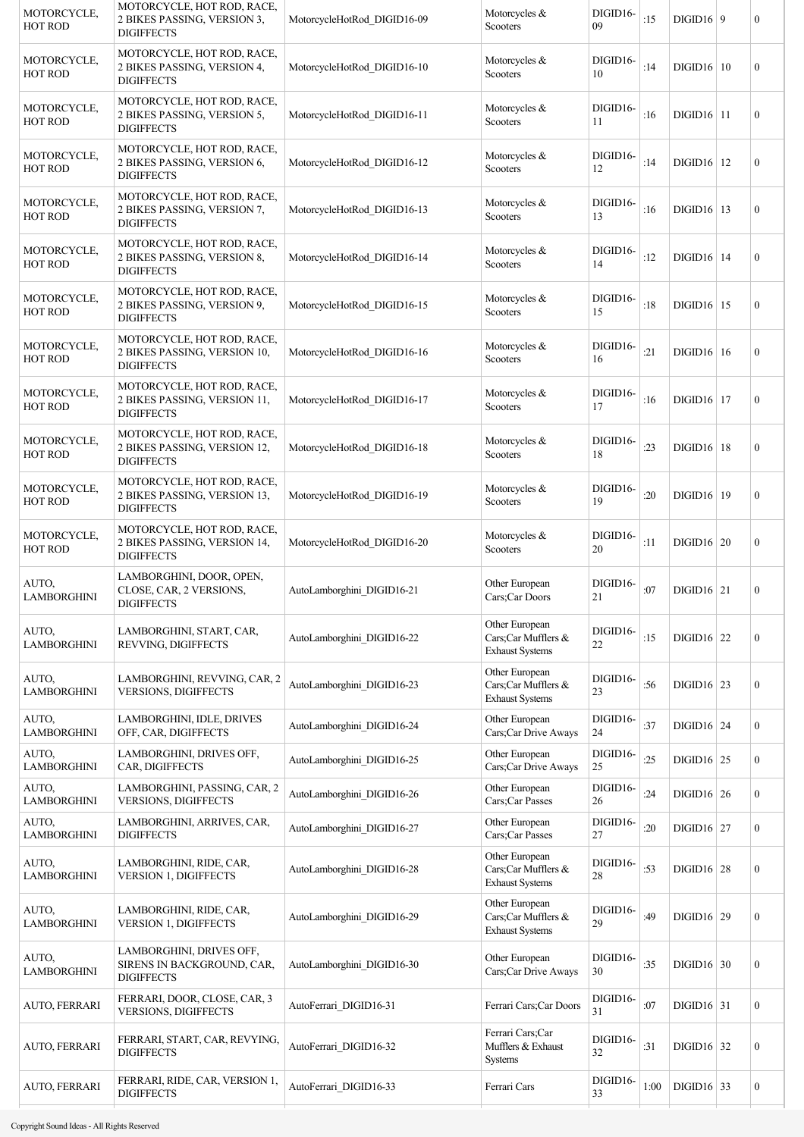| MOTORCYCLE,<br>HOT ROD        | MOTORCYCLE, HOT ROD, RACE,<br>2 BIKES PASSING, VERSION 3,<br><b>DIGIFFECTS</b>  | MotorcycleHotRod DIGID16-09 | Motorcycles &<br>Scooters                                       | DIGID16-<br>09     | :15  | DIGID16   9    | $\mathbf{0}$     |
|-------------------------------|---------------------------------------------------------------------------------|-----------------------------|-----------------------------------------------------------------|--------------------|------|----------------|------------------|
| MOTORCYCLE,<br><b>HOT ROD</b> | MOTORCYCLE, HOT ROD, RACE,<br>2 BIKES PASSING, VERSION 4,<br><b>DIGIFFECTS</b>  | MotorcycleHotRod DIGID16-10 | Motorcycles $\&$<br>Scooters                                    | DIGID16-<br>10     | :14  | $DIGID16$   10 | $\boldsymbol{0}$ |
| MOTORCYCLE,<br>HOT ROD        | MOTORCYCLE, HOT ROD, RACE,<br>2 BIKES PASSING, VERSION 5,<br><b>DIGIFFECTS</b>  | MotorcycleHotRod DIGID16-11 | Motorcycles &<br>Scooters                                       | DIGID16-<br>11     | :16  | $DIGID16$   11 | $\boldsymbol{0}$ |
| MOTORCYCLE,<br>HOT ROD        | MOTORCYCLE, HOT ROD, RACE,<br>2 BIKES PASSING, VERSION 6,<br><b>DIGIFFECTS</b>  | MotorcycleHotRod DIGID16-12 | Motorcycles $&$<br>Scooters                                     | DIGID16-<br>12     | :14  | $DIGID16$   12 | $\boldsymbol{0}$ |
| MOTORCYCLE,<br><b>HOT ROD</b> | MOTORCYCLE, HOT ROD, RACE,<br>2 BIKES PASSING, VERSION 7,<br><b>DIGIFFECTS</b>  | MotorcycleHotRod DIGID16-13 | Motorcycles &<br>Scooters                                       | DIGID16-<br>13     | :16  | $DIGID16$   13 | $\overline{0}$   |
| MOTORCYCLE,<br><b>HOT ROD</b> | MOTORCYCLE, HOT ROD, RACE,<br>2 BIKES PASSING, VERSION 8,<br><b>DIGIFFECTS</b>  | MotorcycleHotRod DIGID16-14 | Motorcycles $\&$<br>Scooters                                    | DIGID16-<br>14     | :12  | $DIGID16$   14 | $\overline{0}$   |
| MOTORCYCLE,<br>HOT ROD        | MOTORCYCLE, HOT ROD, RACE,<br>2 BIKES PASSING, VERSION 9,<br><b>DIGIFFECTS</b>  | MotorcycleHotRod DIGID16-15 | Motorcycles &<br>Scooters                                       | DIGID16-<br>15     | :18  | $DIGID16$   15 | $\overline{0}$   |
| MOTORCYCLE,<br><b>HOT ROD</b> | MOTORCYCLE, HOT ROD, RACE,<br>2 BIKES PASSING, VERSION 10,<br><b>DIGIFFECTS</b> | MotorcycleHotRod DIGID16-16 | Motorcycles &<br>Scooters                                       | DIGID16-<br>16     | :21  | $DIGID16$   16 | $\overline{0}$   |
| MOTORCYCLE,<br><b>HOT ROD</b> | MOTORCYCLE, HOT ROD, RACE,<br>2 BIKES PASSING, VERSION 11,<br><b>DIGIFFECTS</b> | MotorcycleHotRod DIGID16-17 | Motorcycles $&$<br>Scooters                                     | DIGID16-<br>17     | :16  | $DIGID16$   17 | $\boldsymbol{0}$ |
| MOTORCYCLE,<br><b>HOT ROD</b> | MOTORCYCLE, HOT ROD, RACE,<br>2 BIKES PASSING, VERSION 12,<br><b>DIGIFFECTS</b> | MotorcycleHotRod DIGID16-18 | Motorcycles &<br>Scooters                                       | DIGID16-<br>18     | :23  | $DIGID16$   18 | $\overline{0}$   |
| MOTORCYCLE,<br>HOT ROD        | MOTORCYCLE, HOT ROD, RACE,<br>2 BIKES PASSING, VERSION 13,<br><b>DIGIFFECTS</b> | MotorcycleHotRod DIGID16-19 | Motorcycles &<br>Scooters                                       | DIGID16-<br>19     | :20  | DIGID16 19     | $\overline{0}$   |
| MOTORCYCLE,<br>HOT ROD        | MOTORCYCLE, HOT ROD, RACE,<br>2 BIKES PASSING, VERSION 14,<br><b>DIGIFFECTS</b> | MotorcycleHotRod DIGID16-20 | Motorcycles &<br>Scooters                                       | DIGID16-<br>20     | :11  | $DIGID16$ 20   | $\overline{0}$   |
| AUTO,<br><b>LAMBORGHINI</b>   | LAMBORGHINI, DOOR, OPEN,<br>CLOSE, CAR, 2 VERSIONS,<br><b>DIGIFFECTS</b>        | AutoLamborghini DIGID16-21  | Other European<br>Cars;Car Doors                                | DIGID16-<br>21     | :07  | $DIGID16$ 21   | $\boldsymbol{0}$ |
| AUTO,<br><b>LAMBORGHINI</b>   | LAMBORGHINI, START, CAR,<br>REVVING, DIGIFFECTS                                 | AutoLamborghini DIGID16-22  | Other European<br>Cars;Car Mufflers &<br><b>Exhaust Systems</b> | DIGID16-<br>$22\,$ | :15  | $DIGID16$ 22   | $\overline{0}$   |
| AUTO,<br><b>LAMBORGHINI</b>   | LAMBORGHINI, REVVING, CAR, 2<br><b>VERSIONS, DIGIFFECTS</b>                     | AutoLamborghini_DIGID16-23  | Other European<br>Cars;Car Mufflers &<br><b>Exhaust Systems</b> | DIGID16-<br>23     | :56  | $DIGID16$ 23   | $\boldsymbol{0}$ |
| AUTO,<br><b>LAMBORGHINI</b>   | LAMBORGHINI, IDLE, DRIVES<br>OFF, CAR, DIGIFFECTS                               | AutoLamborghini DIGID16-24  | Other European<br>Cars;Car Drive Aways                          | DIGID16-<br>24     | :37  | $DIGID16$ 24   | $\boldsymbol{0}$ |
| AUTO,<br><b>LAMBORGHINI</b>   | LAMBORGHINI, DRIVES OFF,<br>CAR, DIGIFFECTS                                     | AutoLamborghini_DIGID16-25  | Other European<br>Cars;Car Drive Aways                          | DIGID16-<br>25     | :25  | $DIGID16$ 25   | $\boldsymbol{0}$ |
| AUTO,<br><b>LAMBORGHINI</b>   | LAMBORGHINI, PASSING, CAR, 2<br><b>VERSIONS, DIGIFFECTS</b>                     | AutoLamborghini_DIGID16-26  | Other European<br>Cars;Car Passes                               | DIGID16-<br>26     | :24  | $DIGID16$ 26   | $\boldsymbol{0}$ |
| AUTO,<br><b>LAMBORGHINI</b>   | LAMBORGHINI, ARRIVES, CAR,<br><b>DIGIFFECTS</b>                                 | AutoLamborghini DIGID16-27  | Other European<br>Cars;Car Passes                               | DIGID16-<br>27     | :20  | $DIGID16$ 27   | $\boldsymbol{0}$ |
| AUTO,<br>LAMBORGHINI          | LAMBORGHINI, RIDE, CAR,<br>VERSION 1, DIGIFFECTS                                | AutoLamborghini DIGID16-28  | Other European<br>Cars;Car Mufflers &<br><b>Exhaust Systems</b> | DIGID16-<br>28     | :53  | $DIGID16$ 28   | $\boldsymbol{0}$ |
| AUTO,<br><b>LAMBORGHINI</b>   | LAMBORGHINI, RIDE, CAR,<br><b>VERSION 1, DIGIFFECTS</b>                         | AutoLamborghini DIGID16-29  | Other European<br>Cars;Car Mufflers &<br><b>Exhaust Systems</b> | DIGID16-<br>29     | :49  | $DIGID16$ 29   | $\boldsymbol{0}$ |
| AUTO,<br><b>LAMBORGHINI</b>   | LAMBORGHINI, DRIVES OFF,<br>SIRENS IN BACKGROUND, CAR,<br><b>DIGIFFECTS</b>     | AutoLamborghini_DIGID16-30  | Other European<br>Cars;Car Drive Aways                          | DIGID16-<br>30     | :35  | $DIGID16$ 30   | $\boldsymbol{0}$ |
| AUTO, FERRARI                 | FERRARI, DOOR, CLOSE, CAR, 3<br><b>VERSIONS, DIGIFFECTS</b>                     | AutoFerrari DIGID16-31      | Ferrari Cars;Car Doors                                          | DIGID16-<br>31     | :07  | $DIGID16$ 31   | $\boldsymbol{0}$ |
| AUTO, FERRARI                 | FERRARI, START, CAR, REVYING,<br><b>DIGIFFECTS</b>                              | AutoFerrari DIGID16-32      | Ferrari Cars;Car<br>Mufflers & Exhaust<br>Systems               | DIGID16-<br>32     | :31  | $DIGID16$ 32   | $\boldsymbol{0}$ |
| AUTO, FERRARI                 | FERRARI, RIDE, CAR, VERSION 1,<br><b>DIGIFFECTS</b>                             | AutoFerrari DIGID16-33      | Ferrari Cars                                                    | DIGID16-<br>33     | 1:00 | $DIGID16$ 33   | $\boldsymbol{0}$ |
|                               |                                                                                 |                             |                                                                 |                    |      |                |                  |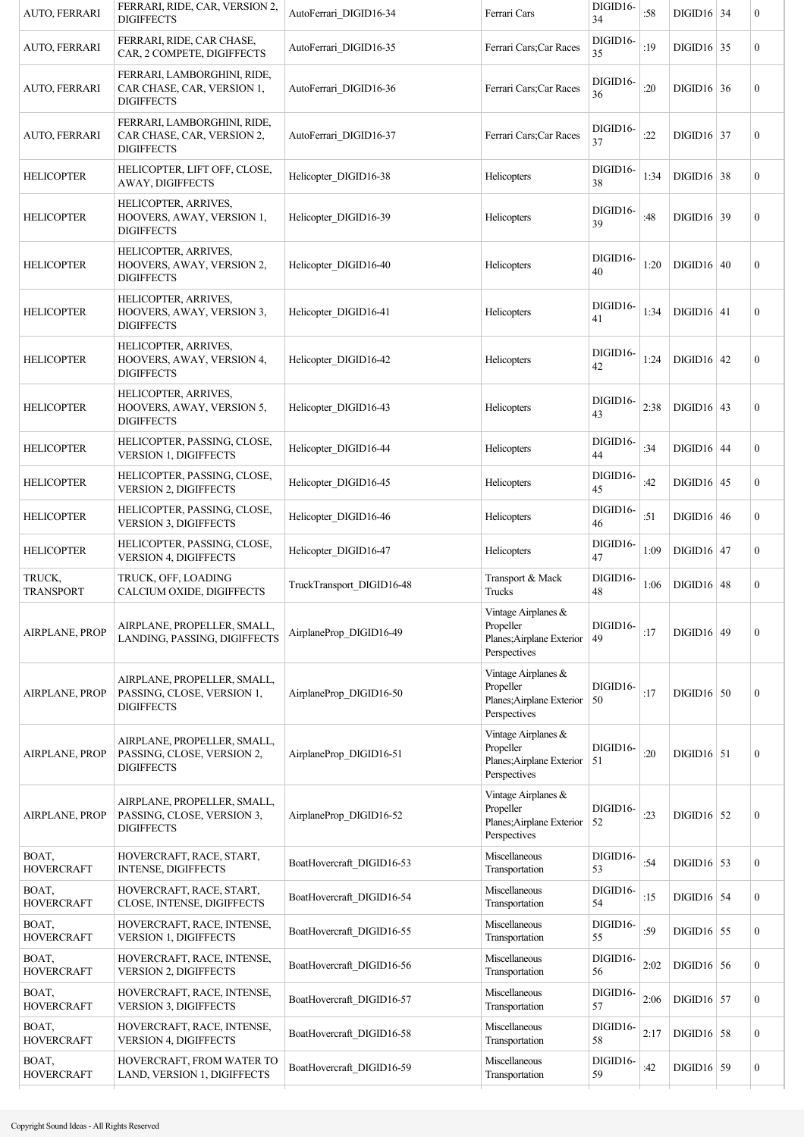| AUTO, FERRARI              | FERRARI, RIDE, CAR, VERSION 2,<br><b>DIGIFFECTS</b>                            | AutoFerrari_DIGID16-34    | Ferrari Cars                                                                  | DIGID16-<br>34 | :58  | $DIGID16$ 34 | $\boldsymbol{0}$ |
|----------------------------|--------------------------------------------------------------------------------|---------------------------|-------------------------------------------------------------------------------|----------------|------|--------------|------------------|
| AUTO, FERRARI              | FERRARI, RIDE, CAR CHASE,<br>CAR, 2 COMPETE, DIGIFFECTS                        | AutoFerrari DIGID16-35    | Ferrari Cars;Car Races                                                        | DIGID16-<br>35 | :19  | $DIGID16$ 35 | $\mathbf{0}$     |
| AUTO, FERRARI              | FERRARI, LAMBORGHINI, RIDE,<br>CAR CHASE, CAR, VERSION 1,<br><b>DIGIFFECTS</b> | AutoFerrari DIGID16-36    | Ferrari Cars;Car Races                                                        | DIGID16-<br>36 | :20  | $DIGID16$ 36 | $\boldsymbol{0}$ |
| <b>AUTO, FERRARI</b>       | FERRARI, LAMBORGHINI, RIDE,<br>CAR CHASE, CAR, VERSION 2,<br><b>DIGIFFECTS</b> | AutoFerrari DIGID16-37    | Ferrari Cars;Car Races                                                        | DIGID16-<br>37 | :22  | $DIGID16$ 37 | $\boldsymbol{0}$ |
| <b>HELICOPTER</b>          | HELICOPTER, LIFT OFF, CLOSE,<br><b>AWAY, DIGIFFECTS</b>                        | Helicopter DIGID16-38     | Helicopters                                                                   | DIGID16-<br>38 | 1:34 | $DIGID16$ 38 | $\boldsymbol{0}$ |
| <b>HELICOPTER</b>          | HELICOPTER, ARRIVES,<br>HOOVERS, AWAY, VERSION 1,<br><b>DIGIFFECTS</b>         | Helicopter DIGID16-39     | Helicopters                                                                   | DIGID16-<br>39 | :48  | $DIGID16$ 39 | $\boldsymbol{0}$ |
| <b>HELICOPTER</b>          | HELICOPTER, ARRIVES,<br>HOOVERS, AWAY, VERSION 2,<br><b>DIGIFFECTS</b>         | Helicopter DIGID16-40     | Helicopters                                                                   | DIGID16-<br>40 | 1:20 | $DIGID16$ 40 | $\boldsymbol{0}$ |
| <b>HELICOPTER</b>          | HELICOPTER, ARRIVES,<br>HOOVERS, AWAY, VERSION 3,<br><b>DIGIFFECTS</b>         | Helicopter DIGID16-41     | Helicopters                                                                   | DIGID16-<br>41 | 1:34 | $DIGID16$ 41 | $\boldsymbol{0}$ |
| <b>HELICOPTER</b>          | HELICOPTER, ARRIVES,<br>HOOVERS, AWAY, VERSION 4,<br><b>DIGIFFECTS</b>         | Helicopter DIGID16-42     | Helicopters                                                                   | DIGID16-<br>42 | 1:24 | $DIGID16$ 42 | $\boldsymbol{0}$ |
| <b>HELICOPTER</b>          | HELICOPTER, ARRIVES,<br>HOOVERS, AWAY, VERSION 5,<br><b>DIGIFFECTS</b>         | Helicopter DIGID16-43     | Helicopters                                                                   | DIGID16-<br>43 | 2:38 | $DIGID16$ 43 | $\boldsymbol{0}$ |
| <b>HELICOPTER</b>          | HELICOPTER, PASSING, CLOSE,<br><b>VERSION 1, DIGIFFECTS</b>                    | Helicopter_DIGID16-44     | Helicopters                                                                   | DIGID16-<br>44 | :34  | $DIGID16$ 44 | $\boldsymbol{0}$ |
| <b>HELICOPTER</b>          | HELICOPTER, PASSING, CLOSE,<br><b>VERSION 2, DIGIFFECTS</b>                    | Helicopter DIGID16-45     | Helicopters                                                                   | DIGID16-<br>45 | :42  | $DIGID16$ 45 | $\boldsymbol{0}$ |
| <b>HELICOPTER</b>          | HELICOPTER, PASSING, CLOSE,<br><b>VERSION 3, DIGIFFECTS</b>                    | Helicopter DIGID16-46     | Helicopters                                                                   | DIGID16-<br>46 | :51  | $DIGID16$ 46 | $\boldsymbol{0}$ |
| <b>HELICOPTER</b>          | HELICOPTER, PASSING, CLOSE,<br><b>VERSION 4, DIGIFFECTS</b>                    | Helicopter DIGID16-47     | Helicopters                                                                   | DIGID16-<br>47 | 1:09 | $DIGID16$ 47 | $\boldsymbol{0}$ |
| TRUCK,<br><b>TRANSPORT</b> | TRUCK, OFF, LOADING<br>CALCIUM OXIDE, DIGIFFECTS                               | TruckTransport DIGID16-48 | Transport & Mack<br>Trucks                                                    | DIGID16-<br>48 | 1:06 | $DIGID16$ 48 | 0                |
| <b>AIRPLANE, PROP</b>      | AIRPLANE, PROPELLER, SMALL,<br>LANDING, PASSING, DIGIFFECTS                    | AirplaneProp DIGID16-49   | Vintage Airplanes &<br>Propeller<br>Planes; Airplane Exterior<br>Perspectives | DIGID16-<br>49 | :17  | $DIGID16$ 49 | $\boldsymbol{0}$ |
| <b>AIRPLANE, PROP</b>      | AIRPLANE, PROPELLER, SMALL,<br>PASSING, CLOSE, VERSION 1,<br><b>DIGIFFECTS</b> | AirplaneProp DIGID16-50   | Vintage Airplanes &<br>Propeller<br>Planes; Airplane Exterior<br>Perspectives | DIGID16-<br>50 | :17  | $DIGID16$ 50 | $\boldsymbol{0}$ |
| <b>AIRPLANE, PROP</b>      | AIRPLANE, PROPELLER, SMALL,<br>PASSING, CLOSE, VERSION 2,<br><b>DIGIFFECTS</b> | AirplaneProp_DIGID16-51   | Vintage Airplanes &<br>Propeller<br>Planes; Airplane Exterior<br>Perspectives | DIGID16-<br>51 | :20  | $DIGID16$ 51 | $\boldsymbol{0}$ |
| <b>AIRPLANE, PROP</b>      | AIRPLANE, PROPELLER, SMALL,<br>PASSING, CLOSE, VERSION 3,<br><b>DIGIFFECTS</b> | AirplaneProp_DIGID16-52   | Vintage Airplanes &<br>Propeller<br>Planes; Airplane Exterior<br>Perspectives | DIGID16-<br>52 | : 23 | $DIGID16$ 52 | $\boldsymbol{0}$ |
| BOAT,<br><b>HOVERCRAFT</b> | HOVERCRAFT, RACE, START,<br>INTENSE, DIGIFFECTS                                | BoatHovercraft DIGID16-53 | Miscellaneous<br>Transportation                                               | DIGID16-<br>53 | :54  | $DIGID16$ 53 | $\boldsymbol{0}$ |
| BOAT,<br><b>HOVERCRAFT</b> | HOVERCRAFT, RACE, START,<br>CLOSE, INTENSE, DIGIFFECTS                         | BoatHovercraft_DIGID16-54 | Miscellaneous<br>Transportation                                               | DIGID16-<br>54 | :15  | $DIGID16$ 54 | $\boldsymbol{0}$ |
| BOAT,<br><b>HOVERCRAFT</b> | HOVERCRAFT, RACE, INTENSE,<br><b>VERSION 1, DIGIFFECTS</b>                     | BoatHovercraft_DIGID16-55 | Miscellaneous<br>Transportation                                               | DIGID16-<br>55 | :59  | $DIGID16$ 55 | $\boldsymbol{0}$ |
| BOAT,<br><b>HOVERCRAFT</b> | HOVERCRAFT, RACE, INTENSE,<br>VERSION 2, DIGIFFECTS                            | BoatHovercraft_DIGID16-56 | Miscellaneous<br>Transportation                                               | DIGID16-<br>56 | 2:02 | $DIGID16$ 56 | $\boldsymbol{0}$ |
| BOAT,<br><b>HOVERCRAFT</b> | HOVERCRAFT, RACE, INTENSE,<br><b>VERSION 3, DIGIFFECTS</b>                     | BoatHovercraft DIGID16-57 | Miscellaneous<br>Transportation                                               | DIGID16-<br>57 | 2:06 | $DIGID16$ 57 | $\boldsymbol{0}$ |
| BOAT,<br><b>HOVERCRAFT</b> | HOVERCRAFT, RACE, INTENSE,<br>VERSION 4, DIGIFFECTS                            | BoatHovercraft_DIGID16-58 | Miscellaneous<br>Transportation                                               | DIGID16-<br>58 | 2:17 | $DIGID16$ 58 | $\boldsymbol{0}$ |
| BOAT,<br><b>HOVERCRAFT</b> | HOVERCRAFT, FROM WATER TO<br>LAND, VERSION 1, DIGIFFECTS                       | BoatHovercraft_DIGID16-59 | Miscellaneous<br>Transportation                                               | DIGID16-<br>59 | :42  | $DIGID16$ 59 | $\boldsymbol{0}$ |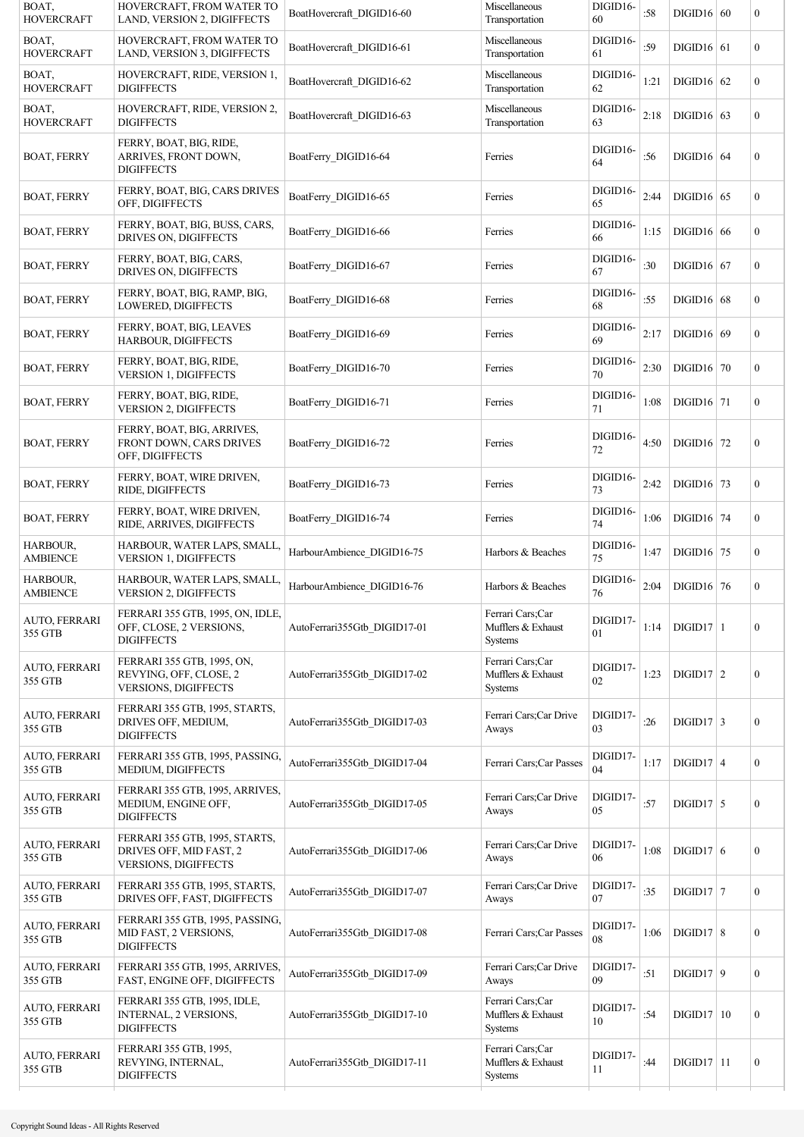| HOVERCRAFT, FROM WATER TO<br>LAND, VERSION 2, DIGIFFECTS                            | BoatHovercraft_DIGID16-60    | Miscellaneous<br>Transportation                   | DIGID16-<br>60 | :58  |  | $\boldsymbol{0}$                                                                                                                                                                                                                                                                                                                                                                                                                                                 |
|-------------------------------------------------------------------------------------|------------------------------|---------------------------------------------------|----------------|------|--|------------------------------------------------------------------------------------------------------------------------------------------------------------------------------------------------------------------------------------------------------------------------------------------------------------------------------------------------------------------------------------------------------------------------------------------------------------------|
| HOVERCRAFT, FROM WATER TO<br>LAND, VERSION 3, DIGIFFECTS                            | BoatHovercraft_DIGID16-61    | Miscellaneous<br>Transportation                   | DIGID16-<br>61 | :59  |  | $\mathbf{0}$                                                                                                                                                                                                                                                                                                                                                                                                                                                     |
| HOVERCRAFT, RIDE, VERSION 1,<br><b>DIGIFFECTS</b>                                   | BoatHovercraft DIGID16-62    | Miscellaneous<br>Transportation                   | DIGID16-<br>62 | 1:21 |  | $\boldsymbol{0}$                                                                                                                                                                                                                                                                                                                                                                                                                                                 |
| HOVERCRAFT, RIDE, VERSION 2,<br>DIGIFFECTS                                          | BoatHovercraft_DIGID16-63    | Miscellaneous<br>Transportation                   | DIGID16-<br>63 | 2:18 |  | $\boldsymbol{0}$                                                                                                                                                                                                                                                                                                                                                                                                                                                 |
| FERRY, BOAT, BIG, RIDE,<br>ARRIVES, FRONT DOWN,<br><b>DIGIFFECTS</b>                | BoatFerry DIGID16-64         | Ferries                                           | DIGID16-<br>64 | :56  |  | $\boldsymbol{0}$                                                                                                                                                                                                                                                                                                                                                                                                                                                 |
| FERRY, BOAT, BIG, CARS DRIVES<br>OFF, DIGIFFECTS                                    | BoatFerry DIGID16-65         | Ferries                                           | DIGID16-<br>65 | 2:44 |  | $\boldsymbol{0}$                                                                                                                                                                                                                                                                                                                                                                                                                                                 |
| FERRY, BOAT, BIG, BUSS, CARS,<br>DRIVES ON, DIGIFFECTS                              | BoatFerry DIGID16-66         | Ferries                                           | DIGID16-<br>66 | 1:15 |  | $\boldsymbol{0}$                                                                                                                                                                                                                                                                                                                                                                                                                                                 |
| FERRY, BOAT, BIG, CARS,<br>DRIVES ON, DIGIFFECTS                                    | BoatFerry DIGID16-67         | Ferries                                           | DIGID16-<br>67 | :30  |  | $\boldsymbol{0}$                                                                                                                                                                                                                                                                                                                                                                                                                                                 |
| FERRY, BOAT, BIG, RAMP, BIG,<br>LOWERED, DIGIFFECTS                                 | BoatFerry_DIGID16-68         | Ferries                                           | DIGID16-<br>68 | :55  |  | $\boldsymbol{0}$                                                                                                                                                                                                                                                                                                                                                                                                                                                 |
| FERRY, BOAT, BIG, LEAVES<br><b>HARBOUR, DIGIFFECTS</b>                              | BoatFerry DIGID16-69         | Ferries                                           | DIGID16-<br>69 | 2:17 |  | $\overline{0}$                                                                                                                                                                                                                                                                                                                                                                                                                                                   |
| FERRY, BOAT, BIG, RIDE,<br><b>VERSION 1, DIGIFFECTS</b>                             | BoatFerry DIGID16-70         | Ferries                                           | DIGID16-<br>70 | 2:30 |  | $\boldsymbol{0}$                                                                                                                                                                                                                                                                                                                                                                                                                                                 |
| FERRY, BOAT, BIG, RIDE,<br><b>VERSION 2, DIGIFFECTS</b>                             | BoatFerry DIGID16-71         | Ferries                                           | DIGID16-<br>71 | 1:08 |  | $\boldsymbol{0}$                                                                                                                                                                                                                                                                                                                                                                                                                                                 |
| FERRY, BOAT, BIG, ARRIVES,<br>FRONT DOWN, CARS DRIVES<br>OFF, DIGIFFECTS            | BoatFerry DIGID16-72         | Ferries                                           | DIGID16-<br>72 | 4:50 |  | $\boldsymbol{0}$                                                                                                                                                                                                                                                                                                                                                                                                                                                 |
| FERRY, BOAT, WIRE DRIVEN,<br>RIDE, DIGIFFECTS                                       | BoatFerry DIGID16-73         | Ferries                                           | DIGID16-<br>73 | 2:42 |  | $\boldsymbol{0}$                                                                                                                                                                                                                                                                                                                                                                                                                                                 |
| FERRY, BOAT, WIRE DRIVEN,<br>RIDE, ARRIVES, DIGIFFECTS                              | BoatFerry_DIGID16-74         | Ferries                                           | DIGID16-<br>74 | 1:06 |  | $\boldsymbol{0}$                                                                                                                                                                                                                                                                                                                                                                                                                                                 |
| HARBOUR, WATER LAPS, SMALL,<br><b>VERSION 1, DIGIFFECTS</b>                         | HarbourAmbience DIGID16-75   | Harbors & Beaches                                 | DIGID16-<br>75 | 1:47 |  | $\boldsymbol{0}$                                                                                                                                                                                                                                                                                                                                                                                                                                                 |
| HARBOUR, WATER LAPS, SMALL,<br><b>VERSION 2, DIGIFFECTS</b>                         | HarbourAmbience DIGID16-76   | Harbors & Beaches                                 | DIGID16-<br>76 | 2:04 |  | $\boldsymbol{0}$                                                                                                                                                                                                                                                                                                                                                                                                                                                 |
| FERRARI 355 GTB, 1995, ON, IDLE,<br>OFF, CLOSE, 2 VERSIONS,<br><b>DIGIFFECTS</b>    | AutoFerrari355Gtb DIGID17-01 | Ferrari Cars;Car<br>Mufflers & Exhaust<br>Systems | DIGID17-<br>01 | 1:14 |  | $\mathbf{0}$                                                                                                                                                                                                                                                                                                                                                                                                                                                     |
| FERRARI 355 GTB, 1995, ON,<br>REVYING, OFF, CLOSE, 2<br><b>VERSIONS, DIGIFFECTS</b> | AutoFerrari355Gtb DIGID17-02 | Ferrari Cars;Car<br>Mufflers & Exhaust<br>Systems | DIGID17-<br>02 | 1:23 |  | $\boldsymbol{0}$                                                                                                                                                                                                                                                                                                                                                                                                                                                 |
| FERRARI 355 GTB, 1995, STARTS,<br>DRIVES OFF, MEDIUM,<br><b>DIGIFFECTS</b>          | AutoFerrari355Gtb DIGID17-03 | Ferrari Cars; Car Drive<br>Aways                  | DIGID17-<br>03 | :26  |  | $\boldsymbol{0}$                                                                                                                                                                                                                                                                                                                                                                                                                                                 |
| FERRARI 355 GTB, 1995, PASSING,<br>MEDIUM, DIGIFFECTS                               | AutoFerrari355Gtb_DIGID17-04 | Ferrari Cars;Car Passes                           | DIGID17-<br>04 | 1:17 |  | $\overline{0}$                                                                                                                                                                                                                                                                                                                                                                                                                                                   |
| FERRARI 355 GTB, 1995, ARRIVES,<br>MEDIUM, ENGINE OFF,<br><b>DIGIFFECTS</b>         | AutoFerrari355Gtb DIGID17-05 | Ferrari Cars; Car Drive<br>Aways                  | DIGID17-<br>05 | :57  |  | $\boldsymbol{0}$                                                                                                                                                                                                                                                                                                                                                                                                                                                 |
| FERRARI 355 GTB, 1995, STARTS,<br>DRIVES OFF, MID FAST, 2<br>VERSIONS, DIGIFFECTS   | AutoFerrari355Gtb DIGID17-06 | Ferrari Cars; Car Drive<br>Aways                  | DIGID17-<br>06 | 1:08 |  | $\boldsymbol{0}$                                                                                                                                                                                                                                                                                                                                                                                                                                                 |
| FERRARI 355 GTB, 1995, STARTS,<br>DRIVES OFF, FAST, DIGIFFECTS                      | AutoFerrari355Gtb DIGID17-07 | Ferrari Cars; Car Drive<br>Aways                  | DIGID17-<br>07 | :35  |  | $\overline{0}$                                                                                                                                                                                                                                                                                                                                                                                                                                                   |
| FERRARI 355 GTB, 1995, PASSING,<br>MID FAST, 2 VERSIONS,<br><b>DIGIFFECTS</b>       | AutoFerrari355Gtb DIGID17-08 | Ferrari Cars;Car Passes                           | DIGID17-<br>08 | 1:06 |  | $\boldsymbol{0}$                                                                                                                                                                                                                                                                                                                                                                                                                                                 |
| FERRARI 355 GTB, 1995, ARRIVES,<br>FAST, ENGINE OFF, DIGIFFECTS                     | AutoFerrari355Gtb DIGID17-09 | Ferrari Cars; Car Drive<br>Aways                  | DIGID17-<br>09 | :51  |  | $\overline{0}$                                                                                                                                                                                                                                                                                                                                                                                                                                                   |
| FERRARI 355 GTB, 1995, IDLE,<br>INTERNAL, 2 VERSIONS,<br><b>DIGIFFECTS</b>          | AutoFerrari355Gtb DIGID17-10 | Ferrari Cars;Car<br>Mufflers & Exhaust<br>Systems | DIGID17-<br>10 | :54  |  | $\mathbf{0}$                                                                                                                                                                                                                                                                                                                                                                                                                                                     |
| FERRARI 355 GTB, 1995,<br>REVYING, INTERNAL,<br><b>DIGIFFECTS</b>                   | AutoFerrari355Gtb DIGID17-11 | Ferrari Cars;Car<br>Mufflers & Exhaust<br>Systems | DIGID17-<br>11 | :44  |  | $\boldsymbol{0}$                                                                                                                                                                                                                                                                                                                                                                                                                                                 |
|                                                                                     |                              |                                                   |                |      |  | $DIGID16$ 60<br>$DIGID16$ 61<br>$DIGID16$ 62<br>$DIGID16$ 63<br>$DIGID16$ 64<br>$DIGID16$ 65<br>$DIGID16$ 66<br>$DIGID16$ 67<br>$DIGID16$ 68<br>$DIGID16$ 69<br>$DIGID16$ 70<br>$DIGID16$ 71<br>$DIGID16$ 72<br>DIGID <sub>16</sub> 73<br>$DIGID16$ 74<br>$DIGID16$ 75<br>$DIGID16$ 76<br>$DIGID17$   1<br>$D[GID17]$ 2<br>$DIGID17$ 3<br>$DIGID17   4$<br>$DIGID17$ 5<br>$DIGID17$ 6<br>$DIGID17$ 7<br>DIGID17   8<br>DIGID17   9<br>DIGID17 10<br>$DIGID17$ 11 |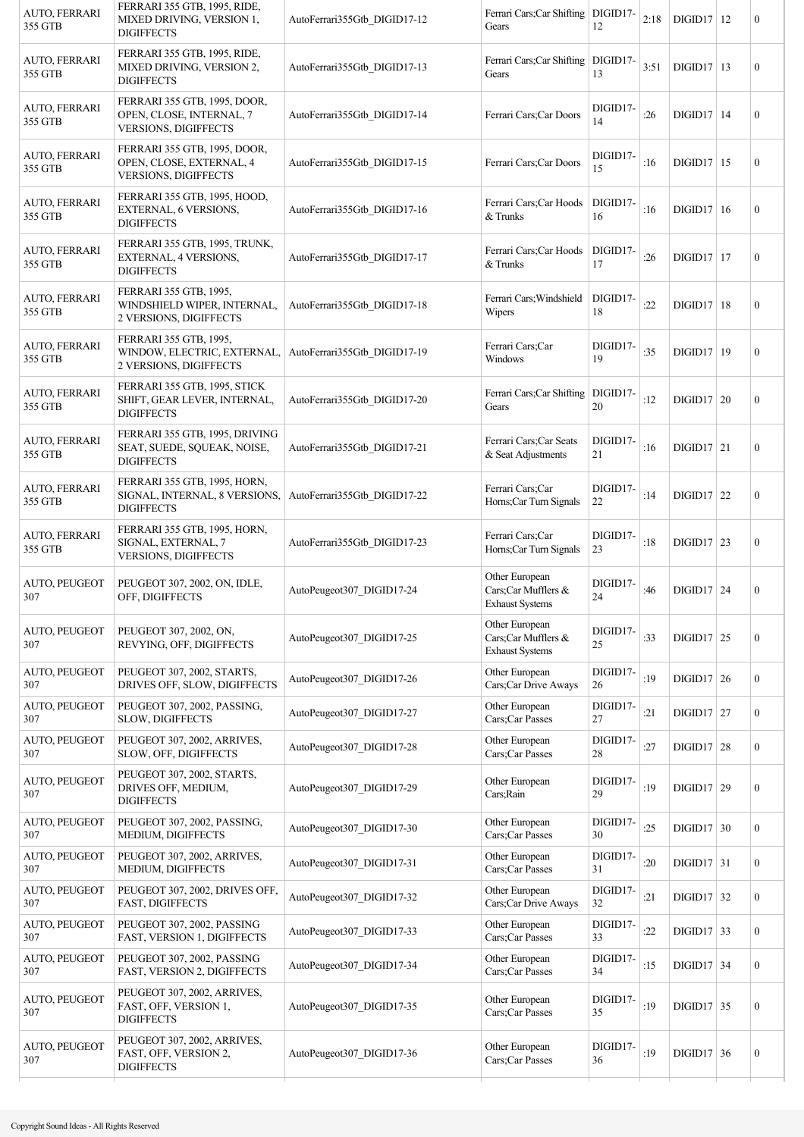| AUTO, FERRARI<br>355 GTB    | FERRARI 355 GTB, 1995, RIDE,<br>MIXED DRIVING, VERSION 1,<br><b>DIGIFFECTS</b>          | AutoFerrari355Gtb DIGID17-12 | Ferrari Cars; Car Shifting   DIGID17-<br>Gears                  | 12             | 2:18 | $DIGID17$ 12             | $\boldsymbol{0}$ |
|-----------------------------|-----------------------------------------------------------------------------------------|------------------------------|-----------------------------------------------------------------|----------------|------|--------------------------|------------------|
| AUTO, FERRARI<br>355 GTB    | FERRARI 355 GTB, 1995, RIDE,<br>MIXED DRIVING, VERSION 2,<br><b>DIGIFFECTS</b>          | AutoFerrari355Gtb DIGID17-13 | Ferrari Cars; Car Shifting<br>Gears                             | DIGID17-<br>13 | 3:51 | $DIGID17$ 13             | $\mathbf{0}$     |
| AUTO, FERRARI<br>355 GTB    | FERRARI 355 GTB, 1995, DOOR,<br>OPEN, CLOSE, INTERNAL, 7<br><b>VERSIONS, DIGIFFECTS</b> | AutoFerrari355Gtb DIGID17-14 | Ferrari Cars; Car Doors                                         | DIGID17-<br>14 | :26  | DIGID17 14               | $\boldsymbol{0}$ |
| AUTO, FERRARI<br>355 GTB    | FERRARI 355 GTB, 1995, DOOR,<br>OPEN, CLOSE, EXTERNAL, 4<br><b>VERSIONS, DIGIFFECTS</b> | AutoFerrari355Gtb DIGID17-15 | Ferrari Cars; Car Doors                                         | DIGID17-<br>15 | :16  | $DIGID17$ 15             | $\mathbf{0}$     |
| AUTO, FERRARI<br>355 GTB    | FERRARI 355 GTB, 1995, HOOD,<br>EXTERNAL, 6 VERSIONS,<br><b>DIGIFFECTS</b>              | AutoFerrari355Gtb_DIGID17-16 | Ferrari Cars; Car Hoods<br>& Trunks                             | DIGID17-<br>16 | :16  | DIGID17 16               | $\boldsymbol{0}$ |
| AUTO, FERRARI<br>355 GTB    | FERRARI 355 GTB, 1995, TRUNK,<br>EXTERNAL, 4 VERSIONS,<br><b>DIGIFFECTS</b>             | AutoFerrari355Gtb DIGID17-17 | Ferrari Cars; Car Hoods<br>& Trunks                             | DIGID17-<br>17 | :26  | $DIGID17$   17           | $\mathbf{0}$     |
| AUTO, FERRARI<br>355 GTB    | FERRARI 355 GTB, 1995,<br>WINDSHIELD WIPER, INTERNAL,<br>2 VERSIONS, DIGIFFECTS         | AutoFerrari355Gtb DIGID17-18 | Ferrari Cars; Windshield<br>Wipers                              | DIGID17-<br>18 | :22  | $DIGD17$   18            | $\mathbf{0}$     |
| AUTO, FERRARI<br>355 GTB    | FERRARI 355 GTB, 1995,<br>WINDOW, ELECTRIC, EXTERNAL,<br>2 VERSIONS, DIGIFFECTS         | AutoFerrari355Gtb DIGID17-19 | Ferrari Cars;Car<br>Windows                                     | DIGID17-<br>19 | :35  | DIGD17 19                | $\mathbf{0}$     |
| AUTO, FERRARI<br>355 GTB    | FERRARI 355 GTB, 1995, STICK<br>SHIFT, GEAR LEVER, INTERNAL,<br><b>DIGIFFECTS</b>       | AutoFerrari355Gtb DIGID17-20 | Ferrari Cars; Car Shifting<br>Gears                             | DIGID17-<br>20 | :12  | $DIGID17$ 20             | $\boldsymbol{0}$ |
| AUTO, FERRARI<br>355 GTB    | FERRARI 355 GTB, 1995, DRIVING<br>SEAT, SUEDE, SQUEAK, NOISE,<br><b>DIGIFFECTS</b>      | AutoFerrari355Gtb DIGID17-21 | Ferrari Cars;Car Seats<br>& Seat Adjustments                    | DIGID17-<br>21 | :16  | $DIGID17$ 21             | $\mathbf{0}$     |
| AUTO, FERRARI<br>355 GTB    | FERRARI 355 GTB, 1995, HORN,<br>SIGNAL, INTERNAL, 8 VERSIONS,<br><b>DIGIFFECTS</b>      | AutoFerrari355Gtb DIGID17-22 | Ferrari Cars;Car<br>Horns;Car Turn Signals                      | DIGID17-<br>22 | :14  | $DIGD17$ 22              | $\mathbf{0}$     |
| AUTO, FERRARI<br>355 GTB    | FERRARI 355 GTB, 1995, HORN,<br>SIGNAL, EXTERNAL, 7<br>VERSIONS, DIGIFFECTS             | AutoFerrari355Gtb DIGID17-23 | Ferrari Cars;Car<br>Horns;Car Turn Signals                      | DIGID17-<br>23 | :18  | $DIGID17$ 23             | $\mathbf{0}$     |
| AUTO, PEUGEOT<br>307        | PEUGEOT 307, 2002, ON, IDLE,<br>OFF, DIGIFFECTS                                         | AutoPeugeot307 DIGID17-24    | Other European<br>Cars;Car Mufflers &<br><b>Exhaust Systems</b> | DIGID17-<br>24 | :46  | $DIGID17$ 24             | $\mathbf{0}$     |
| AUTO, PEUGEOT<br>307        | PEUGEOT 307, 2002, ON,<br>REVYING, OFF, DIGIFFECTS                                      | AutoPeugeot307 DIGID17-25    | Other European<br>Cars;Car Mufflers &<br><b>Exhaust Systems</b> | DIGID17-<br>25 | :33  | $\text{DIGID17}\vert 25$ | $\boldsymbol{0}$ |
| AUTO, PEUGEOT<br>307        | PEUGEOT 307, 2002, STARTS,<br>DRIVES OFF, SLOW, DIGIFFECTS                              | AutoPeugeot307 DIGID17-26    | Other European<br>Cars;Car Drive Aways                          | DIGID17-<br>26 | :19  | $DIGID17$ 26             | $\boldsymbol{0}$ |
| AUTO, PEUGEOT<br>307        | PEUGEOT 307, 2002, PASSING,<br>SLOW, DIGIFFECTS                                         | AutoPeugeot307_DIGID17-27    | Other European<br>Cars;Car Passes                               | DIGID17-<br>27 | :21  | $DIGID17$ 27             | $\boldsymbol{0}$ |
| AUTO, PEUGEOT<br>307        | PEUGEOT 307, 2002, ARRIVES,<br>SLOW, OFF, DIGIFFECTS                                    | AutoPeugeot307 DIGID17-28    | Other European<br>Cars;Car Passes                               | DIGID17-<br>28 | :27  | $DIGID17$ 28             | $\boldsymbol{0}$ |
| AUTO, PEUGEOT<br>307        | PEUGEOT 307, 2002, STARTS,<br>DRIVES OFF, MEDIUM,<br><b>DIGIFFECTS</b>                  | AutoPeugeot307 DIGID17-29    | Other European<br>Cars; Rain                                    | DIGID17-<br>29 | :19  | DIGID17 29               | $\boldsymbol{0}$ |
| <b>AUTO, PEUGEOT</b><br>307 | PEUGEOT 307, 2002, PASSING,<br>MEDIUM, DIGIFFECTS                                       | AutoPeugeot307_DIGID17-30    | Other European<br>Cars;Car Passes                               | DIGID17-<br>30 | :25  | $DIGID17$ 30             | $\mathbf{0}$     |
| AUTO, PEUGEOT<br>307        | PEUGEOT 307, 2002, ARRIVES,<br>MEDIUM, DIGIFFECTS                                       | AutoPeugeot307_DIGID17-31    | Other European<br>Cars;Car Passes                               | DIGID17-<br>31 | :20  | $DIGID17$ 31             | $\boldsymbol{0}$ |
| AUTO, PEUGEOT<br>307        | PEUGEOT 307, 2002, DRIVES OFF,<br><b>FAST, DIGIFFECTS</b>                               | AutoPeugeot307_DIGID17-32    | Other European<br>Cars;Car Drive Aways                          | DIGID17-<br>32 | :21  | $DIGID17$ 32             | $\boldsymbol{0}$ |
| AUTO, PEUGEOT<br>307        | PEUGEOT 307, 2002, PASSING<br>FAST, VERSION 1, DIGIFFECTS                               | AutoPeugeot307_DIGID17-33    | Other European<br>Cars;Car Passes                               | DIGID17-<br>33 | :22  | $\text{DIGID17}$ 33      | $\boldsymbol{0}$ |
| AUTO, PEUGEOT<br>307        | PEUGEOT 307, 2002, PASSING<br>FAST, VERSION 2, DIGIFFECTS                               | AutoPeugeot307_DIGID17-34    | Other European<br>Cars;Car Passes                               | DIGID17-<br>34 | :15  | $DIGID17$ 34             | $\boldsymbol{0}$ |
| AUTO, PEUGEOT<br>307        | PEUGEOT 307, 2002, ARRIVES,<br>FAST, OFF, VERSION 1,<br><b>DIGIFFECTS</b>               | AutoPeugeot307 DIGID17-35    | Other European<br>Cars;Car Passes                               | DIGID17-<br>35 | :19  | $DIGID17$ 35             | $\boldsymbol{0}$ |
| <b>AUTO, PEUGEOT</b><br>307 | PEUGEOT 307, 2002, ARRIVES,<br>FAST, OFF, VERSION 2,<br><b>DIGIFFECTS</b>               | AutoPeugeot307 DIGID17-36    | Other European<br>Cars;Car Passes                               | DIGID17-<br>36 | :19  | $\text{DIGID17}$ 36      | $\boldsymbol{0}$ |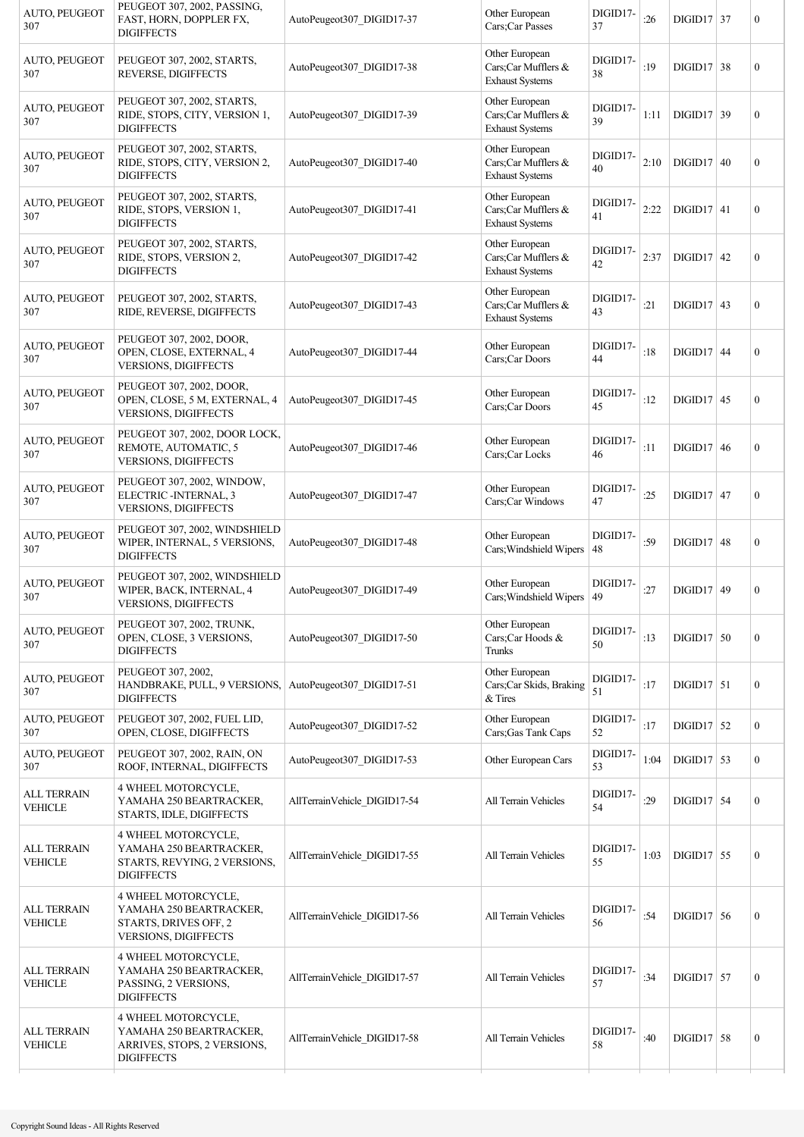| AUTO, PEUGEOT<br>307                 | PEUGEOT 307, 2002, PASSING,<br>FAST, HORN, DOPPLER FX,<br><b>DIGIFFECTS</b>                            | AutoPeugeot307 DIGID17-37    | Other European<br>Cars;Car Passes                               | DIGID17-<br>37 | :26  | $DIGID17$ 37 | $\mathbf{0}$     |
|--------------------------------------|--------------------------------------------------------------------------------------------------------|------------------------------|-----------------------------------------------------------------|----------------|------|--------------|------------------|
| AUTO, PEUGEOT<br>307                 | PEUGEOT 307, 2002, STARTS,<br>REVERSE, DIGIFFECTS                                                      | AutoPeugeot307_DIGID17-38    | Other European<br>Cars;Car Mufflers &<br><b>Exhaust Systems</b> | DIGID17-<br>38 | :19  | $DIGD17$ 38  | $\boldsymbol{0}$ |
| AUTO, PEUGEOT<br>307                 | PEUGEOT 307, 2002, STARTS,<br>RIDE, STOPS, CITY, VERSION 1,<br><b>DIGIFFECTS</b>                       | AutoPeugeot307 DIGID17-39    | Other European<br>Cars;Car Mufflers &<br><b>Exhaust Systems</b> | DIGID17-<br>39 | 1:11 | $DIGD17$ 39  | $\boldsymbol{0}$ |
| AUTO, PEUGEOT<br>307                 | PEUGEOT 307, 2002, STARTS,<br>RIDE, STOPS, CITY, VERSION 2,<br><b>DIGIFFECTS</b>                       | AutoPeugeot307_DIGID17-40    | Other European<br>Cars;Car Mufflers &<br><b>Exhaust Systems</b> | DIGID17-<br>40 | 2:10 | DIGID17 40   | $\boldsymbol{0}$ |
| AUTO, PEUGEOT<br>307                 | PEUGEOT 307, 2002, STARTS,<br>RIDE, STOPS, VERSION 1,<br><b>DIGIFFECTS</b>                             | AutoPeugeot307 DIGID17-41    | Other European<br>Cars;Car Mufflers &<br><b>Exhaust Systems</b> | DIGID17-<br>41 | 2:22 | DIGID17 41   | $\mathbf{0}$     |
| AUTO, PEUGEOT<br>307                 | PEUGEOT 307, 2002, STARTS,<br>RIDE, STOPS, VERSION 2,<br><b>DIGIFFECTS</b>                             | AutoPeugeot307 DIGID17-42    | Other European<br>Cars;Car Mufflers &<br><b>Exhaust Systems</b> | DIGID17-<br>42 | 2:37 | $DIGD17$ 42  | $\mathbf{0}$     |
| AUTO, PEUGEOT<br>307                 | PEUGEOT 307, 2002, STARTS,<br>RIDE, REVERSE, DIGIFFECTS                                                | AutoPeugeot307 DIGID17-43    | Other European<br>Cars;Car Mufflers &<br><b>Exhaust Systems</b> | DIGID17-<br>43 | :21  | $DIGID17$ 43 | $\boldsymbol{0}$ |
| AUTO, PEUGEOT<br>307                 | PEUGEOT 307, 2002, DOOR,<br>OPEN, CLOSE, EXTERNAL, 4<br><b>VERSIONS, DIGIFFECTS</b>                    | AutoPeugeot307 DIGID17-44    | Other European<br>Cars;Car Doors                                | DIGID17-<br>44 | :18  | $DIGID17$ 44 | $\mathbf{0}$     |
| AUTO, PEUGEOT<br>307                 | PEUGEOT 307, 2002, DOOR,<br>OPEN, CLOSE, 5 M, EXTERNAL, 4<br>VERSIONS, DIGIFFECTS                      | AutoPeugeot307 DIGID17-45    | Other European<br>Cars;Car Doors                                | DIGID17-<br>45 | :12  | $DIGD17$ 45  | $\mathbf{0}$     |
| AUTO, PEUGEOT<br>307                 | PEUGEOT 307, 2002, DOOR LOCK,<br>REMOTE, AUTOMATIC, 5<br>VERSIONS, DIGIFFECTS                          | AutoPeugeot307 DIGID17-46    | Other European<br>Cars;Car Locks                                | DIGID17-<br>46 | :11  | DIGID17 46   | $\mathbf{0}$     |
| AUTO, PEUGEOT<br>307                 | PEUGEOT 307, 2002, WINDOW,<br>ELECTRIC - INTERNAL, 3<br>VERSIONS, DIGIFFECTS                           | AutoPeugeot307 DIGID17-47    | Other European<br>Cars;Car Windows                              | DIGID17-<br>47 | :25  | $DIGID17$ 47 | $\boldsymbol{0}$ |
| AUTO, PEUGEOT<br>307                 | PEUGEOT 307, 2002, WINDSHIELD<br>WIPER, INTERNAL, 5 VERSIONS,<br><b>DIGIFFECTS</b>                     | AutoPeugeot307 DIGID17-48    | Other European<br>Cars; Windshield Wipers                       | DIGID17-<br>48 | :59  | $DIGID17$ 48 | $\boldsymbol{0}$ |
| <b>AUTO, PEUGEOT</b><br>307          | PEUGEOT 307, 2002, WINDSHIELD<br>WIPER, BACK, INTERNAL, 4<br><b>VERSIONS, DIGIFFECTS</b>               | AutoPeugeot307 DIGID17-49    | Other European<br>Cars; Windshield Wipers   49                  | DIGID17-       | :27  | $DIGD17$ 49  | $\boldsymbol{0}$ |
| AUTO, PEUGEOT<br>307                 | PEUGEOT 307, 2002, TRUNK,<br>OPEN, CLOSE, 3 VERSIONS,<br><b>DIGIFFECTS</b>                             | AutoPeugeot307 DIGID17-50    | Other European<br>Cars;Car Hoods &<br>Trunks                    | DIGID17-<br>50 | :13  | $DIGD17$ 50  | $\boldsymbol{0}$ |
| AUTO, PEUGEOT<br>307                 | PEUGEOT 307, 2002,<br>HANDBRAKE, PULL, 9 VERSIONS,<br><b>DIGIFFECTS</b>                                | AutoPeugeot307_DIGID17-51    | Other European<br>Cars; Car Skids, Braking<br>& Tires           | DIGID17-<br>51 | :17  | $DIGID17$ 51 | $\boldsymbol{0}$ |
| AUTO, PEUGEOT<br>307                 | PEUGEOT 307, 2002, FUEL LID,<br>OPEN, CLOSE, DIGIFFECTS                                                | AutoPeugeot307_DIGID17-52    | Other European<br>Cars; Gas Tank Caps                           | DIGID17-<br>52 | :17  | $DIGID17$ 52 | $\boldsymbol{0}$ |
| AUTO, PEUGEOT<br>307                 | PEUGEOT 307, 2002, RAIN, ON<br>ROOF, INTERNAL, DIGIFFECTS                                              | AutoPeugeot307_DIGID17-53    | Other European Cars                                             | DIGID17-<br>53 | 1:04 | $DIGD17$ 53  | $\boldsymbol{0}$ |
| <b>ALL TERRAIN</b><br><b>VEHICLE</b> | 4 WHEEL MOTORCYCLE,<br>YAMAHA 250 BEARTRACKER,<br>STARTS, IDLE, DIGIFFECTS                             | AllTerrainVehicle DIGID17-54 | All Terrain Vehicles                                            | DIGID17-<br>54 | :29  | $DIGID17$ 54 | $\boldsymbol{0}$ |
| <b>ALL TERRAIN</b><br><b>VEHICLE</b> | 4 WHEEL MOTORCYCLE,<br>YAMAHA 250 BEARTRACKER,<br>STARTS, REVYING, 2 VERSIONS,<br><b>DIGIFFECTS</b>    | AllTerrainVehicle DIGID17-55 | All Terrain Vehicles                                            | DIGID17-<br>55 | 1:03 | $DIGD17$ 55  | $\mathbf{0}$     |
| <b>ALL TERRAIN</b><br><b>VEHICLE</b> | 4 WHEEL MOTORCYCLE,<br>YAMAHA 250 BEARTRACKER,<br>STARTS, DRIVES OFF, 2<br><b>VERSIONS, DIGIFFECTS</b> | AllTerrainVehicle DIGID17-56 | All Terrain Vehicles                                            | DIGID17-<br>56 | :54  | $DIGID17$ 56 | $\boldsymbol{0}$ |
| <b>ALL TERRAIN</b><br><b>VEHICLE</b> | 4 WHEEL MOTORCYCLE,<br>YAMAHA 250 BEARTRACKER,<br>PASSING, 2 VERSIONS,<br><b>DIGIFFECTS</b>            | AllTerrainVehicle DIGID17-57 | All Terrain Vehicles                                            | DIGID17-<br>57 | :34  | $DIGID17$ 57 | $\boldsymbol{0}$ |
| <b>ALL TERRAIN</b><br><b>VEHICLE</b> | 4 WHEEL MOTORCYCLE,<br>YAMAHA 250 BEARTRACKER,<br>ARRIVES, STOPS, 2 VERSIONS,<br><b>DIGIFFECTS</b>     | AllTerrainVehicle DIGID17-58 | All Terrain Vehicles                                            | DIGID17-<br>58 | :40  | $DIGID17$ 58 | $\boldsymbol{0}$ |
|                                      |                                                                                                        |                              |                                                                 |                |      |              |                  |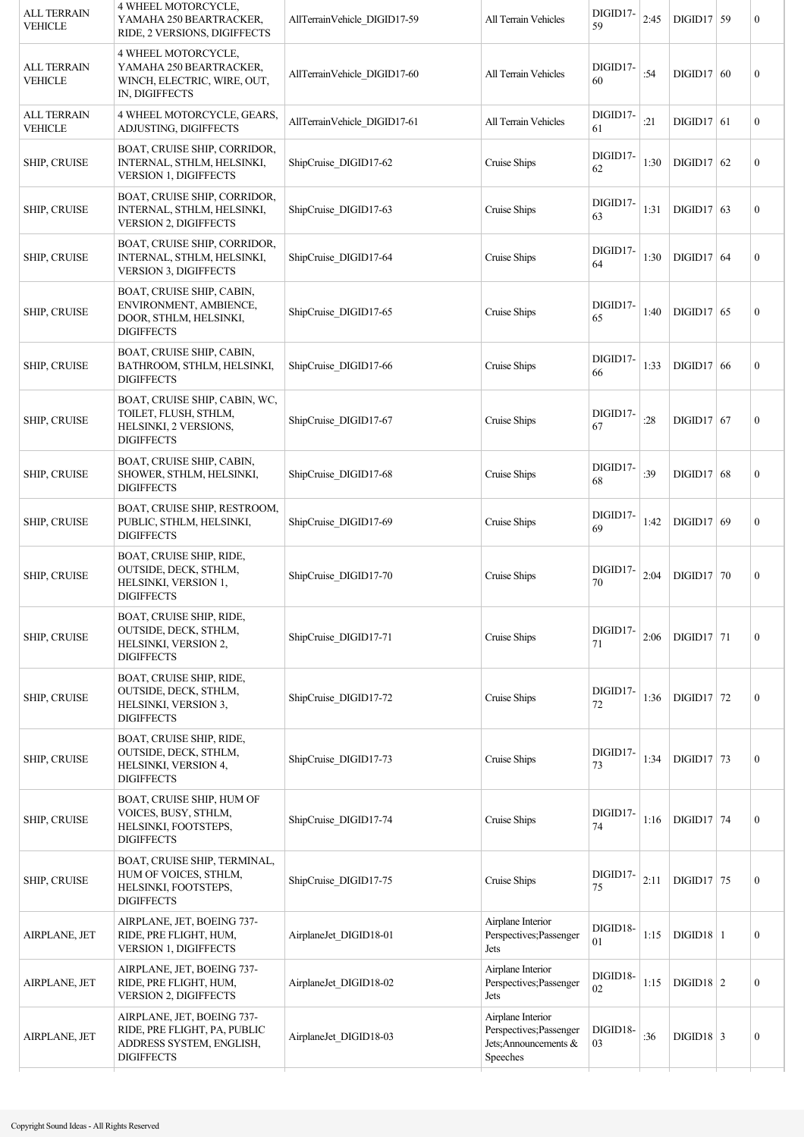| <b>ALL TERRAIN</b><br><b>VEHICLE</b> | 4 WHEEL MOTORCYCLE,<br>YAMAHA 250 BEARTRACKER,<br>RIDE, 2 VERSIONS, DIGIFFECTS                              | AllTerrainVehicle DIGID17-59 | All Terrain Vehicles                                                              | DIGID17-<br>59 | 2:45 | $DIGD17$ 59        | $\boldsymbol{0}$ |
|--------------------------------------|-------------------------------------------------------------------------------------------------------------|------------------------------|-----------------------------------------------------------------------------------|----------------|------|--------------------|------------------|
| <b>ALL TERRAIN</b><br><b>VEHICLE</b> | <b>4 WHEEL MOTORCYCLE,</b><br>YAMAHA 250 BEARTRACKER,<br>WINCH, ELECTRIC, WIRE, OUT,<br>IN, DIGIFFECTS      | AllTerrainVehicle DIGID17-60 | All Terrain Vehicles                                                              | DIGID17-<br>60 | :54  | $DIGID17$ 60       | $\boldsymbol{0}$ |
| <b>ALL TERRAIN</b><br><b>VEHICLE</b> | 4 WHEEL MOTORCYCLE, GEARS,<br>ADJUSTING, DIGIFFECTS                                                         | AllTerrainVehicle DIGID17-61 | All Terrain Vehicles                                                              | DIGID17-<br>61 | :21  | $DIGID17$ 61       | $\boldsymbol{0}$ |
| SHIP, CRUISE                         | <b>BOAT, CRUISE SHIP, CORRIDOR,</b><br>INTERNAL, STHLM, HELSINKI,<br><b>VERSION 1, DIGIFFECTS</b>           | ShipCruise DIGID17-62        | Cruise Ships                                                                      | DIGID17-<br>62 | 1:30 | $DIGD17$ 62        | $\boldsymbol{0}$ |
| SHIP, CRUISE                         | BOAT, CRUISE SHIP, CORRIDOR,<br>INTERNAL, STHLM, HELSINKI,<br><b>VERSION 2, DIGIFFECTS</b>                  | ShipCruise DIGID17-63        | Cruise Ships                                                                      | DIGID17-<br>63 | 1:31 | $DIGD17$ 63        | $\boldsymbol{0}$ |
| SHIP, CRUISE                         | BOAT, CRUISE SHIP, CORRIDOR,<br>INTERNAL, STHLM, HELSINKI,<br><b>VERSION 3, DIGIFFECTS</b>                  | ShipCruise DIGID17-64        | Cruise Ships                                                                      | DIGID17-<br>64 | 1:30 | $DIGID17$ 64       | $\boldsymbol{0}$ |
| SHIP, CRUISE                         | BOAT, CRUISE SHIP, CABIN,<br>ENVIRONMENT, AMBIENCE,<br>DOOR, STHLM, HELSINKI,<br><b>DIGIFFECTS</b>          | ShipCruise DIGID17-65        | Cruise Ships                                                                      | DIGID17-<br>65 | 1:40 | $DIGD17$ 65        | $\boldsymbol{0}$ |
| SHIP, CRUISE                         | BOAT, CRUISE SHIP, CABIN,<br>BATHROOM, STHLM, HELSINKI,<br><b>DIGIFFECTS</b>                                | ShipCruise DIGID17-66        | Cruise Ships                                                                      | DIGID17-<br>66 | 1:33 | DIGID17 66         | $\boldsymbol{0}$ |
| SHIP, CRUISE                         | BOAT, CRUISE SHIP, CABIN, WC,<br>TOILET, FLUSH, STHLM,<br>HELSINKI, 2 VERSIONS,<br><b>DIGIFFECTS</b>        | ShipCruise DIGID17-67        | Cruise Ships                                                                      | DIGID17-<br>67 | :28  | $DIGID17$ 67       | $\boldsymbol{0}$ |
| <b>SHIP, CRUISE</b>                  | BOAT, CRUISE SHIP, CABIN,<br>SHOWER, STHLM, HELSINKI,<br><b>DIGIFFECTS</b>                                  | ShipCruise DIGID17-68        | Cruise Ships                                                                      | DIGID17-<br>68 | :39  | $DIGID17$ 68       | $\boldsymbol{0}$ |
| <b>SHIP, CRUISE</b>                  | BOAT, CRUISE SHIP, RESTROOM,<br>PUBLIC, STHLM, HELSINKI,<br><b>DIGIFFECTS</b>                               | ShipCruise DIGID17-69        | Cruise Ships                                                                      | DIGID17-<br>69 | 1:42 | $DIGID17$ 69       | $\boldsymbol{0}$ |
| SHIP, CRUISE                         | <b>BOAT, CRUISE SHIP, RIDE,</b><br>OUTSIDE, DECK, STHLM,<br>HELSINKI, VERSION 1,<br><b>DIGIFFECTS</b>       | ShipCruise DIGID17-70        | Cruise Ships                                                                      | DIGID17-<br>70 | 2:04 | $DIGID17$ 70       | $\boldsymbol{0}$ |
| SHIP, CRUISE                         | BOAT, CRUISE SHIP, RIDE,<br>OUTSIDE, DECK, STHLM,<br>HELSINKI, VERSION 2,<br><b>DIGIFFECTS</b>              | ShipCruise_DIGID17-71        | Cruise Ships                                                                      | DIGID17-<br>71 | 2:06 | $DIGD17$ 71        | $\boldsymbol{0}$ |
| SHIP, CRUISE                         | BOAT, CRUISE SHIP, RIDE,<br>OUTSIDE, DECK, STHLM,<br>HELSINKI, VERSION 3,<br><b>DIGIFFECTS</b>              | ShipCruise_DIGID17-72        | Cruise Ships                                                                      | DIGID17-<br>72 | 1:36 | $DIGD17$ 72        | $\boldsymbol{0}$ |
| SHIP, CRUISE                         | BOAT, CRUISE SHIP, RIDE,<br>OUTSIDE, DECK, STHLM,<br>HELSINKI, VERSION 4,<br><b>DIGIFFECTS</b>              | ShipCruise DIGID17-73        | Cruise Ships                                                                      | DIGID17-<br>73 | 1:34 | $DIGD17$ 73        | $\boldsymbol{0}$ |
| SHIP, CRUISE                         | BOAT, CRUISE SHIP, HUM OF<br>VOICES, BUSY, STHLM,<br>HELSINKI, FOOTSTEPS,<br><b>DIGIFFECTS</b>              | ShipCruise DIGID17-74        | Cruise Ships                                                                      | DIGID17-<br>74 | 1:16 | $DIGID17$ 74       | $\boldsymbol{0}$ |
| SHIP, CRUISE                         | BOAT, CRUISE SHIP, TERMINAL,<br>HUM OF VOICES, STHLM,<br>HELSINKI, FOOTSTEPS,<br><b>DIGIFFECTS</b>          | ShipCruise DIGID17-75        | Cruise Ships                                                                      | DIGID17-<br>75 | 2:11 | $DIGD17$ 75        | $\boldsymbol{0}$ |
| AIRPLANE, JET                        | AIRPLANE, JET, BOEING 737-<br>RIDE, PRE FLIGHT, HUM,<br><b>VERSION 1, DIGIFFECTS</b>                        | AirplaneJet DIGID18-01       | Airplane Interior<br>Perspectives; Passenger<br>Jets                              | DIGID18-<br>01 | 1:15 | $DIGD18$   1       | $\boldsymbol{0}$ |
| AIRPLANE, JET                        | AIRPLANE, JET, BOEING 737-<br>RIDE, PRE FLIGHT, HUM,<br>VERSION 2, DIGIFFECTS                               | AirplaneJet DIGID18-02       | Airplane Interior<br>Perspectives; Passenger<br>Jets                              | DIGID18-<br>02 | 1:15 | $\text{DIGID18}$ 2 | $\boldsymbol{0}$ |
| AIRPLANE, JET                        | AIRPLANE, JET, BOEING 737-<br>RIDE, PRE FLIGHT, PA, PUBLIC<br>ADDRESS SYSTEM, ENGLISH,<br><b>DIGIFFECTS</b> | AirplaneJet DIGID18-03       | Airplane Interior<br>Perspectives; Passenger<br>Jets; Announcements &<br>Speeches | DIGID18-<br>03 | :36  | $\text{DIGID18}$ 3 | $\boldsymbol{0}$ |
|                                      |                                                                                                             |                              |                                                                                   |                |      |                    |                  |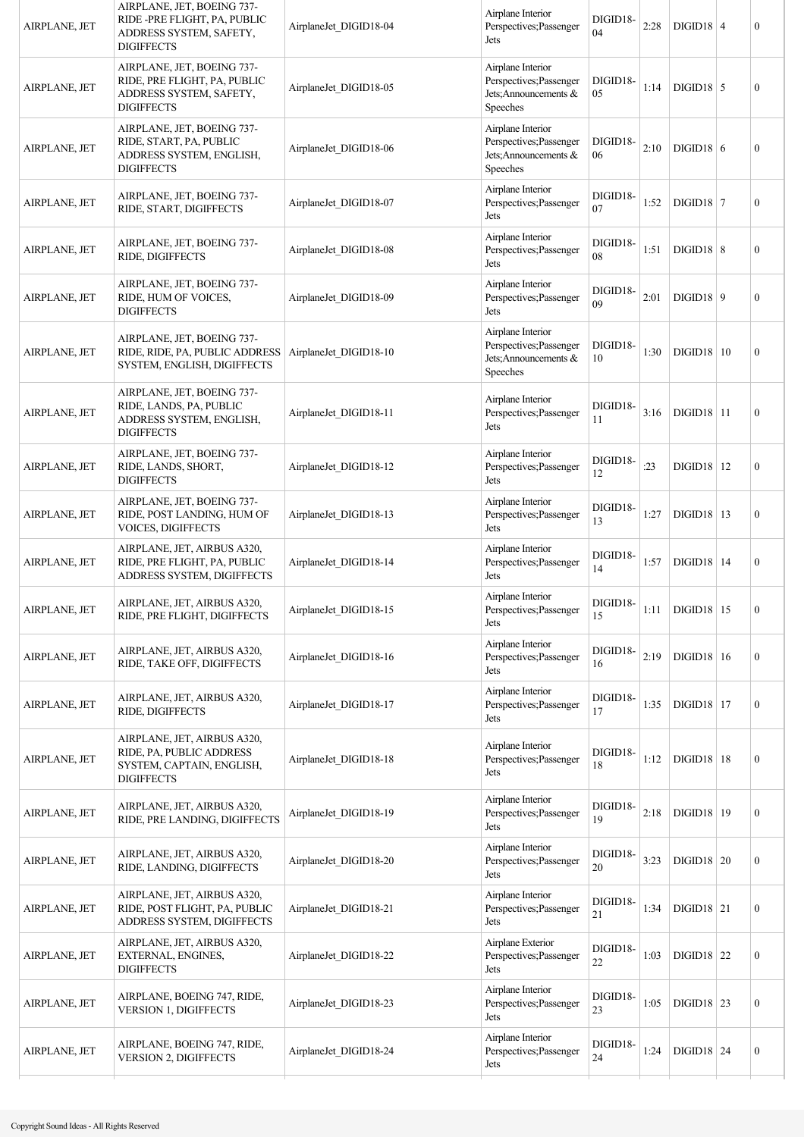| AIRPLANE, JET | AIRPLANE, JET, BOEING 737-<br>RIDE -PRE FLIGHT, PA, PUBLIC<br>ADDRESS SYSTEM, SAFETY,<br><b>DIGIFFECTS</b> | AirplaneJet DIGID18-04 | Airplane Interior<br>Perspectives; Passenger<br>Jets                              | DIGID18-<br>04 | 2:28 | $DIGID18$ 4         | $\boldsymbol{0}$ |
|---------------|------------------------------------------------------------------------------------------------------------|------------------------|-----------------------------------------------------------------------------------|----------------|------|---------------------|------------------|
| AIRPLANE, JET | AIRPLANE, JET, BOEING 737-<br>RIDE, PRE FLIGHT, PA, PUBLIC<br>ADDRESS SYSTEM, SAFETY,<br><b>DIGIFFECTS</b> | AirplaneJet DIGID18-05 | Airplane Interior<br>Perspectives; Passenger<br>Jets: Announcements &<br>Speeches | DIGID18-<br>05 | 1:14 | $DIGD18$ 5          | $\boldsymbol{0}$ |
| AIRPLANE, JET | AIRPLANE, JET, BOEING 737-<br>RIDE, START, PA, PUBLIC<br>ADDRESS SYSTEM, ENGLISH,<br><b>DIGIFFECTS</b>     | AirplaneJet DIGID18-06 | Airplane Interior<br>Perspectives; Passenger<br>Jets; Announcements &<br>Speeches | DIGID18-<br>06 | 2:10 | $DIGID18$ 6         | $\boldsymbol{0}$ |
| AIRPLANE, JET | AIRPLANE, JET, BOEING 737-<br>RIDE, START, DIGIFFECTS                                                      | AirplaneJet DIGID18-07 | Airplane Interior<br>Perspectives; Passenger<br>Jets                              | DIGID18-<br>07 | 1:52 | $DIGID18$ 7         | $\boldsymbol{0}$ |
| AIRPLANE, JET | AIRPLANE, JET, BOEING 737-<br>RIDE, DIGIFFECTS                                                             | AirplaneJet DIGID18-08 | Airplane Interior<br>Perspectives; Passenger<br>Jets                              | DIGID18-<br>08 | 1:51 | $DIGID18$ 8         | $\boldsymbol{0}$ |
| AIRPLANE, JET | AIRPLANE, JET, BOEING 737-<br>RIDE, HUM OF VOICES,<br><b>DIGIFFECTS</b>                                    | AirplaneJet DIGID18-09 | Airplane Interior<br>Perspectives; Passenger<br>Jets                              | DIGID18-<br>09 | 2:01 | $DIGID18$ 9         | $\boldsymbol{0}$ |
| AIRPLANE, JET | AIRPLANE, JET, BOEING 737-<br>RIDE, RIDE, PA, PUBLIC ADDRESS<br>SYSTEM, ENGLISH, DIGIFFECTS                | AirplaneJet DIGID18-10 | Airplane Interior<br>Perspectives; Passenger<br>Jets; Announcements &<br>Speeches | DIGID18-<br>10 | 1:30 | DIGID18 10          | $\boldsymbol{0}$ |
| AIRPLANE, JET | AIRPLANE, JET, BOEING 737-<br>RIDE, LANDS, PA, PUBLIC<br>ADDRESS SYSTEM, ENGLISH,<br><b>DIGIFFECTS</b>     | AirplaneJet DIGID18-11 | Airplane Interior<br>Perspectives; Passenger<br>Jets                              | DIGID18-<br>11 | 3:16 | $DIGID18$  11       | $\boldsymbol{0}$ |
| AIRPLANE, JET | AIRPLANE, JET, BOEING 737-<br>RIDE, LANDS, SHORT,<br><b>DIGIFFECTS</b>                                     | AirplaneJet_DIGID18-12 | Airplane Interior<br>Perspectives; Passenger<br>Jets                              | DIGID18-<br>12 | : 23 | $DIGD18$   12       | $\boldsymbol{0}$ |
| AIRPLANE, JET | AIRPLANE, JET, BOEING 737-<br>RIDE, POST LANDING, HUM OF<br>VOICES, DIGIFFECTS                             | AirplaneJet DIGID18-13 | Airplane Interior<br>Perspectives; Passenger<br>Jets                              | DIGID18-<br>13 | 1:27 | $DIGD18$   13       | $\boldsymbol{0}$ |
| AIRPLANE, JET | AIRPLANE, JET, AIRBUS A320,<br>RIDE, PRE FLIGHT, PA, PUBLIC<br>ADDRESS SYSTEM, DIGIFFECTS                  | AirplaneJet DIGID18-14 | Airplane Interior<br>Perspectives; Passenger<br>Jets                              | DIGID18-<br>14 | 1:57 | $DIGID18$   14      | $\boldsymbol{0}$ |
| AIRPLANE, JET | AIRPLANE, JET, AIRBUS A320,<br>RIDE, PRE FLIGHT, DIGIFFECTS                                                | AirplaneJet_DIGID18-15 | Airplane Interior<br>Perspectives; Passenger<br>Jets                              | DIGID18-<br>15 |      | 1:11   DIGID18   15 | 0                |
| AIRPLANE, JET | AIRPLANE, JET, AIRBUS A320,<br>RIDE, TAKE OFF, DIGIFFECTS                                                  | AirplaneJet DIGID18-16 | Airplane Interior<br>Perspectives; Passenger<br>Jets                              | DIGID18-<br>16 | 2:19 | $DIGD18$   16       | $\boldsymbol{0}$ |
| AIRPLANE, JET | AIRPLANE, JET, AIRBUS A320,<br>RIDE, DIGIFFECTS                                                            | AirplaneJet DIGID18-17 | Airplane Interior<br>Perspectives; Passenger<br>Jets                              | DIGID18-<br>17 | 1:35 | $DIGID18$   17      | $\boldsymbol{0}$ |
| AIRPLANE, JET | AIRPLANE, JET, AIRBUS A320,<br>RIDE, PA, PUBLIC ADDRESS<br>SYSTEM, CAPTAIN, ENGLISH,<br><b>DIGIFFECTS</b>  | AirplaneJet DIGID18-18 | Airplane Interior<br>Perspectives; Passenger<br>Jets                              | DIGID18-<br>18 | 1:12 | $DIGD18$   18       | $\boldsymbol{0}$ |
| AIRPLANE, JET | AIRPLANE, JET, AIRBUS A320,<br>RIDE, PRE LANDING, DIGIFFECTS                                               | AirplaneJet DIGID18-19 | Airplane Interior<br>Perspectives; Passenger<br>Jets                              | DIGID18-<br>19 | 2:18 | $DIGD18$   19       | $\boldsymbol{0}$ |
| AIRPLANE, JET | AIRPLANE, JET, AIRBUS A320,<br>RIDE, LANDING, DIGIFFECTS                                                   | AirplaneJet DIGID18-20 | Airplane Interior<br>Perspectives; Passenger<br>Jets                              | DIGID18-<br>20 | 3:23 | $DIGID18$ 20        | $\boldsymbol{0}$ |
| AIRPLANE, JET | AIRPLANE, JET, AIRBUS A320,<br>RIDE, POST FLIGHT, PA, PUBLIC<br>ADDRESS SYSTEM, DIGIFFECTS                 | AirplaneJet DIGID18-21 | Airplane Interior<br>Perspectives; Passenger<br>Jets                              | DIGID18-<br>21 | 1:34 | $DIGID18$ 21        | $\boldsymbol{0}$ |
| AIRPLANE, JET | AIRPLANE, JET, AIRBUS A320,<br>EXTERNAL, ENGINES,<br><b>DIGIFFECTS</b>                                     | AirplaneJet DIGID18-22 | Airplane Exterior<br>Perspectives; Passenger<br>Jets                              | DIGID18-<br>22 | 1:03 | $DIGID18$ 22        | $\boldsymbol{0}$ |
| AIRPLANE, JET | AIRPLANE, BOEING 747, RIDE,<br><b>VERSION 1, DIGIFFECTS</b>                                                | AirplaneJet DIGID18-23 | Airplane Interior<br>Perspectives; Passenger<br>Jets                              | DIGID18-<br>23 | 1:05 | $\text{DIGID18}$ 23 | $\boldsymbol{0}$ |
| AIRPLANE, JET | AIRPLANE, BOEING 747, RIDE,<br>VERSION 2, DIGIFFECTS                                                       | AirplaneJet DIGID18-24 | Airplane Interior<br>Perspectives; Passenger<br>Jets                              | DIGID18-<br>24 | 1:24 | $DIGD18$ 24         | $\boldsymbol{0}$ |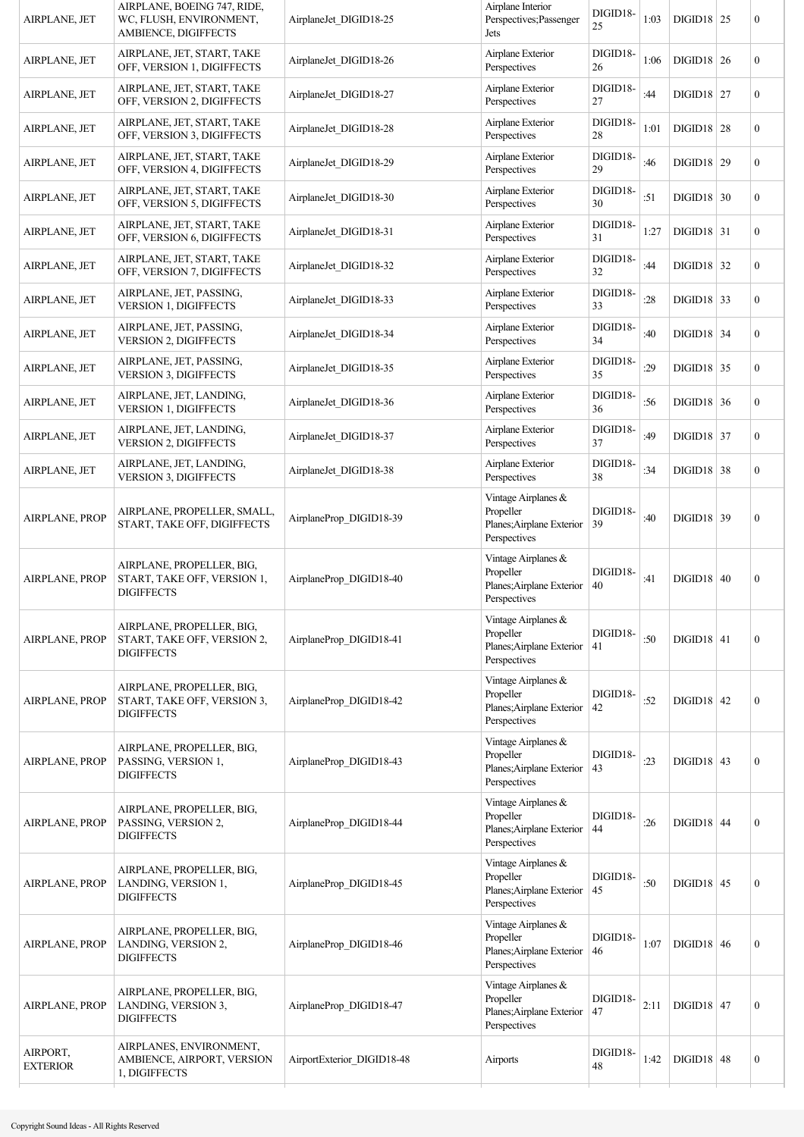| AIRPLANE, JET               | AIRPLANE, BOEING 747, RIDE,<br>WC, FLUSH, ENVIRONMENT,<br>AMBIENCE, DIGIFFECTS | AirplaneJet DIGID18-25     | Airplane Interior<br>Perspectives; Passenger<br>Jets                          | DIGID18-<br>25 | 1:03 | $DIGD18$ 25  | 0                |
|-----------------------------|--------------------------------------------------------------------------------|----------------------------|-------------------------------------------------------------------------------|----------------|------|--------------|------------------|
| AIRPLANE, JET               | AIRPLANE, JET, START, TAKE<br>OFF, VERSION 1, DIGIFFECTS                       | AirplaneJet DIGID18-26     | Airplane Exterior<br>Perspectives                                             | DIGID18-<br>26 | 1:06 | $DIGD18$ 26  | $\boldsymbol{0}$ |
| AIRPLANE, JET               | AIRPLANE, JET, START, TAKE<br>OFF, VERSION 2, DIGIFFECTS                       | AirplaneJet DIGID18-27     | Airplane Exterior<br>Perspectives                                             | DIGID18-<br>27 | :44  | $DIGID18$ 27 | $\boldsymbol{0}$ |
| AIRPLANE, JET               | AIRPLANE, JET, START, TAKE<br>OFF, VERSION 3, DIGIFFECTS                       | AirplaneJet DIGID18-28     | Airplane Exterior<br>Perspectives                                             | DIGID18-<br>28 | 1:01 | $DIGD18$ 28  | 0                |
| AIRPLANE, JET               | AIRPLANE, JET, START, TAKE<br>OFF, VERSION 4, DIGIFFECTS                       | AirplaneJet DIGID18-29     | Airplane Exterior<br>Perspectives                                             | DIGID18-<br>29 | :46  | $DIGID18$ 29 | $\boldsymbol{0}$ |
| AIRPLANE, JET               | AIRPLANE, JET, START, TAKE<br>OFF, VERSION 5, DIGIFFECTS                       | AirplaneJet DIGID18-30     | Airplane Exterior<br>Perspectives                                             | DIGID18-<br>30 | :51  | $DIGD18$ 30  | $\boldsymbol{0}$ |
| AIRPLANE, JET               | AIRPLANE, JET, START, TAKE<br>OFF, VERSION 6, DIGIFFECTS                       | AirplaneJet DIGID18-31     | Airplane Exterior<br>Perspectives                                             | DIGID18-<br>31 | 1:27 | $DIGD18$ 31  | $\mathbf{0}$     |
| AIRPLANE, JET               | AIRPLANE, JET, START, TAKE<br>OFF, VERSION 7, DIGIFFECTS                       | AirplaneJet DIGID18-32     | Airplane Exterior<br>Perspectives                                             | DIGID18-<br>32 | :44  | $DIGD18$ 32  | $\boldsymbol{0}$ |
| AIRPLANE, JET               | AIRPLANE, JET, PASSING,<br>VERSION 1, DIGIFFECTS                               | AirplaneJet DIGID18-33     | Airplane Exterior<br>Perspectives                                             | DIGID18-<br>33 | :28  | $DIGID18$ 33 | $\boldsymbol{0}$ |
| AIRPLANE, JET               | AIRPLANE, JET, PASSING,<br><b>VERSION 2, DIGIFFECTS</b>                        | AirplaneJet DIGID18-34     | Airplane Exterior<br>Perspectives                                             | DIGID18-<br>34 | :40  | $DIGID18$ 34 | $\boldsymbol{0}$ |
| AIRPLANE, JET               | AIRPLANE, JET, PASSING,<br><b>VERSION 3, DIGIFFECTS</b>                        | AirplaneJet DIGID18-35     | Airplane Exterior<br>Perspectives                                             | DIGID18-<br>35 | :29  | $DIGID18$ 35 | $\overline{0}$   |
| AIRPLANE, JET               | AIRPLANE, JET, LANDING,<br><b>VERSION 1, DIGIFFECTS</b>                        | AirplaneJet DIGID18-36     | Airplane Exterior<br>Perspectives                                             | DIGID18-<br>36 | :56  | $DIGID18$ 36 | $\boldsymbol{0}$ |
| AIRPLANE, JET               | AIRPLANE, JET, LANDING,<br>VERSION 2, DIGIFFECTS                               | AirplaneJet DIGID18-37     | Airplane Exterior<br>Perspectives                                             | DIGID18-<br>37 | :49  | $DIGID18$ 37 | $\boldsymbol{0}$ |
| AIRPLANE, JET               | AIRPLANE, JET, LANDING,<br><b>VERSION 3, DIGIFFECTS</b>                        | AirplaneJet DIGID18-38     | Airplane Exterior<br>Perspectives                                             | DIGID18-<br>38 | :34  | $DIGID18$ 38 | 0                |
| AIRPLANE, PROP              | AIRPLANE, PROPELLER, SMALL,<br>START, TAKE OFF, DIGIFFECTS                     | AirplaneProp_DIGID18-39    | Vintage Airplanes &<br>Propeller<br>Planes; Airplane Exterior<br>Perspectives | DIGID18-<br>39 | :40  | $DIGD18$ 39  | $\boldsymbol{0}$ |
| <b>AIRPLANE, PROP</b>       | AIRPLANE, PROPELLER, BIG,<br>START, TAKE OFF, VERSION 1,<br><b>DIGIFFECTS</b>  | AirplaneProp DIGID18-40    | Vintage Airplanes &<br>Propeller<br>Planes; Airplane Exterior<br>Perspectives | DIGID18-<br>40 | :41  | $DIGID18$ 40 | $\boldsymbol{0}$ |
| <b>AIRPLANE, PROP</b>       | AIRPLANE, PROPELLER, BIG,<br>START, TAKE OFF, VERSION 2,<br><b>DIGIFFECTS</b>  | AirplaneProp DIGID18-41    | Vintage Airplanes &<br>Propeller<br>Planes; Airplane Exterior<br>Perspectives | DIGID18-<br>41 | :50  | $DIGID18$ 41 | $\boldsymbol{0}$ |
| <b>AIRPLANE, PROP</b>       | AIRPLANE, PROPELLER, BIG,<br>START, TAKE OFF, VERSION 3,<br><b>DIGIFFECTS</b>  | AirplaneProp DIGID18-42    | Vintage Airplanes &<br>Propeller<br>Planes; Airplane Exterior<br>Perspectives | DIGID18-<br>42 | :52  | $DIGID18$ 42 | $\boldsymbol{0}$ |
| AIRPLANE, PROP              | AIRPLANE, PROPELLER, BIG,<br>PASSING, VERSION 1,<br><b>DIGIFFECTS</b>          | AirplaneProp_DIGID18-43    | Vintage Airplanes &<br>Propeller<br>Planes; Airplane Exterior<br>Perspectives | DIGID18-<br>43 | : 23 | $DIGD18$ 43  | $\mathbf{0}$     |
| AIRPLANE, PROP              | AIRPLANE, PROPELLER, BIG,<br>PASSING, VERSION 2,<br><b>DIGIFFECTS</b>          | AirplaneProp DIGID18-44    | Vintage Airplanes &<br>Propeller<br>Planes; Airplane Exterior<br>Perspectives | DIGID18-<br>44 | :26  | $DIGID18$ 44 | $\mathbf{0}$     |
| AIRPLANE, PROP              | AIRPLANE, PROPELLER, BIG,<br>LANDING, VERSION 1,<br><b>DIGIFFECTS</b>          | AirplaneProp_DIGID18-45    | Vintage Airplanes &<br>Propeller<br>Planes; Airplane Exterior<br>Perspectives | DIGID18-<br>45 | :50  | $DIGD18$ 45  | $\boldsymbol{0}$ |
| <b>AIRPLANE, PROP</b>       | AIRPLANE, PROPELLER, BIG,<br>LANDING, VERSION 2,<br><b>DIGIFFECTS</b>          | AirplaneProp_DIGID18-46    | Vintage Airplanes &<br>Propeller<br>Planes; Airplane Exterior<br>Perspectives | DIGID18-<br>46 | 1:07 | $DIGD18$ 46  | $\boldsymbol{0}$ |
| <b>AIRPLANE, PROP</b>       | AIRPLANE, PROPELLER, BIG,<br>LANDING, VERSION 3,<br><b>DIGIFFECTS</b>          | AirplaneProp_DIGID18-47    | Vintage Airplanes &<br>Propeller<br>Planes; Airplane Exterior<br>Perspectives | DIGID18-<br>47 | 2:11 | $DIGD18$ 47  | $\boldsymbol{0}$ |
| AIRPORT,<br><b>EXTERIOR</b> | AIRPLANES, ENVIRONMENT,<br>AMBIENCE, AIRPORT, VERSION<br>1, DIGIFFECTS         | AirportExterior DIGID18-48 | Airports                                                                      | DIGID18-<br>48 | 1:42 | $DIGID18$ 48 | $\boldsymbol{0}$ |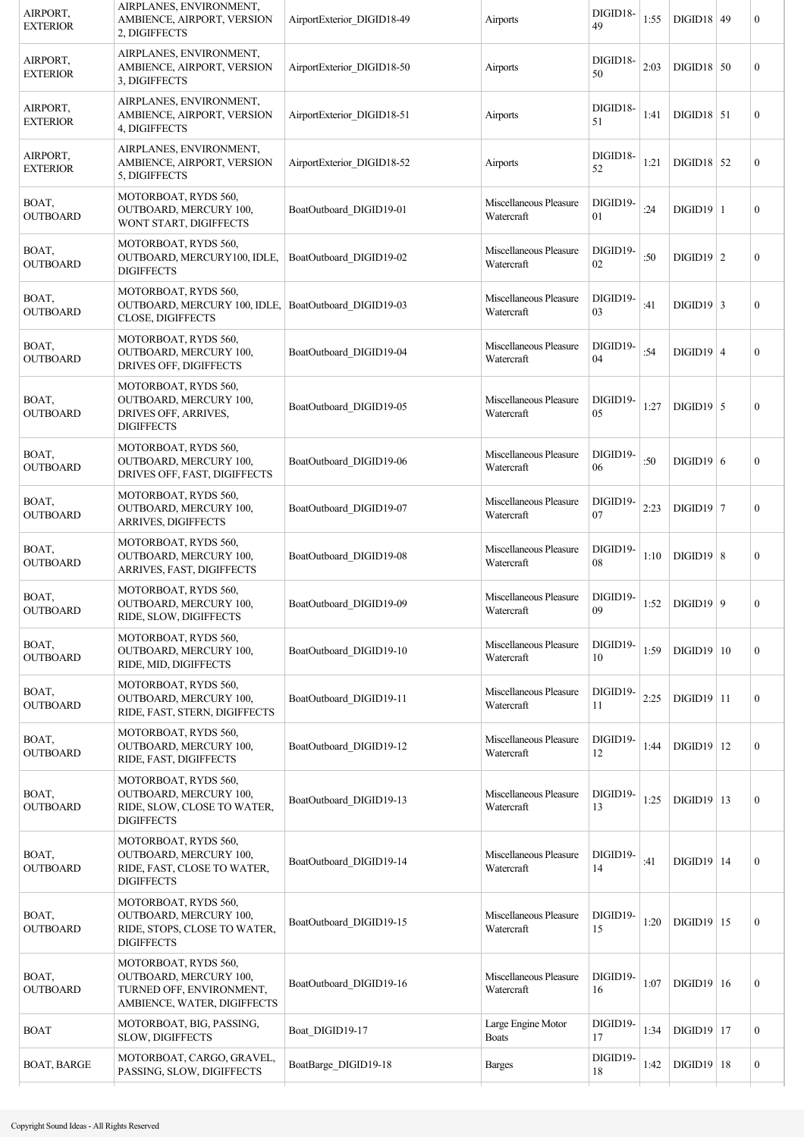| AIRPORT,<br><b>EXTERIOR</b> | AIRPLANES, ENVIRONMENT,<br>AMBIENCE, AIRPORT, VERSION<br>2, DIGIFFECTS                                     | AirportExterior DIGID18-49 | Airports                             | DIGID18-<br>49 | 1:55 | $DIGID18$ 49        | $\boldsymbol{0}$ |
|-----------------------------|------------------------------------------------------------------------------------------------------------|----------------------------|--------------------------------------|----------------|------|---------------------|------------------|
| AIRPORT,<br><b>EXTERIOR</b> | AIRPLANES, ENVIRONMENT,<br>AMBIENCE, AIRPORT, VERSION<br>3, DIGIFFECTS                                     | AirportExterior DIGID18-50 | Airports                             | DIGID18-<br>50 | 2:03 | $DIGID18$ 50        | $\mathbf{0}$     |
| AIRPORT,<br><b>EXTERIOR</b> | AIRPLANES, ENVIRONMENT,<br>AMBIENCE, AIRPORT, VERSION<br>4, DIGIFFECTS                                     | AirportExterior DIGID18-51 | Airports                             | DIGID18-<br>51 | 1:41 | $DIGD18$ 51         | $\boldsymbol{0}$ |
| AIRPORT,<br><b>EXTERIOR</b> | AIRPLANES, ENVIRONMENT,<br>AMBIENCE, AIRPORT, VERSION<br>5, DIGIFFECTS                                     | AirportExterior DIGID18-52 | Airports                             | DIGID18-<br>52 | 1:21 | $DIGD18$ 52         | $\boldsymbol{0}$ |
| BOAT,<br><b>OUTBOARD</b>    | MOTORBOAT, RYDS 560,<br><b>OUTBOARD, MERCURY 100,</b><br>WONT START, DIGIFFECTS                            | BoatOutboard DIGID19-01    | Miscellaneous Pleasure<br>Watercraft | DIGID19-<br>01 | :24  | $DIGID19$  1        | $\boldsymbol{0}$ |
| BOAT,<br><b>OUTBOARD</b>    | MOTORBOAT, RYDS 560,<br>OUTBOARD, MERCURY100, IDLE,<br><b>DIGIFFECTS</b>                                   | BoatOutboard DIGID19-02    | Miscellaneous Pleasure<br>Watercraft | DIGID19-<br>02 | :50  | $DIGID19$ 2         | $\boldsymbol{0}$ |
| BOAT,<br><b>OUTBOARD</b>    | MOTORBOAT, RYDS 560,<br>OUTBOARD, MERCURY 100, IDLE, BoatOutboard DIGID19-03<br>CLOSE, DIGIFFECTS          |                            | Miscellaneous Pleasure<br>Watercraft | DIGID19-<br>03 | :41  | DIGID19   3         | $\boldsymbol{0}$ |
| BOAT,<br><b>OUTBOARD</b>    | MOTORBOAT, RYDS 560,<br><b>OUTBOARD, MERCURY 100,</b><br>DRIVES OFF, DIGIFFECTS                            | BoatOutboard DIGID19-04    | Miscellaneous Pleasure<br>Watercraft | DIGID19-<br>04 | :54  | $DIGID19$ 4         | $\boldsymbol{0}$ |
| BOAT,<br><b>OUTBOARD</b>    | MOTORBOAT, RYDS 560,<br>OUTBOARD, MERCURY 100,<br>DRIVES OFF, ARRIVES,<br><b>DIGIFFECTS</b>                | BoatOutboard_DIGID19-05    | Miscellaneous Pleasure<br>Watercraft | DIGID19-<br>05 | 1:27 | $DIGID19$ 5         | $\boldsymbol{0}$ |
| BOAT,<br><b>OUTBOARD</b>    | MOTORBOAT, RYDS 560,<br>OUTBOARD, MERCURY 100,<br>DRIVES OFF, FAST, DIGIFFECTS                             | BoatOutboard DIGID19-06    | Miscellaneous Pleasure<br>Watercraft | DIGID19-<br>06 | :50  | $DIGID19$ 6         | $\boldsymbol{0}$ |
| BOAT,<br><b>OUTBOARD</b>    | MOTORBOAT, RYDS 560,<br><b>OUTBOARD, MERCURY 100,</b><br>ARRIVES, DIGIFFECTS                               | BoatOutboard DIGID19-07    | Miscellaneous Pleasure<br>Watercraft | DIGID19-<br>07 | 2:23 | $DIGID19$ 7         | $\boldsymbol{0}$ |
| BOAT,<br><b>OUTBOARD</b>    | MOTORBOAT, RYDS 560,<br>OUTBOARD, MERCURY 100,<br>ARRIVES, FAST, DIGIFFECTS                                | BoatOutboard DIGID19-08    | Miscellaneous Pleasure<br>Watercraft | DIGID19-<br>08 | 1:10 | $DIGID19$ 8         | $\boldsymbol{0}$ |
| BOAT,<br><b>OUTBOARD</b>    | MOTORBOAT, RYDS 560,<br>OUTBOARD, MERCURY 100,<br>RIDE, SLOW, DIGIFFECTS                                   | BoatOutboard DIGID19-09    | Miscellaneous Pleasure<br>Watercraft | DIGID19-<br>09 | 1:52 | DIGID19   9         | $\boldsymbol{0}$ |
| BOAT,<br><b>OUTBOARD</b>    | MOTORBOAT, RYDS 560,<br>OUTBOARD, MERCURY 100,<br>RIDE, MID, DIGIFFECTS                                    | BoatOutboard DIGID19-10    | Miscellaneous Pleasure<br>Watercraft | DIGID19-<br>10 | 1:59 | $DIGD19$   10       | $\boldsymbol{0}$ |
| BOAT,<br><b>OUTBOARD</b>    | MOTORBOAT, RYDS 560,<br><b>OUTBOARD, MERCURY 100,</b><br>RIDE, FAST, STERN, DIGIFFECTS                     | BoatOutboard DIGID19-11    | Miscellaneous Pleasure<br>Watercraft | DIGID19-<br>11 | 2:25 | $DIGID19$ 11        | $\mathbf{0}$     |
| BOAT,<br><b>OUTBOARD</b>    | MOTORBOAT, RYDS 560,<br>OUTBOARD, MERCURY 100,<br>RIDE, FAST, DIGIFFECTS                                   | BoatOutboard_DIGID19-12    | Miscellaneous Pleasure<br>Watercraft | DIGID19-<br>12 | 1:44 | $DIGID19$   12      | $\mathbf{0}$     |
| BOAT,<br><b>OUTBOARD</b>    | MOTORBOAT, RYDS 560,<br>OUTBOARD, MERCURY 100,<br>RIDE, SLOW, CLOSE TO WATER,<br><b>DIGIFFECTS</b>         | BoatOutboard DIGID19-13    | Miscellaneous Pleasure<br>Watercraft | DIGID19-<br>13 | 1:25 | $DIGID19$   13      | $\boldsymbol{0}$ |
| BOAT,<br><b>OUTBOARD</b>    | MOTORBOAT, RYDS 560,<br><b>OUTBOARD, MERCURY 100,</b><br>RIDE, FAST, CLOSE TO WATER,<br><b>DIGIFFECTS</b>  | BoatOutboard DIGID19-14    | Miscellaneous Pleasure<br>Watercraft | DIGID19-<br>14 | :41  | $DIGID19$ 14        | $\boldsymbol{0}$ |
| BOAT,<br><b>OUTBOARD</b>    | MOTORBOAT, RYDS 560,<br><b>OUTBOARD, MERCURY 100,</b><br>RIDE, STOPS, CLOSE TO WATER,<br><b>DIGIFFECTS</b> | BoatOutboard DIGID19-15    | Miscellaneous Pleasure<br>Watercraft | DIGID19-<br>15 | 1:20 | $DIGID19$   15      | $\boldsymbol{0}$ |
| BOAT,<br><b>OUTBOARD</b>    | MOTORBOAT, RYDS 560,<br>OUTBOARD, MERCURY 100,<br>TURNED OFF, ENVIRONMENT,<br>AMBIENCE, WATER, DIGIFFECTS  | BoatOutboard DIGID19-16    | Miscellaneous Pleasure<br>Watercraft | DIGID19-<br>16 | 1:07 | $DIGD19$   16       | $\boldsymbol{0}$ |
| <b>BOAT</b>                 | MOTORBOAT, BIG, PASSING,<br>SLOW, DIGIFFECTS                                                               | Boat_DIGID19-17            | Large Engine Motor<br><b>Boats</b>   | DIGID19-<br>17 | 1:34 | $\text{DIGID19}$ 17 | $\mathbf{0}$     |
| <b>BOAT, BARGE</b>          | MOTORBOAT, CARGO, GRAVEL,<br>PASSING, SLOW, DIGIFFECTS                                                     | BoatBarge DIGID19-18       | <b>Barges</b>                        | DIGID19-<br>18 | 1:42 | $\text{DIGID19}$ 18 | $\boldsymbol{0}$ |
|                             |                                                                                                            |                            |                                      |                |      |                     |                  |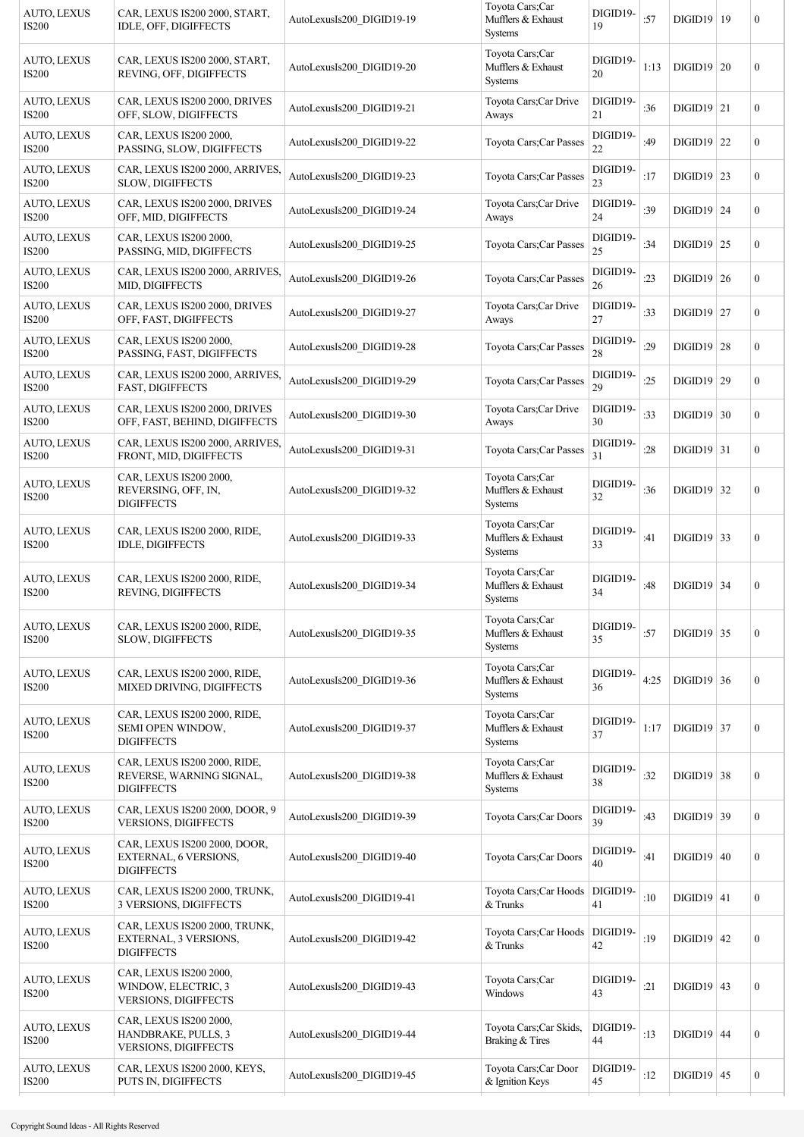| AUTO, LEXUS<br><b>IS200</b>        | CAR, LEXUS IS200 2000, START,<br>IDLE, OFF, DIGIFFECTS                        | AutoLexusIs200_DIGID19-19 | Toyota Cars;Car<br>Mufflers & Exhaust<br><b>Systems</b> | DIGID19-<br>19 | :57  | $DIGID19$   19 | $\overline{0}$   |
|------------------------------------|-------------------------------------------------------------------------------|---------------------------|---------------------------------------------------------|----------------|------|----------------|------------------|
| AUTO, LEXUS<br><b>IS200</b>        | CAR, LEXUS IS200 2000, START,<br>REVING, OFF, DIGIFFECTS                      | AutoLexusIs200 DIGID19-20 | Toyota Cars;Car<br>Mufflers & Exhaust<br><b>Systems</b> | DIGID19-<br>20 | 1:13 | $DIGID19$ 20   | $\boldsymbol{0}$ |
| <b>AUTO, LEXUS</b><br><b>IS200</b> | CAR, LEXUS IS200 2000, DRIVES<br>OFF, SLOW, DIGIFFECTS                        | AutoLexusIs200 DIGID19-21 | Toyota Cars; Car Drive<br>Aways                         | DIGID19-<br>21 | :36  | $DIGID19$ 21   | $\overline{0}$   |
| AUTO, LEXUS<br><b>IS200</b>        | CAR, LEXUS IS200 2000,<br>PASSING, SLOW, DIGIFFECTS                           | AutoLexusIs200 DIGID19-22 | Toyota Cars; Car Passes                                 | DIGID19-<br>22 | :49  | $DIGID19$ 22   | $\overline{0}$   |
| <b>AUTO, LEXUS</b><br><b>IS200</b> | CAR, LEXUS IS200 2000, ARRIVES,<br>SLOW, DIGIFFECTS                           | AutoLexusIs200_DIGID19-23 | Toyota Cars; Car Passes                                 | DIGID19-<br>23 | :17  | $DIGID19$ 23   | $\boldsymbol{0}$ |
| AUTO, LEXUS<br><b>IS200</b>        | CAR, LEXUS IS200 2000, DRIVES<br>OFF, MID, DIGIFFECTS                         | AutoLexusIs200 DIGID19-24 | Toyota Cars;Car Drive<br>Aways                          | DIGID19-<br>24 | :39  | $DIGID19$ 24   | $\overline{0}$   |
| <b>AUTO, LEXUS</b><br><b>IS200</b> | CAR, LEXUS IS200 2000,<br>PASSING, MID, DIGIFFECTS                            | AutoLexusIs200 DIGID19-25 | Toyota Cars; Car Passes                                 | DIGID19-<br>25 | :34  | $DIGID19$ 25   | $\overline{0}$   |
| AUTO, LEXUS<br><b>IS200</b>        | CAR, LEXUS IS200 2000, ARRIVES,<br>MID, DIGIFFECTS                            | AutoLexusIs200 DIGID19-26 | Toyota Cars; Car Passes                                 | DIGID19-<br>26 | :23  | $DIGID19$ 26   | $\overline{0}$   |
| <b>AUTO, LEXUS</b><br><b>IS200</b> | CAR, LEXUS IS200 2000, DRIVES<br>OFF, FAST, DIGIFFECTS                        | AutoLexusIs200 DIGID19-27 | Toyota Cars;Car Drive<br>Aways                          | DIGID19-<br>27 | :33  | $DIGID19$ 27   | $\overline{0}$   |
| <b>AUTO, LEXUS</b><br><b>IS200</b> | CAR, LEXUS IS200 2000,<br>PASSING, FAST, DIGIFFECTS                           | AutoLexusIs200 DIGID19-28 | Toyota Cars; Car Passes                                 | DIGID19-<br>28 | :29  | $DIGID19$ 28   | $\overline{0}$   |
| <b>AUTO, LEXUS</b><br><b>IS200</b> | CAR, LEXUS IS200 2000, ARRIVES,<br>FAST, DIGIFFECTS                           | AutoLexusIs200 DIGID19-29 | Toyota Cars; Car Passes                                 | DIGID19-<br>29 | :25  | $DIGID19$ 29   | $\overline{0}$   |
| AUTO, LEXUS<br><b>IS200</b>        | CAR, LEXUS IS200 2000, DRIVES<br>OFF, FAST, BEHIND, DIGIFFECTS                | AutoLexusIs200_DIGID19-30 | Toyota Cars; Car Drive<br>Aways                         | DIGID19-<br>30 | :33  | $DIGID19$ 30   | $\overline{0}$   |
| AUTO, LEXUS<br><b>IS200</b>        | CAR, LEXUS IS200 2000, ARRIVES,<br>FRONT, MID, DIGIFFECTS                     | AutoLexusIs200 DIGID19-31 | Toyota Cars; Car Passes                                 | DIGID19-<br>31 | :28  | $DIGID19$ 31   | $\overline{0}$   |
| <b>AUTO, LEXUS</b><br><b>IS200</b> | CAR, LEXUS IS200 2000,<br>REVERSING, OFF, IN,<br><b>DIGIFFECTS</b>            | AutoLexusIs200 DIGID19-32 | Toyota Cars;Car<br>Mufflers & Exhaust<br>Systems        | DIGID19-<br>32 | :36  | $DIGID19$ 32   | $\overline{0}$   |
| AUTO, LEXUS<br><b>IS200</b>        | CAR, LEXUS IS200 2000, RIDE,<br>IDLE, DIGIFFECTS                              | AutoLexusIs200_DIGID19-33 | Toyota Cars; Car<br>Mufflers & Exhaust<br>Systems       | DIGID19-<br>33 | :41  | $DIGID19$ 33   | $\overline{0}$   |
| <b>AUTO, LEXUS</b><br><b>IS200</b> | CAR, LEXUS IS200 2000, RIDE,<br>REVING, DIGIFFECTS                            | AutoLexusIs200 DIGID19-34 | Toyota Cars; Car<br>Mufflers & Exhaust<br>Systems       | DIGID19-<br>34 | :48  | $DIGID19$ 34   | $\boldsymbol{0}$ |
| <b>AUTO, LEXUS</b><br><b>IS200</b> | CAR, LEXUS IS200 2000, RIDE,<br>SLOW, DIGIFFECTS                              | AutoLexusIs200_DIGID19-35 | Toyota Cars;Car<br>Mufflers & Exhaust<br><b>Systems</b> | DIGID19-<br>35 | :57  | $DIGID19$ 35   | $\overline{0}$   |
| <b>AUTO, LEXUS</b><br><b>IS200</b> | CAR, LEXUS IS200 2000, RIDE,<br>MIXED DRIVING, DIGIFFECTS                     | AutoLexusIs200 DIGID19-36 | Toyota Cars;Car<br>Mufflers & Exhaust<br>Systems        | DIGID19-<br>36 | 4:25 | $DIGID19$ 36   | $\boldsymbol{0}$ |
| AUTO, LEXUS<br><b>IS200</b>        | CAR, LEXUS IS200 2000, RIDE,<br>SEMI OPEN WINDOW,<br><b>DIGIFFECTS</b>        | AutoLexusIs200_DIGID19-37 | Toyota Cars;Car<br>Mufflers & Exhaust<br>Systems        | DIGID19-<br>37 | 1:17 | $DIGID19$ 37   | $\overline{0}$   |
| <b>AUTO, LEXUS</b><br><b>IS200</b> | CAR, LEXUS IS200 2000, RIDE,<br>REVERSE, WARNING SIGNAL,<br><b>DIGIFFECTS</b> | AutoLexusIs200_DIGID19-38 | Toyota Cars;Car<br>Mufflers & Exhaust<br>Systems        | DIGID19-<br>38 | :32  | $DIGID19$ 38   | $\boldsymbol{0}$ |
| AUTO, LEXUS<br><b>IS200</b>        | CAR, LEXUS IS200 2000, DOOR, 9<br><b>VERSIONS, DIGIFFECTS</b>                 | AutoLexusIs200_DIGID19-39 | Toyota Cars;Car Doors                                   | DIGID19-<br>39 | :43  | $DIGD19$ 39    | $\boldsymbol{0}$ |
| <b>AUTO, LEXUS</b><br><b>IS200</b> | CAR, LEXUS IS200 2000, DOOR,<br>EXTERNAL, 6 VERSIONS,<br><b>DIGIFFECTS</b>    | AutoLexusIs200 DIGID19-40 | Toyota Cars;Car Doors                                   | DIGID19-<br>40 | :41  | $DIGID19$ 40   | $\overline{0}$   |
| AUTO, LEXUS<br><b>IS200</b>        | CAR, LEXUS IS200 2000, TRUNK,<br>3 VERSIONS, DIGIFFECTS                       | AutoLexusIs200_DIGID19-41 | Toyota Cars; Car Hoods<br>$&$ Trunks                    | DIGID19-<br>41 | :10  | $DIGD19$ 41    | $\overline{0}$   |
| <b>AUTO, LEXUS</b><br><b>IS200</b> | CAR, LEXUS IS200 2000, TRUNK,<br>EXTERNAL, 3 VERSIONS,<br><b>DIGIFFECTS</b>   | AutoLexusIs200_DIGID19-42 | Toyota Cars; Car Hoods<br>& Trunks                      | DIGID19-<br>42 | :19  | $DIGID19$ 42   | $\overline{0}$   |
| <b>AUTO, LEXUS</b><br><b>IS200</b> | CAR, LEXUS IS200 2000,<br>WINDOW, ELECTRIC, 3<br>VERSIONS, DIGIFFECTS         | AutoLexusIs200 DIGID19-43 | Toyota Cars;Car<br>Windows                              | DIGID19-<br>43 | :21  | $DIGID19$ 43   | $\boldsymbol{0}$ |
| <b>AUTO, LEXUS</b><br><b>IS200</b> | CAR, LEXUS IS200 2000,<br>HANDBRAKE, PULLS, 3<br><b>VERSIONS, DIGIFFECTS</b>  | AutoLexusIs200_DIGID19-44 | Toyota Cars; Car Skids,<br>Braking & Tires              | DIGID19-<br>44 | :13  | $DIGID19$ 44   | $\overline{0}$   |
| <b>AUTO, LEXUS</b><br><b>IS200</b> | CAR, LEXUS IS200 2000, KEYS,<br>PUTS IN, DIGIFFECTS                           | AutoLexusIs200 DIGID19-45 | Toyota Cars;Car Door<br>& Ignition Keys                 | DIGID19-<br>45 | :12  | $DIGID19$ 45   | $\boldsymbol{0}$ |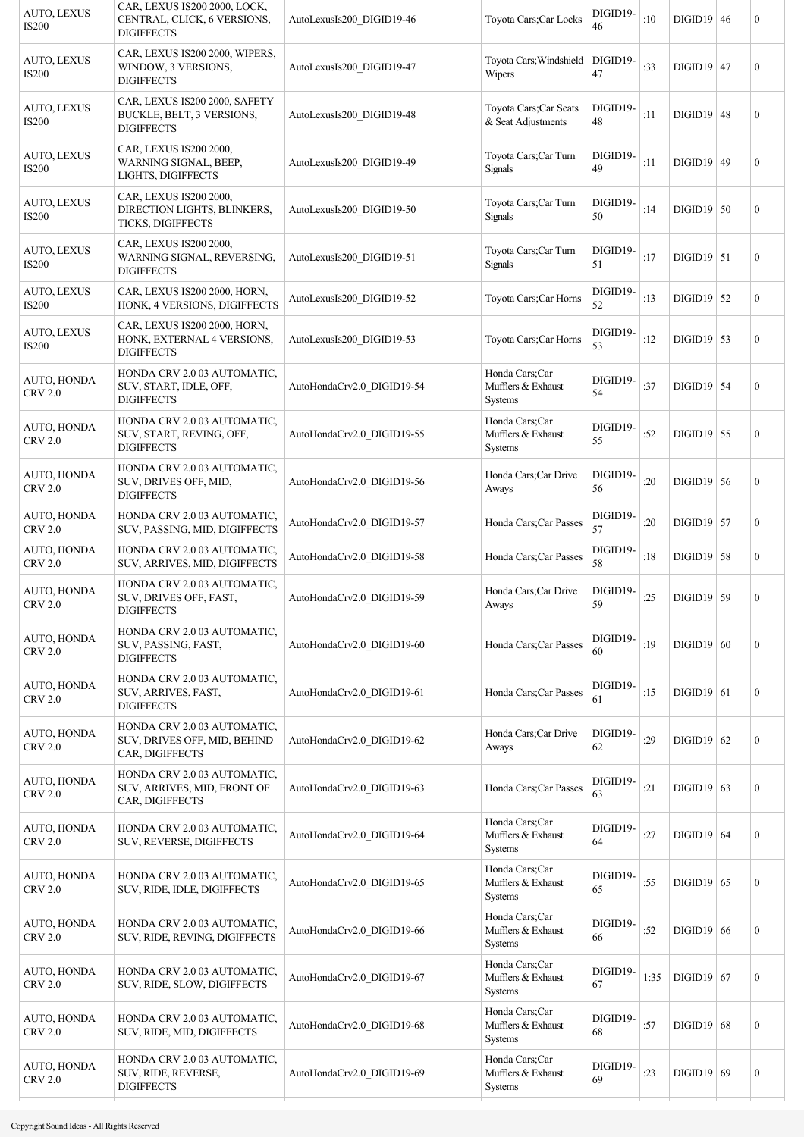| $DIGID19$ 47<br>$\boldsymbol{0}$<br>$DIGID19$ 48<br>$\boldsymbol{0}$<br>$DIGID19$ 49<br>$\boldsymbol{0}$ |
|----------------------------------------------------------------------------------------------------------|
|                                                                                                          |
|                                                                                                          |
|                                                                                                          |
| $DIGID19$ 50<br>$\boldsymbol{0}$                                                                         |
| $DIGD19$ 51<br>$\boldsymbol{0}$                                                                          |
| $DIGID19$ 52<br>$\boldsymbol{0}$                                                                         |
| $DIGID19$ 53<br>$\boldsymbol{0}$                                                                         |
| $DIGID19$ 54<br>$\boldsymbol{0}$                                                                         |
| $DIGID19$ 55<br>$\boldsymbol{0}$                                                                         |
| $DIGID19$ 56<br>$\boldsymbol{0}$                                                                         |
| $DIGID19$ 57<br>$\boldsymbol{0}$                                                                         |
| $DIGID19$ 58<br>$\boldsymbol{0}$                                                                         |
| $DIGID19$ 59<br>$\boldsymbol{0}$                                                                         |
| $DIGID19$ 60<br>$\boldsymbol{0}$                                                                         |
| $DIGID19$ 61<br>$\boldsymbol{0}$                                                                         |
| $\boldsymbol{0}$<br>$DIGID19$ 62                                                                         |
| $DIGID19$ 63<br>$\boldsymbol{0}$                                                                         |
| $DIGID19$ 64<br>$\boldsymbol{0}$                                                                         |
| $DIGID19$ 65<br>$\boldsymbol{0}$                                                                         |
| $DIGID19$ 66<br>$\boldsymbol{0}$                                                                         |
| $DIGID19$ 67<br>$\boldsymbol{0}$                                                                         |
| $DIGID19$ 68<br>$\boldsymbol{0}$                                                                         |
| $DIGID19$ 69<br>$\boldsymbol{0}$                                                                         |
|                                                                                                          |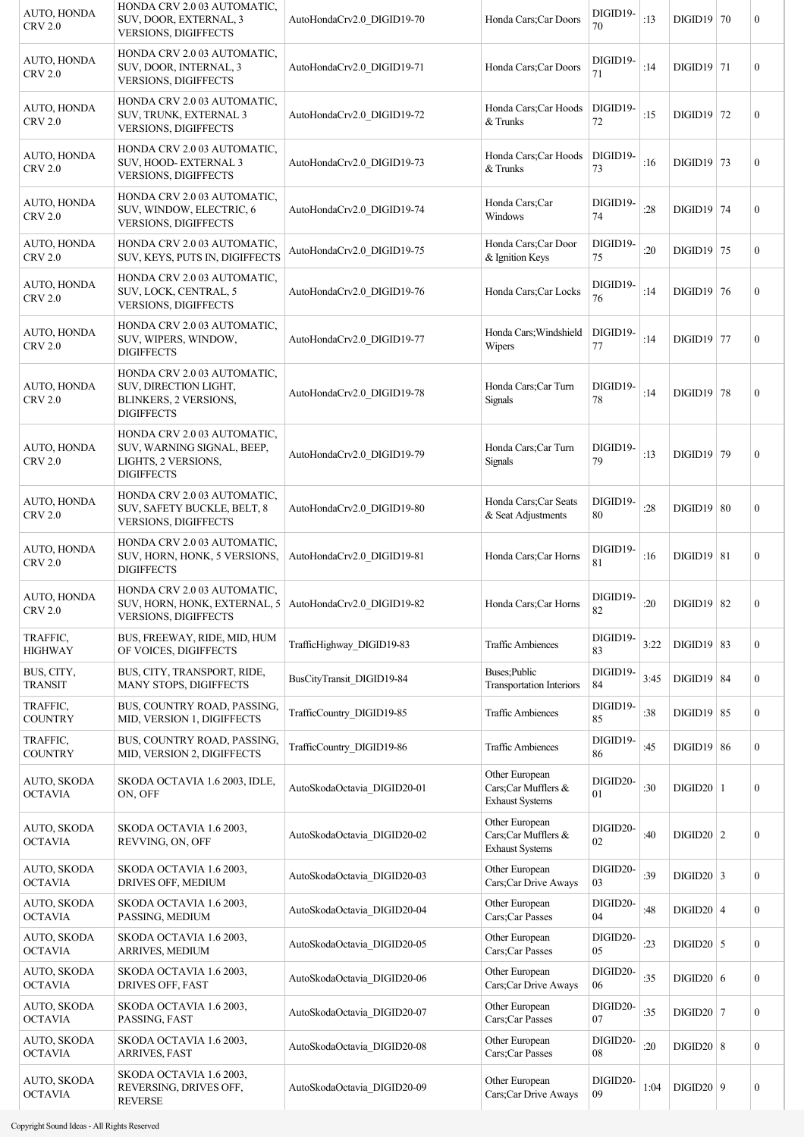| AUTO, HONDA<br><b>CRV 2.0</b>        | HONDA CRV 2.0 03 AUTOMATIC,<br>SUV, DOOR, EXTERNAL, 3<br><b>VERSIONS, DIGIFFECTS</b>                           | AutoHondaCrv2.0 DIGID19-70  | Honda Cars; Car Doors                                           | DIGID19-<br>70 | :13  | $DIGID19$ 70   | $\boldsymbol{0}$ |
|--------------------------------------|----------------------------------------------------------------------------------------------------------------|-----------------------------|-----------------------------------------------------------------|----------------|------|----------------|------------------|
| AUTO, HONDA<br><b>CRV 2.0</b>        | HONDA CRV 2.0 03 AUTOMATIC,<br>SUV, DOOR, INTERNAL, 3<br>VERSIONS, DIGIFFECTS                                  | AutoHondaCrv2.0 DIGID19-71  | Honda Cars; Car Doors                                           | DIGID19-<br>71 | :14  | $DIGID19$ 71   | $\boldsymbol{0}$ |
| AUTO, HONDA<br><b>CRV 2.0</b>        | HONDA CRV 2.0 03 AUTOMATIC,<br>SUV, TRUNK, EXTERNAL 3<br><b>VERSIONS, DIGIFFECTS</b>                           | AutoHondaCrv2.0 DIGID19-72  | Honda Cars; Car Hoods<br>& Trunks                               | DIGID19-<br>72 | :15  | $DIGID19$ 72   | $\boldsymbol{0}$ |
| AUTO, HONDA<br><b>CRV 2.0</b>        | HONDA CRV 2.0 03 AUTOMATIC,<br>SUV, HOOD- EXTERNAL 3<br><b>VERSIONS, DIGIFFECTS</b>                            | AutoHondaCrv2.0 DIGID19-73  | Honda Cars;Car Hoods<br>& Trunks                                | DIGID19-<br>73 | :16  | $DIGID19$ 73   | $\boldsymbol{0}$ |
| AUTO, HONDA<br><b>CRV 2.0</b>        | HONDA CRV 2.0 03 AUTOMATIC,<br>SUV, WINDOW, ELECTRIC, 6<br><b>VERSIONS, DIGIFFECTS</b>                         | AutoHondaCrv2.0 DIGID19-74  | Honda Cars;Car<br>Windows                                       | DIGID19-<br>74 | :28  | $DIGID19$ 74   | $\boldsymbol{0}$ |
| AUTO, HONDA<br><b>CRV 2.0</b>        | HONDA CRV 2.0 03 AUTOMATIC,<br>SUV, KEYS, PUTS IN, DIGIFFECTS                                                  | AutoHondaCrv2.0 DIGID19-75  | Honda Cars;Car Door<br>& Ignition Keys                          | DIGID19-<br>75 | :20  | $DIGID19$ 75   | $\mathbf{0}$     |
| AUTO, HONDA<br><b>CRV 2.0</b>        | HONDA CRV 2.0 03 AUTOMATIC,<br>SUV, LOCK, CENTRAL, 5<br>VERSIONS, DIGIFFECTS                                   | AutoHondaCrv2.0 DIGID19-76  | Honda Cars; Car Locks                                           | DIGID19-<br>76 | :14  | $DIGID19$ 76   | $\boldsymbol{0}$ |
| AUTO, HONDA<br><b>CRV 2.0</b>        | HONDA CRV 2.0 03 AUTOMATIC,<br>SUV, WIPERS, WINDOW,<br><b>DIGIFFECTS</b>                                       | AutoHondaCrv2.0 DIGID19-77  | Honda Cars; Windshield<br>Wipers                                | DIGID19-<br>77 | :14  | $DIGID19$ 77   | $\boldsymbol{0}$ |
| AUTO, HONDA<br><b>CRV 2.0</b>        | HONDA CRV 2.0 03 AUTOMATIC,<br>SUV, DIRECTION LIGHT,<br>BLINKERS, 2 VERSIONS,<br><b>DIGIFFECTS</b>             | AutoHondaCrv2.0 DIGID19-78  | Honda Cars;Car Turn<br>Signals                                  | DIGID19-<br>78 | :14  | $DIGID19$ 78   | $\boldsymbol{0}$ |
| AUTO, HONDA<br><b>CRV 2.0</b>        | HONDA CRV 2.0 03 AUTOMATIC,<br>SUV, WARNING SIGNAL, BEEP,<br>LIGHTS, 2 VERSIONS,<br><b>DIGIFFECTS</b>          | AutoHondaCrv2.0 DIGID19-79  | Honda Cars;Car Turn<br><b>Signals</b>                           | DIGID19-<br>79 | :13  | $DIGID19$ 79   | $\boldsymbol{0}$ |
| AUTO, HONDA<br><b>CRV 2.0</b>        | HONDA CRV 2.0 03 AUTOMATIC,<br>SUV, SAFETY BUCKLE, BELT, 8<br><b>VERSIONS, DIGIFFECTS</b>                      | AutoHondaCrv2.0 DIGID19-80  | Honda Cars; Car Seats<br>& Seat Adjustments                     | DIGID19-<br>80 | :28  | $DIGID19$ 80   | $\boldsymbol{0}$ |
| AUTO, HONDA<br><b>CRV 2.0</b>        | HONDA CRV 2.0 03 AUTOMATIC,<br>SUV, HORN, HONK, 5 VERSIONS,<br><b>DIGIFFECTS</b>                               | AutoHondaCrv2.0_DIGID19-81  | Honda Cars; Car Horns                                           | DIGID19-<br>81 | :16  | $DIGID19$   81 | $\mathbf{0}$     |
| <b>AUTO, HONDA</b><br><b>CRV 2.0</b> | HONDA CRV 2.0 03 AUTOMATIC,<br>SUV, HORN, HONK, EXTERNAL, 5 AutoHondaCrv2.0 DIGID19-82<br>VERSIONS, DIGIFFECTS |                             | Honda Cars; Car Horns                                           | DIGID19-<br>82 | :20  | $DIGID19$ 82   | $\boldsymbol{0}$ |
| TRAFFIC,<br><b>HIGHWAY</b>           | BUS, FREEWAY, RIDE, MID, HUM<br>OF VOICES, DIGIFFECTS                                                          | TrafficHighway_DIGID19-83   | <b>Traffic Ambiences</b>                                        | DIGID19-<br>83 | 3:22 | $DIGID19$ 83   | $\boldsymbol{0}$ |
| BUS, CITY,<br><b>TRANSIT</b>         | BUS, CITY, TRANSPORT, RIDE,<br>MANY STOPS, DIGIFFECTS                                                          | BusCityTransit_DIGID19-84   | Buses;Public<br><b>Transportation Interiors</b>                 | DIGID19-<br>84 | 3:45 | $DIGID19$ 84   | $\boldsymbol{0}$ |
| TRAFFIC,<br><b>COUNTRY</b>           | BUS, COUNTRY ROAD, PASSING,<br>MID, VERSION 1, DIGIFFECTS                                                      | TrafficCountry_DIGID19-85   | <b>Traffic Ambiences</b>                                        | DIGID19-<br>85 | :38  | $DIGID19$ 85   | $\boldsymbol{0}$ |
| TRAFFIC,<br><b>COUNTRY</b>           | BUS, COUNTRY ROAD, PASSING,<br>MID, VERSION 2, DIGIFFECTS                                                      | TrafficCountry_DIGID19-86   | <b>Traffic Ambiences</b>                                        | DIGID19-<br>86 | :45  | $DIGID19$ 86   | $\boldsymbol{0}$ |
| AUTO, SKODA<br>OCTAVIA               | SKODA OCTAVIA 1.6 2003, IDLE,<br>ON, OFF                                                                       | AutoSkodaOctavia DIGID20-01 | Other European<br>Cars;Car Mufflers &<br><b>Exhaust Systems</b> | DIGID20-<br>01 | :30  | $DIGID20$   1  | $\boldsymbol{0}$ |
| AUTO, SKODA<br><b>OCTAVIA</b>        | SKODA OCTAVIA 1.6 2003,<br>REVVING, ON, OFF                                                                    | AutoSkodaOctavia DIGID20-02 | Other European<br>Cars;Car Mufflers &<br><b>Exhaust Systems</b> | DIGID20-<br>02 | :40  | $DIGID20$   2  | $\boldsymbol{0}$ |
| AUTO, SKODA<br><b>OCTAVIA</b>        | SKODA OCTAVIA 1.6 2003,<br>DRIVES OFF, MEDIUM                                                                  | AutoSkodaOctavia_DIGID20-03 | Other European<br>Cars;Car Drive Aways                          | DIGID20-<br>03 | :39  | $DIGID20$ 3    | $\boldsymbol{0}$ |
| AUTO, SKODA<br><b>OCTAVIA</b>        | SKODA OCTAVIA 1.6 2003,<br>PASSING, MEDIUM                                                                     | AutoSkodaOctavia_DIGID20-04 | Other European<br>Cars;Car Passes                               | DIGID20-<br>04 | :48  | $DIGID20$ 4    | $\boldsymbol{0}$ |
| AUTO, SKODA<br><b>OCTAVIA</b>        | SKODA OCTAVIA 1.6 2003,<br>ARRIVES, MEDIUM                                                                     | AutoSkodaOctavia DIGID20-05 | Other European<br>Cars;Car Passes                               | DIGID20-<br>05 | :23  | $DIGID20$ 5    | $\boldsymbol{0}$ |
| AUTO, SKODA<br><b>OCTAVIA</b>        | SKODA OCTAVIA 1.6 2003,<br>DRIVES OFF, FAST                                                                    | AutoSkodaOctavia DIGID20-06 | Other European<br>Cars;Car Drive Aways                          | DIGID20-<br>06 | :35  | DIGID20 6      | $\boldsymbol{0}$ |
| AUTO, SKODA<br><b>OCTAVIA</b>        | SKODA OCTAVIA 1.6 2003,<br>PASSING, FAST                                                                       | AutoSkodaOctavia DIGID20-07 | Other European<br>Cars;Car Passes                               | DIGID20-<br>07 | :35  | $DIGID20$ 7    | $\boldsymbol{0}$ |
| AUTO, SKODA<br><b>OCTAVIA</b>        | SKODA OCTAVIA 1.6 2003,<br><b>ARRIVES, FAST</b>                                                                | AutoSkodaOctavia DIGID20-08 | Other European<br>Cars;Car Passes                               | DIGID20-<br>08 | :20  | $DIGID20$ 8    | $\boldsymbol{0}$ |
| AUTO, SKODA<br><b>OCTAVIA</b>        | SKODA OCTAVIA 1.6 2003,<br>REVERSING, DRIVES OFF,<br><b>REVERSE</b>                                            | AutoSkodaOctavia DIGID20-09 | Other European<br>Cars;Car Drive Aways                          | DIGID20-<br>09 | 1:04 | $DIGID20$ 9    | $\boldsymbol{0}$ |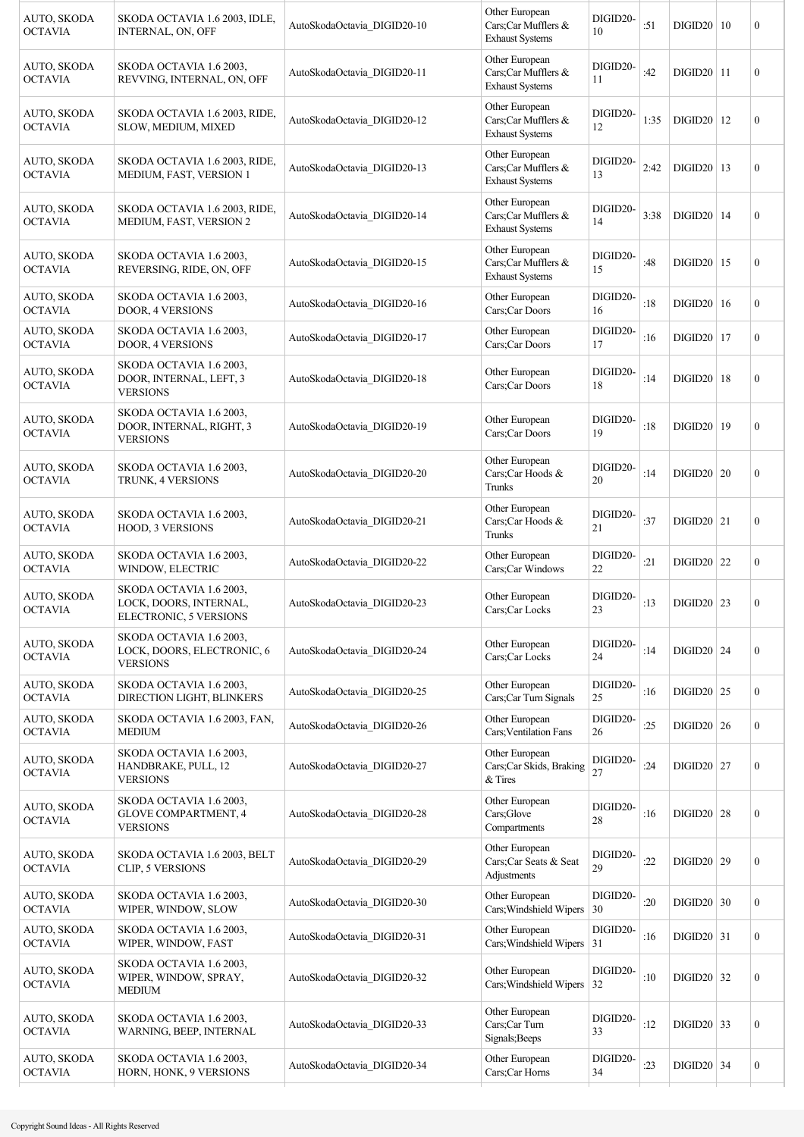| AUTO, SKODA<br><b>OCTAVIA</b> | SKODA OCTAVIA 1.6 2003, IDLE,<br>INTERNAL, ON, OFF                          | AutoSkodaOctavia DIGID20-10 | Other European<br>Cars;Car Mufflers &<br><b>Exhaust Systems</b> | DIGID20-<br>10     | :51  | DIGID20   10   | $\boldsymbol{0}$ |
|-------------------------------|-----------------------------------------------------------------------------|-----------------------------|-----------------------------------------------------------------|--------------------|------|----------------|------------------|
| AUTO, SKODA<br><b>OCTAVIA</b> | SKODA OCTAVIA 1.6 2003,<br>REVVING, INTERNAL, ON, OFF                       | AutoSkodaOctavia DIGID20-11 | Other European<br>Cars;Car Mufflers &<br><b>Exhaust Systems</b> | DIGID20-<br>11     | :42  | $DIGID20$ 11   | $\boldsymbol{0}$ |
| AUTO, SKODA<br><b>OCTAVIA</b> | SKODA OCTAVIA 1.6 2003, RIDE,<br>SLOW, MEDIUM, MIXED                        | AutoSkodaOctavia_DIGID20-12 | Other European<br>Cars;Car Mufflers &<br><b>Exhaust Systems</b> | DIGID20-<br>12     | 1:35 | $DIGID20$   12 | $\boldsymbol{0}$ |
| AUTO, SKODA<br><b>OCTAVIA</b> | SKODA OCTAVIA 1.6 2003, RIDE,<br>MEDIUM, FAST, VERSION 1                    | AutoSkodaOctavia DIGID20-13 | Other European<br>Cars;Car Mufflers &<br><b>Exhaust Systems</b> | DIGID20-<br>13     | 2:42 | $DIGID20$   13 | $\boldsymbol{0}$ |
| AUTO, SKODA<br><b>OCTAVIA</b> | SKODA OCTAVIA 1.6 2003, RIDE,<br>MEDIUM, FAST, VERSION 2                    | AutoSkodaOctavia DIGID20-14 | Other European<br>Cars;Car Mufflers &<br><b>Exhaust Systems</b> | DIGID20-<br>14     | 3:38 | $DIGID20$   14 | $\boldsymbol{0}$ |
| AUTO, SKODA<br><b>OCTAVIA</b> | SKODA OCTAVIA 1.6 2003,<br>REVERSING, RIDE, ON, OFF                         | AutoSkodaOctavia DIGID20-15 | Other European<br>Cars;Car Mufflers &<br><b>Exhaust Systems</b> | DIGID20-<br>15     | :48  | $DIGID20$   15 | $\boldsymbol{0}$ |
| AUTO, SKODA<br><b>OCTAVIA</b> | SKODA OCTAVIA 1.6 2003,<br>DOOR, 4 VERSIONS                                 | AutoSkodaOctavia DIGID20-16 | Other European<br>Cars:Car Doors                                | DIGID20-<br>16     | :18  | $DIGID20$   16 | $\boldsymbol{0}$ |
| AUTO, SKODA<br><b>OCTAVIA</b> | SKODA OCTAVIA 1.6 2003,<br><b>DOOR, 4 VERSIONS</b>                          | AutoSkodaOctavia DIGID20-17 | Other European<br>Cars;Car Doors                                | DIGID20-<br>17     | :16  | $DIGID20$   17 | $\boldsymbol{0}$ |
| AUTO, SKODA<br><b>OCTAVIA</b> | SKODA OCTAVIA 1.6 2003,<br>DOOR, INTERNAL, LEFT, 3<br><b>VERSIONS</b>       | AutoSkodaOctavia DIGID20-18 | Other European<br>Cars;Car Doors                                | DIGID20-<br>18     | :14  | $DIGID20$   18 | $\boldsymbol{0}$ |
| AUTO, SKODA<br><b>OCTAVIA</b> | SKODA OCTAVIA 1.6 2003,<br>DOOR, INTERNAL, RIGHT, 3<br><b>VERSIONS</b>      | AutoSkodaOctavia DIGID20-19 | Other European<br>Cars;Car Doors                                | DIGID20-<br>19     | :18  | $DIGID20$   19 | $\boldsymbol{0}$ |
| AUTO, SKODA<br><b>OCTAVIA</b> | SKODA OCTAVIA 1.6 2003,<br>TRUNK, 4 VERSIONS                                | AutoSkodaOctavia DIGID20-20 | Other European<br>Cars;Car Hoods &<br>Trunks                    | DIGID20-<br>20     | :14  | $DIGID20$ 20   | $\boldsymbol{0}$ |
| AUTO, SKODA<br><b>OCTAVIA</b> | SKODA OCTAVIA 1.6 2003,<br>HOOD, 3 VERSIONS                                 | AutoSkodaOctavia DIGID20-21 | Other European<br>Cars;Car Hoods &<br>Trunks                    | DIGID20-<br>21     | :37  | $DIGID20$   21 | $\boldsymbol{0}$ |
| AUTO, SKODA<br><b>OCTAVIA</b> | SKODA OCTAVIA 1.6 2003,<br>WINDOW, ELECTRIC                                 | AutoSkodaOctavia DIGID20-22 | Other European<br>Cars:Car Windows                              | DIGID20-<br>$22\,$ | :21  | $DIGID20$ 22   | $\mathbf{0}$     |
| AUTO, SKODA<br><b>OCTAVIA</b> | SKODA OCTAVIA 1.6 2003,<br>LOCK, DOORS, INTERNAL,<br>ELECTRONIC, 5 VERSIONS | AutoSkodaOctavia DIGID20-23 | Other European<br>Cars;Car Locks                                | DIGID20-<br>23     | :13  | $DIGID20$ 23   | $\boldsymbol{0}$ |
| AUTO, SKODA<br><b>OCTAVIA</b> | SKODA OCTAVIA 1.6 2003,<br>LOCK, DOORS, ELECTRONIC, 6<br><b>VERSIONS</b>    | AutoSkodaOctavia DIGID20-24 | Other European<br>Cars;Car Locks                                | DIGID20-<br>24     | :14  | $DIGID20$ 24   | $\boldsymbol{0}$ |
| AUTO, SKODA<br><b>OCTAVIA</b> | SKODA OCTAVIA 1.6 2003,<br>DIRECTION LIGHT, BLINKERS                        | AutoSkodaOctavia DIGID20-25 | Other European<br>Cars;Car Turn Signals                         | DIGID20-<br>25     | :16  | $DIGID20$ 25   | $\mathbf{0}$     |
| AUTO, SKODA<br><b>OCTAVIA</b> | SKODA OCTAVIA 1.6 2003, FAN,<br><b>MEDIUM</b>                               | AutoSkodaOctavia_DIGID20-26 | Other European<br>Cars; Ventilation Fans                        | DIGID20-<br>26     | :25  | $DIGID20$ 26   | $\mathbf{0}$     |
| AUTO, SKODA<br><b>OCTAVIA</b> | SKODA OCTAVIA 1.6 2003,<br>HANDBRAKE, PULL, 12<br><b>VERSIONS</b>           | AutoSkodaOctavia_DIGID20-27 | Other European<br>Cars;Car Skids, Braking<br>& Tires            | DIGID20-<br>27     | :24  | $DIGID20$ 27   | $\mathbf{0}$     |
| AUTO, SKODA<br><b>OCTAVIA</b> | SKODA OCTAVIA 1.6 2003,<br><b>GLOVE COMPARTMENT, 4</b><br><b>VERSIONS</b>   | AutoSkodaOctavia DIGID20-28 | Other European<br>Cars;Glove<br>Compartments                    | DIGID20-<br>28     | :16  | $DIGID20$ 28   | $\boldsymbol{0}$ |
| AUTO, SKODA<br><b>OCTAVIA</b> | SKODA OCTAVIA 1.6 2003, BELT<br>CLIP, 5 VERSIONS                            | AutoSkodaOctavia_DIGID20-29 | Other European<br>Cars;Car Seats & Seat<br>Adjustments          | DIGID20-<br>29     | :22  | $DIGID20$ 29   | $\boldsymbol{0}$ |
| AUTO, SKODA<br><b>OCTAVIA</b> | SKODA OCTAVIA 1.6 2003,<br>WIPER, WINDOW, SLOW                              | AutoSkodaOctavia_DIGID20-30 | Other European<br>Cars; Windshield Wipers                       | DIGID20-<br>30     | :20  | $DIGID20$ 30   | $\mathbf{0}$     |
| AUTO, SKODA<br><b>OCTAVIA</b> | SKODA OCTAVIA 1.6 2003,<br>WIPER, WINDOW, FAST                              | AutoSkodaOctavia_DIGID20-31 | Other European<br>Cars; Windshield Wipers                       | DIGID20-<br>31     | :16  | $DIGID20$ 31   | $\mathbf{0}$     |
| AUTO, SKODA<br><b>OCTAVIA</b> | SKODA OCTAVIA 1.6 2003,<br>WIPER, WINDOW, SPRAY,<br><b>MEDIUM</b>           | AutoSkodaOctavia DIGID20-32 | Other European<br>Cars; Windshield Wipers                       | DIGID20-<br>32     | :10  | $DIGID20$ 32   | $\mathbf{0}$     |
| AUTO, SKODA<br><b>OCTAVIA</b> | SKODA OCTAVIA 1.6 2003,<br>WARNING, BEEP, INTERNAL                          | AutoSkodaOctavia DIGID20-33 | Other European<br>Cars;Car Turn<br>Signals; Beeps               | DIGID20-<br>33     | :12  | $DIGID20$ 33   | $\mathbf{0}$     |
| AUTO, SKODA<br><b>OCTAVIA</b> | SKODA OCTAVIA 1.6 2003,<br>HORN, HONK, 9 VERSIONS                           | AutoSkodaOctavia_DIGID20-34 | Other European<br>Cars;Car Horns                                | DIGID20-<br>34     | :23  | $DIGID20$ 34   | $\mathbf{0}$     |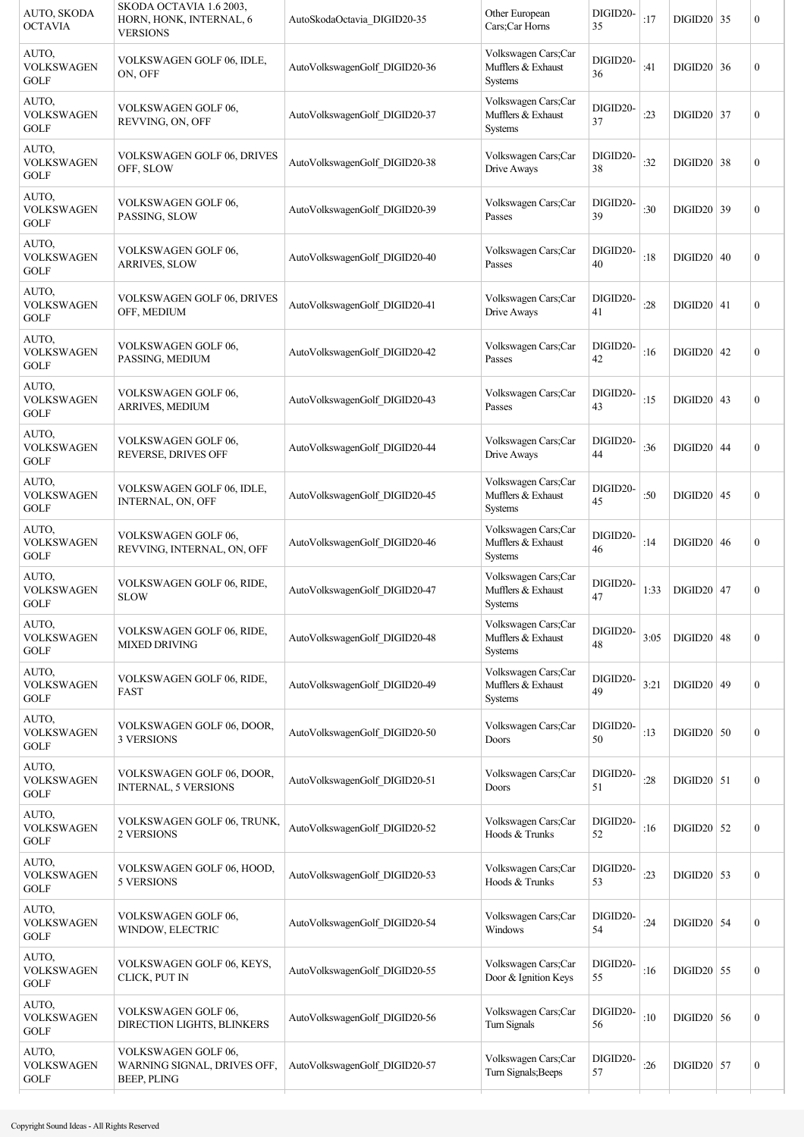| AUTO, SKODA<br><b>OCTAVIA</b>                       | SKODA OCTAVIA 1.6 2003.<br>HORN, HONK, INTERNAL, 6<br><b>VERSIONS</b> | AutoSkodaOctavia DIGID20-35   | Other European<br>Cars;Car Horns                            | DIGID20-<br>35 | :17  | $DIGID20$ 35 | $\boldsymbol{0}$ |
|-----------------------------------------------------|-----------------------------------------------------------------------|-------------------------------|-------------------------------------------------------------|----------------|------|--------------|------------------|
| AUTO,<br><b>VOLKSWAGEN</b><br><b>GOLF</b>           | VOLKSWAGEN GOLF 06, IDLE,<br>ON, OFF                                  | AutoVolkswagenGolf DIGID20-36 | Volkswagen Cars;Car<br>Mufflers & Exhaust<br><b>Systems</b> | DIGID20-<br>36 | :41  | $DIGID20$ 36 | $\boldsymbol{0}$ |
| AUTO,<br><b>VOLKSWAGEN</b><br><b>GOLF</b>           | VOLKSWAGEN GOLF 06,<br>REVVING, ON, OFF                               | AutoVolkswagenGolf DIGID20-37 | Volkswagen Cars;Car<br>Mufflers & Exhaust<br><b>Systems</b> | DIGID20-<br>37 | :23  | $DIGID20$ 37 | $\boldsymbol{0}$ |
| AUTO,<br><b>VOLKSWAGEN</b><br>GOLF                  | <b>VOLKSWAGEN GOLF 06, DRIVES</b><br>OFF, SLOW                        | AutoVolkswagenGolf DIGID20-38 | Volkswagen Cars;Car<br>Drive Aways                          | DIGID20-<br>38 | :32  | $DIGID20$ 38 | $\boldsymbol{0}$ |
| AUTO,<br><b>VOLKSWAGEN</b><br><b>GOLF</b>           | VOLKSWAGEN GOLF 06,<br>PASSING, SLOW                                  | AutoVolkswagenGolf_DIGID20-39 | Volkswagen Cars;Car<br>Passes                               | DIGID20-<br>39 | :30  | $DIGID20$ 39 | $\mathbf{0}$     |
| AUTO,<br><b>VOLKSWAGEN</b><br>GOLF                  | VOLKSWAGEN GOLF 06,<br><b>ARRIVES, SLOW</b>                           | AutoVolkswagenGolf_DIGID20-40 | Volkswagen Cars;Car<br>Passes                               | DIGID20-<br>40 | :18  | $DIGID20$ 40 | $\boldsymbol{0}$ |
| AUTO,<br><b>VOLKSWAGEN</b><br><b>GOLF</b>           | VOLKSWAGEN GOLF 06, DRIVES<br>OFF, MEDIUM                             | AutoVolkswagenGolf DIGID20-41 | Volkswagen Cars;Car<br>Drive Aways                          | DIGID20-<br>41 | :28  | $DIGID20$ 41 | $\mathbf{0}$     |
| AUTO,<br><b>VOLKSWAGEN</b><br><b>GOLF</b>           | VOLKSWAGEN GOLF 06,<br>PASSING, MEDIUM                                | AutoVolkswagenGolf DIGID20-42 | Volkswagen Cars;Car<br>Passes                               | DIGID20-<br>42 | :16  | $DIGID20$ 42 | $\boldsymbol{0}$ |
| AUTO,<br><b>VOLKSWAGEN</b><br><b>GOLF</b>           | VOLKSWAGEN GOLF 06,<br>ARRIVES, MEDIUM                                | AutoVolkswagenGolf_DIGID20-43 | Volkswagen Cars;Car<br>Passes                               | DIGID20-<br>43 | :15  | $DIGID20$ 43 | $\boldsymbol{0}$ |
| AUTO,<br><b>VOLKSWAGEN</b><br><b>GOLF</b>           | VOLKSWAGEN GOLF 06,<br><b>REVERSE, DRIVES OFF</b>                     | AutoVolkswagenGolf_DIGID20-44 | Volkswagen Cars;Car<br>Drive Aways                          | DIGID20-<br>44 | :36  | $DIGID20$ 44 | $\mathbf{0}$     |
| AUTO,<br><b>VOLKSWAGEN</b><br>GOLF                  | VOLKSWAGEN GOLF 06, IDLE,<br>INTERNAL, ON, OFF                        | AutoVolkswagenGolf_DIGID20-45 | Volkswagen Cars;Car<br>Mufflers & Exhaust<br>Systems        | DIGID20-<br>45 | :50  | $DIGID20$ 45 | $\boldsymbol{0}$ |
| AUTO,<br><b>VOLKSWAGEN</b><br><b>GOLF</b>           | VOLKSWAGEN GOLF 06,<br>REVVING, INTERNAL, ON, OFF                     | AutoVolkswagenGolf_DIGID20-46 | Volkswagen Cars;Car<br>Mufflers & Exhaust<br><b>Systems</b> | DIGID20-<br>46 | :14  | $DIGID20$ 46 | $\boldsymbol{0}$ |
| AUTO,<br><b>VOLKSWAGEN</b><br><b>GOLF</b>           | VOLKSWAGEN GOLF 06, RIDE,<br><b>SLOW</b>                              | AutoVolkswagenGolf DIGID20-47 | Volkswagen Cars;Car<br>Mufflers & Exhaust<br><b>Systems</b> | DIGID20-<br>47 | 1:33 | $DIGID20$ 47 | $\boldsymbol{0}$ |
| AUTO,<br><b>VOLKSWAGEN</b><br><b>GOLF</b>           | VOLKSWAGEN GOLF 06, RIDE,<br><b>MIXED DRIVING</b>                     | AutoVolkswagenGolf DIGID20-48 | Volkswagen Cars;Car<br>Mufflers & Exhaust<br><b>Systems</b> | DIGID20-<br>48 | 3:05 | $DIGID20$ 48 | $\mathbf{0}$     |
| AUTO,<br><b>VOLKSWAGEN</b><br><b>GOLF</b>           | VOLKSWAGEN GOLF 06, RIDE,<br><b>FAST</b>                              | AutoVolkswagenGolf DIGID20-49 | Volkswagen Cars;Car<br>Mufflers & Exhaust<br>Systems        | DIGID20-<br>49 | 3:21 | $DIGID20$ 49 | $\boldsymbol{0}$ |
| AUTO,<br><b>VOLKSWAGEN</b><br>$\operatorname{GOLF}$ | VOLKSWAGEN GOLF 06, DOOR,<br><b>3 VERSIONS</b>                        | AutoVolkswagenGolf DIGID20-50 | Volkswagen Cars;Car<br>Doors                                | DIGID20-<br>50 | :13  | $DIGID20$ 50 | $\boldsymbol{0}$ |
| AUTO,<br><b>VOLKSWAGEN</b><br><b>GOLF</b>           | VOLKSWAGEN GOLF 06, DOOR,<br>INTERNAL, 5 VERSIONS                     | AutoVolkswagenGolf_DIGID20-51 | Volkswagen Cars;Car<br>Doors                                | DIGID20-<br>51 | :28  | $DIGID20$ 51 | $\boldsymbol{0}$ |
| AUTO,<br><b>VOLKSWAGEN</b><br><b>GOLF</b>           | VOLKSWAGEN GOLF 06, TRUNK,<br>2 VERSIONS                              | AutoVolkswagenGolf DIGID20-52 | Volkswagen Cars;Car<br>Hoods & Trunks                       | DIGID20-<br>52 | :16  | $DIGID20$ 52 | $\boldsymbol{0}$ |
| AUTO,<br><b>VOLKSWAGEN</b><br><b>GOLF</b>           | VOLKSWAGEN GOLF 06, HOOD,<br><b>5 VERSIONS</b>                        | AutoVolkswagenGolf DIGID20-53 | Volkswagen Cars;Car<br>Hoods & Trunks                       | DIGID20-<br>53 | :23  | $DIGID20$ 53 | $\boldsymbol{0}$ |
| AUTO,<br><b>VOLKSWAGEN</b><br><b>GOLF</b>           | VOLKSWAGEN GOLF 06,<br>WINDOW, ELECTRIC                               | AutoVolkswagenGolf_DIGID20-54 | Volkswagen Cars;Car<br>Windows                              | DIGID20-<br>54 | :24  | $DIGID20$ 54 | $\boldsymbol{0}$ |
| AUTO,<br><b>VOLKSWAGEN</b><br><b>GOLF</b>           | VOLKSWAGEN GOLF 06, KEYS,<br>CLICK, PUT IN                            | AutoVolkswagenGolf_DIGID20-55 | Volkswagen Cars;Car<br>Door & Ignition Keys                 | DIGID20-<br>55 | :16  | $DIGID20$ 55 | $\boldsymbol{0}$ |
| AUTO,<br><b>VOLKSWAGEN</b><br><b>GOLF</b>           | VOLKSWAGEN GOLF 06,<br>DIRECTION LIGHTS, BLINKERS                     | AutoVolkswagenGolf_DIGID20-56 | Volkswagen Cars;Car<br>Turn Signals                         | DIGID20-<br>56 | :10  | $DIGID20$ 56 | $\boldsymbol{0}$ |
| AUTO,<br><b>VOLKSWAGEN</b><br><b>GOLF</b>           | VOLKSWAGEN GOLF 06,<br>WARNING SIGNAL, DRIVES OFF,<br>BEEP, PLING     | AutoVolkswagenGolf_DIGID20-57 | Volkswagen Cars;Car<br>Turn Signals; Beeps                  | DIGID20-<br>57 | :26  | $DIGID20$ 57 | $\boldsymbol{0}$ |
|                                                     |                                                                       |                               |                                                             |                |      |              |                  |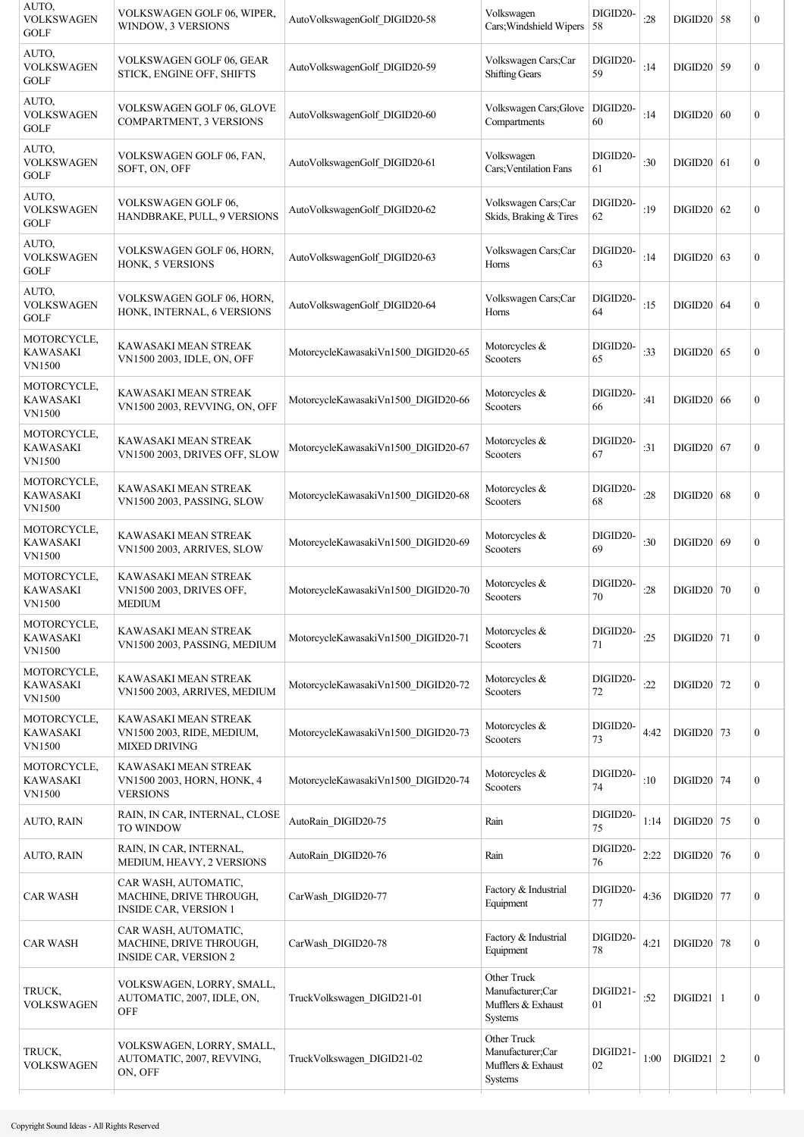| AUTO,<br><b>VOLKSWAGEN</b><br><b>GOLF</b>       | VOLKSWAGEN GOLF 06, WIPER,<br>WINDOW, 3 VERSIONS                                | AutoVolkswagenGolf_DIGID20-58       | Volkswagen<br>Cars; Windshield Wipers 58                         | DIGID20-       | :28  | $DIGID20$ 58  | $\boldsymbol{0}$ |
|-------------------------------------------------|---------------------------------------------------------------------------------|-------------------------------------|------------------------------------------------------------------|----------------|------|---------------|------------------|
| AUTO,<br><b>VOLKSWAGEN</b><br><b>GOLF</b>       | VOLKSWAGEN GOLF 06, GEAR<br>STICK, ENGINE OFF, SHIFTS                           | AutoVolkswagenGolf_DIGID20-59       | Volkswagen Cars;Car<br><b>Shifting Gears</b>                     | DIGID20-<br>59 | :14  | $DIGID20$ 59  | $\boldsymbol{0}$ |
| AUTO,<br><b>VOLKSWAGEN</b><br><b>GOLF</b>       | VOLKSWAGEN GOLF 06, GLOVE<br>COMPARTMENT, 3 VERSIONS                            | AutoVolkswagenGolf DIGID20-60       | Volkswagen Cars; Glove<br>Compartments                           | DIGID20-<br>60 | :14  | $DIGID20$ 60  | $\boldsymbol{0}$ |
| AUTO,<br><b>VOLKSWAGEN</b><br><b>GOLF</b>       | VOLKSWAGEN GOLF 06, FAN,<br>SOFT, ON, OFF                                       | AutoVolkswagenGolf DIGID20-61       | Volkswagen<br>Cars; Ventilation Fans                             | DIGID20-<br>61 | :30  | $DIGID20$ 61  | $\boldsymbol{0}$ |
| AUTO.<br><b>VOLKSWAGEN</b><br>GOLF              | VOLKSWAGEN GOLF 06,<br>HANDBRAKE, PULL, 9 VERSIONS                              | AutoVolkswagenGolf DIGID20-62       | Volkswagen Cars;Car<br>Skids, Braking & Tires                    | DIGID20-<br>62 | :19  | $DIGID20$ 62  | $\boldsymbol{0}$ |
| AUTO,<br><b>VOLKSWAGEN</b><br>GOLF              | VOLKSWAGEN GOLF 06, HORN,<br>HONK, 5 VERSIONS                                   | AutoVolkswagenGolf_DIGID20-63       | Volkswagen Cars;Car<br>Horns                                     | DIGID20-<br>63 | :14  | $DIGID20$ 63  | $\boldsymbol{0}$ |
| AUTO,<br><b>VOLKSWAGEN</b><br>GOLF              | VOLKSWAGEN GOLF 06, HORN,<br>HONK, INTERNAL, 6 VERSIONS                         | AutoVolkswagenGolf_DIGID20-64       | Volkswagen Cars;Car<br>Horns                                     | DIGID20-<br>64 | :15  | $DIGID20$ 64  | $\mathbf{0}$     |
| MOTORCYCLE,<br>KAWASAKI<br>VN1500               | KAWASAKI MEAN STREAK<br>VN1500 2003, IDLE, ON, OFF                              | MotorcycleKawasakiVn1500 DIGID20-65 | Motorcycles &<br>Scooters                                        | DIGID20-<br>65 | :33  | $DIGID20$ 65  | $\boldsymbol{0}$ |
| MOTORCYCLE,<br>KAWASAKI<br><b>VN1500</b>        | KAWASAKI MEAN STREAK<br>VN1500 2003, REVVING, ON, OFF                           | MotorcycleKawasakiVn1500 DIGID20-66 | Motorcycles &<br>Scooters                                        | DIGID20-<br>66 | :41  | $DIGID20$ 66  | $\mathbf{0}$     |
| MOTORCYCLE,<br>KAWASAKI<br><b>VN1500</b>        | KAWASAKI MEAN STREAK<br>VN1500 2003, DRIVES OFF, SLOW                           | MotorcycleKawasakiVn1500 DIGID20-67 | Motorcycles &<br>Scooters                                        | DIGID20-<br>67 | :31  | $DIGID20$ 67  | $\boldsymbol{0}$ |
| MOTORCYCLE,<br><b>KAWASAKI</b><br><b>VN1500</b> | KAWASAKI MEAN STREAK<br>VN1500 2003, PASSING, SLOW                              | MotorcycleKawasakiVn1500_DIGID20-68 | Motorcycles &<br>Scooters                                        | DIGID20-<br>68 | :28  | $DIGID20$ 68  | $\boldsymbol{0}$ |
| MOTORCYCLE,<br><b>KAWASAKI</b><br><b>VN1500</b> | KAWASAKI MEAN STREAK<br>VN1500 2003, ARRIVES, SLOW                              | MotorcycleKawasakiVn1500 DIGID20-69 | Motorcycles &<br>Scooters                                        | DIGID20-<br>69 | :30  | DIGID20   69  | $\boldsymbol{0}$ |
| MOTORCYCLE,<br>KAWASAKI<br><b>VN1500</b>        | KAWASAKI MEAN STREAK<br>VN1500 2003, DRIVES OFF,<br><b>MEDIUM</b>               | MotorcycleKawasakiVn1500_DIGID20-70 | Motorcycles &<br>Scooters                                        | DIGID20-<br>70 | :28  | DIGID20 70    | $\boldsymbol{0}$ |
| MOTORCYCLE,<br><b>KAWASAKI</b><br><b>VN1500</b> | KAWASAKI MEAN STREAK<br>VN1500 2003, PASSING, MEDIUM                            | MotorcycleKawasakiVn1500 DIGID20-71 | Motorcycles &<br>Scooters                                        | DIGID20-<br>71 | :25  | $DIGID20$ 71  | $\boldsymbol{0}$ |
| MOTORCYCLE,<br><b>KAWASAKI</b><br><b>VN1500</b> | KAWASAKI MEAN STREAK<br>VN1500 2003, ARRIVES, MEDIUM                            | MotorcycleKawasakiVn1500 DIGID20-72 | Motorcycles &<br>Scooters                                        | DIGID20-<br>72 | :22  | $DIGID20$ 72  | $\mathbf{0}$     |
| MOTORCYCLE,<br>KAWASAKI<br><b>VN1500</b>        | KAWASAKI MEAN STREAK<br>VN1500 2003, RIDE, MEDIUM,<br><b>MIXED DRIVING</b>      | MotorcycleKawasakiVn1500 DIGID20-73 | Motorcycles &<br>Scooters                                        | DIGID20-<br>73 | 4:42 | $DIGID20$ 73  | $\mathbf{0}$     |
| MOTORCYCLE,<br><b>KAWASAKI</b><br>VN1500        | KAWASAKI MEAN STREAK<br>VN1500 2003, HORN, HONK, 4<br><b>VERSIONS</b>           | MotorcycleKawasakiVn1500_DIGID20-74 | Motorcycles &<br>Scooters                                        | DIGID20-<br>74 | :10  | DIGID20 74    | $\mathbf{0}$     |
| AUTO, RAIN                                      | RAIN, IN CAR, INTERNAL, CLOSE<br><b>TO WINDOW</b>                               | AutoRain_DIGID20-75                 | Rain                                                             | DIGID20-<br>75 | 1:14 | DIGID20 $75$  | $\mathbf{0}$     |
| <b>AUTO, RAIN</b>                               | RAIN, IN CAR, INTERNAL,<br>MEDIUM, HEAVY, 2 VERSIONS                            | AutoRain_DIGID20-76                 | Rain                                                             | DIGID20-<br>76 | 2:22 | $DIGID20$ 76  | $\mathbf{0}$     |
| <b>CAR WASH</b>                                 | CAR WASH, AUTOMATIC,<br>MACHINE, DRIVE THROUGH,<br><b>INSIDE CAR, VERSION 1</b> | CarWash DIGID20-77                  | Factory & Industrial<br>Equipment                                | DIGID20-<br>77 | 4:36 | $DIGID20$ 77  | $\mathbf{0}$     |
| CAR WASH                                        | CAR WASH, AUTOMATIC,<br>MACHINE, DRIVE THROUGH,<br><b>INSIDE CAR, VERSION 2</b> | CarWash DIGID20-78                  | Factory & Industrial<br>Equipment                                | DIGID20-<br>78 | 4:21 | $DIGID20$ 78  | $\mathbf{0}$     |
| TRUCK,<br><b>VOLKSWAGEN</b>                     | VOLKSWAGEN, LORRY, SMALL,<br>AUTOMATIC, 2007, IDLE, ON,<br>OFF                  | TruckVolkswagen DIGID21-01          | Other Truck<br>Manufacturer;Car<br>Mufflers & Exhaust<br>Systems | DIGID21-<br>01 | :52  | $DIGID21$   1 | $\boldsymbol{0}$ |
| TRUCK,<br>VOLKSWAGEN                            | VOLKSWAGEN, LORRY, SMALL,<br>AUTOMATIC, 2007, REVVING,<br>ON, OFF               | TruckVolkswagen DIGID21-02          | Other Truck<br>Manufacturer;Car<br>Mufflers & Exhaust<br>Systems | DIGID21-<br>02 | 1:00 | DIGID21   2   | $\boldsymbol{0}$ |
|                                                 |                                                                                 |                                     |                                                                  |                |      |               |                  |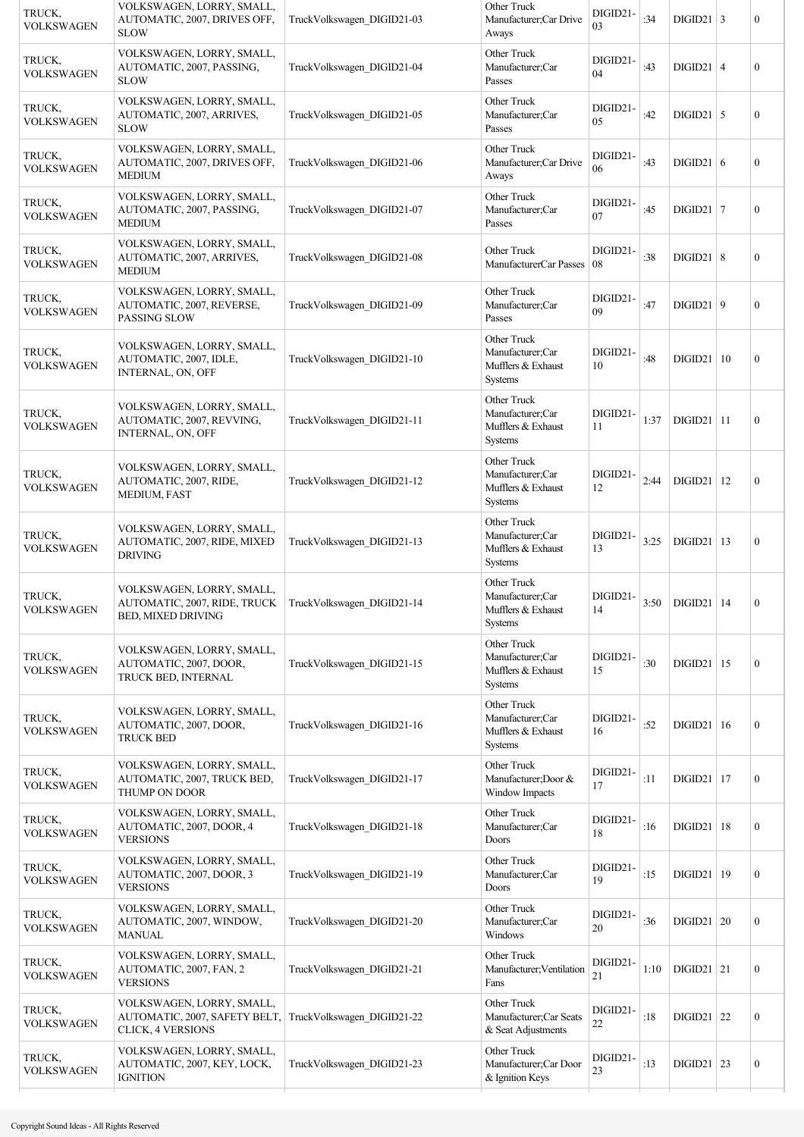| TRUCK,<br><b>VOLKSWAGEN</b> | VOLKSWAGEN, LORRY, SMALL,<br>AUTOMATIC, 2007, DRIVES OFF,<br><b>SLOW</b>                                            | TruckVolkswagen DIGID21-03 | Other Truck<br>Manufacturer;Car Drive<br>Aways                          | DIGID21-<br>03 | :34  | $DIGID21   3$            |    | $\boldsymbol{0}$ |
|-----------------------------|---------------------------------------------------------------------------------------------------------------------|----------------------------|-------------------------------------------------------------------------|----------------|------|--------------------------|----|------------------|
| TRUCK,<br><b>VOLKSWAGEN</b> | VOLKSWAGEN, LORRY, SMALL,<br>AUTOMATIC, 2007, PASSING,<br><b>SLOW</b>                                               | TruckVolkswagen DIGID21-04 | Other Truck<br>Manufacturer;Car<br>Passes                               | DIGID21-<br>04 | :43  | $DIGID21$   4            |    | $\boldsymbol{0}$ |
| TRUCK,<br><b>VOLKSWAGEN</b> | VOLKSWAGEN, LORRY, SMALL,<br>AUTOMATIC, 2007, ARRIVES,<br><b>SLOW</b>                                               | TruckVolkswagen DIGID21-05 | Other Truck<br>Manufacturer;Car<br>Passes                               | DIGID21-<br>05 | :42  | $DIGID21$ 5              |    | $\boldsymbol{0}$ |
| TRUCK,<br><b>VOLKSWAGEN</b> | VOLKSWAGEN, LORRY, SMALL,<br>AUTOMATIC, 2007, DRIVES OFF,<br><b>MEDIUM</b>                                          | TruckVolkswagen DIGID21-06 | Other Truck<br>Manufacturer;Car Drive<br>Aways                          | DIGID21-<br>06 | :43  | DIGID21   6              |    | $\boldsymbol{0}$ |
| TRUCK,<br><b>VOLKSWAGEN</b> | VOLKSWAGEN, LORRY, SMALL,<br>AUTOMATIC, 2007, PASSING,<br><b>MEDIUM</b>                                             | TruckVolkswagen DIGID21-07 | Other Truck<br>Manufacturer;Car<br>Passes                               | DIGID21-<br>07 | :45  | DIGID21   7              |    | $\boldsymbol{0}$ |
| TRUCK,<br><b>VOLKSWAGEN</b> | VOLKSWAGEN, LORRY, SMALL,<br>AUTOMATIC, 2007, ARRIVES,<br><b>MEDIUM</b>                                             | TruckVolkswagen DIGID21-08 | Other Truck<br>ManufacturerCar Passes                                   | DIGID21-<br>08 | :38  | DIGID21   8              |    | $\boldsymbol{0}$ |
| TRUCK,<br><b>VOLKSWAGEN</b> | VOLKSWAGEN, LORRY, SMALL,<br>AUTOMATIC, 2007, REVERSE,<br>PASSING SLOW                                              | TruckVolkswagen DIGID21-09 | Other Truck<br>Manufacturer;Car<br>Passes                               | DIGID21-<br>09 | :47  | DIGID21   9              |    | $\mathbf{0}$     |
| TRUCK,<br><b>VOLKSWAGEN</b> | VOLKSWAGEN, LORRY, SMALL,<br>AUTOMATIC, 2007, IDLE,<br>INTERNAL, ON, OFF                                            | TruckVolkswagen DIGID21-10 | Other Truck<br>Manufacturer;Car<br>Mufflers & Exhaust<br><b>Systems</b> | DIGID21-<br>10 | :48  | $DIGID21$                | 10 | $\boldsymbol{0}$ |
| TRUCK,<br><b>VOLKSWAGEN</b> | VOLKSWAGEN, LORRY, SMALL,<br>AUTOMATIC, 2007, REVVING,<br>INTERNAL, ON, OFF                                         | TruckVolkswagen DIGID21-11 | Other Truck<br>Manufacturer;Car<br>Mufflers & Exhaust<br>Systems        | DIGID21-<br>11 | 1:37 | $DIGID21$   11           |    | $\boldsymbol{0}$ |
| TRUCK,<br><b>VOLKSWAGEN</b> | VOLKSWAGEN, LORRY, SMALL,<br>AUTOMATIC, 2007, RIDE,<br><b>MEDIUM, FAST</b>                                          | TruckVolkswagen DIGID21-12 | Other Truck<br>Manufacturer;Car<br>Mufflers & Exhaust<br>Systems        | DIGID21-<br>12 | 2:44 | $DIGID21$                | 12 | $\boldsymbol{0}$ |
| TRUCK,<br><b>VOLKSWAGEN</b> | VOLKSWAGEN, LORRY, SMALL,<br>AUTOMATIC, 2007, RIDE, MIXED<br><b>DRIVING</b>                                         | TruckVolkswagen DIGID21-13 | Other Truck<br>Manufacturer;Car<br>Mufflers & Exhaust<br>Systems        | DIGID21-<br>13 | 3:25 | DIGID21                  | 13 | $\boldsymbol{0}$ |
| TRUCK.<br><b>VOLKSWAGEN</b> | VOLKSWAGEN, LORRY, SMALL,<br>AUTOMATIC, 2007, RIDE, TRUCK   TruckVolkswagen DIGID21-14<br><b>BED, MIXED DRIVING</b> |                            | Other Truck<br>Manufacturer;Car<br>Mufflers & Exhaust<br>Systems        | DIGID21-<br>14 | 3:50 | $DIGD21$   14            |    | $\boldsymbol{0}$ |
| TRUCK,<br><b>VOLKSWAGEN</b> | VOLKSWAGEN, LORRY, SMALL,<br>AUTOMATIC, 2007, DOOR,<br>TRUCK BED, INTERNAL                                          | TruckVolkswagen_DIGID21-15 | Other Truck<br>Manufacturer;Car<br>Mufflers & Exhaust<br><b>Systems</b> | DIGID21-<br>15 | :30  | DIGID21                  | 15 | $\boldsymbol{0}$ |
| TRUCK,<br><b>VOLKSWAGEN</b> | VOLKSWAGEN, LORRY, SMALL,<br>AUTOMATIC, 2007, DOOR,<br><b>TRUCK BED</b>                                             | TruckVolkswagen DIGID21-16 | Other Truck<br>Manufacturer;Car<br>Mufflers & Exhaust<br>Systems        | DIGID21-<br>16 | :52  | DIGID21                  | 16 | $\boldsymbol{0}$ |
| TRUCK,<br><b>VOLKSWAGEN</b> | VOLKSWAGEN, LORRY, SMALL,<br>AUTOMATIC, 2007, TRUCK BED,<br>THUMP ON DOOR                                           | TruckVolkswagen DIGID21-17 | Other Truck<br>Manufacturer; Door &<br>Window Impacts                   | DIGID21-<br>17 | :11  | DIGID21                  | 17 | $\boldsymbol{0}$ |
| TRUCK,<br><b>VOLKSWAGEN</b> | VOLKSWAGEN, LORRY, SMALL,<br>AUTOMATIC, 2007, DOOR, 4<br><b>VERSIONS</b>                                            | TruckVolkswagen DIGID21-18 | Other Truck<br>Manufacturer;Car<br>Doors                                | DIGID21-<br>18 | :16  | $DIGID21$                | 18 | $\boldsymbol{0}$ |
| TRUCK,<br><b>VOLKSWAGEN</b> | VOLKSWAGEN, LORRY, SMALL,<br>AUTOMATIC, 2007, DOOR, 3<br><b>VERSIONS</b>                                            | TruckVolkswagen DIGID21-19 | Other Truck<br>Manufacturer;Car<br>Doors                                | DIGID21-<br>19 | :15  | DIGID21                  | 19 | $\overline{0}$   |
| TRUCK,<br><b>VOLKSWAGEN</b> | VOLKSWAGEN, LORRY, SMALL,<br>AUTOMATIC, 2007, WINDOW,<br><b>MANUAL</b>                                              | TruckVolkswagen_DIGID21-20 | Other Truck<br>Manufacturer;Car<br>Windows                              | DIGID21-<br>20 | :36  | DIGID21                  | 20 | $\boldsymbol{0}$ |
| TRUCK,<br><b>VOLKSWAGEN</b> | VOLKSWAGEN, LORRY, SMALL,<br>AUTOMATIC, 2007, FAN, 2<br><b>VERSIONS</b>                                             | TruckVolkswagen DIGID21-21 | Other Truck<br>Manufacturer; Ventilation<br>Fans                        | DIGID21-<br>21 | 1:10 | $DIGD21$ 21              |    | $\boldsymbol{0}$ |
| TRUCK,<br><b>VOLKSWAGEN</b> | VOLKSWAGEN, LORRY, SMALL,<br>AUTOMATIC, 2007, SAFETY BELT,<br><b>CLICK, 4 VERSIONS</b>                              | TruckVolkswagen DIGID21-22 | Other Truck<br>Manufacturer;Car Seats<br>& Seat Adjustments             | DIGID21-<br>22 | :18  | DIGID21                  | 22 | $\boldsymbol{0}$ |
| TRUCK,<br><b>VOLKSWAGEN</b> | VOLKSWAGEN, LORRY, SMALL,<br>AUTOMATIC, 2007, KEY, LOCK,<br><b>IGNITION</b>                                         | TruckVolkswagen DIGID21-23 | Other Truck<br>Manufacturer;Car Door<br>& Ignition Keys                 | DIGID21-<br>23 | :13  | $\text{DIGID}21 \mid 23$ |    | $\boldsymbol{0}$ |
|                             |                                                                                                                     |                            |                                                                         |                |      |                          |    |                  |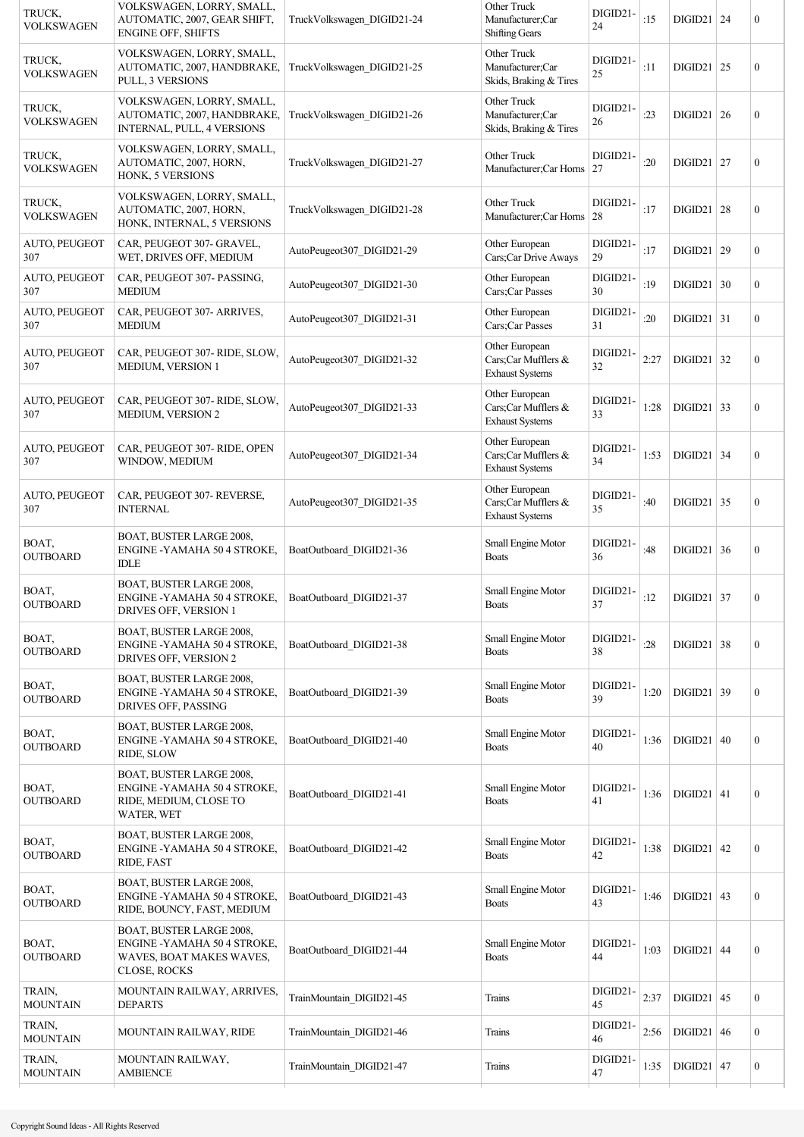| TRUCK,<br><b>VOLKSWAGEN</b> | VOLKSWAGEN, LORRY, SMALL,<br>AUTOMATIC, 2007, GEAR SHIFT,<br><b>ENGINE OFF, SHIFTS</b>               | TruckVolkswagen DIGID21-24 | Other Truck<br>Manufacturer;Car<br><b>Shifting Gears</b>        | DIGID21-<br>24 | :15  | $DIGID21$                | 24 | $\mathbf{0}$     |
|-----------------------------|------------------------------------------------------------------------------------------------------|----------------------------|-----------------------------------------------------------------|----------------|------|--------------------------|----|------------------|
| TRUCK,<br><b>VOLKSWAGEN</b> | VOLKSWAGEN, LORRY, SMALL,<br>AUTOMATIC, 2007, HANDBRAKE,<br>PULL, 3 VERSIONS                         | TruckVolkswagen DIGID21-25 | Other Truck<br>Manufacturer;Car<br>Skids, Braking & Tires       | DIGID21-<br>25 | :11  | $DIGID21$ 25             |    | $\boldsymbol{0}$ |
| TRUCK,<br><b>VOLKSWAGEN</b> | VOLKSWAGEN, LORRY, SMALL,<br>AUTOMATIC, 2007, HANDBRAKE,<br>INTERNAL, PULL, 4 VERSIONS               | TruckVolkswagen_DIGID21-26 | Other Truck<br>Manufacturer;Car<br>Skids, Braking & Tires       | DIGID21-<br>26 | : 23 | DIGID21   26             |    | $\boldsymbol{0}$ |
| TRUCK,<br><b>VOLKSWAGEN</b> | VOLKSWAGEN, LORRY, SMALL,<br>AUTOMATIC, 2007, HORN,<br>HONK, 5 VERSIONS                              | TruckVolkswagen DIGID21-27 | Other Truck<br>Manufacturer;Car Horns 27                        | DIGID21-       | :20  | $DIGID21$ 27             |    | $\boldsymbol{0}$ |
| TRUCK,<br><b>VOLKSWAGEN</b> | VOLKSWAGEN, LORRY, SMALL,<br>AUTOMATIC, 2007, HORN,<br>HONK, INTERNAL, 5 VERSIONS                    | TruckVolkswagen DIGID21-28 | Other Truck<br>Manufacturer;Car Horns 28                        | DIGID21-       | :17  | $DIGID21$ 28             |    | $\boldsymbol{0}$ |
| AUTO, PEUGEOT<br>307        | CAR, PEUGEOT 307- GRAVEL,<br>WET, DRIVES OFF, MEDIUM                                                 | AutoPeugeot307 DIGID21-29  | Other European<br>Cars;Car Drive Aways                          | DIGID21-<br>29 | :17  | $DIGID21$ 29             |    | $\boldsymbol{0}$ |
| <b>AUTO, PEUGEOT</b><br>307 | CAR, PEUGEOT 307- PASSING,<br><b>MEDIUM</b>                                                          | AutoPeugeot307_DIGID21-30  | Other European<br>Cars;Car Passes                               | DIGID21-<br>30 | :19  | $DIGID21$ 30             |    | $\mathbf{0}$     |
| AUTO, PEUGEOT<br>307        | CAR, PEUGEOT 307- ARRIVES,<br><b>MEDIUM</b>                                                          | AutoPeugeot307 DIGID21-31  | Other European<br>Cars;Car Passes                               | DIGID21-<br>31 | :20  | $DIGID21$ 31             |    | $\boldsymbol{0}$ |
| AUTO, PEUGEOT<br>307        | CAR, PEUGEOT 307-RIDE, SLOW,<br>MEDIUM, VERSION 1                                                    | AutoPeugeot307_DIGID21-32  | Other European<br>Cars;Car Mufflers &<br><b>Exhaust Systems</b> | DIGID21-<br>32 | 2:27 | $\text{DIGID}21 \mid 32$ |    | $\boldsymbol{0}$ |
| AUTO, PEUGEOT<br>307        | CAR, PEUGEOT 307-RIDE, SLOW,<br>MEDIUM, VERSION 2                                                    | AutoPeugeot307_DIGID21-33  | Other European<br>Cars;Car Mufflers &<br><b>Exhaust Systems</b> | DIGID21-<br>33 | 1:28 | $DIGID21$                | 33 | $\boldsymbol{0}$ |
| AUTO, PEUGEOT<br>307        | CAR, PEUGEOT 307-RIDE, OPEN<br>WINDOW, MEDIUM                                                        | AutoPeugeot307_DIGID21-34  | Other European<br>Cars;Car Mufflers &<br><b>Exhaust Systems</b> | DIGID21-<br>34 | 1:53 | $DIGID21$ 34             |    | $\boldsymbol{0}$ |
| AUTO, PEUGEOT<br>307        | CAR, PEUGEOT 307-REVERSE,<br><b>INTERNAL</b>                                                         | AutoPeugeot307 DIGID21-35  | Other European<br>Cars;Car Mufflers &<br><b>Exhaust Systems</b> | DIGID21-<br>35 | :40  | $DIGID21$ 35             |    | $\boldsymbol{0}$ |
| BOAT,<br><b>OUTBOARD</b>    | BOAT, BUSTER LARGE 2008,<br>ENGINE -YAMAHA 50 4 STROKE,<br>IDLE                                      | BoatOutboard DIGID21-36    | Small Engine Motor<br><b>Boats</b>                              | DIGID21-<br>36 | :48  | $DIGID21$ 36             |    | $\boldsymbol{0}$ |
| BOAT,<br><b>OUTBOARD</b>    | BOAT, BUSTER LARGE 2008,<br>ENGINE -YAMAHA 50 4 STROKE,<br>DRIVES OFF, VERSION 1                     | BoatOutboard DIGID21-37    | Small Engine Motor<br>Boats                                     | DIGID21-<br>37 | :12  | $DIGID21$ 37             |    | $\boldsymbol{0}$ |
| BOAT,<br><b>OUTBOARD</b>    | BOAT, BUSTER LARGE 2008,<br>ENGINE -YAMAHA 50 4 STROKE,<br>DRIVES OFF, VERSION 2                     | BoatOutboard DIGID21-38    | Small Engine Motor<br><b>Boats</b>                              | DIGID21-<br>38 | :28  | $DIGID21$ 38             |    | $\boldsymbol{0}$ |
| BOAT,<br><b>OUTBOARD</b>    | BOAT, BUSTER LARGE 2008,<br>ENGINE -YAMAHA 50 4 STROKE,<br>DRIVES OFF, PASSING                       | BoatOutboard DIGID21-39    | Small Engine Motor<br><b>Boats</b>                              | DIGID21-<br>39 | 1:20 | $DIGID21$ 39             |    | $\boldsymbol{0}$ |
| BOAT,<br><b>OUTBOARD</b>    | BOAT, BUSTER LARGE 2008,<br>ENGINE -YAMAHA 50 4 STROKE,<br>RIDE, SLOW                                | BoatOutboard_DIGID21-40    | Small Engine Motor<br><b>Boats</b>                              | DIGID21-<br>40 | 1:36 | DIGID21   40             |    | $\boldsymbol{0}$ |
| BOAT,<br><b>OUTBOARD</b>    | BOAT, BUSTER LARGE 2008,<br>ENGINE - YAMAHA 50 4 STROKE,<br>RIDE, MEDIUM, CLOSE TO<br>WATER, WET     | BoatOutboard_DIGID21-41    | Small Engine Motor<br><b>Boats</b>                              | DIGID21-<br>41 | 1:36 | $DIGID21$ 41             |    | $\boldsymbol{0}$ |
| BOAT,<br><b>OUTBOARD</b>    | BOAT, BUSTER LARGE 2008,<br>ENGINE -YAMAHA 50 4 STROKE,<br>RIDE, FAST                                | BoatOutboard DIGID21-42    | Small Engine Motor<br><b>Boats</b>                              | DIGID21-<br>42 | 1:38 | $DIGID21$ 42             |    | $\boldsymbol{0}$ |
| BOAT,<br><b>OUTBOARD</b>    | BOAT, BUSTER LARGE 2008,<br>ENGINE -YAMAHA 50 4 STROKE,<br>RIDE, BOUNCY, FAST, MEDIUM                | BoatOutboard DIGID21-43    | Small Engine Motor<br><b>Boats</b>                              | DIGID21-<br>43 | 1:46 | $DIGID21$ 43             |    | $\boldsymbol{0}$ |
| BOAT,<br><b>OUTBOARD</b>    | BOAT, BUSTER LARGE 2008,<br>ENGINE - YAMAHA 50 4 STROKE,<br>WAVES, BOAT MAKES WAVES,<br>CLOSE, ROCKS | BoatOutboard DIGID21-44    | Small Engine Motor<br><b>Boats</b>                              | DIGID21-<br>44 | 1:03 | $DIGID21$ 44             |    | $\boldsymbol{0}$ |
| TRAIN,<br><b>MOUNTAIN</b>   | MOUNTAIN RAILWAY, ARRIVES,<br><b>DEPARTS</b>                                                         | TrainMountain DIGID21-45   | Trains                                                          | DIGID21-<br>45 | 2:37 | $DIGID21$ 45             |    | $\boldsymbol{0}$ |
| TRAIN,<br><b>MOUNTAIN</b>   | MOUNTAIN RAILWAY, RIDE                                                                               | TrainMountain DIGID21-46   | Trains                                                          | DIGID21-<br>46 | 2:56 | $DIGID21$ 46             |    | $\boldsymbol{0}$ |
| TRAIN,<br><b>MOUNTAIN</b>   | MOUNTAIN RAILWAY,<br><b>AMBIENCE</b>                                                                 | TrainMountain_DIGID21-47   | Trains                                                          | DIGID21-<br>47 | 1:35 | $DIGID21$ 47             |    | $\boldsymbol{0}$ |